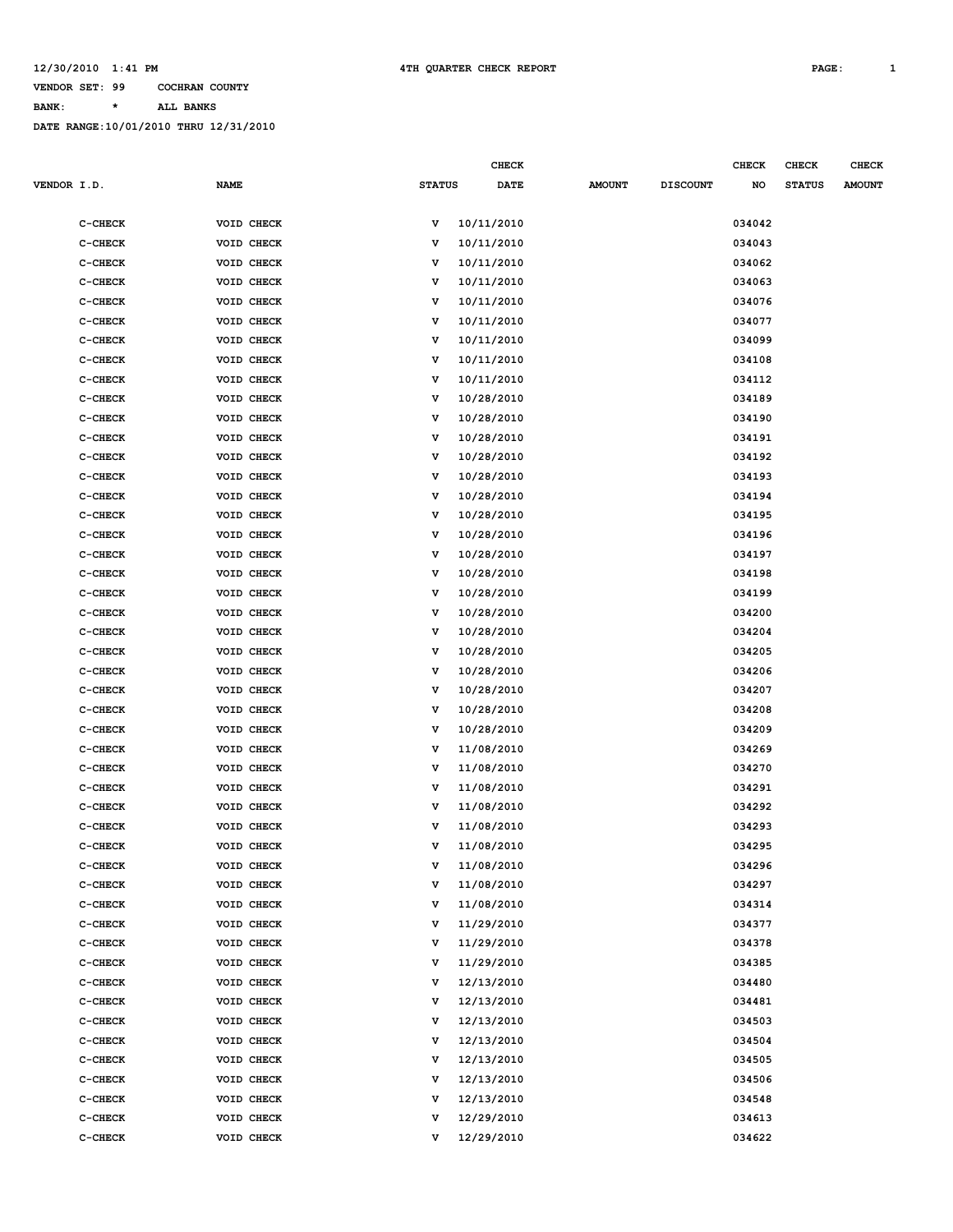**CHECK CHECK CHECK CHECK** 

**BANK: \* ALL BANKS**

| <b>VENDOR I.D.</b> |           | <b>NAME</b> | <b>STATUS</b> | <b>DATE</b> | <b>AMOUNT</b> | <b>DISCOUNT</b> | NO     | <b>STATUS</b> | <b>AMOUNT</b> |
|--------------------|-----------|-------------|---------------|-------------|---------------|-----------------|--------|---------------|---------------|
|                    |           |             |               |             |               |                 |        |               |               |
|                    | C-CHECK   | VOID CHECK  | v             | 10/11/2010  |               |                 | 034042 |               |               |
|                    | C-CHECK   | VOID CHECK  | v             | 10/11/2010  |               |                 | 034043 |               |               |
|                    | C-CHECK   | VOID CHECK  | v             | 10/11/2010  |               |                 | 034062 |               |               |
|                    | $C-CHECK$ | VOID CHECK  | v             | 10/11/2010  |               |                 | 034063 |               |               |
|                    | $C-CHECK$ | VOID CHECK  | v             | 10/11/2010  |               |                 | 034076 |               |               |
|                    | C-CHECK   | VOID CHECK  | v             | 10/11/2010  |               |                 | 034077 |               |               |
|                    | C-CHECK   | VOID CHECK  | v             | 10/11/2010  |               |                 | 034099 |               |               |
|                    | C-CHECK   | VOID CHECK  | v             | 10/11/2010  |               |                 | 034108 |               |               |
|                    | C-CHECK   | VOID CHECK  | v             | 10/11/2010  |               |                 | 034112 |               |               |
|                    | C-CHECK   | VOID CHECK  | v             | 10/28/2010  |               |                 | 034189 |               |               |
|                    | C-CHECK   | VOID CHECK  | v             | 10/28/2010  |               |                 | 034190 |               |               |
|                    | C-CHECK   | VOID CHECK  | v             | 10/28/2010  |               |                 | 034191 |               |               |
|                    | C-CHECK   | VOID CHECK  | v             | 10/28/2010  |               |                 | 034192 |               |               |
|                    | $C-CHECK$ | VOID CHECK  | v             | 10/28/2010  |               |                 | 034193 |               |               |
|                    | C-CHECK   | VOID CHECK  | v             | 10/28/2010  |               |                 | 034194 |               |               |
|                    | C-CHECK   | VOID CHECK  | v             | 10/28/2010  |               |                 | 034195 |               |               |
|                    | C-CHECK   | VOID CHECK  | v             | 10/28/2010  |               |                 | 034196 |               |               |
|                    | C-CHECK   | VOID CHECK  | v             | 10/28/2010  |               |                 | 034197 |               |               |
|                    | C-CHECK   | VOID CHECK  | v             | 10/28/2010  |               |                 | 034198 |               |               |
|                    | C-CHECK   | VOID CHECK  | v             | 10/28/2010  |               |                 | 034199 |               |               |
|                    | C-CHECK   | VOID CHECK  | v             | 10/28/2010  |               |                 | 034200 |               |               |
|                    | C-CHECK   | VOID CHECK  | v             | 10/28/2010  |               |                 | 034204 |               |               |
|                    | $C-CHECK$ | VOID CHECK  | v             | 10/28/2010  |               |                 | 034205 |               |               |
|                    | C-CHECK   | VOID CHECK  | v             | 10/28/2010  |               |                 | 034206 |               |               |
|                    | $C-CHECK$ | VOID CHECK  | v             | 10/28/2010  |               |                 | 034207 |               |               |
|                    | $C-CHECK$ | VOID CHECK  | v             | 10/28/2010  |               |                 | 034208 |               |               |
|                    | C-CHECK   | VOID CHECK  | v             | 10/28/2010  |               |                 | 034209 |               |               |
|                    | C-CHECK   | VOID CHECK  | v             | 11/08/2010  |               |                 | 034269 |               |               |
|                    | C-CHECK   | VOID CHECK  | v             | 11/08/2010  |               |                 | 034270 |               |               |
|                    | C-CHECK   | VOID CHECK  | v             | 11/08/2010  |               |                 | 034291 |               |               |
|                    | $C-CHECK$ | VOID CHECK  | v             | 11/08/2010  |               |                 | 034292 |               |               |
|                    | $C-CHECK$ | VOID CHECK  | v             | 11/08/2010  |               |                 | 034293 |               |               |
|                    | C-CHECK   | VOID CHECK  | v             | 11/08/2010  |               |                 | 034295 |               |               |
|                    | C-CHECK   | VOID CHECK  | v             | 11/08/2010  |               |                 | 034296 |               |               |
|                    | C-CHECK   | VOID CHECK  | v             | 11/08/2010  |               |                 | 034297 |               |               |
|                    | C-CHECK   | VOID CHECK  | v             | 11/08/2010  |               |                 | 034314 |               |               |
|                    | $C-CHECK$ | VOID CHECK  | v             | 11/29/2010  |               |                 | 034377 |               |               |
|                    | $C-CHECK$ | VOID CHECK  | v             | 11/29/2010  |               |                 | 034378 |               |               |
|                    | C-CHECK   | VOID CHECK  | v             | 11/29/2010  |               |                 | 034385 |               |               |
|                    | C-CHECK   | VOID CHECK  | v             | 12/13/2010  |               |                 | 034480 |               |               |
|                    | C-CHECK   | VOID CHECK  | v             | 12/13/2010  |               |                 | 034481 |               |               |
|                    | $C-CHECK$ | VOID CHECK  | v             | 12/13/2010  |               |                 | 034503 |               |               |
|                    | C-CHECK   | VOID CHECK  | v             | 12/13/2010  |               |                 | 034504 |               |               |
|                    | $C-CHECK$ | VOID CHECK  | v             | 12/13/2010  |               |                 | 034505 |               |               |
|                    | C-CHECK   | VOID CHECK  | v             | 12/13/2010  |               |                 | 034506 |               |               |
|                    | C-CHECK   | VOID CHECK  | v             | 12/13/2010  |               |                 | 034548 |               |               |
|                    | C-CHECK   | VOID CHECK  | v             | 12/29/2010  |               |                 | 034613 |               |               |
|                    | C-CHECK   | VOID CHECK  | v             | 12/29/2010  |               |                 | 034622 |               |               |
|                    |           |             |               |             |               |                 |        |               |               |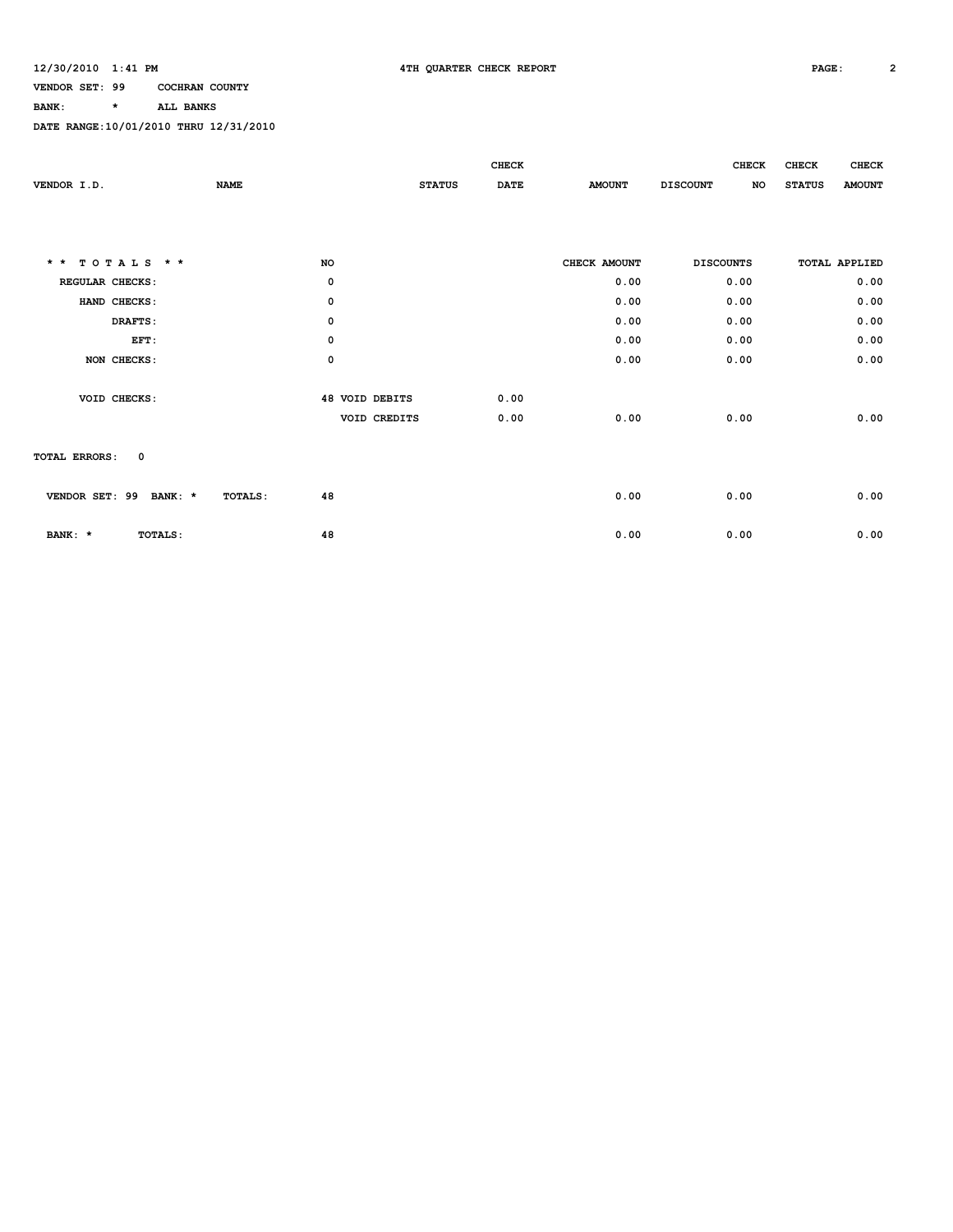### **BANK: \* ALL BANKS**

|                                 |                |                       | CHECK       |               | <b>CHECK</b>          | <b>CHECK</b><br><b>CHECK</b>   |
|---------------------------------|----------------|-----------------------|-------------|---------------|-----------------------|--------------------------------|
| VENDOR I.D.                     | <b>NAME</b>    | <b>STATUS</b>         | <b>DATE</b> | <b>AMOUNT</b> | <b>DISCOUNT</b><br>NO | <b>STATUS</b><br><b>AMOUNT</b> |
|                                 |                |                       |             |               |                       |                                |
|                                 |                |                       |             |               |                       |                                |
|                                 |                |                       |             |               |                       |                                |
| TOTALS $*$ *<br>$\star$ $\star$ | NO             |                       |             | CHECK AMOUNT  | <b>DISCOUNTS</b>      | <b>TOTAL APPLIED</b>           |
| REGULAR CHECKS:                 | 0              |                       |             | 0.00          | 0.00                  | 0.00                           |
| HAND CHECKS:                    | 0              |                       |             | 0.00          | 0.00                  | 0.00                           |
| DRAFTS:                         | 0              |                       |             | 0.00          | 0.00                  | 0.00                           |
| EFT:                            | $\mathsf{o}\,$ |                       |             | 0.00          | 0.00                  | 0.00                           |
| NON CHECKS:                     | $\mathsf{o}\,$ |                       |             | 0.00          | 0.00                  | 0.00                           |
|                                 |                |                       |             |               |                       |                                |
| VOID CHECKS:                    |                | <b>48 VOID DEBITS</b> | 0.00        |               |                       |                                |
|                                 |                | VOID CREDITS          | 0.00        | 0.00          | 0.00                  | 0.00                           |
|                                 |                |                       |             |               |                       |                                |
| 0<br><b>TOTAL ERRORS:</b>       |                |                       |             |               |                       |                                |
|                                 |                |                       |             |               |                       |                                |
| VENDOR SET: 99<br>BANK: *       | 48<br>TOTALS:  |                       |             | 0.00          | 0.00                  | 0.00                           |
|                                 |                |                       |             |               |                       |                                |
| BANK: *<br>TOTALS:              | 48             |                       |             | 0.00          | 0.00                  | 0.00                           |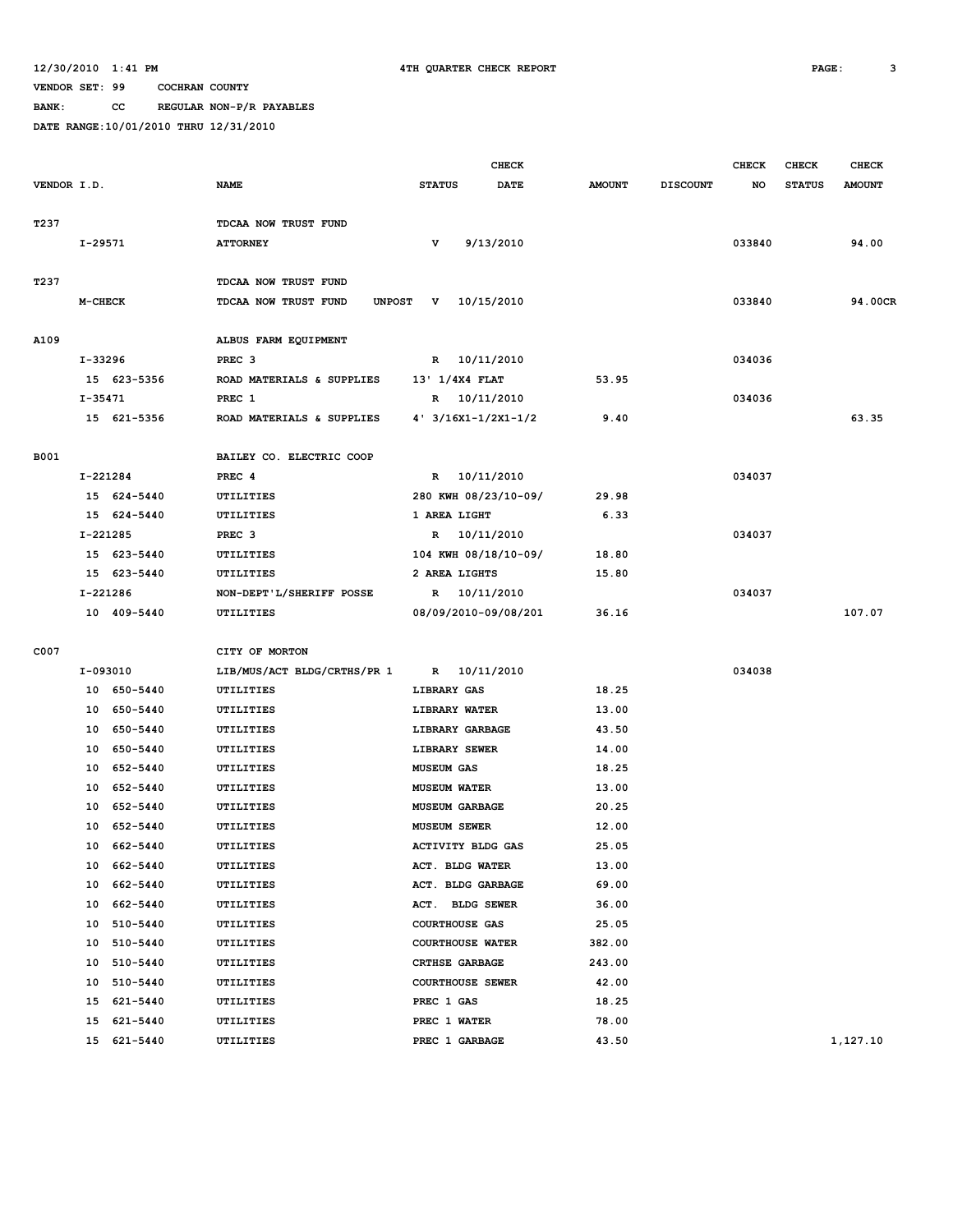**BANK: CC REGULAR NON-P/R PAYABLES**

|             |                        |                                           |                                | <b>CHECK</b> |               |                 | <b>CHECK</b> | <b>CHECK</b>  | <b>CHECK</b>  |
|-------------|------------------------|-------------------------------------------|--------------------------------|--------------|---------------|-----------------|--------------|---------------|---------------|
| VENDOR I.D. |                        | <b>NAME</b>                               | <b>STATUS</b>                  | <b>DATE</b>  | <b>AMOUNT</b> | <b>DISCOUNT</b> | NO           | <b>STATUS</b> | <b>AMOUNT</b> |
|             |                        |                                           |                                |              |               |                 |              |               |               |
| T237        |                        | TDCAA NOW TRUST FUND                      |                                |              |               |                 |              |               |               |
|             | I-29571                | <b>ATTORNEY</b>                           | v                              | 9/13/2010    |               |                 | 033840       |               | 94.00         |
|             |                        |                                           |                                |              |               |                 |              |               |               |
| T237        |                        | <b>TDCAA NOW TRUST FUND</b>               |                                |              |               |                 |              |               |               |
|             | M-CHECK                | TDCAA NOW TRUST FUND<br><b>UNPOST</b>     | $\mathbf{v}$                   | 10/15/2010   |               |                 | 033840       |               | 94.00CR       |
|             |                        |                                           |                                |              |               |                 |              |               |               |
| A109        |                        | ALBUS FARM EQUIPMENT<br>PREC <sub>3</sub> |                                |              |               |                 | 034036       |               |               |
|             | I-33296<br>15 623-5356 | ROAD MATERIALS & SUPPLIES                 | R 10/11/2010<br>13' 1/4X4 FLAT |              | 53.95         |                 |              |               |               |
|             |                        |                                           |                                |              |               |                 |              |               |               |
|             | I-35471                | PREC 1                                    | R 10/11/2010                   |              |               |                 | 034036       |               |               |
|             | 15 621-5356            | ROAD MATERIALS & SUPPLIES                 | $4'$ 3/16X1-1/2X1-1/2          |              | 9.40          |                 |              |               | 63.35         |
| B001        |                        | BAILEY CO. ELECTRIC COOP                  |                                |              |               |                 |              |               |               |
|             | I-221284               | PREC <sub>4</sub>                         | R 10/11/2010                   |              |               |                 | 034037       |               |               |
|             | 15 624-5440            | UTILITIES                                 | 280 KWH 08/23/10-09/           |              | 29.98         |                 |              |               |               |
|             | 15 624-5440            | UTILITIES                                 | 1 AREA LIGHT                   |              | 6.33          |                 |              |               |               |
|             | I-221285               | PREC <sub>3</sub>                         | R 10/11/2010                   |              |               |                 | 034037       |               |               |
|             | 15 623-5440            | UTILITIES                                 | 104 KWH 08/18/10-09/           |              | 18.80         |                 |              |               |               |
|             | 15 623-5440            | UTILITIES                                 | 2 AREA LIGHTS                  |              | 15.80         |                 |              |               |               |
|             | I-221286               | NON-DEPT'L/SHERIFF POSSE                  | R 10/11/2010                   |              |               |                 | 034037       |               |               |
|             | 10 409-5440            | UTILITIES                                 | 08/09/2010-09/08/201           |              | 36.16         |                 |              |               | 107.07        |
|             |                        |                                           |                                |              |               |                 |              |               |               |
| C007        |                        | CITY OF MORTON                            |                                |              |               |                 |              |               |               |
|             | I-093010               | LIB/MUS/ACT BLDG/CRTHS/PR 1               | R 10/11/2010                   |              |               |                 | 034038       |               |               |
|             | 10 650-5440            | UTILITIES                                 | LIBRARY GAS                    |              | 18.25         |                 |              |               |               |
|             | 10 650-5440            | UTILITIES                                 | LIBRARY WATER                  |              | 13.00         |                 |              |               |               |
|             | 10 650-5440            | UTILITIES                                 | LIBRARY GARBAGE                |              | 43.50         |                 |              |               |               |
|             | 650-5440<br>10         | UTILITIES                                 | LIBRARY SEWER                  |              | 14.00         |                 |              |               |               |
|             | 10 652-5440            | UTILITIES                                 | <b>MUSEUM GAS</b>              |              | 18.25         |                 |              |               |               |
|             | 10 652-5440            | UTILITIES                                 | <b>MUSEUM WATER</b>            |              | 13.00         |                 |              |               |               |
|             | 10<br>652-5440         | UTILITIES                                 | <b>MUSEUM GARBAGE</b>          |              | 20.25         |                 |              |               |               |
|             | 652-5440<br>10         | UTILITIES                                 | <b>MUSEUM SEWER</b>            |              | 12.00         |                 |              |               |               |
|             | 10 662-5440            | UTILITIES                                 | <b>ACTIVITY BLDG GAS</b>       |              | 25.05         |                 |              |               |               |
|             | 10 662-5440            | UTILITIES                                 | ACT. BLDG WATER                |              | 13.00         |                 |              |               |               |
|             | 10 662-5440            | UTILITIES                                 | ACT. BLDG GARBAGE              |              | 69.00         |                 |              |               |               |
|             | 10 662-5440            | UTILITIES                                 | ACT. BLDG SEWER                |              | 36.00         |                 |              |               |               |
|             | 10 510-5440            | UTILITIES                                 | <b>COURTHOUSE GAS</b>          |              | 25.05         |                 |              |               |               |
|             | 10 510-5440            | UTILITIES                                 | COURTHOUSE WATER               |              | 382.00        |                 |              |               |               |
|             | 510-5440<br>10         | UTILITIES                                 | CRTHSE GARBAGE                 |              | 243.00        |                 |              |               |               |
|             | 510-5440<br>10         | UTILITIES                                 | <b>COURTHOUSE SEWER</b>        |              | 42.00         |                 |              |               |               |
|             | 15 621-5440            | UTILITIES                                 | PREC 1 GAS                     |              | 18.25         |                 |              |               |               |
|             | 15 621-5440            | UTILITIES                                 | PREC 1 WATER                   |              | 78.00         |                 |              |               |               |
|             | 15 621-5440            | UTILITIES                                 | PREC 1 GARBAGE                 |              | 43.50         |                 |              |               | 1,127.10      |
|             |                        |                                           |                                |              |               |                 |              |               |               |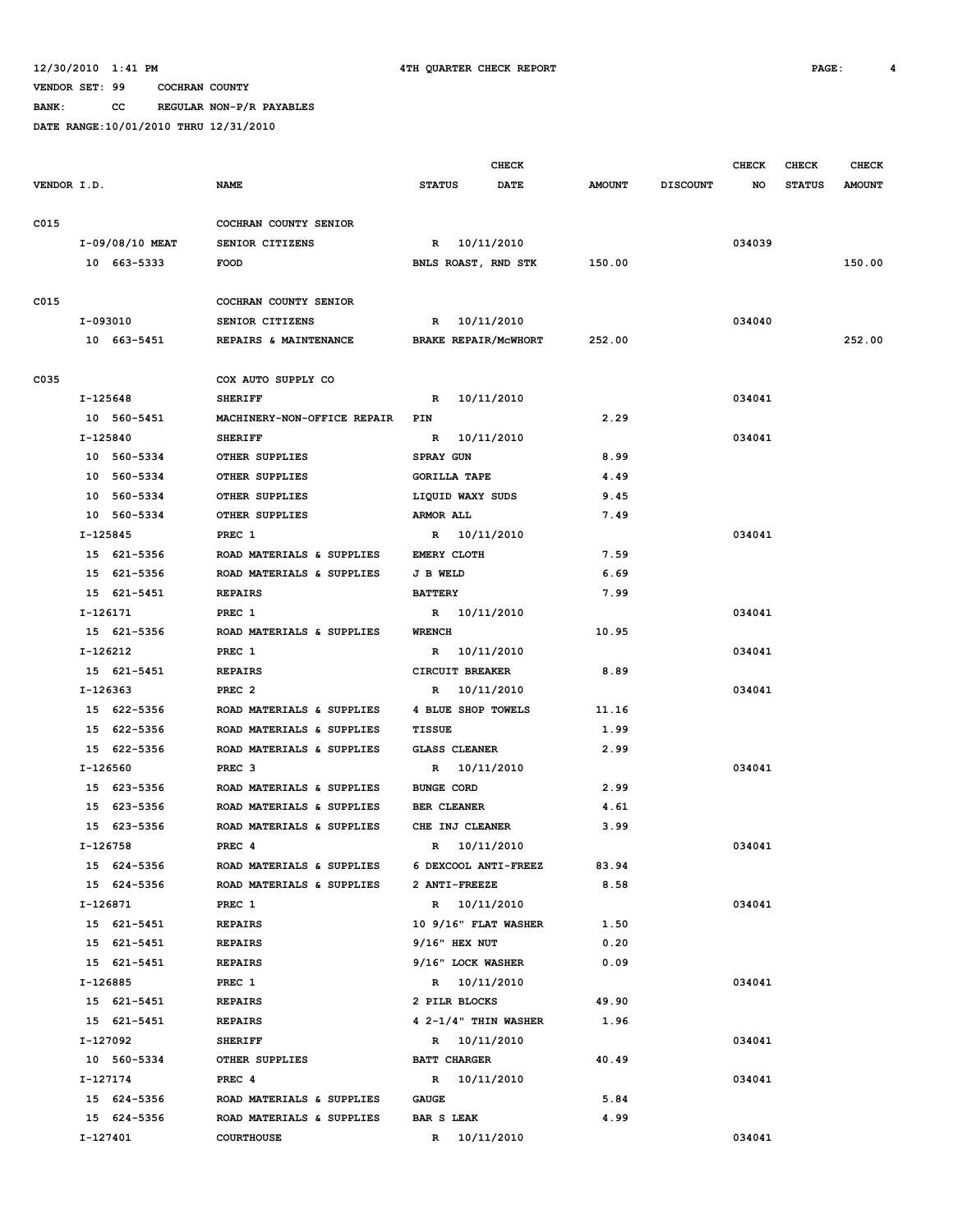**BANK: CC REGULAR NON-P/R PAYABLES**

|             |                 |                             |                             | CHECK       |               |                 | <b>CHECK</b> | <b>CHECK</b>  | <b>CHECK</b>  |
|-------------|-----------------|-----------------------------|-----------------------------|-------------|---------------|-----------------|--------------|---------------|---------------|
| VENDOR I.D. |                 | <b>NAME</b>                 | <b>STATUS</b>               | <b>DATE</b> | <b>AMOUNT</b> | <b>DISCOUNT</b> | NO           | <b>STATUS</b> | <b>AMOUNT</b> |
| C015        |                 | COCHRAN COUNTY SENIOR       |                             |             |               |                 |              |               |               |
|             | I-09/08/10 MEAT | SENIOR CITIZENS             | R 10/11/2010                |             |               |                 | 034039       |               |               |
|             | 10 663-5333     | <b>FOOD</b>                 | BNLS ROAST, RND STK         |             | 150.00        |                 |              |               | 150.00        |
| C015        |                 | COCHRAN COUNTY SENIOR       |                             |             |               |                 |              |               |               |
|             | I-093010        | SENIOR CITIZENS             | R 10/11/2010                |             |               |                 | 034040       |               |               |
|             | 10 663-5451     | REPAIRS & MAINTENANCE       | <b>BRAKE REPAIR/MCWHORT</b> |             | 252.00        |                 |              |               | 252.00        |
| C035        |                 | COX AUTO SUPPLY CO          |                             |             |               |                 |              |               |               |
|             | I-125648        | <b>SHERIFF</b>              | R 10/11/2010                |             |               |                 | 034041       |               |               |
|             | 10 560-5451     | MACHINERY-NON-OFFICE REPAIR | PIN                         |             | 2.29          |                 |              |               |               |
|             | I-125840        | <b>SHERIFF</b>              | R                           | 10/11/2010  |               |                 | 034041       |               |               |
|             | 10 560-5334     | OTHER SUPPLIES              | <b>SPRAY GUN</b>            |             | 8.99          |                 |              |               |               |
|             | 10 560-5334     | OTHER SUPPLIES              | <b>GORILLA TAPE</b>         |             | 4.49          |                 |              |               |               |
|             | 10 560-5334     | OTHER SUPPLIES              | LIQUID WAXY SUDS            |             | 9.45          |                 |              |               |               |
|             | 10 560-5334     |                             |                             |             |               |                 |              |               |               |
|             | $I-125845$      | OTHER SUPPLIES              | <b>ARMOR ALL</b>            |             | 7.49          |                 |              |               |               |
|             |                 | PREC 1                      | R 10/11/2010                |             |               |                 | 034041       |               |               |
|             | 15 621-5356     | ROAD MATERIALS & SUPPLIES   | <b>EMERY CLOTH</b>          |             | 7.59          |                 |              |               |               |
|             | 15 621-5356     | ROAD MATERIALS & SUPPLIES   | <b>J B WELD</b>             |             | 6.69          |                 |              |               |               |
|             | 15 621-5451     | <b>REPAIRS</b>              | <b>BATTERY</b>              |             | 7.99          |                 |              |               |               |
|             | I-126171        | PREC 1                      | R 10/11/2010                |             |               |                 | 034041       |               |               |
|             | 15 621-5356     | ROAD MATERIALS & SUPPLIES   | <b>WRENCH</b>               |             | 10.95         |                 |              |               |               |
|             | I-126212        | PREC 1                      | R 10/11/2010                |             |               |                 | 034041       |               |               |
|             | 15 621-5451     | <b>REPAIRS</b>              | CIRCUIT BREAKER             |             | 8.89          |                 |              |               |               |
|             | I-126363        | PREC <sub>2</sub>           | R                           | 10/11/2010  |               |                 | 034041       |               |               |
|             | 15 622-5356     | ROAD MATERIALS & SUPPLIES   | 4 BLUE SHOP TOWELS          |             | 11.16         |                 |              |               |               |
|             | 15 622-5356     | ROAD MATERIALS & SUPPLIES   | <b>TISSUE</b>               |             | 1.99          |                 |              |               |               |
|             | 15 622-5356     | ROAD MATERIALS & SUPPLIES   | <b>GLASS CLEANER</b>        |             | 2.99          |                 |              |               |               |
|             | I-126560        | PREC <sub>3</sub>           | R 10/11/2010                |             |               |                 | 034041       |               |               |
|             | 15 623-5356     | ROAD MATERIALS & SUPPLIES   | <b>BUNGE CORD</b>           |             | 2.99          |                 |              |               |               |
|             | 15 623-5356     | ROAD MATERIALS & SUPPLIES   | <b>BER CLEANER</b>          |             | 4.61          |                 |              |               |               |
|             | 15 623-5356     | ROAD MATERIALS & SUPPLIES   | CHE INJ CLEANER             |             | 3.99          |                 |              |               |               |
|             | I-126758        | PREC <sub>4</sub>           | R                           | 10/11/2010  |               |                 | 034041       |               |               |
|             | 15 624-5356     | ROAD MATERIALS & SUPPLIES   | 6 DEXCOOL ANTI-FREEZ        |             | 83.94         |                 |              |               |               |
|             | 15 624-5356     | ROAD MATERIALS & SUPPLIES   | 2 ANTI-FREEZE               |             | 8.58          |                 |              |               |               |
|             | I-126871        | PREC 1                      | R 10/11/2010                |             |               |                 | 034041       |               |               |
|             | 15 621-5451     | <b>REPAIRS</b>              | 10 9/16" FLAT WASHER        |             | 1.50          |                 |              |               |               |
|             | 15 621-5451     | <b>REPAIRS</b>              | $9/16$ " HEX NUT            |             | 0.20          |                 |              |               |               |
|             | 15 621-5451     | <b>REPAIRS</b>              | 9/16" LOCK WASHER           |             | 0.09          |                 |              |               |               |
|             | I-126885        | PREC 1                      | R 10/11/2010                |             |               |                 | 034041       |               |               |
|             | 15 621-5451     | <b>REPAIRS</b>              | 2 PILR BLOCKS               |             | 49.90         |                 |              |               |               |
|             | 15 621-5451     | <b>REPAIRS</b>              | $4$ 2-1/4" THIN WASHER      |             | 1.96          |                 |              |               |               |
|             | I-127092        | <b>SHERIFF</b>              | R 10/11/2010                |             |               |                 | 034041       |               |               |
|             | 10 560-5334     | OTHER SUPPLIES              | <b>BATT CHARGER</b>         |             | 40.49         |                 |              |               |               |
|             | I-127174        | PREC 4                      | R 10/11/2010                |             |               |                 | 034041       |               |               |
|             | 15 624-5356     | ROAD MATERIALS & SUPPLIES   | <b>GAUGE</b>                |             | 5.84          |                 |              |               |               |
|             | 15 624-5356     | ROAD MATERIALS & SUPPLIES   | <b>BAR S LEAK</b>           |             | 4.99          |                 |              |               |               |
|             | I-127401        | <b>COURTHOUSE</b>           | R 10/11/2010                |             |               |                 | 034041       |               |               |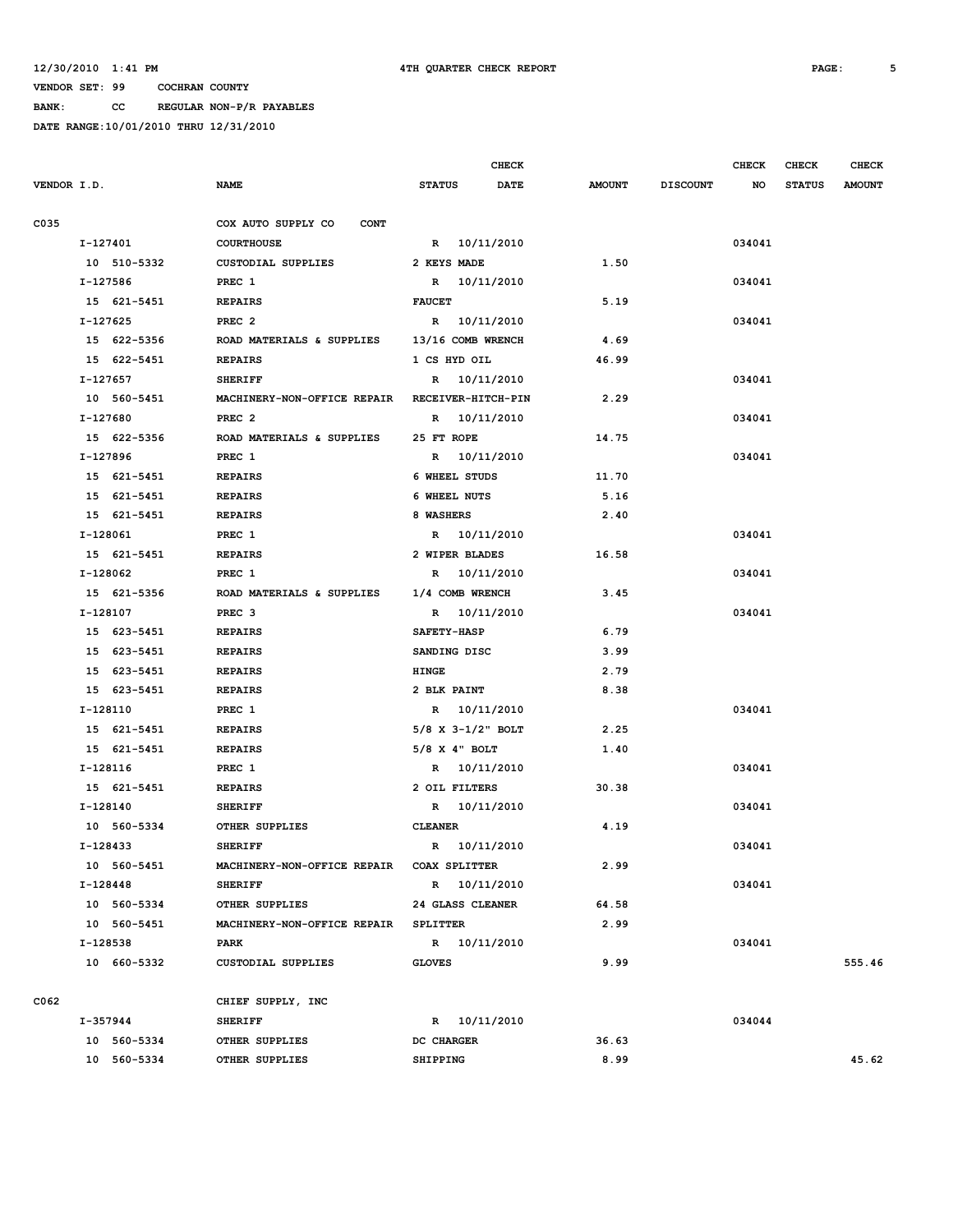**BANK: CC REGULAR NON-P/R PAYABLES**

|             |             |                                      |                        | <b>CHECK</b> |               |                 | <b>CHECK</b> | <b>CHECK</b>  | <b>CHECK</b>  |
|-------------|-------------|--------------------------------------|------------------------|--------------|---------------|-----------------|--------------|---------------|---------------|
| VENDOR I.D. |             | <b>NAME</b>                          | <b>STATUS</b>          | <b>DATE</b>  | <b>AMOUNT</b> | <b>DISCOUNT</b> | NO           | <b>STATUS</b> | <b>AMOUNT</b> |
| C035        |             | COX AUTO SUPPLY CO<br><b>CONT</b>    |                        |              |               |                 |              |               |               |
|             | I-127401    | <b>COURTHOUSE</b>                    | R 10/11/2010           |              |               |                 | 034041       |               |               |
|             | 10 510-5332 | CUSTODIAL SUPPLIES                   | 2 KEYS MADE            |              | 1.50          |                 |              |               |               |
|             | I-127586    | PREC 1                               |                        | R 10/11/2010 |               |                 | 034041       |               |               |
|             | 15 621-5451 | <b>REPAIRS</b>                       | <b>FAUCET</b>          |              | 5.19          |                 |              |               |               |
|             | $I-127625$  | PREC <sub>2</sub>                    | R 10/11/2010           |              |               |                 | 034041       |               |               |
|             | 15 622-5356 | ROAD MATERIALS & SUPPLIES            | 13/16 COMB WRENCH      |              | 4.69          |                 |              |               |               |
|             | 15 622-5451 | <b>REPAIRS</b>                       | 1 CS HYD OIL           |              | 46.99         |                 |              |               |               |
|             | I-127657    | <b>SHERIFF</b>                       | R 10/11/2010           |              |               |                 | 034041       |               |               |
|             | 10 560-5451 | MACHINERY-NON-OFFICE REPAIR          | RECEIVER-HITCH-PIN     |              | 2.29          |                 |              |               |               |
|             | I-127680    | PREC <sub>2</sub>                    |                        | R 10/11/2010 |               |                 | 034041       |               |               |
|             | 15 622-5356 | ROAD MATERIALS & SUPPLIES            | 25 FT ROPE             |              | 14.75         |                 |              |               |               |
|             | I-127896    | PREC 1                               | R 10/11/2010           |              |               |                 | 034041       |               |               |
|             | 15 621-5451 | <b>REPAIRS</b>                       | 6 WHEEL STUDS          |              | 11.70         |                 |              |               |               |
|             | 15 621-5451 | <b>REPAIRS</b>                       | 6 WHEEL NUTS           |              | 5.16          |                 |              |               |               |
|             | 15 621-5451 | <b>REPAIRS</b>                       | 8 WASHERS              |              | 2.40          |                 |              |               |               |
|             | I-128061    | PREC 1                               |                        | R 10/11/2010 |               |                 | 034041       |               |               |
|             | 15 621-5451 | <b>REPAIRS</b>                       | 2 WIPER BLADES         |              | 16.58         |                 |              |               |               |
|             | I-128062    | PREC 1                               |                        | R 10/11/2010 |               |                 | 034041       |               |               |
|             | 15 621-5356 | ROAD MATERIALS & SUPPLIES            | 1/4 COMB WRENCH        |              | 3.45          |                 |              |               |               |
|             | I-128107    | PREC <sub>3</sub>                    | R 10/11/2010           |              |               |                 | 034041       |               |               |
|             | 15 623-5451 | <b>REPAIRS</b>                       | <b>SAFETY-HASP</b>     |              | 6.79          |                 |              |               |               |
|             | 15 623-5451 | <b>REPAIRS</b>                       | SANDING DISC           |              | 3.99          |                 |              |               |               |
|             | 15 623-5451 | <b>REPAIRS</b>                       | <b>HINGE</b>           |              | 2.79          |                 |              |               |               |
|             | 15 623-5451 | <b>REPAIRS</b>                       | 2 BLK PAINT            |              | 8.38          |                 |              |               |               |
|             | I-128110    | PREC 1                               | R 10/11/2010           |              |               |                 | 034041       |               |               |
|             | 15 621-5451 | <b>REPAIRS</b>                       | $5/8$ X $3-1/2$ " BOLT |              | 2.25          |                 |              |               |               |
|             | 15 621-5451 | <b>REPAIRS</b>                       | $5/8$ X 4" BOLT        |              | 1.40          |                 |              |               |               |
|             | I-128116    | PREC 1                               | R 10/11/2010           |              |               |                 | 034041       |               |               |
|             | 15 621-5451 | <b>REPAIRS</b>                       | 2 OIL FILTERS          |              | 30.38         |                 |              |               |               |
|             | I-128140    | <b>SHERIFF</b>                       | R 10/11/2010           |              |               |                 | 034041       |               |               |
|             | 10 560-5334 | OTHER SUPPLIES                       | <b>CLEANER</b>         |              | 4.19          |                 |              |               |               |
|             | I-128433    | <b>SHERIFF</b>                       | R 10/11/2010           |              |               |                 | 034041       |               |               |
|             | 10 560-5451 | MACHINERY-NON-OFFICE REPAIR          | <b>COAX SPLITTER</b>   |              | 2.99          |                 |              |               |               |
|             | $I-128448$  | <b>SHERIFF</b>                       |                        | R 10/11/2010 |               |                 | 034041       |               |               |
|             | 10 560-5334 | OTHER SUPPLIES                       | 24 GLASS CLEANER       |              | 64.58         |                 |              |               |               |
|             | 10 560-5451 | MACHINERY-NON-OFFICE REPAIR SPLITTER |                        |              | 2.99          |                 |              |               |               |
|             | I-128538    | PARK                                 | R 10/11/2010           |              |               |                 | 034041       |               |               |
|             | 10 660-5332 | <b>CUSTODIAL SUPPLIES</b>            | <b>GLOVES</b>          |              | 9.99          |                 |              |               | 555.46        |
| C062        |             | CHIEF SUPPLY, INC                    |                        |              |               |                 |              |               |               |
|             | I-357944    | <b>SHERIFF</b>                       | R 10/11/2010           |              |               |                 | 034044       |               |               |
|             | 10 560-5334 | OTHER SUPPLIES                       | DC CHARGER             |              | 36.63         |                 |              |               |               |
|             | 10 560-5334 | OTHER SUPPLIES                       | SHIPPING               |              | 8.99          |                 |              |               | 45.62         |
|             |             |                                      |                        |              |               |                 |              |               |               |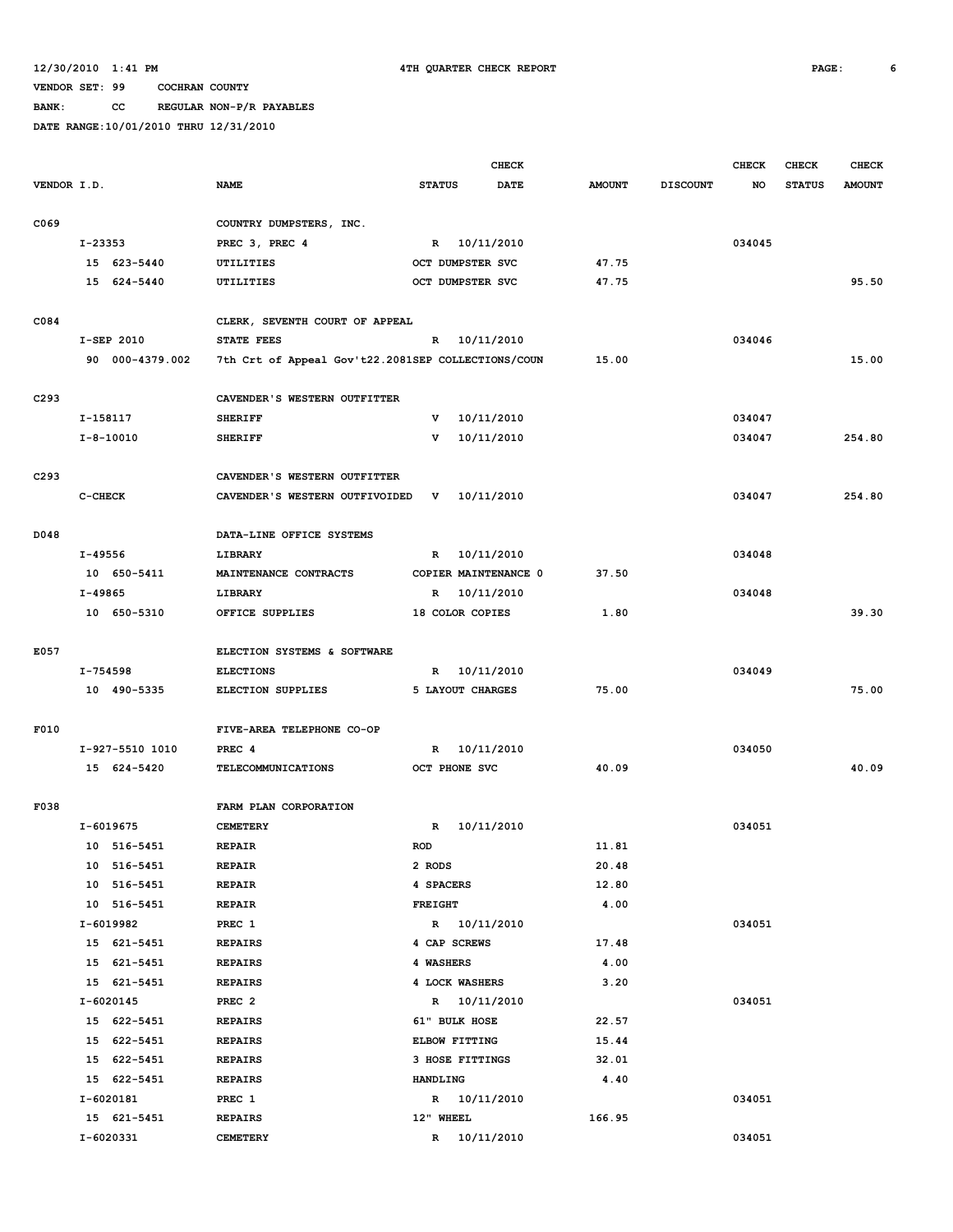**BANK: CC REGULAR NON-P/R PAYABLES**

|             |                 |                                                    |                | <b>CHECK</b>         |               |                 | <b>CHECK</b> | <b>CHECK</b>  | <b>CHECK</b>  |
|-------------|-----------------|----------------------------------------------------|----------------|----------------------|---------------|-----------------|--------------|---------------|---------------|
| VENDOR I.D. |                 | <b>NAME</b>                                        | <b>STATUS</b>  | <b>DATE</b>          | <b>AMOUNT</b> | <b>DISCOUNT</b> | <b>NO</b>    | <b>STATUS</b> | <b>AMOUNT</b> |
| C069        |                 | COUNTRY DUMPSTERS, INC.                            |                |                      |               |                 |              |               |               |
|             | $I - 23353$     | PREC 3, PREC 4                                     |                | R 10/11/2010         |               |                 | 034045       |               |               |
|             | 15 623-5440     | UTILITIES                                          |                | OCT DUMPSTER SVC     | 47.75         |                 |              |               |               |
|             | 15 624-5440     | UTILITIES                                          |                | OCT DUMPSTER SVC     | 47.75         |                 |              |               | 95.50         |
|             |                 |                                                    |                |                      |               |                 |              |               |               |
| C084        |                 | CLERK, SEVENTH COURT OF APPEAL                     |                |                      |               |                 |              |               |               |
|             | I-SEP 2010      | <b>STATE FEES</b>                                  |                | R 10/11/2010         |               |                 | 034046       |               |               |
|             | 90 000-4379.002 | 7th Crt of Appeal Gov't22.2081SEP COLLECTIONS/COUN |                |                      | 15.00         |                 |              |               | 15.00         |
| C293        |                 | CAVENDER'S WESTERN OUTFITTER                       |                |                      |               |                 |              |               |               |
|             | I-158117        | <b>SHERIFF</b>                                     | v              | 10/11/2010           |               |                 | 034047       |               |               |
|             | $I - 8 - 10010$ | <b>SHERIFF</b>                                     | $\mathbf v$    | 10/11/2010           |               |                 | 034047       |               | 254.80        |
|             |                 |                                                    |                |                      |               |                 |              |               |               |
| C293        |                 | CAVENDER'S WESTERN OUTFITTER                       |                |                      |               |                 |              |               |               |
|             | C-CHECK         | CAVENDER'S WESTERN OUTFIVOIDED                     | v              | 10/11/2010           |               |                 | 034047       |               | 254.80        |
|             |                 |                                                    |                |                      |               |                 |              |               |               |
| D048        |                 | DATA-LINE OFFICE SYSTEMS                           |                |                      |               |                 |              |               |               |
|             | I-49556         | LIBRARY                                            | $\mathbf{R}$   | 10/11/2010           |               |                 | 034048       |               |               |
|             | 10 650-5411     | MAINTENANCE CONTRACTS                              |                | COPIER MAINTENANCE 0 | 37.50         |                 |              |               |               |
|             | I-49865         | LIBRARY                                            |                | R 10/11/2010         |               |                 | 034048       |               |               |
|             | 10 650-5310     | OFFICE SUPPLIES                                    |                | 18 COLOR COPIES      | 1.80          |                 |              |               | 39.30         |
|             |                 |                                                    |                |                      |               |                 |              |               |               |
| E057        |                 | ELECTION SYSTEMS & SOFTWARE                        |                |                      |               |                 |              |               |               |
|             | I-754598        | <b>ELECTIONS</b>                                   | R              | 10/11/2010           |               |                 | 034049       |               |               |
|             | 10 490-5335     | ELECTION SUPPLIES                                  |                | 5 LAYOUT CHARGES     | 75.00         |                 |              |               | 75.00         |
| F010        |                 | FIVE-AREA TELEPHONE CO-OP                          |                |                      |               |                 |              |               |               |
|             | I-927-5510 1010 | PREC 4                                             | R              | 10/11/2010           |               |                 | 034050       |               |               |
|             | 15 624-5420     | <b>TELECOMMUNICATIONS</b>                          |                | OCT PHONE SVC        | 40.09         |                 |              |               | 40.09         |
|             |                 |                                                    |                |                      |               |                 |              |               |               |
| F038        |                 | FARM PLAN CORPORATION                              |                |                      |               |                 |              |               |               |
|             | I-6019675       | <b>CEMETERY</b>                                    | $\mathbb{R}$   | 10/11/2010           |               |                 | 034051       |               |               |
|             | 10 516-5451     | <b>REPAIR</b>                                      | <b>ROD</b>     |                      | 11.81         |                 |              |               |               |
|             | 10 516-5451     | REPAIR                                             | 2 RODS         |                      | 20.48         |                 |              |               |               |
|             | 10 516-5451     | <b>REPAIR</b>                                      | 4 SPACERS      |                      | 12.80         |                 |              |               |               |
|             | 10 516-5451     | <b>REPAIR</b>                                      | <b>FREIGHT</b> |                      | 4.00          |                 |              |               |               |
|             | I-6019982       | PREC 1                                             |                | R 10/11/2010         |               |                 | 034051       |               |               |
|             | 15 621-5451     | <b>REPAIRS</b>                                     |                | 4 CAP SCREWS         | 17.48         |                 |              |               |               |
|             | 15 621-5451     | <b>REPAIRS</b>                                     | 4 WASHERS      |                      | 4.00          |                 |              |               |               |
|             | 15 621-5451     | <b>REPAIRS</b>                                     |                | 4 LOCK WASHERS       | 3.20          |                 |              |               |               |
|             | $I - 6020145$   | PREC <sub>2</sub>                                  |                | R 10/11/2010         |               |                 | 034051       |               |               |
|             | 15 622-5451     | <b>REPAIRS</b>                                     |                | 61" BULK HOSE        | 22.57         |                 |              |               |               |
|             | 15 622-5451     | <b>REPAIRS</b>                                     |                | ELBOW FITTING        | 15.44         |                 |              |               |               |
|             | 15 622-5451     | <b>REPAIRS</b>                                     |                | 3 HOSE FITTINGS      | 32.01         |                 |              |               |               |
|             | 15 622-5451     | <b>REPAIRS</b>                                     | HANDLING       |                      | 4.40          |                 |              |               |               |
|             | I-6020181       | PREC 1                                             |                | R 10/11/2010         |               |                 | 034051       |               |               |
|             | 15 621-5451     | <b>REPAIRS</b>                                     | 12" WHEEL      |                      | 166.95        |                 |              |               |               |
|             | I-6020331       | <b>CEMETERY</b>                                    |                | R 10/11/2010         |               |                 | 034051       |               |               |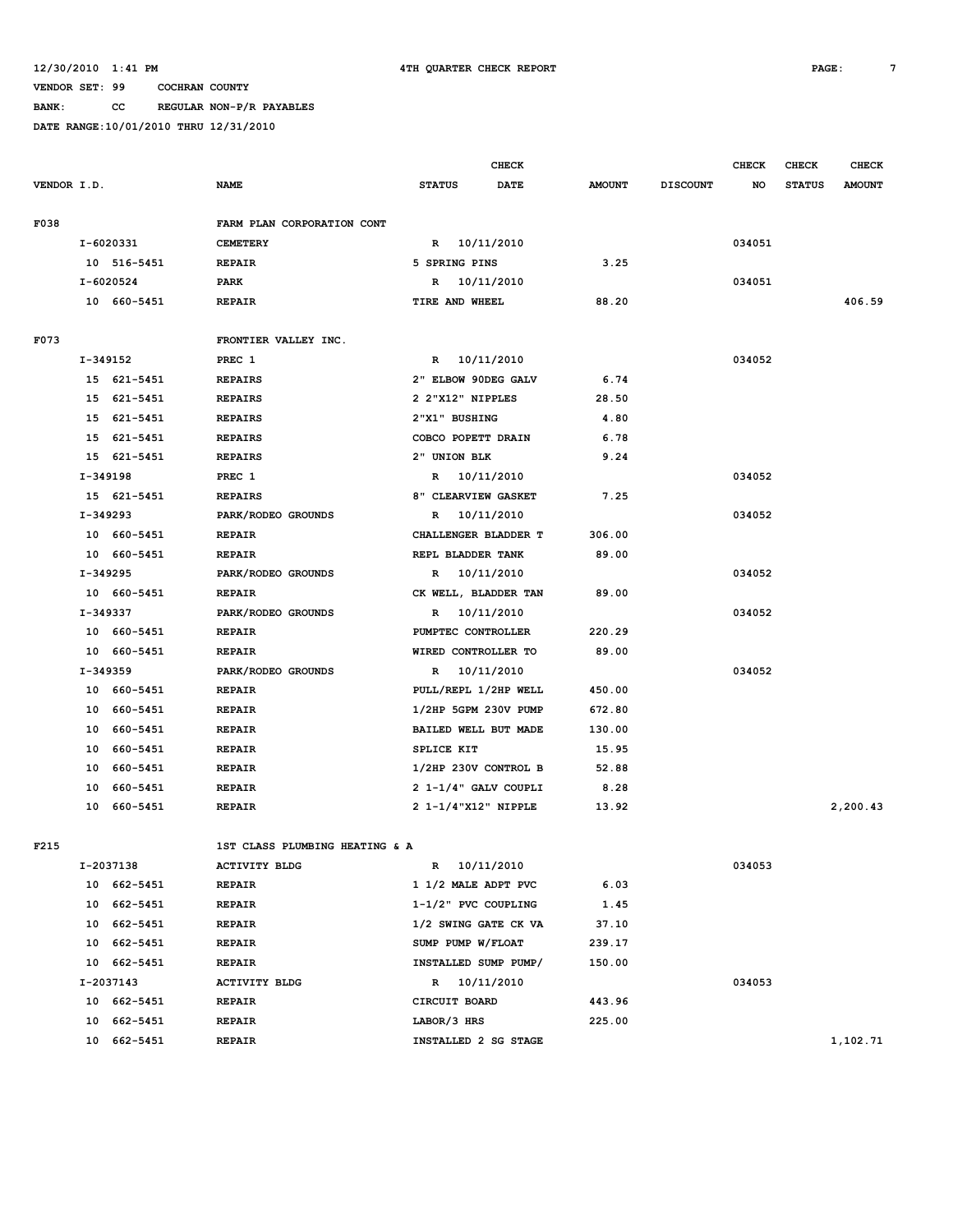**BANK: CC REGULAR NON-P/R PAYABLES**

|             |          |                            |                                     |                                           | <b>CHECK</b> |                  |                 | <b>CHECK</b> | <b>CHECK</b>  | <b>CHECK</b>  |
|-------------|----------|----------------------------|-------------------------------------|-------------------------------------------|--------------|------------------|-----------------|--------------|---------------|---------------|
| VENDOR I.D. |          |                            | <b>NAME</b>                         | <b>STATUS</b>                             | <b>DATE</b>  | <b>AMOUNT</b>    | <b>DISCOUNT</b> | NO           | <b>STATUS</b> | <b>AMOUNT</b> |
|             |          |                            |                                     |                                           |              |                  |                 |              |               |               |
| F038        |          |                            | FARM PLAN CORPORATION CONT          |                                           |              |                  |                 |              |               |               |
|             |          | I-6020331                  | <b>CEMETERY</b>                     | R 10/11/2010                              |              |                  |                 | 034051       |               |               |
|             |          | 10 516-5451                | <b>REPAIR</b>                       | 5 SPRING PINS                             |              | 3.25             |                 |              |               |               |
|             |          | I-6020524                  | <b>PARK</b>                         | R 10/11/2010                              |              |                  |                 | 034051       |               |               |
|             |          | 10 660-5451                | <b>REPAIR</b>                       | TIRE AND WHEEL                            |              | 88.20            |                 |              |               | 406.59        |
|             |          |                            |                                     |                                           |              |                  |                 |              |               |               |
| F073        |          |                            | FRONTIER VALLEY INC.                |                                           |              |                  |                 |              |               |               |
|             | I-349152 |                            | PREC 1                              | R 10/11/2010                              |              |                  |                 | 034052       |               |               |
|             |          | 15 621-5451                | <b>REPAIRS</b>                      | 2" ELBOW 90DEG GALV                       |              | 6.74             |                 |              |               |               |
|             |          | 15 621-5451                | <b>REPAIRS</b>                      | 2 2"X12" NIPPLES                          |              | 28.50            |                 |              |               |               |
|             |          | 15 621-5451<br>15 621-5451 | <b>REPAIRS</b>                      | 2"X1" BUSHING<br>COBCO POPETT DRAIN       |              | 4.80<br>6.78     |                 |              |               |               |
|             |          |                            | <b>REPAIRS</b>                      | 2" UNION BLK                              |              | 9.24             |                 |              |               |               |
|             |          | 15 621-5451                | <b>REPAIRS</b>                      |                                           |              |                  |                 |              |               |               |
|             | I-349198 | 15 621-5451                | PREC 1                              | R 10/11/2010                              |              | 7.25             |                 | 034052       |               |               |
|             |          |                            | <b>REPAIRS</b>                      | 8" CLEARVIEW GASKET                       |              |                  |                 |              |               |               |
|             | I-349293 | 10 660-5451                | PARK/RODEO GROUNDS                  | R 10/11/2010<br>CHALLENGER BLADDER T      |              |                  |                 | 034052       |               |               |
|             |          | 10 660-5451                | <b>REPAIR</b><br><b>REPAIR</b>      | REPL BLADDER TANK                         |              | 306.00<br>89.00  |                 |              |               |               |
|             |          |                            |                                     |                                           |              |                  |                 | 034052       |               |               |
|             | I-349295 |                            | PARK/RODEO GROUNDS                  | R 10/11/2010                              |              | 89.00            |                 |              |               |               |
|             | I-349337 | 10 660-5451                | <b>REPAIR</b><br>PARK/RODEO GROUNDS | CK WELL, BLADDER TAN<br>R 10/11/2010      |              |                  |                 | 034052       |               |               |
|             |          |                            |                                     |                                           |              |                  |                 |              |               |               |
|             |          | 10 660-5451<br>10 660-5451 | <b>REPAIR</b>                       | PUMPTEC CONTROLLER<br>WIRED CONTROLLER TO |              | 220.29<br>89.00  |                 |              |               |               |
|             | I-349359 |                            | <b>REPAIR</b><br>PARK/RODEO GROUNDS | R 10/11/2010                              |              |                  |                 | 034052       |               |               |
|             |          | 10 660-5451                |                                     | PULL/REPL 1/2HP WELL                      |              | 450.00           |                 |              |               |               |
|             |          | 10 660-5451                | <b>REPAIR</b>                       | 1/2HP 5GPM 230V PUMP                      |              |                  |                 |              |               |               |
|             | 10       | 660-5451                   | <b>REPAIR</b><br><b>REPAIR</b>      | BAILED WELL BUT MADE                      |              | 672.80<br>130.00 |                 |              |               |               |
|             | 10       | 660-5451                   | <b>REPAIR</b>                       | SPLICE KIT                                |              | 15.95            |                 |              |               |               |
|             | 10       | 660-5451                   | <b>REPAIR</b>                       | 1/2HP 230V CONTROL B                      |              | 52.88            |                 |              |               |               |
|             | 10       | 660-5451                   | <b>REPAIR</b>                       | 2 1-1/4" GALV COUPLI                      |              | 8.28             |                 |              |               |               |
|             | 10       | 660-5451                   | <b>REPAIR</b>                       | 2 1-1/4"X12" NIPPLE                       |              | 13.92            |                 |              |               | 2,200.43      |
|             |          |                            |                                     |                                           |              |                  |                 |              |               |               |
| F215        |          |                            | 1ST CLASS PLUMBING HEATING & A      |                                           |              |                  |                 |              |               |               |
|             |          | I-2037138                  | <b>ACTIVITY BLDG</b>                | R 10/11/2010                              |              |                  |                 | 034053       |               |               |
|             |          | 10 662-5451                | <b>REPAIR</b>                       | 1 1/2 MALE ADPT PVC                       |              | 6.03             |                 |              |               |               |
|             |          | 10 662-5451                | <b>REPAIR</b>                       | 1-1/2" PVC COUPLING                       |              | 1.45             |                 |              |               |               |
|             |          | 10 662-5451                | <b>REPAIR</b>                       | 1/2 SWING GATE CK VA                      |              | 37.10            |                 |              |               |               |
|             |          | 10 662-5451                | <b>REPAIR</b>                       | SUMP PUMP W/FLOAT                         |              | 239.17           |                 |              |               |               |
|             |          | 10 662-5451                | <b>REPAIR</b>                       | INSTALLED SUMP PUMP/                      |              | 150.00           |                 |              |               |               |
|             |          | I-2037143                  | <b>ACTIVITY BLDG</b>                | R 10/11/2010                              |              |                  |                 | 034053       |               |               |
|             |          | 10 662-5451                | <b>REPAIR</b>                       | CIRCUIT BOARD                             |              | 443.96           |                 |              |               |               |
|             |          | 10 662-5451                | <b>REPAIR</b>                       | LABOR/3 HRS                               |              | 225.00           |                 |              |               |               |
|             |          | 10 662-5451                | <b>REPAIR</b>                       | INSTALLED 2 SG STAGE                      |              |                  |                 |              |               | 1,102.71      |
|             |          |                            |                                     |                                           |              |                  |                 |              |               |               |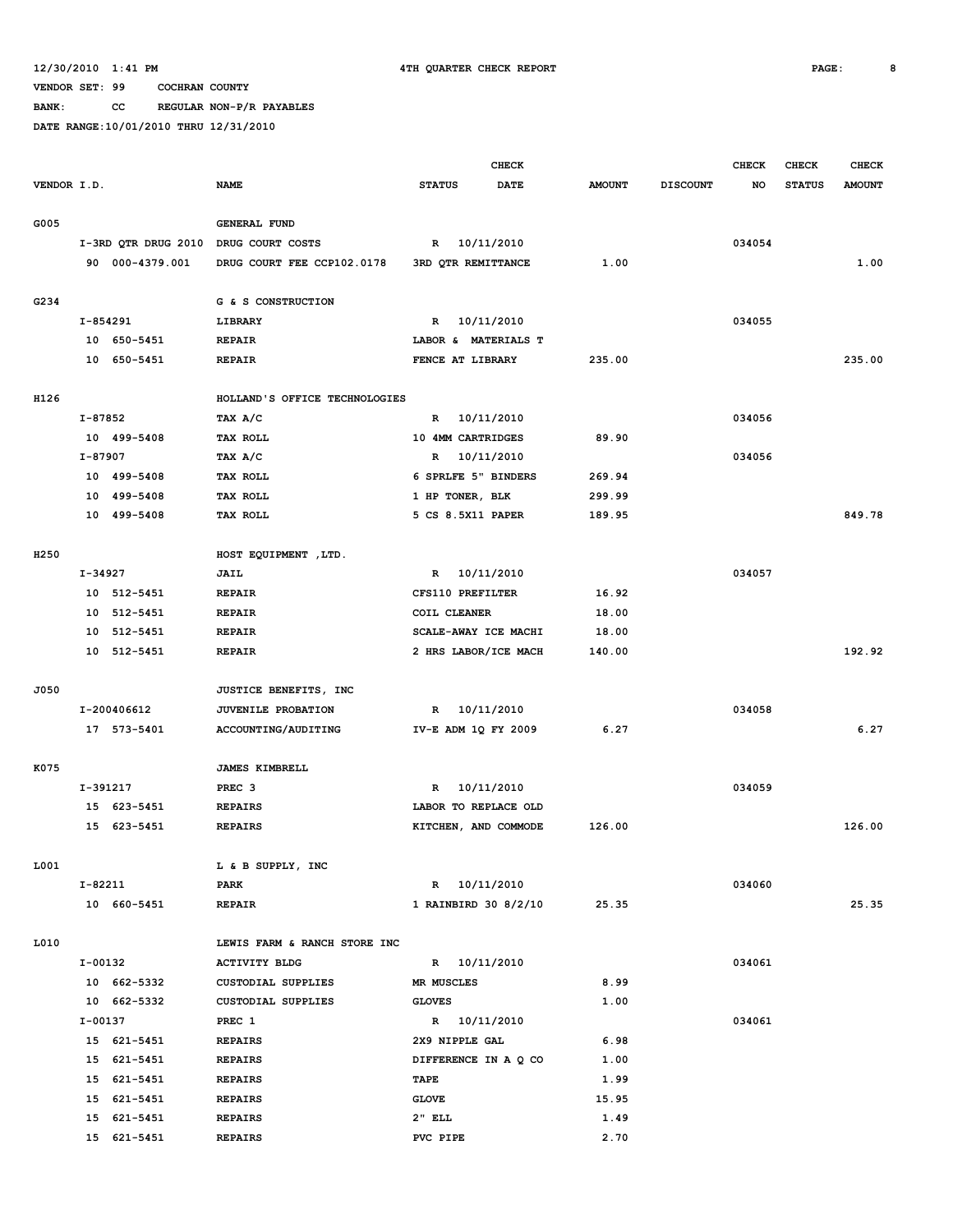**BANK: CC REGULAR NON-P/R PAYABLES**

|                  |          |                     |                               |                      | <b>CHECK</b> |               |                 | CHECK  | <b>CHECK</b>  | <b>CHECK</b>  |
|------------------|----------|---------------------|-------------------------------|----------------------|--------------|---------------|-----------------|--------|---------------|---------------|
| VENDOR I.D.      |          |                     | <b>NAME</b>                   | <b>STATUS</b>        | DATE         | <b>AMOUNT</b> | <b>DISCOUNT</b> | NO     | <b>STATUS</b> | <b>AMOUNT</b> |
|                  |          |                     |                               |                      |              |               |                 |        |               |               |
| G005             |          |                     | <b>GENERAL FUND</b>           |                      |              |               |                 |        |               |               |
|                  |          | I-3RD QTR DRUG 2010 | DRUG COURT COSTS              | R 10/11/2010         |              |               |                 | 034054 |               |               |
|                  |          | 90 000-4379.001     | DRUG COURT FEE CCP102.0178    | 3RD QTR REMITTANCE   |              | 1.00          |                 |        |               | 1.00          |
|                  |          |                     |                               |                      |              |               |                 |        |               |               |
| G234             |          |                     | G & S CONSTRUCTION            |                      |              |               |                 |        |               |               |
|                  | I-854291 |                     | LIBRARY                       | R 10/11/2010         |              |               |                 | 034055 |               |               |
|                  |          | 10 650-5451         | <b>REPAIR</b>                 | LABOR & MATERIALS T  |              |               |                 |        |               |               |
|                  |          | 10 650-5451         | <b>REPAIR</b>                 | FENCE AT LIBRARY     |              | 235.00        |                 |        |               | 235.00        |
|                  |          |                     |                               |                      |              |               |                 |        |               |               |
| H126             |          |                     | HOLLAND'S OFFICE TECHNOLOGIES |                      |              |               |                 |        |               |               |
|                  | I-87852  |                     | TAX A/C                       | R 10/11/2010         |              |               |                 | 034056 |               |               |
|                  |          | 10 499-5408         | TAX ROLL                      | 10 4MM CARTRIDGES    |              | 89.90         |                 |        |               |               |
|                  | I-87907  |                     | TAX A/C                       | R 10/11/2010         |              |               |                 | 034056 |               |               |
|                  |          | 10 499-5408         | <b>TAX ROLL</b>               | 6 SPRLFE 5" BINDERS  |              | 269.94        |                 |        |               |               |
|                  |          |                     |                               |                      |              |               |                 |        |               |               |
|                  |          | 10 499-5408         | TAX ROLL                      | 1 HP TONER, BLK      |              | 299.99        |                 |        |               |               |
|                  |          | 10 499-5408         | TAX ROLL                      | 5 CS 8.5X11 PAPER    |              | 189.95        |                 |        |               | 849.78        |
|                  |          |                     |                               |                      |              |               |                 |        |               |               |
| H <sub>250</sub> |          |                     | HOST EQUIPMENT, LTD.          |                      |              |               |                 |        |               |               |
|                  | I-34927  |                     | JAIL                          | 10/11/2010<br>R      |              |               |                 | 034057 |               |               |
|                  |          | 10 512-5451         | <b>REPAIR</b>                 | CFS110 PREFILTER     |              | 16.92         |                 |        |               |               |
|                  |          | 10 512-5451         | <b>REPAIR</b>                 | COIL CLEANER         |              | 18.00         |                 |        |               |               |
|                  |          | 10 512-5451         | <b>REPAIR</b>                 | SCALE-AWAY ICE MACHI |              | 18.00         |                 |        |               |               |
|                  |          | 10 512-5451         | <b>REPAIR</b>                 | 2 HRS LABOR/ICE MACH |              | 140.00        |                 |        |               | 192.92        |
|                  |          |                     |                               |                      |              |               |                 |        |               |               |
| J050             |          |                     | JUSTICE BENEFITS, INC         |                      |              |               |                 |        |               |               |
|                  |          | I-200406612         | <b>JUVENILE PROBATION</b>     | R 10/11/2010         |              |               |                 | 034058 |               |               |
|                  |          | 17 573-5401         | ACCOUNTING/AUDITING           | IV-E ADM 1Q FY 2009  |              | 6.27          |                 |        |               | 6.27          |
|                  |          |                     |                               |                      |              |               |                 |        |               |               |
| K075             |          |                     | <b>JAMES KIMBRELL</b>         |                      |              |               |                 |        |               |               |
|                  | I-391217 |                     | PREC <sub>3</sub>             | R 10/11/2010         |              |               |                 | 034059 |               |               |
|                  |          | 15 623-5451         | <b>REPAIRS</b>                | LABOR TO REPLACE OLD |              |               |                 |        |               |               |
|                  |          | 15 623-5451         | <b>REPAIRS</b>                | KITCHEN, AND COMMODE |              | 126.00        |                 |        |               | 126.00        |
|                  |          |                     |                               |                      |              |               |                 |        |               |               |
| 1001             |          |                     | L & B SUPPLY, INC             |                      |              |               |                 |        |               |               |
|                  | I-82211  |                     | PARK                          | R 10/11/2010         |              |               |                 | 034060 |               |               |
|                  |          | 10 660-5451         | <b>REPAIR</b>                 | 1 RAINBIRD 30 8/2/10 |              | 25.35         |                 |        |               | 25.35         |
|                  |          |                     |                               |                      |              |               |                 |        |               |               |
| L010             |          |                     | LEWIS FARM & RANCH STORE INC  |                      |              |               |                 |        |               |               |
|                  | I-00132  |                     | <b>ACTIVITY BLDG</b>          | R 10/11/2010         |              |               |                 | 034061 |               |               |
|                  |          | 10 662-5332         | CUSTODIAL SUPPLIES            | MR MUSCLES           |              | 8.99          |                 |        |               |               |
|                  |          | 10 662-5332         | CUSTODIAL SUPPLIES            | <b>GLOVES</b>        |              | 1.00          |                 |        |               |               |
|                  | I-00137  |                     | PREC 1                        | R 10/11/2010         |              |               |                 | 034061 |               |               |
|                  |          | 15 621-5451         | <b>REPAIRS</b>                | 2X9 NIPPLE GAL       |              | 6.98          |                 |        |               |               |
|                  |          | 15 621-5451         | <b>REPAIRS</b>                | DIFFERENCE IN A Q CO |              | 1.00          |                 |        |               |               |
|                  |          | 15 621-5451         | <b>REPAIRS</b>                | TAPE                 |              | 1.99          |                 |        |               |               |
|                  |          | 15 621-5451         | <b>REPAIRS</b>                | <b>GLOVE</b>         |              | 15.95         |                 |        |               |               |
|                  |          | 15 621-5451         | <b>REPAIRS</b>                | $2"$ ELL             |              | 1.49          |                 |        |               |               |
|                  |          | 15 621-5451         | <b>REPAIRS</b>                | PVC PIPE             |              | 2.70          |                 |        |               |               |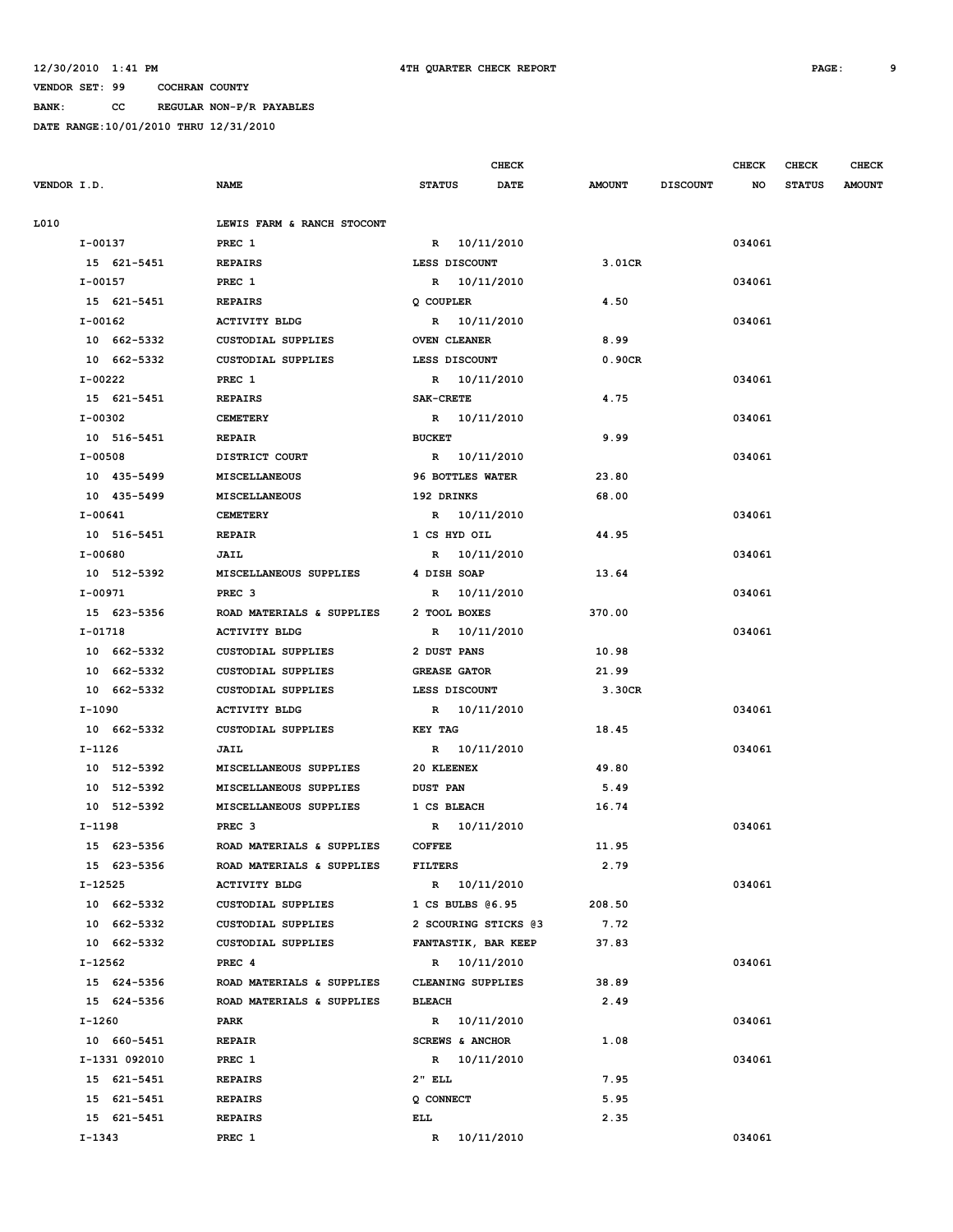**BANK: CC REGULAR NON-P/R PAYABLES**

|             |               |                            |                              | <b>CHECK</b> |               |                 | <b>CHECK</b> | CHECK         | <b>CHECK</b>  |
|-------------|---------------|----------------------------|------------------------------|--------------|---------------|-----------------|--------------|---------------|---------------|
| VENDOR I.D. |               | <b>NAME</b>                | <b>STATUS</b>                | <b>DATE</b>  | <b>AMOUNT</b> | <b>DISCOUNT</b> | NO           | <b>STATUS</b> | <b>AMOUNT</b> |
| L010        |               | LEWIS FARM & RANCH STOCONT |                              |              |               |                 |              |               |               |
| I-00137     |               | PREC 1                     | R 10/11/2010                 |              |               |                 | 034061       |               |               |
|             | 15 621-5451   | <b>REPAIRS</b>             | LESS DISCOUNT                |              | 3.01CR        |                 |              |               |               |
| I-00157     |               | PREC 1                     | R 10/11/2010                 |              |               |                 | 034061       |               |               |
|             | 15 621-5451   | <b>REPAIRS</b>             | Q COUPLER                    |              | 4.50          |                 |              |               |               |
| I-00162     |               | <b>ACTIVITY BLDG</b>       | R 10/11/2010                 |              |               |                 | 034061       |               |               |
|             | 10 662-5332   | <b>CUSTODIAL SUPPLIES</b>  | <b>OVEN CLEANER</b>          |              | 8.99          |                 |              |               |               |
|             | 10 662-5332   | <b>CUSTODIAL SUPPLIES</b>  | LESS DISCOUNT                |              | 0.90CR        |                 |              |               |               |
| I-00222     |               | PREC 1                     | R 10/11/2010                 |              |               |                 | 034061       |               |               |
|             | 15 621-5451   | <b>REPAIRS</b>             | <b>SAK-CRETE</b>             |              | 4.75          |                 |              |               |               |
| I-00302     |               | <b>CEMETERY</b>            | R 10/11/2010                 |              |               |                 | 034061       |               |               |
|             | 10 516-5451   | <b>REPAIR</b>              | <b>BUCKET</b>                |              | 9.99          |                 |              |               |               |
| I-00508     |               | DISTRICT COURT             | R 10/11/2010                 |              |               |                 | 034061       |               |               |
|             | 10 435-5499   | MISCELLANEOUS              | 96 BOTTLES WATER             |              | 23.80         |                 |              |               |               |
|             | 10 435-5499   | <b>MISCELLANEOUS</b>       | 192 DRINKS                   |              | 68.00         |                 |              |               |               |
| $I-00641$   |               | <b>CEMETERY</b>            |                              |              |               |                 | 034061       |               |               |
|             | 10 516-5451   | <b>REPAIR</b>              | R 10/11/2010<br>1 CS HYD OIL |              | 44.95         |                 |              |               |               |
| I-00680     |               |                            |                              |              |               |                 | 034061       |               |               |
|             |               | JAIL                       | R 10/11/2010                 |              |               |                 |              |               |               |
|             | 10 512-5392   | MISCELLANEOUS SUPPLIES     | 4 DISH SOAP                  |              | 13.64         |                 |              |               |               |
| I-00971     |               | PREC <sub>3</sub>          | R 10/11/2010                 |              |               |                 | 034061       |               |               |
|             | 15 623-5356   | ROAD MATERIALS & SUPPLIES  | 2 TOOL BOXES                 |              | 370.00        |                 |              |               |               |
| $I-01718$   |               | <b>ACTIVITY BLDG</b>       | R 10/11/2010                 |              |               |                 | 034061       |               |               |
|             | 10 662-5332   | CUSTODIAL SUPPLIES         | 2 DUST PANS                  |              | 10.98         |                 |              |               |               |
|             | 10 662-5332   | <b>CUSTODIAL SUPPLIES</b>  | <b>GREASE GATOR</b>          |              | 21.99         |                 |              |               |               |
|             | 10 662-5332   | <b>CUSTODIAL SUPPLIES</b>  | LESS DISCOUNT                |              | 3.30CR        |                 |              |               |               |
| I-1090      |               | <b>ACTIVITY BLDG</b>       | R 10/11/2010                 |              |               |                 | 034061       |               |               |
|             | 10 662-5332   | CUSTODIAL SUPPLIES         | <b>KEY TAG</b>               |              | 18.45         |                 |              |               |               |
| I-1126      |               | JAIL                       | R 10/11/2010                 |              |               |                 | 034061       |               |               |
|             | 10 512-5392   | MISCELLANEOUS SUPPLIES     | 20 KLEENEX                   |              | 49.80         |                 |              |               |               |
|             | 10 512-5392   | MISCELLANEOUS SUPPLIES     | <b>DUST PAN</b>              |              | 5.49          |                 |              |               |               |
|             | 10 512-5392   | MISCELLANEOUS SUPPLIES     | 1 CS BLEACH                  |              | 16.74         |                 |              |               |               |
| I-1198      |               | PREC <sub>3</sub>          | R 10/11/2010                 |              |               |                 | 034061       |               |               |
|             | 15 623-5356   | ROAD MATERIALS & SUPPLIES  | <b>COFFEE</b>                |              | 11.95         |                 |              |               |               |
|             | 15 623-5356   | ROAD MATERIALS & SUPPLIES  | <b>FILTERS</b>               |              | 2.79          |                 |              |               |               |
| I-12525     |               | <b>ACTIVITY BLDG</b>       | R 10/11/2010                 |              |               |                 | 034061       |               |               |
|             | 10 662-5332   | CUSTODIAL SUPPLIES         | $1 \text{ CS BULBS } @6.95$  |              | 208.50        |                 |              |               |               |
|             | 10 662-5332   | CUSTODIAL SUPPLIES         | 2 SCOURING STICKS 03         |              | 7.72          |                 |              |               |               |
|             | 10 662-5332   | CUSTODIAL SUPPLIES         | FANTASTIK, BAR KEEP          |              | 37.83         |                 |              |               |               |
| $I-12562$   |               | PREC 4                     | R 10/11/2010                 |              |               |                 | 034061       |               |               |
|             | 15 624-5356   | ROAD MATERIALS & SUPPLIES  | CLEANING SUPPLIES            |              | 38.89         |                 |              |               |               |
|             | 15 624-5356   | ROAD MATERIALS & SUPPLIES  | <b>BLEACH</b>                |              | 2.49          |                 |              |               |               |
| I-1260      |               | PARK                       | R 10/11/2010                 |              |               |                 | 034061       |               |               |
|             | 10 660-5451   | <b>REPAIR</b>              | SCREWS & ANCHOR              |              | 1.08          |                 |              |               |               |
|             | I-1331 092010 | PREC 1                     | R 10/11/2010                 |              |               |                 | 034061       |               |               |
|             | 15 621-5451   | <b>REPAIRS</b>             | $2"$ ELL                     |              | 7.95          |                 |              |               |               |
|             | 15 621-5451   | <b>REPAIRS</b>             | Q CONNECT                    |              | 5.95          |                 |              |               |               |
|             | 15 621-5451   | <b>REPAIRS</b>             | ELL                          |              | 2.35          |                 |              |               |               |
| I-1343      |               | PREC 1                     | R 10/11/2010                 |              |               |                 | 034061       |               |               |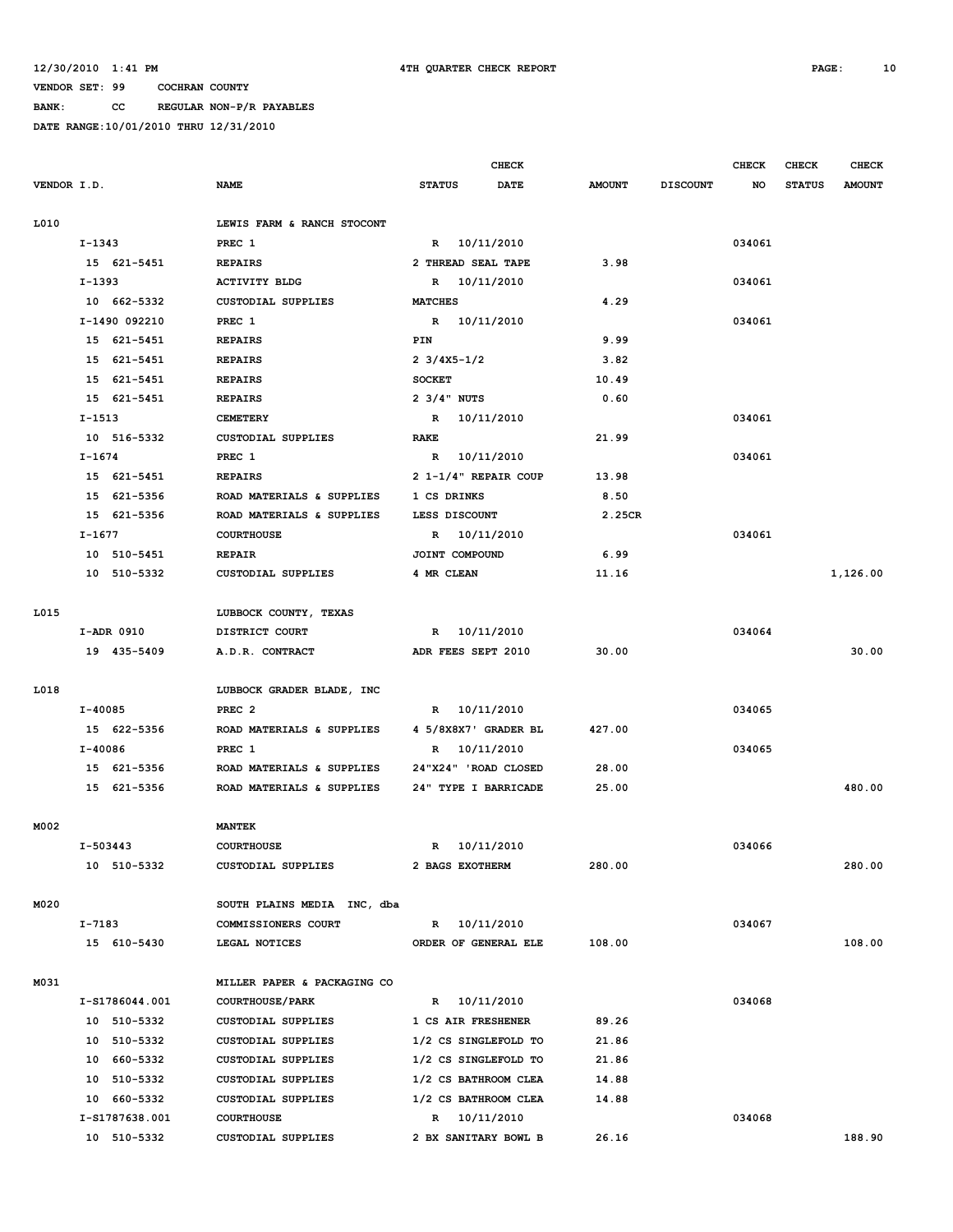**BANK: CC REGULAR NON-P/R PAYABLES**

|             |               |                |                             |                                        | <b>CHECK</b>         |               |                 | <b>CHECK</b> | CHECK         | <b>CHECK</b>  |
|-------------|---------------|----------------|-----------------------------|----------------------------------------|----------------------|---------------|-----------------|--------------|---------------|---------------|
| VENDOR I.D. |               |                | <b>NAME</b>                 | <b>STATUS</b>                          | <b>DATE</b>          | <b>AMOUNT</b> | <b>DISCOUNT</b> | NO           | <b>STATUS</b> | <b>AMOUNT</b> |
|             |               |                |                             |                                        |                      |               |                 |              |               |               |
| L010        |               |                | LEWIS FARM & RANCH STOCONT  |                                        |                      |               |                 |              |               |               |
|             | $I-1343$      |                | PREC 1                      |                                        | R 10/11/2010         |               |                 | 034061       |               |               |
|             |               | 15 621-5451    | <b>REPAIRS</b>              | 2 THREAD SEAL TAPE                     |                      | 3.98          |                 |              |               |               |
|             | I-1393        |                | <b>ACTIVITY BLDG</b>        |                                        | R 10/11/2010         |               |                 | 034061       |               |               |
|             |               | 10 662-5332    | <b>CUSTODIAL SUPPLIES</b>   | <b>MATCHES</b>                         |                      | 4.29          |                 |              |               |               |
|             | I-1490 092210 |                | PREC 1                      |                                        | R 10/11/2010         |               |                 | 034061       |               |               |
|             |               | 15 621-5451    | <b>REPAIRS</b>              | PIN                                    |                      | 9.99          |                 |              |               |               |
|             |               | 15 621-5451    | <b>REPAIRS</b>              | $2 \frac{3}{4} \times 5 - \frac{1}{2}$ |                      | 3.82          |                 |              |               |               |
|             |               | 15 621-5451    | <b>REPAIRS</b>              | <b>SOCKET</b>                          |                      | 10.49         |                 |              |               |               |
|             |               | 15 621-5451    | <b>REPAIRS</b>              | $2 \frac{3}{4}$ NUTS                   |                      | 0.60          |                 |              |               |               |
|             | I-1513        |                | <b>CEMETERY</b>             |                                        | R 10/11/2010         |               |                 | 034061       |               |               |
|             |               | 10 516-5332    | <b>CUSTODIAL SUPPLIES</b>   | RAKE                                   |                      | 21.99         |                 |              |               |               |
|             | I-1674        |                | PREC 1                      |                                        | R 10/11/2010         |               |                 | 034061       |               |               |
|             |               | 15 621-5451    | <b>REPAIRS</b>              |                                        | 2 1-1/4" REPAIR COUP | 13.98         |                 |              |               |               |
|             |               | 15 621-5356    | ROAD MATERIALS & SUPPLIES   | 1 CS DRINKS                            |                      | 8.50          |                 |              |               |               |
|             |               | 15 621-5356    | ROAD MATERIALS & SUPPLIES   | LESS DISCOUNT                          |                      | 2.25CR        |                 |              |               |               |
|             | I-1677        |                | <b>COURTHOUSE</b>           |                                        | R 10/11/2010         |               |                 | 034061       |               |               |
|             |               | 10 510-5451    | <b>REPAIR</b>               | JOINT COMPOUND                         |                      | 6.99          |                 |              |               |               |
|             |               | 10 510-5332    | CUSTODIAL SUPPLIES          | 4 MR CLEAN                             |                      | 11.16         |                 |              |               | 1,126.00      |
|             |               |                |                             |                                        |                      |               |                 |              |               |               |
| L015        |               |                | LUBBOCK COUNTY, TEXAS       |                                        |                      |               |                 |              |               |               |
|             | I-ADR 0910    |                | DISTRICT COURT              |                                        | R 10/11/2010         |               |                 | 034064       |               |               |
|             |               | 19 435-5409    | A.D.R. CONTRACT             | ADR FEES SEPT 2010                     |                      | 30.00         |                 |              |               | 30.00         |
|             |               |                |                             |                                        |                      |               |                 |              |               |               |
| L018        |               |                | LUBBOCK GRADER BLADE, INC   |                                        |                      |               |                 |              |               |               |
|             | I-40085       |                | PREC <sub>2</sub>           |                                        | R 10/11/2010         |               |                 | 034065       |               |               |
|             |               | 15 622-5356    | ROAD MATERIALS & SUPPLIES   |                                        | 4 5/8X8X7' GRADER BL | 427.00        |                 |              |               |               |
|             | I-40086       |                | PREC 1                      |                                        | R 10/11/2010         |               |                 | 034065       |               |               |
|             |               | 15 621-5356    | ROAD MATERIALS & SUPPLIES   |                                        | 24"X24" 'ROAD CLOSED | 28.00         |                 |              |               |               |
|             |               | 15 621-5356    | ROAD MATERIALS & SUPPLIES   |                                        | 24" TYPE I BARRICADE | 25.00         |                 |              |               | 480.00        |
|             |               |                |                             |                                        |                      |               |                 |              |               |               |
| M002        |               |                | <b>MANTEK</b>               |                                        |                      |               |                 |              |               |               |
|             | $I-503443$    |                | <b>COURTHOUSE</b>           |                                        | R 10/11/2010         |               |                 | 034066       |               |               |
|             |               | 10 510-5332    | CUSTODIAL SUPPLIES          | 2 BAGS EXOTHERM                        |                      | 280.00        |                 |              |               | 280.00        |
|             |               |                |                             |                                        |                      |               |                 |              |               |               |
| M020        |               |                | SOUTH PLAINS MEDIA INC, dba |                                        |                      |               |                 |              |               |               |
|             | I-7183        |                | COMMISSIONERS COURT         |                                        | R 10/11/2010         |               |                 | 034067       |               |               |
|             |               | 15 610-5430    | LEGAL NOTICES               |                                        | ORDER OF GENERAL ELE | 108.00        |                 |              |               | 108.00        |
|             |               |                |                             |                                        |                      |               |                 |              |               |               |
| M031        |               |                | MILLER PAPER & PACKAGING CO |                                        |                      |               |                 |              |               |               |
|             |               | I-S1786044.001 | <b>COURTHOUSE/PARK</b>      |                                        | R 10/11/2010         |               |                 | 034068       |               |               |
|             |               | 10 510-5332    | CUSTODIAL SUPPLIES          | 1 CS AIR FRESHENER                     |                      | 89.26         |                 |              |               |               |
|             |               | 10 510-5332    | CUSTODIAL SUPPLIES          |                                        | 1/2 CS SINGLEFOLD TO | 21.86         |                 |              |               |               |
|             |               | 10 660-5332    | CUSTODIAL SUPPLIES          |                                        | 1/2 CS SINGLEFOLD TO | 21.86         |                 |              |               |               |
|             |               | 10 510-5332    | CUSTODIAL SUPPLIES          |                                        | 1/2 CS BATHROOM CLEA | 14.88         |                 |              |               |               |
|             |               | 10 660-5332    | CUSTODIAL SUPPLIES          |                                        | 1/2 CS BATHROOM CLEA | 14.88         |                 |              |               |               |
|             |               | I-S1787638.001 | <b>COURTHOUSE</b>           |                                        | R 10/11/2010         |               |                 | 034068       |               |               |
|             |               | 10 510-5332    | CUSTODIAL SUPPLIES          |                                        | 2 BX SANITARY BOWL B | 26.16         |                 |              |               | 188.90        |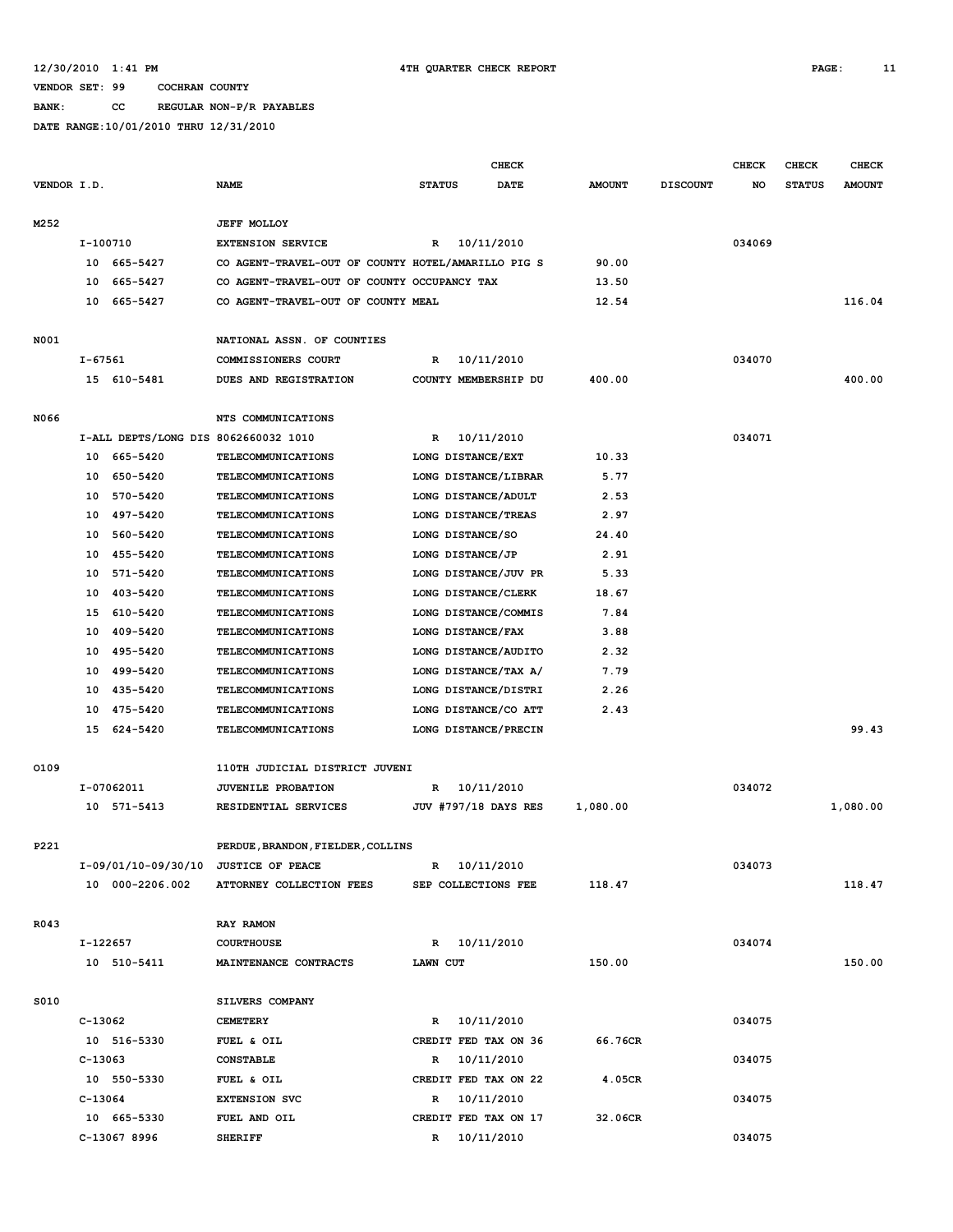**BANK: CC REGULAR NON-P/R PAYABLES**

|             |          |                                      |                                                    |               | <b>CHECK</b>                         |               |                 | <b>CHECK</b> | <b>CHECK</b>  | <b>CHECK</b>  |
|-------------|----------|--------------------------------------|----------------------------------------------------|---------------|--------------------------------------|---------------|-----------------|--------------|---------------|---------------|
| VENDOR I.D. |          |                                      | <b>NAME</b>                                        | <b>STATUS</b> | <b>DATE</b>                          | <b>AMOUNT</b> | <b>DISCOUNT</b> | NO           | <b>STATUS</b> | <b>AMOUNT</b> |
|             |          |                                      |                                                    |               |                                      |               |                 |              |               |               |
| M252        |          |                                      | <b>JEFF MOLLOY</b>                                 |               |                                      |               |                 |              |               |               |
|             | I-100710 |                                      | <b>EXTENSION SERVICE</b>                           | R             | 10/11/2010                           |               |                 | 034069       |               |               |
|             |          | 10 665-5427                          | CO AGENT-TRAVEL-OUT OF COUNTY HOTEL/AMARILLO PIG S |               |                                      | 90.00         |                 |              |               |               |
|             | 10       | 665-5427                             | CO AGENT-TRAVEL-OUT OF COUNTY OCCUPANCY TAX        |               |                                      | 13.50         |                 |              |               |               |
|             | 10       | 665-5427                             | CO AGENT-TRAVEL-OUT OF COUNTY MEAL                 |               |                                      | 12.54         |                 |              |               | 116.04        |
|             |          |                                      |                                                    |               |                                      |               |                 |              |               |               |
| N001        |          |                                      | NATIONAL ASSN. OF COUNTIES                         |               |                                      |               |                 |              |               |               |
|             | I-67561  |                                      | COMMISSIONERS COURT                                | R             | 10/11/2010                           |               |                 | 034070       |               |               |
|             |          | 15 610-5481                          | DUES AND REGISTRATION                              |               | COUNTY MEMBERSHIP DU                 | 400.00        |                 |              |               | 400.00        |
|             |          |                                      |                                                    |               |                                      |               |                 |              |               |               |
| N066        |          |                                      | NTS COMMUNICATIONS                                 |               |                                      |               |                 |              |               |               |
|             |          | I-ALL DEPTS/LONG DIS 8062660032 1010 |                                                    | R             | 10/11/2010                           |               |                 | 034071       |               |               |
|             | 10       | 665-5420                             | TELECOMMUNICATIONS                                 |               | LONG DISTANCE/EXT                    | 10.33         |                 |              |               |               |
|             | 10       | 650-5420                             | TELECOMMUNICATIONS                                 |               | LONG DISTANCE/LIBRAR                 | 5.77          |                 |              |               |               |
|             | 10       | 570-5420<br>10 497-5420              | <b>TELECOMMUNICATIONS</b>                          |               | LONG DISTANCE/ADULT                  | 2.53          |                 |              |               |               |
|             | 10       | 560-5420                             | TELECOMMUNICATIONS                                 |               | LONG DISTANCE/TREAS                  | 2.97          |                 |              |               |               |
|             | 10       | 455-5420                             | TELECOMMUNICATIONS<br><b>TELECOMMUNICATIONS</b>    |               | LONG DISTANCE/SO<br>LONG DISTANCE/JP | 24.40<br>2.91 |                 |              |               |               |
|             | 10       | 571-5420                             | <b>TELECOMMUNICATIONS</b>                          |               | LONG DISTANCE/JUV PR                 | 5.33          |                 |              |               |               |
|             | 10       | 403-5420                             | <b>TELECOMMUNICATIONS</b>                          |               | LONG DISTANCE/CLERK                  | 18.67         |                 |              |               |               |
|             | 15       | 610-5420                             | <b>TELECOMMUNICATIONS</b>                          |               | LONG DISTANCE/COMMIS                 | 7.84          |                 |              |               |               |
|             | 10       | 409-5420                             | <b>TELECOMMUNICATIONS</b>                          |               | LONG DISTANCE/FAX                    | 3.88          |                 |              |               |               |
|             | 10       | 495-5420                             | <b>TELECOMMUNICATIONS</b>                          |               | LONG DISTANCE/AUDITO                 | 2.32          |                 |              |               |               |
|             | 10       | 499–5420                             | <b>TELECOMMUNICATIONS</b>                          |               | LONG DISTANCE/TAX A/                 | 7.79          |                 |              |               |               |
|             |          | 10 435-5420                          | TELECOMMUNICATIONS                                 |               | LONG DISTANCE/DISTRI                 | 2.26          |                 |              |               |               |
|             |          | 10 475-5420                          | <b>TELECOMMUNICATIONS</b>                          |               | LONG DISTANCE/CO ATT                 | 2.43          |                 |              |               |               |
|             | 15       | 624-5420                             | <b>TELECOMMUNICATIONS</b>                          |               | LONG DISTANCE/PRECIN                 |               |                 |              |               | 99.43         |
|             |          |                                      |                                                    |               |                                      |               |                 |              |               |               |
| 0109        |          |                                      | 110TH JUDICIAL DISTRICT JUVENI                     |               |                                      |               |                 |              |               |               |
|             |          | I-07062011                           | <b>JUVENILE PROBATION</b>                          | R             | 10/11/2010                           |               |                 | 034072       |               |               |
|             |          | 10 571-5413                          | RESIDENTIAL SERVICES                               |               | <b>JUV #797/18 DAYS RES</b>          | 1,080.00      |                 |              |               | 1,080.00      |
|             |          |                                      |                                                    |               |                                      |               |                 |              |               |               |
| P221        |          |                                      | PERDUE, BRANDON, FIELDER, COLLINS                  |               |                                      |               |                 |              |               |               |
|             |          |                                      | I-09/01/10-09/30/10 JUSTICE OF PEACE               |               | R 10/11/2010                         |               |                 | 034073       |               |               |
|             |          | 10 000-2206.002                      | ATTORNEY COLLECTION FEES                           |               | SEP COLLECTIONS FEE                  | 118.47        |                 |              |               | 118.47        |
|             |          |                                      |                                                    |               |                                      |               |                 |              |               |               |
| R043        |          |                                      | RAY RAMON                                          |               |                                      |               |                 |              |               |               |
|             | I-122657 |                                      | <b>COURTHOUSE</b>                                  |               | R 10/11/2010                         |               |                 | 034074       |               |               |
|             |          | 10 510-5411                          | MAINTENANCE CONTRACTS                              | LAWN CUT      |                                      | 150.00        |                 |              |               | 150.00        |
|             |          |                                      |                                                    |               |                                      |               |                 |              |               |               |
| S010        |          |                                      | SILVERS COMPANY                                    |               |                                      |               |                 |              |               |               |
|             | C-13062  |                                      | <b>CEMETERY</b>                                    |               | R 10/11/2010                         |               |                 | 034075       |               |               |
|             |          | 10 516-5330                          | FUEL & OIL                                         |               | CREDIT FED TAX ON 36                 | 66.76CR       |                 |              |               |               |
|             | C-13063  |                                      | <b>CONSTABLE</b>                                   |               | R 10/11/2010                         |               |                 | 034075       |               |               |
|             |          | 10 550-5330                          | FUEL & OIL                                         |               | CREDIT FED TAX ON 22                 | 4.05CR        |                 |              |               |               |
|             | C-13064  |                                      | <b>EXTENSION SVC</b>                               |               | R 10/11/2010                         |               |                 | 034075       |               |               |
|             |          | 10 665-5330                          | FUEL AND OIL                                       |               | CREDIT FED TAX ON 17                 | 32.06CR       |                 |              |               |               |
|             |          | C-13067 8996                         | <b>SHERIFF</b>                                     |               | R 10/11/2010                         |               |                 | 034075       |               |               |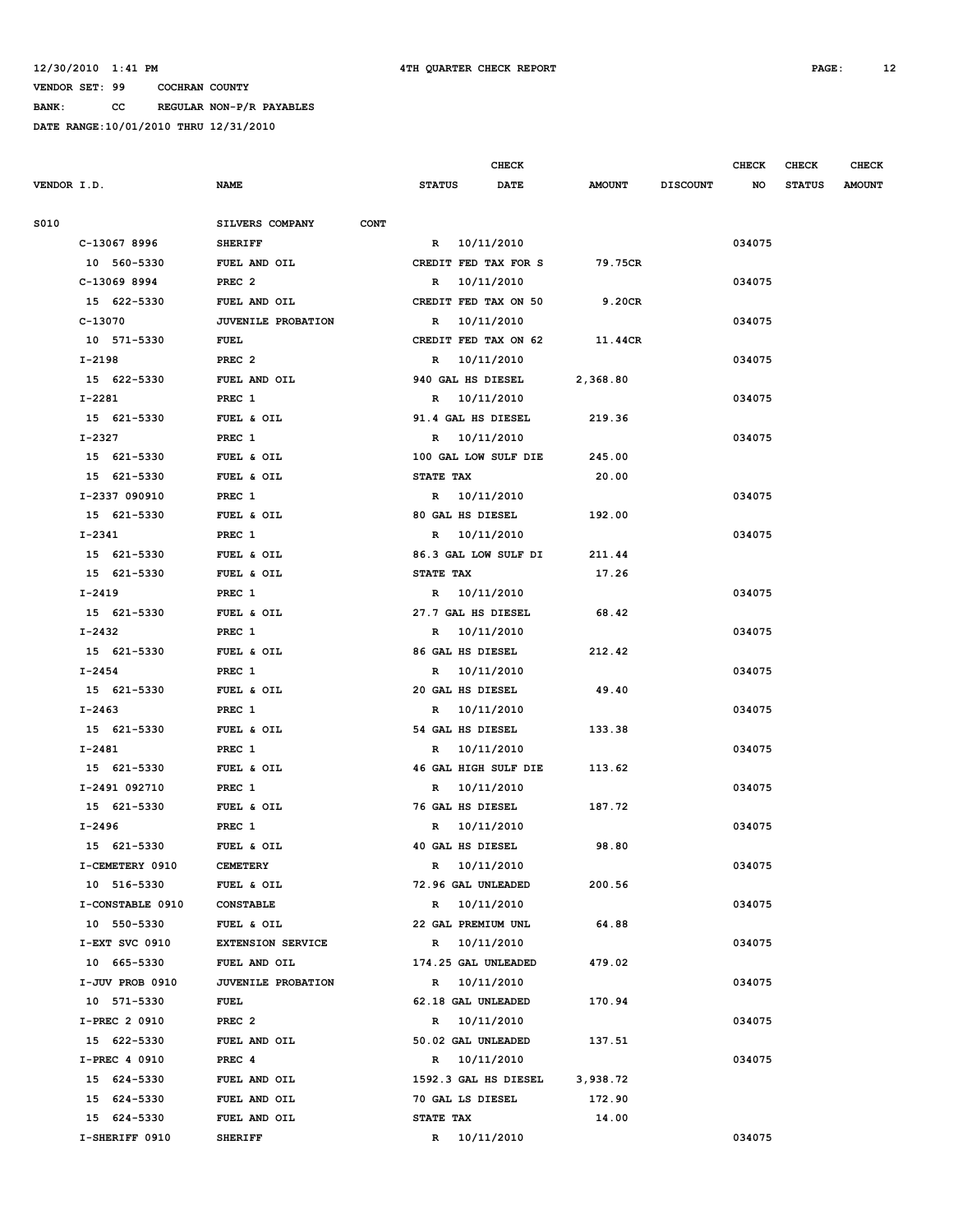**BANK: CC REGULAR NON-P/R PAYABLES**

| DATE RANGE:10/01/2010 THRU 12/31/2010 |                                |                              |                                  |                                              |
|---------------------------------------|--------------------------------|------------------------------|----------------------------------|----------------------------------------------|
|                                       |                                | <b>CHECK</b>                 |                                  | <b>CHECK</b><br><b>CHECK</b><br><b>CHECK</b> |
| <b>VENDOR I.D.</b>                    | <b>NAME</b>                    | <b>DATE</b><br><b>STATUS</b> | <b>AMOUNT</b><br><b>DISCOUNT</b> | <b>NO</b><br><b>STATUS</b><br><b>AMOUNT</b>  |
| S010                                  | SILVERS COMPANY<br><b>CONT</b> |                              |                                  |                                              |
| C-13067 8996                          | <b>SHERIFF</b>                 | R 10/11/2010                 |                                  | 034075                                       |
| 10 560-5330                           | FUEL AND OIL                   | CREDIT FED TAX FOR S         | 79.75CR                          |                                              |
| C-13069 8994                          | PREC <sub>2</sub>              | R 10/11/2010                 |                                  | 034075                                       |
| 15 622-5330                           | FUEL AND OIL                   | CREDIT FED TAX ON 50         | 9.20CR                           |                                              |
| C-13070                               | <b>JUVENILE PROBATION</b>      | R 10/11/2010                 |                                  | 034075                                       |
| 10 571-5330                           | FUEL                           | CREDIT FED TAX ON 62         | 11.44CR                          |                                              |
| I-2198                                | PREC <sub>2</sub>              | R 10/11/2010                 |                                  | 034075                                       |
| 15 622-5330                           | FUEL AND OIL                   | 940 GAL HS DIESEL            | 2,368.80                         |                                              |
| I-2281                                | PREC 1                         | R 10/11/2010                 |                                  | 034075                                       |
| 15 621-5330                           | FUEL & OIL                     | 91.4 GAL HS DIESEL           | 219.36                           |                                              |
| I-2327                                | PREC 1                         | R 10/11/2010                 |                                  | 034075                                       |
| 15 621-5330                           | FUEL & OIL                     | 100 GAL LOW SULF DIE         | 245.00                           |                                              |
| 15 621-5330                           | FUEL & OIL                     | <b>STATE TAX</b>             | 20.00                            |                                              |
| I-2337 090910                         | PREC 1                         | R 10/11/2010                 |                                  | 034075                                       |
| 15 621-5330                           | FUEL & OIL                     | 80 GAL HS DIESEL             | 192.00                           |                                              |
| $I - 2341$                            | PREC 1                         | R 10/11/2010                 |                                  | 034075                                       |
| 15 621-5330                           | FUEL & OIL                     | 86.3 GAL LOW SULF DI         | 211.44                           |                                              |
| 15 621-5330                           | FUEL & OIL                     | STATE TAX                    | 17.26                            |                                              |
| I-2419                                | PREC 1                         | R 10/11/2010                 |                                  | 034075                                       |
| 15 621-5330                           | FUEL & OIL                     | 27.7 GAL HS DIESEL           | 68.42                            |                                              |
| $I - 2432$                            | PREC 1                         | R 10/11/2010                 |                                  | 034075                                       |
| 15 621-5330                           | FUEL & OIL                     | 86 GAL HS DIESEL             | 212.42                           |                                              |

15 621-5330 FUEL & OIL 15 621-5330 **FUEL & OIL** 15 621-5330 **FUEL & OIL** 15 621-5330 **FUEL & OIL** 

 **I-2454 PREC 1 R 10/11/2010 034075 15 621-5330 FUEL & OIL 20 GAL HS DIESEL 49.40 I-2463 PREC 1 R 10/11/2010 034075 15 621-5330 FUEL & OIL 54 GAL HS DIESEL 133.38 I-2481 PREC 1 R 10/11/2010 034075 15 621-5330 FUEL & OIL 46 GAL HIGH SULF DIE 113.62 I-2491 092710 PREC 1 R 10/11/2010 034075 15 621-5330 FUEL & OIL 76 GAL HS DIESEL 187.72 I-2496 PREC 1 R 10/11/2010 034075 15 621-5330 FUEL & OIL 40 GAL HS DIESEL 98.80 I-CEMETERY 0910 CEMETERY R 10/11/2010** 034075  **10 516-5330 FUEL & OIL 72.96 GAL UNLEADED 200.56 I-CONSTABLE 0910 CONSTABLE R 10/11/2010 034075 10 550-5330 FUEL & OIL 22 GAL PREMIUM UNL 64.88 I-EXT SVC 0910 EXTENSION SERVICE R 10/11/2010 034075 10 665-5330 FUEL AND OIL 174.25 GAL UNLEADED 479.02 I-JUV PROB 0910 JUVENILE PROBATION R 10/11/2010 034075 10 571-5330 FUEL 62.18 GAL UNLEADED 170.94 I-PREC 2 0910 PREC 2 R 10/11/2010 034075 15 622-5330 FUEL AND OIL 50.02 GAL UNLEADED 137.51 I-PREC 4 0910 PREC 4 R 10/11/2010 034075 15 624-5330 FUEL AND OIL 1592.3 GAL HS DIESEL 3,938.72 15 624-5330 FUEL AND OIL 70 GAL LS DIESEL 172.90 15 624-5330 FUEL AND OIL STATE TAX 14.00 I-SHERIFF 0910** SHERIFF **R** 10/11/2010 **CALCE 104075**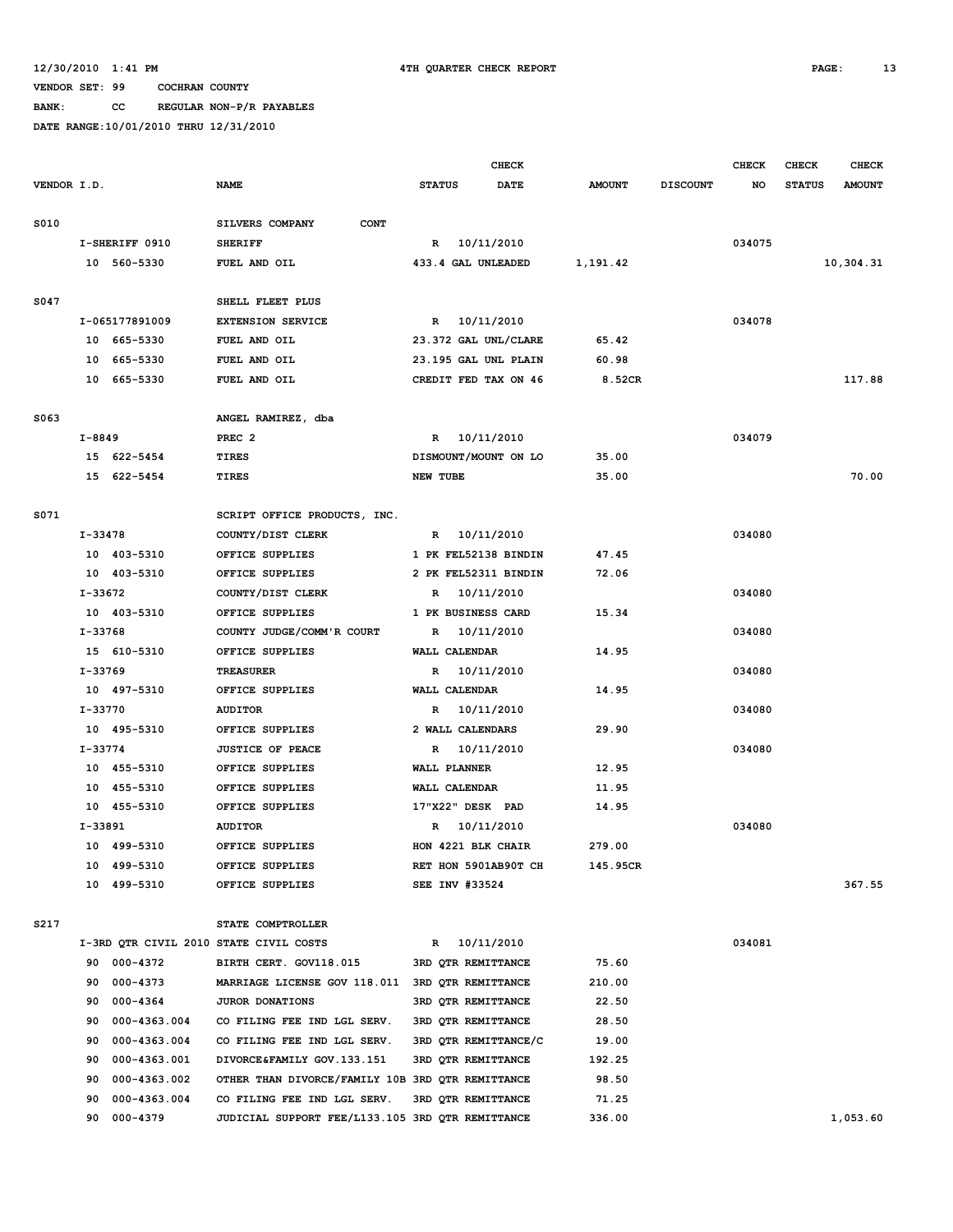### **12/30/2010 1:41 PM 4TH QUARTER CHECK REPORT PAGE: 13**

### **VENDOR SET: 99 COCHRAN COUNTY**

**BANK: CC REGULAR NON-P/R PAYABLES**

|             |           |                |                                                  |                 |                    | CHECK                |               |                 | <b>CHECK</b> | CHECK         | <b>CHECK</b>  |
|-------------|-----------|----------------|--------------------------------------------------|-----------------|--------------------|----------------------|---------------|-----------------|--------------|---------------|---------------|
| VENDOR I.D. |           |                | <b>NAME</b>                                      | <b>STATUS</b>   |                    | DATE                 | <b>AMOUNT</b> | <b>DISCOUNT</b> | NO           | <b>STATUS</b> | <b>AMOUNT</b> |
| S010        |           |                | SILVERS COMPANY<br><b>CONT</b>                   |                 |                    |                      |               |                 |              |               |               |
|             |           | I-SHERIFF 0910 | <b>SHERIFF</b>                                   |                 | R 10/11/2010       |                      |               |                 | 034075       |               |               |
|             |           | 10 560-5330    | FUEL AND OIL                                     |                 | 433.4 GAL UNLEADED |                      | 1,191.42      |                 |              |               | 10,304.31     |
|             |           |                |                                                  |                 |                    |                      |               |                 |              |               |               |
| S047        |           |                | SHELL FLEET PLUS                                 |                 |                    |                      |               |                 |              |               |               |
|             |           | I-065177891009 | <b>EXTENSION SERVICE</b>                         |                 | R 10/11/2010       |                      |               |                 | 034078       |               |               |
|             |           | 10 665-5330    | FUEL AND OIL                                     |                 |                    | 23.372 GAL UNL/CLARE | 65.42         |                 |              |               |               |
|             |           | 10 665-5330    | FUEL AND OIL                                     |                 |                    | 23.195 GAL UNL PLAIN | 60.98         |                 |              |               |               |
|             |           | 10 665-5330    | FUEL AND OIL                                     |                 |                    | CREDIT FED TAX ON 46 | 8.52CR        |                 |              |               | 117.88        |
| S063        |           |                | ANGEL RAMIREZ, dba                               |                 |                    |                      |               |                 |              |               |               |
|             | I-8849    |                | PREC <sub>2</sub>                                |                 | R 10/11/2010       |                      |               |                 | 034079       |               |               |
|             |           | 15 622-5454    | <b>TIRES</b>                                     |                 |                    | DISMOUNT/MOUNT ON LO | 35.00         |                 |              |               |               |
|             |           | 15 622-5454    | TIRES                                            | <b>NEW TUBE</b> |                    |                      | 35.00         |                 |              |               | 70.00         |
| S071        |           |                | SCRIPT OFFICE PRODUCTS, INC.                     |                 |                    |                      |               |                 |              |               |               |
|             | I-33478   |                | COUNTY/DIST CLERK                                |                 | R 10/11/2010       |                      |               |                 | 034080       |               |               |
|             |           | 10 403-5310    | OFFICE SUPPLIES                                  |                 |                    | 1 PK FEL52138 BINDIN | 47.45         |                 |              |               |               |
|             |           | 10 403-5310    | OFFICE SUPPLIES                                  |                 |                    | 2 PK FEL52311 BINDIN | 72.06         |                 |              |               |               |
|             | I-33672   |                | COUNTY/DIST CLERK                                |                 | R 10/11/2010       |                      |               |                 | 034080       |               |               |
|             |           | 10 403-5310    | OFFICE SUPPLIES                                  |                 | 1 PK BUSINESS CARD |                      | 15.34         |                 |              |               |               |
|             | $I-33768$ |                | COUNTY JUDGE/COMM'R COURT                        |                 | R 10/11/2010       |                      |               |                 | 034080       |               |               |
|             |           | 15 610-5310    | OFFICE SUPPLIES                                  |                 | WALL CALENDAR      |                      | 14.95         |                 |              |               |               |
|             | I-33769   |                | <b>TREASURER</b>                                 |                 | R 10/11/2010       |                      |               |                 | 034080       |               |               |
|             |           | 10 497-5310    | OFFICE SUPPLIES                                  |                 | WALL CALENDAR      |                      | 14.95         |                 |              |               |               |
|             | I-33770   |                | <b>AUDITOR</b>                                   |                 | R 10/11/2010       |                      |               |                 | 034080       |               |               |
|             |           | 10 495-5310    | OFFICE SUPPLIES                                  |                 | 2 WALL CALENDARS   |                      | 29.90         |                 |              |               |               |
|             | I-33774   |                | <b>JUSTICE OF PEACE</b>                          |                 | R 10/11/2010       |                      |               |                 | 034080       |               |               |
|             |           | 10 455-5310    | OFFICE SUPPLIES                                  |                 | WALL PLANNER       |                      | 12.95         |                 |              |               |               |
|             |           | 10 455-5310    | OFFICE SUPPLIES                                  |                 | WALL CALENDAR      |                      | 11.95         |                 |              |               |               |
|             |           | 10 455-5310    | OFFICE SUPPLIES                                  |                 | 17"X22" DESK PAD   |                      | 14.95         |                 |              |               |               |
|             | I-33891   |                | <b>AUDITOR</b>                                   | R               |                    | 10/11/2010           |               |                 | 034080       |               |               |
|             |           | 10 499-5310    | OFFICE SUPPLIES                                  |                 | HON 4221 BLK CHAIR |                      | 279.00        |                 |              |               |               |
|             |           | 10 499-5310    | OFFICE SUPPLIES                                  |                 |                    | RET HON 5901AB90T CH | 145.95CR      |                 |              |               |               |
|             |           | 10 499-5310    | OFFICE SUPPLIES                                  |                 | SEE INV #33524     |                      |               |                 |              |               | 367.55        |
| S217        |           |                | STATE COMPTROLLER                                |                 |                    |                      |               |                 |              |               |               |
|             |           |                | I-3RD QTR CIVIL 2010 STATE CIVIL COSTS           |                 | R 10/11/2010       |                      |               |                 | 034081       |               |               |
|             | 90        | 000-4372       | BIRTH CERT. GOV118.015                           |                 | 3RD QTR REMITTANCE |                      | 75.60         |                 |              |               |               |
|             | 90        | 000-4373       | MARRIAGE LICENSE GOV 118.011 3RD QTR REMITTANCE  |                 |                    |                      | 210.00        |                 |              |               |               |
|             | 90        | 000-4364       | JUROR DONATIONS                                  |                 | 3RD QTR REMITTANCE |                      | 22.50         |                 |              |               |               |
|             | 90        | 000-4363.004   | CO FILING FEE IND LGL SERV.                      |                 | 3RD QTR REMITTANCE |                      | 28.50         |                 |              |               |               |
|             | 90        | 000-4363.004   | CO FILING FEE IND LGL SERV.                      |                 |                    | 3RD QTR REMITTANCE/C | 19.00         |                 |              |               |               |
|             | 90        | 000-4363.001   | DIVORCE&FAMILY GOV.133.151                       |                 | 3RD QTR REMITTANCE |                      | 192.25        |                 |              |               |               |
|             | 90        | 000-4363.002   | OTHER THAN DIVORCE/FAMILY 10B 3RD QTR REMITTANCE |                 |                    |                      | 98.50         |                 |              |               |               |
|             | 90        | 000-4363.004   | CO FILING FEE IND LGL SERV.                      |                 | 3RD QTR REMITTANCE |                      | 71.25         |                 |              |               |               |
|             | 90        | 000-4379       | JUDICIAL SUPPORT FEE/L133.105 3RD QTR REMITTANCE |                 |                    |                      | 336.00        |                 |              |               | 1,053.60      |
|             |           |                |                                                  |                 |                    |                      |               |                 |              |               |               |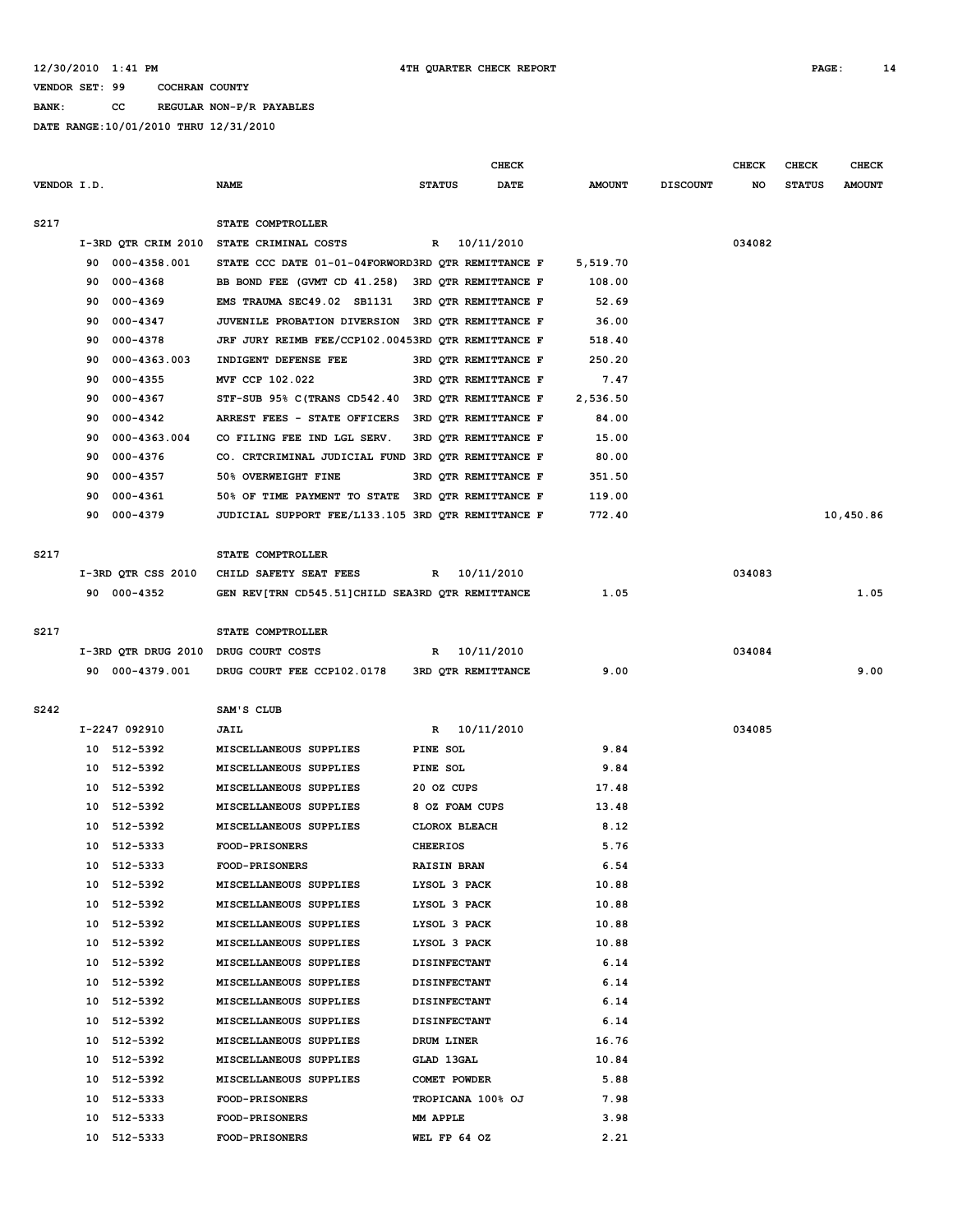**BANK: CC REGULAR NON-P/R PAYABLES**

|             |    |                     |                                                    |                     | <b>CHECK</b>         |               |                 | <b>CHECK</b> | CHECK         | <b>CHECK</b>  |
|-------------|----|---------------------|----------------------------------------------------|---------------------|----------------------|---------------|-----------------|--------------|---------------|---------------|
| VENDOR I.D. |    |                     | <b>NAME</b>                                        | <b>STATUS</b>       | DATE                 | <b>AMOUNT</b> | <b>DISCOUNT</b> | NO           | <b>STATUS</b> | <b>AMOUNT</b> |
| S217        |    |                     | STATE COMPTROLLER                                  |                     |                      |               |                 |              |               |               |
|             |    |                     | I-3RD QTR CRIM 2010 STATE CRIMINAL COSTS           | R                   | 10/11/2010           |               |                 | 034082       |               |               |
|             | 90 | 000-4358.001        | STATE CCC DATE 01-01-04FORWORD3RD OTR REMITTANCE F |                     |                      | 5,519.70      |                 |              |               |               |
|             | 90 | $000 - 4368$        | BB BOND FEE (GVMT CD 41.258)                       |                     | 3RD QTR REMITTANCE F | 108.00        |                 |              |               |               |
|             | 90 | 000-4369            | EMS TRAUMA SEC49.02 SB1131                         |                     | 3RD QTR REMITTANCE F | 52.69         |                 |              |               |               |
|             | 90 | 000-4347            | JUVENILE PROBATION DIVERSION                       |                     | 3RD QTR REMITTANCE F | 36.00         |                 |              |               |               |
|             | 90 | 000-4378            | JRF JURY REIMB FEE/CCP102.00453RD QTR REMITTANCE F |                     |                      | 518.40        |                 |              |               |               |
|             | 90 | 000-4363.003        | INDIGENT DEFENSE FEE                               |                     | 3RD OTR REMITTANCE F | 250.20        |                 |              |               |               |
|             | 90 | $000 - 4355$        | MVF CCP 102.022                                    |                     | 3RD QTR REMITTANCE F | 7.47          |                 |              |               |               |
|             | 90 | $000 - 4367$        | STF-SUB 95% C (TRANS CD542.40                      |                     | 3RD QTR REMITTANCE F | 2,536.50      |                 |              |               |               |
|             | 90 | 000-4342            | ARREST FEES - STATE OFFICERS                       |                     | 3RD QTR REMITTANCE F | 84.00         |                 |              |               |               |
|             | 90 | 000-4363.004        | CO FILING FEE IND LGL SERV.                        |                     | 3RD QTR REMITTANCE F | 15.00         |                 |              |               |               |
|             | 90 | 000-4376            | CO. CRTCRIMINAL JUDICIAL FUND 3RD QTR REMITTANCE F |                     |                      | 80.00         |                 |              |               |               |
|             | 90 | $000 - 4357$        | 50% OVERWEIGHT FINE                                |                     | 3RD QTR REMITTANCE F | 351.50        |                 |              |               |               |
|             | 90 | 000-4361            | 50% OF TIME PAYMENT TO STATE 3RD QTR REMITTANCE F  |                     |                      | 119.00        |                 |              |               |               |
|             | 90 | 000-4379            | JUDICIAL SUPPORT FEE/L133.105 3RD QTR REMITTANCE F |                     |                      | 772.40        |                 |              |               | 10,450.86     |
|             |    |                     |                                                    |                     |                      |               |                 |              |               |               |
| S217        |    |                     | STATE COMPTROLLER                                  |                     |                      |               |                 |              |               |               |
|             |    | I-3RD QTR CSS 2010  | CHILD SAFETY SEAT FEES                             | R                   | 10/11/2010           |               |                 | 034083       |               |               |
|             |    | 90 000-4352         | GEN REV[TRN CD545.51]CHILD SEA3RD QTR REMITTANCE   |                     |                      | 1.05          |                 |              |               | 1.05          |
| S217        |    |                     | STATE COMPTROLLER                                  |                     |                      |               |                 |              |               |               |
|             |    | I-3RD QTR DRUG 2010 | DRUG COURT COSTS                                   | R                   | 10/11/2010           |               |                 | 034084       |               |               |
|             |    | 90 000-4379.001     | DRUG COURT FEE CCP102.0178                         |                     | 3RD QTR REMITTANCE   | 9.00          |                 |              |               | 9.00          |
|             |    |                     |                                                    |                     |                      |               |                 |              |               |               |
| S242        |    |                     | SAM'S CLUB                                         |                     |                      |               |                 |              |               |               |
|             |    | I-2247 092910       | <b>JAIL</b>                                        | R                   | 10/11/2010           |               |                 | 034085       |               |               |
|             |    | 10 512-5392         | MISCELLANEOUS SUPPLIES                             | PINE SOL            |                      | 9.84          |                 |              |               |               |
|             | 10 | 512-5392            | MISCELLANEOUS SUPPLIES                             | PINE SOL            |                      | 9.84          |                 |              |               |               |
|             | 10 | 512-5392            | MISCELLANEOUS SUPPLIES                             | 20 OZ CUPS          |                      | 17.48         |                 |              |               |               |
|             | 10 | 512-5392            | MISCELLANEOUS SUPPLIES                             | 8 OZ FOAM CUPS      |                      | 13.48         |                 |              |               |               |
|             | 10 | 512-5392            | MISCELLANEOUS SUPPLIES                             | CLOROX BLEACH       |                      | 8.12          |                 |              |               |               |
|             |    | 10 512-5333         | FOOD-PRISONERS                                     | <b>CHEERIOS</b>     |                      | 5.76          |                 |              |               |               |
|             |    | 10 512-5333         | <b>FOOD-PRISONERS</b>                              | <b>RAISIN BRAN</b>  |                      | 6.54          |                 |              |               |               |
|             |    | 10 512-5392         | MISCELLANEOUS SUPPLIES                             | LYSOL 3 PACK        |                      | 10.88         |                 |              |               |               |
|             |    | 10 512-5392         | MISCELLANEOUS SUPPLIES                             | LYSOL 3 PACK        |                      | 10.88         |                 |              |               |               |
|             |    | 10 512-5392         | MISCELLANEOUS SUPPLIES                             | LYSOL 3 PACK        |                      | 10.88         |                 |              |               |               |
|             |    | 10 512-5392         | MISCELLANEOUS SUPPLIES                             | LYSOL 3 PACK        |                      | 10.88         |                 |              |               |               |
|             |    | 10 512-5392         | MISCELLANEOUS SUPPLIES                             | <b>DISINFECTANT</b> |                      | 6.14          |                 |              |               |               |
|             |    | 10 512-5392         | MISCELLANEOUS SUPPLIES                             | <b>DISINFECTANT</b> |                      | 6.14          |                 |              |               |               |
|             |    | 10 512-5392         | MISCELLANEOUS SUPPLIES                             | <b>DISINFECTANT</b> |                      | 6.14          |                 |              |               |               |
|             |    | 10 512-5392         | MISCELLANEOUS SUPPLIES                             | <b>DISINFECTANT</b> |                      | 6.14          |                 |              |               |               |
|             |    | 10 512-5392         | MISCELLANEOUS SUPPLIES                             | DRUM LINER          |                      | 16.76         |                 |              |               |               |
|             |    | 10 512-5392         | MISCELLANEOUS SUPPLIES                             | GLAD 13GAL          |                      | 10.84         |                 |              |               |               |
|             |    | 10 512-5392         | MISCELLANEOUS SUPPLIES                             | COMET POWDER        |                      | 5.88          |                 |              |               |               |
|             |    | 10 512-5333         | <b>FOOD-PRISONERS</b>                              |                     | TROPICANA 100% OJ    | 7.98          |                 |              |               |               |
|             | 10 | 512-5333            | <b>FOOD-PRISONERS</b>                              | MM APPLE            |                      | 3.98          |                 |              |               |               |
|             |    | 10 512-5333         | FOOD-PRISONERS                                     | WEL FP 64 OZ        |                      | 2.21          |                 |              |               |               |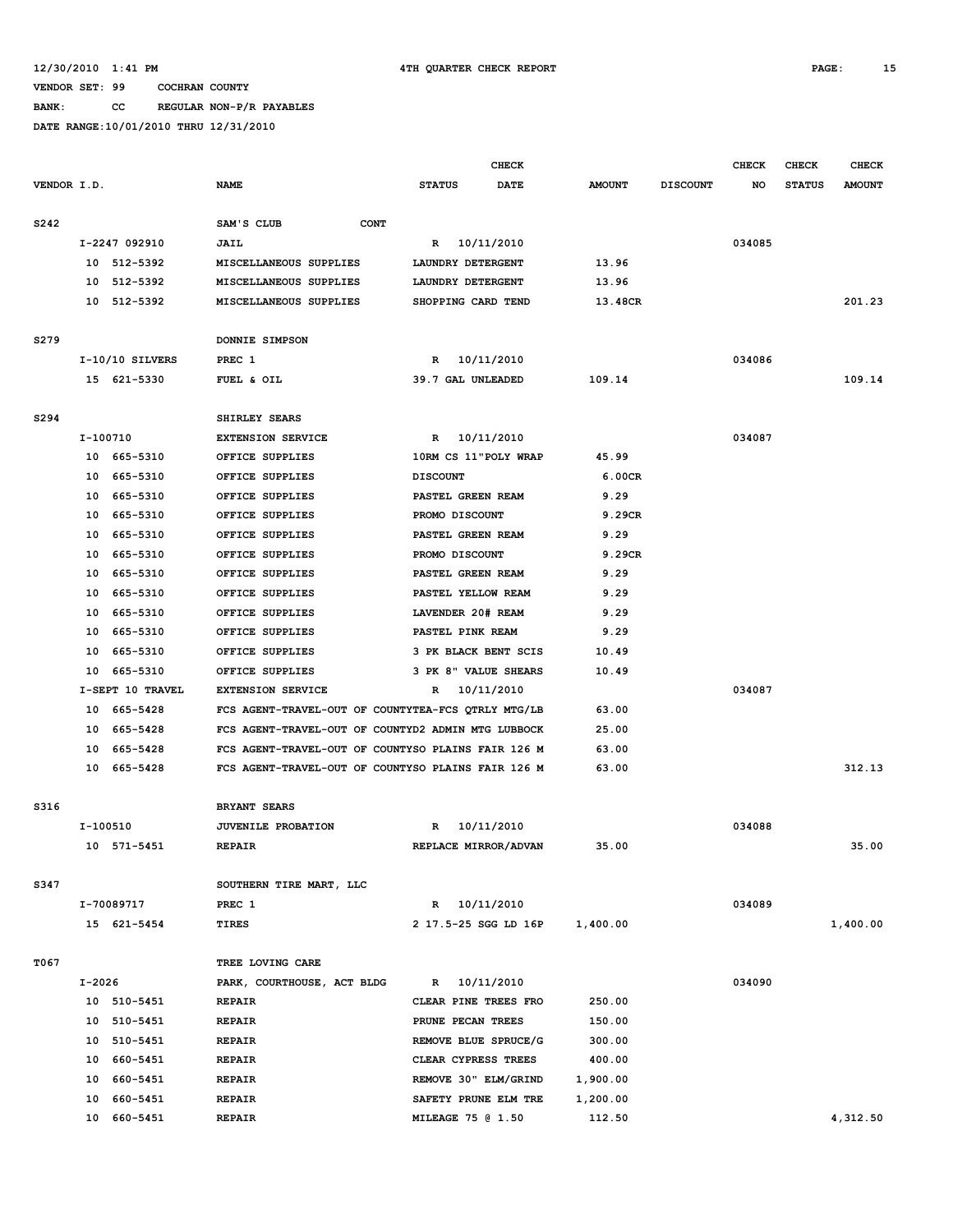### **BANK: CC REGULAR NON-P/R PAYABLES**

|             |                   |                                                    | <b>CHECK</b>             |               |                 | <b>CHECK</b> | <b>CHECK</b>  | <b>CHECK</b>  |
|-------------|-------------------|----------------------------------------------------|--------------------------|---------------|-----------------|--------------|---------------|---------------|
| VENDOR I.D. |                   | <b>NAME</b>                                        | DATE<br><b>STATUS</b>    | <b>AMOUNT</b> | <b>DISCOUNT</b> | NO           | <b>STATUS</b> | <b>AMOUNT</b> |
| S242        |                   | SAM'S CLUB<br><b>CONT</b>                          |                          |               |                 |              |               |               |
|             | I-2247 092910     | JAIL                                               | R 10/11/2010             |               |                 | 034085       |               |               |
|             | 10 512-5392       | MISCELLANEOUS SUPPLIES                             | LAUNDRY DETERGENT        | 13.96         |                 |              |               |               |
|             | 10 512-5392       | MISCELLANEOUS SUPPLIES                             | LAUNDRY DETERGENT        | 13.96         |                 |              |               |               |
|             | 10 512-5392       | MISCELLANEOUS SUPPLIES                             | SHOPPING CARD TEND       | 13.48CR       |                 |              |               | 201.23        |
|             |                   |                                                    |                          |               |                 |              |               |               |
| S279        |                   | DONNIE SIMPSON                                     |                          |               |                 |              |               |               |
|             | $I-10/10$ SILVERS | PREC 1                                             | 10/11/2010<br>R          |               |                 | 034086       |               |               |
|             | 15 621-5330       | FUEL & OIL                                         | 39.7 GAL UNLEADED        | 109.14        |                 |              |               | 109.14        |
| S294        |                   | SHIRLEY SEARS                                      |                          |               |                 |              |               |               |
|             | I-100710          | <b>EXTENSION SERVICE</b>                           | R 10/11/2010             |               |                 | 034087       |               |               |
|             | 10 665-5310       | OFFICE SUPPLIES                                    | 10RM CS 11"POLY WRAP     | 45.99         |                 |              |               |               |
|             | 10 665-5310       | OFFICE SUPPLIES                                    |                          | 6.00CR        |                 |              |               |               |
|             |                   |                                                    | <b>DISCOUNT</b>          |               |                 |              |               |               |
|             | 10<br>665–5310    | OFFICE SUPPLIES                                    | PASTEL GREEN REAM        | 9.29          |                 |              |               |               |
|             | 10<br>665-5310    | OFFICE SUPPLIES                                    | PROMO DISCOUNT           | 9.29CR        |                 |              |               |               |
|             | 665-5310<br>10    | OFFICE SUPPLIES                                    | PASTEL GREEN REAM        | 9.29          |                 |              |               |               |
|             | 10<br>665-5310    | OFFICE SUPPLIES                                    | PROMO DISCOUNT           | 9.29CR        |                 |              |               |               |
|             | 10<br>665-5310    | OFFICE SUPPLIES                                    | PASTEL GREEN REAM        | 9.29          |                 |              |               |               |
|             | 665-5310<br>10    | OFFICE SUPPLIES                                    | PASTEL YELLOW REAM       | 9.29          |                 |              |               |               |
|             | 10<br>665-5310    | OFFICE SUPPLIES                                    | LAVENDER 20# REAM        | 9.29          |                 |              |               |               |
|             | 10<br>665-5310    | OFFICE SUPPLIES                                    | PASTEL PINK REAM         | 9.29          |                 |              |               |               |
|             | 665-5310<br>10    | OFFICE SUPPLIES                                    | 3 PK BLACK BENT SCIS     | 10.49         |                 |              |               |               |
|             | 10<br>665-5310    | OFFICE SUPPLIES                                    | 3 PK 8" VALUE SHEARS     | 10.49         |                 |              |               |               |
|             | I-SEPT 10 TRAVEL  | <b>EXTENSION SERVICE</b>                           | 10/11/2010<br>R          |               |                 | 034087       |               |               |
|             | 665–5428<br>10    | FCS AGENT-TRAVEL-OUT OF COUNTYTEA-FCS QTRLY MTG/LB |                          | 63.00         |                 |              |               |               |
|             | 10<br>665–5428    | FCS AGENT-TRAVEL-OUT OF COUNTYD2 ADMIN MTG LUBBOCK |                          | 25.00         |                 |              |               |               |
|             | 10<br>665–5428    | FCS AGENT-TRAVEL-OUT OF COUNTYSO PLAINS FAIR 126 M |                          | 63.00         |                 |              |               |               |
|             | 10 665-5428       | FCS AGENT-TRAVEL-OUT OF COUNTYSO PLAINS FAIR 126 M |                          | 63.00         |                 |              |               | 312.13        |
|             |                   |                                                    |                          |               |                 |              |               |               |
| S316        |                   | <b>BRYANT SEARS</b>                                |                          |               |                 |              |               |               |
|             | I-100510          | JUVENILE PROBATION                                 | 10/11/2010<br>R          |               |                 | 034088       |               |               |
|             | 10 571-5451       | <b>REPAIR</b>                                      | REPLACE MIRROR/ADVAN     | 35.00         |                 |              |               | 35.00         |
| S347        |                   | SOUTHERN TIRE MART, LLC                            |                          |               |                 |              |               |               |
|             | I-70089717        | PREC 1                                             | R 10/11/2010             |               |                 | 034089       |               |               |
|             | 15 621-5454       | <b>TIRES</b>                                       | 2 17.5-25 SGG LD 16P     | 1,400.00      |                 |              |               | 1,400.00      |
|             |                   |                                                    |                          |               |                 |              |               |               |
| T067        |                   | TREE LOVING CARE                                   |                          |               |                 |              |               |               |
|             | $I - 2026$        | PARK, COURTHOUSE, ACT BLDG                         | R 10/11/2010             |               |                 | 034090       |               |               |
|             | 10 510-5451       | <b>REPAIR</b>                                      | CLEAR PINE TREES FRO     | 250.00        |                 |              |               |               |
|             | 510-5451<br>10    | <b>REPAIR</b>                                      | PRUNE PECAN TREES        | 150.00        |                 |              |               |               |
|             | 10 510-5451       | <b>REPAIR</b>                                      | REMOVE BLUE SPRUCE/G     | 300.00        |                 |              |               |               |
|             | 10 660-5451       | <b>REPAIR</b>                                      | CLEAR CYPRESS TREES      | 400.00        |                 |              |               |               |
|             | 10 660-5451       | <b>REPAIR</b>                                      | REMOVE 30" ELM/GRIND     | 1,900.00      |                 |              |               |               |
|             | 10<br>660-5451    | <b>REPAIR</b>                                      | SAFETY PRUNE ELM TRE     | 1,200.00      |                 |              |               |               |
|             | 10 660-5451       | <b>REPAIR</b>                                      | <b>MILEAGE 75 @ 1.50</b> | 112.50        |                 |              |               | 4,312.50      |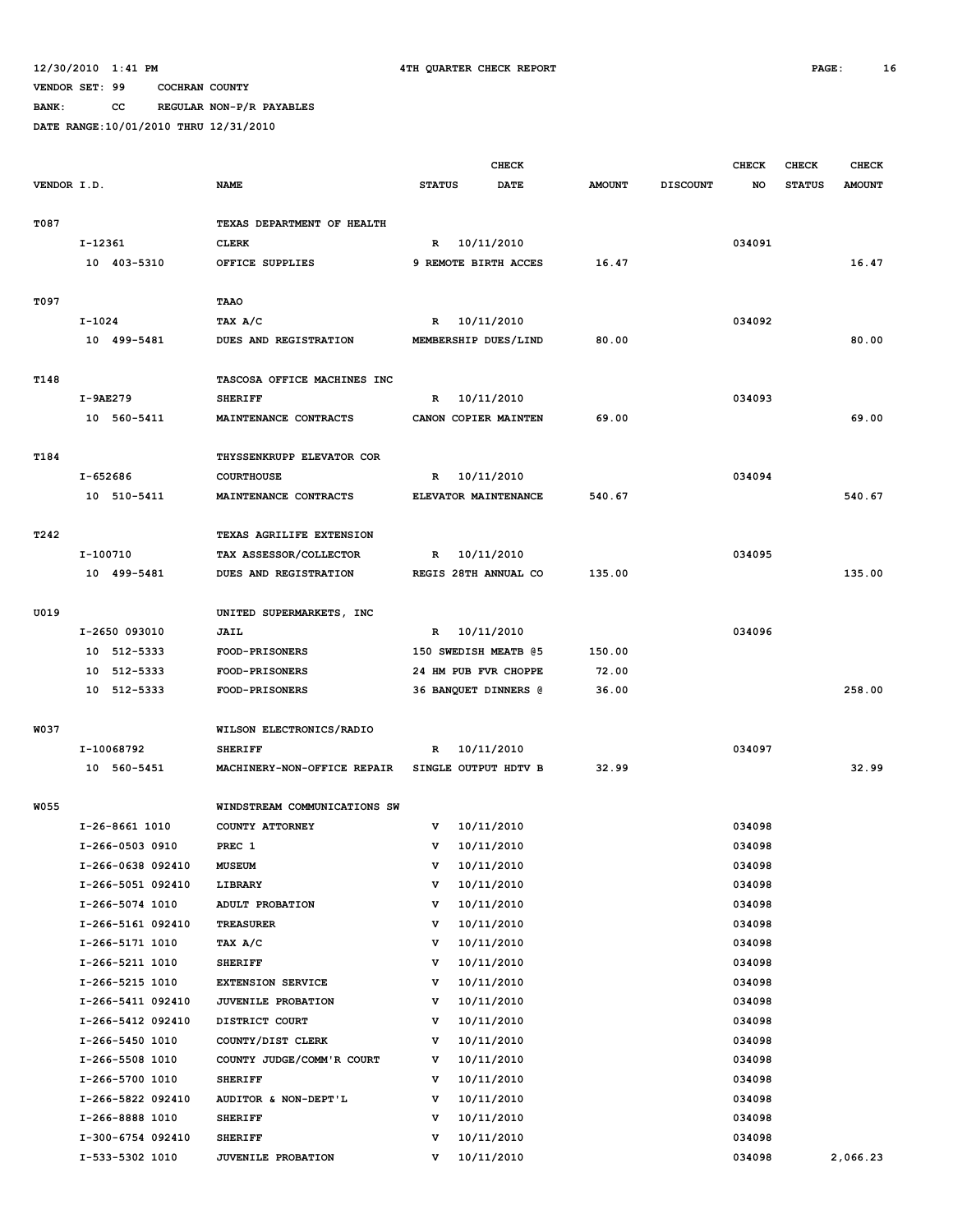**BANK: CC REGULAR NON-P/R PAYABLES**

|             |                                        |                              | <b>CHECK</b>  |                          |               |                 | <b>CHECK</b>     | <b>CHECK</b>  | <b>CHECK</b>  |
|-------------|----------------------------------------|------------------------------|---------------|--------------------------|---------------|-----------------|------------------|---------------|---------------|
| VENDOR I.D. |                                        | <b>NAME</b>                  | <b>STATUS</b> | <b>DATE</b>              | <b>AMOUNT</b> | <b>DISCOUNT</b> | NO               | <b>STATUS</b> | <b>AMOUNT</b> |
|             |                                        |                              |               |                          |               |                 |                  |               |               |
| T087        |                                        | TEXAS DEPARTMENT OF HEALTH   |               |                          |               |                 |                  |               |               |
|             | I-12361                                | <b>CLERK</b>                 | R             | 10/11/2010               |               |                 | 034091           |               |               |
|             | 10 403-5310                            | OFFICE SUPPLIES              |               | 9 REMOTE BIRTH ACCES     | 16.47         |                 |                  |               | 16.47         |
|             |                                        |                              |               |                          |               |                 |                  |               |               |
| T097        |                                        | TAAO                         |               |                          |               |                 |                  |               |               |
|             | $I-1024$                               | TAX A/C                      | R             | 10/11/2010               |               |                 | 034092           |               |               |
|             | 10 499-5481                            | DUES AND REGISTRATION        |               | MEMBERSHIP DUES/LIND     | 80.00         |                 |                  |               | 80.00         |
| T148        |                                        | TASCOSA OFFICE MACHINES INC  |               |                          |               |                 |                  |               |               |
|             | I-9AE279                               | <b>SHERIFF</b>               | R             | 10/11/2010               |               |                 | 034093           |               |               |
|             | 10 560-5411                            | MAINTENANCE CONTRACTS        |               | CANON COPIER MAINTEN     | 69.00         |                 |                  |               | 69.00         |
|             |                                        |                              |               |                          |               |                 |                  |               |               |
| T184        |                                        | THYSSENKRUPP ELEVATOR COR    |               |                          |               |                 |                  |               |               |
|             | I-652686                               | <b>COURTHOUSE</b>            | R             | 10/11/2010               |               |                 | 034094           |               |               |
|             | 10 510-5411                            | MAINTENANCE CONTRACTS        |               | ELEVATOR MAINTENANCE     | 540.67        |                 |                  |               | 540.67        |
|             |                                        |                              |               |                          |               |                 |                  |               |               |
| T242        |                                        | TEXAS AGRILIFE EXTENSION     |               |                          |               |                 |                  |               |               |
|             | I-100710                               | TAX ASSESSOR/COLLECTOR       | R             | 10/11/2010               |               |                 | 034095           |               |               |
|             | 10 499-5481                            | DUES AND REGISTRATION        |               | REGIS 28TH ANNUAL CO     | 135.00        |                 |                  |               | 135.00        |
|             |                                        |                              |               |                          |               |                 |                  |               |               |
| U019        |                                        | UNITED SUPERMARKETS, INC     |               |                          |               |                 |                  |               |               |
|             | I-2650 093010                          | JAIL                         | R             | 10/11/2010               |               |                 | 034096           |               |               |
|             | 10 512-5333                            | FOOD-PRISONERS               |               | 150 SWEDISH MEATB @5     | 150.00        |                 |                  |               |               |
|             | 512-5333<br>10                         | <b>FOOD-PRISONERS</b>        |               | 24 HM PUB FVR CHOPPE     | 72.00         |                 |                  |               |               |
|             | 10 512-5333                            | FOOD-PRISONERS               |               | 36 BANQUET DINNERS @     | 36.00         |                 |                  |               | 258.00        |
|             |                                        |                              |               |                          |               |                 |                  |               |               |
| W037        |                                        | WILSON ELECTRONICS/RADIO     |               |                          |               |                 |                  |               |               |
|             | I-10068792                             | <b>SHERIFF</b>               | R             | 10/11/2010               |               |                 | 034097           |               |               |
|             | 10 560-5451                            | MACHINERY-NON-OFFICE REPAIR  |               | SINGLE OUTPUT HDTV B     | 32.99         |                 |                  |               | 32.99         |
|             |                                        |                              |               |                          |               |                 |                  |               |               |
| <b>W055</b> |                                        | WINDSTREAM COMMUNICATIONS SW |               |                          |               |                 |                  |               |               |
|             | I-26-8661 1010                         | COUNTY ATTORNEY              | v             | 10/11/2010               |               |                 | 034098           |               |               |
|             | I-266-0503 0910                        | PREC 1                       | v<br>v        | 10/11/2010<br>10/11/2010 |               |                 | 034098<br>034098 |               |               |
|             | I-266-0638 092410<br>I-266-5051 092410 | MUSEUM<br>LIBRARY            | v             | 10/11/2010               |               |                 | 034098           |               |               |
|             | I-266-5074 1010                        | ADULT PROBATION              | v             | 10/11/2010               |               |                 | 034098           |               |               |
|             | I-266-5161 092410                      | TREASURER                    | v             | 10/11/2010               |               |                 | 034098           |               |               |
|             | I-266-5171 1010                        | TAX A/C                      | v             | 10/11/2010               |               |                 | 034098           |               |               |
|             | I-266-5211 1010                        | <b>SHERIFF</b>               | v             | 10/11/2010               |               |                 | 034098           |               |               |
|             | I-266-5215 1010                        | <b>EXTENSION SERVICE</b>     | v             | 10/11/2010               |               |                 | 034098           |               |               |
|             | I-266-5411 092410                      | JUVENILE PROBATION           | v             | 10/11/2010               |               |                 | 034098           |               |               |
|             | I-266-5412 092410                      | DISTRICT COURT               | v             | 10/11/2010               |               |                 | 034098           |               |               |
|             | I-266-5450 1010                        | COUNTY/DIST CLERK            | v             | 10/11/2010               |               |                 | 034098           |               |               |
|             | I-266-5508 1010                        | COUNTY JUDGE/COMM'R COURT    | v             | 10/11/2010               |               |                 | 034098           |               |               |
|             | I-266-5700 1010                        | <b>SHERIFF</b>               | v             | 10/11/2010               |               |                 | 034098           |               |               |
|             | I-266-5822 092410                      | AUDITOR & NON-DEPT'L         | v             | 10/11/2010               |               |                 | 034098           |               |               |
|             | I-266-8888 1010                        | <b>SHERIFF</b>               | v             | 10/11/2010               |               |                 | 034098           |               |               |
|             | I-300-6754 092410                      | <b>SHERIFF</b>               | v             | 10/11/2010               |               |                 | 034098           |               |               |
|             | I-533-5302 1010                        | JUVENILE PROBATION           | v             | 10/11/2010               |               |                 | 034098           |               | 2,066.23      |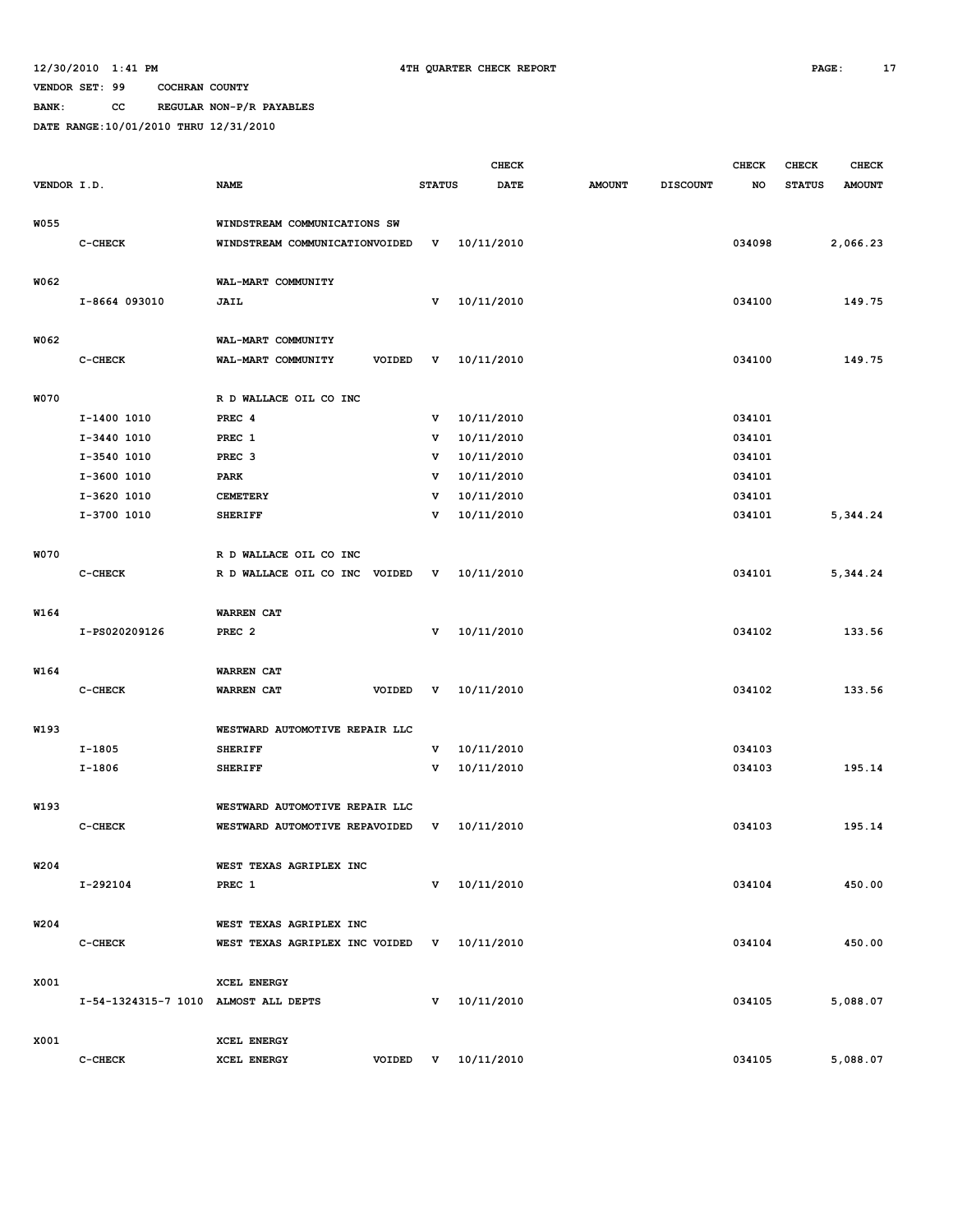**BANK: CC REGULAR NON-P/R PAYABLES**

|                  |                                      |                                         |               | <b>CHECK</b>     |               |                 | <b>CHECK</b> | <b>CHECK</b>  | <b>CHECK</b>  |
|------------------|--------------------------------------|-----------------------------------------|---------------|------------------|---------------|-----------------|--------------|---------------|---------------|
| VENDOR I.D.      |                                      | <b>NAME</b>                             | <b>STATUS</b> | <b>DATE</b>      | <b>AMOUNT</b> | <b>DISCOUNT</b> | NO           | <b>STATUS</b> | <b>AMOUNT</b> |
|                  |                                      |                                         |               |                  |               |                 |              |               |               |
| <b>W055</b>      |                                      | WINDSTREAM COMMUNICATIONS SW            |               |                  |               |                 |              |               |               |
|                  | C-CHECK                              | WINDSTREAM COMMUNICATIONVOIDED          | v             | 10/11/2010       |               |                 | 034098       |               | 2,066.23      |
|                  |                                      |                                         |               |                  |               |                 |              |               |               |
| W062             |                                      | WAL-MART COMMUNITY                      |               |                  |               |                 |              |               |               |
|                  | I-8664 093010                        | JAIL                                    | v             | 10/11/2010       |               |                 | 034100       |               | 149.75        |
| W062             |                                      | WAL-MART COMMUNITY                      |               |                  |               |                 |              |               |               |
|                  | C-CHECK                              | WAL-MART COMMUNITY<br>VOIDED            | v             | 10/11/2010       |               |                 | 034100       |               | 149.75        |
|                  |                                      |                                         |               |                  |               |                 |              |               |               |
| <b>W070</b>      |                                      | R D WALLACE OIL CO INC                  |               |                  |               |                 |              |               |               |
|                  | I-1400 1010                          | PREC <sub>4</sub>                       | v             | 10/11/2010       |               |                 | 034101       |               |               |
|                  | I-3440 1010                          | PREC 1                                  | v             | 10/11/2010       |               |                 | 034101       |               |               |
|                  | I-3540 1010                          | PREC <sub>3</sub>                       | v             | 10/11/2010       |               |                 | 034101       |               |               |
|                  | I-3600 1010                          | <b>PARK</b>                             | v             | 10/11/2010       |               |                 | 034101       |               |               |
|                  | I-3620 1010                          | <b>CEMETERY</b>                         | v             | 10/11/2010       |               |                 | 034101       |               |               |
|                  | I-3700 1010                          | <b>SHERIFF</b>                          | v             | 10/11/2010       |               |                 | 034101       |               | 5,344.24      |
|                  |                                      |                                         |               |                  |               |                 |              |               |               |
| <b>W070</b>      |                                      | R D WALLACE OIL CO INC                  |               |                  |               |                 |              |               |               |
|                  | C-CHECK                              | R D WALLACE OIL CO INC<br><b>VOIDED</b> | v             | 10/11/2010       |               |                 | 034101       |               | 5,344.24      |
|                  |                                      |                                         |               |                  |               |                 |              |               |               |
| W164             |                                      | WARREN CAT                              |               |                  |               |                 |              |               |               |
|                  | I-PS020209126                        | PREC <sub>2</sub>                       | v             | 10/11/2010       |               |                 | 034102       |               | 133.56        |
| W164             |                                      | <b>WARREN CAT</b>                       |               |                  |               |                 |              |               |               |
|                  | C-CHECK                              | VOIDED<br>WARREN CAT                    | v             | 10/11/2010       |               |                 | 034102       |               | 133.56        |
|                  |                                      |                                         |               |                  |               |                 |              |               |               |
| W193             |                                      | WESTWARD AUTOMOTIVE REPAIR LLC          |               |                  |               |                 |              |               |               |
|                  | $I-1805$                             | <b>SHERIFF</b>                          | v             | 10/11/2010       |               |                 | 034103       |               |               |
|                  | I-1806                               | <b>SHERIFF</b>                          | v             | 10/11/2010       |               |                 | 034103       |               | 195.14        |
|                  |                                      |                                         |               |                  |               |                 |              |               |               |
| W193             |                                      | WESTWARD AUTOMOTIVE REPAIR LLC          |               |                  |               |                 |              |               |               |
|                  | C-CHECK                              | WESTWARD AUTOMOTIVE REPAVOIDED          | v             | 10/11/2010       |               |                 | 034103       |               | 195.14        |
|                  |                                      |                                         |               |                  |               |                 |              |               |               |
| W <sub>204</sub> |                                      | WEST TEXAS AGRIPLEX INC                 |               |                  |               |                 |              |               |               |
|                  | I-292104                             | PREC 1                                  |               | $V = 10/11/2010$ |               |                 | 034104       |               | 450.00        |
|                  |                                      |                                         |               |                  |               |                 |              |               |               |
| W204             |                                      | WEST TEXAS AGRIPLEX INC                 |               |                  |               |                 |              |               |               |
|                  | C-CHECK                              | WEST TEXAS AGRIPLEX INC VOIDED          |               | V 10/11/2010     |               |                 | 034104       |               | 450.00        |
|                  |                                      |                                         |               |                  |               |                 |              |               |               |
| X001             |                                      | XCEL ENERGY                             |               |                  |               |                 |              |               |               |
|                  | I-54-1324315-7 1010 ALMOST ALL DEPTS |                                         |               | $V = 10/11/2010$ |               |                 | 034105       |               | 5,088.07      |
| X001             |                                      | XCEL ENERGY                             |               |                  |               |                 |              |               |               |
|                  | C-CHECK                              | XCEL ENERGY<br>VOIDED                   | $\mathbf{v}$  | 10/11/2010       |               |                 | 034105       |               | 5,088.07      |
|                  |                                      |                                         |               |                  |               |                 |              |               |               |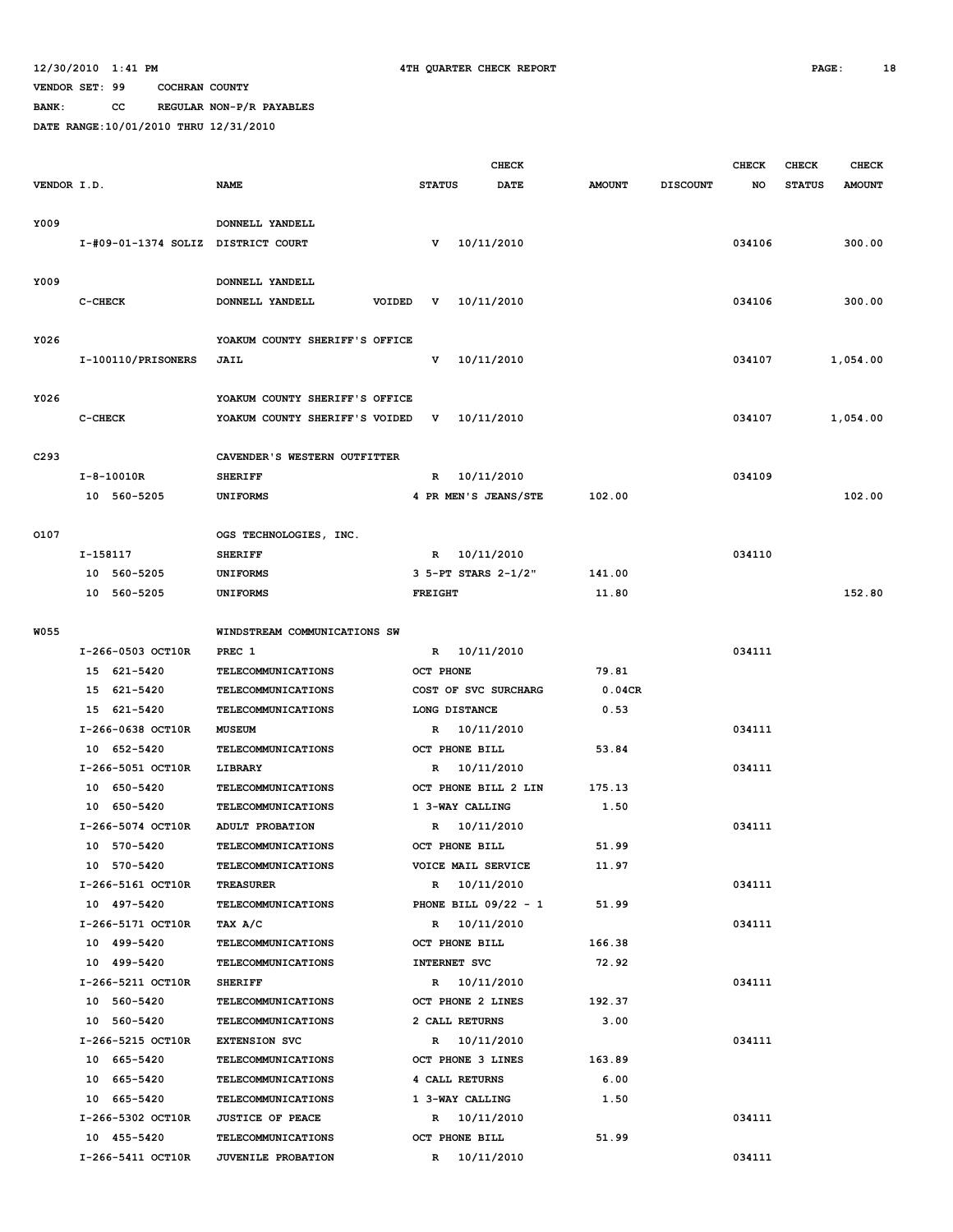**BANK: CC REGULAR NON-P/R PAYABLES**

|                  |          |                                    |                                          |                  |                     | <b>CHECK</b>           |               |                 | <b>CHECK</b> | <b>CHECK</b>  | <b>CHECK</b>  |
|------------------|----------|------------------------------------|------------------------------------------|------------------|---------------------|------------------------|---------------|-----------------|--------------|---------------|---------------|
| VENDOR I.D.      |          |                                    | <b>NAME</b>                              | <b>STATUS</b>    |                     | <b>DATE</b>            | <b>AMOUNT</b> | <b>DISCOUNT</b> | NO           | <b>STATUS</b> | <b>AMOUNT</b> |
|                  |          |                                    |                                          |                  |                     |                        |               |                 |              |               |               |
| Y009             |          |                                    | DONNELL YANDELL                          |                  |                     |                        |               |                 |              |               |               |
|                  |          | I-#09-01-1374 SOLIZ DISTRICT COURT |                                          | v                | 10/11/2010          |                        |               |                 | 034106       |               | 300.00        |
| Y009             |          |                                    | DONNELL YANDELL                          |                  |                     |                        |               |                 |              |               |               |
|                  | C-CHECK  |                                    | DONNELL YANDELL<br>VOIDED                | v                | 10/11/2010          |                        |               |                 | 034106       |               | 300.00        |
|                  |          |                                    |                                          |                  |                     |                        |               |                 |              |               |               |
| Y026             |          |                                    | YOAKUM COUNTY SHERIFF'S OFFICE           |                  |                     |                        |               |                 |              |               |               |
|                  |          | I-100110/PRISONERS                 | JAIL                                     | v                | 10/11/2010          |                        |               |                 | 034107       |               | 1,054.00      |
|                  |          |                                    |                                          |                  |                     |                        |               |                 |              |               |               |
| Y026             |          |                                    | YOAKUM COUNTY SHERIFF'S OFFICE           |                  |                     |                        |               |                 |              |               |               |
|                  | C-CHECK  |                                    | YOAKUM COUNTY SHERIFF'S VOIDED           | v                | 10/11/2010          |                        |               |                 | 034107       |               | 1,054.00      |
|                  |          |                                    |                                          |                  |                     |                        |               |                 |              |               |               |
| C <sub>293</sub> |          |                                    | CAVENDER'S WESTERN OUTFITTER             |                  |                     |                        |               |                 |              |               |               |
|                  |          | $I - 8 - 10010R$                   | <b>SHERIFF</b>                           | R                | 10/11/2010          |                        |               |                 | 034109       |               |               |
|                  |          | 10 560-5205                        | <b>UNIFORMS</b>                          |                  |                     | 4 PR MEN'S JEANS/STE   | 102.00        |                 |              |               | 102.00        |
|                  |          |                                    |                                          |                  |                     |                        |               |                 |              |               |               |
| 0107             |          |                                    | OGS TECHNOLOGIES, INC.                   |                  |                     |                        |               |                 |              |               |               |
|                  | I-158117 |                                    | <b>SHERIFF</b>                           |                  | R 10/11/2010        |                        |               |                 | 034110       |               |               |
|                  |          | 10 560-5205                        | <b>UNIFORMS</b>                          |                  | 3 5-PT STARS 2-1/2" |                        | 141.00        |                 |              |               |               |
|                  |          | 10 560-5205                        | <b>UNIFORMS</b>                          | <b>FREIGHT</b>   |                     |                        | 11.80         |                 |              |               | 152.80        |
|                  |          |                                    |                                          |                  |                     |                        |               |                 |              |               |               |
| <b>W055</b>      |          |                                    | WINDSTREAM COMMUNICATIONS SW             |                  |                     |                        |               |                 |              |               |               |
|                  |          | I-266-0503 OCT10R                  | PREC 1                                   | R                | 10/11/2010          |                        |               |                 | 034111       |               |               |
|                  |          | 15 621-5420                        | TELECOMMUNICATIONS                       | <b>OCT PHONE</b> |                     |                        | 79.81         |                 |              |               |               |
|                  |          | 15 621-5420                        | TELECOMMUNICATIONS                       |                  |                     | COST OF SVC SURCHARG   | 0.04CR        |                 |              |               |               |
|                  |          | 15 621-5420                        | <b>TELECOMMUNICATIONS</b>                |                  | LONG DISTANCE       |                        | 0.53          |                 |              |               |               |
|                  |          | I-266-0638 OCT10R                  | <b>MUSEUM</b>                            | R                | 10/11/2010          |                        |               |                 | 034111       |               |               |
|                  |          | 10 652-5420                        | <b>TELECOMMUNICATIONS</b>                |                  | OCT PHONE BILL      |                        | 53.84         |                 |              |               |               |
|                  |          | I-266-5051 OCT10R<br>10 650-5420   | LIBRARY                                  | R                | 10/11/2010          | OCT PHONE BILL 2 LIN   | 175.13        |                 | 034111       |               |               |
|                  |          | 10 650-5420                        | TELECOMMUNICATIONS<br>TELECOMMUNICATIONS |                  | 1 3-WAY CALLING     |                        | 1.50          |                 |              |               |               |
|                  |          | I-266-5074 OCT10R                  | <b>ADULT PROBATION</b>                   | R                | 10/11/2010          |                        |               |                 | 034111       |               |               |
|                  |          | 10 570-5420                        | TELECOMMUNICATIONS                       |                  | OCT PHONE BILL      |                        | 51.99         |                 |              |               |               |
|                  |          | 10 570-5420                        | <b>TELECOMMUNICATIONS</b>                |                  | VOICE MAIL SERVICE  |                        | 11.97         |                 |              |               |               |
|                  |          | I-266-5161 OCT10R                  | <b>TREASURER</b>                         |                  | R 10/11/2010        |                        |               |                 | 034111       |               |               |
|                  |          | 10 497-5420                        | <b>TELECOMMUNICATIONS</b>                |                  |                     | PHONE BILL $09/22 - 1$ | 51.99         |                 |              |               |               |
|                  |          | I-266-5171 OCT10R                  | TAX A/C                                  |                  | R 10/11/2010        |                        |               |                 | 034111       |               |               |
|                  |          | 10 499-5420                        | <b>TELECOMMUNICATIONS</b>                |                  | OCT PHONE BILL      |                        | 166.38        |                 |              |               |               |
|                  |          | 10 499-5420                        | <b>TELECOMMUNICATIONS</b>                |                  | INTERNET SVC        |                        | 72.92         |                 |              |               |               |
|                  |          | I-266-5211 OCT10R                  | <b>SHERIFF</b>                           |                  | R 10/11/2010        |                        |               |                 | 034111       |               |               |
|                  |          | 10 560-5420                        | <b>TELECOMMUNICATIONS</b>                |                  | OCT PHONE 2 LINES   |                        | 192.37        |                 |              |               |               |
|                  |          | 10 560-5420                        | <b>TELECOMMUNICATIONS</b>                |                  | 2 CALL RETURNS      |                        | 3.00          |                 |              |               |               |
|                  |          | I-266-5215 OCT10R                  | <b>EXTENSION SVC</b>                     |                  | R 10/11/2010        |                        |               |                 | 034111       |               |               |
|                  |          | 10 665-5420                        | <b>TELECOMMUNICATIONS</b>                |                  | OCT PHONE 3 LINES   |                        | 163.89        |                 |              |               |               |
|                  |          | 10 665-5420                        | <b>TELECOMMUNICATIONS</b>                |                  | 4 CALL RETURNS      |                        | 6.00          |                 |              |               |               |
|                  |          | 10 665-5420                        | <b>TELECOMMUNICATIONS</b>                |                  | 1 3-WAY CALLING     |                        | 1.50          |                 |              |               |               |
|                  |          | I-266-5302 OCT10R                  | <b>JUSTICE OF PEACE</b>                  |                  | R 10/11/2010        |                        |               |                 | 034111       |               |               |
|                  |          | 10 455-5420                        | <b>TELECOMMUNICATIONS</b>                |                  | OCT PHONE BILL      |                        | 51.99         |                 |              |               |               |
|                  |          | I-266-5411 OCT10R                  | <b>JUVENILE PROBATION</b>                |                  | R 10/11/2010        |                        |               |                 | 034111       |               |               |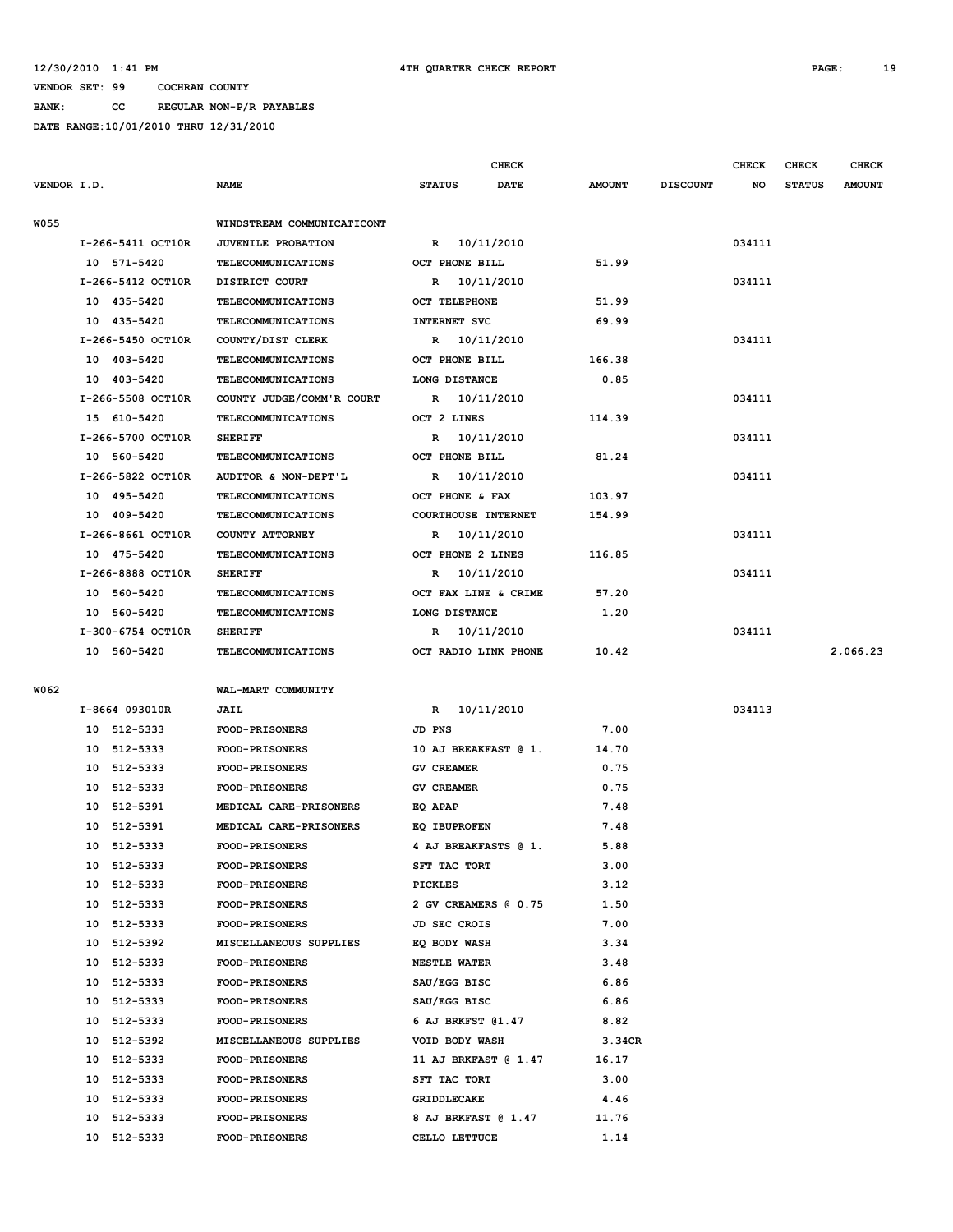**BANK: CC REGULAR NON-P/R PAYABLES**

|             |                   |                            |                   |                      | <b>CHECK</b>               |               |                 | <b>CHECK</b> | CHECK         | <b>CHECK</b>  |
|-------------|-------------------|----------------------------|-------------------|----------------------|----------------------------|---------------|-----------------|--------------|---------------|---------------|
| VENDOR I.D. |                   | <b>NAME</b>                | <b>STATUS</b>     |                      | <b>DATE</b>                | <b>AMOUNT</b> | <b>DISCOUNT</b> | NO           | <b>STATUS</b> | <b>AMOUNT</b> |
|             |                   |                            |                   |                      |                            |               |                 |              |               |               |
| <b>W055</b> |                   | WINDSTREAM COMMUNICATICONT |                   |                      |                            |               |                 |              |               |               |
|             | I-266-5411 OCT10R | <b>JUVENILE PROBATION</b>  |                   |                      | R 10/11/2010               |               |                 | 034111       |               |               |
|             | 10 571-5420       | <b>TELECOMMUNICATIONS</b>  |                   | OCT PHONE BILL       |                            | 51.99         |                 |              |               |               |
|             | I-266-5412 OCT10R | DISTRICT COURT             |                   |                      | R 10/11/2010               |               |                 | 034111       |               |               |
|             | 10 435-5420       | <b>TELECOMMUNICATIONS</b>  |                   | <b>OCT TELEPHONE</b> |                            | 51.99         |                 |              |               |               |
|             | 10 435-5420       | <b>TELECOMMUNICATIONS</b>  |                   | <b>INTERNET SVC</b>  |                            | 69.99         |                 |              |               |               |
|             | I-266-5450 OCT10R | COUNTY/DIST CLERK          |                   |                      | R 10/11/2010               |               |                 | 034111       |               |               |
|             | 10 403-5420       | <b>TELECOMMUNICATIONS</b>  |                   | OCT PHONE BILL       |                            | 166.38        |                 |              |               |               |
|             | 10 403-5420       | <b>TELECOMMUNICATIONS</b>  |                   | LONG DISTANCE        |                            | 0.85          |                 |              |               |               |
|             | I-266-5508 OCT10R | COUNTY JUDGE/COMM'R COURT  |                   |                      | R 10/11/2010               |               |                 | 034111       |               |               |
|             | 15 610-5420       | <b>TELECOMMUNICATIONS</b>  |                   | OCT 2 LINES          |                            | 114.39        |                 |              |               |               |
|             | I-266-5700 OCT10R | <b>SHERIFF</b>             |                   |                      | R 10/11/2010               |               |                 | 034111       |               |               |
|             | 10 560-5420       | <b>TELECOMMUNICATIONS</b>  |                   | OCT PHONE BILL       |                            | 81.24         |                 |              |               |               |
|             | I-266-5822 OCT10R | AUDITOR & NON-DEPT'L       |                   |                      | R 10/11/2010               |               |                 | 034111       |               |               |
|             | 10 495-5420       | <b>TELECOMMUNICATIONS</b>  |                   | OCT PHONE & FAX      |                            | 103.97        |                 |              |               |               |
|             | 10 409-5420       | <b>TELECOMMUNICATIONS</b>  |                   |                      | <b>COURTHOUSE INTERNET</b> | 154.99        |                 |              |               |               |
|             | I-266-8661 OCT10R | COUNTY ATTORNEY            |                   |                      | R 10/11/2010               |               |                 | 034111       |               |               |
|             | 10 475-5420       | <b>TELECOMMUNICATIONS</b>  |                   |                      | OCT PHONE 2 LINES          | 116.85        |                 |              |               |               |
|             | I-266-8888 OCT10R | <b>SHERIFF</b>             |                   |                      | R 10/11/2010               |               |                 | 034111       |               |               |
|             | 10 560-5420       | <b>TELECOMMUNICATIONS</b>  |                   |                      | OCT FAX LINE & CRIME       | 57.20         |                 |              |               |               |
|             | 10 560-5420       | <b>TELECOMMUNICATIONS</b>  |                   | LONG DISTANCE        |                            | 1.20          |                 |              |               |               |
|             | I-300-6754 OCT10R | <b>SHERIFF</b>             |                   |                      | R 10/11/2010               |               |                 | 034111       |               |               |
|             | 10 560-5420       | <b>TELECOMMUNICATIONS</b>  |                   |                      | OCT RADIO LINK PHONE       | 10.42         |                 |              |               | 2,066.23      |
|             |                   |                            |                   |                      |                            |               |                 |              |               |               |
| W062        |                   | WAL-MART COMMUNITY         |                   |                      |                            |               |                 |              |               |               |
|             | I-8664 093010R    | <b>JAIL</b>                |                   |                      | R 10/11/2010               |               |                 | 034113       |               |               |
|             | 10 512-5333       | <b>FOOD-PRISONERS</b>      | JD PNS            |                      |                            | 7.00          |                 |              |               |               |
|             | 10 512-5333       | <b>FOOD-PRISONERS</b>      |                   |                      | 10 AJ BREAKFAST @ 1.       | 14.70         |                 |              |               |               |
|             | 10 512-5333       | <b>FOOD-PRISONERS</b>      | <b>GV CREAMER</b> |                      |                            | 0.75          |                 |              |               |               |
|             | 10 512-5333       | <b>FOOD-PRISONERS</b>      | <b>GV CREAMER</b> |                      |                            | 0.75          |                 |              |               |               |
|             | 10 512-5391       | MEDICAL CARE-PRISONERS     | EQ APAP           |                      |                            | 7.48          |                 |              |               |               |
|             | 10 512-5391       | MEDICAL CARE-PRISONERS     |                   | <b>EQ IBUPROFEN</b>  |                            | 7.48          |                 |              |               |               |
|             | 10 512-5333       | <b>FOOD-PRISONERS</b>      |                   |                      | 4 AJ BREAKFASTS @ 1.       | 5.88          |                 |              |               |               |
|             | 10 512-5333       | <b>FOOD-PRISONERS</b>      |                   | SFT TAC TORT         |                            | 3.00          |                 |              |               |               |
|             | 10 512-5333       | <b>FOOD-PRISONERS</b>      | PICKLES           |                      |                            | 3.12          |                 |              |               |               |
|             | 10 512-5333       | <b>FOOD-PRISONERS</b>      |                   |                      | 2 GV CREAMERS @ 0.75       | 1.50          |                 |              |               |               |
|             | 10 512-5333       | <b>FOOD-PRISONERS</b>      |                   | JD SEC CROIS         |                            | 7.00          |                 |              |               |               |
|             | 10 512-5392       | MISCELLANEOUS SUPPLIES     |                   | EQ BODY WASH         |                            | 3.34          |                 |              |               |               |
|             | 10 512-5333       | <b>FOOD-PRISONERS</b>      |                   | <b>NESTLE WATER</b>  |                            | 3.48          |                 |              |               |               |
|             | 10 512-5333       | FOOD-PRISONERS             |                   | SAU/EGG BISC         |                            | 6.86          |                 |              |               |               |
|             | 10 512-5333       | <b>FOOD-PRISONERS</b>      |                   | SAU/EGG BISC         |                            | 6.86          |                 |              |               |               |
|             | 10 512-5333       | <b>FOOD-PRISONERS</b>      |                   |                      | 6 AJ BRKFST 01.47          | 8.82          |                 |              |               |               |
|             | 10 512-5392       | MISCELLANEOUS SUPPLIES     |                   | VOID BODY WASH       |                            | 3.34CR        |                 |              |               |               |
|             | 10 512-5333       | FOOD-PRISONERS             |                   |                      | 11 AJ BRKFAST @ 1.47       | 16.17         |                 |              |               |               |
|             | 10 512-5333       | <b>FOOD-PRISONERS</b>      |                   | SFT TAC TORT         |                            | 3.00          |                 |              |               |               |
|             | 10 512-5333       | <b>FOOD-PRISONERS</b>      |                   | GRIDDLECAKE          |                            | 4.46          |                 |              |               |               |
|             | 10 512-5333       | <b>FOOD-PRISONERS</b>      |                   |                      | 8 AJ BRKFAST @ 1.47        | 11.76         |                 |              |               |               |
|             | 10 512-5333       | <b>FOOD-PRISONERS</b>      |                   | CELLO LETTUCE        |                            | 1.14          |                 |              |               |               |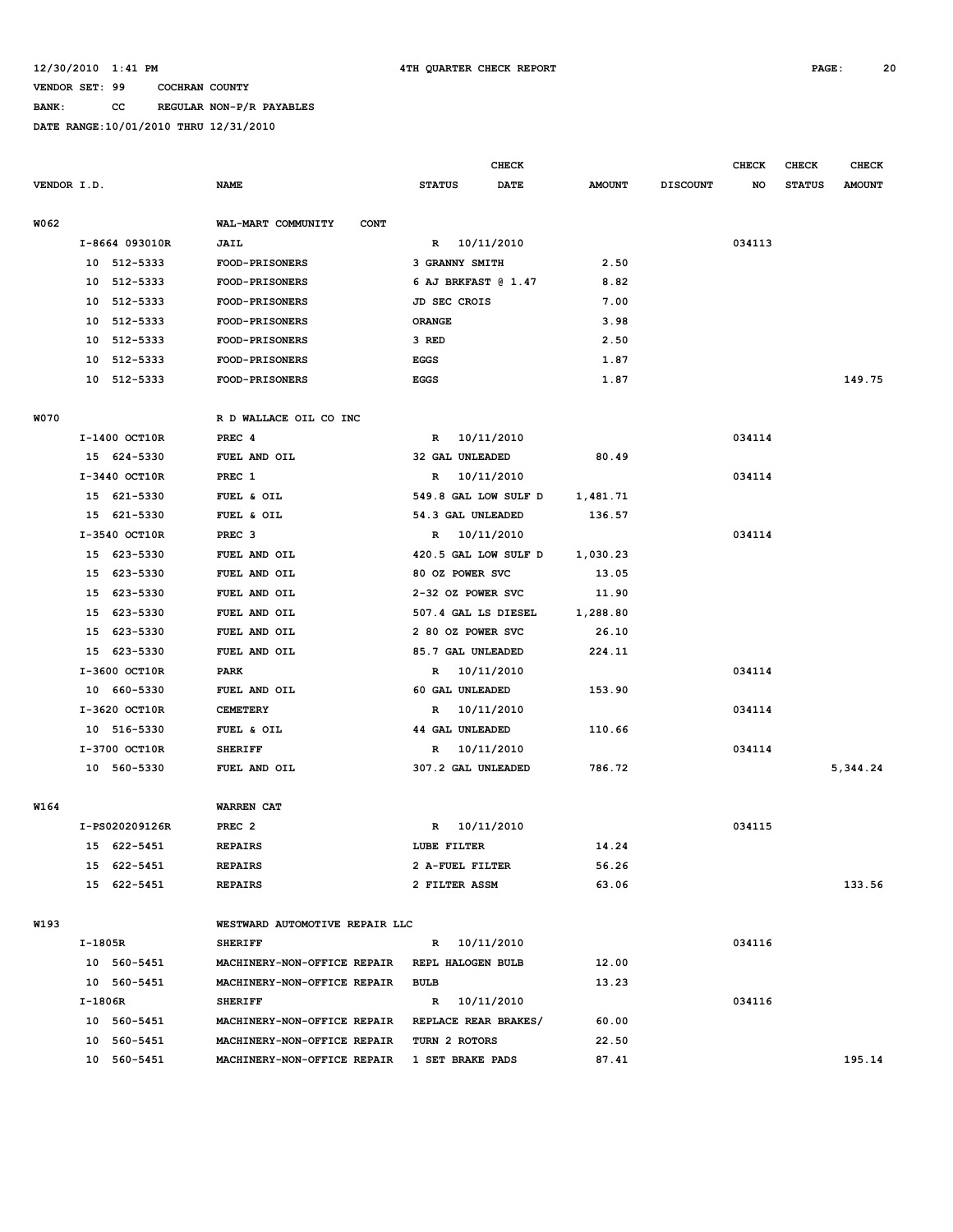## **BANK: CC REGULAR NON-P/R PAYABLES**

|             |         |                |                                              |                        | <b>CHECK</b> |               |                 | <b>CHECK</b> | <b>CHECK</b>  | <b>CHECK</b>  |
|-------------|---------|----------------|----------------------------------------------|------------------------|--------------|---------------|-----------------|--------------|---------------|---------------|
| VENDOR I.D. |         |                | <b>NAME</b>                                  | <b>STATUS</b>          | <b>DATE</b>  | <b>AMOUNT</b> | <b>DISCOUNT</b> | NO           | <b>STATUS</b> | <b>AMOUNT</b> |
| W062        |         |                | WAL-MART COMMUNITY<br><b>CONT</b>            |                        |              |               |                 |              |               |               |
|             |         | I-8664 093010R | <b>JAIL</b>                                  | R 10/11/2010           |              |               |                 | 034113       |               |               |
|             |         | 10 512-5333    | <b>FOOD-PRISONERS</b>                        | 3 GRANNY SMITH         |              | 2.50          |                 |              |               |               |
|             | 10      | 512-5333       | <b>FOOD-PRISONERS</b>                        | 6 AJ BRKFAST @ 1.47    |              | 8.82          |                 |              |               |               |
|             | 10      | 512-5333       | FOOD-PRISONERS                               | JD SEC CROIS           |              | 7.00          |                 |              |               |               |
|             | 10      | 512-5333       | <b>FOOD-PRISONERS</b>                        | <b>ORANGE</b>          |              | 3.98          |                 |              |               |               |
|             | 10      | 512-5333       | <b>FOOD-PRISONERS</b>                        | 3 RED                  |              | 2.50          |                 |              |               |               |
|             | 10      | 512-5333       | <b>FOOD-PRISONERS</b>                        | <b>EGGS</b>            |              | 1.87          |                 |              |               |               |
|             |         | 10 512-5333    | <b>FOOD-PRISONERS</b>                        | <b>EGGS</b>            |              | 1.87          |                 |              |               | 149.75        |
| <b>W070</b> |         |                | R D WALLACE OIL CO INC                       |                        |              |               |                 |              |               |               |
|             |         | I-1400 OCT10R  | PREC 4                                       | R                      | 10/11/2010   |               |                 | 034114       |               |               |
|             |         | 15 624-5330    | FUEL AND OIL                                 | 32 GAL UNLEADED        |              | 80.49         |                 |              |               |               |
|             |         | I-3440 OCT10R  | PREC 1                                       | R                      | 10/11/2010   |               |                 | 034114       |               |               |
|             | 15      | 621-5330       | FUEL & OIL                                   | 549.8 GAL LOW SULF D   |              | 1,481.71      |                 |              |               |               |
|             | 15      | 621-5330       | FUEL & OIL                                   | 54.3 GAL UNLEADED      |              | 136.57        |                 |              |               |               |
|             |         | I-3540 OCT10R  | PREC <sub>3</sub>                            | R                      | 10/11/2010   |               |                 | 034114       |               |               |
|             | 15      | 623-5330       | FUEL AND OIL                                 | 420.5 GAL LOW SULF D   |              | 1,030.23      |                 |              |               |               |
|             | 15      | 623-5330       | FUEL AND OIL                                 | 80 OZ POWER SVC        |              | 13.05         |                 |              |               |               |
|             | 15      | 623-5330       | FUEL AND OIL                                 | 2-32 OZ POWER SVC      |              | 11.90         |                 |              |               |               |
|             | 15      | 623-5330       | FUEL AND OIL                                 | 507.4 GAL LS DIESEL    |              | 1,288.80      |                 |              |               |               |
|             | 15      | 623-5330       | FUEL AND OIL                                 | 2 80 OZ POWER SVC      |              | 26.10         |                 |              |               |               |
|             | 15      | 623-5330       | FUEL AND OIL                                 | 85.7 GAL UNLEADED      |              | 224.11        |                 |              |               |               |
|             |         | I-3600 OCT10R  | PARK                                         | 10/11/2010<br>R        |              |               |                 | 034114       |               |               |
|             |         | 10 660-5330    | FUEL AND OIL                                 | 60 GAL UNLEADED        |              | 153.90        |                 |              |               |               |
|             |         | I-3620 OCT10R  | <b>CEMETERY</b>                              | R                      | 10/11/2010   |               |                 | 034114       |               |               |
|             |         | 10 516-5330    | FUEL & OIL                                   | <b>44 GAL UNLEADED</b> |              | 110.66        |                 |              |               |               |
|             |         | I-3700 OCT10R  | <b>SHERIFF</b>                               | $\mathbb{R}$           | 10/11/2010   |               |                 | 034114       |               |               |
|             |         | 10 560-5330    | FUEL AND OIL                                 | 307.2 GAL UNLEADED     |              | 786.72        |                 |              |               | 5,344.24      |
|             |         |                |                                              |                        |              |               |                 |              |               |               |
| W164        |         |                | <b>WARREN CAT</b>                            |                        |              |               |                 |              |               |               |
|             |         | I-PS020209126R | PREC <sub>2</sub>                            | R                      | 10/11/2010   |               |                 | 034115       |               |               |
|             |         | 15 622-5451    | <b>REPAIRS</b>                               | LUBE FILTER            |              | 14.24         |                 |              |               |               |
|             |         | 15 622-5451    | <b>REPAIRS</b>                               | 2 A-FUEL FILTER        |              | 56.26         |                 |              |               |               |
|             |         | 15 622-5451    | <b>REPAIRS</b>                               | 2 FILTER ASSM          |              | 63.06         |                 |              |               | 133.56        |
| W193        |         |                | WESTWARD AUTOMOTIVE REPAIR LLC               |                        |              |               |                 |              |               |               |
|             | I-1805R |                | <b>SHERIFF</b>                               | R 10/11/2010           |              |               |                 | 034116       |               |               |
|             |         | 10 560-5451    | MACHINERY-NON-OFFICE REPAIR                  | REPL HALOGEN BULB      |              | 12.00         |                 |              |               |               |
|             |         | 10 560-5451    | MACHINERY-NON-OFFICE REPAIR                  | <b>BULB</b>            |              | 13.23         |                 |              |               |               |
|             | I-1806R |                | <b>SHERIFF</b>                               | R 10/11/2010           |              |               |                 | 034116       |               |               |
|             |         | 10 560-5451    | MACHINERY-NON-OFFICE REPAIR                  | REPLACE REAR BRAKES/   |              | 60.00         |                 |              |               |               |
|             |         | 10 560-5451    | MACHINERY-NON-OFFICE REPAIR                  | TURN 2 ROTORS          |              | 22.50         |                 |              |               |               |
|             |         | 10 560-5451    | MACHINERY-NON-OFFICE REPAIR 1 SET BRAKE PADS |                        |              | 87.41         |                 |              |               | 195.14        |
|             |         |                |                                              |                        |              |               |                 |              |               |               |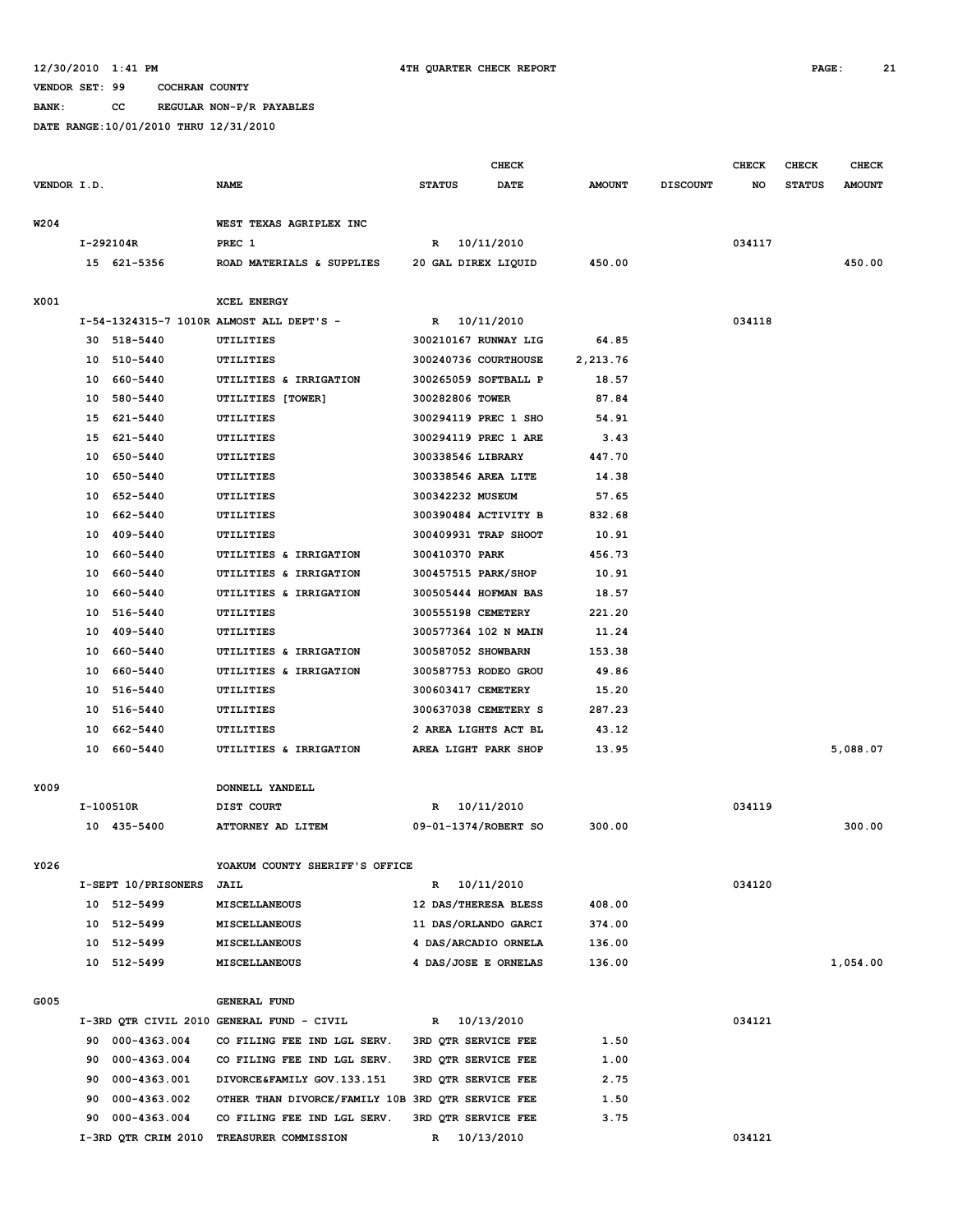**BANK: CC REGULAR NON-P/R PAYABLES**

|             |    |                     |                                                         | <b>CHECK</b>         |                      |               |                 | <b>CHECK</b> | <b>CHECK</b>  | <b>CHECK</b>  |
|-------------|----|---------------------|---------------------------------------------------------|----------------------|----------------------|---------------|-----------------|--------------|---------------|---------------|
| VENDOR I.D. |    |                     | <b>NAME</b>                                             | <b>STATUS</b>        | <b>DATE</b>          | <b>AMOUNT</b> | <b>DISCOUNT</b> | NO           | <b>STATUS</b> | <b>AMOUNT</b> |
|             |    |                     |                                                         |                      |                      |               |                 |              |               |               |
| W204        |    |                     | WEST TEXAS AGRIPLEX INC                                 |                      |                      |               |                 |              |               |               |
|             |    | I-292104R           | PREC 1                                                  | R                    | 10/11/2010           |               |                 | 034117       |               |               |
|             |    | 15 621-5356         | ROAD MATERIALS & SUPPLIES                               | 20 GAL DIREX LIQUID  |                      | 450.00        |                 |              |               | 450.00        |
|             |    |                     |                                                         |                      |                      |               |                 |              |               |               |
| X001        |    |                     | XCEL ENERGY<br>I-54-1324315-7 1010R ALMOST ALL DEPT'S - | R                    | 10/11/2010           |               |                 | 034118       |               |               |
|             |    | 30 518-5440         | UTILITIES                                               |                      | 300210167 RUNWAY LIG | 64.85         |                 |              |               |               |
|             |    | 10 510-5440         | UTILITIES                                               |                      | 300240736 COURTHOUSE | 2,213.76      |                 |              |               |               |
|             | 10 | 660-5440            | UTILITIES & IRRIGATION                                  | 300265059 SOFTBALL P |                      | 18.57         |                 |              |               |               |
|             | 10 | 580-5440            | UTILITIES [TOWER]                                       | 300282806 TOWER      |                      | 87.84         |                 |              |               |               |
|             | 15 | 621-5440            | UTILITIES                                               |                      | 300294119 PREC 1 SHO | 54.91         |                 |              |               |               |
|             | 15 | 621-5440            | UTILITIES                                               |                      | 300294119 PREC 1 ARE | 3.43          |                 |              |               |               |
|             | 10 | 650-5440            | UTILITIES                                               | 300338546 LIBRARY    |                      | 447.70        |                 |              |               |               |
|             | 10 | 650-5440            | UTILITIES                                               | 300338546 AREA LITE  |                      | 14.38         |                 |              |               |               |
|             | 10 | 652-5440            | UTILITIES                                               | 300342232 MUSEUM     |                      | 57.65         |                 |              |               |               |
|             | 10 | 662-5440            | UTILITIES                                               |                      | 300390484 ACTIVITY B | 832.68        |                 |              |               |               |
|             | 10 | 409-5440            | UTILITIES                                               |                      | 300409931 TRAP SHOOT | 10.91         |                 |              |               |               |
|             | 10 | 660-5440            | UTILITIES & IRRIGATION                                  | 300410370 PARK       |                      | 456.73        |                 |              |               |               |
|             | 10 | 660-5440            | UTILITIES & IRRIGATION                                  | 300457515 PARK/SHOP  |                      | 10.91         |                 |              |               |               |
|             | 10 | 660-5440            | UTILITIES & IRRIGATION                                  |                      | 300505444 HOFMAN BAS | 18.57         |                 |              |               |               |
|             | 10 | 516-5440            | UTILITIES                                               | 300555198 CEMETERY   |                      | 221.20        |                 |              |               |               |
|             | 10 | 409-5440            | UTILITIES                                               | 300577364 102 N MAIN |                      | 11.24         |                 |              |               |               |
|             | 10 | 660-5440            | UTILITIES & IRRIGATION                                  | 300587052 SHOWBARN   |                      | 153.38        |                 |              |               |               |
|             | 10 | 660-5440            | UTILITIES & IRRIGATION                                  | 300587753 RODEO GROU |                      | 49.86         |                 |              |               |               |
|             | 10 | 516-5440            | UTILITIES                                               | 300603417 CEMETERY   |                      | 15.20         |                 |              |               |               |
|             |    | 10 516-5440         | UTILITIES                                               | 300637038 CEMETERY S |                      | 287.23        |                 |              |               |               |
|             | 10 | 662-5440            | UTILITIES                                               | 2 AREA LIGHTS ACT BL |                      | 43.12         |                 |              |               |               |
|             | 10 | 660-5440            | UTILITIES & IRRIGATION                                  |                      | AREA LIGHT PARK SHOP | 13.95         |                 |              |               | 5,088.07      |
|             |    |                     |                                                         |                      |                      |               |                 |              |               |               |
| Y009        |    |                     | DONNELL YANDELL                                         |                      |                      |               |                 |              |               |               |
|             |    | I-100510R           | DIST COURT                                              | R                    | 10/11/2010           |               |                 | 034119       |               |               |
|             |    | 10 435-5400         | ATTORNEY AD LITEM                                       |                      | 09-01-1374/ROBERT SO | 300.00        |                 |              |               | 300.00        |
|             |    |                     |                                                         |                      |                      |               |                 |              |               |               |
| Y026        |    |                     | YOAKUM COUNTY SHERIFF'S OFFICE                          |                      |                      |               |                 |              |               |               |
|             |    | I-SEPT 10/PRISONERS | <b>JAIL</b>                                             |                      | R 10/11/2010         |               |                 | 034120       |               |               |
|             |    | 10 512-5499         | <b>MISCELLANEOUS</b>                                    |                      | 12 DAS/THERESA BLESS | 408.00        |                 |              |               |               |
|             |    | 10 512-5499         | MISCELLANEOUS                                           |                      | 11 DAS/ORLANDO GARCI | 374.00        |                 |              |               |               |
|             |    | 10 512-5499         | MISCELLANEOUS                                           |                      | 4 DAS/ARCADIO ORNELA | 136.00        |                 |              |               |               |
|             |    | 10 512-5499         | MISCELLANEOUS                                           |                      | 4 DAS/JOSE E ORNELAS | 136.00        |                 |              |               | 1,054.00      |
| G005        |    |                     | GENERAL FUND                                            |                      |                      |               |                 |              |               |               |
|             |    |                     | I-3RD QTR CIVIL 2010 GENERAL FUND - CIVIL               | R 10/13/2010         |                      |               |                 | 034121       |               |               |
|             |    | 90 000-4363.004     | CO FILING FEE IND LGL SERV.                             | 3RD OTR SERVICE FEE  |                      | 1.50          |                 |              |               |               |
|             |    | 90 000-4363.004     | CO FILING FEE IND LGL SERV.                             | 3RD QTR SERVICE FEE  |                      | 1.00          |                 |              |               |               |
|             | 90 | 000-4363.001        | DIVORCE&FAMILY GOV.133.151                              | 3RD QTR SERVICE FEE  |                      | 2.75          |                 |              |               |               |
|             | 90 | 000-4363.002        | OTHER THAN DIVORCE/FAMILY 10B 3RD QTR SERVICE FEE       |                      |                      | 1.50          |                 |              |               |               |
|             | 90 | 000-4363.004        | CO FILING FEE IND LGL SERV.                             | 3RD QTR SERVICE FEE  |                      | 3.75          |                 |              |               |               |
|             |    | I-3RD QTR CRIM 2010 | TREASURER COMMISSION                                    | R 10/13/2010         |                      |               |                 | 034121       |               |               |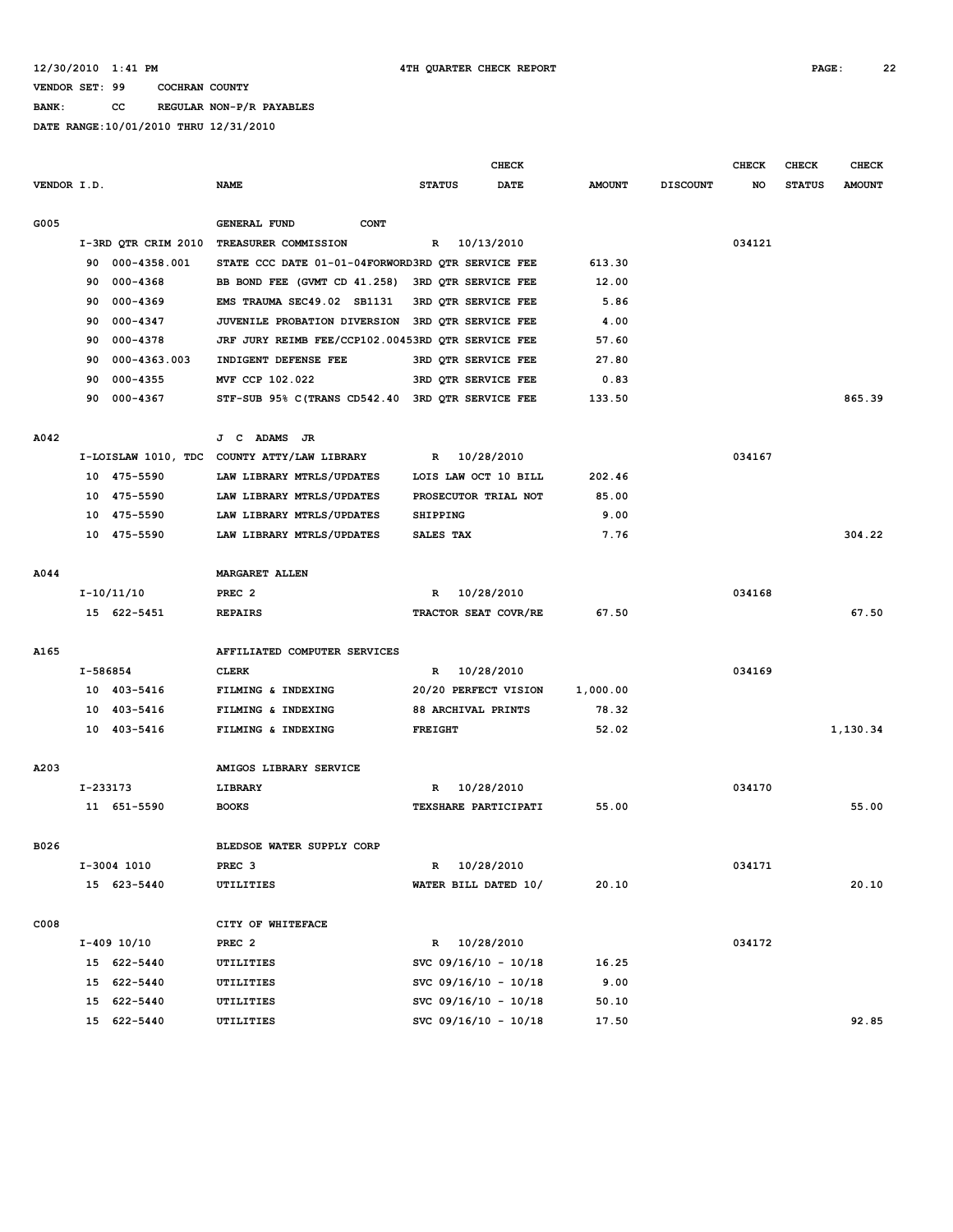**BANK: CC REGULAR NON-P/R PAYABLES**

|             |          |                     |                                                   |                     | <b>CHECK</b>           |               |                 | <b>CHECK</b> | CHECK         | <b>CHECK</b>  |
|-------------|----------|---------------------|---------------------------------------------------|---------------------|------------------------|---------------|-----------------|--------------|---------------|---------------|
| VENDOR I.D. |          |                     | <b>NAME</b>                                       | <b>STATUS</b>       | <b>DATE</b>            | <b>AMOUNT</b> | <b>DISCOUNT</b> | NO           | <b>STATUS</b> | <b>AMOUNT</b> |
| G005        |          |                     | <b>GENERAL FUND</b><br><b>CONT</b>                |                     |                        |               |                 |              |               |               |
|             |          | I-3RD QTR CRIM 2010 | TREASURER COMMISSION                              | R                   | 10/13/2010             |               |                 | 034121       |               |               |
|             | 90       | 000-4358.001        | STATE CCC DATE 01-01-04FORWORD3RD QTR SERVICE FEE |                     |                        | 613.30        |                 |              |               |               |
|             | 90       | 000-4368            | BB BOND FEE (GVMT CD 41.258)                      | 3RD QTR SERVICE FEE |                        | 12.00         |                 |              |               |               |
|             | 90       | 000-4369            | EMS TRAUMA SEC49.02 SB1131                        | 3RD QTR SERVICE FEE |                        | 5.86          |                 |              |               |               |
|             | 90       | $000 - 4347$        | JUVENILE PROBATION DIVERSION 3RD OTR SERVICE FEE  |                     |                        | 4.00          |                 |              |               |               |
|             | 90       | 000-4378            | JRF JURY REIMB FEE/CCP102.00453RD QTR SERVICE FEE |                     |                        | 57.60         |                 |              |               |               |
|             | 90       | 000-4363.003        | INDIGENT DEFENSE FEE                              | 3RD QTR SERVICE FEE |                        | 27.80         |                 |              |               |               |
|             | 90       | 000-4355            | MVF CCP 102.022                                   | 3RD QTR SERVICE FEE |                        | 0.83          |                 |              |               |               |
|             | 90       | 000-4367            | STF-SUB 95% C(TRANS CD542.40 3RD QTR SERVICE FEE  |                     |                        | 133.50        |                 |              |               | 865.39        |
| A042        |          |                     | J C ADAMS JR                                      |                     |                        |               |                 |              |               |               |
|             |          |                     | I-LOISLAW 1010, TDC COUNTY ATTY/LAW LIBRARY       | R                   | 10/28/2010             |               |                 | 034167       |               |               |
|             |          | 10 475-5590         | LAW LIBRARY MTRLS/UPDATES                         |                     | LOIS LAW OCT 10 BILL   | 202.46        |                 |              |               |               |
|             |          | 10 475-5590         | LAW LIBRARY MTRLS/UPDATES                         |                     | PROSECUTOR TRIAL NOT   | 85.00         |                 |              |               |               |
|             | 10       | 475-5590            | LAW LIBRARY MTRLS/UPDATES                         |                     |                        | 9.00          |                 |              |               |               |
|             |          | 10 475-5590         | LAW LIBRARY MTRLS/UPDATES                         | <b>SHIPPING</b>     |                        | 7.76          |                 |              |               | 304.22        |
|             |          |                     |                                                   | SALES TAX           |                        |               |                 |              |               |               |
| A044        |          |                     | <b>MARGARET ALLEN</b>                             |                     |                        |               |                 |              |               |               |
|             |          | I-10/11/10          | PREC <sub>2</sub>                                 | R                   | 10/28/2010             |               |                 | 034168       |               |               |
|             |          | 15 622-5451         | <b>REPAIRS</b>                                    |                     | TRACTOR SEAT COVR/RE   | 67.50         |                 |              |               | 67.50         |
| A165        |          |                     | AFFILIATED COMPUTER SERVICES                      |                     |                        |               |                 |              |               |               |
|             | I-586854 |                     | <b>CLERK</b>                                      | R                   | 10/28/2010             |               |                 | 034169       |               |               |
|             |          | 10 403-5416         | FILMING & INDEXING                                |                     | 20/20 PERFECT VISION   | 1,000.00      |                 |              |               |               |
|             |          | 10 403-5416         | FILMING & INDEXING                                | 88 ARCHIVAL PRINTS  |                        | 78.32         |                 |              |               |               |
|             |          | 10 403-5416         | FILMING & INDEXING                                | <b>FREIGHT</b>      |                        | 52.02         |                 |              |               | 1,130.34      |
| A203        |          |                     | AMIGOS LIBRARY SERVICE                            |                     |                        |               |                 |              |               |               |
|             | I-233173 |                     | LIBRARY                                           | R                   | 10/28/2010             |               |                 | 034170       |               |               |
|             |          | 11 651-5590         | <b>BOOKS</b>                                      |                     | TEXSHARE PARTICIPATI   | 55.00         |                 |              |               | 55.00         |
| B026        |          |                     | BLEDSOE WATER SUPPLY CORP                         |                     |                        |               |                 |              |               |               |
|             |          | I-3004 1010         | PREC <sub>3</sub>                                 |                     | R 10/28/2010           |               |                 | 034171       |               |               |
|             |          | 15 623-5440         | <b>UTILITIES</b>                                  |                     | WATER BILL DATED 10/   | 20.10         |                 |              |               | 20.10         |
| C008        |          |                     | CITY OF WHITEFACE                                 |                     |                        |               |                 |              |               |               |
|             |          | I-409 10/10         | PREC <sub>2</sub>                                 |                     | R 10/28/2010           |               |                 | 034172       |               |               |
|             |          | 15 622-5440         | UTILITIES                                         |                     | SVC $09/16/10 - 10/18$ | 16.25         |                 |              |               |               |
|             |          | 15 622-5440         | UTILITIES                                         |                     | SVC 09/16/10 - 10/18   | 9.00          |                 |              |               |               |
|             |          | 15 622-5440         | UTILITIES                                         |                     | SVC 09/16/10 - 10/18   | 50.10         |                 |              |               |               |
|             |          | 15 622-5440         | UTILITIES                                         |                     | SVC 09/16/10 - 10/18   | 17.50         |                 |              |               | 92.85         |
|             |          |                     |                                                   |                     |                        |               |                 |              |               |               |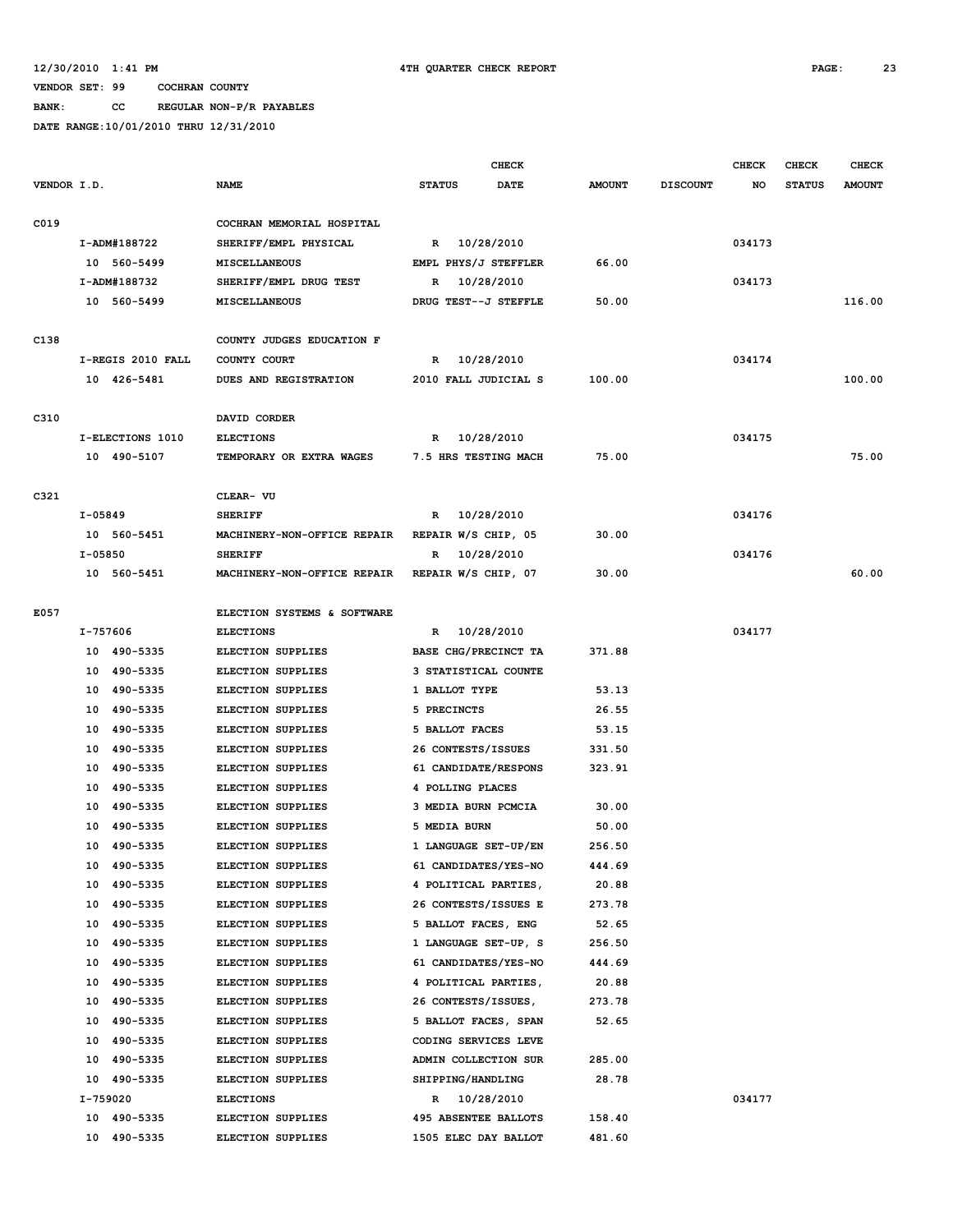### **BANK: CC REGULAR NON-P/R PAYABLES**

|             |                   |                                                 |                             | CHECK       |               |                 | <b>CHECK</b> | <b>CHECK</b>  | <b>CHECK</b>  |
|-------------|-------------------|-------------------------------------------------|-----------------------------|-------------|---------------|-----------------|--------------|---------------|---------------|
| VENDOR I.D. |                   | <b>NAME</b>                                     | <b>STATUS</b>               | <b>DATE</b> | <b>AMOUNT</b> | <b>DISCOUNT</b> | NO           | <b>STATUS</b> | <b>AMOUNT</b> |
| C019        |                   | COCHRAN MEMORIAL HOSPITAL                       |                             |             |               |                 |              |               |               |
|             | I-ADM#188722      | SHERIFF/EMPL PHYSICAL                           | R 10/28/2010                |             |               |                 | 034173       |               |               |
|             | 10 560-5499       | <b>MISCELLANEOUS</b>                            | EMPL PHYS/J STEFFLER        |             | 66.00         |                 |              |               |               |
|             | I-ADM#188732      | SHERIFF/EMPL DRUG TEST                          | R                           | 10/28/2010  |               |                 | 034173       |               |               |
|             | 10 560-5499       | MISCELLANEOUS                                   | DRUG TEST--J STEFFLE        |             | 50.00         |                 |              |               | 116.00        |
|             |                   |                                                 |                             |             |               |                 |              |               |               |
| C138        |                   | COUNTY JUDGES EDUCATION F                       |                             |             |               |                 |              |               |               |
|             | I-REGIS 2010 FALL | COUNTY COURT                                    | R 10/28/2010                |             |               |                 | 034174       |               |               |
|             | 10 426-5481       | DUES AND REGISTRATION                           | 2010 FALL JUDICIAL S        |             | 100.00        |                 |              |               | 100.00        |
| C310        |                   | DAVID CORDER                                    |                             |             |               |                 |              |               |               |
|             | I-ELECTIONS 1010  | <b>ELECTIONS</b>                                | 10/28/2010<br>R             |             |               |                 | 034175       |               |               |
|             | 10 490-5107       | TEMPORARY OR EXTRA WAGES                        | 7.5 HRS TESTING MACH        |             | 75.00         |                 |              |               | 75.00         |
|             |                   |                                                 |                             |             |               |                 |              |               |               |
| C321        |                   | CLEAR- VU                                       |                             |             |               |                 |              |               |               |
|             | I-05849           | <b>SHERIFF</b>                                  | $\mathbb{R}$                | 10/28/2010  |               |                 | 034176       |               |               |
|             | 10 560-5451       | MACHINERY-NON-OFFICE REPAIR                     | REPAIR W/S CHIP, 05         |             | 30.00         |                 |              |               |               |
|             | I-05850           | <b>SHERIFF</b>                                  | R                           | 10/28/2010  |               |                 | 034176       |               |               |
|             | 10 560-5451       | MACHINERY-NON-OFFICE REPAIR REPAIR W/S CHIP, 07 |                             |             | 30.00         |                 |              |               | 60.00         |
| E057        |                   | ELECTION SYSTEMS & SOFTWARE                     |                             |             |               |                 |              |               |               |
|             | I-757606          | <b>ELECTIONS</b>                                | R 10/28/2010                |             |               |                 | 034177       |               |               |
|             | 10 490-5335       | <b>ELECTION SUPPLIES</b>                        | BASE CHG/PRECINCT TA        |             | 371.88        |                 |              |               |               |
|             | 10 490-5335       | <b>ELECTION SUPPLIES</b>                        | 3 STATISTICAL COUNTE        |             |               |                 |              |               |               |
|             | 10 490-5335       | <b>ELECTION SUPPLIES</b>                        | 1 BALLOT TYPE               |             | 53.13         |                 |              |               |               |
|             | 10 490-5335       | ELECTION SUPPLIES                               | 5 PRECINCTS                 |             | 26.55         |                 |              |               |               |
|             | 10<br>490-5335    | ELECTION SUPPLIES                               | 5 BALLOT FACES              |             | 53.15         |                 |              |               |               |
|             | 490-5335<br>10    | ELECTION SUPPLIES                               | 26 CONTESTS/ISSUES          |             | 331.50        |                 |              |               |               |
|             | 490-5335<br>10    | <b>ELECTION SUPPLIES</b>                        | 61 CANDIDATE/RESPONS        |             | 323.91        |                 |              |               |               |
|             | 490-5335<br>10    | <b>ELECTION SUPPLIES</b>                        | 4 POLLING PLACES            |             |               |                 |              |               |               |
|             | 490-5335<br>10    | ELECTION SUPPLIES                               | 3 MEDIA BURN PCMCIA         |             | 30.00         |                 |              |               |               |
|             | 490-5335<br>10    | ELECTION SUPPLIES                               | 5 MEDIA BURN                |             | 50.00         |                 |              |               |               |
|             | 10 490-5335       | ELECTION SUPPLIES                               | 1 LANGUAGE SET-UP/EN        |             | 256.50        |                 |              |               |               |
|             | 490-5335<br>10    | <b>ELECTION SUPPLIES</b>                        | 61 CANDIDATES/YES-NO        |             | 444.69        |                 |              |               |               |
|             | 490-5335<br>10    | ELECTION SUPPLIES                               | 4 POLITICAL PARTIES,        |             | 20.88         |                 |              |               |               |
|             | 490-5335<br>10    | ELECTION SUPPLIES                               | 26 CONTESTS/ISSUES E        |             | 273.78        |                 |              |               |               |
|             | 10 490-5335       | ELECTION SUPPLIES                               | 5 BALLOT FACES, ENG         |             | 52.65         |                 |              |               |               |
|             | 10 490-5335       | <b>ELECTION SUPPLIES</b>                        | 1 LANGUAGE SET-UP, S        |             | 256.50        |                 |              |               |               |
|             | 490-5335<br>10    | ELECTION SUPPLIES                               | 61 CANDIDATES/YES-NO        |             | 444.69        |                 |              |               |               |
|             | 490-5335<br>10    | ELECTION SUPPLIES                               | 4 POLITICAL PARTIES,        |             | 20.88         |                 |              |               |               |
|             | 490-5335<br>10    | <b>ELECTION SUPPLIES</b>                        | 26 CONTESTS/ISSUES,         |             | 273.78        |                 |              |               |               |
|             | 490-5335<br>10    | <b>ELECTION SUPPLIES</b>                        | 5 BALLOT FACES, SPAN        |             | 52.65         |                 |              |               |               |
|             | 10 490-5335       | ELECTION SUPPLIES                               | CODING SERVICES LEVE        |             |               |                 |              |               |               |
|             | 10 490-5335       | ELECTION SUPPLIES                               | ADMIN COLLECTION SUR        |             | 285.00        |                 |              |               |               |
|             | 10 490-5335       | ELECTION SUPPLIES                               | SHIPPING/HANDLING           |             | 28.78         |                 |              |               |               |
|             | I-759020          | <b>ELECTIONS</b>                                | R 10/28/2010                |             |               |                 | 034177       |               |               |
|             | 10 490-5335       | <b>ELECTION SUPPLIES</b>                        | <b>495 ABSENTEE BALLOTS</b> |             | 158.40        |                 |              |               |               |
|             | 10 490-5335       | <b>ELECTION SUPPLIES</b>                        | 1505 ELEC DAY BALLOT        |             | 481.60        |                 |              |               |               |
|             |                   |                                                 |                             |             |               |                 |              |               |               |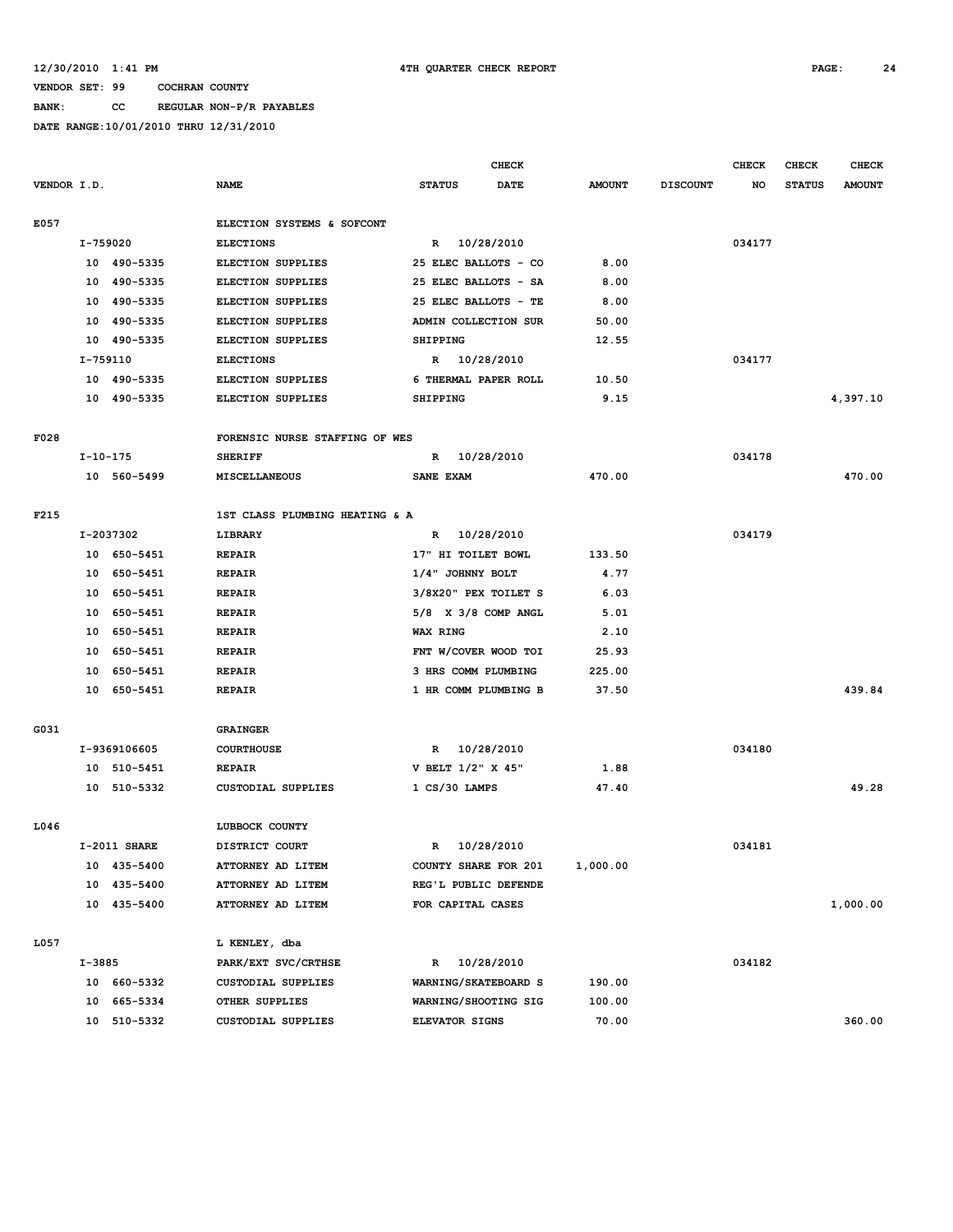## **BANK: CC REGULAR NON-P/R PAYABLES**

|             |                |                |                                      |                                 | <b>CHECK</b> |               |                 | <b>CHECK</b> | CHECK         | <b>CHECK</b>  |
|-------------|----------------|----------------|--------------------------------------|---------------------------------|--------------|---------------|-----------------|--------------|---------------|---------------|
| VENDOR I.D. |                |                | <b>NAME</b>                          | <b>STATUS</b>                   | <b>DATE</b>  | <b>AMOUNT</b> | <b>DISCOUNT</b> | NO           | <b>STATUS</b> | <b>AMOUNT</b> |
|             |                |                |                                      |                                 |              |               |                 |              |               |               |
| E057        |                |                | ELECTION SYSTEMS & SOFCONT           |                                 |              |               |                 |              |               |               |
|             | I-759020       |                | <b>ELECTIONS</b>                     | R 10/28/2010                    |              |               |                 | 034177       |               |               |
|             |                | 10 490-5335    | <b>ELECTION SUPPLIES</b>             | 25 ELEC BALLOTS - CO            |              | 8.00          |                 |              |               |               |
|             |                | 10 490-5335    | ELECTION SUPPLIES                    | 25 ELEC BALLOTS - SA            |              | 8.00          |                 |              |               |               |
|             |                | 10 490-5335    | ELECTION SUPPLIES                    | 25 ELEC BALLOTS - TE            |              | 8.00          |                 |              |               |               |
|             |                | 10 490-5335    | <b>ELECTION SUPPLIES</b>             | ADMIN COLLECTION SUR            |              | 50.00         |                 |              |               |               |
|             |                | 10 490-5335    | <b>ELECTION SUPPLIES</b>             | <b>SHIPPING</b>                 |              | 12.55         |                 |              |               |               |
|             | I-759110       |                | <b>ELECTIONS</b>                     | R 10/28/2010                    |              |               |                 | 034177       |               |               |
|             |                | 10 490-5335    | <b>ELECTION SUPPLIES</b>             | 6 THERMAL PAPER ROLL            |              | 10.50         |                 |              |               |               |
|             |                | 10 490-5335    | ELECTION SUPPLIES                    | SHIPPING                        |              | 9.15          |                 |              |               | 4,397.10      |
| F028        |                |                | FORENSIC NURSE STAFFING OF WES       |                                 |              |               |                 |              |               |               |
|             | $I - 10 - 175$ |                | <b>SHERIFF</b>                       | R 10/28/2010                    |              |               |                 | 034178       |               |               |
|             |                | 10 560-5499    | MISCELLANEOUS                        | <b>SANE EXAM</b>                |              | 470.00        |                 |              |               | 470.00        |
| F215        |                |                | 1ST CLASS PLUMBING HEATING & A       |                                 |              |               |                 |              |               |               |
|             |                | I-2037302      | LIBRARY                              | R 10/28/2010                    |              |               |                 | 034179       |               |               |
|             |                | 10 650-5451    | <b>REPAIR</b>                        | 17" HI TOILET BOWL              |              | 133.50        |                 |              |               |               |
|             |                | 10 650-5451    | <b>REPAIR</b>                        | 1/4" JOHNNY BOLT                |              | 4.77          |                 |              |               |               |
|             |                | 10 650-5451    | <b>REPAIR</b>                        | 3/8X20" PEX TOILET S            |              | 6.03          |                 |              |               |               |
|             |                | 10 650-5451    | <b>REPAIR</b>                        | 5/8 X 3/8 COMP ANGL             |              | 5.01          |                 |              |               |               |
|             |                | 10 650-5451    | <b>REPAIR</b>                        | <b>WAX RING</b>                 |              | 2.10          |                 |              |               |               |
|             |                | 10 650-5451    | <b>REPAIR</b>                        | FNT W/COVER WOOD TOI            |              | 25.93         |                 |              |               |               |
|             | 10             | 650-5451       | <b>REPAIR</b>                        | 3 HRS COMM PLUMBING             |              | 225.00        |                 |              |               |               |
|             |                | 10 650-5451    | <b>REPAIR</b>                        | 1 HR COMM PLUMBING B            |              | 37.50         |                 |              |               | 439.84        |
|             |                |                |                                      |                                 |              |               |                 |              |               |               |
| G031        |                | I-9369106605   | <b>GRAINGER</b><br><b>COURTHOUSE</b> | R 10/28/2010                    |              |               |                 | 034180       |               |               |
|             |                | 10 510-5451    | <b>REPAIR</b>                        | V BELT 1/2" X 45"               |              | 1.88          |                 |              |               |               |
|             |                | 10 510-5332    | <b>CUSTODIAL SUPPLIES</b>            | $1 \text{ CS}/30 \text{ LAMPS}$ |              | 47.40         |                 |              |               | 49.28         |
|             |                |                |                                      |                                 |              |               |                 |              |               |               |
| L046        |                |                | LUBBOCK COUNTY                       |                                 |              |               |                 |              |               |               |
|             |                | $I-2011$ SHARE | DISTRICT COURT                       | R                               | 10/28/2010   |               |                 | 034181       |               |               |
|             |                | 10 435-5400    | ATTORNEY AD LITEM                    | COUNTY SHARE FOR 201            |              | 1,000.00      |                 |              |               |               |
|             |                | 10 435-5400    | ATTORNEY AD LITEM                    | REG'L PUBLIC DEFENDE            |              |               |                 |              |               |               |
|             |                | 10 435-5400    | ATTORNEY AD LITEM                    | FOR CAPITAL CASES               |              |               |                 |              |               | 1,000.00      |
| L057        |                |                | L KENLEY, dba                        |                                 |              |               |                 |              |               |               |
|             | I-3885         |                | PARK/EXT SVC/CRTHSE                  | R 10/28/2010                    |              |               |                 | 034182       |               |               |
|             |                | 10 660-5332    | CUSTODIAL SUPPLIES                   | WARNING/SKATEBOARD S            |              | 190.00        |                 |              |               |               |
|             | 10             | 665-5334       | OTHER SUPPLIES                       | WARNING/SHOOTING SIG            |              | 100.00        |                 |              |               |               |
|             | 10             | 510-5332       | CUSTODIAL SUPPLIES                   | ELEVATOR SIGNS                  |              | 70.00         |                 |              |               | 360.00        |
|             |                |                |                                      |                                 |              |               |                 |              |               |               |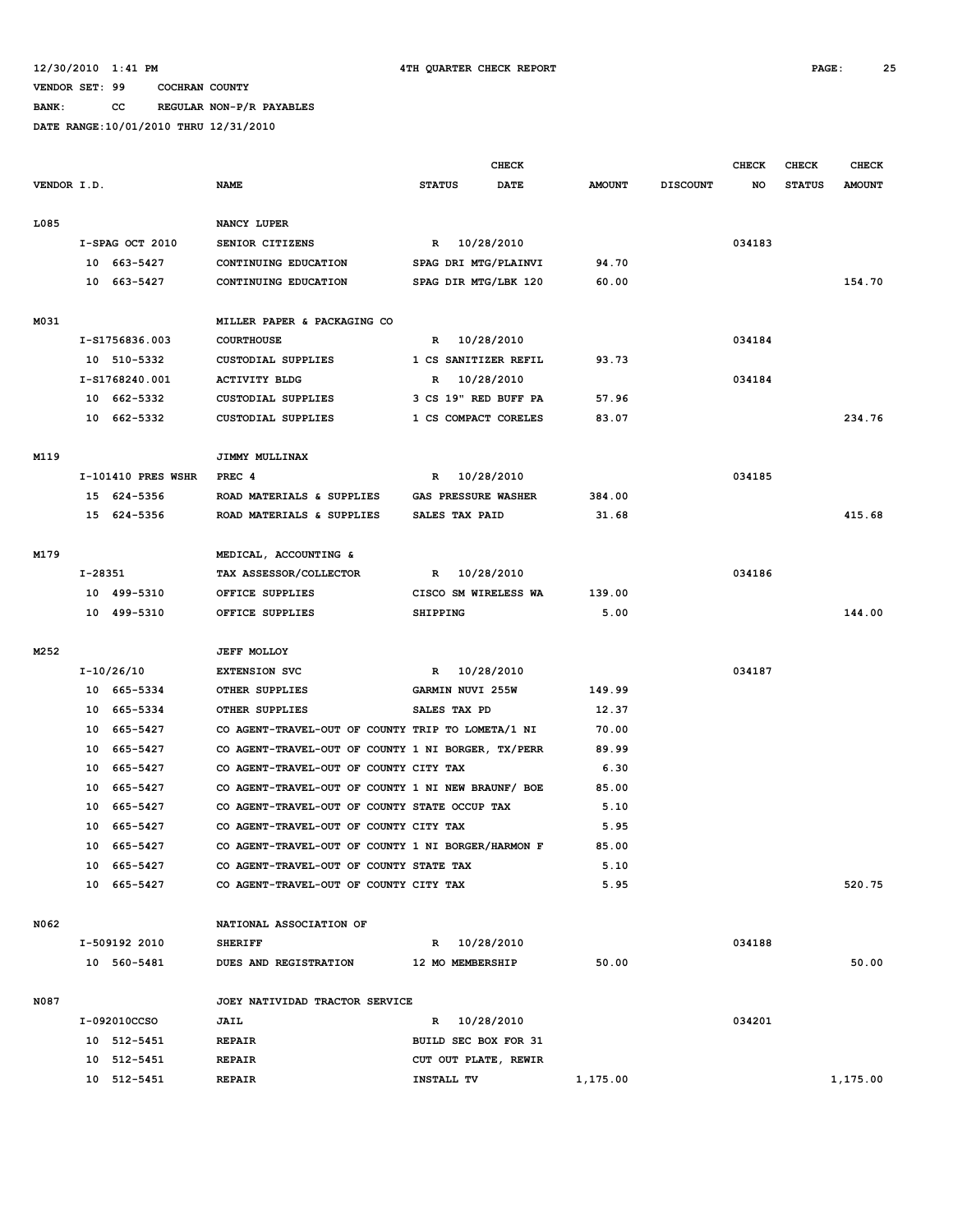**BANK: CC REGULAR NON-P/R PAYABLES**

|             |           |                    |                                                    |                            | <b>CHECK</b> |               |                 | <b>CHECK</b> | CHECK         | <b>CHECK</b>  |
|-------------|-----------|--------------------|----------------------------------------------------|----------------------------|--------------|---------------|-----------------|--------------|---------------|---------------|
| VENDOR I.D. |           |                    | <b>NAME</b>                                        | <b>STATUS</b>              | <b>DATE</b>  | <b>AMOUNT</b> | <b>DISCOUNT</b> | NO           | <b>STATUS</b> | <b>AMOUNT</b> |
|             |           |                    |                                                    |                            |              |               |                 |              |               |               |
| L085        |           |                    | NANCY LUPER                                        |                            |              |               |                 |              |               |               |
|             |           | I-SPAG OCT 2010    | SENIOR CITIZENS                                    | R 10/28/2010               |              |               |                 | 034183       |               |               |
|             |           | 10 663-5427        | CONTINUING EDUCATION                               | SPAG DRI MTG/PLAINVI       |              | 94.70         |                 |              |               |               |
|             |           | 10 663-5427        | CONTINUING EDUCATION                               | SPAG DIR MTG/LBK 120       |              | 60.00         |                 |              |               | 154.70        |
|             |           |                    |                                                    |                            |              |               |                 |              |               |               |
| M031        |           |                    | MILLER PAPER & PACKAGING CO                        |                            |              |               |                 |              |               |               |
|             |           | I-S1756836.003     | <b>COURTHOUSE</b>                                  | R 10/28/2010               |              |               |                 | 034184       |               |               |
|             |           | 10 510-5332        | <b>CUSTODIAL SUPPLIES</b>                          | 1 CS SANITIZER REFIL       |              | 93.73         |                 |              |               |               |
|             |           | I-S1768240.001     | <b>ACTIVITY BLDG</b>                               | R                          | 10/28/2010   |               |                 | 034184       |               |               |
|             |           | 10 662-5332        | <b>CUSTODIAL SUPPLIES</b>                          | 3 CS 19" RED BUFF PA       |              | 57.96         |                 |              |               |               |
|             |           | 10 662-5332        | CUSTODIAL SUPPLIES                                 | 1 CS COMPACT CORELES       |              | 83.07         |                 |              |               | 234.76        |
|             |           |                    |                                                    |                            |              |               |                 |              |               |               |
| M119        |           |                    | JIMMY MULLINAX                                     |                            |              |               |                 |              |               |               |
|             |           | I-101410 PRES WSHR | PREC 4                                             | R                          | 10/28/2010   |               |                 | 034185       |               |               |
|             |           | 15 624-5356        | ROAD MATERIALS & SUPPLIES                          | <b>GAS PRESSURE WASHER</b> |              | 384.00        |                 |              |               |               |
|             |           | 15 624-5356        | ROAD MATERIALS & SUPPLIES                          | SALES TAX PAID             |              | 31.68         |                 |              |               | 415.68        |
|             |           |                    |                                                    |                            |              |               |                 |              |               |               |
| M179        |           |                    | MEDICAL, ACCOUNTING &                              |                            |              |               |                 |              |               |               |
|             | $I-28351$ |                    | TAX ASSESSOR/COLLECTOR                             | R 10/28/2010               |              |               |                 | 034186       |               |               |
|             |           | 10 499-5310        | OFFICE SUPPLIES                                    | CISCO SM WIRELESS WA       |              | 139.00        |                 |              |               |               |
|             |           | 10 499-5310        | OFFICE SUPPLIES                                    | <b>SHIPPING</b>            |              | 5.00          |                 |              |               | 144.00        |
| M252        |           |                    | <b>JEFF MOLLOY</b>                                 |                            |              |               |                 |              |               |               |
|             |           | I-10/26/10         | <b>EXTENSION SVC</b>                               | R 10/28/2010               |              |               |                 | 034187       |               |               |
|             |           | 10 665-5334        | OTHER SUPPLIES                                     | GARMIN NUVI 255W           |              | 149.99        |                 |              |               |               |
|             |           | 10 665-5334        | OTHER SUPPLIES                                     | SALES TAX PD               |              | 12.37         |                 |              |               |               |
|             | 10        | 665–5427           | CO AGENT-TRAVEL-OUT OF COUNTY TRIP TO LOMETA/1 NI  |                            |              | 70.00         |                 |              |               |               |
|             | 10        | 665–5427           | CO AGENT-TRAVEL-OUT OF COUNTY 1 NI BORGER, TX/PERR |                            |              | 89.99         |                 |              |               |               |
|             | 10        | 665–5427           | CO AGENT-TRAVEL-OUT OF COUNTY CITY TAX             |                            |              | 6.30          |                 |              |               |               |
|             |           | 10 665-5427        | CO AGENT-TRAVEL-OUT OF COUNTY 1 NI NEW BRAUNF/ BOE |                            |              | 85.00         |                 |              |               |               |
|             | 10        | 665-5427           | CO AGENT-TRAVEL-OUT OF COUNTY STATE OCCUP TAX      |                            |              | 5.10          |                 |              |               |               |
|             | 10        | 665-5427           | CO AGENT-TRAVEL-OUT OF COUNTY CITY TAX             |                            |              | 5.95          |                 |              |               |               |
|             |           | 10 665-5427        | CO AGENT-TRAVEL-OUT OF COUNTY 1 NI BORGER/HARMON F |                            |              | 85.00         |                 |              |               |               |
|             |           | 10 665-5427        | CO AGENT-TRAVEL-OUT OF COUNTY STATE TAX            |                            |              | 5.10          |                 |              |               |               |
|             |           | 10 665-5427        | CO AGENT-TRAVEL-OUT OF COUNTY CITY TAX             |                            |              | 5.95          |                 |              |               | 520.75        |
|             |           |                    |                                                    |                            |              |               |                 |              |               |               |
| N062        |           |                    | NATIONAL ASSOCIATION OF                            |                            |              |               |                 |              |               |               |
|             |           | I-509192 2010      | <b>SHERIFF</b>                                     | R 10/28/2010               |              |               |                 | 034188       |               |               |
|             |           | 10 560-5481        | DUES AND REGISTRATION                              | 12 MO MEMBERSHIP           |              | 50.00         |                 |              |               | 50.00         |
|             |           |                    |                                                    |                            |              |               |                 |              |               |               |
| N087        |           |                    | JOEY NATIVIDAD TRACTOR SERVICE                     |                            |              |               |                 |              |               |               |
|             |           | I-092010CCSO       | JAIL                                               | R 10/28/2010               |              |               |                 | 034201       |               |               |
|             |           | 10 512-5451        | <b>REPAIR</b>                                      | BUILD SEC BOX FOR 31       |              |               |                 |              |               |               |
|             |           | 10 512-5451        | <b>REPAIR</b>                                      | CUT OUT PLATE, REWIR       |              |               |                 |              |               |               |
|             |           | 10 512-5451        | <b>REPAIR</b>                                      | INSTALL TV                 |              | 1,175.00      |                 |              |               | 1,175.00      |
|             |           |                    |                                                    |                            |              |               |                 |              |               |               |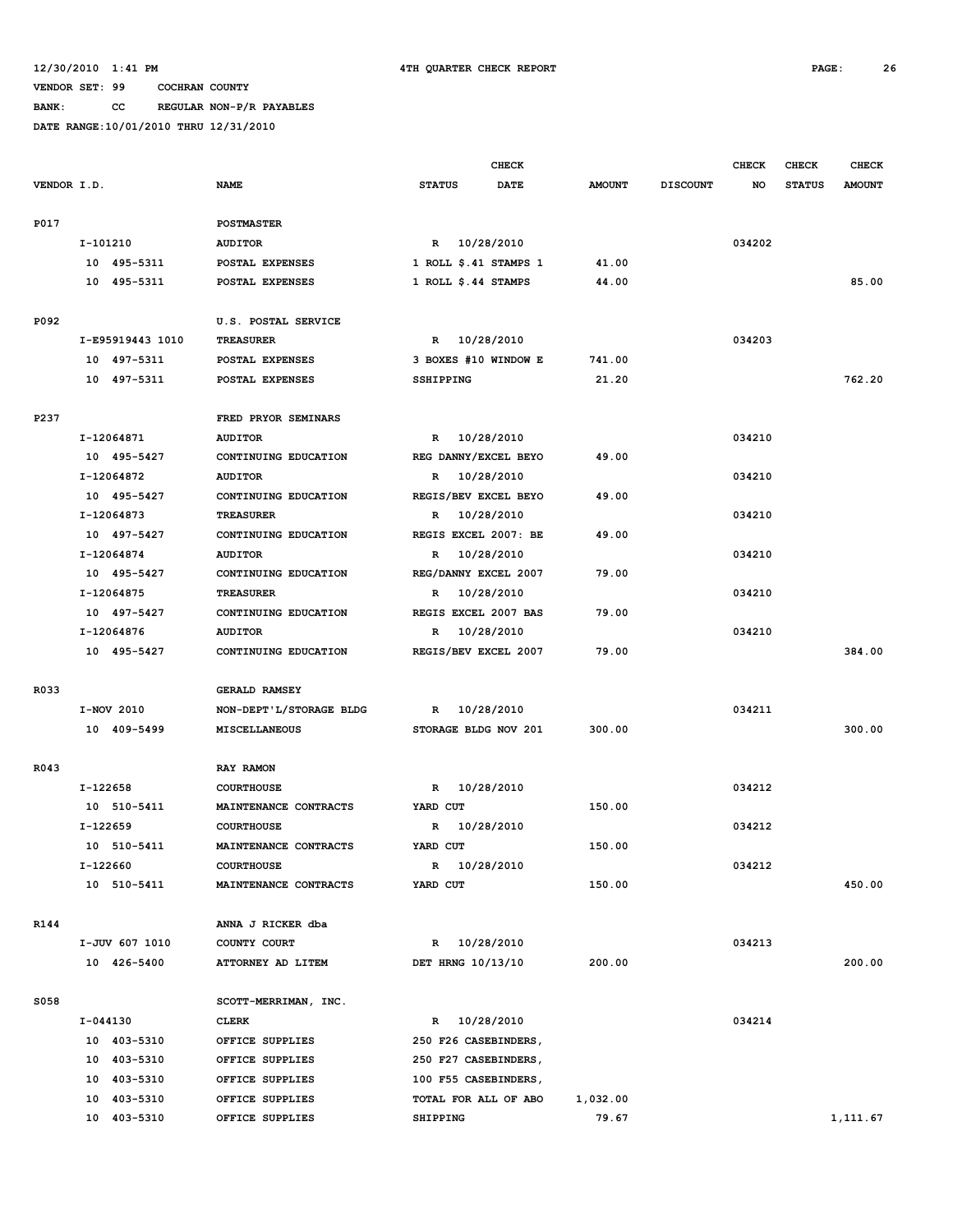**BANK: CC REGULAR NON-P/R PAYABLES**

|             |                  |                         | <b>CHECK</b>               |               |                 | <b>CHECK</b> | CHECK         | <b>CHECK</b>  |
|-------------|------------------|-------------------------|----------------------------|---------------|-----------------|--------------|---------------|---------------|
| VENDOR I.D. |                  | <b>NAME</b>             | <b>STATUS</b><br>DATE      | <b>AMOUNT</b> | <b>DISCOUNT</b> | NO           | <b>STATUS</b> | <b>AMOUNT</b> |
| P017        |                  | <b>POSTMASTER</b>       |                            |               |                 |              |               |               |
|             | I-101210         | <b>AUDITOR</b>          | R 10/28/2010               |               |                 | 034202       |               |               |
|             | 10 495-5311      | POSTAL EXPENSES         | 1 ROLL $$.41$ STAMPS 1     | 41.00         |                 |              |               |               |
|             | 10 495-5311      | POSTAL EXPENSES         | 1 ROLL $$.44$ STAMPS       | 44.00         |                 |              |               | 85.00         |
| P092        |                  | U.S. POSTAL SERVICE     |                            |               |                 |              |               |               |
|             | I-E95919443 1010 | <b>TREASURER</b>        | R 10/28/2010               |               |                 | 034203       |               |               |
|             | 10 497-5311      | POSTAL EXPENSES         | 3 BOXES #10 WINDOW E       | 741.00        |                 |              |               |               |
|             | 10 497-5311      | POSTAL EXPENSES         | SSHIPPING                  | 21.20         |                 |              |               | 762.20        |
|             |                  |                         |                            |               |                 |              |               |               |
| P237        |                  | FRED PRYOR SEMINARS     |                            |               |                 |              |               |               |
|             | I-12064871       | <b>AUDITOR</b>          | 10/28/2010<br>$\mathbb{R}$ |               |                 | 034210       |               |               |
|             | 10 495-5427      | CONTINUING EDUCATION    | REG DANNY/EXCEL BEYO       | 49.00         |                 |              |               |               |
|             | I-12064872       | <b>AUDITOR</b>          | 10/28/2010<br>R            |               |                 | 034210       |               |               |
|             | 10 495-5427      | CONTINUING EDUCATION    | REGIS/BEV EXCEL BEYO       | 49.00         |                 |              |               |               |
|             | I-12064873       | <b>TREASURER</b>        | 10/28/2010<br>R            |               |                 | 034210       |               |               |
|             | 10 497-5427      | CONTINUING EDUCATION    | REGIS EXCEL 2007: BE       | 49.00         |                 |              |               |               |
|             | I-12064874       | <b>AUDITOR</b>          | 10/28/2010<br>R            |               |                 | 034210       |               |               |
|             | 10 495-5427      | CONTINUING EDUCATION    | REG/DANNY EXCEL 2007       | 79.00         |                 |              |               |               |
|             | I-12064875       | <b>TREASURER</b>        | 10/28/2010<br>R            |               |                 | 034210       |               |               |
|             | 10 497-5427      | CONTINUING EDUCATION    | REGIS EXCEL 2007 BAS       | 79.00         |                 |              |               |               |
|             | I-12064876       | <b>AUDITOR</b>          | 10/28/2010<br>R            |               |                 | 034210       |               |               |
|             | 10 495-5427      | CONTINUING EDUCATION    | REGIS/BEV EXCEL 2007       | 79.00         |                 |              |               | 384.00        |
| R033        |                  | <b>GERALD RAMSEY</b>    |                            |               |                 |              |               |               |
|             | I-NOV 2010       | NON-DEPT'L/STORAGE BLDG | R 10/28/2010               |               |                 | 034211       |               |               |
|             | 10 409-5499      | <b>MISCELLANEOUS</b>    | STORAGE BLDG NOV 201       | 300.00        |                 |              |               | 300.00        |
|             |                  |                         |                            |               |                 |              |               |               |
| R043        |                  | RAY RAMON               |                            |               |                 |              |               |               |
|             | I-122658         | <b>COURTHOUSE</b>       | 10/28/2010<br>R            |               |                 | 034212       |               |               |
|             | 10 510-5411      | MAINTENANCE CONTRACTS   | YARD CUT                   | 150.00        |                 |              |               |               |
|             | $I-122659$       | <b>COURTHOUSE</b>       | 10/28/2010<br>R            |               |                 | 034212       |               |               |
|             | 10 510-5411      | MAINTENANCE CONTRACTS   | YARD CUT                   | 150.00        |                 |              |               |               |
|             | I-122660         | <b>COURTHOUSE</b>       | 10/28/2010<br>R            |               |                 | 034212       |               |               |
|             | 10 510-5411      | MAINTENANCE CONTRACTS   | YARD CUT                   | 150.00        |                 |              |               | 450.00        |
| R144        |                  | ANNA J RICKER dba       |                            |               |                 |              |               |               |
|             | I-JUV 607 1010   | COUNTY COURT            | R 10/28/2010               |               |                 | 034213       |               |               |
|             | 10 426-5400      | ATTORNEY AD LITEM       | DET HRNG 10/13/10          | 200.00        |                 |              |               | 200.00        |
| S058        |                  | SCOTT-MERRIMAN, INC.    |                            |               |                 |              |               |               |
|             | I-044130         | <b>CLERK</b>            | R 10/28/2010               |               |                 | 034214       |               |               |
|             | 10 403-5310      | OFFICE SUPPLIES         |                            |               |                 |              |               |               |
|             | 10 403-5310      |                         | 250 F26 CASEBINDERS,       |               |                 |              |               |               |
|             |                  | OFFICE SUPPLIES         | 250 F27 CASEBINDERS,       |               |                 |              |               |               |
|             | 10 403-5310      | OFFICE SUPPLIES         | 100 F55 CASEBINDERS,       |               |                 |              |               |               |
|             | 10 403-5310      | OFFICE SUPPLIES         | TOTAL FOR ALL OF ABO       | 1,032.00      |                 |              |               |               |
|             | 10 403-5310      | OFFICE SUPPLIES         | SHIPPING                   | 79.67         |                 |              |               | 1,111.67      |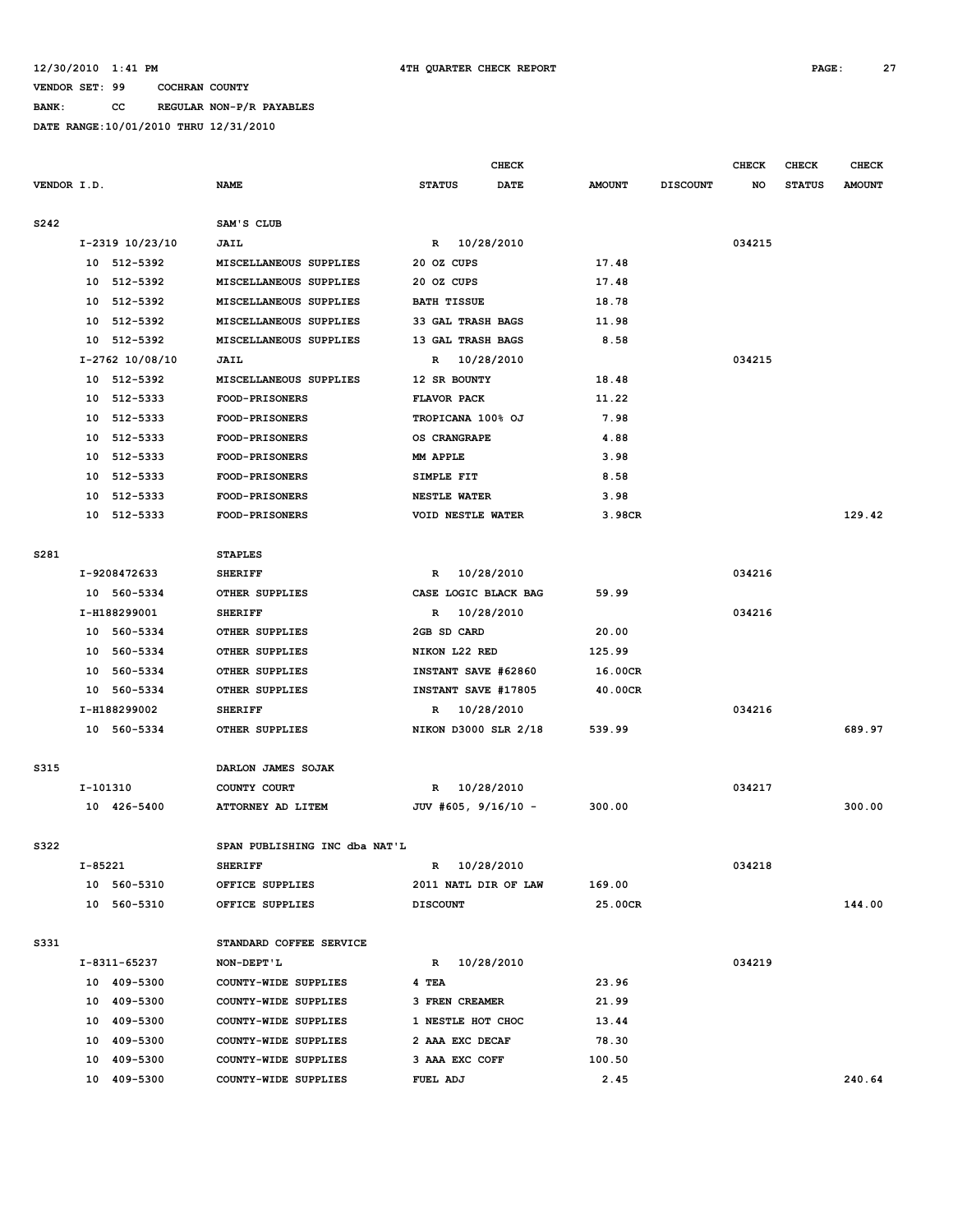**BANK: CC REGULAR NON-P/R PAYABLES**

|             |          |                             |                                    |                       | <b>CHECK</b> |               |                 | <b>CHECK</b> | <b>CHECK</b>  | <b>CHECK</b>  |
|-------------|----------|-----------------------------|------------------------------------|-----------------------|--------------|---------------|-----------------|--------------|---------------|---------------|
| VENDOR I.D. |          |                             | <b>NAME</b>                        | <b>STATUS</b>         | <b>DATE</b>  | <b>AMOUNT</b> | <b>DISCOUNT</b> | NO           | <b>STATUS</b> | <b>AMOUNT</b> |
| S242        |          |                             | SAM'S CLUB                         |                       |              |               |                 |              |               |               |
|             |          | I-2319 10/23/10             | <b>JAIL</b>                        | R 10/28/2010          |              |               |                 | 034215       |               |               |
|             |          | 10 512-5392                 | MISCELLANEOUS SUPPLIES             | 20 OZ CUPS            |              | 17.48         |                 |              |               |               |
|             |          | 10 512-5392                 | MISCELLANEOUS SUPPLIES             | 20 OZ CUPS            |              | 17.48         |                 |              |               |               |
|             | 10       | 512-5392                    | MISCELLANEOUS SUPPLIES             | <b>BATH TISSUE</b>    |              | 18.78         |                 |              |               |               |
|             | 10       | 512-5392                    | MISCELLANEOUS SUPPLIES             | 33 GAL TRASH BAGS     |              | 11.98         |                 |              |               |               |
|             |          | 10 512-5392                 | MISCELLANEOUS SUPPLIES             | 13 GAL TRASH BAGS     |              | 8.58          |                 |              |               |               |
|             |          | I-2762 10/08/10             | <b>JAIL</b>                        | R 10/28/2010          |              |               |                 | 034215       |               |               |
|             |          | 10 512-5392                 | MISCELLANEOUS SUPPLIES             | 12 SR BOUNTY          |              | 18.48         |                 |              |               |               |
|             |          | 10 512-5333                 | <b>FOOD-PRISONERS</b>              | FLAVOR PACK           |              | 11.22         |                 |              |               |               |
|             |          | 10 512-5333                 | <b>FOOD-PRISONERS</b>              | TROPICANA 100% OJ     |              | 7.98          |                 |              |               |               |
|             |          | 10 512-5333                 | <b>FOOD-PRISONERS</b>              | OS CRANGRAPE          |              | 4.88          |                 |              |               |               |
|             |          | 10 512-5333                 | FOOD-PRISONERS                     | MM APPLE              |              | 3.98          |                 |              |               |               |
|             |          | 10 512-5333                 | <b>FOOD-PRISONERS</b>              | SIMPLE FIT            |              | 8.58          |                 |              |               |               |
|             |          | 10 512-5333                 | <b>FOOD-PRISONERS</b>              | <b>NESTLE WATER</b>   |              | 3.98          |                 |              |               |               |
|             |          | 10 512-5333                 | <b>FOOD-PRISONERS</b>              | VOID NESTLE WATER     |              | 3.98CR        |                 |              |               | 129.42        |
| S281        |          |                             | <b>STAPLES</b>                     |                       |              |               |                 |              |               |               |
|             |          | I-9208472633                | <b>SHERIFF</b>                     | R 10/28/2010          |              |               |                 | 034216       |               |               |
|             |          | 10 560-5334                 | OTHER SUPPLIES                     | CASE LOGIC BLACK BAG  |              | 59.99         |                 |              |               |               |
|             |          | I-H188299001                | <b>SHERIFF</b>                     | R 10/28/2010          |              |               |                 | 034216       |               |               |
|             |          | 10 560-5334                 | OTHER SUPPLIES                     | 2GB SD CARD           |              | 20.00         |                 |              |               |               |
|             |          | 10 560-5334                 | OTHER SUPPLIES                     | NIKON L22 RED         |              | 125.99        |                 |              |               |               |
|             |          | 10 560-5334                 | OTHER SUPPLIES                     | INSTANT SAVE #62860   |              | 16.00CR       |                 |              |               |               |
|             |          | 10 560-5334                 | OTHER SUPPLIES                     | INSTANT SAVE #17805   |              | 40.00CR       |                 |              |               |               |
|             |          | I-H188299002                | <b>SHERIFF</b>                     | R 10/28/2010          |              |               |                 | 034216       |               |               |
|             |          | 10 560-5334                 | OTHER SUPPLIES                     | NIKON D3000 SLR 2/18  |              | 539.99        |                 |              |               | 689.97        |
| S315        |          |                             | DARLON JAMES SOJAK                 |                       |              |               |                 |              |               |               |
|             | I-101310 |                             | COUNTY COURT                       | R 10/28/2010          |              |               |                 | 034217       |               |               |
|             |          | 10 426-5400                 | ATTORNEY AD LITEM                  | JUV #605, 9/16/10 -   |              | 300.00        |                 |              |               | 300.00        |
| S322        |          |                             | SPAN PUBLISHING INC dba NAT'L      |                       |              |               |                 |              |               |               |
|             | I-85221  |                             | <b>SHERIFF</b>                     | R 10/28/2010          |              |               |                 | 034218       |               |               |
|             |          | 10 560-5310                 | OFFICE SUPPLIES                    | 2011 NATL DIR OF LAW  |              | 169.00        |                 |              |               |               |
|             |          | 10 560-5310                 | OFFICE SUPPLIES                    | <b>DISCOUNT</b>       |              | 25.00CR       |                 |              |               | 144.00        |
|             |          |                             |                                    |                       |              |               |                 |              |               |               |
| S331        |          |                             | STANDARD COFFEE SERVICE            |                       |              |               |                 |              |               |               |
|             |          | I-8311-65237<br>10 409-5300 | NON-DEPT'L<br>COUNTY-WIDE SUPPLIES | R 10/28/2010<br>4 TEA |              | 23.96         |                 | 034219       |               |               |
|             |          | 10 409-5300                 | COUNTY-WIDE SUPPLIES               | 3 FREN CREAMER        |              | 21.99         |                 |              |               |               |
|             |          | 10 409-5300                 | COUNTY-WIDE SUPPLIES               | 1 NESTLE HOT CHOC     |              | 13.44         |                 |              |               |               |
|             |          | 10 409-5300                 | COUNTY-WIDE SUPPLIES               | 2 AAA EXC DECAF       |              | 78.30         |                 |              |               |               |
|             |          | 10 409-5300                 | COUNTY-WIDE SUPPLIES               | 3 AAA EXC COFF        |              | 100.50        |                 |              |               |               |
|             |          | 10 409-5300                 | COUNTY-WIDE SUPPLIES               | FUEL ADJ              |              | 2.45          |                 |              |               | 240.64        |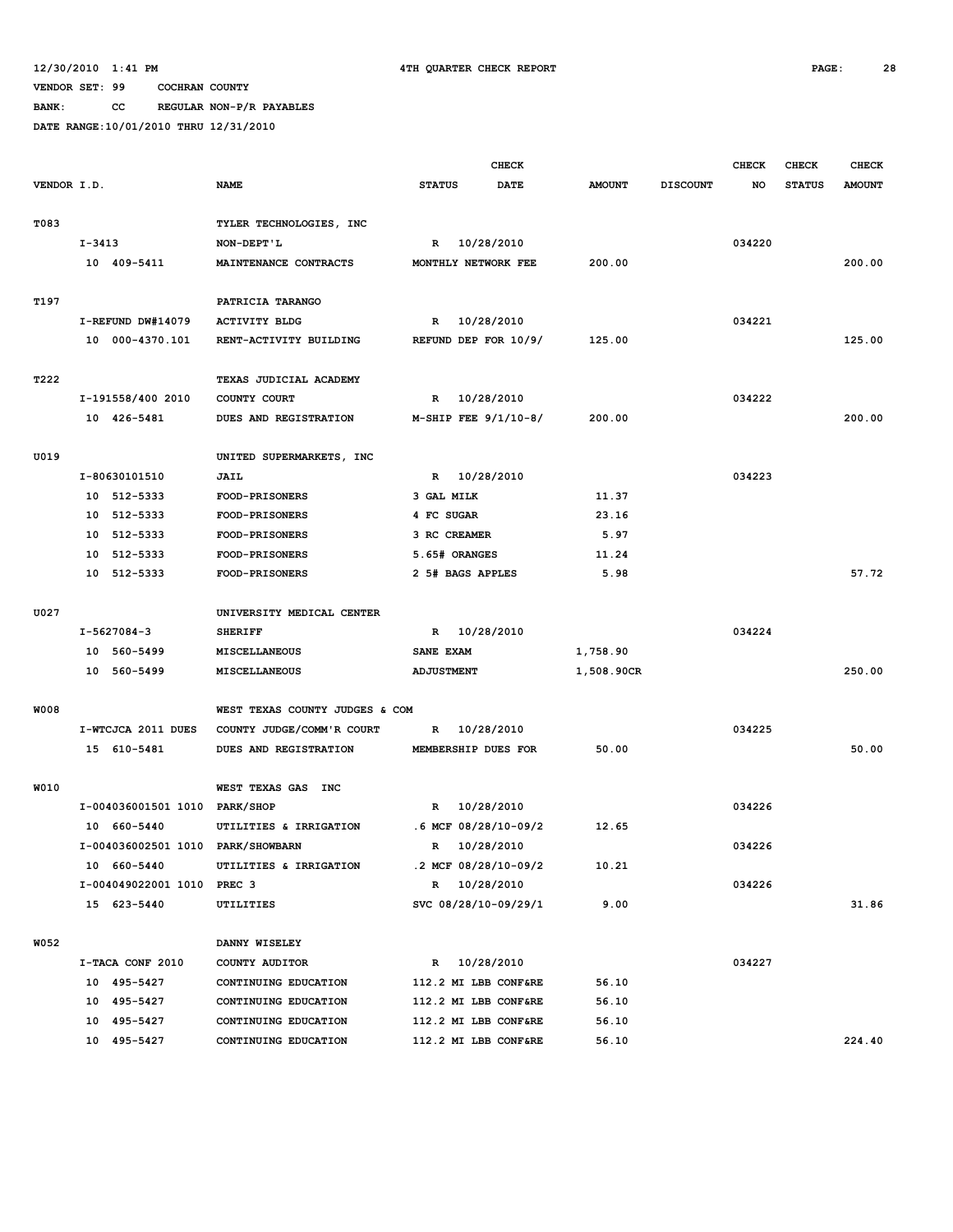**BANK: CC REGULAR NON-P/R PAYABLES**

|             |        |                                   |                                | <b>CHECK</b>      |  |                                              |               | <b>CHECK</b>    | <b>CHECK</b> | <b>CHECK</b>  |               |
|-------------|--------|-----------------------------------|--------------------------------|-------------------|--|----------------------------------------------|---------------|-----------------|--------------|---------------|---------------|
| VENDOR I.D. |        |                                   | <b>NAME</b>                    | <b>STATUS</b>     |  | <b>DATE</b>                                  | <b>AMOUNT</b> | <b>DISCOUNT</b> | NO           | <b>STATUS</b> | <b>AMOUNT</b> |
|             |        |                                   |                                |                   |  |                                              |               |                 |              |               |               |
| T083        |        |                                   | TYLER TECHNOLOGIES, INC        |                   |  |                                              |               |                 |              |               |               |
|             | I-3413 |                                   | NON-DEPT'L                     |                   |  | R 10/28/2010                                 |               |                 | 034220       |               |               |
|             |        | 10 409-5411                       | MAINTENANCE CONTRACTS          |                   |  | MONTHLY NETWORK FEE                          | 200.00        |                 |              |               | 200.00        |
|             |        |                                   |                                |                   |  |                                              |               |                 |              |               |               |
| T197        |        |                                   | PATRICIA TARANGO               |                   |  |                                              |               |                 |              |               |               |
|             |        | I-REFUND DW#14079                 | <b>ACTIVITY BLDG</b>           |                   |  | R 10/28/2010                                 |               |                 | 034221       |               |               |
|             |        | 10 000-4370.101                   | RENT-ACTIVITY BUILDING         |                   |  | REFUND DEP FOR 10/9/                         | 125.00        |                 |              |               | 125.00        |
|             |        |                                   |                                |                   |  |                                              |               |                 |              |               |               |
| T222        |        |                                   | TEXAS JUDICIAL ACADEMY         |                   |  |                                              |               |                 |              |               |               |
|             |        | I-191558/400 2010                 | COUNTY COURT                   | R                 |  | 10/28/2010                                   |               |                 | 034222       |               |               |
|             |        | 10 426-5481                       | DUES AND REGISTRATION          |                   |  | $M-SHIP$ FEE $9/1/10-8/$                     | 200.00        |                 |              |               | 200.00        |
|             |        |                                   |                                |                   |  |                                              |               |                 |              |               |               |
| U019        |        |                                   | UNITED SUPERMARKETS, INC       |                   |  |                                              |               |                 |              |               |               |
|             |        | I-80630101510                     | JAIL                           | R                 |  | 10/28/2010                                   |               |                 | 034223       |               |               |
|             |        | 10 512-5333                       | FOOD-PRISONERS                 | 3 GAL MILK        |  |                                              | 11.37         |                 |              |               |               |
|             | 10     | 512-5333                          | FOOD-PRISONERS                 | 4 FC SUGAR        |  |                                              | 23.16         |                 |              |               |               |
|             | 10     | 512-5333                          | <b>FOOD-PRISONERS</b>          | 3 RC CREAMER      |  |                                              | 5.97          |                 |              |               |               |
|             | 10     | 512-5333                          | FOOD-PRISONERS                 | 5.65# ORANGES     |  |                                              | 11.24         |                 |              |               |               |
|             |        | 10 512-5333                       | FOOD-PRISONERS                 | 2 5# BAGS APPLES  |  |                                              | 5.98          |                 |              |               | 57.72         |
|             |        |                                   |                                |                   |  |                                              |               |                 |              |               |               |
| U027        |        |                                   | UNIVERSITY MEDICAL CENTER      |                   |  |                                              |               |                 |              |               |               |
|             |        | $I-5627084-3$                     | <b>SHERIFF</b>                 | $\mathbb{R}$      |  | 10/28/2010                                   |               |                 | 034224       |               |               |
|             |        | 10 560-5499                       | <b>MISCELLANEOUS</b>           | SANE EXAM         |  |                                              | 1,758.90      |                 |              |               |               |
|             |        | 10 560-5499                       | MISCELLANEOUS                  | <b>ADJUSTMENT</b> |  |                                              | 1,508.90CR    |                 |              |               | 250.00        |
|             |        |                                   |                                |                   |  |                                              |               |                 |              |               |               |
| <b>W008</b> |        |                                   | WEST TEXAS COUNTY JUDGES & COM |                   |  |                                              |               |                 |              |               |               |
|             |        | I-WTCJCA 2011 DUES                | COUNTY JUDGE/COMM'R COURT      | R                 |  | 10/28/2010                                   |               |                 | 034225       |               |               |
|             |        | 15 610-5481                       | DUES AND REGISTRATION          |                   |  | MEMBERSHIP DUES FOR                          | 50.00         |                 |              |               | 50.00         |
|             |        |                                   |                                |                   |  |                                              |               |                 |              |               |               |
| W010        |        |                                   | WEST TEXAS GAS<br><b>INC</b>   |                   |  |                                              |               |                 |              |               |               |
|             |        | I-004036001501 1010 PARK/SHOP     |                                | R                 |  | 10/28/2010                                   |               |                 | 034226       |               |               |
|             |        | 10 660-5440                       | UTILITIES & IRRIGATION         |                   |  | $.6$ MCF 08/28/10-09/2                       | 12.65         |                 |              |               |               |
|             |        | I-004036002501 1010 PARK/SHOWBARN |                                | R                 |  | 10/28/2010                                   |               |                 | 034226       |               |               |
|             |        | 10 660-5440                       | UTILITIES & IRRIGATION         |                   |  | $.2$ MCF 08/28/10-09/2                       | 10.21         |                 |              |               |               |
|             |        | I-004049022001 1010               | PREC 3                         |                   |  | R 10/28/2010                                 |               |                 | 034226       |               |               |
|             |        | 15 623-5440                       | UTILITIES                      |                   |  | SVC 08/28/10-09/29/1                         | 9.00          |                 |              |               | 31.86         |
|             |        |                                   |                                |                   |  |                                              |               |                 |              |               |               |
| <b>W052</b> |        |                                   | DANNY WISELEY                  |                   |  |                                              |               |                 |              |               |               |
|             |        | I-TACA CONF 2010                  | COUNTY AUDITOR                 |                   |  | R 10/28/2010                                 |               |                 | 034227       |               |               |
|             |        | 10 495-5427                       | CONTINUING EDUCATION           |                   |  | 112.2 MI LBB CONF&RE<br>112.2 MI LBB CONF&RE | 56.10         |                 |              |               |               |
|             |        | 10 495-5427<br>10 495-5427        | CONTINUING EDUCATION           |                   |  |                                              | 56.10         |                 |              |               |               |
|             |        |                                   | CONTINUING EDUCATION           |                   |  | 112.2 MI LBB CONF&RE                         | 56.10         |                 |              |               |               |
|             |        | 10 495-5427                       | CONTINUING EDUCATION           |                   |  | 112.2 MI LBB CONF&RE                         | 56.10         |                 |              |               | 224.40        |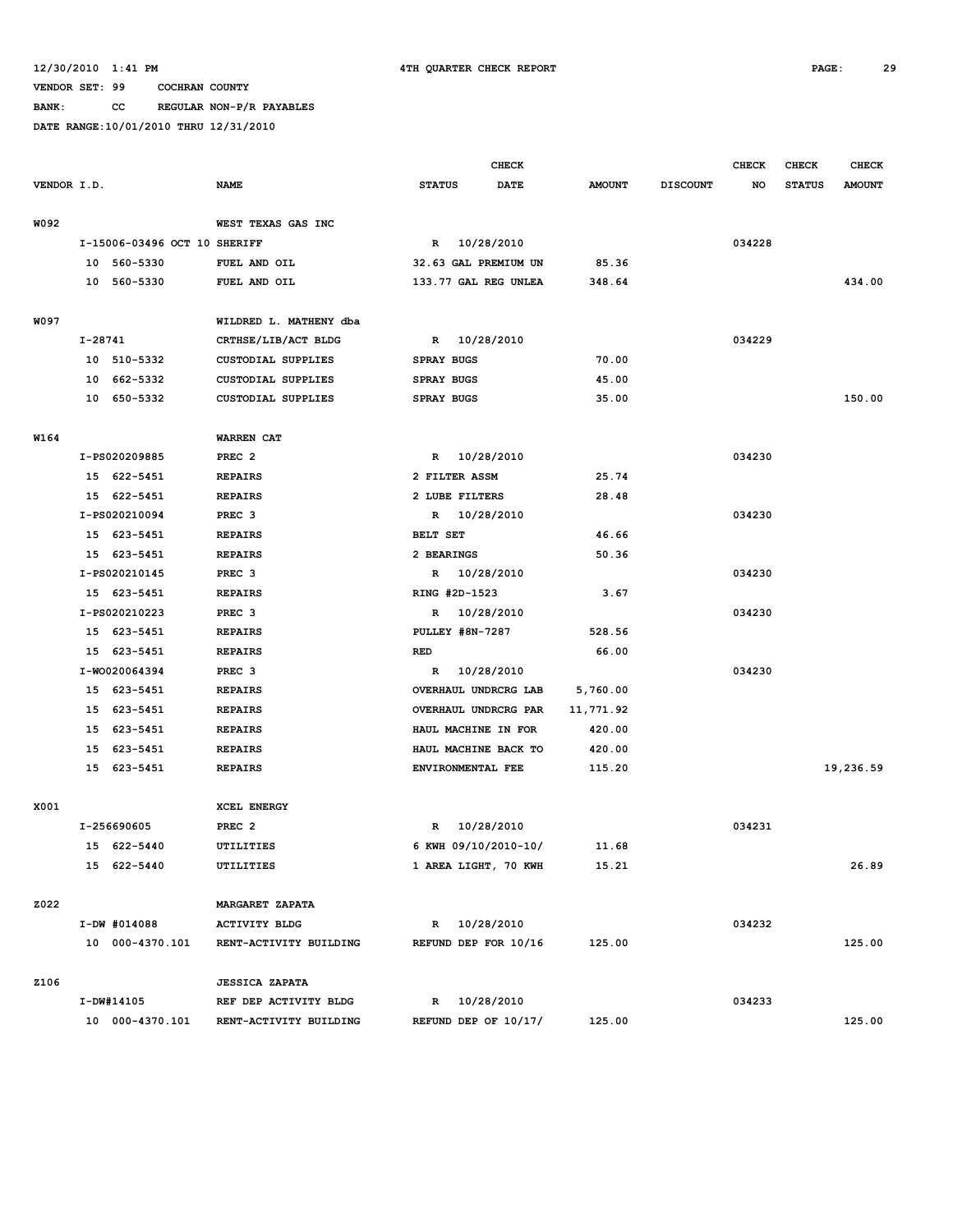**BANK: CC REGULAR NON-P/R PAYABLES**

|             |         |                              |                           | <b>CHECK</b>           |              |                      | <b>CHECK</b>  | <b>CHECK</b>    | <b>CHECK</b> |               |               |
|-------------|---------|------------------------------|---------------------------|------------------------|--------------|----------------------|---------------|-----------------|--------------|---------------|---------------|
| VENDOR I.D. |         |                              | <b>NAME</b>               | <b>STATUS</b>          |              | <b>DATE</b>          | <b>AMOUNT</b> | <b>DISCOUNT</b> | NO           | <b>STATUS</b> | <b>AMOUNT</b> |
|             |         |                              |                           |                        |              |                      |               |                 |              |               |               |
| W092        |         |                              | WEST TEXAS GAS INC        |                        |              |                      |               |                 |              |               |               |
|             |         | I-15006-03496 OCT 10 SHERIFF |                           |                        | R 10/28/2010 |                      |               |                 | 034228       |               |               |
|             |         | 10 560-5330                  | FUEL AND OIL              |                        |              | 32.63 GAL PREMIUM UN | 85.36         |                 |              |               |               |
|             |         | 10 560-5330                  | FUEL AND OIL              |                        |              | 133.77 GAL REG UNLEA | 348.64        |                 |              |               | 434.00        |
|             |         |                              |                           |                        |              |                      |               |                 |              |               |               |
| W097        |         |                              | WILDRED L. MATHENY dba    |                        |              |                      |               |                 |              |               |               |
|             | I-28741 |                              | CRTHSE/LIB/ACT BLDG       |                        | R 10/28/2010 |                      |               |                 | 034229       |               |               |
|             |         | 10 510-5332                  | <b>CUSTODIAL SUPPLIES</b> | <b>SPRAY BUGS</b>      |              |                      | 70.00         |                 |              |               |               |
|             |         | 10 662-5332                  | <b>CUSTODIAL SUPPLIES</b> | <b>SPRAY BUGS</b>      |              |                      | 45.00         |                 |              |               |               |
|             |         | 10 650-5332                  | <b>CUSTODIAL SUPPLIES</b> | <b>SPRAY BUGS</b>      |              |                      | 35.00         |                 |              |               | 150.00        |
|             |         |                              |                           |                        |              |                      |               |                 |              |               |               |
| W164        |         |                              | <b>WARREN CAT</b>         |                        |              |                      |               |                 |              |               |               |
|             |         | I-PS020209885                | PREC <sub>2</sub>         |                        | R 10/28/2010 |                      |               |                 | 034230       |               |               |
|             |         | 15 622-5451                  | <b>REPAIRS</b>            | 2 FILTER ASSM          |              |                      | 25.74         |                 |              |               |               |
|             |         | 15 622-5451                  | <b>REPAIRS</b>            | 2 LUBE FILTERS         |              |                      | 28.48         |                 |              |               |               |
|             |         | I-PS020210094                | PREC <sub>3</sub>         |                        | R 10/28/2010 |                      |               |                 | 034230       |               |               |
|             |         | 15 623-5451                  | <b>REPAIRS</b>            | BELT SET               |              |                      | 46.66         |                 |              |               |               |
|             |         | 15 623-5451                  | <b>REPAIRS</b>            | 2 BEARINGS             |              |                      | 50.36         |                 |              |               |               |
|             |         | I-PS020210145                | PREC <sub>3</sub>         |                        | R 10/28/2010 |                      |               |                 | 034230       |               |               |
|             |         | 15 623-5451                  | <b>REPAIRS</b>            | RING #2D-1523          |              |                      | 3.67          |                 |              |               |               |
|             |         | I-PS020210223                | PREC <sub>3</sub>         |                        | R 10/28/2010 |                      |               |                 | 034230       |               |               |
|             |         | 15 623-5451                  | <b>REPAIRS</b>            | <b>PULLEY #8N-7287</b> |              |                      | 528.56        |                 |              |               |               |
|             |         | 15 623-5451                  | <b>REPAIRS</b>            | RED                    |              |                      | 66.00         |                 |              |               |               |
|             |         | I-W0020064394                | PREC <sub>3</sub>         |                        | R 10/28/2010 |                      |               |                 | 034230       |               |               |
|             |         | 15 623-5451                  | <b>REPAIRS</b>            |                        |              | OVERHAUL UNDRCRG LAB | 5,760.00      |                 |              |               |               |
|             |         | 15 623-5451                  | <b>REPAIRS</b>            |                        |              | OVERHAUL UNDRCRG PAR | 11,771.92     |                 |              |               |               |
|             |         | 15 623-5451                  | <b>REPAIRS</b>            |                        |              | HAUL MACHINE IN FOR  | 420.00        |                 |              |               |               |
|             |         | 15 623-5451                  | <b>REPAIRS</b>            |                        |              | HAUL MACHINE BACK TO | 420.00        |                 |              |               |               |
|             |         | 15 623-5451                  | <b>REPAIRS</b>            | ENVIRONMENTAL FEE      |              |                      | 115.20        |                 |              |               | 19,236.59     |
|             |         |                              |                           |                        |              |                      |               |                 |              |               |               |
| X001        |         |                              | <b>XCEL ENERGY</b>        |                        |              |                      |               |                 |              |               |               |
|             |         | I-256690605                  | PREC <sub>2</sub>         |                        | R 10/28/2010 |                      |               |                 | 034231       |               |               |
|             |         | 15 622-5440                  | UTILITIES                 |                        |              | 6 KWH 09/10/2010-10/ | 11.68         |                 |              |               |               |
|             |         | 15 622-5440                  | UTILITIES                 |                        |              | 1 AREA LIGHT, 70 KWH | 15.21         |                 |              |               | 26.89         |
|             |         |                              |                           |                        |              |                      |               |                 |              |               |               |
| Z022        |         |                              | <b>MARGARET ZAPATA</b>    |                        |              |                      |               |                 |              |               |               |
|             |         | I-DW #014088                 | <b>ACTIVITY BLDG</b>      |                        | R 10/28/2010 |                      |               |                 | 034232       |               |               |
|             |         | 10 000-4370.101              | RENT-ACTIVITY BUILDING    |                        |              | REFUND DEP FOR 10/16 | 125.00        |                 |              |               | 125.00        |
|             |         |                              |                           |                        |              |                      |               |                 |              |               |               |
| Z106        |         |                              | <b>JESSICA ZAPATA</b>     |                        |              |                      |               |                 |              |               |               |
|             |         | I-DW#14105                   | REF DEP ACTIVITY BLDG     |                        | R 10/28/2010 |                      |               |                 | 034233       |               |               |
|             |         | 10 000-4370.101              | RENT-ACTIVITY BUILDING    |                        |              | REFUND DEP OF 10/17/ | 125.00        |                 |              |               | 125.00        |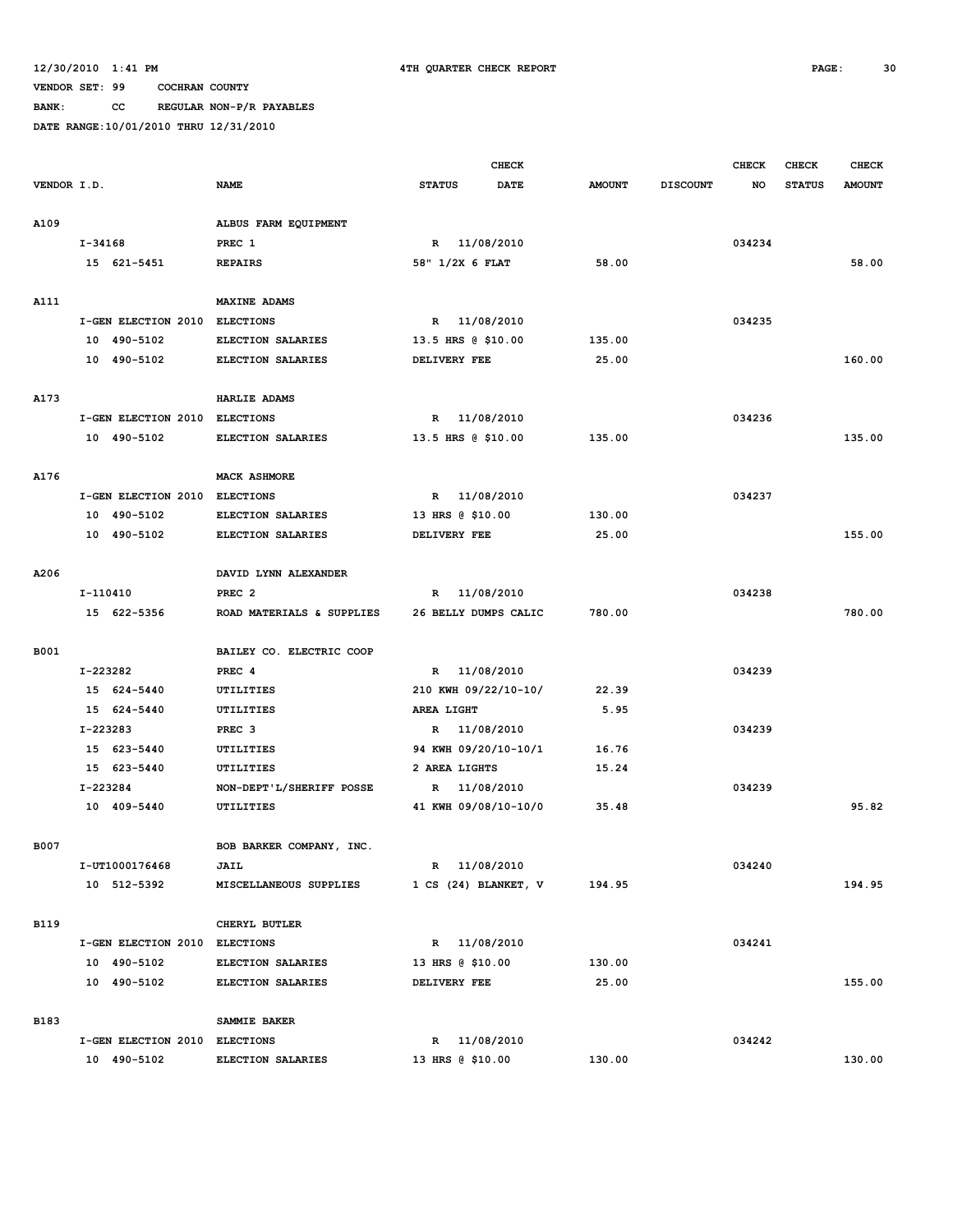**BANK: CC REGULAR NON-P/R PAYABLES**

|             |                               |                           |                      | <b>CHECK</b> |               |                 | <b>CHECK</b> | <b>CHECK</b>  | <b>CHECK</b>  |
|-------------|-------------------------------|---------------------------|----------------------|--------------|---------------|-----------------|--------------|---------------|---------------|
| VENDOR I.D. |                               | <b>NAME</b>               | <b>STATUS</b>        | <b>DATE</b>  | <b>AMOUNT</b> | <b>DISCOUNT</b> | NO           | <b>STATUS</b> | <b>AMOUNT</b> |
| A109        |                               | ALBUS FARM EQUIPMENT      |                      |              |               |                 |              |               |               |
|             | $I - 34168$                   | PREC 1                    | R 11/08/2010         |              |               |                 | 034234       |               |               |
|             | 15 621-5451                   | <b>REPAIRS</b>            | 58" 1/2X 6 FLAT      |              | 58.00         |                 |              |               | 58.00         |
| A111        |                               | <b>MAXINE ADAMS</b>       |                      |              |               |                 |              |               |               |
|             | I-GEN ELECTION 2010           | <b>ELECTIONS</b>          | R 11/08/2010         |              |               |                 | 034235       |               |               |
|             | 10 490-5102                   | ELECTION SALARIES         | 13.5 HRS @ \$10.00   |              | 135.00        |                 |              |               |               |
|             | 10 490-5102                   | ELECTION SALARIES         | DELIVERY FEE         |              | 25.00         |                 |              |               | 160.00        |
| A173        |                               | HARLIE ADAMS              |                      |              |               |                 |              |               |               |
|             | I-GEN ELECTION 2010           | <b>ELECTIONS</b>          | 11/08/2010<br>R      |              |               |                 | 034236       |               |               |
|             | 10 490-5102                   | <b>ELECTION SALARIES</b>  | 13.5 HRS @ \$10.00   |              | 135.00        |                 |              |               | 135.00        |
| A176        |                               | <b>MACK ASHMORE</b>       |                      |              |               |                 |              |               |               |
|             | I-GEN ELECTION 2010           | <b>ELECTIONS</b>          | 11/08/2010<br>R      |              |               |                 | 034237       |               |               |
|             | 10 490-5102                   | ELECTION SALARIES         | 13 HRS @ \$10.00     |              | 130.00        |                 |              |               |               |
|             | 10 490-5102                   | ELECTION SALARIES         | DELIVERY FEE         |              | 25.00         |                 |              |               | 155.00        |
| A206        |                               | DAVID LYNN ALEXANDER      |                      |              |               |                 |              |               |               |
|             | I-110410                      | PREC <sub>2</sub>         | R                    | 11/08/2010   |               |                 | 034238       |               |               |
|             | 15 622-5356                   | ROAD MATERIALS & SUPPLIES | 26 BELLY DUMPS CALIC |              | 780.00        |                 |              |               | 780.00        |
| <b>B001</b> |                               | BAILEY CO. ELECTRIC COOP  |                      |              |               |                 |              |               |               |
|             | I-223282                      | PREC 4                    | R 11/08/2010         |              |               |                 | 034239       |               |               |
|             | 15 624-5440                   | UTILITIES                 | 210 KWH 09/22/10-10/ |              | 22.39         |                 |              |               |               |
|             | 15 624-5440                   | UTILITIES                 | AREA LIGHT           |              | 5.95          |                 |              |               |               |
|             | I-223283                      | PREC <sub>3</sub>         | R 11/08/2010         |              |               |                 | 034239       |               |               |
|             | 15 623-5440                   | UTILITIES                 | 94 KWH 09/20/10-10/1 |              | 16.76         |                 |              |               |               |
|             | 15 623-5440                   | UTILITIES                 | 2 AREA LIGHTS        |              | 15.24         |                 |              |               |               |
|             | I-223284                      | NON-DEPT'L/SHERIFF POSSE  | R                    | 11/08/2010   |               |                 | 034239       |               |               |
|             | 10 409-5440                   | UTILITIES                 | 41 KWH 09/08/10-10/0 |              | 35.48         |                 |              |               | 95.82         |
| <b>B007</b> |                               | BOB BARKER COMPANY, INC.  |                      |              |               |                 |              |               |               |
|             | I-UT1000176468                | <b>JAIL</b>               | R 11/08/2010         |              |               |                 | 034240       |               |               |
|             | 10 512-5392                   | MISCELLANEOUS SUPPLIES    | 1 CS (24) BLANKET, V |              | 194.95        |                 |              |               | 194.95        |
| <b>B119</b> |                               | CHERYL BUTLER             |                      |              |               |                 |              |               |               |
|             | I-GEN ELECTION 2010 ELECTIONS |                           | R 11/08/2010         |              |               |                 | 034241       |               |               |
|             | 10 490-5102                   | ELECTION SALARIES         | 13 HRS @ \$10.00     |              | 130.00        |                 |              |               |               |
|             | 10 490-5102                   | ELECTION SALARIES         | DELIVERY FEE         |              | 25.00         |                 |              |               | 155.00        |
| <b>B183</b> |                               | SAMMIE BAKER              |                      |              |               |                 |              |               |               |
|             | I-GEN ELECTION 2010 ELECTIONS |                           | R 11/08/2010         |              |               |                 | 034242       |               |               |
|             | 10 490-5102                   | ELECTION SALARIES         | 13 HRS @ \$10.00     |              | 130.00        |                 |              |               | 130.00        |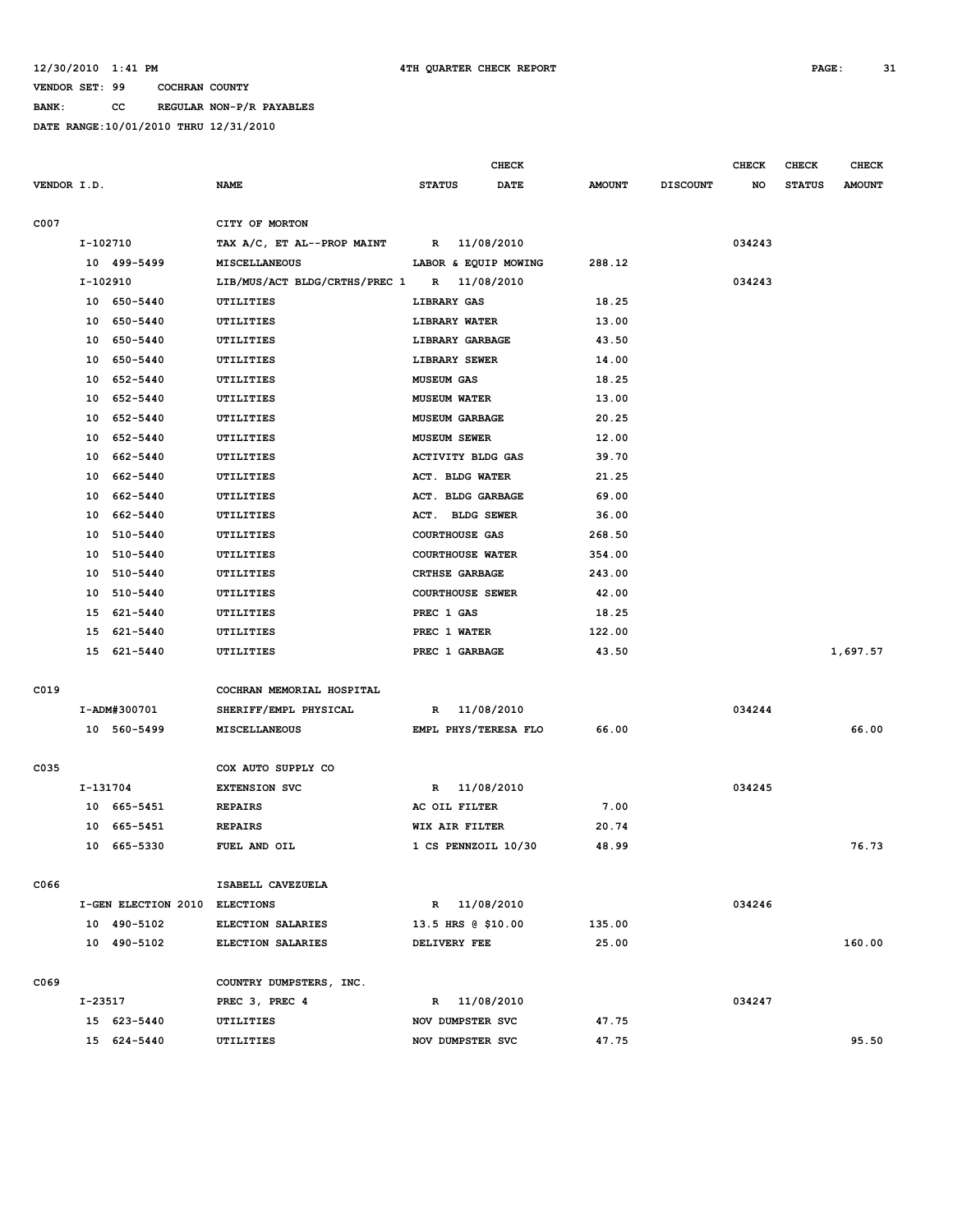**BANK: CC REGULAR NON-P/R PAYABLES**

|             |          |                               |                               |                          |              | <b>CHECK</b>         |               |                 | <b>CHECK</b> | <b>CHECK</b>  | <b>CHECK</b>  |
|-------------|----------|-------------------------------|-------------------------------|--------------------------|--------------|----------------------|---------------|-----------------|--------------|---------------|---------------|
| VENDOR I.D. |          |                               | <b>NAME</b>                   | <b>STATUS</b>            |              | <b>DATE</b>          | <b>AMOUNT</b> | <b>DISCOUNT</b> | NO           | <b>STATUS</b> | <b>AMOUNT</b> |
|             |          |                               |                               |                          |              |                      |               |                 |              |               |               |
| C007        |          |                               | CITY OF MORTON                |                          |              |                      |               |                 |              |               |               |
|             | I-102710 |                               | TAX A/C, ET AL--PROP MAINT    |                          | R 11/08/2010 |                      |               |                 | 034243       |               |               |
|             |          | 10 499-5499                   | <b>MISCELLANEOUS</b>          |                          |              | LABOR & EQUIP MOWING | 288.12        |                 |              |               |               |
|             | I-102910 |                               | LIB/MUS/ACT BLDG/CRTHS/PREC 1 |                          | R 11/08/2010 |                      |               |                 | 034243       |               |               |
|             |          | 10 650-5440                   | UTILITIES                     | LIBRARY GAS              |              |                      | 18.25         |                 |              |               |               |
|             | 10       | 650-5440                      | UTILITIES                     | LIBRARY WATER            |              |                      | 13.00         |                 |              |               |               |
|             | 10       | 650-5440                      | UTILITIES                     | LIBRARY GARBAGE          |              |                      | 43.50         |                 |              |               |               |
|             | 10       | 650-5440                      | <b>UTILITIES</b>              | LIBRARY SEWER            |              |                      | 14.00         |                 |              |               |               |
|             | 10       | 652-5440                      | UTILITIES                     | <b>MUSEUM GAS</b>        |              |                      | 18.25         |                 |              |               |               |
|             | 10       | 652-5440                      | UTILITIES                     | <b>MUSEUM WATER</b>      |              |                      | 13.00         |                 |              |               |               |
|             | 10       | 652-5440                      | UTILITIES                     | <b>MUSEUM GARBAGE</b>    |              |                      | 20.25         |                 |              |               |               |
|             | 10       | 652-5440                      | UTILITIES                     | <b>MUSEUM SEWER</b>      |              |                      | 12.00         |                 |              |               |               |
|             | 10       | 662-5440                      | UTILITIES                     | <b>ACTIVITY BLDG GAS</b> |              |                      | 39.70         |                 |              |               |               |
|             | 10       | 662-5440                      | UTILITIES                     | ACT. BLDG WATER          |              |                      | 21.25         |                 |              |               |               |
|             | 10       | 662-5440                      | UTILITIES                     | ACT. BLDG GARBAGE        |              |                      | 69.00         |                 |              |               |               |
|             | 10       | 662-5440                      | UTILITIES                     | ACT. BLDG SEWER          |              |                      | 36.00         |                 |              |               |               |
|             | 10       | 510-5440                      | UTILITIES                     | <b>COURTHOUSE GAS</b>    |              |                      | 268.50        |                 |              |               |               |
|             | 10       | 510-5440                      | UTILITIES                     | <b>COURTHOUSE WATER</b>  |              |                      | 354.00        |                 |              |               |               |
|             | 10       | 510-5440                      | UTILITIES                     | CRTHSE GARBAGE           |              |                      | 243.00        |                 |              |               |               |
|             | 10       | 510-5440                      | UTILITIES                     | <b>COURTHOUSE SEWER</b>  |              |                      | 42.00         |                 |              |               |               |
|             | 15       | 621-5440                      | UTILITIES                     | PREC 1 GAS               |              |                      | 18.25         |                 |              |               |               |
|             | 15       | 621-5440                      | UTILITIES                     | PREC 1 WATER             |              |                      | 122.00        |                 |              |               |               |
|             |          | 15 621-5440                   | UTILITIES                     | PREC 1 GARBAGE           |              |                      | 43.50         |                 |              |               | 1,697.57      |
| C019        |          |                               | COCHRAN MEMORIAL HOSPITAL     |                          |              |                      |               |                 |              |               |               |
|             |          | I-ADM#300701                  | SHERIFF/EMPL PHYSICAL         |                          | R 11/08/2010 |                      |               |                 | 034244       |               |               |
|             |          | 10 560-5499                   | MISCELLANEOUS                 |                          |              | EMPL PHYS/TERESA FLO | 66.00         |                 |              |               | 66.00         |
|             |          |                               |                               |                          |              |                      |               |                 |              |               |               |
| C035        |          |                               | COX AUTO SUPPLY CO            |                          |              |                      |               |                 |              |               |               |
|             | I-131704 |                               | <b>EXTENSION SVC</b>          | R                        |              | 11/08/2010           |               |                 | 034245       |               |               |
|             |          | 10 665-5451                   | <b>REPAIRS</b>                | AC OIL FILTER            |              |                      | 7.00          |                 |              |               |               |
|             | 10       | 665-5451                      | <b>REPAIRS</b>                | WIX AIR FILTER           |              |                      | 20.74         |                 |              |               |               |
|             |          | 10 665-5330                   | FUEL AND OIL                  |                          |              | 1 CS PENNZOIL 10/30  | 48.99         |                 |              |               | 76.73         |
|             |          |                               |                               |                          |              |                      |               |                 |              |               |               |
| C066        |          |                               | ISABELL CAVEZUELA             |                          |              |                      |               |                 |              |               |               |
|             |          | I-GEN ELECTION 2010 ELECTIONS |                               |                          | R 11/08/2010 |                      |               |                 | 034246       |               |               |
|             |          | 10 490-5102                   | ELECTION SALARIES             | 13.5 HRS @ \$10.00       |              |                      | 135.00        |                 |              |               |               |
|             |          | 10 490-5102                   | ELECTION SALARIES             | DELIVERY FEE             |              |                      | 25.00         |                 |              |               | 160.00        |
| C069        |          |                               | COUNTRY DUMPSTERS, INC.       |                          |              |                      |               |                 |              |               |               |
|             | I-23517  |                               | PREC 3, PREC 4                |                          | R 11/08/2010 |                      |               |                 | 034247       |               |               |
|             |          | 15 623-5440                   | UTILITIES                     | NOV DUMPSTER SVC         |              |                      | 47.75         |                 |              |               |               |
|             |          | 15 624-5440                   | UTILITIES                     | NOV DUMPSTER SVC         |              |                      | 47.75         |                 |              |               | 95.50         |
|             |          |                               |                               |                          |              |                      |               |                 |              |               |               |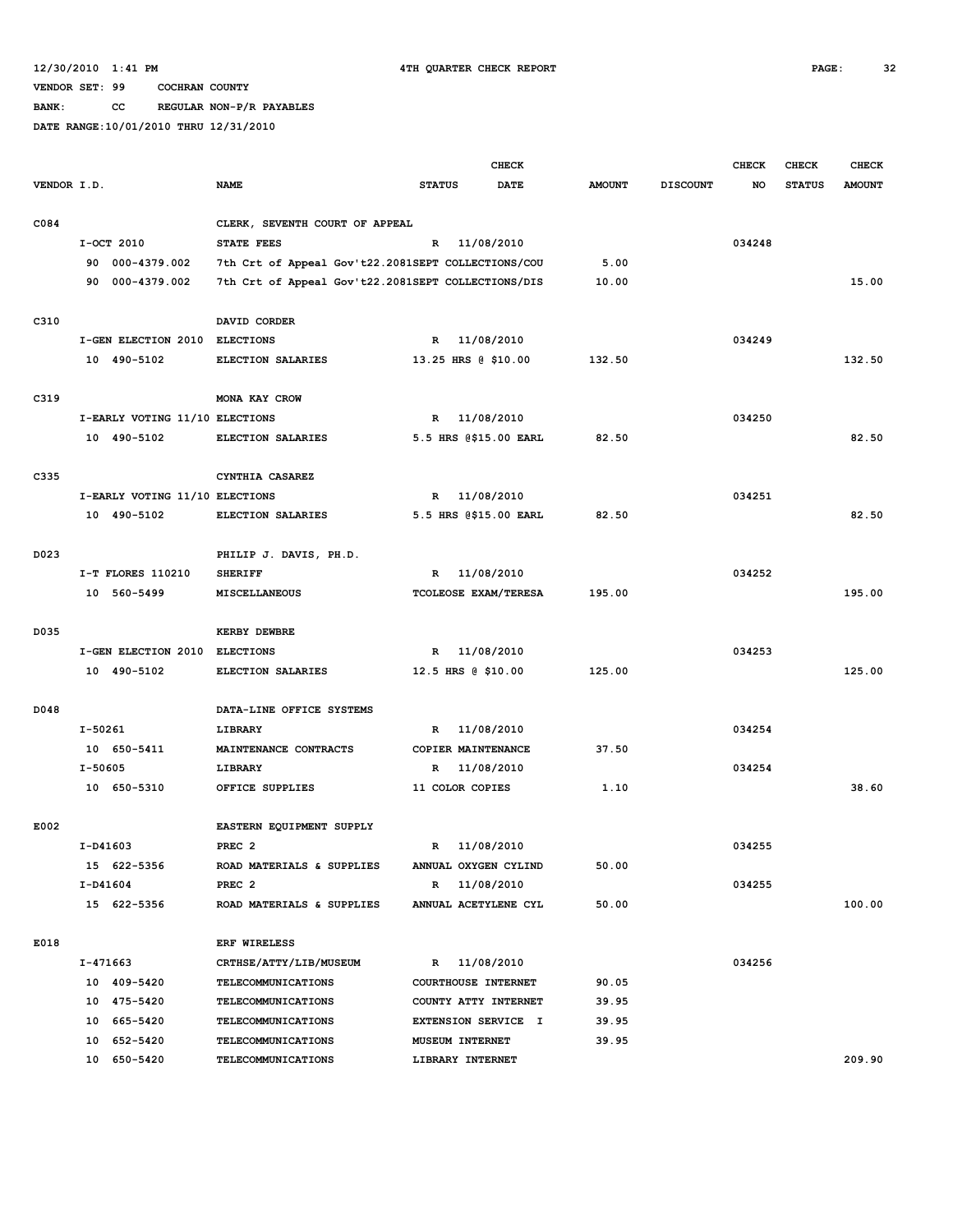**BANK: CC REGULAR NON-P/R PAYABLES**

|             |                                               |                                                    |                                             | <b>CHECK</b>               |               |                 | <b>CHECK</b> | <b>CHECK</b>  | <b>CHECK</b>  |
|-------------|-----------------------------------------------|----------------------------------------------------|---------------------------------------------|----------------------------|---------------|-----------------|--------------|---------------|---------------|
| VENDOR I.D. |                                               | <b>NAME</b>                                        | <b>STATUS</b>                               | <b>DATE</b>                | <b>AMOUNT</b> | <b>DISCOUNT</b> | NO           | <b>STATUS</b> | <b>AMOUNT</b> |
|             |                                               |                                                    |                                             |                            |               |                 |              |               |               |
| C084        |                                               | CLERK, SEVENTH COURT OF APPEAL                     |                                             |                            |               |                 |              |               |               |
|             | I-OCT 2010                                    | <b>STATE FEES</b>                                  | $\mathbb{R}$                                | 11/08/2010                 |               |                 | 034248       |               |               |
|             | 90 000-4379.002                               | 7th Crt of Appeal Gov't22.2081SEPT COLLECTIONS/COU | 5.00                                        |                            |               |                 |              |               |               |
|             | 90 000-4379.002                               | 7th Crt of Appeal Gov't22.2081SEPT COLLECTIONS/DIS |                                             |                            | 10.00         |                 |              |               | 15.00         |
|             |                                               |                                                    |                                             |                            |               |                 |              |               |               |
| C310        |                                               | DAVID CORDER                                       |                                             |                            |               |                 |              |               |               |
|             | I-GEN ELECTION 2010 ELECTIONS                 |                                                    | R                                           | 11/08/2010                 |               |                 | 034249       |               |               |
|             | 10 490-5102                                   | ELECTION SALARIES                                  | 13.25 HRS @ \$10.00                         |                            | 132.50        |                 |              |               | 132.50        |
|             |                                               |                                                    |                                             |                            |               |                 |              |               |               |
| C319        |                                               | MONA KAY CROW                                      |                                             |                            |               |                 |              |               |               |
|             | I-EARLY VOTING 11/10 ELECTIONS                |                                                    | R 11/08/2010                                |                            |               |                 | 034250       |               |               |
|             | 10 490-5102                                   | ELECTION SALARIES                                  |                                             | 5.5 HRS @\$15.00 EARL      | 82.50         |                 |              |               | 82.50         |
|             |                                               |                                                    |                                             |                            |               |                 |              |               |               |
| C335        |                                               | CYNTHIA CASAREZ                                    | R 11/08/2010                                |                            |               |                 | 034251       |               |               |
|             | I-EARLY VOTING 11/10 ELECTIONS<br>10 490-5102 | ELECTION SALARIES                                  |                                             | 5.5 HRS @\$15.00 EARL      | 82.50         |                 |              |               | 82.50         |
|             |                                               |                                                    |                                             |                            |               |                 |              |               |               |
| D023        |                                               | PHILIP J. DAVIS, PH.D.                             |                                             |                            |               |                 |              |               |               |
|             | I-T FLORES 110210                             | <b>SHERIFF</b>                                     | R                                           | 11/08/2010                 |               |                 | 034252       |               |               |
|             | 10 560-5499                                   | <b>MISCELLANEOUS</b>                               |                                             | TCOLEOSE EXAM/TERESA       | 195.00        |                 |              |               | 195.00        |
|             |                                               |                                                    |                                             |                            |               |                 |              |               |               |
| D035        |                                               | <b>KERBY DEWBRE</b>                                |                                             |                            |               |                 |              |               |               |
|             | I-GEN ELECTION 2010                           | <b>ELECTIONS</b>                                   | R                                           | 11/08/2010                 |               |                 | 034253       |               |               |
|             | 10 490-5102                                   | ELECTION SALARIES                                  | 12.5 HRS @ \$10.00                          |                            | 125.00        |                 |              |               | 125.00        |
|             |                                               |                                                    |                                             |                            |               |                 |              |               |               |
| D048        |                                               | DATA-LINE OFFICE SYSTEMS                           |                                             |                            |               |                 |              |               |               |
|             | I-50261                                       | <b>LIBRARY</b>                                     | R 11/08/2010                                |                            |               |                 | 034254       |               |               |
|             | 10 650-5411                                   | MAINTENANCE CONTRACTS                              | COPIER MAINTENANCE                          |                            | 37.50         |                 |              |               |               |
|             | $I - 50605$                                   | LIBRARY                                            | R                                           | 11/08/2010                 |               |                 | 034254       |               |               |
|             | 10 650-5310                                   | OFFICE SUPPLIES                                    | 11 COLOR COPIES                             |                            | 1.10          |                 |              |               | 38.60         |
|             |                                               |                                                    |                                             |                            |               |                 |              |               |               |
| E002        |                                               | EASTERN EQUIPMENT SUPPLY                           |                                             |                            |               |                 |              |               |               |
|             | $I-D41603$                                    | PREC <sub>2</sub>                                  | $\mathbb{R}$                                | 11/08/2010                 |               |                 | 034255       |               |               |
|             | 15 622-5356                                   | ROAD MATERIALS & SUPPLIES                          | ANNUAL OXYGEN CYLIND                        |                            | 50.00         |                 |              |               |               |
|             | I-D41604                                      | PREC <sub>2</sub>                                  | R 11/08/2010                                |                            |               |                 | 034255       |               |               |
|             | 15 622-5356                                   | ROAD MATERIALS & SUPPLIES                          | ANNUAL ACETYLENE CYL                        |                            | 50.00         |                 |              |               | 100.00        |
|             |                                               |                                                    |                                             |                            |               |                 |              |               |               |
| E018        |                                               | <b>ERF WIRELESS</b>                                |                                             |                            |               |                 |              |               |               |
|             | I-471663<br>10 409-5420                       | CRTHSE/ATTY/LIB/MUSEUM<br>TELECOMMUNICATIONS       | R 11/08/2010                                |                            | 90.05         |                 | 034256       |               |               |
|             | 10 475-5420                                   | <b>TELECOMMUNICATIONS</b>                          | COURTHOUSE INTERNET<br>COUNTY ATTY INTERNET |                            | 39.95         |                 |              |               |               |
|             | 10 665-5420                                   | <b>TELECOMMUNICATIONS</b>                          |                                             | <b>EXTENSION SERVICE I</b> | 39.95         |                 |              |               |               |
|             | 10 652-5420                                   | <b>TELECOMMUNICATIONS</b>                          | MUSEUM INTERNET                             |                            | 39.95         |                 |              |               |               |
|             | 10 650-5420                                   | <b>TELECOMMUNICATIONS</b>                          | LIBRARY INTERNET                            |                            |               |                 |              |               | 209.90        |
|             |                                               |                                                    |                                             |                            |               |                 |              |               |               |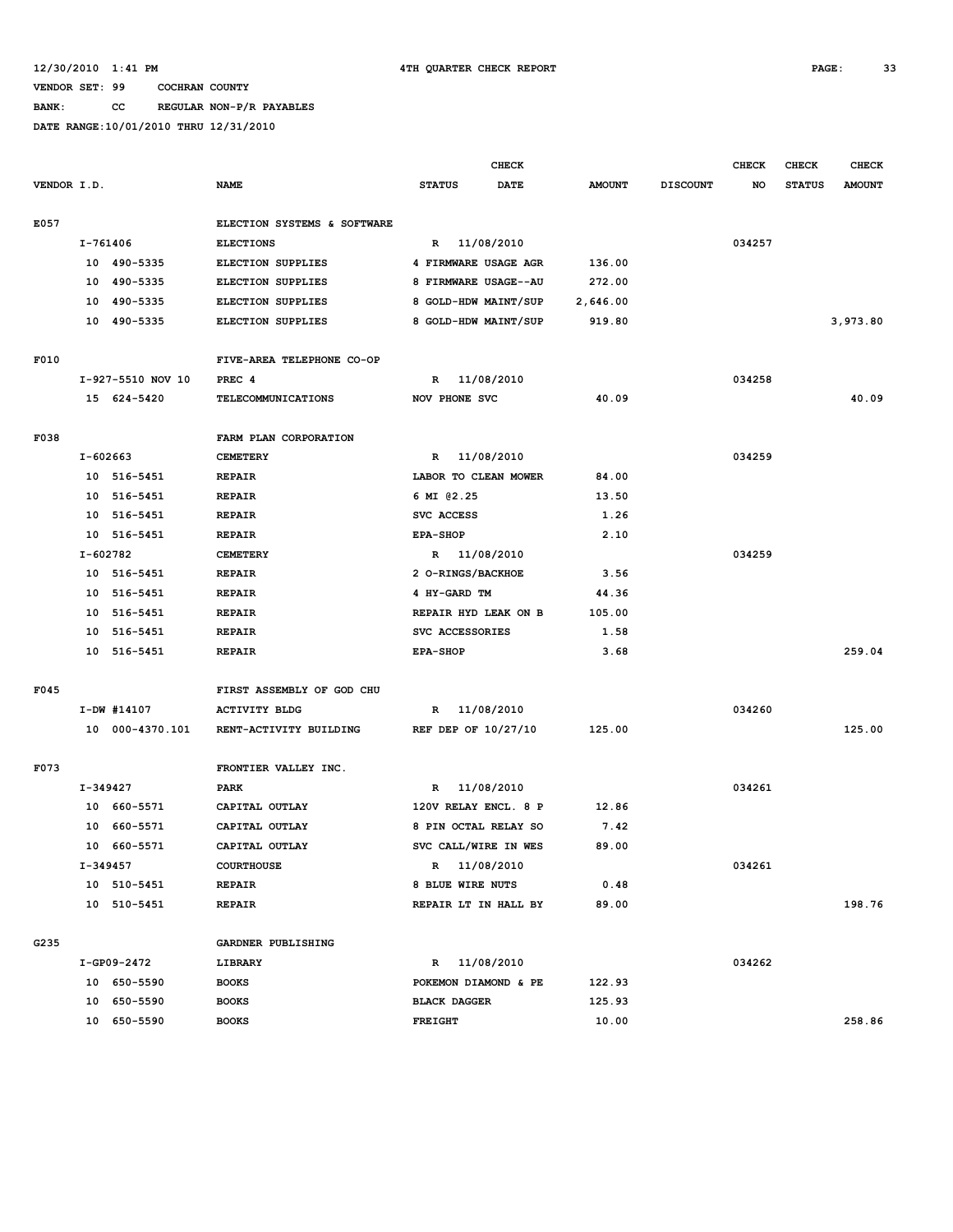# **BANK: CC REGULAR NON-P/R PAYABLES**

|             |          |                   |                             | <b>CHECK</b>        |                      |               |                 | <b>CHECK</b> | CHECK         | <b>CHECK</b>  |
|-------------|----------|-------------------|-----------------------------|---------------------|----------------------|---------------|-----------------|--------------|---------------|---------------|
| VENDOR I.D. |          |                   | <b>NAME</b>                 | <b>STATUS</b>       | <b>DATE</b>          | <b>AMOUNT</b> | <b>DISCOUNT</b> | NO           | <b>STATUS</b> | <b>AMOUNT</b> |
| E057        |          |                   | ELECTION SYSTEMS & SOFTWARE |                     |                      |               |                 |              |               |               |
|             | I-761406 |                   | <b>ELECTIONS</b>            |                     | R 11/08/2010         |               |                 | 034257       |               |               |
|             |          | 10 490-5335       | <b>ELECTION SUPPLIES</b>    |                     | 4 FIRMWARE USAGE AGR | 136.00        |                 |              |               |               |
|             |          | 10 490-5335       | <b>ELECTION SUPPLIES</b>    |                     | 8 FIRMWARE USAGE--AU | 272.00        |                 |              |               |               |
|             |          | 10 490-5335       | ELECTION SUPPLIES           |                     | 8 GOLD-HDW MAINT/SUP | 2,646.00      |                 |              |               |               |
|             |          | 10 490-5335       | <b>ELECTION SUPPLIES</b>    |                     | 8 GOLD-HDW MAINT/SUP | 919.80        |                 |              |               | 3,973.80      |
| F010        |          |                   | FIVE-AREA TELEPHONE CO-OP   |                     |                      |               |                 |              |               |               |
|             |          | I-927-5510 NOV 10 | PREC <sub>4</sub>           |                     | R 11/08/2010         |               |                 | 034258       |               |               |
|             |          | 15 624-5420       | TELECOMMUNICATIONS          | NOV PHONE SVC       |                      | 40.09         |                 |              |               | 40.09         |
| F038        |          |                   | FARM PLAN CORPORATION       |                     |                      |               |                 |              |               |               |
|             | I-602663 |                   | <b>CEMETERY</b>             |                     | R 11/08/2010         |               |                 | 034259       |               |               |
|             |          | 10 516-5451       | <b>REPAIR</b>               |                     | LABOR TO CLEAN MOWER | 84.00         |                 |              |               |               |
|             |          | 10 516-5451       | <b>REPAIR</b>               | 6 MI 02.25          |                      | 13.50         |                 |              |               |               |
|             |          | 10 516-5451       | <b>REPAIR</b>               | SVC ACCESS          |                      | 1.26          |                 |              |               |               |
|             |          | 10 516-5451       | <b>REPAIR</b>               | <b>EPA-SHOP</b>     |                      | 2.10          |                 |              |               |               |
|             | I-602782 |                   | <b>CEMETERY</b>             |                     | R 11/08/2010         |               |                 | 034259       |               |               |
|             |          | 10 516-5451       | <b>REPAIR</b>               | 2 O-RINGS/BACKHOE   |                      | 3.56          |                 |              |               |               |
|             | 10       | 516-5451          | <b>REPAIR</b>               | 4 HY-GARD TM        |                      | 44.36         |                 |              |               |               |
|             |          | 10 516-5451       | <b>REPAIR</b>               |                     | REPAIR HYD LEAK ON B | 105.00        |                 |              |               |               |
|             |          | 10 516-5451       | <b>REPAIR</b>               | SVC ACCESSORIES     |                      | 1.58          |                 |              |               |               |
|             |          | 10 516-5451       | <b>REPAIR</b>               | <b>EPA-SHOP</b>     |                      | 3.68          |                 |              |               | 259.04        |
| F045        |          |                   | FIRST ASSEMBLY OF GOD CHU   |                     |                      |               |                 |              |               |               |
|             |          | I-DW #14107       | <b>ACTIVITY BLDG</b>        |                     | R 11/08/2010         |               |                 | 034260       |               |               |
|             |          | 10 000-4370.101   | RENT-ACTIVITY BUILDING      | REF DEP OF 10/27/10 |                      | 125.00        |                 |              |               | 125.00        |
| F073        |          |                   | FRONTIER VALLEY INC.        |                     |                      |               |                 |              |               |               |
|             | I-349427 |                   | <b>PARK</b>                 | $\mathbb{R}$        | 11/08/2010           |               |                 | 034261       |               |               |
|             |          | 10 660-5571       | CAPITAL OUTLAY              |                     | 120V RELAY ENCL. 8 P | 12.86         |                 |              |               |               |
|             | 10       | 660-5571          | CAPITAL OUTLAY              |                     | 8 PIN OCTAL RELAY SO | 7.42          |                 |              |               |               |
|             |          | 10 660-5571       | CAPITAL OUTLAY              |                     | SVC CALL/WIRE IN WES | 89.00         |                 |              |               |               |
|             | I-349457 |                   | <b>COURTHOUSE</b>           |                     | R 11/08/2010         |               |                 | 034261       |               |               |
|             |          | 10 510-5451       | <b>REPAIR</b>               | 8 BLUE WIRE NUTS    |                      | 0.48          |                 |              |               |               |
|             |          | 10 510-5451       | <b>REPAIR</b>               |                     | REPAIR LT IN HALL BY | 89.00         |                 |              |               | 198.76        |
| G235        |          |                   | GARDNER PUBLISHING          |                     |                      |               |                 |              |               |               |
|             |          | I-GP09-2472       | LIBRARY                     |                     | R 11/08/2010         |               |                 | 034262       |               |               |
|             |          | 10 650-5590       | <b>BOOKS</b>                |                     | POKEMON DIAMOND & PE | 122.93        |                 |              |               |               |
|             |          | 10 650-5590       | <b>BOOKS</b>                | <b>BLACK DAGGER</b> |                      | 125.93        |                 |              |               |               |
|             |          | 10 650-5590       | <b>BOOKS</b>                | FREIGHT             |                      | 10.00         |                 |              |               | 258.86        |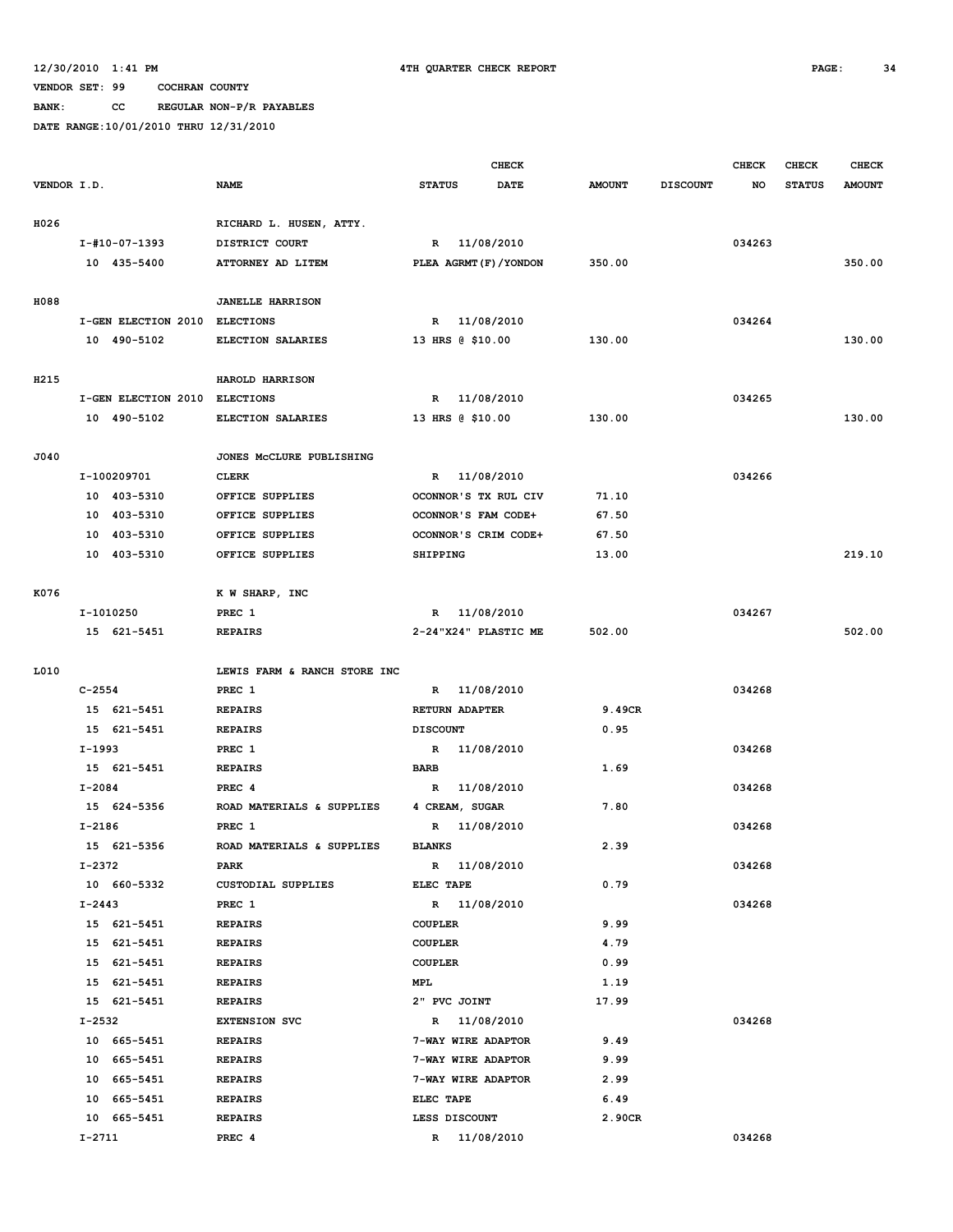**BANK: CC REGULAR NON-P/R PAYABLES**

|             |            |                               |                                        | <b>CHECK</b>    |                  |                         |               | <b>CHECK</b>    | <b>CHECK</b> | <b>CHECK</b>  |               |
|-------------|------------|-------------------------------|----------------------------------------|-----------------|------------------|-------------------------|---------------|-----------------|--------------|---------------|---------------|
| VENDOR I.D. |            |                               | <b>NAME</b>                            | <b>STATUS</b>   |                  | <b>DATE</b>             | <b>AMOUNT</b> | <b>DISCOUNT</b> | NO           | <b>STATUS</b> | <b>AMOUNT</b> |
| H026        |            |                               | RICHARD L. HUSEN, ATTY.                |                 |                  |                         |               |                 |              |               |               |
|             |            | I-#10-07-1393                 | DISTRICT COURT                         |                 | R 11/08/2010     |                         |               |                 | 034263       |               |               |
|             |            | 10 435-5400                   | ATTORNEY AD LITEM                      |                 |                  | PLEA AGRMT (F) / YONDON | 350.00        |                 |              |               | 350.00        |
|             |            |                               |                                        |                 |                  |                         |               |                 |              |               |               |
| H088        |            |                               | <b>JANELLE HARRISON</b>                |                 |                  |                         |               |                 |              |               |               |
|             |            | I-GEN ELECTION 2010 ELECTIONS |                                        |                 | R 11/08/2010     |                         |               |                 | 034264       |               |               |
|             |            | 10 490-5102                   | ELECTION SALARIES                      |                 | 13 HRS @ \$10.00 |                         | 130.00        |                 |              |               | 130.00        |
|             |            |                               |                                        |                 |                  |                         |               |                 |              |               |               |
| H215        |            |                               | HAROLD HARRISON                        |                 |                  |                         |               |                 |              |               |               |
|             |            | I-GEN ELECTION 2010           | <b>ELECTIONS</b>                       |                 | R 11/08/2010     |                         |               |                 | 034265       |               |               |
|             |            | 10 490-5102                   | ELECTION SALARIES                      |                 | 13 HRS @ \$10.00 |                         | 130.00        |                 |              |               | 130.00        |
| J040        |            |                               | JONES MCCLURE PUBLISHING               |                 |                  |                         |               |                 |              |               |               |
|             |            | I-100209701                   | <b>CLERK</b>                           |                 | R 11/08/2010     |                         |               |                 | 034266       |               |               |
|             |            | 10 403-5310                   | OFFICE SUPPLIES                        |                 |                  | OCONNOR'S TX RUL CIV    | 71.10         |                 |              |               |               |
|             |            | 10 403-5310                   | OFFICE SUPPLIES                        |                 |                  | OCONNOR'S FAM CODE+     | 67.50         |                 |              |               |               |
|             | 10         | 403-5310                      | OFFICE SUPPLIES                        |                 |                  | OCONNOR'S CRIM CODE+    | 67.50         |                 |              |               |               |
|             |            | 10 403-5310                   | OFFICE SUPPLIES                        | SHIPPING        |                  |                         | 13.00         |                 |              |               | 219.10        |
|             |            |                               |                                        |                 |                  |                         |               |                 |              |               |               |
| K076        |            |                               | K W SHARP, INC                         |                 |                  |                         |               |                 |              |               |               |
|             |            | I-1010250                     | PREC 1                                 |                 | R 11/08/2010     |                         |               |                 | 034267       |               |               |
|             |            | 15 621-5451                   | <b>REPAIRS</b>                         |                 |                  | 2-24"X24" PLASTIC ME    | 502.00        |                 |              |               | 502.00        |
|             |            |                               |                                        |                 |                  |                         |               |                 |              |               |               |
| L010        | $C - 2554$ |                               | LEWIS FARM & RANCH STORE INC<br>PREC 1 |                 | R 11/08/2010     |                         |               |                 | 034268       |               |               |
|             |            | 15 621-5451                   | <b>REPAIRS</b>                         |                 | RETURN ADAPTER   |                         | 9.49CR        |                 |              |               |               |
|             |            | 15 621-5451                   | <b>REPAIRS</b>                         | <b>DISCOUNT</b> |                  |                         | 0.95          |                 |              |               |               |
|             | I-1993     |                               | PREC 1                                 |                 | R 11/08/2010     |                         |               |                 | 034268       |               |               |
|             |            | 15 621-5451                   | <b>REPAIRS</b>                         | <b>BARB</b>     |                  |                         | 1.69          |                 |              |               |               |
|             | I-2084     |                               | PREC <sub>4</sub>                      | R               |                  | 11/08/2010              |               |                 | 034268       |               |               |
|             |            | 15 624-5356                   | ROAD MATERIALS & SUPPLIES              |                 | 4 CREAM, SUGAR   |                         | 7.80          |                 |              |               |               |
|             | $I-2186$   |                               | PREC 1                                 | R               |                  | 11/08/2010              |               |                 | 034268       |               |               |
|             |            | 15 621-5356                   | ROAD MATERIALS & SUPPLIES              | <b>BLANKS</b>   |                  |                         | 2.39          |                 |              |               |               |
|             | I-2372     |                               | PARK                                   |                 | R 11/08/2010     |                         |               |                 | 034268       |               |               |
|             |            | 10 660-5332                   | <b>CUSTODIAL SUPPLIES</b>              | ELEC TAPE       |                  |                         | 0.79          |                 |              |               |               |
|             | $I - 2443$ |                               | PREC 1                                 |                 | R 11/08/2010     |                         |               |                 | 034268       |               |               |
|             |            | 15 621-5451                   | <b>REPAIRS</b>                         | <b>COUPLER</b>  |                  |                         | 9.99          |                 |              |               |               |
|             |            | 15 621-5451                   | <b>REPAIRS</b>                         | <b>COUPLER</b>  |                  |                         | 4.79          |                 |              |               |               |
|             |            | 15 621-5451                   | <b>REPAIRS</b>                         | COUPLER         |                  |                         | 0.99          |                 |              |               |               |
|             |            | 15 621-5451                   | <b>REPAIRS</b>                         | <b>MPL</b>      |                  |                         | 1.19          |                 |              |               |               |
|             |            | 15 621-5451                   | <b>REPAIRS</b>                         |                 | 2" PVC JOINT     |                         | 17.99         |                 |              |               |               |
|             | I-2532     |                               | <b>EXTENSION SVC</b>                   |                 | R 11/08/2010     |                         |               |                 | 034268       |               |               |
|             |            | 10 665-5451                   | <b>REPAIRS</b>                         |                 |                  | 7-WAY WIRE ADAPTOR      | 9.49          |                 |              |               |               |
|             |            | 10 665-5451                   | <b>REPAIRS</b>                         |                 |                  | 7-WAY WIRE ADAPTOR      | 9.99          |                 |              |               |               |
|             |            | 10 665-5451                   | <b>REPAIRS</b>                         |                 |                  | 7-WAY WIRE ADAPTOR      | 2.99          |                 |              |               |               |
|             |            | 10 665-5451                   | <b>REPAIRS</b>                         | ELEC TAPE       |                  |                         | 6.49          |                 |              |               |               |
|             |            | 10 665-5451                   | <b>REPAIRS</b>                         |                 | LESS DISCOUNT    |                         | 2.90CR        |                 |              |               |               |
|             | I-2711     |                               | PREC 4                                 |                 | R 11/08/2010     |                         |               |                 | 034268       |               |               |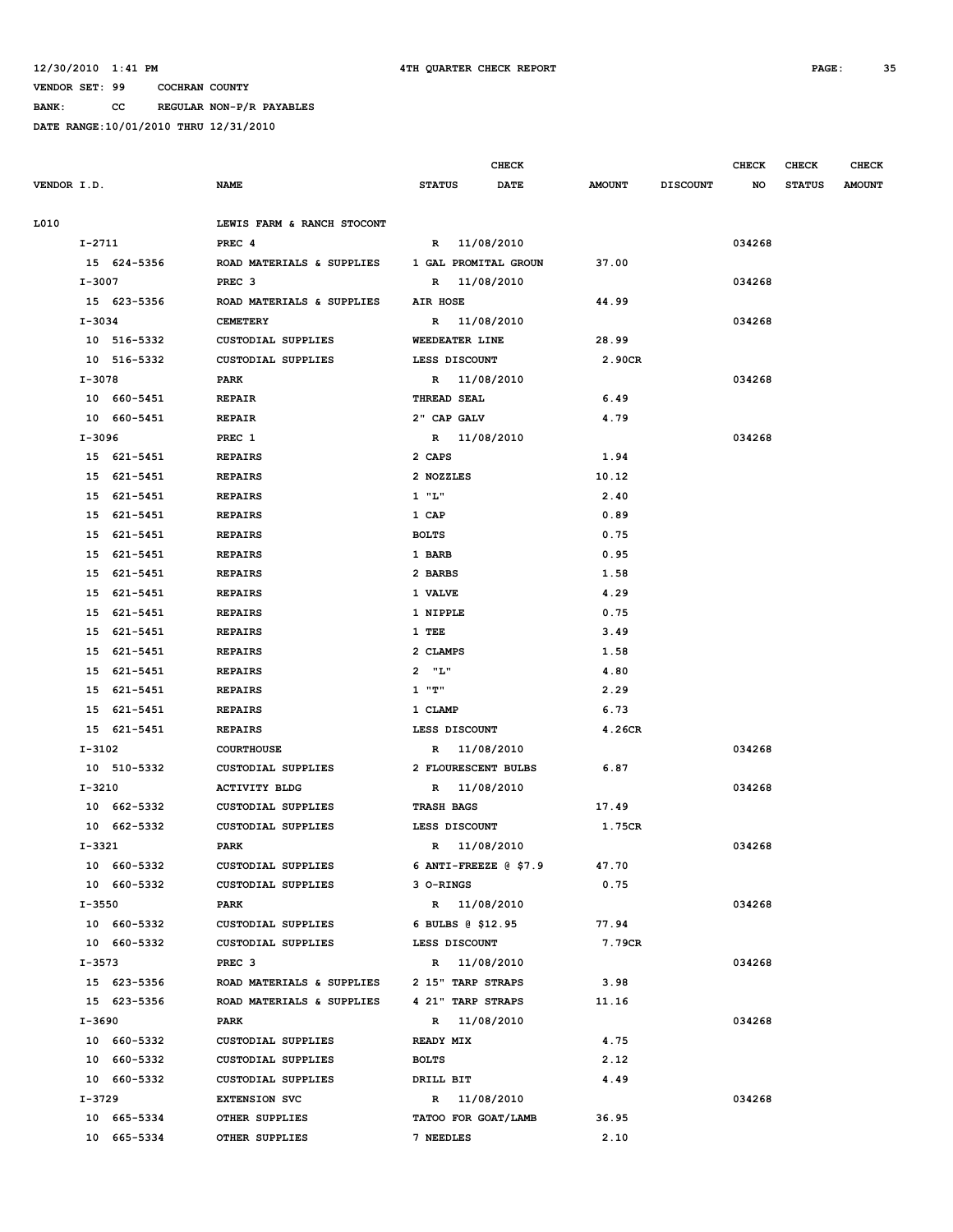**BANK: CC REGULAR NON-P/R PAYABLES**

| VENDOR I.D.<br><b>NAME</b><br><b>STATUS</b><br>DATE                                  | <b>AMOUNT</b> |                 |        |               |               |
|--------------------------------------------------------------------------------------|---------------|-----------------|--------|---------------|---------------|
|                                                                                      |               | <b>DISCOUNT</b> | NO     | <b>STATUS</b> | <b>AMOUNT</b> |
|                                                                                      |               |                 |        |               |               |
| L010<br>LEWIS FARM & RANCH STOCONT                                                   |               |                 |        |               |               |
| R 11/08/2010<br>I-2711<br>PREC <sub>4</sub>                                          |               |                 | 034268 |               |               |
| 15 624-5356<br>ROAD MATERIALS & SUPPLIES<br>1 GAL PROMITAL GROUN                     | 37.00         |                 |        |               |               |
| I-3007<br>PREC <sub>3</sub><br>R 11/08/2010                                          |               |                 | 034268 |               |               |
| 15 623-5356<br>ROAD MATERIALS & SUPPLIES<br>AIR HOSE<br>$I - 3034$                   | 44.99         |                 |        |               |               |
| R 11/08/2010<br><b>CEMETERY</b><br>10 516-5332<br>CUSTODIAL SUPPLIES                 | 28.99         |                 | 034268 |               |               |
| WEEDEATER LINE                                                                       | 2.90CR        |                 |        |               |               |
| 10 516-5332<br>CUSTODIAL SUPPLIES<br>LESS DISCOUNT<br>I-3078<br>R 11/08/2010<br>PARK |               |                 | 034268 |               |               |
| 10 660-5451<br><b>REPAIR</b><br>THREAD SEAL                                          | 6.49          |                 |        |               |               |
| 10 660-5451<br><b>REPAIR</b><br>2" CAP GALV                                          | 4.79          |                 |        |               |               |
| I-3096<br>PREC 1<br>R 11/08/2010                                                     |               |                 | 034268 |               |               |
| 15 621-5451<br><b>REPAIRS</b><br>2 CAPS                                              | 1.94          |                 |        |               |               |
| 15 621-5451<br><b>REPAIRS</b><br>2 NOZZLES                                           | 10.12         |                 |        |               |               |
| $1$ " $L$ "<br>15 621-5451<br><b>REPAIRS</b>                                         | 2.40          |                 |        |               |               |
| 15 621-5451<br><b>REPAIRS</b><br>1 CAP                                               | 0.89          |                 |        |               |               |
| 15 621-5451<br><b>REPAIRS</b><br><b>BOLTS</b>                                        | 0.75          |                 |        |               |               |
| 15 621-5451<br><b>REPAIRS</b><br>1 BARB                                              | 0.95          |                 |        |               |               |
| 15 621-5451<br><b>REPAIRS</b><br>2 BARBS                                             | 1.58          |                 |        |               |               |
| 15 621-5451<br><b>REPAIRS</b><br>1 VALVE                                             | 4.29          |                 |        |               |               |
| 15 621-5451<br><b>REPAIRS</b><br>1 NIPPLE                                            | 0.75          |                 |        |               |               |
| 621-5451<br><b>REPAIRS</b><br>1 TEE<br>15                                            | 3.49          |                 |        |               |               |
| 15 621-5451<br><b>REPAIRS</b><br>2 CLAMPS                                            | 1.58          |                 |        |               |               |
| $2$ " $L$ "<br>15 621-5451<br><b>REPAIRS</b>                                         | 4.80          |                 |        |               |               |
| 15 621-5451<br>"ד" 1<br><b>REPAIRS</b>                                               | 2.29          |                 |        |               |               |
| 15 621-5451<br><b>REPAIRS</b><br>1 CLAMP                                             | 6.73          |                 |        |               |               |
| 15 621-5451<br>LESS DISCOUNT<br><b>REPAIRS</b>                                       | 4.26CR        |                 |        |               |               |
| I-3102<br><b>COURTHOUSE</b><br>R 11/08/2010                                          |               |                 | 034268 |               |               |
| 10 510-5332<br>CUSTODIAL SUPPLIES<br>2 FLOURESCENT BULBS                             | 6.87          |                 |        |               |               |
| I-3210<br><b>ACTIVITY BLDG</b><br>R 11/08/2010                                       |               |                 | 034268 |               |               |
| 10 662-5332<br><b>CUSTODIAL SUPPLIES</b><br><b>TRASH BAGS</b>                        | 17.49         |                 |        |               |               |
| 10 662-5332<br>CUSTODIAL SUPPLIES<br>LESS DISCOUNT                                   | 1.75CR        |                 |        |               |               |
| I-3321<br>PARK<br>R 11/08/2010                                                       |               |                 | 034268 |               |               |
| 10 660-5332<br>6 ANTI-FREEZE $@$ \$7.9<br>CUSTODIAL SUPPLIES                         | 47.70         |                 |        |               |               |
| 10 660-5332<br>3 O-RINGS<br>CUSTODIAL SUPPLIES                                       | 0.75          |                 |        |               |               |
| I-3550<br>PARK<br>R 11/08/2010                                                       |               |                 | 034268 |               |               |
| 10 660-5332<br>CUSTODIAL SUPPLIES<br>6 BULBS @ \$12.95                               | 77.94         |                 |        |               |               |
| 10 660-5332<br>CUSTODIAL SUPPLIES<br>LESS DISCOUNT                                   | 7.79CR        |                 |        |               |               |
| I-3573<br>PREC <sub>3</sub><br>R 11/08/2010                                          |               |                 | 034268 |               |               |
| ROAD MATERIALS & SUPPLIES<br>15 623-5356<br>2 15" TARP STRAPS                        | 3.98          |                 |        |               |               |
| 15 623-5356<br>ROAD MATERIALS & SUPPLIES<br>4 21" TARP STRAPS                        | 11.16         |                 |        |               |               |
| I-3690<br>PARK<br>R 11/08/2010                                                       |               |                 | 034268 |               |               |
| 10 660-5332<br>CUSTODIAL SUPPLIES<br><b>READY MIX</b>                                | 4.75          |                 |        |               |               |
| 10 660-5332<br>CUSTODIAL SUPPLIES<br><b>BOLTS</b>                                    | 2.12          |                 |        |               |               |
| 10 660-5332<br>CUSTODIAL SUPPLIES<br>DRILL BIT                                       | 4.49          |                 |        |               |               |
| I-3729<br>R 11/08/2010<br><b>EXTENSION SVC</b>                                       |               |                 | 034268 |               |               |
| 10 665-5334<br>OTHER SUPPLIES<br>TATOO FOR GOAT/LAMB                                 | 36.95         |                 |        |               |               |
| 10 665-5334<br>OTHER SUPPLIES<br>7 NEEDLES                                           | 2.10          |                 |        |               |               |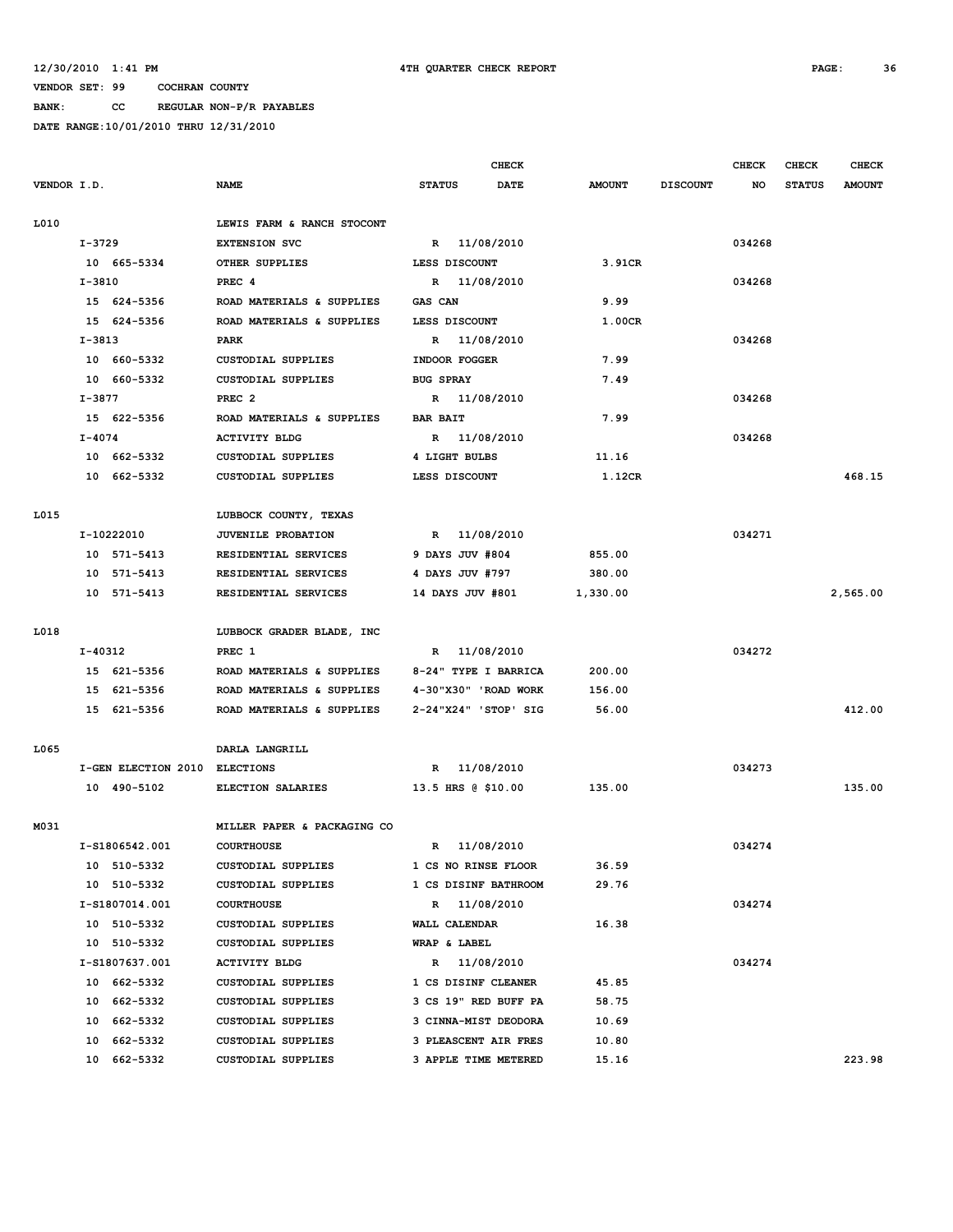**BANK: CC REGULAR NON-P/R PAYABLES**

|             |                                             |                                     |                                              |                  |                    | <b>CHECK</b>         |               |                 | <b>CHECK</b> | <b>CHECK</b>  | <b>CHECK</b>  |
|-------------|---------------------------------------------|-------------------------------------|----------------------------------------------|------------------|--------------------|----------------------|---------------|-----------------|--------------|---------------|---------------|
| VENDOR I.D. |                                             |                                     | <b>NAME</b>                                  | <b>STATUS</b>    |                    | <b>DATE</b>          | <b>AMOUNT</b> | <b>DISCOUNT</b> | NO.          | <b>STATUS</b> | <b>AMOUNT</b> |
|             |                                             |                                     |                                              |                  |                    |                      |               |                 |              |               |               |
| L010        |                                             |                                     | LEWIS FARM & RANCH STOCONT                   |                  |                    |                      |               |                 |              |               |               |
|             | I-3729                                      |                                     | <b>EXTENSION SVC</b>                         |                  | R 11/08/2010       |                      |               |                 | 034268       |               |               |
|             |                                             | 10 665-5334                         | OTHER SUPPLIES                               |                  | LESS DISCOUNT      |                      | 3.91CR        |                 |              |               |               |
|             | I-3810                                      |                                     | PREC 4                                       |                  | R 11/08/2010       |                      |               |                 | 034268       |               |               |
|             |                                             | 15 624-5356                         | ROAD MATERIALS & SUPPLIES                    | GAS CAN          |                    |                      | 9.99          |                 |              |               |               |
|             |                                             | 15 624-5356                         | ROAD MATERIALS & SUPPLIES                    |                  | LESS DISCOUNT      |                      | 1.00CR        |                 |              |               |               |
|             | $I-3813$                                    |                                     | PARK                                         |                  | R 11/08/2010       |                      |               |                 | 034268       |               |               |
|             |                                             | 10 660-5332                         | <b>CUSTODIAL SUPPLIES</b>                    |                  | INDOOR FOGGER      |                      | 7.99          |                 |              |               |               |
|             |                                             | 10 660-5332                         | <b>CUSTODIAL SUPPLIES</b>                    | <b>BUG SPRAY</b> |                    |                      | 7.49          |                 |              |               |               |
|             | I-3877<br>PREC <sub>2</sub><br>R 11/08/2010 |                                     |                                              |                  |                    | 034268               |               |                 |              |               |               |
|             |                                             | 15 622-5356                         | ROAD MATERIALS & SUPPLIES<br><b>BAR BAIT</b> |                  |                    | 7.99                 |               |                 |              |               |               |
|             | $I - 4074$                                  |                                     | <b>ACTIVITY BLDG</b>                         |                  | R 11/08/2010       |                      |               |                 | 034268       |               |               |
|             |                                             | 10 662-5332                         | CUSTODIAL SUPPLIES                           |                  | 4 LIGHT BULBS      |                      | 11.16         |                 |              |               |               |
|             |                                             | 10 662-5332                         | CUSTODIAL SUPPLIES                           |                  | LESS DISCOUNT      |                      | 1.12CR        |                 |              |               | 468.15        |
|             |                                             |                                     |                                              |                  |                    |                      |               |                 |              |               |               |
| L015        |                                             |                                     | LUBBOCK COUNTY, TEXAS                        |                  |                    |                      |               |                 |              |               |               |
|             |                                             | I-10222010                          | JUVENILE PROBATION                           |                  | R 11/08/2010       |                      |               |                 | 034271       |               |               |
|             |                                             | 10 571-5413<br>RESIDENTIAL SERVICES |                                              |                  | 9 DAYS JUV #804    |                      | 855.00        |                 |              |               |               |
|             |                                             | 10 571-5413                         | RESIDENTIAL SERVICES                         |                  | 4 DAYS JUV #797    |                      | 380.00        |                 |              |               |               |
|             |                                             | 10 571-5413                         | RESIDENTIAL SERVICES                         |                  | 14 DAYS JUV #801   |                      | 1,330.00      |                 |              |               | 2,565.00      |
|             |                                             |                                     |                                              |                  |                    |                      |               |                 |              |               |               |
| L018        |                                             |                                     | LUBBOCK GRADER BLADE, INC                    |                  |                    |                      |               |                 |              |               |               |
|             | I-40312                                     |                                     | PREC 1                                       |                  | R 11/08/2010       |                      |               |                 | 034272       |               |               |
|             |                                             | 15 621-5356                         | ROAD MATERIALS & SUPPLIES                    |                  |                    | 8-24" TYPE I BARRICA | 200.00        |                 |              |               |               |
|             |                                             | 15 621-5356                         | ROAD MATERIALS & SUPPLIES                    |                  |                    | 4-30"X30" 'ROAD WORK | 156.00        |                 |              |               |               |
|             |                                             | 15 621-5356                         | ROAD MATERIALS & SUPPLIES                    |                  |                    | 2-24"X24" 'STOP' SIG | 56.00         |                 |              |               | 412.00        |
|             |                                             |                                     |                                              |                  |                    |                      |               |                 |              |               |               |
| L065        |                                             | I-GEN ELECTION 2010 ELECTIONS       | DARLA LANGRILL                               |                  | R 11/08/2010       |                      |               |                 | 034273       |               |               |
|             |                                             |                                     |                                              |                  |                    |                      |               |                 |              |               |               |
|             |                                             | 10 490-5102                         | ELECTION SALARIES                            |                  | 13.5 HRS @ \$10.00 |                      | 135.00        |                 |              |               | 135.00        |
| M031        |                                             |                                     | MILLER PAPER & PACKAGING CO                  |                  |                    |                      |               |                 |              |               |               |
|             |                                             | I-S1806542.001                      | <b>COURTHOUSE</b>                            |                  | R 11/08/2010       |                      |               |                 | 034274       |               |               |
|             |                                             | 10 510-5332                         | CUSTODIAL SUPPLIES                           |                  |                    | 1 CS NO RINSE FLOOR  | 36.59         |                 |              |               |               |
|             |                                             | 10 510-5332                         | CUSTODIAL SUPPLIES                           |                  |                    | 1 CS DISINF BATHROOM | 29.76         |                 |              |               |               |
|             |                                             | I-S1807014.001                      | <b>COURTHOUSE</b>                            |                  | R 11/08/2010       |                      |               |                 | 034274       |               |               |
|             |                                             | 10 510-5332                         | CUSTODIAL SUPPLIES                           |                  | WALL CALENDAR      |                      | 16.38         |                 |              |               |               |
|             |                                             | 10 510-5332                         | CUSTODIAL SUPPLIES                           |                  | WRAP & LABEL       |                      |               |                 |              |               |               |
|             |                                             | I-S1807637.001                      | <b>ACTIVITY BLDG</b>                         |                  | R 11/08/2010       |                      |               |                 | 034274       |               |               |
|             |                                             | 10 662-5332                         | CUSTODIAL SUPPLIES                           |                  |                    | 1 CS DISINF CLEANER  | 45.85         |                 |              |               |               |
|             |                                             | 10 662-5332                         | CUSTODIAL SUPPLIES                           |                  |                    | 3 CS 19" RED BUFF PA | 58.75         |                 |              |               |               |
|             |                                             | 10 662-5332                         | <b>CUSTODIAL SUPPLIES</b>                    |                  |                    | 3 CINNA-MIST DEODORA | 10.69         |                 |              |               |               |
|             |                                             | 10 662-5332                         | CUSTODIAL SUPPLIES                           |                  |                    | 3 PLEASCENT AIR FRES | 10.80         |                 |              |               |               |
|             |                                             | 10 662-5332                         | CUSTODIAL SUPPLIES                           |                  |                    | 3 APPLE TIME METERED | 15.16         |                 |              |               | 223.98        |
|             |                                             |                                     |                                              |                  |                    |                      |               |                 |              |               |               |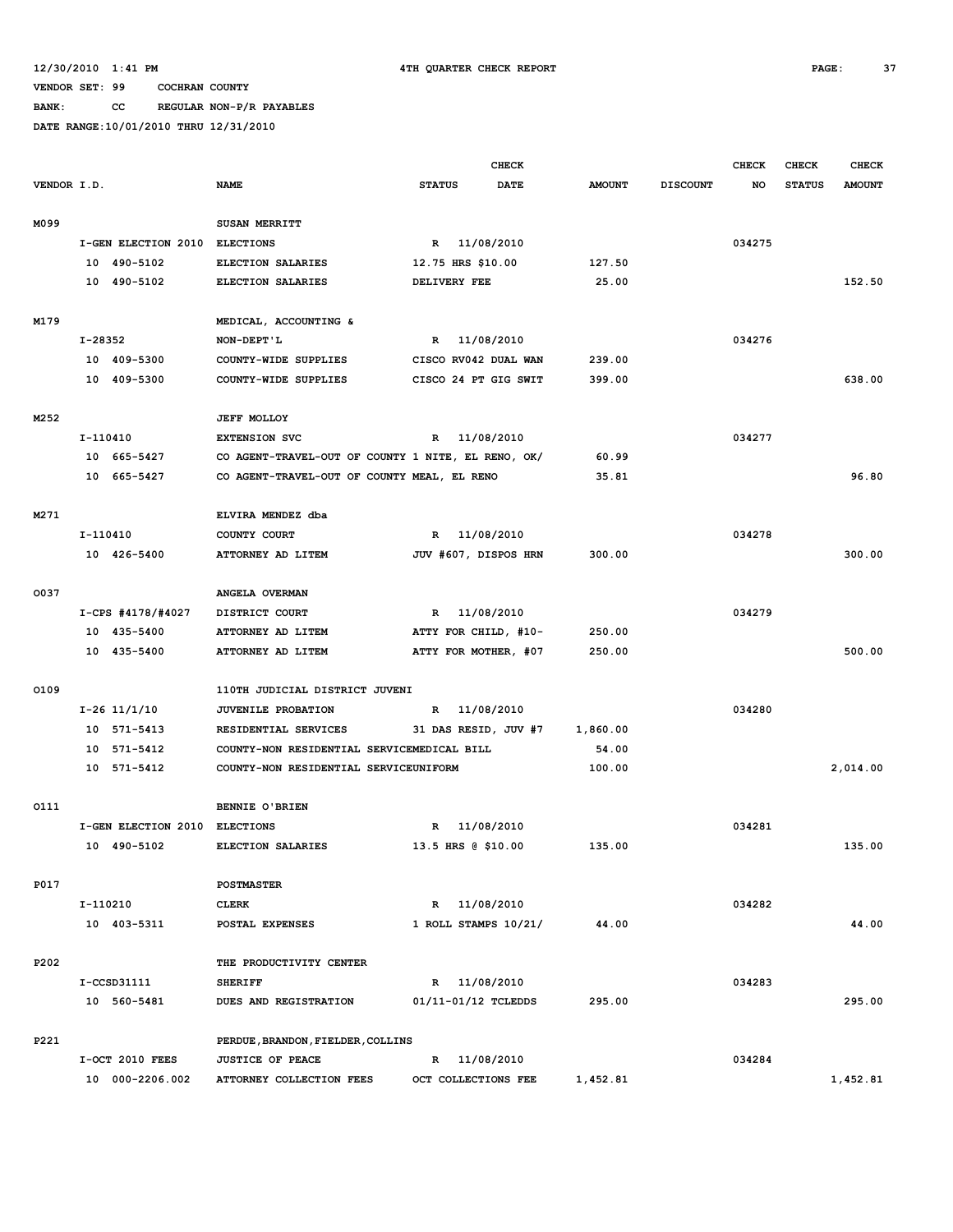**BANK: CC REGULAR NON-P/R PAYABLES**

|             |          |                               |                                                    |                      | <b>CHECK</b>         |               |                 | <b>CHECK</b> | CHECK         | <b>CHECK</b>  |
|-------------|----------|-------------------------------|----------------------------------------------------|----------------------|----------------------|---------------|-----------------|--------------|---------------|---------------|
| VENDOR I.D. |          |                               | <b>NAME</b>                                        | <b>STATUS</b>        | <b>DATE</b>          | <b>AMOUNT</b> | <b>DISCOUNT</b> | NO           | <b>STATUS</b> | <b>AMOUNT</b> |
|             |          |                               |                                                    |                      |                      |               |                 |              |               |               |
| M099        |          |                               | SUSAN MERRITT                                      |                      |                      |               |                 |              |               |               |
|             |          | I-GEN ELECTION 2010           | <b>ELECTIONS</b>                                   | R 11/08/2010         |                      |               |                 | 034275       |               |               |
|             |          | 10 490-5102                   | ELECTION SALARIES                                  | 12.75 HRS \$10.00    |                      | 127.50        |                 |              |               |               |
|             |          | 10 490-5102                   | <b>ELECTION SALARIES</b>                           | DELIVERY FEE         |                      | 25.00         |                 |              |               | 152.50        |
|             |          |                               |                                                    |                      |                      |               |                 |              |               |               |
| M179        |          |                               | MEDICAL, ACCOUNTING &                              |                      |                      |               |                 |              |               |               |
|             | I-28352  |                               | NON-DEPT'L                                         | R 11/08/2010         |                      |               |                 | 034276       |               |               |
|             |          | 10 409-5300                   | COUNTY-WIDE SUPPLIES                               |                      | CISCO RV042 DUAL WAN | 239.00        |                 |              |               |               |
|             |          | 10 409-5300                   | COUNTY-WIDE SUPPLIES                               |                      | CISCO 24 PT GIG SWIT | 399.00        |                 |              |               | 638.00        |
| M252        |          |                               | <b>JEFF MOLLOY</b>                                 |                      |                      |               |                 |              |               |               |
|             | I-110410 |                               | <b>EXTENSION SVC</b>                               | R                    | 11/08/2010           |               |                 | 034277       |               |               |
|             |          | 10 665-5427                   | CO AGENT-TRAVEL-OUT OF COUNTY 1 NITE, EL RENO, OK/ |                      |                      | 60.99         |                 |              |               |               |
|             |          | 10 665-5427                   | CO AGENT-TRAVEL-OUT OF COUNTY MEAL, EL RENO        |                      |                      | 35.81         |                 |              |               | 96.80         |
|             |          |                               |                                                    |                      |                      |               |                 |              |               |               |
| M271        |          |                               | ELVIRA MENDEZ dba                                  |                      |                      |               |                 |              |               |               |
|             | I-110410 |                               | COUNTY COURT                                       | R 11/08/2010         |                      |               |                 | 034278       |               |               |
|             |          | 10 426-5400                   | ATTORNEY AD LITEM                                  |                      | JUV #607, DISPOS HRN | 300.00        |                 |              |               | 300.00        |
|             |          |                               |                                                    |                      |                      |               |                 |              |               |               |
| 0037        |          |                               | ANGELA OVERMAN                                     |                      |                      |               |                 |              |               |               |
|             |          | I-CPS #4178/#4027             | DISTRICT COURT                                     | R 11/08/2010         |                      |               |                 | 034279       |               |               |
|             |          | 10 435-5400                   | ATTORNEY AD LITEM                                  | ATTY FOR CHILD, #10- |                      | 250.00        |                 |              |               |               |
|             |          | 10 435-5400                   | ATTORNEY AD LITEM                                  | ATTY FOR MOTHER, #07 |                      | 250.00        |                 |              |               | 500.00        |
| 0109        |          |                               | 110TH JUDICIAL DISTRICT JUVENI                     |                      |                      |               |                 |              |               |               |
|             |          | $I-26$ 11/1/10                | <b>JUVENILE PROBATION</b>                          | $\mathbb{R}$         | 11/08/2010           |               |                 | 034280       |               |               |
|             |          | 10 571-5413                   | RESIDENTIAL SERVICES                               |                      | 31 DAS RESID, JUV #7 | 1,860.00      |                 |              |               |               |
|             |          | 10 571-5412                   | COUNTY-NON RESIDENTIAL SERVICEMEDICAL BILL         |                      |                      | 54.00         |                 |              |               |               |
|             |          | 10 571-5412                   | COUNTY-NON RESIDENTIAL SERVICEUNIFORM              |                      |                      | 100.00        |                 |              |               | 2,014.00      |
|             |          |                               |                                                    |                      |                      |               |                 |              |               |               |
| 0111        |          |                               | BENNIE O'BRIEN                                     |                      |                      |               |                 |              |               |               |
|             |          | I-GEN ELECTION 2010 ELECTIONS |                                                    | R 11/08/2010         |                      |               |                 | 034281       |               |               |
|             |          | 10 490-5102                   | ELECTION SALARIES                                  | 13.5 HRS @ \$10.00   |                      | 135.00        |                 |              |               | 135.00        |
|             |          |                               |                                                    |                      |                      |               |                 |              |               |               |
| P017        |          |                               | <b>POSTMASTER</b>                                  |                      |                      |               |                 |              |               |               |
|             | I-110210 |                               | <b>CLERK</b>                                       | R 11/08/2010         |                      |               |                 | 034282       |               |               |
|             |          | 10 403-5311                   | POSTAL EXPENSES                                    |                      | 1 ROLL STAMPS 10/21/ | 44.00         |                 |              |               | 44.00         |
|             |          |                               |                                                    |                      |                      |               |                 |              |               |               |
| P202        |          |                               | THE PRODUCTIVITY CENTER                            |                      |                      |               |                 |              |               |               |
|             |          | $I-CCSD31111$                 | <b>SHERIFF</b>                                     | R 11/08/2010         |                      |               |                 | 034283       |               |               |
|             |          | 10 560-5481                   | DUES AND REGISTRATION                              | 01/11-01/12 TCLEDDS  |                      | 295.00        |                 |              |               | 295.00        |
| P221        |          |                               | PERDUE, BRANDON, FIELDER, COLLINS                  |                      |                      |               |                 |              |               |               |
|             |          | I-OCT 2010 FEES               | <b>JUSTICE OF PEACE</b>                            | R 11/08/2010         |                      |               |                 | 034284       |               |               |
|             |          | 10 000-2206.002               | ATTORNEY COLLECTION FEES                           | OCT COLLECTIONS FEE  |                      | 1,452.81      |                 |              |               | 1,452.81      |
|             |          |                               |                                                    |                      |                      |               |                 |              |               |               |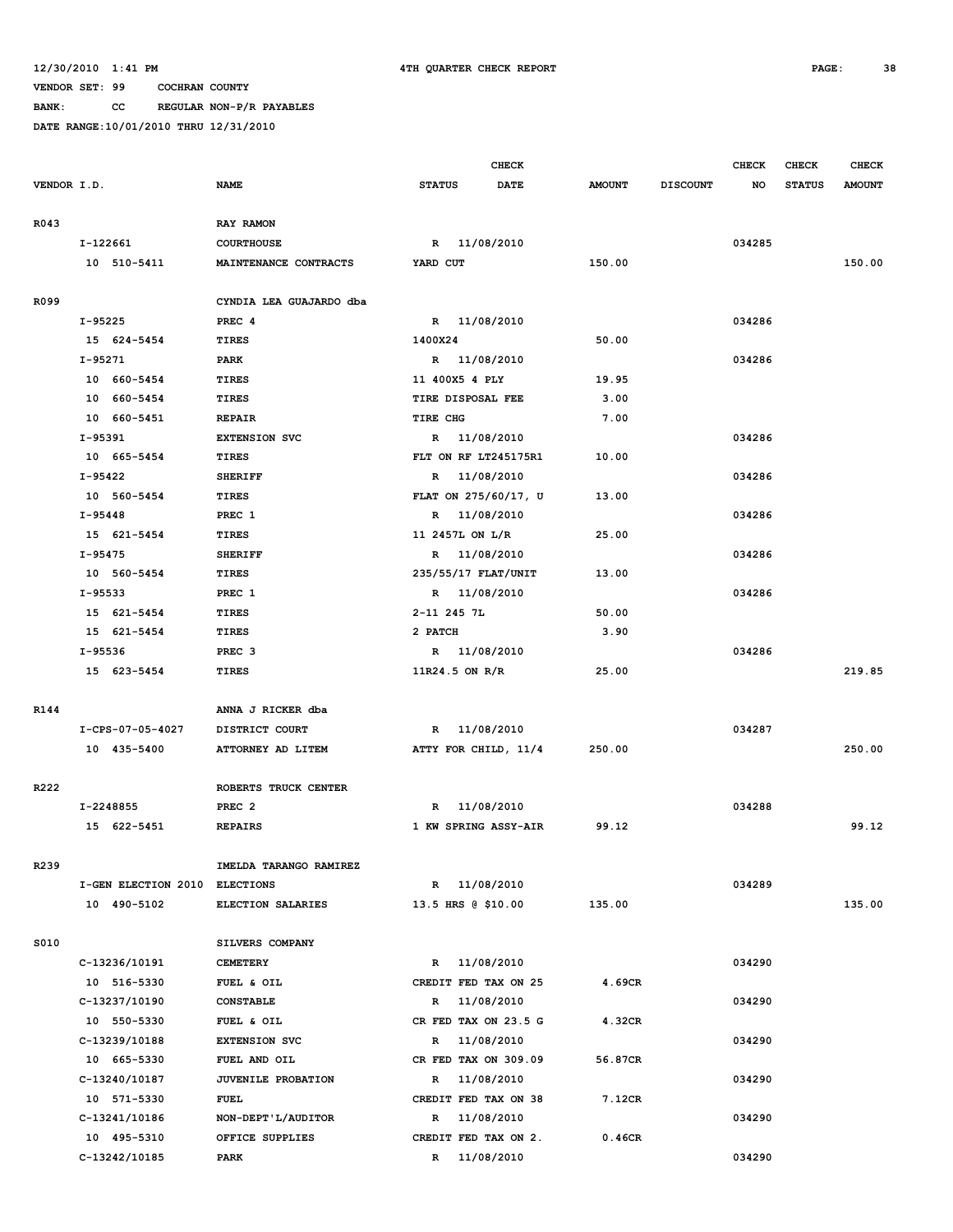**BANK: CC REGULAR NON-P/R PAYABLES**

|             |                               |                         |                      | <b>CHECK</b> |               |                 | <b>CHECK</b> | CHECK         | <b>CHECK</b>  |
|-------------|-------------------------------|-------------------------|----------------------|--------------|---------------|-----------------|--------------|---------------|---------------|
| VENDOR I.D. |                               | <b>NAME</b>             | <b>STATUS</b>        | <b>DATE</b>  | <b>AMOUNT</b> | <b>DISCOUNT</b> | NO           | <b>STATUS</b> | <b>AMOUNT</b> |
| R043        |                               | RAY RAMON               |                      |              |               |                 |              |               |               |
|             | I-122661                      | <b>COURTHOUSE</b>       | R 11/08/2010         |              |               |                 | 034285       |               |               |
|             | 10 510-5411                   | MAINTENANCE CONTRACTS   | YARD CUT             |              | 150.00        |                 |              |               | 150.00        |
|             |                               |                         |                      |              |               |                 |              |               |               |
| R099        |                               | CYNDIA LEA GUAJARDO dba |                      |              |               |                 |              |               |               |
|             | I-95225                       | PREC <sub>4</sub>       | R 11/08/2010         |              |               |                 | 034286       |               |               |
|             | 15 624-5454                   | <b>TIRES</b>            | 1400X24              |              | 50.00         |                 |              |               |               |
|             | $I-95271$                     | PARK                    | R 11/08/2010         |              |               |                 | 034286       |               |               |
|             | 10 660-5454                   | TIRES                   | 11 400X5 4 PLY       |              | 19.95         |                 |              |               |               |
|             | 10 660-5454                   | <b>TIRES</b>            | TIRE DISPOSAL FEE    |              | 3.00          |                 |              |               |               |
|             | 10 660-5451                   | <b>REPAIR</b>           | TIRE CHG             |              | 7.00          |                 |              |               |               |
|             | I-95391                       | <b>EXTENSION SVC</b>    | R 11/08/2010         |              |               |                 | 034286       |               |               |
|             | 10 665-5454                   | TIRES                   | FLT ON RF LT245175R1 |              | 10.00         |                 |              |               |               |
|             | I-95422                       | <b>SHERIFF</b>          | R 11/08/2010         |              |               |                 | 034286       |               |               |
|             | 10 560-5454                   | <b>TIRES</b>            | FLAT ON 275/60/17, U |              | 13.00         |                 |              |               |               |
|             | $I-95448$                     | PREC 1                  | R 11/08/2010         |              |               |                 | 034286       |               |               |
|             | 15 621-5454                   | TIRES                   | 11 2457L ON L/R      |              | 25.00         |                 |              |               |               |
|             | $I-95475$                     | <b>SHERIFF</b>          | R 11/08/2010         |              |               |                 | 034286       |               |               |
|             | 10 560-5454                   | <b>TIRES</b>            | 235/55/17 FLAT/UNIT  |              | 13.00         |                 |              |               |               |
|             | I-95533                       | PREC 1                  | R 11/08/2010         |              |               |                 | 034286       |               |               |
|             | 15 621-5454                   | <b>TIRES</b>            | 2-11 245 7L          |              | 50.00         |                 |              |               |               |
|             | 15 621-5454                   | <b>TIRES</b>            | 2 PATCH              |              | 3.90          |                 |              |               |               |
|             | I-95536                       | PREC <sub>3</sub>       | R 11/08/2010         |              |               |                 | 034286       |               |               |
|             | 15 623-5454                   | <b>TIRES</b>            | $11R24.5$ ON R/R     |              | 25.00         |                 |              |               | 219.85        |
| R144        |                               | ANNA J RICKER dba       |                      |              |               |                 |              |               |               |
|             | I-CPS-07-05-4027              | DISTRICT COURT          | R 11/08/2010         |              |               |                 | 034287       |               |               |
|             | 10 435-5400                   | ATTORNEY AD LITEM       | ATTY FOR CHILD, 11/4 |              | 250.00        |                 |              |               | 250.00        |
|             |                               |                         |                      |              |               |                 |              |               |               |
| R222        |                               | ROBERTS TRUCK CENTER    |                      |              |               |                 |              |               |               |
|             | I-2248855                     | PREC <sub>2</sub>       | R                    | 11/08/2010   |               |                 | 034288       |               |               |
|             | 15 622-5451                   | <b>REPAIRS</b>          | 1 KW SPRING ASSY-AIR |              | 99.12         |                 |              |               | 99.12         |
| R239        |                               | IMELDA TARANGO RAMIREZ  |                      |              |               |                 |              |               |               |
|             | I-GEN ELECTION 2010 ELECTIONS |                         | R 11/08/2010         |              |               |                 | 034289       |               |               |
|             | 10 490-5102                   | ELECTION SALARIES       | 13.5 HRS @ \$10.00   |              | 135.00        |                 |              |               | 135.00        |
|             |                               |                         |                      |              |               |                 |              |               |               |
| S010        |                               | SILVERS COMPANY         |                      |              |               |                 |              |               |               |
|             | C-13236/10191                 | <b>CEMETERY</b>         | R 11/08/2010         |              |               |                 | 034290       |               |               |
|             | 10 516-5330                   | FUEL & OIL              | CREDIT FED TAX ON 25 |              | 4.69CR        |                 |              |               |               |
|             | C-13237/10190                 | <b>CONSTABLE</b>        | R                    | 11/08/2010   |               |                 | 034290       |               |               |
|             | 10 550-5330                   | FUEL & OIL              | CR FED TAX ON 23.5 G |              | 4.32CR        |                 |              |               |               |
|             | C-13239/10188                 | <b>EXTENSION SVC</b>    | $\mathbb{R}$         | 11/08/2010   |               |                 | 034290       |               |               |
|             | 10 665-5330                   | FUEL AND OIL            | CR FED TAX ON 309.09 |              | 56.87CR       |                 |              |               |               |
|             | C-13240/10187                 | JUVENILE PROBATION      | R                    | 11/08/2010   |               |                 | 034290       |               |               |
|             | 10 571-5330                   | <b>FUEL</b>             | CREDIT FED TAX ON 38 |              | 7.12CR        |                 |              |               |               |
|             | C-13241/10186                 | NON-DEPT'L/AUDITOR      | R                    | 11/08/2010   |               |                 | 034290       |               |               |
|             | 10 495-5310                   | OFFICE SUPPLIES         | CREDIT FED TAX ON 2. |              | 0.46CR        |                 |              |               |               |
|             | C-13242/10185                 | PARK                    | R 11/08/2010         |              |               |                 | 034290       |               |               |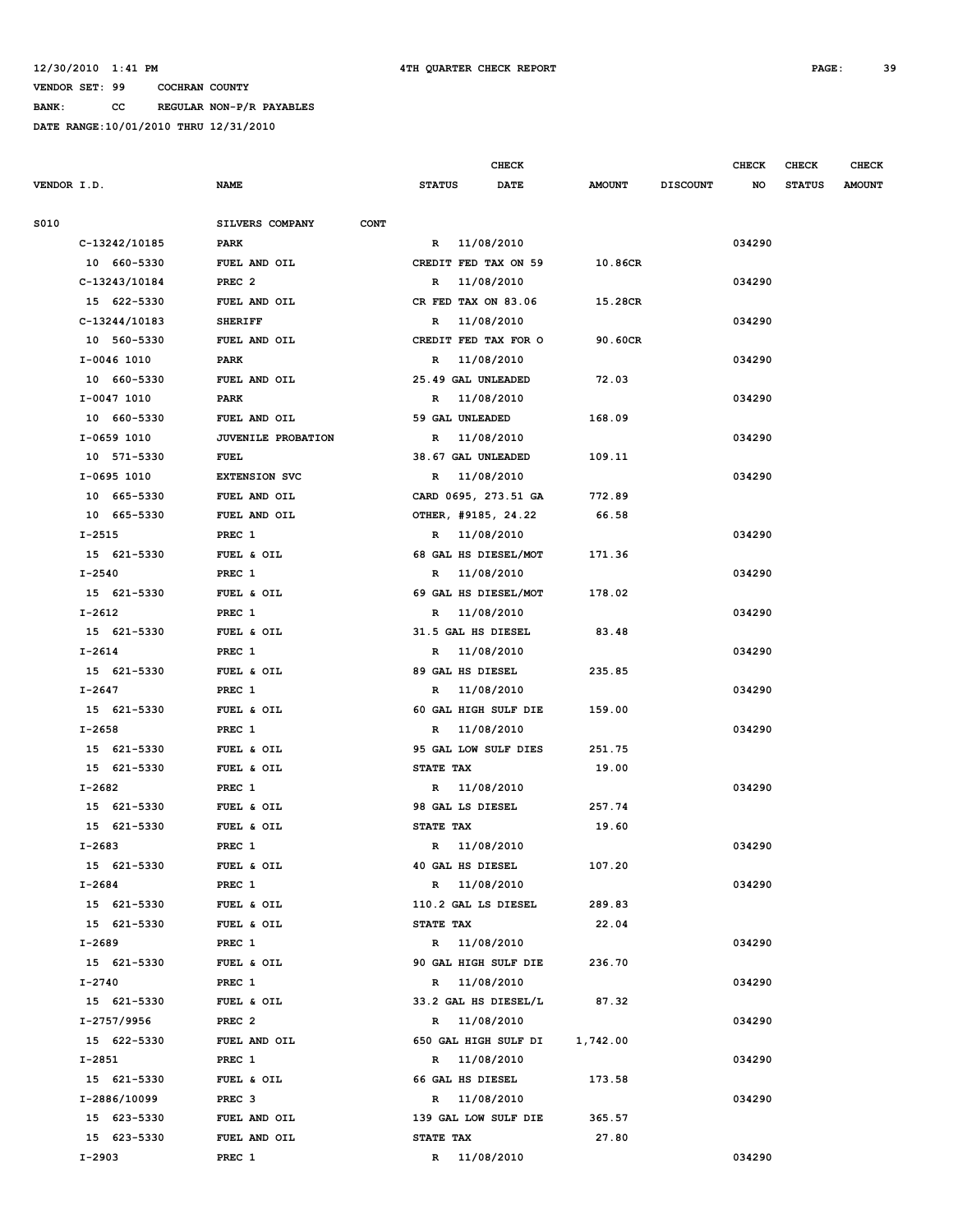**VENDOR SET: 99 COCHRAN COUNTY BANK: CC REGULAR NON-P/R PAYABLES**

|             |               |                                |                            | <b>CHECK</b> |               |                 | <b>CHECK</b> | CHECK         | <b>CHECK</b>  |
|-------------|---------------|--------------------------------|----------------------------|--------------|---------------|-----------------|--------------|---------------|---------------|
| VENDOR I.D. |               | <b>NAME</b>                    | <b>STATUS</b>              | <b>DATE</b>  | <b>AMOUNT</b> | <b>DISCOUNT</b> | NO           | <b>STATUS</b> | <b>AMOUNT</b> |
| S010        |               | SILVERS COMPANY<br><b>CONT</b> |                            |              |               |                 |              |               |               |
|             | C-13242/10185 | PARK                           | R 11/08/2010               |              |               |                 | 034290       |               |               |
|             | 10 660-5330   | FUEL AND OIL                   | CREDIT FED TAX ON 59       |              | 10.86CR       |                 |              |               |               |
|             | C-13243/10184 | PREC <sub>2</sub>              | 11/08/2010<br>R            |              |               |                 | 034290       |               |               |
|             | 15 622-5330   | FUEL AND OIL                   | CR FED TAX ON 83.06        |              | 15.28CR       |                 |              |               |               |
|             | C-13244/10183 | <b>SHERIFF</b>                 | 11/08/2010<br>R            |              |               |                 | 034290       |               |               |
|             | 10 560-5330   | FUEL AND OIL                   | CREDIT FED TAX FOR O       |              | 90.60CR       |                 |              |               |               |
|             | I-0046 1010   | PARK                           | 11/08/2010<br>$\mathbf R$  |              |               |                 | 034290       |               |               |
|             | 10 660-5330   | FUEL AND OIL                   | 25.49 GAL UNLEADED         |              | 72.03         |                 |              |               |               |
|             | I-0047 1010   | PARK                           | 11/08/2010<br>R            |              |               |                 | 034290       |               |               |
|             | 10 660-5330   | FUEL AND OIL                   | 59 GAL UNLEADED            |              | 168.09        |                 |              |               |               |
|             | I-0659 1010   | <b>JUVENILE PROBATION</b>      | 11/08/2010<br>R            |              |               |                 | 034290       |               |               |
|             | 10 571-5330   | FUEL                           | 38.67 GAL UNLEADED         |              | 109.11        |                 |              |               |               |
|             | I-0695 1010   | <b>EXTENSION SVC</b>           | 11/08/2010<br>R            |              |               |                 | 034290       |               |               |
|             | 10 665-5330   | FUEL AND OIL                   | CARD 0695, 273.51 GA       |              | 772.89        |                 |              |               |               |
|             | 10 665-5330   | FUEL AND OIL                   | OTHER, #9185, 24.22        |              | 66.58         |                 |              |               |               |
|             | I-2515        | PREC 1                         | R 11/08/2010               |              |               |                 | 034290       |               |               |
|             | 15 621-5330   | FUEL & OIL                     | 68 GAL HS DIESEL/MOT       |              | 171.36        |                 |              |               |               |
|             | I-2540        | PREC 1                         | 11/08/2010<br>R            |              |               |                 | 034290       |               |               |
|             | 15 621-5330   | FUEL & OIL                     | 69 GAL HS DIESEL/MOT       |              | 178.02        |                 |              |               |               |
|             | I-2612        | PREC 1                         | 11/08/2010<br>$\mathbb{R}$ |              |               |                 | 034290       |               |               |
|             | 15 621-5330   | FUEL & OIL                     | 31.5 GAL HS DIESEL         |              | 83.48         |                 |              |               |               |
|             | I-2614        | PREC 1                         | 11/08/2010<br>R            |              |               |                 | 034290       |               |               |
|             | 15 621-5330   | FUEL & OIL                     | 89 GAL HS DIESEL           |              | 235.85        |                 |              |               |               |
|             | I-2647        | PREC 1                         | 11/08/2010<br>R            |              |               |                 | 034290       |               |               |
|             | 15 621-5330   | FUEL & OIL                     | 60 GAL HIGH SULF DIE       |              | 159.00        |                 |              |               |               |
|             | $I - 2658$    | PREC 1                         | 11/08/2010<br>R            |              |               |                 | 034290       |               |               |
|             | 15 621-5330   | FUEL & OIL                     | 95 GAL LOW SULF DIES       |              | 251.75        |                 |              |               |               |
|             | 15 621-5330   | FUEL & OIL                     | STATE TAX                  |              | 19.00         |                 |              |               |               |
|             | I-2682        | PREC 1                         | 11/08/2010<br>R            |              |               |                 | 034290       |               |               |
|             | 15 621-5330   | FUEL & OIL                     | 98 GAL LS DIESEL           |              | 257.74        |                 |              |               |               |
|             | 15 621-5330   | FUEL & OIL                     | STATE TAX                  |              | 19.60         |                 |              |               |               |
|             | I-2683        | PREC 1                         | R 11/08/2010               |              |               |                 | 034290       |               |               |
|             | 15 621-5330   | FUEL & OIL                     | 40 GAL HS DIESEL           |              | 107.20        |                 |              |               |               |
|             | I-2684        | PREC 1                         | R 11/08/2010               |              |               |                 | 034290       |               |               |
|             | 15 621-5330   | FUEL & OIL                     | 110.2 GAL LS DIESEL        |              | 289.83        |                 |              |               |               |
|             | 15 621-5330   | FUEL & OIL                     | STATE TAX                  |              | 22.04         |                 |              |               |               |
|             | I-2689        | PREC 1                         | R 11/08/2010               |              |               |                 | 034290       |               |               |
|             | 15 621-5330   | FUEL & OIL                     | 90 GAL HIGH SULF DIE       |              | 236.70        |                 |              |               |               |
|             | $I - 2740$    | PREC 1                         | R 11/08/2010               |              |               |                 | 034290       |               |               |
|             | 15 621-5330   | FUEL & OIL                     | 33.2 GAL HS DIESEL/L       |              | 87.32         |                 |              |               |               |
|             | I-2757/9956   | PREC <sub>2</sub>              | R 11/08/2010               |              |               |                 | 034290       |               |               |
|             | 15 622-5330   | FUEL AND OIL                   | 650 GAL HIGH SULF DI       |              | 1,742.00      |                 |              |               |               |
|             | $I - 2851$    | PREC 1                         | R 11/08/2010               |              |               |                 | 034290       |               |               |
|             | 15 621-5330   | FUEL & OIL                     | 66 GAL HS DIESEL           |              | 173.58        |                 |              |               |               |
|             | I-2886/10099  | PREC <sub>3</sub>              | R 11/08/2010               |              |               |                 | 034290       |               |               |
|             | 15 623-5330   | FUEL AND OIL                   | 139 GAL LOW SULF DIE       |              | 365.57        |                 |              |               |               |
|             | 15 623-5330   | FUEL AND OIL                   | STATE TAX                  |              | 27.80         |                 |              |               |               |
|             | $I-2903$      | PREC 1                         | R 11/08/2010               |              |               |                 | 034290       |               |               |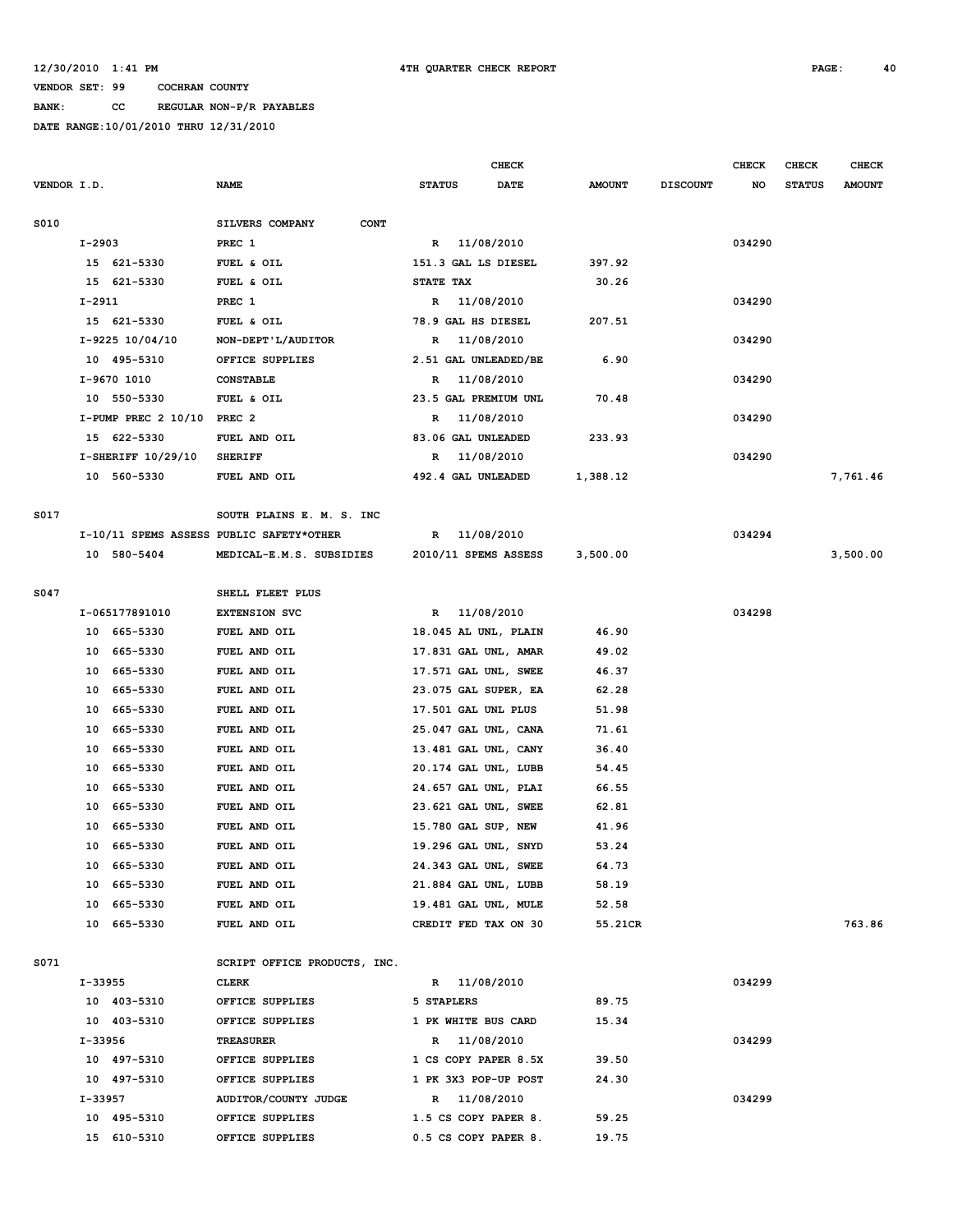# **BANK: CC REGULAR NON-P/R PAYABLES**

|             |         |                              |                                          |               |                     | <b>CHECK</b>         |               |                 | <b>CHECK</b> | CHECK         | <b>CHECK</b>  |
|-------------|---------|------------------------------|------------------------------------------|---------------|---------------------|----------------------|---------------|-----------------|--------------|---------------|---------------|
| VENDOR I.D. |         |                              | <b>NAME</b>                              | <b>STATUS</b> |                     | <b>DATE</b>          | <b>AMOUNT</b> | <b>DISCOUNT</b> | NO           | <b>STATUS</b> | <b>AMOUNT</b> |
|             |         |                              |                                          |               |                     |                      |               |                 |              |               |               |
| S010        |         |                              | SILVERS COMPANY<br><b>CONT</b>           |               |                     |                      |               |                 |              |               |               |
|             | I-2903  |                              | PREC 1                                   |               | R 11/08/2010        |                      |               |                 | 034290       |               |               |
|             |         | 15 621-5330                  | FUEL & OIL                               |               | 151.3 GAL LS DIESEL |                      | 397.92        |                 |              |               |               |
|             |         | 15 621-5330                  | FUEL & OIL                               | STATE TAX     |                     |                      | 30.26         |                 |              |               |               |
|             | I-2911  |                              | PREC 1                                   |               | R 11/08/2010        |                      |               |                 | 034290       |               |               |
|             |         | 15 621-5330                  | FUEL & OIL                               |               | 78.9 GAL HS DIESEL  |                      | 207.51        |                 |              |               |               |
|             |         | I-9225 10/04/10              | NON-DEPT'L/AUDITOR                       | R             | 11/08/2010          |                      |               |                 | 034290       |               |               |
|             |         | 10 495-5310                  | OFFICE SUPPLIES                          |               |                     | 2.51 GAL UNLEADED/BE | 6.90          |                 |              |               |               |
|             |         | I-9670 1010                  | <b>CONSTABLE</b>                         | R             | 11/08/2010          |                      |               |                 | 034290       |               |               |
|             |         | 10 550-5330                  | FUEL & OIL                               |               |                     | 23.5 GAL PREMIUM UNL | 70.48         |                 |              |               |               |
|             |         | $I-PUMP PREC 2 10/10 PREC 2$ |                                          | R             | 11/08/2010          |                      |               |                 | 034290       |               |               |
|             |         | 15 622-5330                  | FUEL AND OIL                             |               | 83.06 GAL UNLEADED  |                      | 233.93        |                 |              |               |               |
|             |         | $I-SHERIFF 10/29/10$         | <b>SHERIFF</b>                           | R             | 11/08/2010          |                      |               |                 | 034290       |               |               |
|             |         | 10 560-5330                  | FUEL AND OIL                             |               | 492.4 GAL UNLEADED  |                      | 1,388.12      |                 |              |               | 7,761.46      |
|             |         |                              |                                          |               |                     |                      |               |                 |              |               |               |
| S017        |         |                              | SOUTH PLAINS E. M. S. INC                |               |                     |                      |               |                 |              |               |               |
|             |         |                              | I-10/11 SPEMS ASSESS PUBLIC SAFETY*OTHER | $\mathbb{R}$  | 11/08/2010          |                      |               |                 | 034294       |               |               |
|             |         | 10 580-5404                  | MEDICAL-E.M.S. SUBSIDIES                 |               |                     | 2010/11 SPEMS ASSESS | 3,500.00      |                 |              |               | 3,500.00      |
|             |         |                              |                                          |               |                     |                      |               |                 |              |               |               |
| S047        |         |                              | SHELL FLEET PLUS                         |               |                     |                      |               |                 |              |               |               |
|             |         | I-065177891010               | <b>EXTENSION SVC</b>                     | $\mathbb{R}$  | 11/08/2010          |                      |               |                 | 034298       |               |               |
|             |         | 10 665-5330                  | FUEL AND OIL                             |               |                     | 18.045 AL UNL, PLAIN | 46.90         |                 |              |               |               |
|             |         | 10 665-5330                  | FUEL AND OIL                             |               |                     | 17.831 GAL UNL, AMAR | 49.02         |                 |              |               |               |
|             | 10      | 665–5330                     | FUEL AND OIL                             |               |                     | 17.571 GAL UNL, SWEE | 46.37         |                 |              |               |               |
|             | 10      | 665-5330                     | FUEL AND OIL                             |               |                     | 23.075 GAL SUPER, EA | 62.28         |                 |              |               |               |
|             | 10      | 665-5330                     | FUEL AND OIL                             |               | 17.501 GAL UNL PLUS |                      | 51.98         |                 |              |               |               |
|             | 10      | 665-5330                     | FUEL AND OIL                             |               |                     | 25.047 GAL UNL, CANA | 71.61         |                 |              |               |               |
|             | 10      | 665-5330                     | FUEL AND OIL                             |               |                     | 13.481 GAL UNL, CANY | 36.40         |                 |              |               |               |
|             | 10      | 665-5330                     | FUEL AND OIL                             |               |                     | 20.174 GAL UNL, LUBB | 54.45         |                 |              |               |               |
|             | 10      | 665-5330                     | FUEL AND OIL                             |               |                     | 24.657 GAL UNL, PLAI | 66.55         |                 |              |               |               |
|             | 10      | 665-5330                     | FUEL AND OIL                             |               |                     | 23.621 GAL UNL, SWEE | 62.81         |                 |              |               |               |
|             | 10      | 665-5330                     | FUEL AND OIL                             |               | 15.780 GAL SUP, NEW |                      | 41.96         |                 |              |               |               |
|             | 10      | 665-5330                     | FUEL AND OIL                             |               |                     | 19.296 GAL UNL, SNYD | 53.24         |                 |              |               |               |
|             |         | 10 665-5330                  | FUEL AND OIL                             |               |                     | 24.343 GAL UNL, SWEE | 64.73         |                 |              |               |               |
|             |         | 10 665-5330                  | FUEL AND OIL                             |               |                     | 21.884 GAL UNL, LUBB | 58.19         |                 |              |               |               |
|             |         | 10 665-5330                  | FUEL AND OIL                             |               |                     | 19.481 GAL UNL, MULE | 52.58         |                 |              |               |               |
|             |         | 10 665-5330                  | FUEL AND OIL                             |               |                     | CREDIT FED TAX ON 30 | 55.21CR       |                 |              |               | 763.86        |
|             |         |                              |                                          |               |                     |                      |               |                 |              |               |               |
| S071        |         |                              | SCRIPT OFFICE PRODUCTS, INC.             |               |                     |                      |               |                 |              |               |               |
|             | I-33955 |                              | <b>CLERK</b>                             |               | R 11/08/2010        |                      |               |                 | 034299       |               |               |
|             |         | 10 403-5310                  | OFFICE SUPPLIES                          | 5 STAPLERS    |                     |                      | 89.75         |                 |              |               |               |
|             |         | 10 403-5310                  | OFFICE SUPPLIES                          |               | 1 PK WHITE BUS CARD |                      | 15.34         |                 |              |               |               |
|             | I-33956 |                              | <b>TREASURER</b>                         |               | R 11/08/2010        |                      |               |                 | 034299       |               |               |
|             |         | 10 497-5310                  | OFFICE SUPPLIES                          |               |                     | 1 CS COPY PAPER 8.5X | 39.50         |                 |              |               |               |
|             |         | 10 497-5310                  | OFFICE SUPPLIES                          |               |                     | 1 PK 3X3 POP-UP POST | 24.30         |                 |              |               |               |
|             | I-33957 |                              | AUDITOR/COUNTY JUDGE                     |               | R 11/08/2010        |                      |               |                 | 034299       |               |               |
|             |         | 10 495-5310                  | OFFICE SUPPLIES                          |               |                     | 1.5 CS COPY PAPER 8. | 59.25         |                 |              |               |               |
|             |         | 15 610-5310                  | OFFICE SUPPLIES                          |               |                     | 0.5 CS COPY PAPER 8. | 19.75         |                 |              |               |               |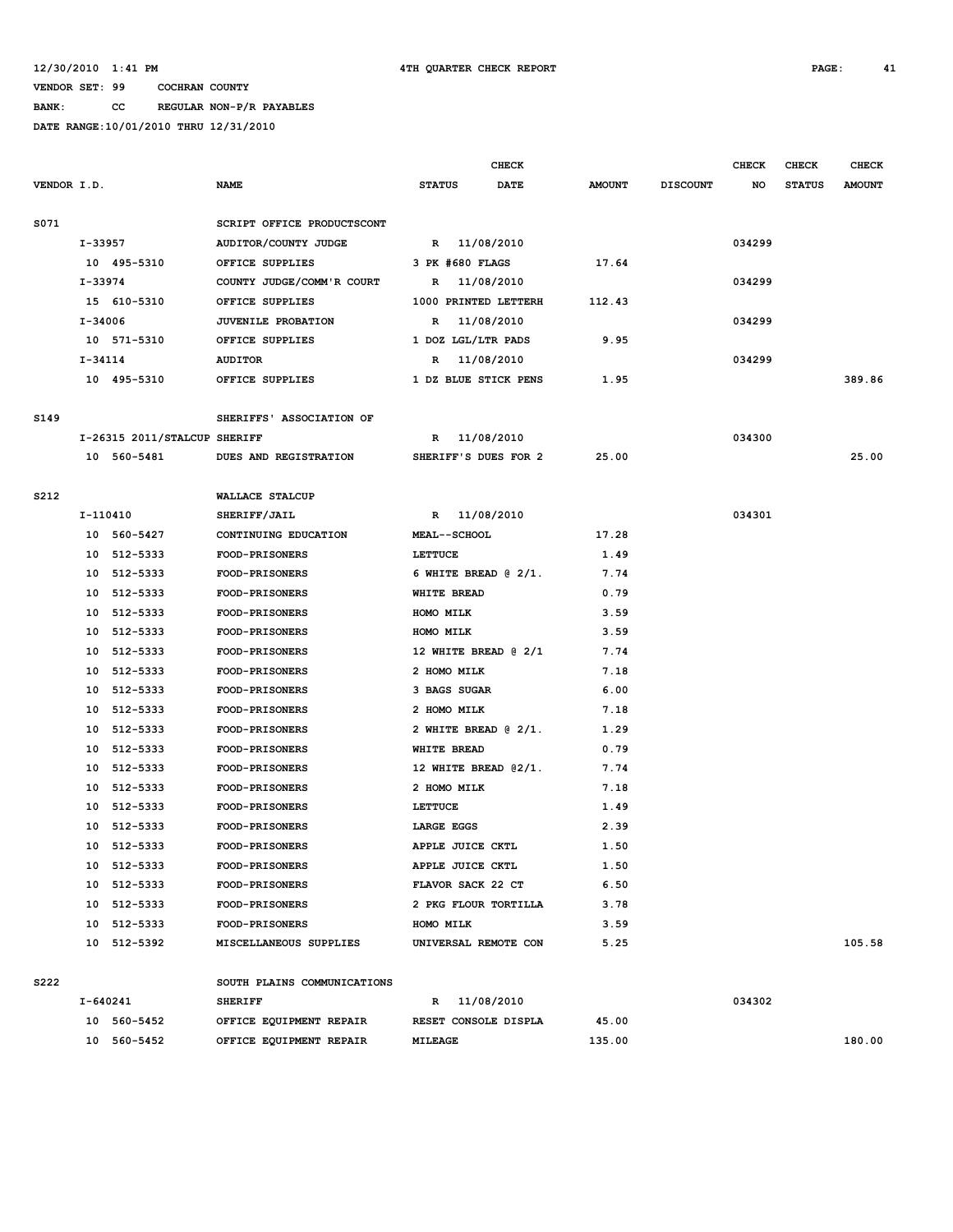## **BANK: CC REGULAR NON-P/R PAYABLES**

|             |             |                              |                             | CHECK          |                     |                         |               | <b>CHECK</b>    | <b>CHECK</b> | <b>CHECK</b>  |               |
|-------------|-------------|------------------------------|-----------------------------|----------------|---------------------|-------------------------|---------------|-----------------|--------------|---------------|---------------|
| VENDOR I.D. |             |                              | <b>NAME</b>                 | <b>STATUS</b>  |                     | DATE                    | <b>AMOUNT</b> | <b>DISCOUNT</b> | NO           | <b>STATUS</b> | <b>AMOUNT</b> |
| S071        |             |                              | SCRIPT OFFICE PRODUCTSCONT  |                |                     |                         |               |                 |              |               |               |
|             | I-33957     |                              | AUDITOR/COUNTY JUDGE        |                |                     | R 11/08/2010            |               |                 | 034299       |               |               |
|             |             | 10 495-5310                  | OFFICE SUPPLIES             |                | 3 PK #680 FLAGS     |                         | 17.64         |                 |              |               |               |
|             | I-33974     |                              | COUNTY JUDGE/COMM'R COURT   |                |                     | R 11/08/2010            |               |                 | 034299       |               |               |
|             |             | 15 610-5310                  | OFFICE SUPPLIES             |                |                     | 1000 PRINTED LETTERH    | 112.43        |                 |              |               |               |
|             | I-34006     |                              | <b>JUVENILE PROBATION</b>   | R              |                     | 11/08/2010              |               |                 | 034299       |               |               |
|             |             | 10 571-5310                  | OFFICE SUPPLIES             |                |                     | 1 DOZ LGL/LTR PADS      | 9.95          |                 |              |               |               |
|             | $I - 34114$ |                              | <b>AUDITOR</b>              | R              |                     | 11/08/2010              |               |                 | 034299       |               |               |
|             |             | 10 495-5310                  | OFFICE SUPPLIES             |                |                     | 1 DZ BLUE STICK PENS    | 1.95          |                 |              |               | 389.86        |
| S149        |             |                              | SHERIFFS' ASSOCIATION OF    |                |                     |                         |               |                 |              |               |               |
|             |             | I-26315 2011/STALCUP SHERIFF |                             |                |                     | R 11/08/2010            |               |                 | 034300       |               |               |
|             |             | 10 560-5481                  | DUES AND REGISTRATION       |                |                     | SHERIFF'S DUES FOR 2    | 25.00         |                 |              |               | 25.00         |
| S212        |             |                              | WALLACE STALCUP             |                |                     |                         |               |                 |              |               |               |
|             | I-110410    |                              | SHERIFF/JAIL                |                |                     | R 11/08/2010            |               |                 | 034301       |               |               |
|             |             | 10 560-5427                  | CONTINUING EDUCATION        |                | <b>MEAL--SCHOOL</b> |                         | 17.28         |                 |              |               |               |
|             |             | 10 512-5333                  | <b>FOOD-PRISONERS</b>       | LETTUCE        |                     |                         | 1.49          |                 |              |               |               |
|             | 10          | 512-5333                     | FOOD-PRISONERS              |                |                     | 6 WHITE BREAD @ 2/1.    | 7.74          |                 |              |               |               |
|             |             | 10 512-5333                  | FOOD-PRISONERS              |                | <b>WHITE BREAD</b>  |                         | 0.79          |                 |              |               |               |
|             |             | 10 512-5333                  | <b>FOOD-PRISONERS</b>       |                | HOMO MILK           |                         | 3.59          |                 |              |               |               |
|             |             | 10 512-5333                  | <b>FOOD-PRISONERS</b>       |                | HOMO MILK           |                         | 3.59          |                 |              |               |               |
|             |             | 10 512-5333                  | FOOD-PRISONERS              |                |                     | 12 WHITE BREAD @ 2/1    | 7.74          |                 |              |               |               |
|             | 10          | 512-5333                     | <b>FOOD-PRISONERS</b>       |                | 2 HOMO MILK         |                         | 7.18          |                 |              |               |               |
|             | 10          | 512-5333                     | <b>FOOD-PRISONERS</b>       |                | 3 BAGS SUGAR        |                         | 6.00          |                 |              |               |               |
|             | 10          | 512-5333                     | FOOD-PRISONERS              |                | 2 HOMO MILK         |                         | 7.18          |                 |              |               |               |
|             | 10          | 512-5333                     | <b>FOOD-PRISONERS</b>       |                |                     | 2 WHITE BREAD $(2/1)$ . | 1.29          |                 |              |               |               |
|             | 10          | 512-5333                     | <b>FOOD-PRISONERS</b>       |                | <b>WHITE BREAD</b>  |                         | 0.79          |                 |              |               |               |
|             | 10          | 512-5333                     | <b>FOOD-PRISONERS</b>       |                |                     | 12 WHITE BREAD @2/1.    | 7.74          |                 |              |               |               |
|             | 10          | 512-5333                     | <b>FOOD-PRISONERS</b>       |                | 2 HOMO MILK         |                         | 7.18          |                 |              |               |               |
|             | 10          | 512-5333                     | FOOD-PRISONERS              | LETTUCE        |                     |                         | 1.49          |                 |              |               |               |
|             | 10          | 512-5333                     | <b>FOOD-PRISONERS</b>       |                | LARGE EGGS          |                         | 2.39          |                 |              |               |               |
|             |             | 10 512-5333                  | <b>FOOD-PRISONERS</b>       |                | APPLE JUICE CKTL    |                         | 1.50          |                 |              |               |               |
|             |             | 10 512-5333                  | <b>FOOD-PRISONERS</b>       |                | APPLE JUICE CKTL    |                         | 1.50          |                 |              |               |               |
|             |             | 10 512-5333                  | FOOD-PRISONERS              |                |                     | FLAVOR SACK 22 CT       | 6.50          |                 |              |               |               |
|             |             | 10 512-5333                  | <b>FOOD-PRISONERS</b>       |                |                     | 2 PKG FLOUR TORTILLA    | 3.78          |                 |              |               |               |
|             |             | 10 512-5333                  | <b>FOOD-PRISONERS</b>       |                | HOMO MILK           |                         | 3.59          |                 |              |               |               |
|             |             | 10 512-5392                  | MISCELLANEOUS SUPPLIES      |                |                     | UNIVERSAL REMOTE CON    | 5.25          |                 |              |               | 105.58        |
| S222        |             |                              | SOUTH PLAINS COMMUNICATIONS |                |                     |                         |               |                 |              |               |               |
|             | I-640241    |                              | <b>SHERIFF</b>              |                |                     | R 11/08/2010            |               |                 | 034302       |               |               |
|             |             | 10 560-5452                  | OFFICE EQUIPMENT REPAIR     |                |                     | RESET CONSOLE DISPLA    | 45.00         |                 |              |               |               |
|             |             | 10 560-5452                  | OFFICE EQUIPMENT REPAIR     | <b>MILEAGE</b> |                     |                         | 135.00        |                 |              |               | 180.00        |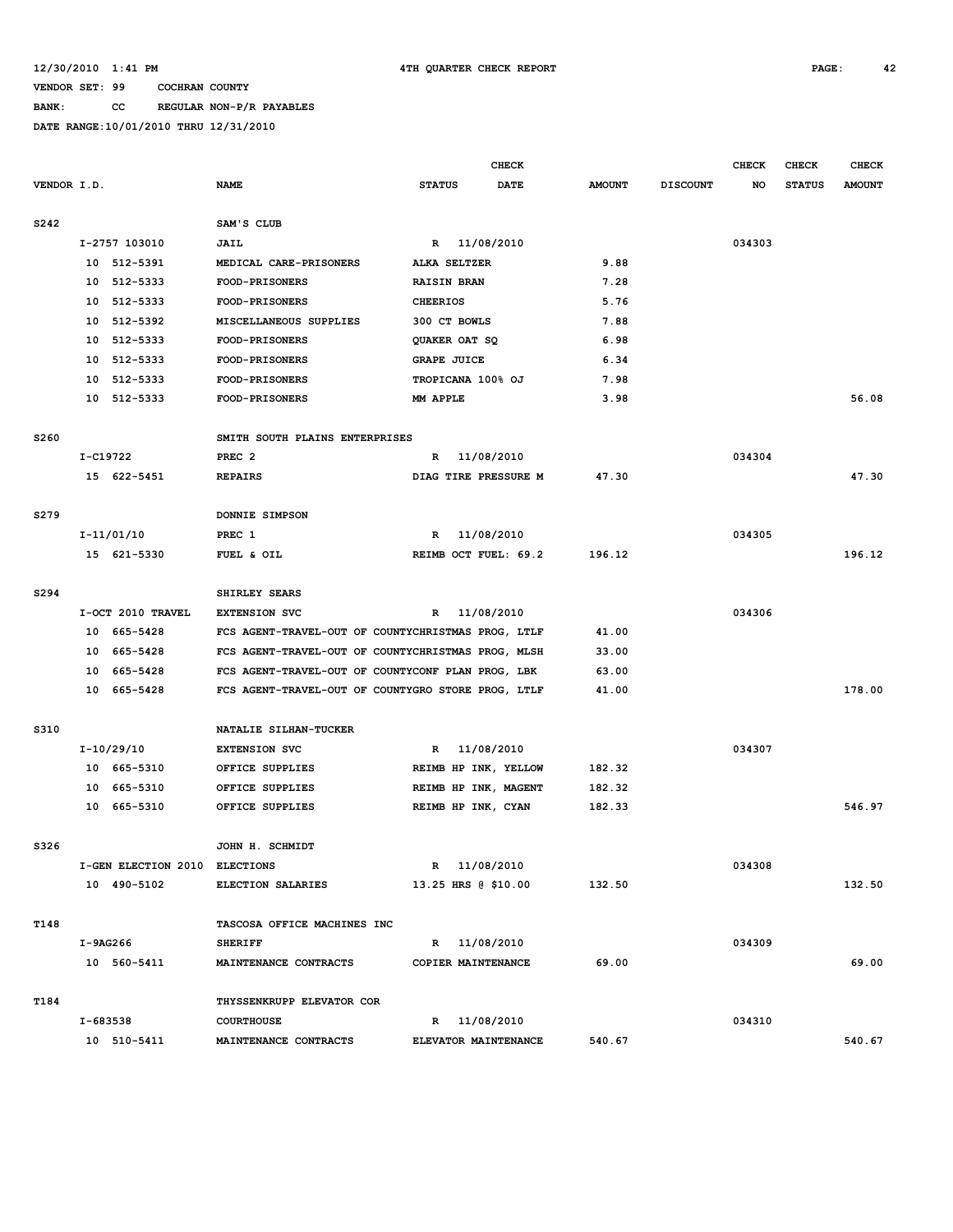### **BANK: CC REGULAR NON-P/R PAYABLES**

|                  |          |                               |                                                    |                      | <b>CHECK</b> |               |                 | <b>CHECK</b> | CHECK         | <b>CHECK</b>  |
|------------------|----------|-------------------------------|----------------------------------------------------|----------------------|--------------|---------------|-----------------|--------------|---------------|---------------|
| VENDOR I.D.      |          |                               | NAME                                               | <b>STATUS</b>        | DATE         | <b>AMOUNT</b> | <b>DISCOUNT</b> | NO           | <b>STATUS</b> | <b>AMOUNT</b> |
|                  |          |                               |                                                    |                      |              |               |                 |              |               |               |
| S242             |          |                               | SAM'S CLUB                                         |                      |              |               |                 |              |               |               |
|                  |          | I-2757 103010                 | <b>JAIL</b>                                        | R 11/08/2010         |              |               |                 | 034303       |               |               |
|                  |          | 10 512-5391                   | MEDICAL CARE-PRISONERS                             | ALKA SELTZER         |              | 9.88          |                 |              |               |               |
|                  |          | 10 512-5333                   | FOOD-PRISONERS                                     | <b>RAISIN BRAN</b>   |              | 7.28          |                 |              |               |               |
|                  | 10       | 512-5333                      | <b>FOOD-PRISONERS</b>                              | <b>CHEERIOS</b>      |              | 5.76          |                 |              |               |               |
|                  |          | 10 512-5392                   | MISCELLANEOUS SUPPLIES                             | 300 CT BOWLS         |              | 7.88          |                 |              |               |               |
|                  |          | 10 512-5333                   | FOOD-PRISONERS                                     | QUAKER OAT SQ        |              | 6.98          |                 |              |               |               |
|                  |          | 10 512-5333                   | <b>FOOD-PRISONERS</b>                              | <b>GRAPE JUICE</b>   |              | 6.34          |                 |              |               |               |
|                  |          | 10 512-5333                   | <b>FOOD-PRISONERS</b>                              | TROPICANA 100% OJ    |              | 7.98          |                 |              |               |               |
|                  |          | 10 512-5333                   | <b>FOOD-PRISONERS</b>                              | MM APPLE             |              | 3.98          |                 |              |               | 56.08         |
|                  |          |                               |                                                    |                      |              |               |                 |              |               |               |
| S <sub>260</sub> |          |                               | SMITH SOUTH PLAINS ENTERPRISES                     |                      |              |               |                 |              |               |               |
|                  | I-C19722 |                               | PREC <sub>2</sub>                                  | R                    | 11/08/2010   |               |                 | 034304       |               |               |
|                  |          | 15 622-5451                   | <b>REPAIRS</b>                                     | DIAG TIRE PRESSURE M |              | 47.30         |                 |              |               | 47.30         |
|                  |          |                               |                                                    |                      |              |               |                 |              |               |               |
| S279             |          |                               | DONNIE SIMPSON                                     |                      |              |               |                 |              |               |               |
|                  |          | I-11/01/10                    | PREC 1                                             | R                    | 11/08/2010   |               |                 | 034305       |               |               |
|                  |          | 15 621-5330                   | FUEL & OIL                                         | REIMB OCT FUEL: 69.2 |              | 196.12        |                 |              |               | 196.12        |
|                  |          |                               |                                                    |                      |              |               |                 |              |               |               |
| S294             |          |                               | SHIRLEY SEARS                                      |                      |              |               |                 |              |               |               |
|                  |          | I-OCT 2010 TRAVEL             | <b>EXTENSION SVC</b>                               | R 11/08/2010         |              |               |                 | 034306       |               |               |
|                  |          | 10 665-5428                   | FCS AGENT-TRAVEL-OUT OF COUNTYCHRISTMAS PROG, LTLF |                      |              | 41.00         |                 |              |               |               |
|                  |          | 10 665-5428                   | FCS AGENT-TRAVEL-OUT OF COUNTYCHRISTMAS PROG, MLSH |                      |              | 33.00         |                 |              |               |               |
|                  |          | 10 665-5428                   | FCS AGENT-TRAVEL-OUT OF COUNTYCONF PLAN PROG, LBK  |                      |              | 63.00         |                 |              |               |               |
|                  |          | 10 665-5428                   | FCS AGENT-TRAVEL-OUT OF COUNTYGRO STORE PROG, LTLF |                      |              | 41.00         |                 |              |               | 178.00        |
|                  |          |                               |                                                    |                      |              |               |                 |              |               |               |
| S310             |          |                               | NATALIE SILHAN-TUCKER                              |                      |              |               |                 |              |               |               |
|                  |          | $I-10/29/10$                  | <b>EXTENSION SVC</b>                               | R                    | 11/08/2010   |               |                 | 034307       |               |               |
|                  |          | 10 665-5310                   | OFFICE SUPPLIES                                    | REIMB HP INK, YELLOW |              | 182.32        |                 |              |               |               |
|                  |          | 10 665-5310                   | OFFICE SUPPLIES                                    | REIMB HP INK, MAGENT |              | 182.32        |                 |              |               |               |
|                  |          | 10 665-5310                   | OFFICE SUPPLIES                                    | REIMB HP INK, CYAN   |              | 182.33        |                 |              |               | 546.97        |
|                  |          |                               |                                                    |                      |              |               |                 |              |               |               |
| S326             |          |                               | JOHN H. SCHMIDT                                    |                      |              |               |                 |              |               |               |
|                  |          | I-GEN ELECTION 2010 ELECTIONS |                                                    | R 11/08/2010         |              |               |                 | 034308       |               |               |
|                  |          | 10 490-5102                   | <b>ELECTION SALARIES</b>                           | 13.25 HRS @ \$10.00  |              | 132.50        |                 |              |               | 132.50        |
|                  |          |                               |                                                    |                      |              |               |                 |              |               |               |
| T148             |          |                               | TASCOSA OFFICE MACHINES INC                        |                      |              |               |                 |              |               |               |
|                  |          | I-9AG266                      | <b>SHERIFF</b>                                     | R 11/08/2010         |              |               |                 | 034309       |               |               |
|                  |          | 10 560-5411                   | MAINTENANCE CONTRACTS                              | COPIER MAINTENANCE   |              | 69.00         |                 |              |               | 69.00         |
|                  |          |                               |                                                    |                      |              |               |                 |              |               |               |
| T184             |          |                               | THYSSENKRUPP ELEVATOR COR                          |                      |              |               |                 |              |               |               |
|                  |          | I-683538                      | <b>COURTHOUSE</b>                                  | R 11/08/2010         |              |               |                 | 034310       |               |               |
|                  |          | 10 510-5411                   | MAINTENANCE CONTRACTS                              | ELEVATOR MAINTENANCE |              | 540.67        |                 |              |               | 540.67        |
|                  |          |                               |                                                    |                      |              |               |                 |              |               |               |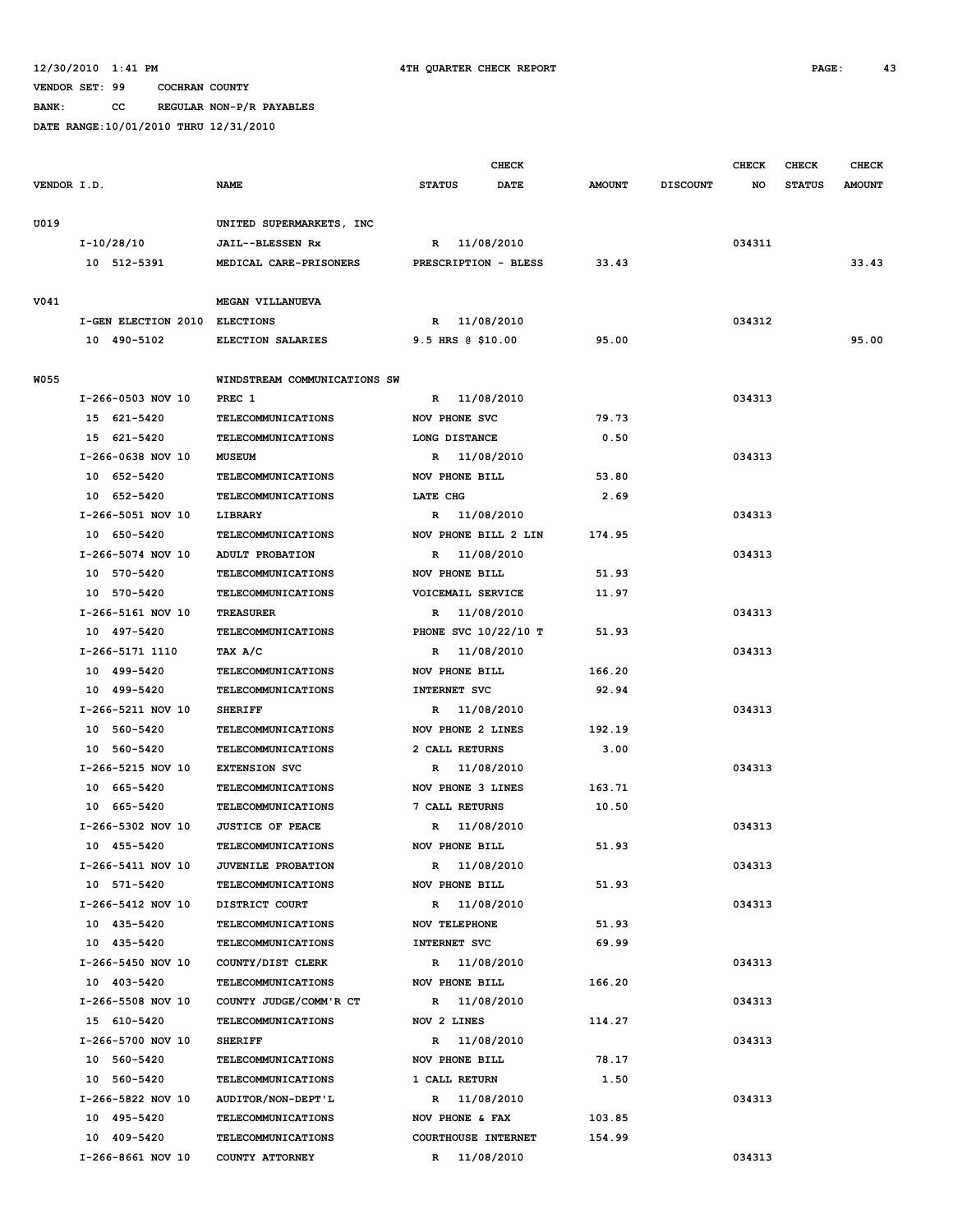**BANK: CC REGULAR NON-P/R PAYABLES**

| DATE RANGE: 10/01/2010 THRU 12/31/2010 |             |               |                              |                 |              |               |               |
|----------------------------------------|-------------|---------------|------------------------------|-----------------|--------------|---------------|---------------|
|                                        |             |               | <b>CHECK</b>                 |                 | <b>CHECK</b> | <b>CHECK</b>  | <b>CHECK</b>  |
| VENDOR I.D.                            | <b>NAME</b> | <b>STATUS</b> | <b>AMOUNT</b><br><b>DATE</b> | <b>DISCOUNT</b> | <b>NO</b>    | <b>STATUS</b> | <b>AMOUNT</b> |
|                                        |             |               |                              |                 |              |               |               |

| U019        |                               | UNITED SUPERMARKETS, INC                               |                                |        |        |       |
|-------------|-------------------------------|--------------------------------------------------------|--------------------------------|--------|--------|-------|
|             | I-10/28/10                    | JAIL--BLESSEN Rx                                       | R 11/08/2010                   |        | 034311 |       |
|             | 10 512-5391                   | MEDICAL CARE-PRISONERS                                 | PRESCRIPTION - BLESS           | 33.43  |        | 33.43 |
|             |                               |                                                        |                                |        |        |       |
| V041        |                               | MEGAN VILLANUEVA                                       |                                |        |        |       |
|             | I-GEN ELECTION 2010 ELECTIONS |                                                        | R 11/08/2010                   |        | 034312 |       |
|             | 10 490-5102                   | ELECTION SALARIES                                      | $9.5$ HRS $6$ \$10.00          | 95.00  |        | 95.00 |
|             |                               |                                                        |                                |        |        |       |
| <b>W055</b> |                               | WINDSTREAM COMMUNICATIONS SW                           |                                |        |        |       |
|             | I-266-0503 NOV 10             | PREC 1                                                 | R 11/08/2010                   | 79.73  | 034313 |       |
|             | 15 621-5420<br>15 621-5420    | <b>TELECOMMUNICATIONS</b><br><b>TELECOMMUNICATIONS</b> | NOV PHONE SVC<br>LONG DISTANCE | 0.50   |        |       |
|             | I-266-0638 NOV 10             | <b>MUSEUM</b>                                          | R 11/08/2010                   |        | 034313 |       |
|             | 10 652-5420                   | <b>TELECOMMUNICATIONS</b>                              | NOV PHONE BILL                 | 53.80  |        |       |
|             | 10 652-5420                   | <b>TELECOMMUNICATIONS</b>                              | LATE CHG                       | 2.69   |        |       |
|             | I-266-5051 NOV 10             | LIBRARY                                                | R 11/08/2010                   |        | 034313 |       |
|             | 10 650-5420                   | <b>TELECOMMUNICATIONS</b>                              | NOV PHONE BILL 2 LIN           | 174.95 |        |       |
|             | I-266-5074 NOV 10             | ADULT PROBATION                                        | R 11/08/2010                   |        | 034313 |       |
|             | 10 570-5420                   | <b>TELECOMMUNICATIONS</b>                              | NOV PHONE BILL                 | 51.93  |        |       |
|             | 10 570-5420                   | <b>TELECOMMUNICATIONS</b>                              | VOICEMAIL SERVICE              | 11.97  |        |       |
|             | I-266-5161 NOV 10             | <b>TREASURER</b>                                       | R 11/08/2010                   |        | 034313 |       |
|             | 10 497-5420                   | <b>TELECOMMUNICATIONS</b>                              | PHONE SVC 10/22/10 T           | 51.93  |        |       |
|             | I-266-5171 1110               | TAX A/C                                                | R 11/08/2010                   |        | 034313 |       |
|             | 10 499-5420                   | <b>TELECOMMUNICATIONS</b>                              | NOV PHONE BILL                 | 166.20 |        |       |
|             | 10 499-5420                   | <b>TELECOMMUNICATIONS</b>                              | <b>INTERNET SVC</b>            | 92.94  |        |       |
|             | I-266-5211 NOV 10             | <b>SHERIFF</b>                                         | R 11/08/2010                   |        | 034313 |       |
|             | 10 560-5420                   | <b>TELECOMMUNICATIONS</b>                              | NOV PHONE 2 LINES              | 192.19 |        |       |
|             | 10 560-5420                   | <b>TELECOMMUNICATIONS</b>                              | 2 CALL RETURNS                 | 3.00   |        |       |
|             | I-266-5215 NOV 10             | <b>EXTENSION SVC</b>                                   | R 11/08/2010                   |        | 034313 |       |
|             | 10 665-5420                   | <b>TELECOMMUNICATIONS</b>                              | NOV PHONE 3 LINES              | 163.71 |        |       |
|             | 10 665-5420                   | <b>TELECOMMUNICATIONS</b>                              | 7 CALL RETURNS                 | 10.50  |        |       |
|             | I-266-5302 NOV 10             | <b>JUSTICE OF PEACE</b>                                | R 11/08/2010                   |        | 034313 |       |
|             | 10 455-5420                   | <b>TELECOMMUNICATIONS</b>                              | NOV PHONE BILL                 | 51.93  |        |       |
|             | I-266-5411 NOV 10             | <b>JUVENILE PROBATION</b>                              | R 11/08/2010                   |        | 034313 |       |
|             | 10 571-5420                   | <b>TELECOMMUNICATIONS</b>                              | NOV PHONE BILL                 | 51.93  |        |       |
|             | I-266-5412 NOV 10             | DISTRICT COURT                                         | R 11/08/2010                   |        | 034313 |       |
|             | 10 435-5420                   | <b>TELECOMMUNICATIONS</b>                              | <b>NOV TELEPHONE</b>           | 51.93  |        |       |
|             | 10 435-5420                   | <b>TELECOMMUNICATIONS</b>                              | <b>INTERNET SVC</b>            | 69.99  |        |       |
|             | I-266-5450 NOV 10             | COUNTY/DIST CLERK                                      | R 11/08/2010                   |        | 034313 |       |
|             | 10 403-5420                   | <b>TELECOMMUNICATIONS</b>                              | NOV PHONE BILL                 | 166.20 |        |       |
|             | I-266-5508 NOV 10             | COUNTY JUDGE/COMM'R CT                                 | R 11/08/2010                   |        | 034313 |       |
|             | 15 610-5420                   | <b>TELECOMMUNICATIONS</b>                              | NOV 2 LINES                    | 114.27 |        |       |
|             | I-266-5700 NOV 10             | <b>SHERIFF</b>                                         | R 11/08/2010                   |        | 034313 |       |
|             | 10 560-5420                   | <b>TELECOMMUNICATIONS</b>                              | NOV PHONE BILL                 | 78.17  |        |       |
|             | 10 560-5420                   | <b>TELECOMMUNICATIONS</b>                              | 1 CALL RETURN                  | 1.50   |        |       |
|             | I-266-5822 NOV 10             | AUDITOR/NON-DEPT'L                                     | R 11/08/2010                   |        | 034313 |       |
|             | 10 495-5420                   | <b>TELECOMMUNICATIONS</b>                              | NOV PHONE & FAX                | 103.85 |        |       |
|             | 10 409-5420                   | <b>TELECOMMUNICATIONS</b>                              | COURTHOUSE INTERNET            | 154.99 |        |       |
|             | I-266-8661 NOV 10             | COUNTY ATTORNEY                                        | R 11/08/2010                   |        | 034313 |       |
|             |                               |                                                        |                                |        |        |       |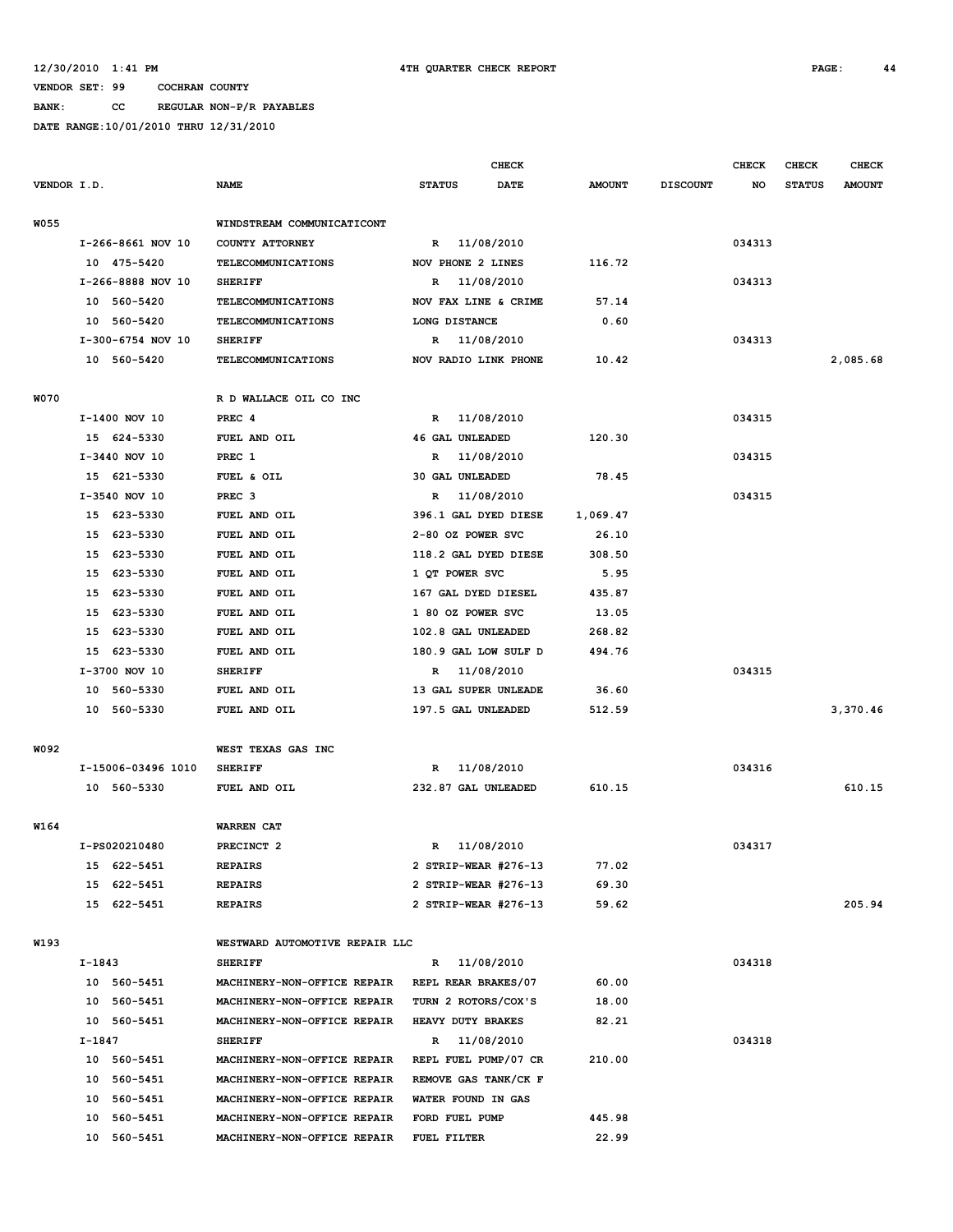## **BANK: CC REGULAR NON-P/R PAYABLES**

|             |                                    |                             |                                |               | <b>CHECK</b>           |               |                 | <b>CHECK</b> | <b>CHECK</b>  | <b>CHECK</b>  |
|-------------|------------------------------------|-----------------------------|--------------------------------|---------------|------------------------|---------------|-----------------|--------------|---------------|---------------|
| VENDOR I.D. |                                    |                             | <b>NAME</b>                    | <b>STATUS</b> | <b>DATE</b>            | <b>AMOUNT</b> | <b>DISCOUNT</b> | NO           | <b>STATUS</b> | <b>AMOUNT</b> |
|             |                                    |                             |                                |               |                        |               |                 |              |               |               |
| W055        |                                    |                             | WINDSTREAM COMMUNICATICONT     |               |                        |               |                 |              |               |               |
|             |                                    | I-266-8661 NOV 10           | COUNTY ATTORNEY                |               | R 11/08/2010           |               |                 | 034313       |               |               |
|             |                                    | 10 475-5420                 | <b>TELECOMMUNICATIONS</b>      |               | NOV PHONE 2 LINES      | 116.72        |                 |              |               |               |
|             |                                    | I-266-8888 NOV 10           | <b>SHERIFF</b>                 | R             | 11/08/2010             |               |                 | 034313       |               |               |
|             |                                    | 10 560-5420                 | <b>TELECOMMUNICATIONS</b>      |               | NOV FAX LINE & CRIME   | 57.14         |                 |              |               |               |
|             |                                    | 10 560-5420                 | <b>TELECOMMUNICATIONS</b>      |               | LONG DISTANCE          | 0.60          |                 |              |               |               |
|             |                                    | I-300-6754 NOV 10           | <b>SHERIFF</b>                 |               | R 11/08/2010           |               |                 | 034313       |               |               |
|             |                                    | 10 560-5420                 | <b>TELECOMMUNICATIONS</b>      |               | NOV RADIO LINK PHONE   | 10.42         |                 |              |               | 2,085.68      |
|             |                                    |                             |                                |               |                        |               |                 |              |               |               |
| <b>W070</b> |                                    |                             | R D WALLACE OIL CO INC         |               |                        |               |                 |              |               |               |
|             |                                    | I-1400 NOV 10               | PREC 4                         | R             | 11/08/2010             |               |                 | 034315       |               |               |
|             |                                    | 15 624-5330                 | FUEL AND OIL                   |               | <b>46 GAL UNLEADED</b> | 120.30        |                 |              |               |               |
|             |                                    | I-3440 NOV 10               | PREC 1                         | R             | 11/08/2010             |               |                 | 034315       |               |               |
|             |                                    | 15 621-5330                 | FUEL & OIL                     |               | <b>30 GAL UNLEADED</b> | 78.45         |                 |              |               |               |
|             | I-3540 NOV 10<br>PREC <sub>3</sub> |                             |                                | R 11/08/2010  |                        |               | 034315          |              |               |               |
|             |                                    | 15 623-5330<br>FUEL AND OIL |                                |               | 396.1 GAL DYED DIESE   | 1,069.47      |                 |              |               |               |
|             | 15                                 | 623-5330<br>FUEL AND OIL    |                                |               | 2-80 OZ POWER SVC      | 26.10         |                 |              |               |               |
|             |                                    | 15 623-5330<br>FUEL AND OIL |                                |               | 118.2 GAL DYED DIESE   | 308.50        |                 |              |               |               |
|             | 15                                 | 623-5330<br>FUEL AND OIL    |                                |               | 1 OT POWER SVC         | 5.95          |                 |              |               |               |
|             | 15                                 | 623-5330<br>FUEL AND OIL    |                                |               | 167 GAL DYED DIESEL    | 435.87        |                 |              |               |               |
|             |                                    | 15 623-5330                 | FUEL AND OIL                   |               | 1 80 OZ POWER SVC      | 13.05         |                 |              |               |               |
|             | 15                                 | 623-5330                    | FUEL AND OIL                   |               | 102.8 GAL UNLEADED     | 268.82        |                 |              |               |               |
|             | 15                                 | 623-5330                    | FUEL AND OIL                   |               | 180.9 GAL LOW SULF D   | 494.76        |                 |              |               |               |
|             |                                    | I-3700 NOV 10               | <b>SHERIFF</b>                 |               | R 11/08/2010           |               |                 | 034315       |               |               |
|             | 10                                 | 560-5330                    | FUEL AND OIL                   |               | 13 GAL SUPER UNLEADE   | 36.60         |                 |              |               |               |
|             | 10                                 | 560-5330                    | FUEL AND OIL                   |               | 197.5 GAL UNLEADED     | 512.59        |                 |              |               | 3,370.46      |
|             |                                    |                             |                                |               |                        |               |                 |              |               |               |
| W092        |                                    |                             | WEST TEXAS GAS INC             |               |                        |               |                 |              |               |               |
|             |                                    | I-15006-03496 1010          | <b>SHERIFF</b>                 | R             | 11/08/2010             |               |                 | 034316       |               |               |
|             |                                    | 10 560-5330                 | FUEL AND OIL                   |               | 232.87 GAL UNLEADED    | 610.15        |                 |              |               | 610.15        |
|             |                                    |                             |                                |               |                        |               |                 |              |               |               |
| W164        |                                    |                             | WARREN CAT                     |               |                        |               |                 |              |               |               |
|             |                                    | I-PS020210480               | PRECINCT <sub>2</sub>          | R             | 11/08/2010             |               |                 | 034317       |               |               |
|             |                                    | 15 622-5451                 | <b>REPAIRS</b>                 |               | 2 STRIP-WEAR #276-13   | 77.02         |                 |              |               |               |
|             |                                    | 15 622-5451                 | <b>REPAIRS</b>                 |               | 2 STRIP-WEAR #276-13   | 69.30         |                 |              |               |               |
|             |                                    | 15 622-5451                 | <b>REPAIRS</b>                 |               | 2 STRIP-WEAR #276-13   | 59.62         |                 |              |               | 205.94        |
|             |                                    |                             |                                |               |                        |               |                 |              |               |               |
| W193        |                                    |                             | WESTWARD AUTOMOTIVE REPAIR LLC |               |                        |               |                 |              |               |               |
|             | I-1843                             |                             | <b>SHERIFF</b>                 |               | R 11/08/2010           |               |                 | 034318       |               |               |
|             |                                    | 10 560-5451                 | MACHINERY-NON-OFFICE REPAIR    |               | REPL REAR BRAKES/07    | 60.00         |                 |              |               |               |
|             |                                    | 10 560-5451                 | MACHINERY-NON-OFFICE REPAIR    |               | TURN 2 ROTORS/COX'S    | 18.00         |                 |              |               |               |
|             |                                    | 10 560-5451                 | MACHINERY-NON-OFFICE REPAIR    |               | HEAVY DUTY BRAKES      | 82.21         |                 |              |               |               |
|             | I-1847                             |                             | <b>SHERIFF</b>                 |               | R 11/08/2010           |               |                 | 034318       |               |               |
|             |                                    | 10 560-5451                 | MACHINERY-NON-OFFICE REPAIR    |               | REPL FUEL PUMP/07 CR   | 210.00        |                 |              |               |               |
|             |                                    | 10 560-5451                 | MACHINERY-NON-OFFICE REPAIR    |               | REMOVE GAS TANK/CK F   |               |                 |              |               |               |
|             |                                    | 10 560-5451                 | MACHINERY-NON-OFFICE REPAIR    |               | WATER FOUND IN GAS     |               |                 |              |               |               |
|             |                                    | 10 560-5451                 | MACHINERY-NON-OFFICE REPAIR    |               | FORD FUEL PUMP         | 445.98        |                 |              |               |               |
|             |                                    | 10 560-5451                 | MACHINERY-NON-OFFICE REPAIR    | FUEL FILTER   |                        | 22.99         |                 |              |               |               |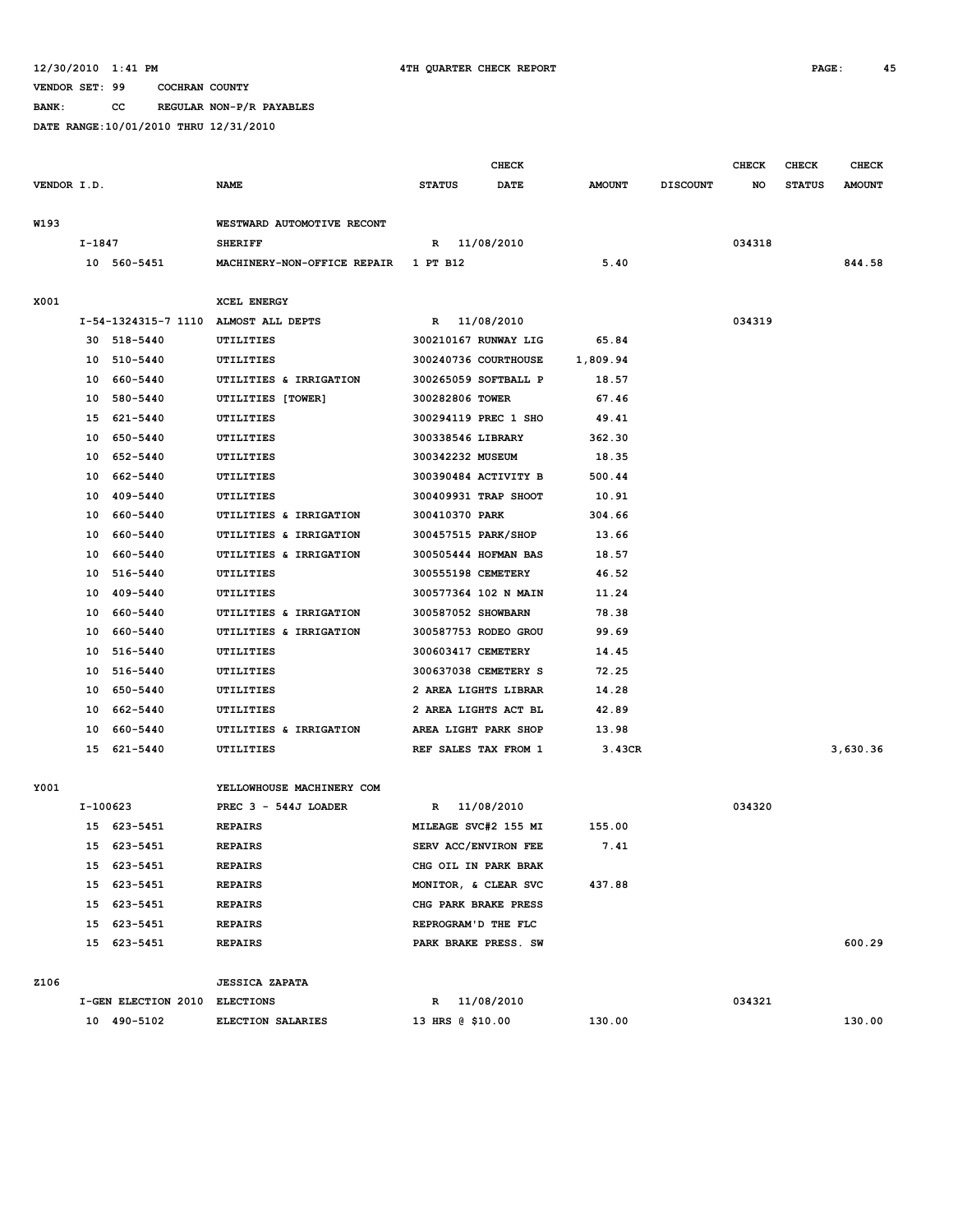**BANK: CC REGULAR NON-P/R PAYABLES**

|             |          |                               |                                                     |                      | <b>CHECK</b>         |               |                 | <b>CHECK</b> | <b>CHECK</b>  | <b>CHECK</b>  |
|-------------|----------|-------------------------------|-----------------------------------------------------|----------------------|----------------------|---------------|-----------------|--------------|---------------|---------------|
| VENDOR I.D. |          |                               | <b>NAME</b>                                         | <b>STATUS</b>        | <b>DATE</b>          | <b>AMOUNT</b> | <b>DISCOUNT</b> | NO           | <b>STATUS</b> | <b>AMOUNT</b> |
|             |          |                               |                                                     |                      |                      |               |                 |              |               |               |
| W193        |          |                               | WESTWARD AUTOMOTIVE RECONT                          |                      |                      |               |                 |              |               |               |
|             | I-1847   |                               | <b>SHERIFF</b>                                      | R 11/08/2010         |                      |               |                 | 034318       |               |               |
|             |          | 10 560-5451                   | MACHINERY-NON-OFFICE REPAIR                         | 1 PT B12             |                      | 5.40          |                 |              |               | 844.58        |
|             |          |                               |                                                     |                      |                      |               |                 |              |               |               |
| X001        |          |                               | XCEL ENERGY<br>I-54-1324315-7 1110 ALMOST ALL DEPTS |                      | 11/08/2010           |               |                 | 034319       |               |               |
|             |          | 30 518-5440                   | UTILITIES                                           | R                    | 300210167 RUNWAY LIG | 65.84         |                 |              |               |               |
|             | 10       | 510-5440                      | UTILITIES                                           |                      | 300240736 COURTHOUSE | 1,809.94      |                 |              |               |               |
|             | 10       | 660-5440                      | UTILITIES & IRRIGATION                              |                      | 300265059 SOFTBALL P | 18.57         |                 |              |               |               |
|             | 10       | 580-5440                      | UTILITIES [TOWER]                                   | 300282806 TOWER      |                      | 67.46         |                 |              |               |               |
|             | 15       | 621-5440                      | UTILITIES                                           | 300294119 PREC 1 SHO |                      | 49.41         |                 |              |               |               |
|             | 10       | 650-5440                      | UTILITIES                                           | 300338546 LIBRARY    |                      | 362.30        |                 |              |               |               |
|             | 10       | 652-5440                      | UTILITIES                                           | 300342232 MUSEUM     |                      | 18.35         |                 |              |               |               |
|             | 10       | 662-5440                      | UTILITIES                                           | 300390484 ACTIVITY B |                      | 500.44        |                 |              |               |               |
|             | 10       | 409-5440                      | UTILITIES                                           | 300409931 TRAP SHOOT |                      | 10.91         |                 |              |               |               |
|             | 10       | 660-5440                      | UTILITIES & IRRIGATION                              | 300410370 PARK       |                      | 304.66        |                 |              |               |               |
|             |          | 10 660-5440                   | UTILITIES & IRRIGATION                              | 300457515 PARK/SHOP  |                      | 13.66         |                 |              |               |               |
|             | 10       | 660-5440                      | UTILITIES & IRRIGATION                              | 300505444 HOFMAN BAS |                      | 18.57         |                 |              |               |               |
|             | 10       | 516-5440                      | UTILITIES                                           | 300555198 CEMETERY   |                      | 46.52         |                 |              |               |               |
|             | 10       | 409-5440                      | UTILITIES                                           | 300577364 102 N MAIN |                      | 11.24         |                 |              |               |               |
|             | 10       | 660-5440                      | UTILITIES & IRRIGATION                              | 300587052 SHOWBARN   |                      | 78.38         |                 |              |               |               |
|             | 10       | 660-5440                      | UTILITIES & IRRIGATION                              | 300587753 RODEO GROU |                      | 99.69         |                 |              |               |               |
|             |          | 10 516-5440                   | UTILITIES                                           | 300603417 CEMETERY   |                      | 14.45         |                 |              |               |               |
|             |          | 10 516-5440                   | UTILITIES                                           | 300637038 CEMETERY S |                      | 72.25         |                 |              |               |               |
|             | 10       | 650-5440                      | UTILITIES                                           |                      | 2 AREA LIGHTS LIBRAR | 14.28         |                 |              |               |               |
|             | 10       | 662-5440                      | UTILITIES                                           | 2 AREA LIGHTS ACT BL |                      | 42.89         |                 |              |               |               |
|             | 10       | 660-5440                      | UTILITIES & IRRIGATION                              | AREA LIGHT PARK SHOP |                      | 13.98         |                 |              |               |               |
|             | 15       | 621-5440                      | UTILITIES                                           | REF SALES TAX FROM 1 |                      | 3.43CR        |                 |              |               | 3,630.36      |
|             |          |                               |                                                     |                      |                      |               |                 |              |               |               |
| Y001        |          |                               | YELLOWHOUSE MACHINERY COM                           |                      |                      |               |                 |              |               |               |
|             | I-100623 |                               | PREC $3 - 544J$ LOADER                              | R                    | 11/08/2010           |               |                 | 034320       |               |               |
|             |          | 15 623-5451                   | <b>REPAIRS</b>                                      | MILEAGE SVC#2 155 MI |                      | 155.00        |                 |              |               |               |
|             | 15       | 623-5451                      | <b>REPAIRS</b>                                      | SERV ACC/ENVIRON FEE |                      | 7.41          |                 |              |               |               |
|             |          | 15 623-5451                   | <b>REPAIRS</b>                                      | CHG OIL IN PARK BRAK |                      |               |                 |              |               |               |
|             |          | 15 623-5451                   | <b>REPAIRS</b>                                      | MONITOR, & CLEAR SVC |                      | 437.88        |                 |              |               |               |
|             |          | 15 623-5451                   | <b>REPAIRS</b>                                      | CHG PARK BRAKE PRESS |                      |               |                 |              |               |               |
|             |          | 15 623-5451                   | <b>REPAIRS</b>                                      | REPROGRAM'D THE FLC  |                      |               |                 |              |               |               |
|             |          | 15 623-5451                   | <b>REPAIRS</b>                                      | PARK BRAKE PRESS. SW |                      |               |                 |              |               | 600.29        |
|             |          |                               |                                                     |                      |                      |               |                 |              |               |               |
| Z106        |          |                               | <b>JESSICA ZAPATA</b>                               |                      |                      |               |                 |              |               |               |
|             |          | I-GEN ELECTION 2010 ELECTIONS |                                                     | R 11/08/2010         |                      |               |                 | 034321       |               | 130.00        |
|             |          | 10 490-5102                   | <b>ELECTION SALARIES</b>                            | 13 HRS @ \$10.00     |                      | 130.00        |                 |              |               |               |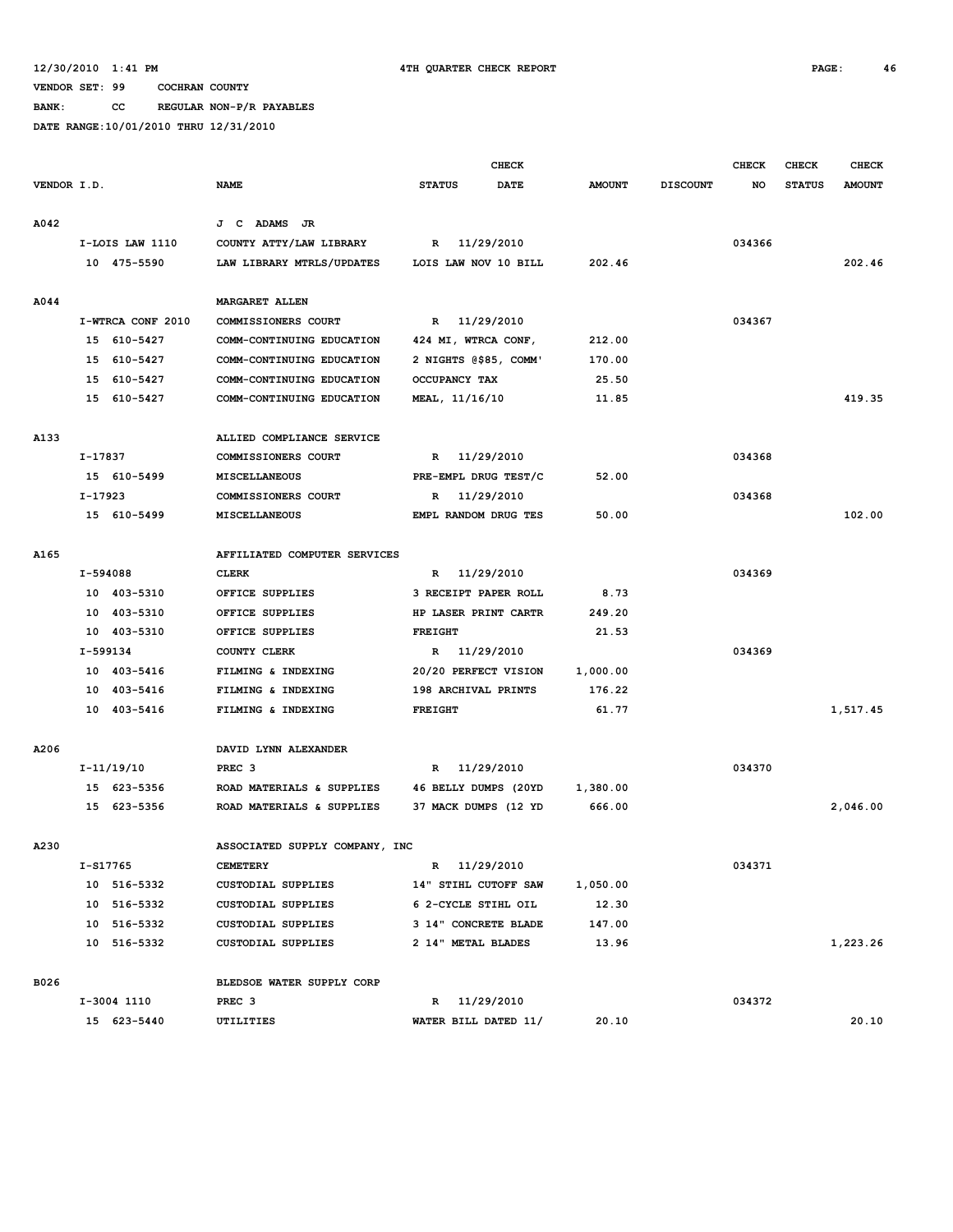#### **12/30/2010 1:41 PM 4TH QUARTER CHECK REPORT PAGE: 46**

#### **VENDOR SET: 99 COCHRAN COUNTY**

**BANK: CC REGULAR NON-P/R PAYABLES**

|             |          |                   |                                |                      |                | <b>CHECK</b>          |               |                 | <b>CHECK</b> | CHECK         | <b>CHECK</b>  |
|-------------|----------|-------------------|--------------------------------|----------------------|----------------|-----------------------|---------------|-----------------|--------------|---------------|---------------|
| VENDOR I.D. |          |                   | <b>NAME</b>                    | <b>STATUS</b>        |                | <b>DATE</b>           | <b>AMOUNT</b> | <b>DISCOUNT</b> | NO           | <b>STATUS</b> | <b>AMOUNT</b> |
| A042        |          |                   | J C ADAMS<br>JR                |                      |                |                       |               |                 |              |               |               |
|             |          | I-LOIS LAW 1110   | COUNTY ATTY/LAW LIBRARY        | R                    | 11/29/2010     |                       |               |                 | 034366       |               |               |
|             |          | 10 475-5590       | LAW LIBRARY MTRLS/UPDATES      |                      |                | LOIS LAW NOV 10 BILL  | 202.46        |                 |              |               | 202.46        |
|             |          |                   |                                |                      |                |                       |               |                 |              |               |               |
| A044        |          |                   | <b>MARGARET ALLEN</b>          |                      |                |                       |               |                 |              |               |               |
|             |          | I-WTRCA CONF 2010 | COMMISSIONERS COURT            |                      | R 11/29/2010   |                       |               |                 | 034367       |               |               |
|             |          | 15 610-5427       | COMM-CONTINUING EDUCATION      |                      |                | 424 MI, WTRCA CONF,   | 212.00        |                 |              |               |               |
|             |          | 15 610-5427       | COMM-CONTINUING EDUCATION      |                      |                | 2 NIGHTS @\$85, COMM' | 170.00        |                 |              |               |               |
|             |          | 15 610-5427       | COMM-CONTINUING EDUCATION      |                      | OCCUPANCY TAX  |                       | 25.50         |                 |              |               |               |
|             |          | 15 610-5427       | COMM-CONTINUING EDUCATION      |                      | MEAL, 11/16/10 |                       | 11.85         |                 |              |               | 419.35        |
| A133        |          |                   | ALLIED COMPLIANCE SERVICE      |                      |                |                       |               |                 |              |               |               |
|             | I-17837  |                   | COMMISSIONERS COURT            | R                    |                | 11/29/2010            |               |                 | 034368       |               |               |
|             |          | 15 610-5499       | MISCELLANEOUS                  | PRE-EMPL DRUG TEST/C |                |                       | 52.00         |                 |              |               |               |
|             | I-17923  |                   | COMMISSIONERS COURT            | R                    |                | 11/29/2010            |               |                 | 034368       |               |               |
|             |          | 15 610-5499       | <b>MISCELLANEOUS</b>           |                      |                | EMPL RANDOM DRUG TES  | 50.00         |                 |              |               | 102.00        |
| A165        |          |                   | AFFILIATED COMPUTER SERVICES   |                      |                |                       |               |                 |              |               |               |
|             | I-594088 |                   | <b>CLERK</b>                   | $\mathbb{R}$         |                | 11/29/2010            |               |                 | 034369       |               |               |
|             |          | 10 403-5310       | OFFICE SUPPLIES                |                      |                | 3 RECEIPT PAPER ROLL  | 8.73          |                 |              |               |               |
|             |          | 10 403-5310       | OFFICE SUPPLIES                |                      |                | HP LASER PRINT CARTR  | 249.20        |                 |              |               |               |
|             |          | 10 403-5310       | OFFICE SUPPLIES                | <b>FREIGHT</b>       |                |                       | 21.53         |                 |              |               |               |
|             |          | I-599134          | COUNTY CLERK                   | R                    | 11/29/2010     |                       |               |                 | 034369       |               |               |
|             |          | 10 403-5416       | FILMING & INDEXING             |                      |                | 20/20 PERFECT VISION  | 1,000.00      |                 |              |               |               |
|             |          | 10 403-5416       | FILMING & INDEXING             |                      |                | 198 ARCHIVAL PRINTS   | 176.22        |                 |              |               |               |
|             |          | 10 403-5416       | FILMING & INDEXING             | <b>FREIGHT</b>       |                |                       | 61.77         |                 |              |               | 1,517.45      |
|             |          |                   |                                |                      |                |                       |               |                 |              |               |               |
| A206        |          |                   | DAVID LYNN ALEXANDER           |                      |                |                       |               |                 |              |               |               |
|             |          | I-11/19/10        | PREC <sub>3</sub>              |                      | R 11/29/2010   |                       |               |                 | 034370       |               |               |
|             |          | 15 623-5356       | ROAD MATERIALS & SUPPLIES      |                      |                | 46 BELLY DUMPS (20YD  | 1,380.00      |                 |              |               |               |
|             |          | 15 623-5356       | ROAD MATERIALS & SUPPLIES      |                      |                | 37 MACK DUMPS (12 YD  | 666.00        |                 |              |               | 2,046.00      |
| A230        |          |                   | ASSOCIATED SUPPLY COMPANY, INC |                      |                |                       |               |                 |              |               |               |
|             |          | I-S17765          | <b>CEMETERY</b>                |                      | R 11/29/2010   |                       |               |                 | 034371       |               |               |
|             |          | 10 516-5332       | CUSTODIAL SUPPLIES             |                      |                | 14" STIHL CUTOFF SAW  | 1,050.00      |                 |              |               |               |
|             |          | 10 516-5332       | CUSTODIAL SUPPLIES             |                      |                | 6 2-CYCLE STIHL OIL   | 12.30         |                 |              |               |               |
|             |          | 10 516-5332       | CUSTODIAL SUPPLIES             |                      |                | 3 14" CONCRETE BLADE  | 147.00        |                 |              |               |               |
|             |          | 10 516-5332       | CUSTODIAL SUPPLIES             |                      |                | 2 14" METAL BLADES    | 13.96         |                 |              |               | 1,223.26      |
| B026        |          |                   | BLEDSOE WATER SUPPLY CORP      |                      |                |                       |               |                 |              |               |               |
|             |          | I-3004 1110       | PREC <sub>3</sub>              |                      | R 11/29/2010   |                       |               |                 | 034372       |               |               |
|             |          | 15 623-5440       | UTILITIES                      |                      |                | WATER BILL DATED 11/  | 20.10         |                 |              |               | 20.10         |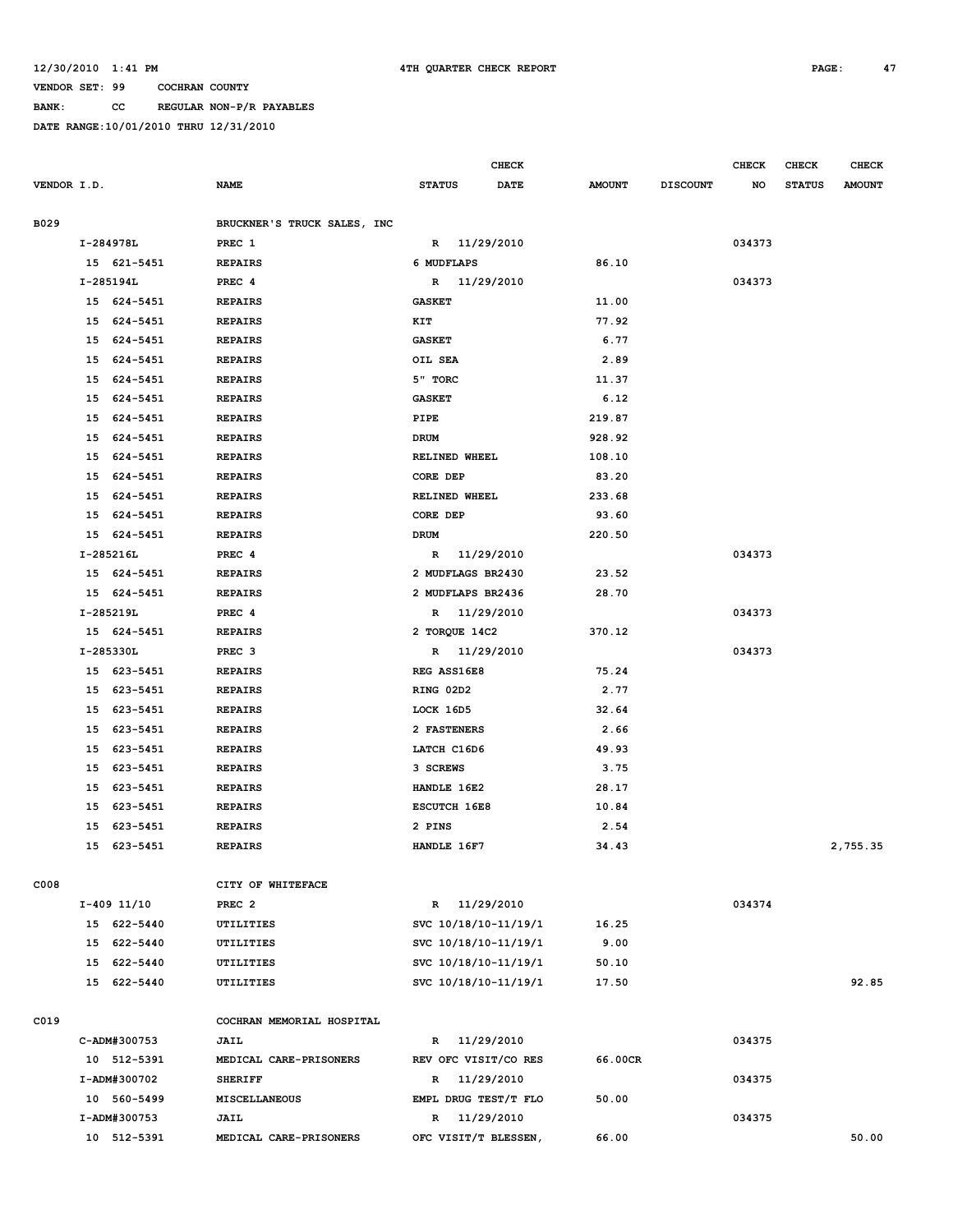**BANK: CC REGULAR NON-P/R PAYABLES**

|             |    |              |                             |                      | CHECK       |               |                 | <b>CHECK</b> | <b>CHECK</b>  | <b>CHECK</b>  |
|-------------|----|--------------|-----------------------------|----------------------|-------------|---------------|-----------------|--------------|---------------|---------------|
| VENDOR I.D. |    |              | <b>NAME</b>                 | <b>STATUS</b>        | <b>DATE</b> | <b>AMOUNT</b> | <b>DISCOUNT</b> | NO           | <b>STATUS</b> | <b>AMOUNT</b> |
|             |    |              |                             |                      |             |               |                 |              |               |               |
| B029        |    |              | BRUCKNER'S TRUCK SALES, INC |                      |             |               |                 |              |               |               |
|             |    | I-284978L    | PREC 1                      | R 11/29/2010         |             |               |                 | 034373       |               |               |
|             |    | 15 621-5451  | <b>REPAIRS</b>              | 6 MUDFLAPS           |             | 86.10         |                 |              |               |               |
|             |    | I-285194L    | PREC 4                      | R 11/29/2010         |             |               |                 | 034373       |               |               |
|             |    | 15 624-5451  | <b>REPAIRS</b>              | <b>GASKET</b>        |             | 11.00         |                 |              |               |               |
|             |    | 15 624-5451  | <b>REPAIRS</b>              | KIT                  |             | 77.92         |                 |              |               |               |
|             |    | 15 624-5451  | <b>REPAIRS</b>              | <b>GASKET</b>        |             | 6.77          |                 |              |               |               |
|             | 15 | 624-5451     | <b>REPAIRS</b>              | OIL SEA              |             | 2.89          |                 |              |               |               |
|             | 15 | 624-5451     | <b>REPAIRS</b>              | 5" TORC              |             | 11.37         |                 |              |               |               |
|             | 15 | 624-5451     | <b>REPAIRS</b>              | <b>GASKET</b>        |             | 6.12          |                 |              |               |               |
|             | 15 | 624-5451     | <b>REPAIRS</b>              | PIPE                 |             | 219.87        |                 |              |               |               |
|             | 15 | 624-5451     | <b>REPAIRS</b>              | DRUM                 |             | 928.92        |                 |              |               |               |
|             | 15 | 624-5451     | <b>REPAIRS</b>              | RELINED WHEEL        |             | 108.10        |                 |              |               |               |
|             | 15 | 624-5451     | <b>REPAIRS</b>              | CORE DEP             |             | 83.20         |                 |              |               |               |
|             | 15 | 624-5451     | <b>REPAIRS</b>              | RELINED WHEEL        |             | 233.68        |                 |              |               |               |
|             | 15 | 624-5451     | <b>REPAIRS</b>              | CORE DEP             |             | 93.60         |                 |              |               |               |
|             | 15 | 624-5451     | <b>REPAIRS</b>              | DRUM                 |             | 220.50        |                 |              |               |               |
|             |    | I-285216L    | PREC <sub>4</sub>           | R                    | 11/29/2010  |               |                 | 034373       |               |               |
|             |    | 15 624-5451  | <b>REPAIRS</b>              | 2 MUDFLAGS BR2430    |             | 23.52         |                 |              |               |               |
|             |    | 15 624-5451  | <b>REPAIRS</b>              | 2 MUDFLAPS BR2436    |             | 28.70         |                 |              |               |               |
|             |    | I-285219L    | PREC 4                      | R 11/29/2010         |             |               |                 | 034373       |               |               |
|             |    | 15 624-5451  | <b>REPAIRS</b>              | 2 TORQUE 14C2        |             | 370.12        |                 |              |               |               |
|             |    | I-285330L    | PREC <sub>3</sub>           | R 11/29/2010         |             |               |                 | 034373       |               |               |
|             |    | 15 623-5451  | <b>REPAIRS</b>              | REG ASS16E8          |             | 75.24         |                 |              |               |               |
|             | 15 | 623-5451     | <b>REPAIRS</b>              | RING 02D2            |             | 2.77          |                 |              |               |               |
|             | 15 | 623-5451     | <b>REPAIRS</b>              | LOCK 16D5            |             | 32.64         |                 |              |               |               |
|             | 15 | 623-5451     | <b>REPAIRS</b>              | 2 FASTENERS          |             | 2.66          |                 |              |               |               |
|             | 15 | 623-5451     | <b>REPAIRS</b>              | LATCH C16D6          |             | 49.93         |                 |              |               |               |
|             | 15 | 623-5451     | <b>REPAIRS</b>              | 3 SCREWS             |             | 3.75          |                 |              |               |               |
|             | 15 | 623-5451     | <b>REPAIRS</b>              | HANDLE 16E2          |             | 28.17         |                 |              |               |               |
|             | 15 | 623-5451     | <b>REPAIRS</b>              | <b>ESCUTCH 16E8</b>  |             | 10.84         |                 |              |               |               |
|             | 15 | 623-5451     | <b>REPAIRS</b>              | 2 PINS               |             | 2.54          |                 |              |               |               |
|             | 15 | 623-5451     | <b>REPAIRS</b>              | HANDLE 16F7          |             | 34.43         |                 |              |               | 2,755.35      |
| C008        |    |              | CITY OF WHITEFACE           |                      |             |               |                 |              |               |               |
|             |    | I-409 11/10  | PREC <sub>2</sub>           | R 11/29/2010         |             |               |                 | 034374       |               |               |
|             |    | 15 622-5440  | UTILITIES                   | SVC 10/18/10-11/19/1 |             | 16.25         |                 |              |               |               |
|             |    | 15 622-5440  | UTILITIES                   | SVC 10/18/10-11/19/1 |             | 9.00          |                 |              |               |               |
|             |    | 15 622-5440  | UTILITIES                   | SVC 10/18/10-11/19/1 |             | 50.10         |                 |              |               |               |
|             |    | 15 622-5440  | UTILITIES                   | SVC 10/18/10-11/19/1 |             | 17.50         |                 |              |               | 92.85         |
|             |    |              |                             |                      |             |               |                 |              |               |               |
| C019        |    |              | COCHRAN MEMORIAL HOSPITAL   |                      |             |               |                 |              |               |               |
|             |    | C-ADM#300753 | JAIL                        | R 11/29/2010         |             |               |                 | 034375       |               |               |
|             |    | 10 512-5391  | MEDICAL CARE-PRISONERS      | REV OFC VISIT/CO RES |             | 66.00CR       |                 |              |               |               |
|             |    | I-ADM#300702 | <b>SHERIFF</b>              | R 11/29/2010         |             |               |                 | 034375       |               |               |
|             |    | 10 560-5499  | MISCELLANEOUS               | EMPL DRUG TEST/T FLO |             | 50.00         |                 |              |               |               |
|             |    | I-ADM#300753 | <b>JAIL</b>                 | R 11/29/2010         |             |               |                 | 034375       |               |               |
|             |    | 10 512-5391  | MEDICAL CARE-PRISONERS      | OFC VISIT/T BLESSEN, |             | 66.00         |                 |              |               | 50.00         |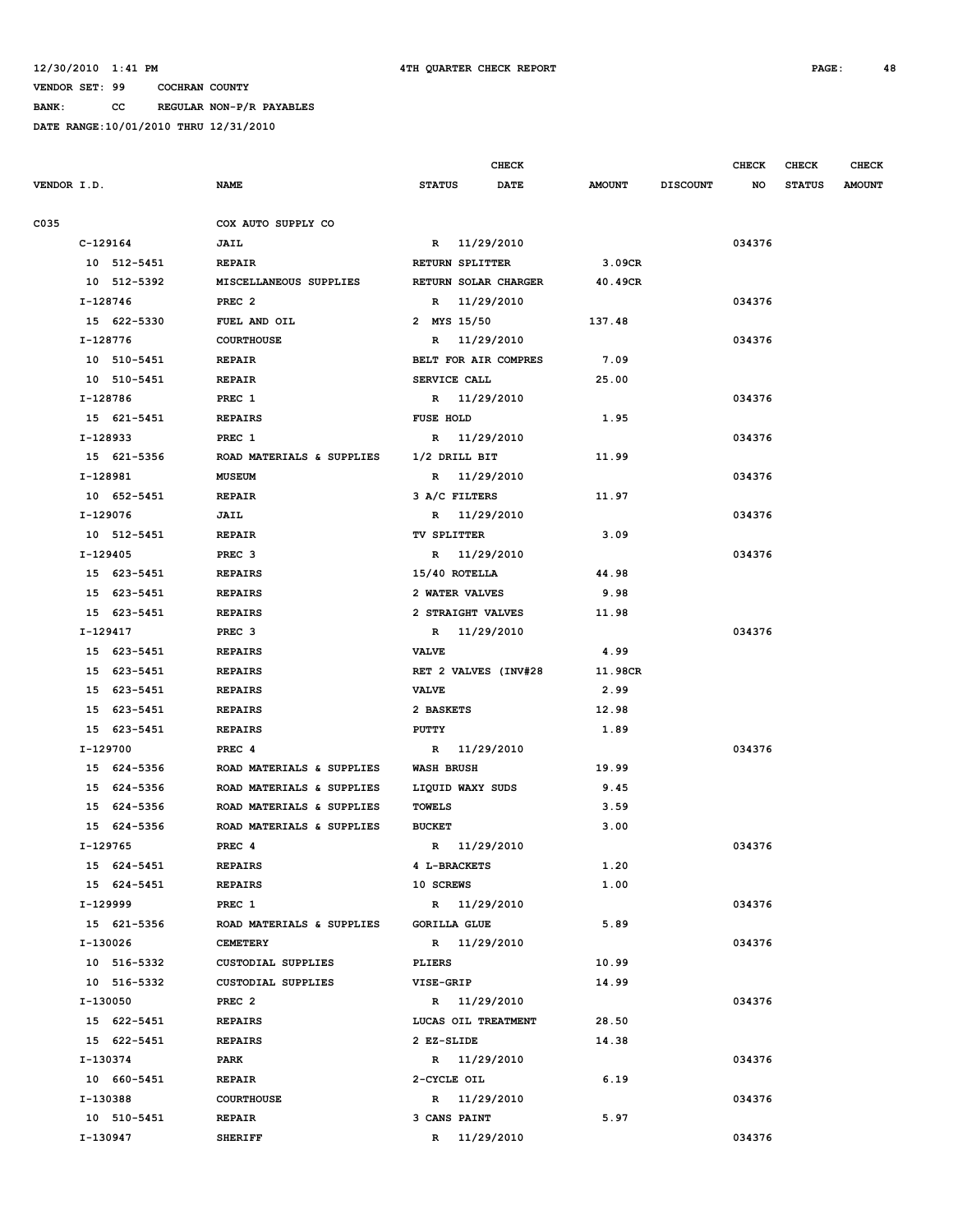**BANK: CC REGULAR NON-P/R PAYABLES**

|             |                           | <b>CHECK</b>          |               |                 | <b>CHECK</b> | <b>CHECK</b>  | <b>CHECK</b>  |
|-------------|---------------------------|-----------------------|---------------|-----------------|--------------|---------------|---------------|
| VENDOR I.D. | <b>NAME</b>               | <b>STATUS</b><br>DATE | <b>AMOUNT</b> | <b>DISCOUNT</b> | NO.          | <b>STATUS</b> | <b>AMOUNT</b> |
| C035        | COX AUTO SUPPLY CO        |                       |               |                 |              |               |               |
| $C-129164$  | JAIL                      | R 11/29/2010          |               |                 | 034376       |               |               |
| 10 512-5451 | <b>REPAIR</b>             | RETURN SPLITTER       | 3.09CR        |                 |              |               |               |
| 10 512-5392 | MISCELLANEOUS SUPPLIES    | RETURN SOLAR CHARGER  | 40.49CR       |                 |              |               |               |
| I-128746    | PREC <sub>2</sub>         | R 11/29/2010          |               |                 | 034376       |               |               |
| 15 622-5330 | FUEL AND OIL              | 2 MYS 15/50           | 137.48        |                 |              |               |               |
| I-128776    | <b>COURTHOUSE</b>         | R 11/29/2010          |               |                 | 034376       |               |               |
| 10 510-5451 | <b>REPAIR</b>             | BELT FOR AIR COMPRES  | 7.09          |                 |              |               |               |
| 10 510-5451 | REPAIR                    | SERVICE CALL          | 25.00         |                 |              |               |               |
| I-128786    | PREC 1                    | R 11/29/2010          |               |                 | 034376       |               |               |
| 15 621-5451 | <b>REPAIRS</b>            | <b>FUSE HOLD</b>      | 1.95          |                 |              |               |               |
| I-128933    | PREC 1                    | R 11/29/2010          |               |                 | 034376       |               |               |
| 15 621-5356 | ROAD MATERIALS & SUPPLIES | 1/2 DRILL BIT         | 11.99         |                 |              |               |               |
| I-128981    | <b>MUSEUM</b>             | R 11/29/2010          |               |                 | 034376       |               |               |
| 10 652-5451 | <b>REPAIR</b>             | 3 A/C FILTERS         | 11.97         |                 |              |               |               |
| I-129076    | JAIL                      | R 11/29/2010          |               |                 | 034376       |               |               |
| 10 512-5451 | <b>REPAIR</b>             | <b>TV SPLITTER</b>    | 3.09          |                 |              |               |               |
| I-129405    | PREC <sub>3</sub>         | R 11/29/2010          |               |                 | 034376       |               |               |
| 15 623-5451 | <b>REPAIRS</b>            | 15/40 ROTELLA         | 44.98         |                 |              |               |               |
| 15 623-5451 | <b>REPAIRS</b>            | 2 WATER VALVES        | 9.98          |                 |              |               |               |
| 15 623-5451 | <b>REPAIRS</b>            | 2 STRAIGHT VALVES     | 11.98         |                 |              |               |               |
| I-129417    | PREC <sub>3</sub>         | R 11/29/2010          |               |                 | 034376       |               |               |
| 15 623-5451 | <b>REPAIRS</b>            | <b>VALVE</b>          | 4.99          |                 |              |               |               |
| 15 623-5451 | <b>REPAIRS</b>            | RET 2 VALVES (INV#28  | 11.98CR       |                 |              |               |               |
| 15 623-5451 | <b>REPAIRS</b>            | <b>VALVE</b>          | 2.99          |                 |              |               |               |
| 15 623-5451 | <b>REPAIRS</b>            | 2 BASKETS             | 12.98         |                 |              |               |               |
| 15 623-5451 | <b>REPAIRS</b>            | PUTTY                 | 1.89          |                 |              |               |               |
| I-129700    | PREC <sub>4</sub>         | R 11/29/2010          |               |                 | 034376       |               |               |
| 15 624-5356 | ROAD MATERIALS & SUPPLIES | <b>WASH BRUSH</b>     | 19.99         |                 |              |               |               |
| 15 624-5356 | ROAD MATERIALS & SUPPLIES | LIQUID WAXY SUDS      | 9.45          |                 |              |               |               |
| 15 624-5356 | ROAD MATERIALS & SUPPLIES | <b>TOWELS</b>         | 3.59          |                 |              |               |               |
| 15 624-5356 | ROAD MATERIALS & SUPPLIES | <b>BUCKET</b>         | 3.00          |                 |              |               |               |
| I-129765    | PREC 4                    | R 11/29/2010          |               |                 | 034376       |               |               |
| 15 624-5451 | <b>REPAIRS</b>            | 4 L-BRACKETS          | 1.20          |                 |              |               |               |
| 15 624-5451 | <b>REPAIRS</b>            | 10 SCREWS             | 1.00          |                 |              |               |               |
| I-129999    | PREC 1                    | R 11/29/2010          |               |                 | 034376       |               |               |
| 15 621-5356 | ROAD MATERIALS & SUPPLIES | <b>GORILLA GLUE</b>   | 5.89          |                 |              |               |               |
| I-130026    | <b>CEMETERY</b>           | R 11/29/2010          |               |                 | 034376       |               |               |
| 10 516-5332 | CUSTODIAL SUPPLIES        | <b>PLIERS</b>         | 10.99         |                 |              |               |               |
| 10 516-5332 | CUSTODIAL SUPPLIES        | <b>VISE-GRIP</b>      | 14.99         |                 |              |               |               |
| I-130050    | PREC <sub>2</sub>         | R 11/29/2010          |               |                 | 034376       |               |               |
| 15 622-5451 | <b>REPAIRS</b>            | LUCAS OIL TREATMENT   | 28.50         |                 |              |               |               |
| 15 622-5451 | <b>REPAIRS</b>            | 2 EZ-SLIDE            | 14.38         |                 |              |               |               |
| I-130374    | PARK                      | R 11/29/2010          |               |                 | 034376       |               |               |
| 10 660-5451 | <b>REPAIR</b>             | 2-CYCLE OIL           | 6.19          |                 |              |               |               |
| I-130388    | <b>COURTHOUSE</b>         | R 11/29/2010          |               |                 | 034376       |               |               |
| 10 510-5451 | <b>REPAIR</b>             | 3 CANS PAINT          | 5.97          |                 |              |               |               |
| I-130947    | <b>SHERIFF</b>            | R 11/29/2010          |               |                 | 034376       |               |               |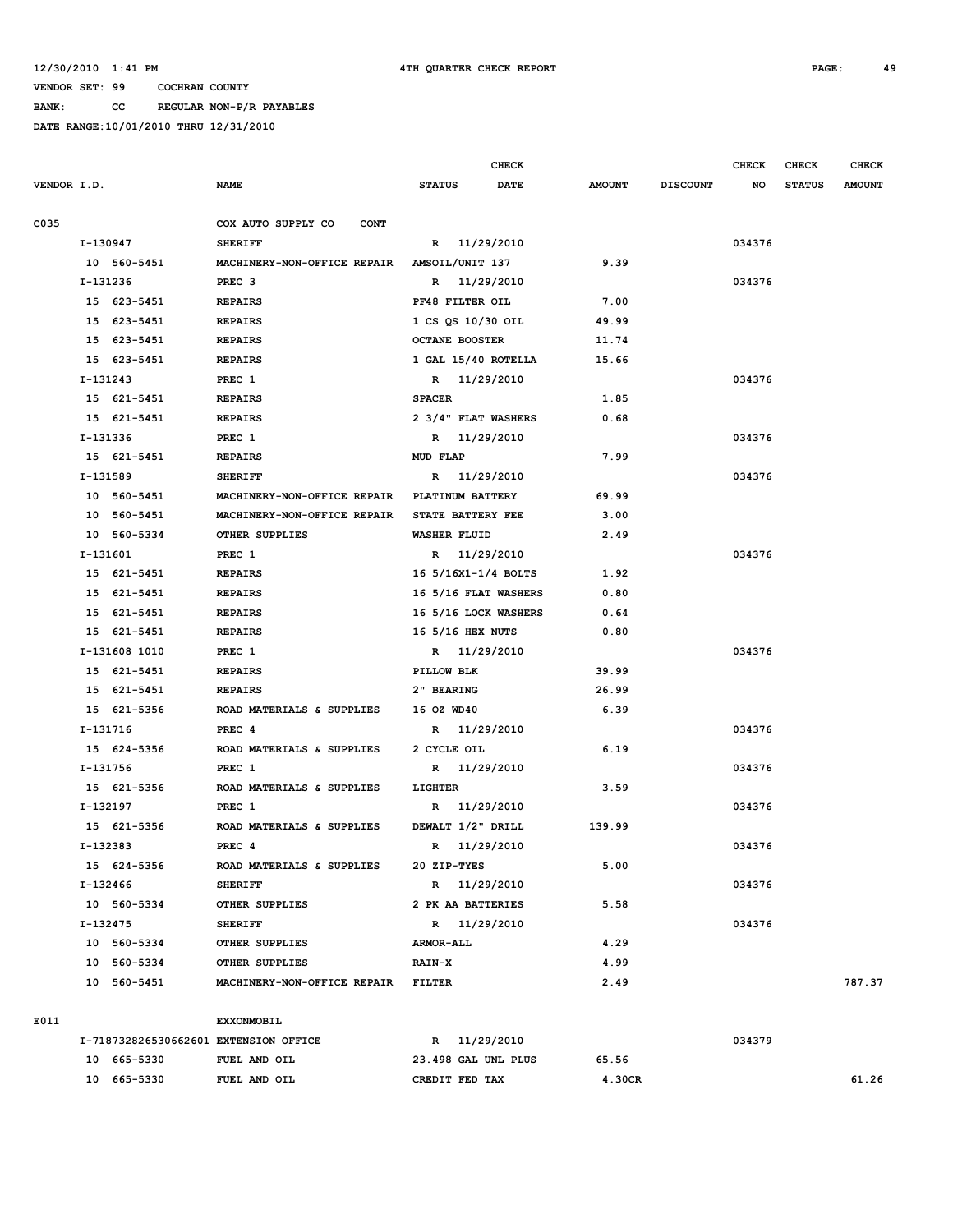**BANK: CC REGULAR NON-P/R PAYABLES**

|             |                                       |                                    |                       | CHECK       |               |                 | <b>CHECK</b> | CHECK         | <b>CHECK</b>  |
|-------------|---------------------------------------|------------------------------------|-----------------------|-------------|---------------|-----------------|--------------|---------------|---------------|
| VENDOR I.D. |                                       | <b>NAME</b>                        | <b>STATUS</b>         | <b>DATE</b> | <b>AMOUNT</b> | <b>DISCOUNT</b> | NO           | <b>STATUS</b> | <b>AMOUNT</b> |
| C035        |                                       | COX AUTO SUPPLY CO<br><b>CONT</b>  |                       |             |               |                 |              |               |               |
|             | I-130947                              | <b>SHERIFF</b>                     | R 11/29/2010          |             |               |                 | 034376       |               |               |
|             | 10 560-5451                           | MACHINERY-NON-OFFICE REPAIR        | AMSOIL/UNIT 137       |             | 9.39          |                 |              |               |               |
|             | I-131236                              | PREC <sub>3</sub>                  | R 11/29/2010          |             |               |                 | 034376       |               |               |
|             | 15 623-5451                           | <b>REPAIRS</b>                     | PF48 FILTER OIL       |             | 7.00          |                 |              |               |               |
|             | 15 623-5451                           | <b>REPAIRS</b>                     | 1 CS QS 10/30 OIL     |             | 49.99         |                 |              |               |               |
|             | 15 623-5451                           | <b>REPAIRS</b>                     | <b>OCTANE BOOSTER</b> |             | 11.74         |                 |              |               |               |
|             | 15 623-5451                           | <b>REPAIRS</b>                     | 1 GAL 15/40 ROTELLA   |             | 15.66         |                 |              |               |               |
|             | $I-131243$                            | PREC 1                             | R 11/29/2010          |             |               |                 | 034376       |               |               |
|             | 15 621-5451                           | <b>REPAIRS</b>                     | <b>SPACER</b>         |             | 1.85          |                 |              |               |               |
|             | 15 621-5451                           | <b>REPAIRS</b>                     | 2 3/4" FLAT WASHERS   |             | 0.68          |                 |              |               |               |
|             | I-131336                              | PREC 1                             | R 11/29/2010          |             |               |                 | 034376       |               |               |
|             | 15 621-5451                           | <b>REPAIRS</b>                     | MUD FLAP              |             | 7.99          |                 |              |               |               |
|             | I-131589                              | <b>SHERIFF</b>                     | R                     | 11/29/2010  |               |                 | 034376       |               |               |
|             | 10 560-5451                           | MACHINERY-NON-OFFICE REPAIR        | PLATINUM BATTERY      |             | 69.99         |                 |              |               |               |
|             | 10 560-5451                           | MACHINERY-NON-OFFICE REPAIR        | STATE BATTERY FEE     |             | 3.00          |                 |              |               |               |
|             | 10 560-5334                           | OTHER SUPPLIES                     | <b>WASHER FLUID</b>   |             | 2.49          |                 |              |               |               |
|             | I-131601                              | PREC 1                             | R 11/29/2010          |             |               |                 | 034376       |               |               |
|             | 15 621-5451                           | <b>REPAIRS</b>                     | 16 5/16X1-1/4 BOLTS   |             | 1.92          |                 |              |               |               |
|             | 621-5451<br>15                        | <b>REPAIRS</b>                     | 16 5/16 FLAT WASHERS  |             | 0.80          |                 |              |               |               |
|             | 621-5451<br>15                        | <b>REPAIRS</b>                     | 16 5/16 LOCK WASHERS  |             | 0.64          |                 |              |               |               |
|             | 15 621-5451                           | <b>REPAIRS</b>                     | 16 5/16 HEX NUTS      |             | 0.80          |                 |              |               |               |
|             | I-131608 1010                         | PREC 1                             | R 11/29/2010          |             |               |                 | 034376       |               |               |
|             | 15 621-5451                           | <b>REPAIRS</b>                     | PILLOW BLK            |             | 39.99         |                 |              |               |               |
|             | 15 621-5451                           | <b>REPAIRS</b>                     | 2" BEARING            |             | 26.99         |                 |              |               |               |
|             | 15 621-5356                           | ROAD MATERIALS & SUPPLIES          | 16 OZ WD40            |             | 6.39          |                 |              |               |               |
|             | I-131716                              | PREC <sub>4</sub>                  | R 11/29/2010          |             |               |                 | 034376       |               |               |
|             | 15 624-5356                           | ROAD MATERIALS & SUPPLIES          | 2 CYCLE OIL           |             | 6.19          |                 |              |               |               |
|             | I-131756                              | PREC 1                             | R                     | 11/29/2010  |               |                 | 034376       |               |               |
|             | 15 621-5356                           | ROAD MATERIALS & SUPPLIES          | LIGHTER               |             | 3.59          |                 |              |               |               |
|             | I-132197                              | PREC 1                             | R                     | 11/29/2010  |               |                 | 034376       |               |               |
|             | 15 621-5356                           | ROAD MATERIALS & SUPPLIES          | DEWALT 1/2" DRILL     |             | 139.99        |                 |              |               |               |
|             | I-132383                              | PREC <sub>4</sub>                  | R                     | 11/29/2010  |               |                 | 034376       |               |               |
|             | 15 624-5356                           | ROAD MATERIALS & SUPPLIES          | 20 ZIP-TYES           |             | 5.00          |                 |              |               |               |
|             | I-132466                              | <b>SHERIFF</b>                     | R 11/29/2010          |             |               |                 | 034376       |               |               |
|             | 10 560-5334                           | OTHER SUPPLIES                     | 2 PK AA BATTERIES     |             | 5.58          |                 |              |               |               |
|             | I-132475                              | <b>SHERIFF</b>                     | R 11/29/2010          |             |               |                 | 034376       |               |               |
|             | 10 560-5334                           | OTHER SUPPLIES                     | <b>ARMOR-ALL</b>      |             | 4.29          |                 |              |               |               |
|             | 10 560-5334                           | OTHER SUPPLIES                     | <b>RAIN-X</b>         |             | 4.99          |                 |              |               |               |
|             | 10 560-5451                           | MACHINERY-NON-OFFICE REPAIR FILTER |                       |             | 2.49          |                 |              |               | 787.37        |
| E011        |                                       | <b>EXXONMOBIL</b>                  |                       |             |               |                 |              |               |               |
|             | I-718732826530662601 EXTENSION OFFICE |                                    | R 11/29/2010          |             |               |                 | 034379       |               |               |
|             | 10 665-5330                           | FUEL AND OIL                       | 23.498 GAL UNL PLUS   |             | 65.56         |                 |              |               |               |
|             | 10 665-5330                           | FUEL AND OIL                       | CREDIT FED TAX        |             | 4.30CR        |                 |              |               | 61.26         |
|             |                                       |                                    |                       |             |               |                 |              |               |               |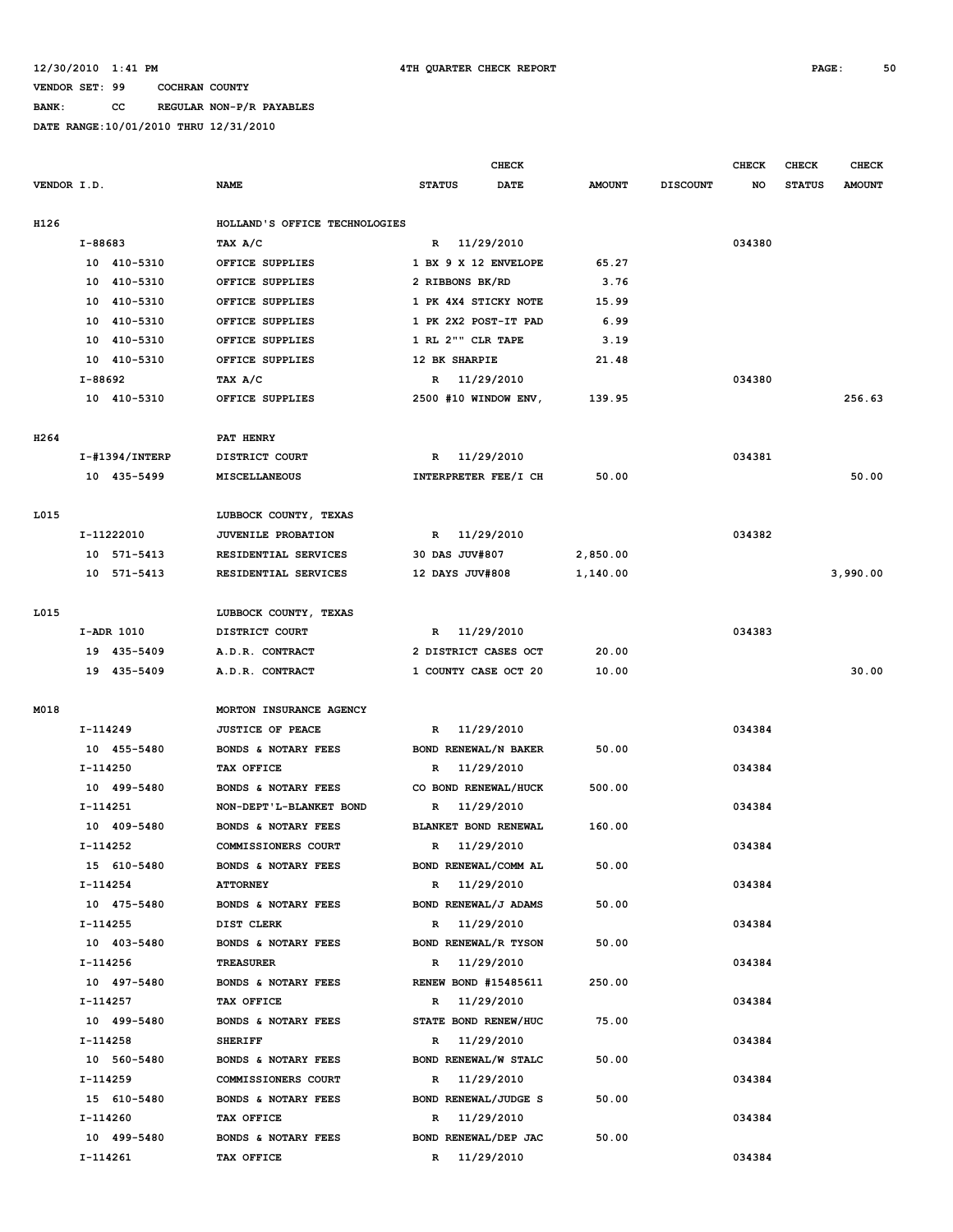**BANK: CC REGULAR NON-P/R PAYABLES**

|                  |                   |                               | CHECK                        |               |                 | <b>CHECK</b> | <b>CHECK</b>  | <b>CHECK</b>  |
|------------------|-------------------|-------------------------------|------------------------------|---------------|-----------------|--------------|---------------|---------------|
| VENDOR I.D.      |                   | <b>NAME</b>                   | <b>STATUS</b><br><b>DATE</b> | <b>AMOUNT</b> | <b>DISCOUNT</b> | NO           | <b>STATUS</b> | <b>AMOUNT</b> |
| H126             |                   | HOLLAND'S OFFICE TECHNOLOGIES |                              |               |                 |              |               |               |
|                  | I-88683           | TAX A/C                       | R 11/29/2010                 |               |                 | 034380       |               |               |
|                  | 10 410-5310       | OFFICE SUPPLIES               | 1 BX 9 X 12 ENVELOPE         | 65.27         |                 |              |               |               |
|                  | 10<br>410-5310    | OFFICE SUPPLIES               | 2 RIBBONS BK/RD              | 3.76          |                 |              |               |               |
|                  | 410-5310<br>10    | OFFICE SUPPLIES               | 1 PK 4X4 STICKY NOTE         | 15.99         |                 |              |               |               |
|                  | 410-5310<br>10    | OFFICE SUPPLIES               | 1 PK 2X2 POST-IT PAD         | 6.99          |                 |              |               |               |
|                  | 410-5310<br>10    | OFFICE SUPPLIES               | 1 RL 2"" CLR TAPE            | 3.19          |                 |              |               |               |
|                  | 10 410-5310       | OFFICE SUPPLIES               | 12 BK SHARPIE                | 21.48         |                 |              |               |               |
|                  | I-88692           | TAX A/C                       | 11/29/2010<br>R              |               |                 | 034380       |               |               |
|                  | 10 410-5310       | OFFICE SUPPLIES               | 2500 #10 WINDOW ENV,         | 139.95        |                 |              |               | 256.63        |
| H <sub>264</sub> |                   | <b>PAT HENRY</b>              |                              |               |                 |              |               |               |
|                  | $I$ -#1394/INTERP | DISTRICT COURT                | 11/29/2010<br>R              |               |                 | 034381       |               |               |
|                  | 10 435-5499       | <b>MISCELLANEOUS</b>          | INTERPRETER FEE/I CH         | 50.00         |                 |              |               | 50.00         |
|                  |                   |                               |                              |               |                 |              |               |               |
| L015             |                   | LUBBOCK COUNTY, TEXAS         |                              |               |                 |              |               |               |
|                  | I-11222010        | <b>JUVENILE PROBATION</b>     | 11/29/2010<br>R              |               |                 | 034382       |               |               |
|                  | 10 571-5413       | RESIDENTIAL SERVICES          | 30 DAS JUV#807               | 2,850.00      |                 |              |               |               |
|                  | 10 571-5413       | RESIDENTIAL SERVICES          | 12 DAYS JUV#808              | 1,140.00      |                 |              |               | 3,990.00      |
| L015             |                   | LUBBOCK COUNTY, TEXAS         |                              |               |                 |              |               |               |
|                  | I-ADR 1010        | DISTRICT COURT                | R 11/29/2010                 |               |                 | 034383       |               |               |
|                  | 19 435-5409       | A.D.R. CONTRACT               | 2 DISTRICT CASES OCT         | 20.00         |                 |              |               |               |
|                  | 19 435-5409       | A.D.R. CONTRACT               | 1 COUNTY CASE OCT 20         | 10.00         |                 |              |               | 30.00         |
|                  |                   |                               |                              |               |                 |              |               |               |
| M018             |                   | MORTON INSURANCE AGENCY       |                              |               |                 |              |               |               |
|                  | I-114249          | <b>JUSTICE OF PEACE</b>       | 11/29/2010<br>$\mathbb{R}$   |               |                 | 034384       |               |               |
|                  | 10 455-5480       | BONDS & NOTARY FEES           | BOND RENEWAL/N BAKER         | 50.00         |                 |              |               |               |
|                  | I-114250          | TAX OFFICE                    | 11/29/2010<br>R              |               |                 | 034384       |               |               |
|                  | 10 499-5480       | BONDS & NOTARY FEES           | CO BOND RENEWAL/HUCK         | 500.00        |                 |              |               |               |
|                  | $I-114251$        | NON-DEPT'L-BLANKET BOND       | 11/29/2010<br>R              |               |                 | 034384       |               |               |
|                  | 10 409-5480       | BONDS & NOTARY FEES           | BLANKET BOND RENEWAL         | 160.00        |                 |              |               |               |
|                  | I-114252          | COMMISSIONERS COURT           | 11/29/2010<br>$\mathbb{R}$   |               |                 | 034384       |               |               |
|                  | 15 610-5480       | BONDS & NOTARY FEES           | BOND RENEWAL/COMM AL         | 50.00         |                 |              |               |               |
|                  | I-114254          | <b>ATTORNEY</b>               | R 11/29/2010                 |               |                 | 034384       |               |               |
|                  | 10 475-5480       | BONDS & NOTARY FEES           | BOND RENEWAL/J ADAMS         | 50.00         |                 |              |               |               |
|                  | I-114255          | DIST CLERK                    | 11/29/2010<br>R              |               |                 | 034384       |               |               |
|                  | 10 403-5480       | BONDS & NOTARY FEES           | BOND RENEWAL/R TYSON         | 50.00         |                 |              |               |               |
|                  | $I-114256$        | <b>TREASURER</b>              | 11/29/2010<br>R              |               |                 | 034384       |               |               |
|                  | 10 497-5480       | BONDS & NOTARY FEES           | <b>RENEW BOND #15485611</b>  | 250.00        |                 |              |               |               |
|                  | I-114257          | TAX OFFICE                    | 11/29/2010<br>R              |               |                 | 034384       |               |               |
|                  | 10 499-5480       | BONDS & NOTARY FEES           | STATE BOND RENEW/HUC         | 75.00         |                 |              |               |               |
|                  | I-114258          | <b>SHERIFF</b>                | 11/29/2010<br>R              |               |                 | 034384       |               |               |
|                  | 10 560-5480       | BONDS & NOTARY FEES           | BOND RENEWAL/W STALC         | 50.00         |                 |              |               |               |
|                  | I-114259          | COMMISSIONERS COURT           | 11/29/2010<br>R              |               |                 | 034384       |               |               |
|                  | 15 610-5480       | BONDS & NOTARY FEES           | BOND RENEWAL/JUDGE S         | 50.00         |                 |              |               |               |
|                  | I-114260          | TAX OFFICE                    | 11/29/2010<br>R              |               |                 | 034384       |               |               |
|                  | 10 499-5480       | BONDS & NOTARY FEES           | BOND RENEWAL/DEP JAC         | 50.00         |                 |              |               |               |
|                  | I-114261          | TAX OFFICE                    | R 11/29/2010                 |               |                 | 034384       |               |               |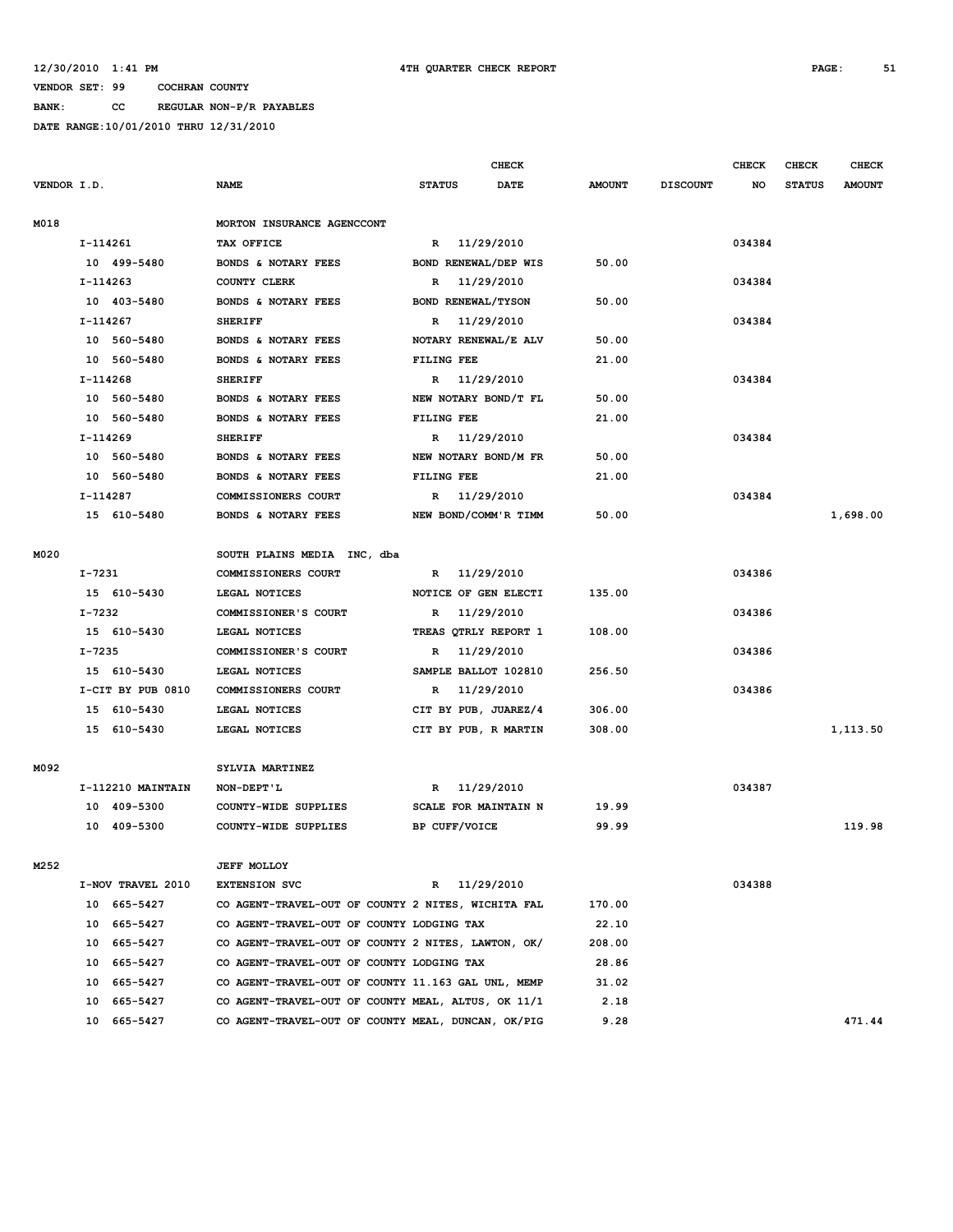**BANK: CC REGULAR NON-P/R PAYABLES**

|             |            |                   |                                                    |               |               | <b>CHECK</b>         |               |                 | <b>CHECK</b> | <b>CHECK</b>  | <b>CHECK</b>  |
|-------------|------------|-------------------|----------------------------------------------------|---------------|---------------|----------------------|---------------|-----------------|--------------|---------------|---------------|
| VENDOR I.D. |            |                   | <b>NAME</b>                                        | <b>STATUS</b> |               | <b>DATE</b>          | <b>AMOUNT</b> | <b>DISCOUNT</b> | NO           | <b>STATUS</b> | <b>AMOUNT</b> |
| M018        |            |                   | MORTON INSURANCE AGENCCONT                         |               |               |                      |               |                 |              |               |               |
|             | I-114261   |                   | TAX OFFICE                                         |               |               | R 11/29/2010         |               |                 | 034384       |               |               |
|             |            | 10 499-5480       | BONDS & NOTARY FEES                                |               |               | BOND RENEWAL/DEP WIS | 50.00         |                 |              |               |               |
|             | I-114263   |                   | COUNTY CLERK                                       | R             |               | 11/29/2010           |               |                 | 034384       |               |               |
|             |            | 10 403-5480       | BONDS & NOTARY FEES                                |               |               | BOND RENEWAL/TYSON   | 50.00         |                 |              |               |               |
|             | I-114267   |                   | <b>SHERIFF</b>                                     | R             |               | 11/29/2010           |               |                 | 034384       |               |               |
|             |            | 10 560-5480       | BONDS & NOTARY FEES                                |               |               | NOTARY RENEWAL/E ALV | 50.00         |                 |              |               |               |
|             |            | 10 560-5480       | BONDS & NOTARY FEES                                |               | FILING FEE    |                      | 21.00         |                 |              |               |               |
|             | I-114268   |                   | <b>SHERIFF</b>                                     |               |               | R 11/29/2010         |               |                 | 034384       |               |               |
|             |            | 10 560-5480       | BONDS & NOTARY FEES                                |               |               | NEW NOTARY BOND/T FL | 50.00         |                 |              |               |               |
|             |            | 10 560-5480       | BONDS & NOTARY FEES                                |               | FILING FEE    |                      | 21.00         |                 |              |               |               |
|             | I-114269   |                   | <b>SHERIFF</b>                                     |               |               | R 11/29/2010         |               |                 | 034384       |               |               |
|             |            | 10 560-5480       | BONDS & NOTARY FEES                                |               |               | NEW NOTARY BOND/M FR | 50.00         |                 |              |               |               |
|             |            | 10 560-5480       | BONDS & NOTARY FEES                                |               | FILING FEE    |                      | 21.00         |                 |              |               |               |
|             | I-114287   |                   | COMMISSIONERS COURT                                |               |               | R 11/29/2010         |               |                 | 034384       |               |               |
|             |            | 15 610-5480       | BONDS & NOTARY FEES                                |               |               | NEW BOND/COMM'R TIMM | 50.00         |                 |              |               | 1,698.00      |
| M020        |            |                   | SOUTH PLAINS MEDIA INC, dba                        |               |               |                      |               |                 |              |               |               |
|             | $I - 7231$ |                   | COMMISSIONERS COURT                                |               |               | R 11/29/2010         |               |                 | 034386       |               |               |
|             |            | 15 610-5430       | LEGAL NOTICES                                      |               |               | NOTICE OF GEN ELECTI | 135.00        |                 |              |               |               |
|             | I-7232     |                   | COMMISSIONER'S COURT                               | $\mathbf{R}$  |               | 11/29/2010           |               |                 | 034386       |               |               |
|             |            | 15 610-5430       | LEGAL NOTICES                                      |               |               | TREAS QTRLY REPORT 1 | 108.00        |                 |              |               |               |
|             | $I - 7235$ |                   | COMMISSIONER'S COURT                               | R             |               | 11/29/2010           |               |                 | 034386       |               |               |
|             |            | 15 610-5430       | LEGAL NOTICES                                      |               |               | SAMPLE BALLOT 102810 | 256.50        |                 |              |               |               |
|             |            | I-CIT BY PUB 0810 | COMMISSIONERS COURT                                | R             |               | 11/29/2010           |               |                 | 034386       |               |               |
|             |            | 15 610-5430       | LEGAL NOTICES                                      |               |               | CIT BY PUB, JUAREZ/4 | 306.00        |                 |              |               |               |
|             |            | 15 610-5430       | LEGAL NOTICES                                      |               |               | CIT BY PUB, R MARTIN | 308.00        |                 |              |               | 1,113.50      |
|             |            |                   |                                                    |               |               |                      |               |                 |              |               |               |
| M092        |            |                   | SYLVIA MARTINEZ                                    |               |               |                      |               |                 |              |               |               |
|             |            | I-112210 MAINTAIN | NON-DEPT'L                                         | $\mathbb{R}$  |               | 11/29/2010           |               |                 | 034387       |               |               |
|             |            | 10 409-5300       | COUNTY-WIDE SUPPLIES                               |               |               | SCALE FOR MAINTAIN N | 19.99         |                 |              |               |               |
|             |            | 10 409-5300       | COUNTY-WIDE SUPPLIES                               |               | BP CUFF/VOICE |                      | 99.99         |                 |              |               | 119.98        |
| M252        |            |                   | <b>JEFF MOLLOY</b>                                 |               |               |                      |               |                 |              |               |               |
|             |            | I-NOV TRAVEL 2010 | <b>EXTENSION SVC</b>                               |               |               | R 11/29/2010         |               |                 | 034388       |               |               |
|             |            | 10 665-5427       | CO AGENT-TRAVEL-OUT OF COUNTY 2 NITES, WICHITA FAL |               |               |                      | 170.00        |                 |              |               |               |
|             | 10         | 665–5427          | CO AGENT-TRAVEL-OUT OF COUNTY LODGING TAX          |               |               |                      | 22.10         |                 |              |               |               |
|             | 10         | 665-5427          | CO AGENT-TRAVEL-OUT OF COUNTY 2 NITES, LAWTON, OK/ |               |               |                      | 208.00        |                 |              |               |               |
|             | 10         | 665-5427          | CO AGENT-TRAVEL-OUT OF COUNTY LODGING TAX          |               |               |                      | 28.86         |                 |              |               |               |
|             | 10         | 665-5427          | CO AGENT-TRAVEL-OUT OF COUNTY 11.163 GAL UNL, MEMP |               |               |                      | 31.02         |                 |              |               |               |
|             | 10         | 665-5427          | CO AGENT-TRAVEL-OUT OF COUNTY MEAL, ALTUS, OK 11/1 |               |               |                      | 2.18          |                 |              |               |               |
|             |            | 10 665-5427       | CO AGENT-TRAVEL-OUT OF COUNTY MEAL, DUNCAN, OK/PIG |               |               |                      | 9.28          |                 |              |               | 471.44        |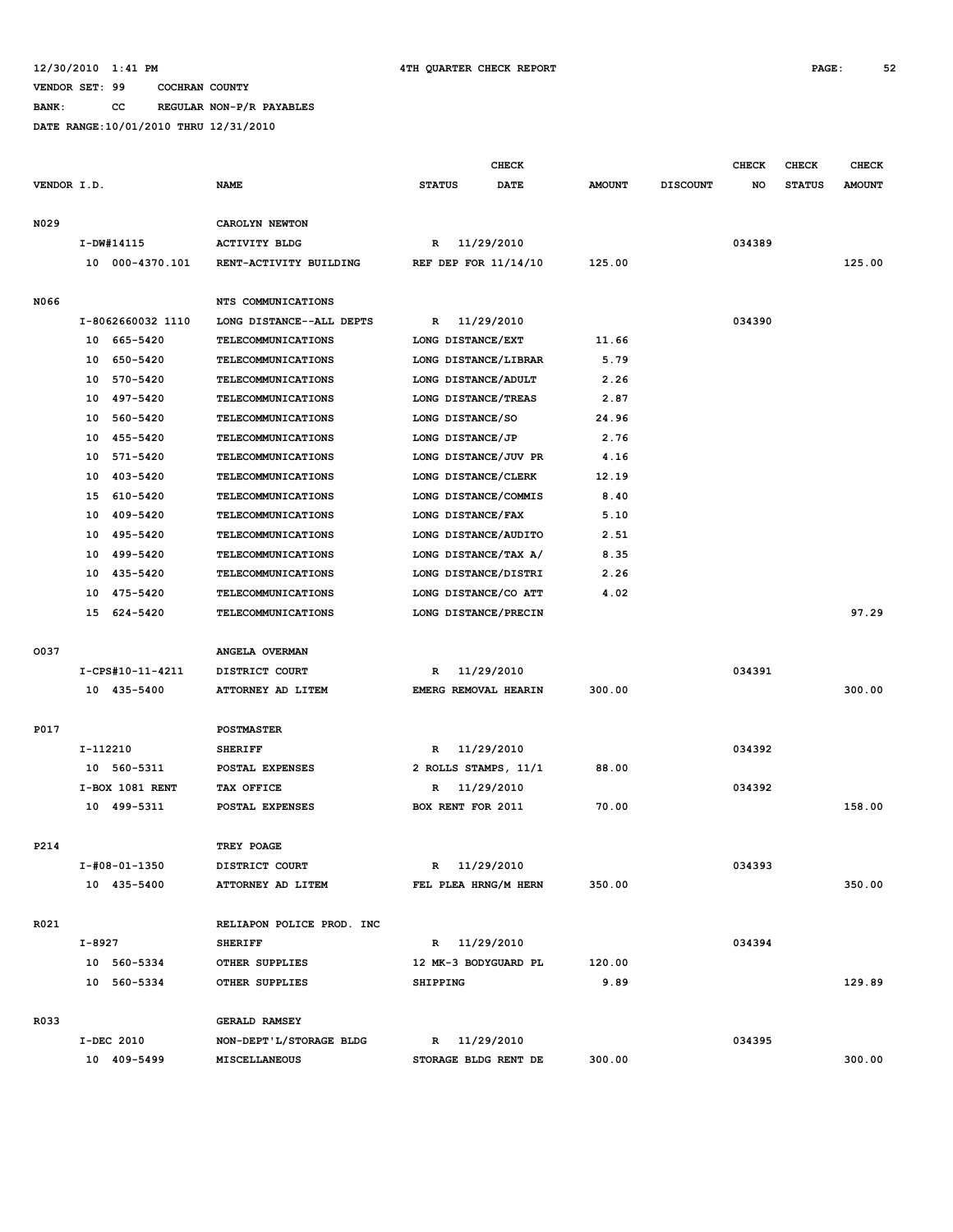## **12/30/2010 1:41 PM 4TH QUARTER CHECK REPORT PAGE: 52**

#### **VENDOR SET: 99 COCHRAN COUNTY**

**BANK: CC REGULAR NON-P/R PAYABLES**

|             |                              |                                     |                                      | <b>CHECK</b> |               |                 | <b>CHECK</b> | <b>CHECK</b>  | <b>CHECK</b>  |
|-------------|------------------------------|-------------------------------------|--------------------------------------|--------------|---------------|-----------------|--------------|---------------|---------------|
| VENDOR I.D. |                              | <b>NAME</b>                         | <b>STATUS</b>                        | DATE         | <b>AMOUNT</b> | <b>DISCOUNT</b> | NO           | <b>STATUS</b> | <b>AMOUNT</b> |
|             |                              |                                     |                                      |              |               |                 |              |               |               |
| N029        |                              | CAROLYN NEWTON                      |                                      |              |               |                 |              |               |               |
|             | I-DW#14115                   | <b>ACTIVITY BLDG</b>                | R                                    | 11/29/2010   |               |                 | 034389       |               |               |
|             | 10 000-4370.101              | RENT-ACTIVITY BUILDING              | REF DEP FOR 11/14/10                 |              | 125.00        |                 |              |               | 125.00        |
| N066        |                              | NTS COMMUNICATIONS                  |                                      |              |               |                 |              |               |               |
|             | I-8062660032 1110            | LONG DISTANCE--ALL DEPTS            | R                                    | 11/29/2010   |               |                 | 034390       |               |               |
|             | 10 665-5420                  | <b>TELECOMMUNICATIONS</b>           | LONG DISTANCE/EXT                    |              | 11.66         |                 |              |               |               |
|             | 10 650-5420                  | TELECOMMUNICATIONS                  | LONG DISTANCE/LIBRAR                 |              | 5.79          |                 |              |               |               |
|             | 10 570-5420                  | TELECOMMUNICATIONS                  | LONG DISTANCE/ADULT                  |              | 2.26          |                 |              |               |               |
|             | 10 497-5420                  | <b>TELECOMMUNICATIONS</b>           | LONG DISTANCE/TREAS                  |              | 2.87          |                 |              |               |               |
|             | 560-5420<br>10               | <b>TELECOMMUNICATIONS</b>           | LONG DISTANCE/SO                     |              | 24.96         |                 |              |               |               |
|             | 455-5420<br>10               | TELECOMMUNICATIONS                  | LONG DISTANCE/JP                     |              | 2.76          |                 |              |               |               |
|             | 10<br>571-5420               | <b>TELECOMMUNICATIONS</b>           | LONG DISTANCE/JUV PR                 |              | 4.16          |                 |              |               |               |
|             | 10<br>403-5420               | TELECOMMUNICATIONS                  | LONG DISTANCE/CLERK                  |              | 12.19         |                 |              |               |               |
|             | 15 610-5420                  | TELECOMMUNICATIONS                  | LONG DISTANCE/COMMIS                 |              | 8.40          |                 |              |               |               |
|             | 10 409-5420                  | <b>TELECOMMUNICATIONS</b>           | LONG DISTANCE/FAX                    |              | 5.10          |                 |              |               |               |
|             | 10 495-5420                  | TELECOMMUNICATIONS                  | LONG DISTANCE/AUDITO                 |              | 2.51          |                 |              |               |               |
|             | 10 499-5420                  | TELECOMMUNICATIONS                  | LONG DISTANCE/TAX A/                 |              | 8.35          |                 |              |               |               |
|             | 10<br>435-5420               | <b>TELECOMMUNICATIONS</b>           | LONG DISTANCE/DISTRI                 |              | 2.26          |                 |              |               |               |
|             | 10 475-5420                  | TELECOMMUNICATIONS                  | LONG DISTANCE/CO ATT                 |              | 4.02          |                 |              |               |               |
|             | 15 624-5420                  | <b>TELECOMMUNICATIONS</b>           | LONG DISTANCE/PRECIN                 |              |               |                 |              |               | 97.29         |
|             |                              |                                     |                                      |              |               |                 |              |               |               |
| 0037        |                              | ANGELA OVERMAN                      |                                      |              |               |                 |              |               |               |
|             | I-CPS#10-11-4211             | DISTRICT COURT                      | R                                    | 11/29/2010   |               |                 | 034391       |               |               |
|             | 10 435-5400                  | ATTORNEY AD LITEM                   | EMERG REMOVAL HEARIN                 |              | 300.00        |                 |              |               | 300.00        |
| P017        |                              | <b>POSTMASTER</b>                   |                                      |              |               |                 |              |               |               |
|             | I-112210                     | <b>SHERIFF</b>                      | R                                    | 11/29/2010   |               |                 | 034392       |               |               |
|             | 10 560-5311                  | POSTAL EXPENSES                     | 2 ROLLS STAMPS, 11/1                 |              | 88.00         |                 |              |               |               |
|             | I-BOX 1081 RENT              | TAX OFFICE                          | R                                    | 11/29/2010   |               |                 | 034392       |               |               |
|             | 10 499-5311                  | POSTAL EXPENSES                     | BOX RENT FOR 2011                    |              | 70.00         |                 |              |               | 158.00        |
|             |                              |                                     |                                      |              |               |                 |              |               |               |
| P214        |                              | TREY POAGE                          |                                      |              |               |                 |              |               |               |
|             | I-#08-01-1350<br>10 435-5400 | DISTRICT COURT<br>ATTORNEY AD LITEM | R 11/29/2010<br>FEL PLEA HRNG/M HERN |              | 350.00        |                 | 034393       |               | 350.00        |
|             |                              |                                     |                                      |              |               |                 |              |               |               |
| R021        |                              | RELIAPON POLICE PROD. INC           |                                      |              |               |                 |              |               |               |
|             | I-8927                       | <b>SHERIFF</b>                      | R 11/29/2010                         |              |               |                 | 034394       |               |               |
|             | 10 560-5334                  | OTHER SUPPLIES                      | 12 MK-3 BODYGUARD PL                 |              | 120.00        |                 |              |               |               |
|             | 10 560-5334                  | OTHER SUPPLIES                      | <b>SHIPPING</b>                      |              | 9.89          |                 |              |               | 129.89        |
| R033        |                              | <b>GERALD RAMSEY</b>                |                                      |              |               |                 |              |               |               |
|             | I-DEC 2010                   | NON-DEPT'L/STORAGE BLDG             | R 11/29/2010                         |              |               |                 | 034395       |               |               |
|             | 10 409-5499                  | MISCELLANEOUS                       | STORAGE BLDG RENT DE                 |              | 300.00        |                 |              |               | 300.00        |
|             |                              |                                     |                                      |              |               |                 |              |               |               |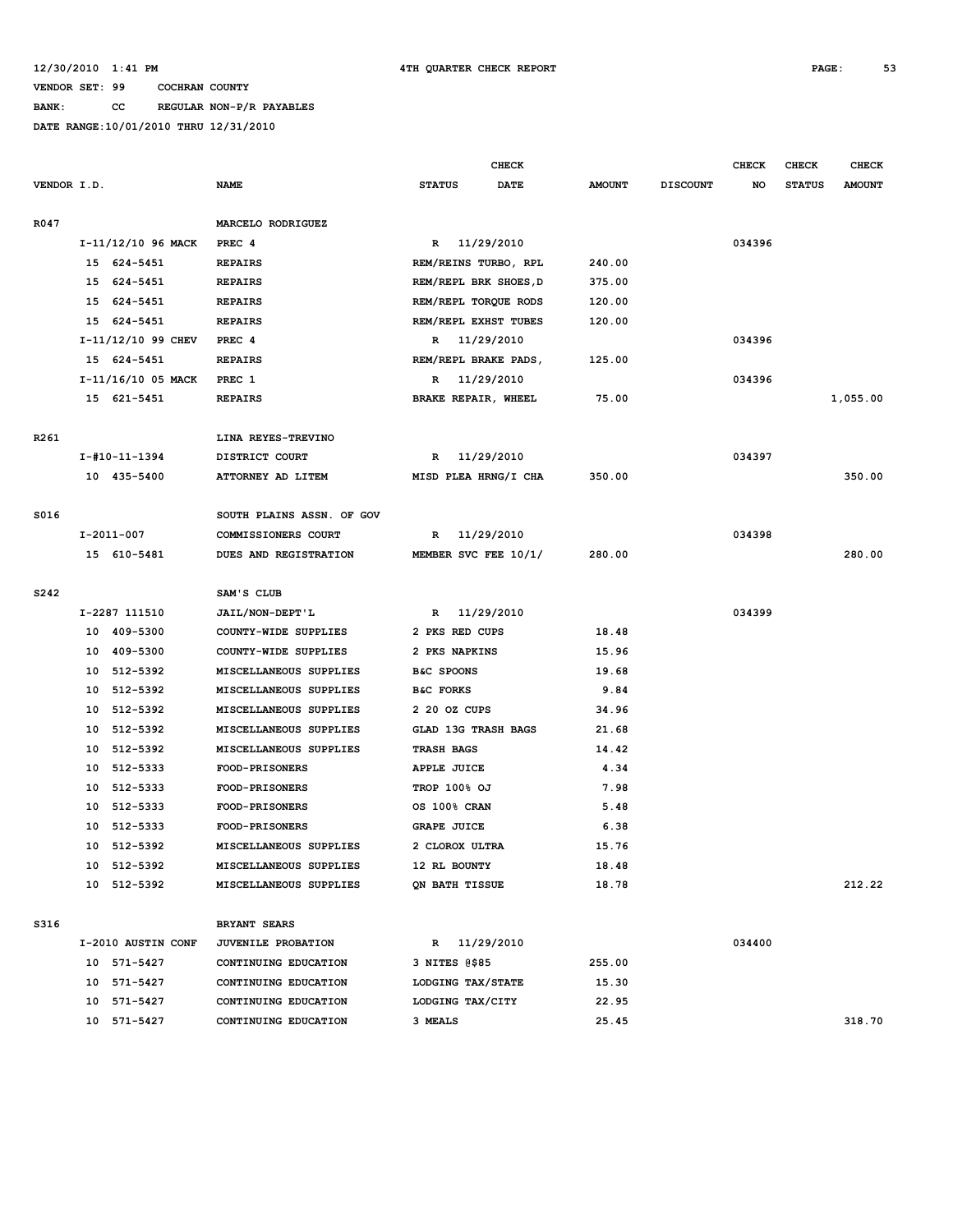## **VENDOR SET: 99 COCHRAN COUNTY BANK: CC REGULAR NON-P/R PAYABLES DATE RANGE:10/01/2010 THRU 12/31/2010**

|      |                |                    |                           |                            | <b>CHECK</b>          |               |                 | <b>CHECK</b> | <b>CHECK</b>  | <b>CHECK</b>  |
|------|----------------|--------------------|---------------------------|----------------------------|-----------------------|---------------|-----------------|--------------|---------------|---------------|
|      | VENDOR I.D.    |                    | <b>NAME</b>               | <b>STATUS</b>              | DATE                  | <b>AMOUNT</b> | <b>DISCOUNT</b> | NO           | <b>STATUS</b> | <b>AMOUNT</b> |
| R047 |                |                    | MARCELO RODRIGUEZ         |                            |                       |               |                 |              |               |               |
|      |                | I-11/12/10 96 MACK | PREC <sub>4</sub>         |                            | R 11/29/2010          |               |                 | 034396       |               |               |
|      | 15 624-5451    |                    | <b>REPAIRS</b>            |                            | REM/REINS TURBO, RPL  | 240.00        |                 |              |               |               |
|      | 15 624-5451    |                    | <b>REPAIRS</b>            |                            | REM/REPL BRK SHOES, D | 375.00        |                 |              |               |               |
|      | 15 624-5451    |                    | <b>REPAIRS</b>            |                            | REM/REPL TORQUE RODS  | 120.00        |                 |              |               |               |
|      | 15 624-5451    |                    | <b>REPAIRS</b>            |                            | REM/REPL EXHST TUBES  | 120.00        |                 |              |               |               |
|      |                | I-11/12/10 99 CHEV | PREC 4                    |                            | R 11/29/2010          |               |                 | 034396       |               |               |
|      | 15 624-5451    |                    | <b>REPAIRS</b>            |                            | REM/REPL BRAKE PADS,  | 125.00        |                 |              |               |               |
|      |                | I-11/16/10 05 MACK | PREC 1                    |                            | R 11/29/2010          |               |                 | 034396       |               |               |
|      | 15 621-5451    |                    | <b>REPAIRS</b>            | BRAKE REPAIR, WHEEL        |                       | 75.00         |                 |              |               | 1,055.00      |
| R261 |                |                    | LINA REYES-TREVINO        |                            |                       |               |                 |              |               |               |
|      | I-#10-11-1394  |                    | DISTRICT COURT            | R                          | 11/29/2010            |               |                 | 034397       |               |               |
|      | 10 435-5400    |                    | ATTORNEY AD LITEM         |                            | MISD PLEA HRNG/I CHA  | 350.00        |                 |              |               | 350.00        |
| S016 |                |                    | SOUTH PLAINS ASSN. OF GOV |                            |                       |               |                 |              |               |               |
|      | $I-2011-007$   |                    | COMMISSIONERS COURT       | R                          | 11/29/2010            |               |                 | 034398       |               |               |
|      | 15 610-5481    |                    | DUES AND REGISTRATION     |                            | MEMBER SVC FEE 10/1/  | 280.00        |                 |              |               | 280.00        |
| S242 |                |                    | SAM'S CLUB                |                            |                       |               |                 |              |               |               |
|      | I-2287 111510  |                    | <b>JAIL/NON-DEPT'L</b>    |                            | R 11/29/2010          |               |                 | 034399       |               |               |
|      | 10 409-5300    |                    | COUNTY-WIDE SUPPLIES      | 2 PKS RED CUPS             |                       | 18.48         |                 |              |               |               |
|      | 10 409-5300    |                    | COUNTY-WIDE SUPPLIES      | 2 PKS NAPKINS              |                       | 15.96         |                 |              |               |               |
|      | 10 512-5392    |                    | MISCELLANEOUS SUPPLIES    | B&C SPOONS                 |                       | 19.68         |                 |              |               |               |
|      | 10 512-5392    |                    | MISCELLANEOUS SUPPLIES    | <b>B&amp;C FORKS</b>       |                       | 9.84          |                 |              |               |               |
|      | 10 512-5392    |                    | MISCELLANEOUS SUPPLIES    | 2 20 OZ CUPS               |                       | 34.96         |                 |              |               |               |
|      | 10 512-5392    |                    | MISCELLANEOUS SUPPLIES    | <b>GLAD 13G TRASH BAGS</b> |                       | 21.68         |                 |              |               |               |
|      | 10 512-5392    |                    | MISCELLANEOUS SUPPLIES    | TRASH BAGS                 |                       | 14.42         |                 |              |               |               |
|      | 10 512-5333    |                    | <b>FOOD-PRISONERS</b>     | APPLE JUICE                |                       | 4.34          |                 |              |               |               |
|      | 512-5333<br>10 |                    | <b>FOOD-PRISONERS</b>     | <b>TROP 100% OJ</b>        |                       | 7.98          |                 |              |               |               |
|      | 10 512-5333    |                    | FOOD-PRISONERS            | OS 100% CRAN               |                       | 5.48          |                 |              |               |               |
|      | 10 512-5333    |                    | FOOD-PRISONERS            | <b>GRAPE JUICE</b>         |                       | 6.38          |                 |              |               |               |
|      | 10 512-5392    |                    | MISCELLANEOUS SUPPLIES    | 2 CLOROX ULTRA             |                       | 15.76         |                 |              |               |               |
|      | 10 512-5392    |                    | MISCELLANEOUS SUPPLIES    | 12 RL BOUNTY               |                       | 18.48         |                 |              |               |               |
|      | 10 512-5392    |                    | MISCELLANEOUS SUPPLIES    | QN BATH TISSUE             |                       | 18.78         |                 |              |               | 212.22        |
| S316 |                |                    | <b>BRYANT SEARS</b>       |                            |                       |               |                 |              |               |               |
|      |                | I-2010 AUSTIN CONF | JUVENILE PROBATION        |                            | R 11/29/2010          |               |                 | 034400       |               |               |
|      | 10 571-5427    |                    | CONTINUING EDUCATION      | 3 NITES @\$85              |                       | 255.00        |                 |              |               |               |
|      | 10 571-5427    |                    | CONTINUING EDUCATION      | LODGING TAX/STATE          |                       | 15.30         |                 |              |               |               |
|      | 10 571-5427    |                    | CONTINUING EDUCATION      | LODGING TAX/CITY           |                       | 22.95         |                 |              |               |               |
|      | 10 571-5427    |                    | CONTINUING EDUCATION      | 3 MEALS                    |                       | 25.45         |                 |              |               | 318.70        |
|      |                |                    |                           |                            |                       |               |                 |              |               |               |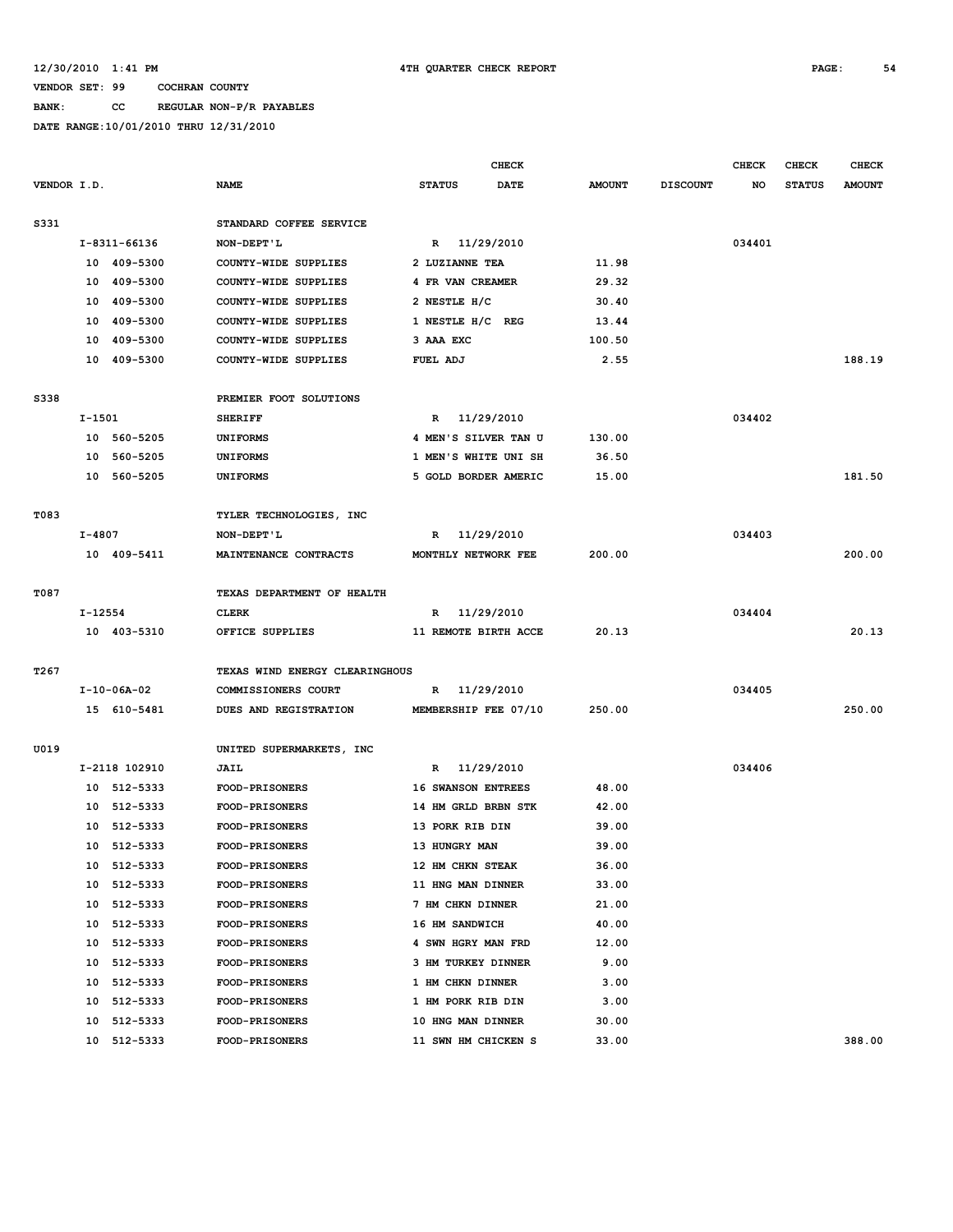### **BANK: CC REGULAR NON-P/R PAYABLES**

|             |         |                     |                                |                              | CHECK                     |               |                 | <b>CHECK</b> | <b>CHECK</b>  | <b>CHECK</b>  |
|-------------|---------|---------------------|--------------------------------|------------------------------|---------------------------|---------------|-----------------|--------------|---------------|---------------|
| VENDOR I.D. |         |                     | <b>NAME</b>                    | <b>STATUS</b><br><b>DATE</b> |                           | <b>AMOUNT</b> | <b>DISCOUNT</b> | NO           | <b>STATUS</b> | <b>AMOUNT</b> |
| S331        |         |                     | STANDARD COFFEE SERVICE        |                              |                           |               |                 |              |               |               |
|             |         | I-8311-66136        | NON-DEPT'L                     |                              | R 11/29/2010              |               |                 | 034401       |               |               |
|             |         | 10 409-5300         | COUNTY-WIDE SUPPLIES           | 2 LUZIANNE TEA               |                           | 11.98         |                 |              |               |               |
|             | 10      | 409-5300            | COUNTY-WIDE SUPPLIES           |                              | 4 FR VAN CREAMER          | 29.32         |                 |              |               |               |
|             | 10      | 409-5300            | COUNTY-WIDE SUPPLIES           | 2 NESTLE H/C                 |                           | 30.40         |                 |              |               |               |
|             | 10      | 409-5300            | COUNTY-WIDE SUPPLIES           |                              | 1 NESTLE H/C REG          | 13.44         |                 |              |               |               |
|             | 10      | 409-5300            | COUNTY-WIDE SUPPLIES           | 3 AAA EXC                    |                           | 100.50        |                 |              |               |               |
|             |         | 10 409-5300         | COUNTY-WIDE SUPPLIES           | FUEL ADJ                     |                           | 2.55          |                 |              |               | 188.19        |
| S338        |         |                     | PREMIER FOOT SOLUTIONS         |                              |                           |               |                 |              |               |               |
|             | I-1501  |                     | <b>SHERIFF</b>                 | R                            | 11/29/2010                |               |                 | 034402       |               |               |
|             |         | 10 560-5205         | <b>UNIFORMS</b>                |                              | 4 MEN'S SILVER TAN U      | 130.00        |                 |              |               |               |
|             | 10      | 560-5205            | <b>UNIFORMS</b>                |                              | 1 MEN'S WHITE UNI SH      | 36.50         |                 |              |               |               |
|             | 10      | 560-5205            | <b>UNIFORMS</b>                |                              | 5 GOLD BORDER AMERIC      | 15.00         |                 |              |               | 181.50        |
|             |         |                     |                                |                              |                           |               |                 |              |               |               |
| T083        |         |                     | TYLER TECHNOLOGIES, INC        |                              |                           |               |                 |              |               |               |
|             | I-4807  |                     | NON-DEPT'L                     | R                            | 11/29/2010                |               |                 | 034403       |               |               |
|             |         | 10 409-5411         | MAINTENANCE CONTRACTS          |                              | MONTHLY NETWORK FEE       | 200.00        |                 |              |               | 200.00        |
| T087        |         |                     | TEXAS DEPARTMENT OF HEALTH     |                              |                           |               |                 |              |               |               |
|             | I-12554 |                     | <b>CLERK</b>                   |                              | R 11/29/2010              |               |                 | 034404       |               |               |
|             |         | 10 403-5310         | OFFICE SUPPLIES                |                              | 11 REMOTE BIRTH ACCE      | 20.13         |                 |              |               | 20.13         |
|             |         |                     |                                |                              |                           |               |                 |              |               |               |
| T267        |         |                     | TEXAS WIND ENERGY CLEARINGHOUS |                              |                           |               |                 |              |               |               |
|             |         | $I - 10 - 06A - 02$ | COMMISSIONERS COURT            |                              | R 11/29/2010              |               |                 | 034405       |               |               |
|             |         | 15 610-5481         | DUES AND REGISTRATION          |                              | MEMBERSHIP FEE 07/10      | 250.00        |                 |              |               | 250.00        |
| U019        |         |                     | UNITED SUPERMARKETS, INC       |                              |                           |               |                 |              |               |               |
|             |         | I-2118 102910       | JAIL                           |                              | R 11/29/2010              |               |                 | 034406       |               |               |
|             |         | 10 512-5333         | <b>FOOD-PRISONERS</b>          |                              | <b>16 SWANSON ENTREES</b> | 48.00         |                 |              |               |               |
|             | 10      | 512-5333            | FOOD-PRISONERS                 |                              | 14 HM GRLD BRBN STK       | 42.00         |                 |              |               |               |
|             | 10      | 512-5333            | <b>FOOD-PRISONERS</b>          |                              | 13 PORK RIB DIN           | 39.00         |                 |              |               |               |
|             |         | 10 512-5333         | FOOD-PRISONERS                 | 13 HUNGRY MAN                |                           | 39.00         |                 |              |               |               |
|             | 10      | 512-5333            | <b>FOOD-PRISONERS</b>          |                              | 12 HM CHKN STEAK          | 36.00         |                 |              |               |               |
|             | 10      | 512-5333            | <b>FOOD-PRISONERS</b>          |                              | 11 HNG MAN DINNER         | 33.00         |                 |              |               |               |
|             | 10      | 512-5333            | <b>FOOD-PRISONERS</b>          |                              | 7 HM CHKN DINNER          | 21.00         |                 |              |               |               |
|             | 10      | 512-5333            | FOOD-PRISONERS                 | 16 HM SANDWICH               |                           | 40.00         |                 |              |               |               |
|             | 10      | 512-5333            | <b>FOOD-PRISONERS</b>          |                              | 4 SWN HGRY MAN FRD        | 12.00         |                 |              |               |               |
|             | 10      | 512-5333            | FOOD-PRISONERS                 |                              | 3 HM TURKEY DINNER        | 9.00          |                 |              |               |               |
|             | 10      | 512-5333            | FOOD-PRISONERS                 |                              | 1 HM CHKN DINNER          | 3.00          |                 |              |               |               |
|             | 10      | 512-5333            | <b>FOOD-PRISONERS</b>          |                              | 1 HM PORK RIB DIN         | 3.00          |                 |              |               |               |
|             | 10      | 512-5333            | <b>FOOD-PRISONERS</b>          |                              | 10 HNG MAN DINNER         | 30.00         |                 |              |               |               |
|             | 10      | 512-5333            | <b>FOOD-PRISONERS</b>          |                              | 11 SWN HM CHICKEN S       | 33.00         |                 |              |               | 388.00        |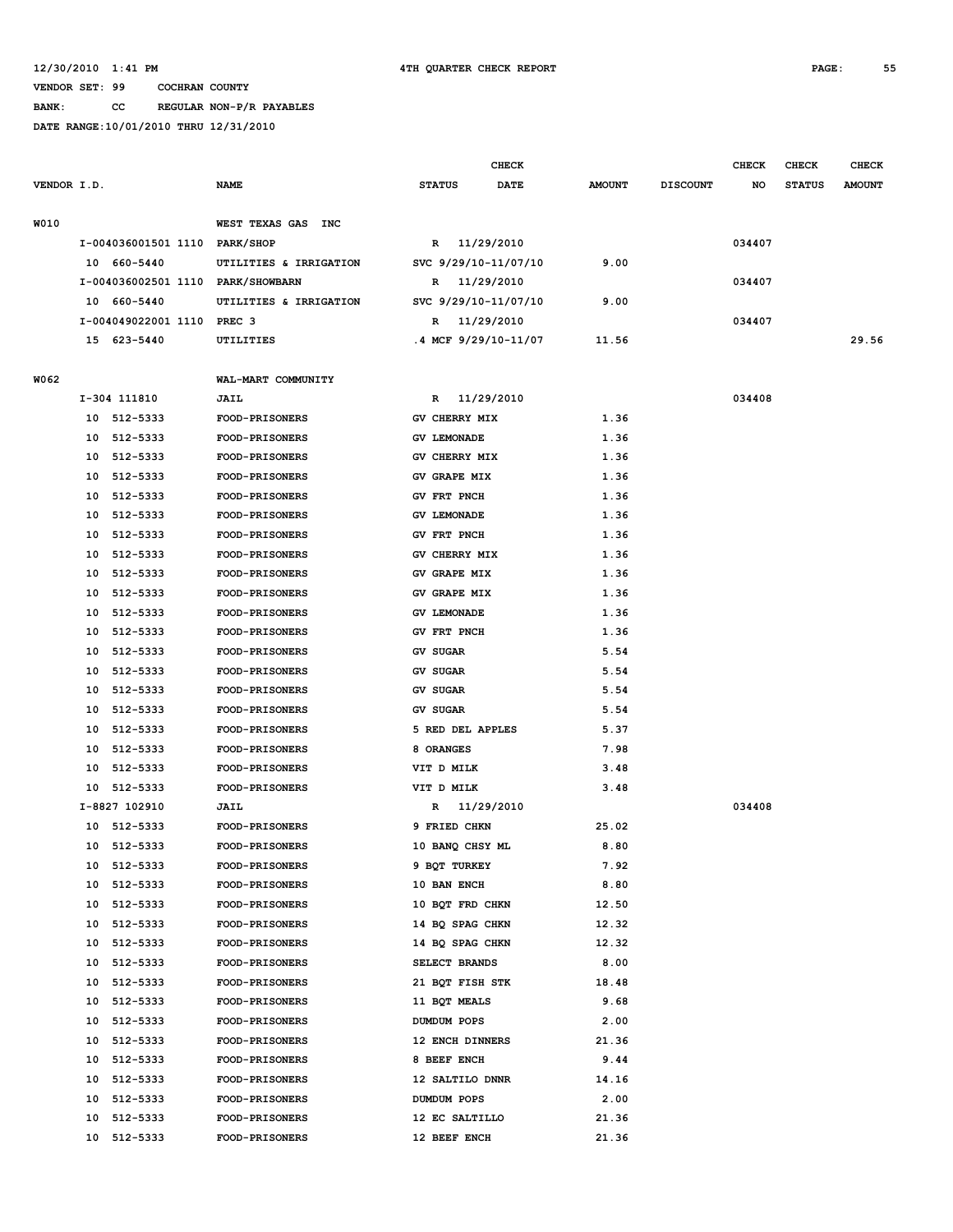#### **VENDOR SET: 99 COCHRAN COUNTY BANK: CC REGULAR NON-P/R PAYABLES**

|             |          |                                   |                                                |                 |                                | CHECK                |               |                 | <b>CHECK</b> | <b>CHECK</b>  | <b>CHECK</b>  |
|-------------|----------|-----------------------------------|------------------------------------------------|-----------------|--------------------------------|----------------------|---------------|-----------------|--------------|---------------|---------------|
| VENDOR I.D. |          |                                   | <b>NAME</b>                                    | <b>STATUS</b>   |                                | DATE                 | <b>AMOUNT</b> | <b>DISCOUNT</b> | NO           | <b>STATUS</b> | <b>AMOUNT</b> |
| W010        |          |                                   | WEST TEXAS GAS<br><b>INC</b>                   |                 |                                |                      |               |                 |              |               |               |
|             |          | I-004036001501 1110 PARK/SHOP     |                                                |                 | R 11/29/2010                   |                      |               |                 | 034407       |               |               |
|             |          | 10 660-5440                       | UTILITIES & IRRIGATION                         |                 |                                | SVC 9/29/10-11/07/10 | 9.00          |                 |              |               |               |
|             |          | I-004036002501 1110 PARK/SHOWBARN |                                                |                 | R 11/29/2010                   |                      |               |                 | 034407       |               |               |
|             |          | 10 660-5440                       | UTILITIES & IRRIGATION                         |                 |                                | SVC 9/29/10-11/07/10 | 9.00          |                 |              |               |               |
|             |          | I-004049022001 1110 PREC 3        |                                                | R               | 11/29/2010                     |                      |               |                 | 034407       |               |               |
|             |          | 15 623-5440                       | UTILITIES                                      |                 |                                | .4 MCF 9/29/10-11/07 | 11.56         |                 |              |               | 29.56         |
| W062        |          |                                   | WAL-MART COMMUNITY                             |                 |                                |                      |               |                 |              |               |               |
|             |          | I-304 111810                      | JAIL                                           | $\mathbb{R}$    | 11/29/2010                     |                      |               |                 | 034408       |               |               |
|             |          | 10 512-5333                       | <b>FOOD-PRISONERS</b>                          |                 | GV CHERRY MIX                  |                      | 1.36          |                 |              |               |               |
|             | 10       | 512-5333                          | <b>FOOD-PRISONERS</b>                          |                 | <b>GV LEMONADE</b>             |                      | 1.36          |                 |              |               |               |
|             | 10       | 512-5333                          | FOOD-PRISONERS                                 |                 | GV CHERRY MIX                  |                      | 1.36          |                 |              |               |               |
|             | 10       | 512-5333                          | <b>FOOD-PRISONERS</b>                          |                 | GV GRAPE MIX                   |                      | 1.36          |                 |              |               |               |
|             | 10       | 512-5333                          | FOOD-PRISONERS                                 |                 | GV FRT PNCH                    |                      | 1.36          |                 |              |               |               |
|             | 10       | 512-5333                          | FOOD-PRISONERS                                 |                 | <b>GV LEMONADE</b>             |                      | 1.36          |                 |              |               |               |
|             | 10       | 512-5333                          | <b>FOOD-PRISONERS</b>                          |                 | GV FRT PNCH                    |                      | 1.36          |                 |              |               |               |
|             | 10       | 512-5333                          | <b>FOOD-PRISONERS</b>                          |                 | <b>GV CHERRY MIX</b>           |                      | 1.36          |                 |              |               |               |
|             | 10       | 512-5333                          | FOOD-PRISONERS                                 |                 | <b>GV GRAPE MIX</b>            |                      | 1.36          |                 |              |               |               |
|             | 10       | 512-5333                          | <b>FOOD-PRISONERS</b>                          |                 | <b>GV GRAPE MIX</b>            |                      | 1.36          |                 |              |               |               |
|             | 10       | 512-5333                          | <b>FOOD-PRISONERS</b>                          |                 | <b>GV LEMONADE</b>             |                      | 1.36          |                 |              |               |               |
|             | 10       | 512-5333                          | FOOD-PRISONERS                                 |                 | GV FRT PNCH                    |                      | 1.36          |                 |              |               |               |
|             | 10       | 512-5333                          | FOOD-PRISONERS                                 | <b>GV SUGAR</b> |                                |                      | 5.54          |                 |              |               |               |
|             | 10       | 512-5333                          | <b>FOOD-PRISONERS</b>                          | <b>GV SUGAR</b> |                                |                      | 5.54          |                 |              |               |               |
|             | 10       | 512-5333                          | FOOD-PRISONERS                                 | <b>GV SUGAR</b> |                                |                      | 5.54          |                 |              |               |               |
|             | 10       | 512-5333                          | <b>FOOD-PRISONERS</b>                          | <b>GV SUGAR</b> |                                |                      | 5.54          |                 |              |               |               |
|             | 10       | 512-5333                          | FOOD-PRISONERS                                 |                 | 5 RED DEL APPLES               |                      | 5.37          |                 |              |               |               |
|             | 10       | 512-5333                          | FOOD-PRISONERS                                 | 8 ORANGES       |                                |                      | 7.98          |                 |              |               |               |
|             | 10       | 512-5333                          | <b>FOOD-PRISONERS</b>                          |                 | VIT D MILK                     |                      | 3.48          |                 |              |               |               |
|             | 10       | 512-5333                          | <b>FOOD-PRISONERS</b>                          |                 | VIT D MILK                     |                      | 3.48          |                 |              |               |               |
|             |          | I-8827 102910                     | JAIL                                           | R               | 11/29/2010                     |                      |               |                 | 034408       |               |               |
|             |          | 10 512-5333                       | <b>FOOD-PRISONERS</b>                          |                 | 9 FRIED CHKN                   |                      | 25.02         |                 |              |               |               |
|             |          | 10 512-5333                       | FOOD-PRISONERS                                 |                 | 10 BANQ CHSY ML                |                      | 8.80          |                 |              |               |               |
|             |          | 10 512-5333                       | <b>FOOD-PRISONERS</b>                          |                 | 9 BQT TURKEY                   |                      | 7.92          |                 |              |               |               |
|             | 10       | 512-5333                          | <b>FOOD-PRISONERS</b>                          |                 | 10 BAN ENCH                    |                      | 8.80          |                 |              |               |               |
|             | 10       | 512-5333                          | <b>FOOD-PRISONERS</b>                          |                 | 10 BQT FRD CHKN                |                      | 12.50         |                 |              |               |               |
|             |          | 10 512-5333                       | <b>FOOD-PRISONERS</b>                          |                 | 14 BQ SPAG CHKN                |                      | 12.32         |                 |              |               |               |
|             | 10       | 512-5333                          | <b>FOOD-PRISONERS</b>                          |                 | 14 BQ SPAG CHKN                |                      | 12.32         |                 |              |               |               |
|             | 10       | 512-5333                          | FOOD-PRISONERS                                 |                 | SELECT BRANDS                  |                      | 8.00          |                 |              |               |               |
|             | 10       | 512-5333                          | FOOD-PRISONERS                                 |                 | 21 BQT FISH STK                |                      | 18.48         |                 |              |               |               |
|             | 10       | 512-5333                          | <b>FOOD-PRISONERS</b>                          |                 | 11 BQT MEALS                   |                      | 9.68          |                 |              |               |               |
|             | 10       | 512-5333                          | <b>FOOD-PRISONERS</b>                          |                 | DUMDUM POPS                    |                      | 2.00          |                 |              |               |               |
|             |          | 10 512-5333                       | FOOD-PRISONERS                                 |                 | 12 ENCH DINNERS                |                      | 21.36         |                 |              |               |               |
|             |          | 10 512-5333                       |                                                |                 | 8 BEEF ENCH                    |                      | 9.44          |                 |              |               |               |
|             |          |                                   | <b>FOOD-PRISONERS</b>                          |                 |                                |                      | 14.16         |                 |              |               |               |
|             |          | 10 512-5333                       | <b>FOOD-PRISONERS</b>                          |                 | 12 SALTILO DNNR                |                      | 2.00          |                 |              |               |               |
|             | 10<br>10 | 512-5333<br>512-5333              | <b>FOOD-PRISONERS</b><br><b>FOOD-PRISONERS</b> |                 | DUMDUM POPS                    |                      | 21.36         |                 |              |               |               |
|             | 10       |                                   | <b>FOOD-PRISONERS</b>                          |                 | 12 EC SALTILLO<br>12 BEEF ENCH |                      | 21.36         |                 |              |               |               |
|             |          | 512-5333                          |                                                |                 |                                |                      |               |                 |              |               |               |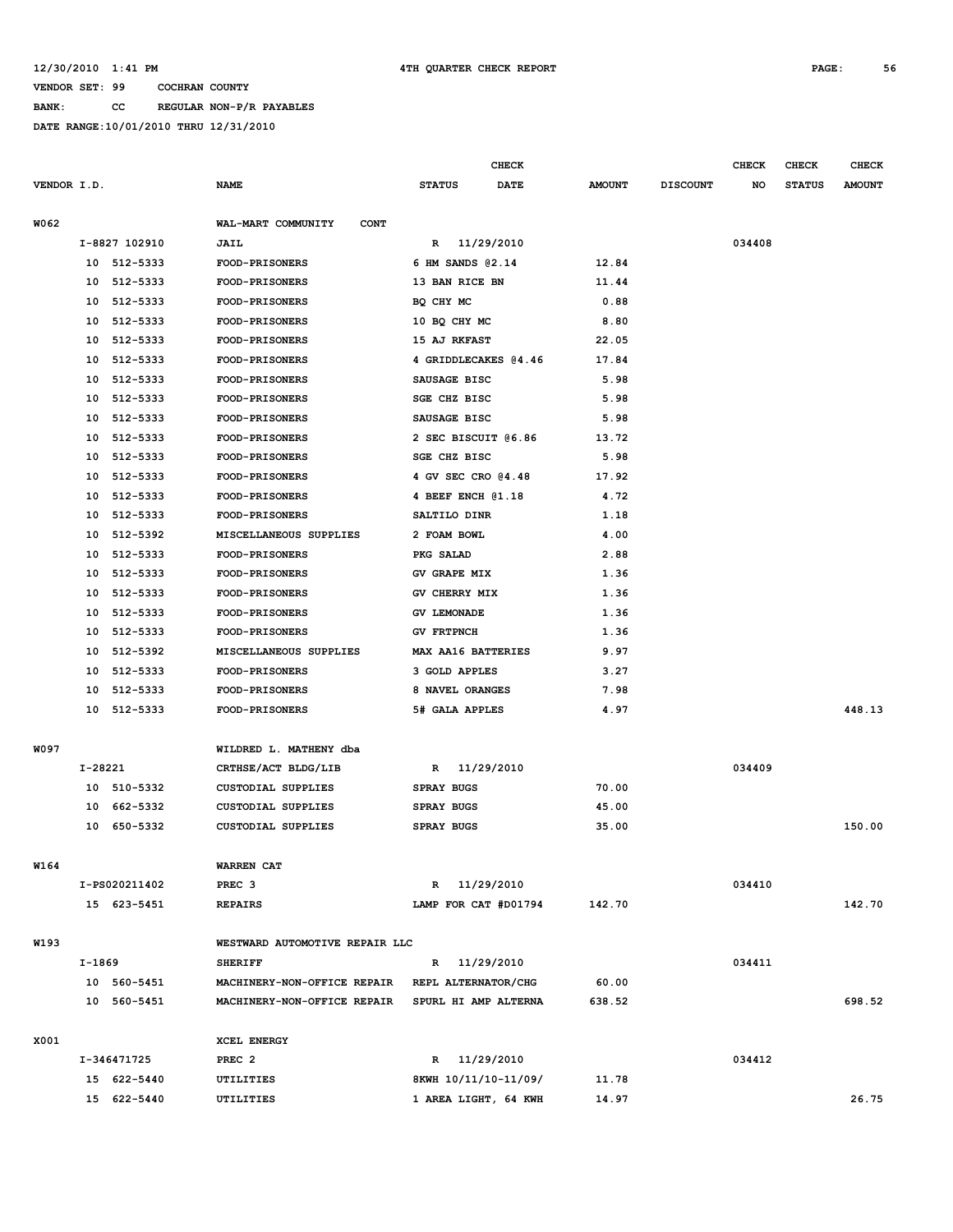**BANK: CC REGULAR NON-P/R PAYABLES**

|             |         |               |                                   |                                     | <b>CHECK</b> |               |                 | <b>CHECK</b> | CHECK         | <b>CHECK</b>  |
|-------------|---------|---------------|-----------------------------------|-------------------------------------|--------------|---------------|-----------------|--------------|---------------|---------------|
| VENDOR I.D. |         |               | <b>NAME</b>                       | <b>STATUS</b>                       | <b>DATE</b>  | <b>AMOUNT</b> | <b>DISCOUNT</b> | NO           | <b>STATUS</b> | <b>AMOUNT</b> |
| W062        |         |               | WAL-MART COMMUNITY<br><b>CONT</b> |                                     |              |               |                 |              |               |               |
|             |         | I-8827 102910 | JAIL                              | R                                   | 11/29/2010   |               |                 | 034408       |               |               |
|             |         | 10 512-5333   | <b>FOOD-PRISONERS</b>             | 6 HM SANDS 02.14                    |              | 12.84         |                 |              |               |               |
|             | 10      | 512-5333      | <b>FOOD-PRISONERS</b>             | 13 BAN RICE BN                      |              | 11.44         |                 |              |               |               |
|             | 10      | 512-5333      | FOOD-PRISONERS                    | BQ CHY MC                           |              | 0.88          |                 |              |               |               |
|             | 10      | 512-5333      | <b>FOOD-PRISONERS</b>             | 10 BQ CHY MC                        |              | 8.80          |                 |              |               |               |
|             | 10      | 512-5333      | <b>FOOD-PRISONERS</b>             | 15 AJ RKFAST                        |              | 22.05         |                 |              |               |               |
|             | 10      | 512-5333      | <b>FOOD-PRISONERS</b>             | 4 GRIDDLECAKES @4.46                |              | 17.84         |                 |              |               |               |
|             | 10      | 512-5333      | <b>FOOD-PRISONERS</b>             | SAUSAGE BISC                        |              | 5.98          |                 |              |               |               |
|             | 10      | 512-5333      | FOOD-PRISONERS                    | <b>SGE CHZ BISC</b>                 |              | 5.98          |                 |              |               |               |
|             | 10      | 512-5333      | <b>FOOD-PRISONERS</b>             | SAUSAGE BISC                        |              | 5.98          |                 |              |               |               |
|             | 10      | 512-5333      | <b>FOOD-PRISONERS</b>             | 2 SEC BISCUIT @6.86                 |              | 13.72         |                 |              |               |               |
|             | 10      | 512-5333      | FOOD-PRISONERS                    | <b>SGE CHZ BISC</b>                 |              | 5.98          |                 |              |               |               |
|             | 10      | 512-5333      | <b>FOOD-PRISONERS</b>             | 4 GV SEC CRO 04.48                  |              | 17.92         |                 |              |               |               |
|             | 10      | 512-5333      | <b>FOOD-PRISONERS</b>             | 4 BEEF ENCH @1.18                   |              | 4.72          |                 |              |               |               |
|             | 10      | 512-5333      | FOOD-PRISONERS                    | SALTILO DINR                        |              | 1.18          |                 |              |               |               |
|             | 10      | 512-5392      | MISCELLANEOUS SUPPLIES            | 2 FOAM BOWL                         |              | 4.00          |                 |              |               |               |
|             | 10      | 512-5333      | FOOD-PRISONERS                    | PKG SALAD                           |              | 2.88          |                 |              |               |               |
|             | 10      | 512-5333      | FOOD-PRISONERS                    | GV GRAPE MIX                        |              | 1.36          |                 |              |               |               |
|             | 10      | 512-5333      | <b>FOOD-PRISONERS</b>             | GV CHERRY MIX                       |              | 1.36          |                 |              |               |               |
|             | 10      | 512-5333      | <b>FOOD-PRISONERS</b>             | <b>GV LEMONADE</b>                  |              | 1.36          |                 |              |               |               |
|             | 10      | 512-5333      | FOOD-PRISONERS                    | <b>GV FRTPNCH</b>                   |              | 1.36          |                 |              |               |               |
|             | 10      | 512-5392      | MISCELLANEOUS SUPPLIES            | MAX AA16 BATTERIES                  |              | 9.97          |                 |              |               |               |
|             | 10      | 512-5333      | <b>FOOD-PRISONERS</b>             | 3 GOLD APPLES                       |              | 3.27          |                 |              |               |               |
|             | 10      | 512-5333      | FOOD-PRISONERS                    | 8 NAVEL ORANGES                     |              | 7.98          |                 |              |               |               |
|             |         | 10 512-5333   | <b>FOOD-PRISONERS</b>             | 5# GALA APPLES                      |              | 4.97          |                 |              |               | 448.13        |
| W097        |         |               | WILDRED L. MATHENY dba            |                                     |              |               |                 |              |               |               |
|             | I-28221 |               | CRTHSE/ACT BLDG/LIB               | R                                   | 11/29/2010   |               |                 | 034409       |               |               |
|             |         | 10 510-5332   | <b>CUSTODIAL SUPPLIES</b>         | <b>SPRAY BUGS</b>                   |              | 70.00         |                 |              |               |               |
|             | 10      | 662-5332      | CUSTODIAL SUPPLIES                | <b>SPRAY BUGS</b>                   |              | 45.00         |                 |              |               |               |
|             |         | 10 650-5332   | CUSTODIAL SUPPLIES                | <b>SPRAY BUGS</b>                   |              | 35.00         |                 |              |               | 150.00        |
| W164        |         |               | WARREN CAT                        |                                     |              |               |                 |              |               |               |
|             |         | I-PS020211402 | PREC <sub>3</sub>                 | R 11/29/2010                        |              |               |                 | 034410       |               |               |
|             |         | 15 623-5451   | <b>REPAIRS</b>                    | LAMP FOR CAT #D01794                |              | 142.70        |                 |              |               | 142.70        |
| W193        |         |               | WESTWARD AUTOMOTIVE REPAIR LLC    |                                     |              |               |                 |              |               |               |
|             | I-1869  |               | <b>SHERIFF</b>                    |                                     |              |               |                 | 034411       |               |               |
|             |         | 10 560-5451   | MACHINERY-NON-OFFICE REPAIR       | R 11/29/2010<br>REPL ALTERNATOR/CHG |              | 60.00         |                 |              |               |               |
|             |         | 10 560-5451   | MACHINERY-NON-OFFICE REPAIR       | SPURL HI AMP ALTERNA                |              | 638.52        |                 |              |               | 698.52        |
|             |         |               |                                   |                                     |              |               |                 |              |               |               |
| X001        |         |               | XCEL ENERGY                       |                                     |              |               |                 |              |               |               |
|             |         | I-346471725   | PREC <sub>2</sub>                 | R 11/29/2010                        |              |               |                 | 034412       |               |               |
|             |         | 15 622-5440   | UTILITIES                         | 8KWH 10/11/10-11/09/                |              | 11.78         |                 |              |               |               |
|             |         | 15 622-5440   | UTILITIES                         | 1 AREA LIGHT, 64 KWH                |              | 14.97         |                 |              |               | 26.75         |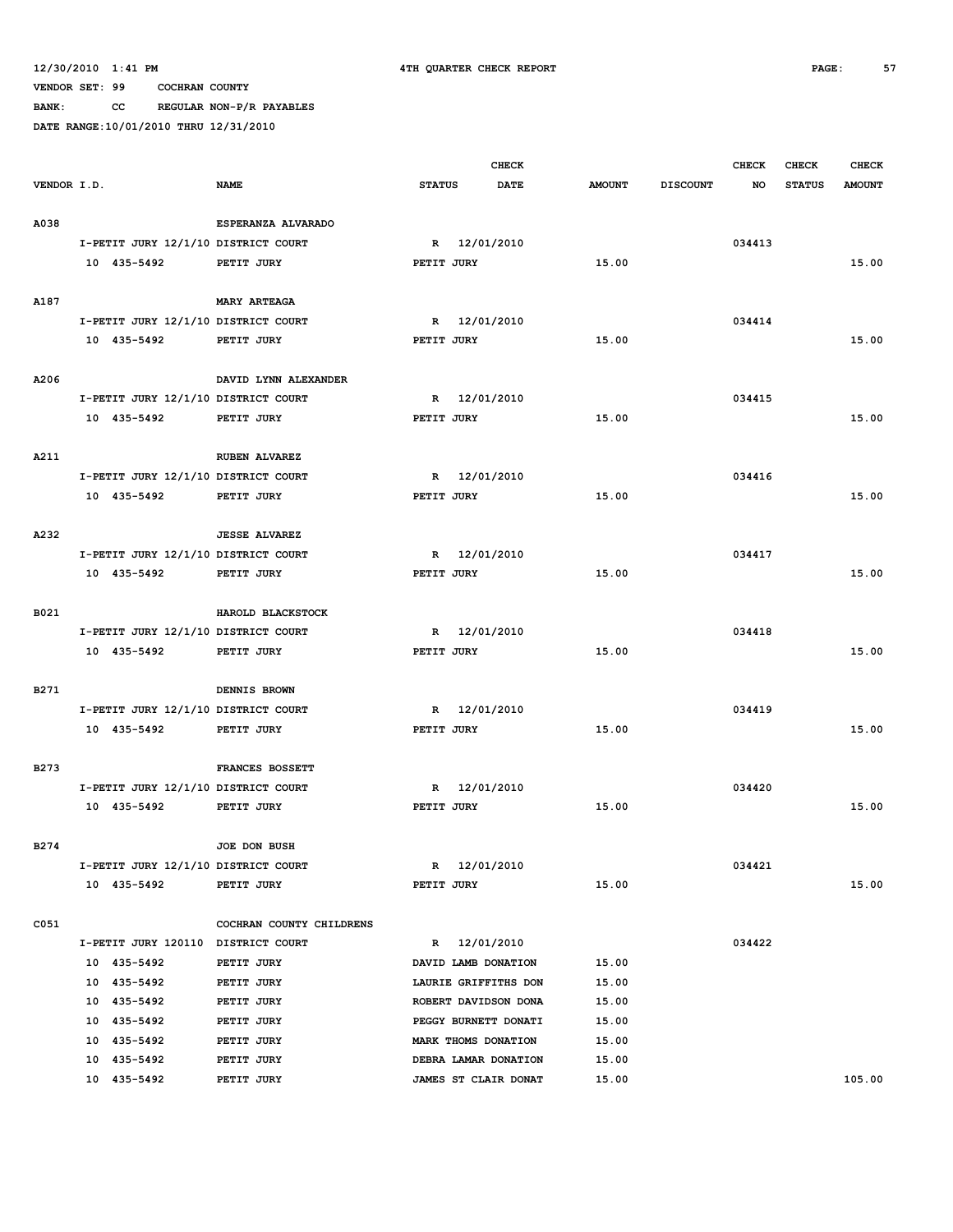**BANK: CC REGULAR NON-P/R PAYABLES**

|             |                                     |                          |               | <b>CHECK</b>         |               |                 | <b>CHECK</b> | <b>CHECK</b>  | <b>CHECK</b>  |
|-------------|-------------------------------------|--------------------------|---------------|----------------------|---------------|-----------------|--------------|---------------|---------------|
| VENDOR I.D. |                                     | <b>NAME</b>              | <b>STATUS</b> | <b>DATE</b>          | <b>AMOUNT</b> | <b>DISCOUNT</b> | <b>NO</b>    | <b>STATUS</b> | <b>AMOUNT</b> |
|             |                                     |                          |               |                      |               |                 |              |               |               |
| A038        |                                     | ESPERANZA ALVARADO       |               |                      |               |                 |              |               |               |
|             | I-PETIT JURY 12/1/10 DISTRICT COURT |                          |               | R 12/01/2010         |               |                 | 034413       |               |               |
|             | 10 435-5492                         | PETIT JURY               | PETIT JURY    |                      | 15.00         |                 |              |               | 15.00         |
|             |                                     |                          |               |                      |               |                 |              |               |               |
| A187        |                                     | <b>MARY ARTEAGA</b>      |               |                      |               |                 |              |               |               |
|             | I-PETIT JURY 12/1/10 DISTRICT COURT |                          |               | R 12/01/2010         |               |                 | 034414       |               |               |
|             | 10 435-5492                         | PETIT JURY               | PETIT JURY    |                      | 15.00         |                 |              |               | 15.00         |
|             |                                     |                          |               |                      |               |                 |              |               |               |
| A206        |                                     | DAVID LYNN ALEXANDER     |               |                      |               |                 |              |               |               |
|             | I-PETIT JURY 12/1/10 DISTRICT COURT |                          | $\mathbb{R}$  | 12/01/2010           |               |                 | 034415       |               |               |
|             | 10 435-5492                         | PETIT JURY               | PETIT JURY    |                      | 15.00         |                 |              |               | 15.00         |
|             |                                     |                          |               |                      |               |                 |              |               |               |
| A211        |                                     | <b>RUBEN ALVAREZ</b>     |               |                      |               |                 |              |               |               |
|             | I-PETIT JURY 12/1/10 DISTRICT COURT |                          |               | R 12/01/2010         |               |                 | 034416       |               |               |
|             | 10 435-5492                         | PETIT JURY               | PETIT JURY    |                      | 15.00         |                 |              |               | 15.00         |
|             |                                     |                          |               |                      |               |                 |              |               |               |
| A232        |                                     | <b>JESSE ALVAREZ</b>     |               |                      |               |                 | 034417       |               |               |
|             | I-PETIT JURY 12/1/10 DISTRICT COURT |                          | $\mathbb{R}$  | 12/01/2010           |               |                 |              |               |               |
|             | 10 435-5492                         | PETIT JURY               | PETIT JURY    |                      | 15.00         |                 |              |               | 15.00         |
| B021        |                                     | HAROLD BLACKSTOCK        |               |                      |               |                 |              |               |               |
|             | I-PETIT JURY 12/1/10 DISTRICT COURT |                          | R             | 12/01/2010           |               |                 | 034418       |               |               |
|             | 10 435-5492                         | PETIT JURY               | PETIT JURY    |                      | 15.00         |                 |              |               | 15.00         |
|             |                                     |                          |               |                      |               |                 |              |               |               |
| B271        |                                     | DENNIS BROWN             |               |                      |               |                 |              |               |               |
|             | I-PETIT JURY 12/1/10 DISTRICT COURT |                          |               | R 12/01/2010         |               |                 | 034419       |               |               |
|             | 10 435-5492                         | PETIT JURY               | PETIT JURY    |                      | 15.00         |                 |              |               | 15.00         |
|             |                                     |                          |               |                      |               |                 |              |               |               |
| B273        |                                     | FRANCES BOSSETT          |               |                      |               |                 |              |               |               |
|             | I-PETIT JURY 12/1/10 DISTRICT COURT |                          | R             | 12/01/2010           |               |                 | 034420       |               |               |
|             | 10 435-5492                         | PETIT JURY               | PETIT JURY    |                      | 15.00         |                 |              |               | 15.00         |
|             |                                     |                          |               |                      |               |                 |              |               |               |
| B274        |                                     | JOE DON BUSH             |               |                      |               |                 |              |               |               |
|             | I-PETIT JURY 12/1/10 DISTRICT COURT |                          |               | R 12/01/2010         |               |                 | 034421       |               |               |
|             | 10 435-5492                         | PETIT JURY               | PETIT JURY    |                      | 15.00         |                 |              |               | 15.00         |
|             |                                     |                          |               |                      |               |                 |              |               |               |
| C051        |                                     | COCHRAN COUNTY CHILDRENS |               |                      |               |                 |              |               |               |
|             | I-PETIT JURY 120110 DISTRICT COURT  |                          |               | R 12/01/2010         |               |                 | 034422       |               |               |
|             | 10 435-5492                         | PETIT JURY               |               | DAVID LAMB DONATION  | 15.00         |                 |              |               |               |
|             | 10 435-5492                         | PETIT JURY               |               | LAURIE GRIFFITHS DON | 15.00         |                 |              |               |               |
|             | 10 435-5492                         | PETIT JURY               |               | ROBERT DAVIDSON DONA | 15.00         |                 |              |               |               |
|             | 10 435-5492                         | PETIT JURY               |               | PEGGY BURNETT DONATI | 15.00         |                 |              |               |               |
|             | 10 435-5492                         | PETIT JURY               |               | MARK THOMS DONATION  | 15.00         |                 |              |               |               |
|             | 10 435-5492                         | PETIT JURY               |               | DEBRA LAMAR DONATION | 15.00         |                 |              |               |               |
|             | 10 435-5492                         | PETIT JURY               |               | JAMES ST CLAIR DONAT | 15.00         |                 |              |               | 105.00        |
|             |                                     |                          |               |                      |               |                 |              |               |               |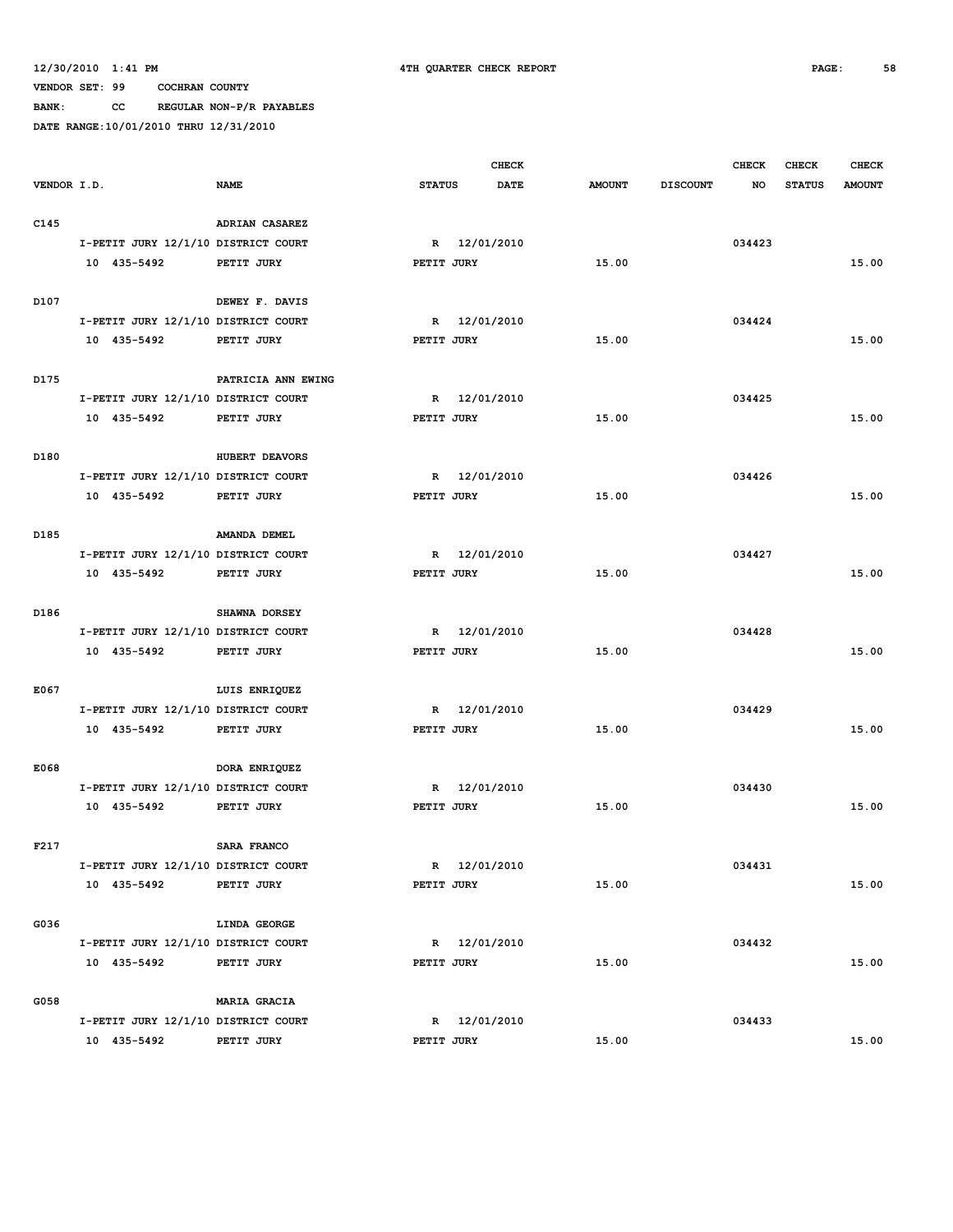**VENDOR SET: 99 COCHRAN COUNTY BANK: CC REGULAR NON-P/R PAYABLES**

|             |             |             |                                     |               | <b>CHECK</b> |               |                 | <b>CHECK</b> | <b>CHECK</b>  | <b>CHECK</b>  |
|-------------|-------------|-------------|-------------------------------------|---------------|--------------|---------------|-----------------|--------------|---------------|---------------|
| VENDOR I.D. |             |             | <b>NAME</b>                         | <b>STATUS</b> | <b>DATE</b>  | <b>AMOUNT</b> | <b>DISCOUNT</b> | NO           | <b>STATUS</b> | <b>AMOUNT</b> |
|             |             |             |                                     |               |              |               |                 |              |               |               |
| C145        |             |             | ADRIAN CASAREZ                      |               |              |               |                 |              |               |               |
|             |             |             | I-PETIT JURY 12/1/10 DISTRICT COURT |               | R 12/01/2010 |               |                 | 034423       |               |               |
|             | 10 435-5492 |             | PETIT JURY                          | PETIT JURY    |              | 15.00         |                 |              |               | 15.00         |
|             |             |             |                                     |               |              |               |                 |              |               |               |
| D107        |             |             | DEWEY F. DAVIS                      |               |              |               |                 |              |               |               |
|             |             |             | I-PETIT JURY 12/1/10 DISTRICT COURT |               | R 12/01/2010 |               |                 | 034424       |               |               |
|             | 10 435-5492 |             | PETIT JURY                          | PETIT JURY    |              | 15.00         |                 |              |               | 15.00         |
|             |             |             |                                     |               |              |               |                 |              |               |               |
| D175        |             |             | PATRICIA ANN EWING                  |               |              |               |                 |              |               |               |
|             |             |             | I-PETIT JURY 12/1/10 DISTRICT COURT | R             | 12/01/2010   |               |                 | 034425       |               |               |
|             | 10 435-5492 |             | PETIT JURY                          | PETIT JURY    |              | 15.00         |                 |              |               | 15.00         |
|             |             |             |                                     |               |              |               |                 |              |               |               |
| D180        |             |             | HUBERT DEAVORS                      |               |              |               |                 |              |               |               |
|             |             |             | I-PETIT JURY 12/1/10 DISTRICT COURT | R             | 12/01/2010   |               |                 | 034426       |               |               |
|             | 10 435-5492 |             | PETIT JURY                          | PETIT JURY    |              | 15.00         |                 |              |               | 15.00         |
|             |             |             |                                     |               |              |               |                 |              |               |               |
| D185        |             |             | AMANDA DEMEL                        |               |              |               |                 |              |               |               |
|             |             |             | I-PETIT JURY 12/1/10 DISTRICT COURT | $\mathbb{R}$  | 12/01/2010   |               |                 | 034427       |               |               |
|             | 10 435-5492 |             | PETIT JURY                          | PETIT JURY    |              | 15.00         |                 |              |               | 15.00         |
|             |             |             |                                     |               |              |               |                 |              |               |               |
| D186        |             |             | SHAWNA DORSEY                       |               |              |               |                 |              |               |               |
|             |             |             | I-PETIT JURY 12/1/10 DISTRICT COURT | $\mathbb{R}$  | 12/01/2010   |               |                 | 034428       |               |               |
|             | 10 435-5492 |             | PETIT JURY                          | PETIT JURY    |              | 15.00         |                 |              |               | 15.00         |
|             |             |             |                                     |               |              |               |                 |              |               |               |
| E067        |             |             | LUIS ENRIQUEZ                       |               |              |               |                 |              |               |               |
|             |             |             | I-PETIT JURY 12/1/10 DISTRICT COURT | R             | 12/01/2010   |               |                 | 034429       |               |               |
|             | 10 435-5492 |             | PETIT JURY                          | PETIT JURY    |              | 15.00         |                 |              |               | 15.00         |
|             |             |             |                                     |               |              |               |                 |              |               |               |
| E068        |             |             | DORA ENRIQUEZ                       |               |              |               |                 |              |               |               |
|             |             |             | I-PETIT JURY 12/1/10 DISTRICT COURT | R             | 12/01/2010   |               |                 | 034430       |               |               |
|             | 10 435-5492 |             | PETIT JURY                          | PETIT JURY    |              | 15.00         |                 |              |               | 15.00         |
|             |             |             |                                     |               |              |               |                 |              |               |               |
| F217        |             |             | SARA FRANCO                         |               |              |               |                 |              |               |               |
|             |             |             | I-PETIT JURY 12/1/10 DISTRICT COURT |               | R 12/01/2010 |               |                 | 034431       |               |               |
|             |             | 10 435-5492 | PETIT JURY                          | PETIT JURY    |              | 15.00         |                 |              |               | 15.00         |
|             |             |             |                                     |               |              |               |                 |              |               |               |
| G036        |             |             | LINDA GEORGE                        |               |              |               |                 |              |               |               |
|             |             |             | I-PETIT JURY 12/1/10 DISTRICT COURT |               | R 12/01/2010 |               |                 | 034432       |               |               |
|             |             | 10 435-5492 | PETIT JURY                          | PETIT JURY    |              | 15.00         |                 |              |               | 15.00         |
|             |             |             |                                     |               |              |               |                 |              |               |               |
| G058        |             |             | <b>MARIA GRACIA</b>                 |               |              |               |                 |              |               |               |
|             |             |             | I-PETIT JURY 12/1/10 DISTRICT COURT |               | R 12/01/2010 |               |                 | 034433       |               |               |
|             | 10 435-5492 |             | PETIT JURY                          | PETIT JURY    |              | 15.00         |                 |              |               | 15.00         |
|             |             |             |                                     |               |              |               |                 |              |               |               |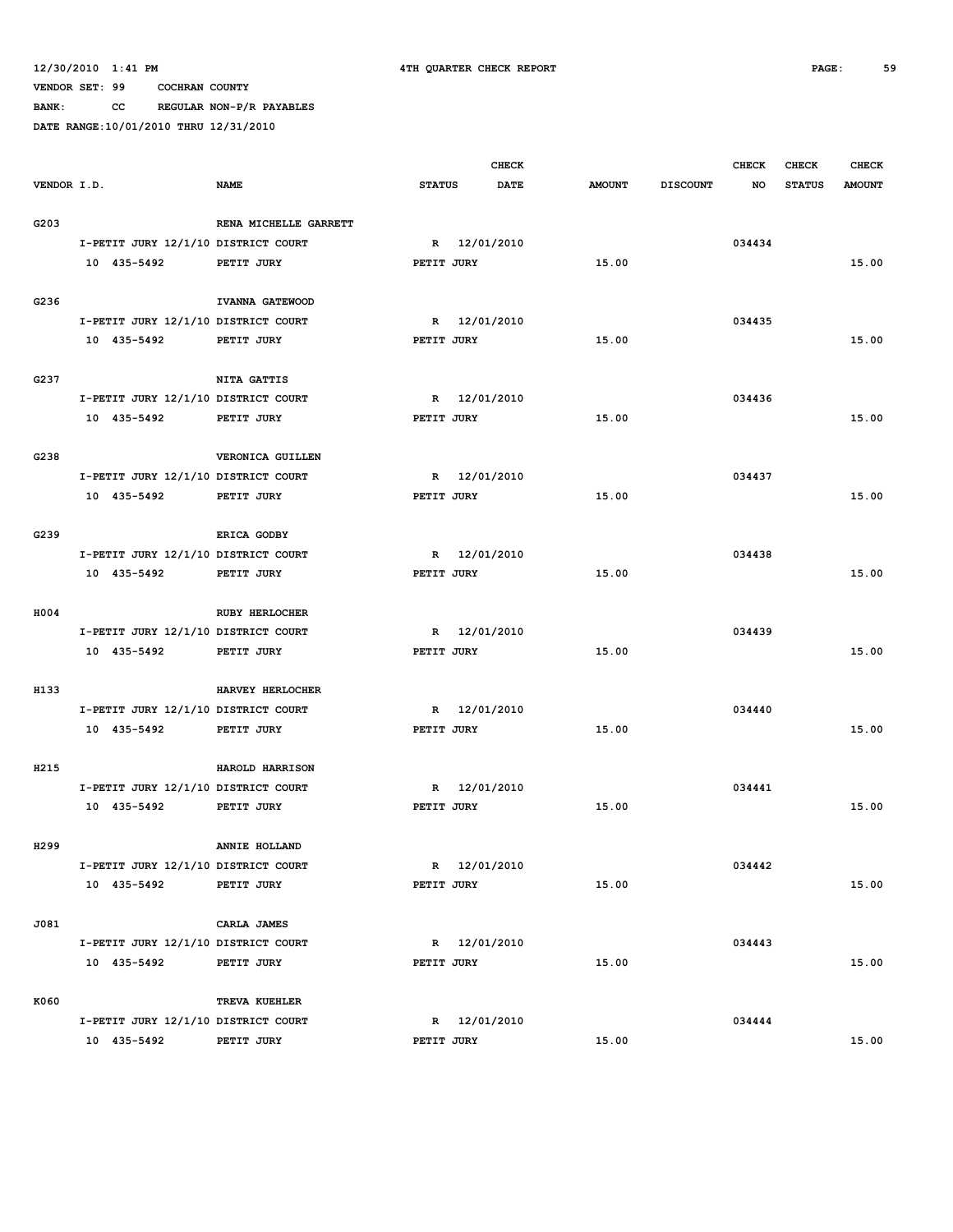**BANK: CC REGULAR NON-P/R PAYABLES**

|                  |             |             |                                     |               | <b>CHECK</b> |               |                 | <b>CHECK</b> | <b>CHECK</b>  | <b>CHECK</b>  |
|------------------|-------------|-------------|-------------------------------------|---------------|--------------|---------------|-----------------|--------------|---------------|---------------|
| VENDOR I.D.      |             |             | <b>NAME</b>                         | <b>STATUS</b> | DATE         | <b>AMOUNT</b> | <b>DISCOUNT</b> | NO           | <b>STATUS</b> | <b>AMOUNT</b> |
|                  |             |             |                                     |               |              |               |                 |              |               |               |
| G203             |             |             | RENA MICHELLE GARRETT               |               |              |               |                 |              |               |               |
|                  |             |             | I-PETIT JURY 12/1/10 DISTRICT COURT |               | R 12/01/2010 |               |                 | 034434       |               |               |
|                  | 10 435-5492 |             | PETIT JURY                          | PETIT JURY    |              | 15.00         |                 |              |               | 15.00         |
|                  |             |             |                                     |               |              |               |                 |              |               |               |
| G236             |             |             | IVANNA GATEWOOD                     |               |              |               |                 |              |               |               |
|                  |             |             | I-PETIT JURY 12/1/10 DISTRICT COURT |               | R 12/01/2010 |               |                 | 034435       |               |               |
|                  | 10 435-5492 |             | PETIT JURY                          | PETIT JURY    |              | 15.00         |                 |              |               | 15.00         |
|                  |             |             | <b>NITA GATTIS</b>                  |               |              |               |                 |              |               |               |
| G237             |             |             | I-PETIT JURY 12/1/10 DISTRICT COURT |               | R 12/01/2010 |               |                 | 034436       |               |               |
|                  | 10 435-5492 |             | PETIT JURY                          | PETIT JURY    |              | 15.00         |                 |              |               | 15.00         |
|                  |             |             |                                     |               |              |               |                 |              |               |               |
| G238             |             |             | VERONICA GUILLEN                    |               |              |               |                 |              |               |               |
|                  |             |             | I-PETIT JURY 12/1/10 DISTRICT COURT | $\mathbb{R}$  | 12/01/2010   |               |                 | 034437       |               |               |
|                  | 10 435-5492 |             | PETIT JURY                          | PETIT JURY    |              | 15.00         |                 |              |               | 15.00         |
|                  |             |             |                                     |               |              |               |                 |              |               |               |
| G239             |             |             | ERICA GODBY                         |               |              |               |                 |              |               |               |
|                  |             |             | I-PETIT JURY 12/1/10 DISTRICT COURT | $\mathbb{R}$  | 12/01/2010   |               |                 | 034438       |               |               |
|                  | 10 435-5492 |             | PETIT JURY                          | PETIT JURY    |              | 15.00         |                 |              |               | 15.00         |
|                  |             |             |                                     |               |              |               |                 |              |               |               |
| H004             |             |             | <b>RUBY HERLOCHER</b>               |               |              |               |                 |              |               |               |
|                  |             |             | I-PETIT JURY 12/1/10 DISTRICT COURT |               | R 12/01/2010 |               |                 | 034439       |               |               |
|                  | 10 435-5492 |             | PETIT JURY                          | PETIT JURY    |              | 15.00         |                 |              |               | 15.00         |
|                  |             |             |                                     |               |              |               |                 |              |               |               |
| H133             |             |             | HARVEY HERLOCHER                    |               |              |               |                 |              |               |               |
|                  |             |             | I-PETIT JURY 12/1/10 DISTRICT COURT | R             | 12/01/2010   |               |                 | 034440       |               |               |
|                  | 10 435-5492 |             | PETIT JURY                          | PETIT JURY    |              | 15.00         |                 |              |               | 15.00         |
|                  |             |             |                                     |               |              |               |                 |              |               |               |
| H215             |             |             | HAROLD HARRISON                     |               |              |               |                 |              |               |               |
|                  |             |             | I-PETIT JURY 12/1/10 DISTRICT COURT | R             | 12/01/2010   |               |                 | 034441       |               |               |
|                  | 10 435-5492 |             | PETIT JURY                          | PETIT JURY    |              | 15.00         |                 |              |               | 15.00         |
|                  |             |             |                                     |               |              |               |                 |              |               |               |
| H <sub>299</sub> |             |             | ANNIE HOLLAND                       |               |              |               |                 |              |               |               |
|                  |             | 10 435-5492 | I-PETIT JURY 12/1/10 DISTRICT COURT |               | R 12/01/2010 |               |                 | 034442       |               | 15.00         |
|                  |             |             | PETIT JURY                          | PETIT JURY    |              | 15.00         |                 |              |               |               |
| J081             |             |             | CARLA JAMES                         |               |              |               |                 |              |               |               |
|                  |             |             | I-PETIT JURY 12/1/10 DISTRICT COURT |               | R 12/01/2010 |               |                 | 034443       |               |               |
|                  |             | 10 435-5492 | PETIT JURY                          | PETIT JURY    |              | 15.00         |                 |              |               | 15.00         |
|                  |             |             |                                     |               |              |               |                 |              |               |               |
| K060             |             |             | TREVA KUEHLER                       |               |              |               |                 |              |               |               |
|                  |             |             | I-PETIT JURY 12/1/10 DISTRICT COURT |               | R 12/01/2010 |               |                 | 034444       |               |               |
|                  | 10 435-5492 |             | PETIT JURY                          | PETIT JURY    |              | 15.00         |                 |              |               | 15.00         |
|                  |             |             |                                     |               |              |               |                 |              |               |               |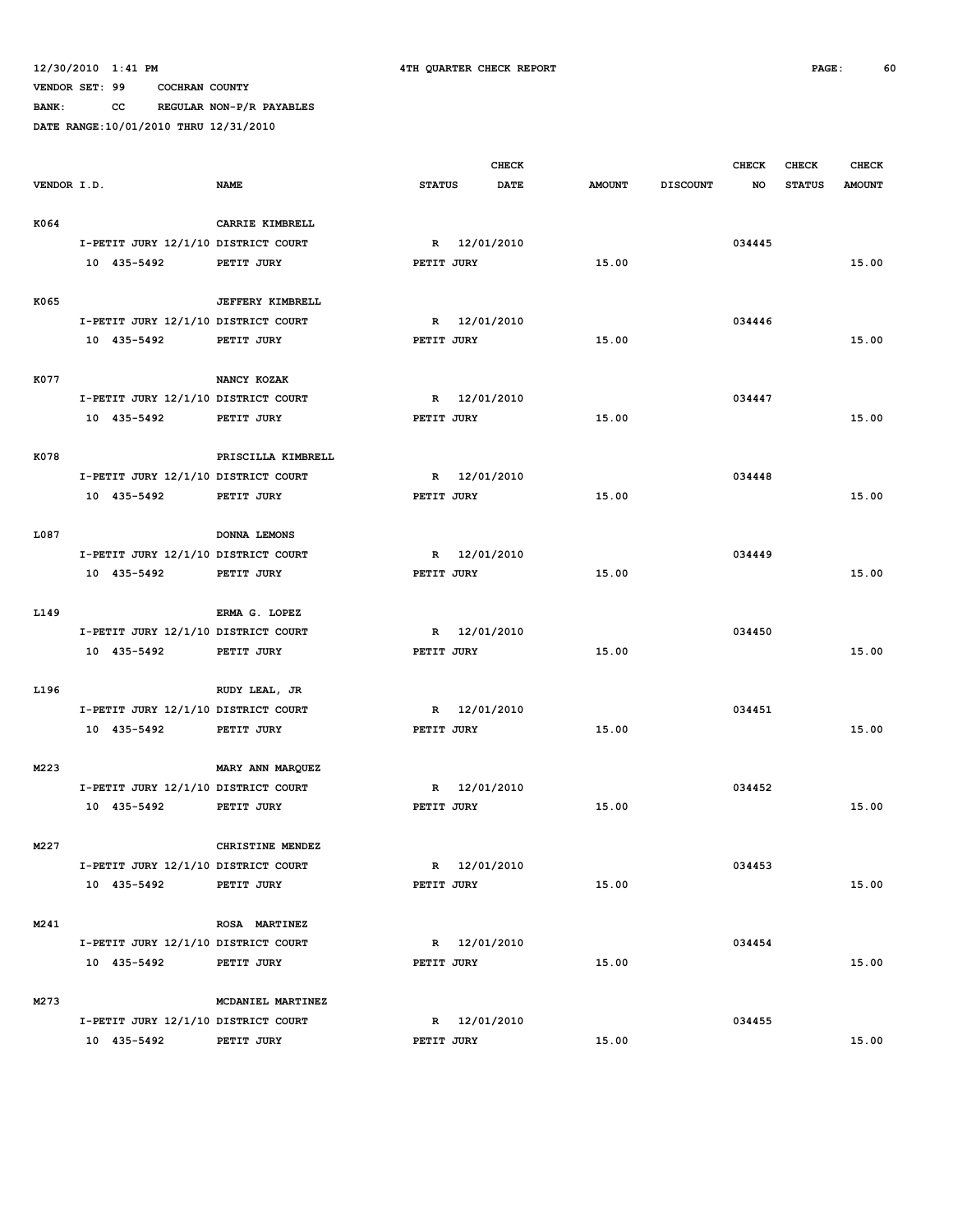**VENDOR SET: 99 COCHRAN COUNTY BANK: CC REGULAR NON-P/R PAYABLES**

|             |                                     |                         |               |            | <b>CHECK</b> |               |                 | <b>CHECK</b> | <b>CHECK</b>  | <b>CHECK</b>  |
|-------------|-------------------------------------|-------------------------|---------------|------------|--------------|---------------|-----------------|--------------|---------------|---------------|
| VENDOR I.D. |                                     | <b>NAME</b>             | <b>STATUS</b> |            | <b>DATE</b>  | <b>AMOUNT</b> | <b>DISCOUNT</b> | NO           | <b>STATUS</b> | <b>AMOUNT</b> |
|             |                                     |                         |               |            |              |               |                 |              |               |               |
| K064        |                                     | CARRIE KIMBRELL         |               |            |              |               |                 |              |               |               |
|             | I-PETIT JURY 12/1/10 DISTRICT COURT |                         | $\mathbb{R}$  |            | 12/01/2010   |               |                 | 034445       |               |               |
|             | 10 435-5492                         | PETIT JURY              | PETIT JURY    |            |              | 15.00         |                 |              |               | 15.00         |
|             |                                     |                         |               |            |              |               |                 |              |               |               |
| K065        |                                     | <b>JEFFERY KIMBRELL</b> |               |            |              |               |                 |              |               |               |
|             | I-PETIT JURY 12/1/10 DISTRICT COURT |                         |               |            | R 12/01/2010 |               |                 | 034446       |               |               |
|             | 10 435-5492                         | PETIT JURY              | PETIT JURY    |            |              | 15.00         |                 |              |               | 15.00         |
|             |                                     |                         |               |            |              |               |                 |              |               |               |
| K077        |                                     | NANCY KOZAK             |               |            |              |               |                 |              |               |               |
|             | I-PETIT JURY 12/1/10 DISTRICT COURT |                         | $\mathbb{R}$  |            | 12/01/2010   |               |                 | 034447       |               |               |
|             | 10 435-5492                         | PETIT JURY              | PETIT JURY    |            |              | 15.00         |                 |              |               | 15.00         |
|             |                                     |                         |               |            |              |               |                 |              |               |               |
| K078        |                                     | PRISCILLA KIMBRELL      |               |            |              |               |                 |              |               |               |
|             | I-PETIT JURY 12/1/10 DISTRICT COURT |                         | $\mathbb{R}$  |            | 12/01/2010   |               |                 | 034448       |               |               |
|             | 10 435-5492                         | PETIT JURY              | PETIT JURY    |            |              | 15.00         |                 |              |               | 15.00         |
|             |                                     |                         |               |            |              |               |                 |              |               |               |
| L087        |                                     | DONNA LEMONS            |               |            |              |               |                 |              |               |               |
|             | I-PETIT JURY 12/1/10 DISTRICT COURT |                         |               |            | R 12/01/2010 |               |                 | 034449       |               |               |
|             | 10 435-5492                         | PETIT JURY              | PETIT JURY    |            |              | 15.00         |                 |              |               | 15.00         |
|             |                                     |                         |               |            |              |               |                 |              |               |               |
| L149        |                                     | ERMA G. LOPEZ           |               |            |              |               |                 |              |               |               |
|             | I-PETIT JURY 12/1/10 DISTRICT COURT |                         | R             |            | 12/01/2010   |               |                 | 034450       |               |               |
|             | 10 435-5492                         | PETIT JURY              | PETIT JURY    |            |              | 15.00         |                 |              |               | 15.00         |
|             |                                     |                         |               |            |              |               |                 |              |               |               |
| L196        |                                     | RUDY LEAL, JR           |               |            |              |               |                 |              |               |               |
|             | I-PETIT JURY 12/1/10 DISTRICT COURT |                         | R             |            | 12/01/2010   |               |                 | 034451       |               |               |
|             | 10 435-5492                         | PETIT JURY              | PETIT JURY    |            |              | 15.00         |                 |              |               | 15.00         |
|             |                                     |                         |               |            |              |               |                 |              |               |               |
| M223        |                                     | MARY ANN MARQUEZ        |               |            |              |               |                 |              |               |               |
|             | I-PETIT JURY 12/1/10 DISTRICT COURT |                         | R             |            | 12/01/2010   |               |                 | 034452       |               |               |
|             | 10 435-5492                         | PETIT JURY              | PETIT JURY    |            |              | 15.00         |                 |              |               | 15.00         |
|             |                                     |                         |               |            |              |               |                 |              |               |               |
| M227        |                                     | CHRISTINE MENDEZ        |               |            |              |               |                 |              |               |               |
|             | I-PETIT JURY 12/1/10 DISTRICT COURT |                         |               |            | R 12/01/2010 |               |                 | 034453       |               |               |
|             | 10 435-5492                         | PETIT JURY              |               | PETIT JURY |              | 15.00         |                 |              |               | 15.00         |
|             |                                     |                         |               |            |              |               |                 |              |               |               |
| M241        |                                     | ROSA MARTINEZ           |               |            |              |               |                 |              |               |               |
|             | I-PETIT JURY 12/1/10 DISTRICT COURT |                         |               |            | R 12/01/2010 |               |                 | 034454       |               |               |
|             | 10 435-5492                         | PETIT JURY              |               | PETIT JURY |              | 15.00         |                 |              |               | 15.00         |
|             |                                     |                         |               |            |              |               |                 |              |               |               |
| M273        |                                     | MCDANIEL MARTINEZ       |               |            |              |               |                 |              |               |               |
|             | I-PETIT JURY 12/1/10 DISTRICT COURT |                         |               |            | R 12/01/2010 |               |                 | 034455       |               |               |
|             | 10 435-5492                         | PETIT JURY              | PETIT JURY    |            |              | 15.00         |                 |              |               | 15.00         |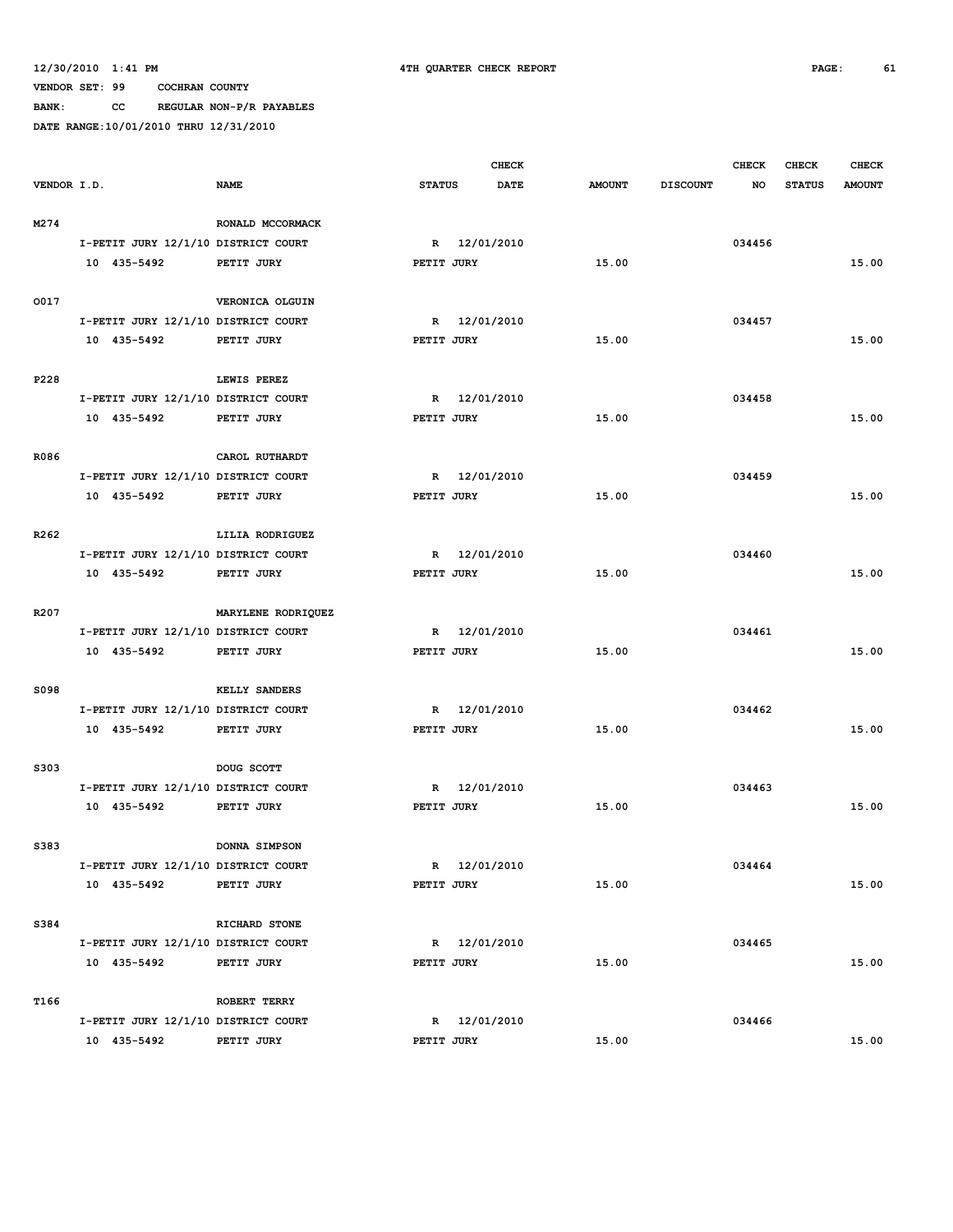**VENDOR SET: 99 COCHRAN COUNTY BANK: CC REGULAR NON-P/R PAYABLES**

|                  |                                     |                    |               | <b>CHECK</b> |               |                 | <b>CHECK</b> | <b>CHECK</b>  | <b>CHECK</b>  |
|------------------|-------------------------------------|--------------------|---------------|--------------|---------------|-----------------|--------------|---------------|---------------|
| VENDOR I.D.      |                                     | <b>NAME</b>        | <b>STATUS</b> | DATE         | <b>AMOUNT</b> | <b>DISCOUNT</b> | NO           | <b>STATUS</b> | <b>AMOUNT</b> |
|                  |                                     |                    |               |              |               |                 |              |               |               |
| M274             |                                     | RONALD MCCORMACK   |               |              |               |                 |              |               |               |
|                  | I-PETIT JURY 12/1/10 DISTRICT COURT |                    |               | R 12/01/2010 |               |                 | 034456       |               |               |
|                  | 10 435-5492                         | PETIT JURY         | PETIT JURY    |              | 15.00         |                 |              |               | 15.00         |
|                  |                                     |                    |               |              |               |                 |              |               |               |
| 0017             |                                     | VERONICA OLGUIN    |               |              |               |                 |              |               |               |
|                  | I-PETIT JURY 12/1/10 DISTRICT COURT |                    | $\mathbb{R}$  | 12/01/2010   |               |                 | 034457       |               |               |
|                  | 10 435-5492                         | PETIT JURY         | PETIT JURY    |              | 15.00         |                 |              |               | 15.00         |
|                  |                                     |                    |               |              |               |                 |              |               |               |
| P228             |                                     | LEWIS PEREZ        |               |              |               |                 |              |               |               |
|                  | I-PETIT JURY 12/1/10 DISTRICT COURT |                    | R             | 12/01/2010   |               |                 | 034458       |               |               |
|                  | 10 435-5492                         | PETIT JURY         | PETIT JURY    |              | 15.00         |                 |              |               | 15.00         |
|                  |                                     |                    |               |              |               |                 |              |               |               |
| R086             |                                     | CAROL RUTHARDT     |               |              |               |                 |              |               |               |
|                  | I-PETIT JURY 12/1/10 DISTRICT COURT |                    | $\mathbb{R}$  | 12/01/2010   |               |                 | 034459       |               |               |
|                  | 10 435-5492                         | PETIT JURY         | PETIT JURY    |              | 15.00         |                 |              |               | 15.00         |
|                  |                                     |                    |               |              |               |                 |              |               |               |
| R <sub>262</sub> |                                     | LILIA RODRIGUEZ    |               |              |               |                 |              |               |               |
|                  | I-PETIT JURY 12/1/10 DISTRICT COURT |                    | $\mathbb{R}$  | 12/01/2010   |               |                 | 034460       |               |               |
|                  | 10 435-5492                         | PETIT JURY         | PETIT JURY    |              | 15.00         |                 |              |               | 15.00         |
|                  |                                     |                    |               |              |               |                 |              |               |               |
| R <sub>207</sub> |                                     | MARYLENE RODRIQUEZ |               |              |               |                 |              |               |               |
|                  | I-PETIT JURY 12/1/10 DISTRICT COURT |                    |               | R 12/01/2010 |               |                 | 034461       |               |               |
|                  | 10 435-5492                         | PETIT JURY         | PETIT JURY    |              | 15.00         |                 |              |               | 15.00         |
|                  |                                     |                    |               |              |               |                 |              |               |               |
| S098             |                                     | KELLY SANDERS      |               |              |               |                 |              |               |               |
|                  | I-PETIT JURY 12/1/10 DISTRICT COURT |                    | R             | 12/01/2010   |               |                 | 034462       |               |               |
|                  | 10 435-5492                         | PETIT JURY         | PETIT JURY    |              | 15.00         |                 |              |               | 15.00         |
|                  |                                     |                    |               |              |               |                 |              |               |               |
| S303             |                                     | DOUG SCOTT         |               |              |               |                 |              |               |               |
|                  | I-PETIT JURY 12/1/10 DISTRICT COURT |                    | R             | 12/01/2010   |               |                 | 034463       |               |               |
|                  | 10 435-5492                         | PETIT JURY         | PETIT JURY    |              | 15.00         |                 |              |               | 15.00         |
|                  |                                     |                    |               |              |               |                 |              |               |               |
| S383             |                                     | DONNA SIMPSON      |               |              |               |                 |              |               |               |
|                  | I-PETIT JURY 12/1/10 DISTRICT COURT |                    |               | R 12/01/2010 |               |                 | 034464       |               |               |
|                  | 10 435-5492                         | PETIT JURY         | PETIT JURY    |              | 15.00         |                 |              |               | 15.00         |
|                  |                                     |                    |               |              |               |                 |              |               |               |
| S384             |                                     | RICHARD STONE      |               |              |               |                 |              |               |               |
|                  | I-PETIT JURY 12/1/10 DISTRICT COURT |                    |               | R 12/01/2010 |               |                 | 034465       |               |               |
|                  | 10 435-5492                         | PETIT JURY         | PETIT JURY    |              | 15.00         |                 |              |               | 15.00         |
|                  |                                     |                    |               |              |               |                 |              |               |               |
| T166             |                                     | ROBERT TERRY       |               |              |               |                 |              |               |               |
|                  | I-PETIT JURY 12/1/10 DISTRICT COURT |                    |               | R 12/01/2010 |               |                 | 034466       |               |               |
|                  | 10 435-5492                         | PETIT JURY         | PETIT JURY    |              | 15.00         |                 |              |               | 15.00         |
|                  |                                     |                    |               |              |               |                 |              |               |               |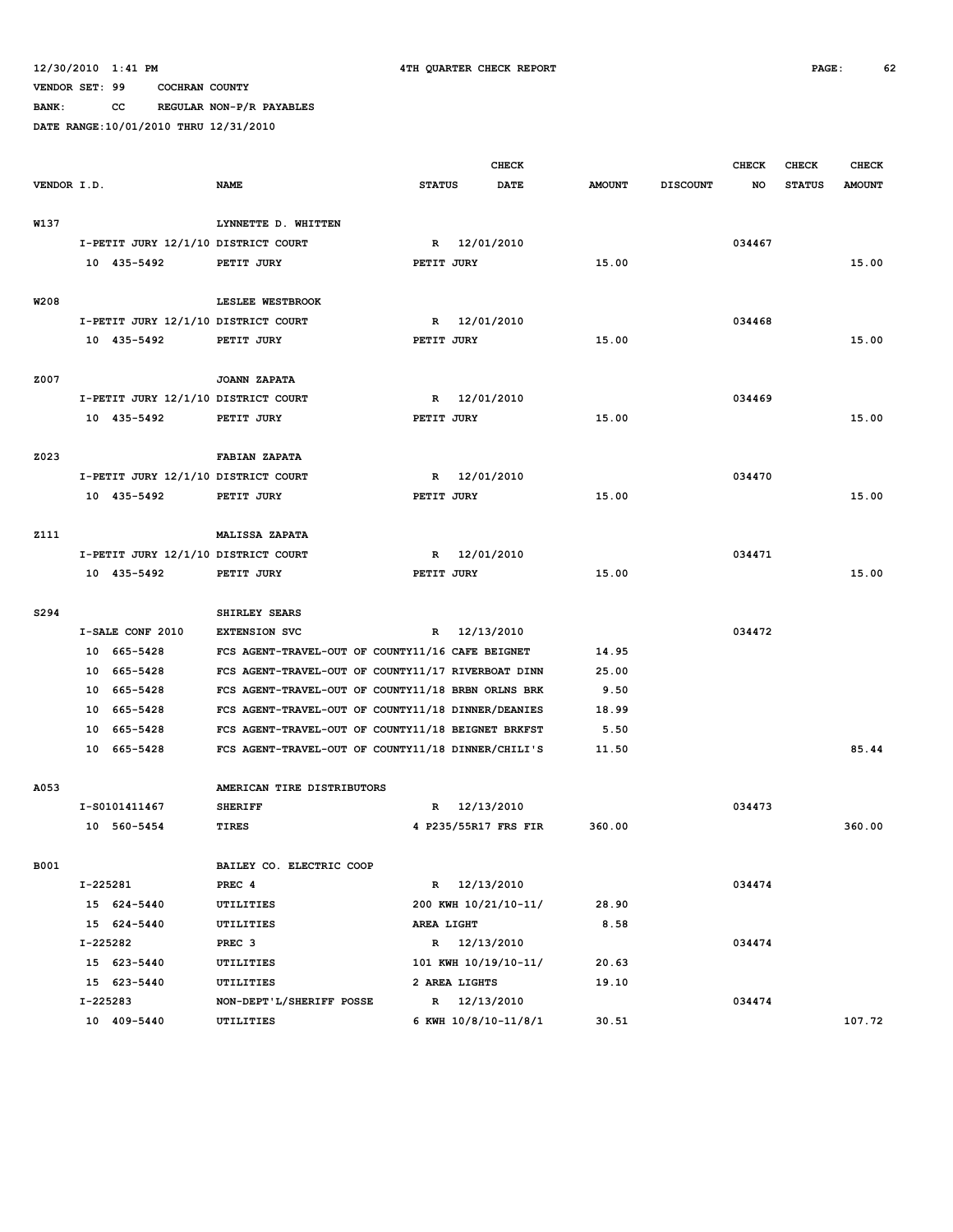**BANK: CC REGULAR NON-P/R PAYABLES**

|             |          |                                     |                                                    |               |               | <b>CHECK</b>         |               |                 | <b>CHECK</b> | CHECK         | <b>CHECK</b>  |
|-------------|----------|-------------------------------------|----------------------------------------------------|---------------|---------------|----------------------|---------------|-----------------|--------------|---------------|---------------|
| VENDOR I.D. |          |                                     | <b>NAME</b>                                        | <b>STATUS</b> |               | <b>DATE</b>          | <b>AMOUNT</b> | <b>DISCOUNT</b> | NO           | <b>STATUS</b> | <b>AMOUNT</b> |
|             |          |                                     |                                                    |               |               |                      |               |                 |              |               |               |
| W137        |          |                                     | LYNNETTE D. WHITTEN                                |               |               |                      |               |                 |              |               |               |
|             |          | I-PETIT JURY 12/1/10 DISTRICT COURT |                                                    | R             |               | 12/01/2010           |               |                 | 034467       |               |               |
|             |          | 10 435-5492                         | PETIT JURY                                         | PETIT JURY    |               |                      | 15.00         |                 |              |               | 15.00         |
|             |          |                                     |                                                    |               |               |                      |               |                 |              |               |               |
| W208        |          |                                     | LESLEE WESTBROOK                                   |               |               |                      |               |                 |              |               |               |
|             |          | I-PETIT JURY 12/1/10 DISTRICT COURT |                                                    | R             |               | 12/01/2010           |               |                 | 034468       |               |               |
|             |          | 10 435-5492                         | PETIT JURY                                         | PETIT JURY    |               |                      | 15.00         |                 |              |               | 15.00         |
| Z007        |          |                                     | JOANN ZAPATA                                       |               |               |                      |               |                 |              |               |               |
|             |          | I-PETIT JURY 12/1/10 DISTRICT COURT |                                                    | $\mathbf R$   |               | 12/01/2010           |               |                 | 034469       |               |               |
|             |          | 10 435-5492                         | PETIT JURY                                         | PETIT JURY    |               |                      | 15.00         |                 |              |               | 15.00         |
|             |          |                                     |                                                    |               |               |                      |               |                 |              |               |               |
| Z023        |          |                                     | <b>FABIAN ZAPATA</b>                               |               |               |                      |               |                 |              |               |               |
|             |          | I-PETIT JURY 12/1/10 DISTRICT COURT |                                                    | R             |               | 12/01/2010           |               |                 | 034470       |               |               |
|             |          | 10 435-5492                         | PETIT JURY                                         | PETIT JURY    |               |                      | 15.00         |                 |              |               | 15.00         |
|             |          |                                     |                                                    |               |               |                      |               |                 |              |               |               |
| <b>Z111</b> |          |                                     | <b>MALISSA ZAPATA</b>                              |               |               |                      |               |                 |              |               |               |
|             |          | I-PETIT JURY 12/1/10 DISTRICT COURT |                                                    | R             |               | 12/01/2010           |               |                 | 034471       |               |               |
|             |          | 10 435-5492                         | PETIT JURY                                         | PETIT JURY    |               |                      | 15.00         |                 |              |               | 15.00         |
|             |          |                                     |                                                    |               |               |                      |               |                 |              |               |               |
| S294        |          |                                     | SHIRLEY SEARS                                      |               |               |                      |               |                 |              |               |               |
|             |          | I-SALE CONF 2010                    | <b>EXTENSION SVC</b>                               | $\mathbb{R}$  |               | 12/13/2010           |               |                 | 034472       |               |               |
|             |          | 10 665-5428                         | FCS AGENT-TRAVEL-OUT OF COUNTY11/16 CAFE BEIGNET   |               |               |                      | 14.95         |                 |              |               |               |
|             |          | 10 665-5428                         | FCS AGENT-TRAVEL-OUT OF COUNTY11/17 RIVERBOAT DINN |               |               |                      | 25.00         |                 |              |               |               |
|             |          | 10 665-5428                         | FCS AGENT-TRAVEL-OUT OF COUNTY11/18 BRBN ORLNS BRK |               |               |                      | 9.50          |                 |              |               |               |
|             | 10       | 665–5428                            | FCS AGENT-TRAVEL-OUT OF COUNTY11/18 DINNER/DEANIES |               |               |                      | 18.99         |                 |              |               |               |
|             | 10       | 665–5428                            | FCS AGENT-TRAVEL-OUT OF COUNTY11/18 BEIGNET BRKFST |               |               |                      | 5.50          |                 |              |               |               |
|             |          | 10 665-5428                         | FCS AGENT-TRAVEL-OUT OF COUNTY11/18 DINNER/CHILI'S |               |               |                      | 11.50         |                 |              |               | 85.44         |
|             |          |                                     |                                                    |               |               |                      |               |                 |              |               |               |
| A053        |          |                                     | AMERICAN TIRE DISTRIBUTORS                         |               |               |                      |               |                 |              |               |               |
|             |          | I-S0101411467                       | <b>SHERIFF</b>                                     |               |               | R 12/13/2010         |               |                 | 034473       |               |               |
|             |          | 10 560-5454                         | <b>TIRES</b>                                       |               |               | 4 P235/55R17 FRS FIR | 360.00        |                 |              |               | 360.00        |
|             |          |                                     |                                                    |               |               |                      |               |                 |              |               |               |
| B001        |          |                                     | BAILEY CO. ELECTRIC COOP                           |               |               |                      |               |                 |              |               |               |
|             | I-225281 |                                     | PREC 4                                             |               |               | R 12/13/2010         |               |                 | 034474       |               |               |
|             |          | 15 624-5440<br>15 624-5440          | UTILITIES                                          |               |               | 200 KWH 10/21/10-11/ | 28.90         |                 |              |               |               |
|             | I-225282 |                                     | UTILITIES                                          | AREA LIGHT    |               | R 12/13/2010         | 8.58          |                 | 034474       |               |               |
|             |          | 15 623-5440                         | PREC <sub>3</sub><br>UTILITIES                     |               |               | 101 KWH 10/19/10-11/ | 20.63         |                 |              |               |               |
|             |          | 15 623-5440                         | UTILITIES                                          |               | 2 AREA LIGHTS |                      | 19.10         |                 |              |               |               |
|             | I-225283 |                                     | NON-DEPT'L/SHERIFF POSSE                           |               |               | R 12/13/2010         |               |                 | 034474       |               |               |
|             |          | 10 409-5440                         | UTILITIES                                          |               |               | 6 KWH 10/8/10-11/8/1 | 30.51         |                 |              |               | 107.72        |
|             |          |                                     |                                                    |               |               |                      |               |                 |              |               |               |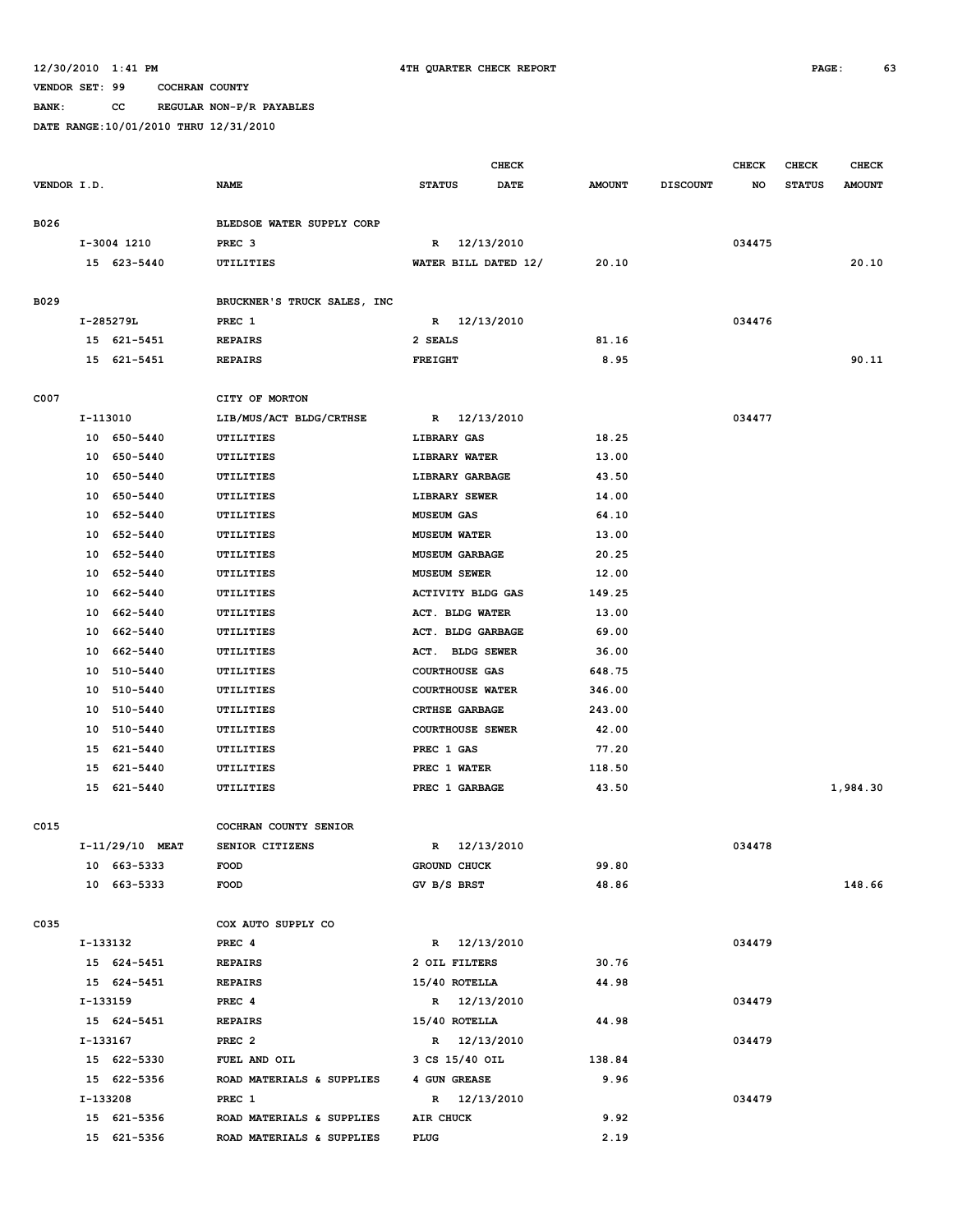**BANK: CC REGULAR NON-P/R PAYABLES**

|             |                 |                             | <b>CHECK</b>            |             |               |                 | <b>CHECK</b> | <b>CHECK</b>  | <b>CHECK</b>  |
|-------------|-----------------|-----------------------------|-------------------------|-------------|---------------|-----------------|--------------|---------------|---------------|
| VENDOR I.D. |                 | <b>NAME</b>                 | <b>STATUS</b>           | <b>DATE</b> | <b>AMOUNT</b> | <b>DISCOUNT</b> | NO           | <b>STATUS</b> | <b>AMOUNT</b> |
|             |                 |                             |                         |             |               |                 |              |               |               |
| B026        |                 | BLEDSOE WATER SUPPLY CORP   |                         |             |               |                 |              |               |               |
|             | I-3004 1210     | PREC <sub>3</sub>           | R                       | 12/13/2010  |               |                 | 034475       |               |               |
|             | 15 623-5440     | UTILITIES                   | WATER BILL DATED 12/    |             | 20.10         |                 |              |               | 20.10         |
| B029        |                 | BRUCKNER'S TRUCK SALES, INC |                         |             |               |                 |              |               |               |
|             | I-285279L       | PREC 1                      | R 12/13/2010            |             |               |                 | 034476       |               |               |
|             | 15 621-5451     | <b>REPAIRS</b>              | 2 SEALS                 |             | 81.16         |                 |              |               |               |
|             | 15 621-5451     | <b>REPAIRS</b>              | <b>FREIGHT</b>          |             | 8.95          |                 |              |               | 90.11         |
| C007        |                 | CITY OF MORTON              |                         |             |               |                 |              |               |               |
|             | I-113010        | LIB/MUS/ACT BLDG/CRTHSE     | R 12/13/2010            |             |               |                 | 034477       |               |               |
|             | 10 650-5440     | UTILITIES                   | LIBRARY GAS             |             | 18.25         |                 |              |               |               |
|             | 10 650-5440     | UTILITIES                   | LIBRARY WATER           |             | 13.00         |                 |              |               |               |
|             | 10 650-5440     | UTILITIES                   | LIBRARY GARBAGE         |             | 43.50         |                 |              |               |               |
|             | 10 650-5440     | UTILITIES                   | LIBRARY SEWER           |             | 14.00         |                 |              |               |               |
|             | 10 652-5440     | UTILITIES                   | <b>MUSEUM GAS</b>       |             | 64.10         |                 |              |               |               |
|             | 10 652-5440     | UTILITIES                   | <b>MUSEUM WATER</b>     |             | 13.00         |                 |              |               |               |
|             | 10 652-5440     | UTILITIES                   | <b>MUSEUM GARBAGE</b>   |             | 20.25         |                 |              |               |               |
|             | 10 652-5440     | UTILITIES                   | <b>MUSEUM SEWER</b>     |             | 12.00         |                 |              |               |               |
|             | 662-5440<br>10  | UTILITIES                   | ACTIVITY BLDG GAS       |             | 149.25        |                 |              |               |               |
|             | 662-5440<br>10  | UTILITIES                   | ACT. BLDG WATER         |             | 13.00         |                 |              |               |               |
|             | 10 662-5440     | UTILITIES                   | ACT. BLDG GARBAGE       |             | 69.00         |                 |              |               |               |
|             | 10 662-5440     | UTILITIES                   | ACT. BLDG SEWER         |             | 36.00         |                 |              |               |               |
|             | 10 510-5440     | UTILITIES                   | <b>COURTHOUSE GAS</b>   |             | 648.75        |                 |              |               |               |
|             | 10 510-5440     | UTILITIES                   | <b>COURTHOUSE WATER</b> |             | 346.00        |                 |              |               |               |
|             | 10 510-5440     | UTILITIES                   | <b>CRTHSE GARBAGE</b>   |             | 243.00        |                 |              |               |               |
|             | 10 510-5440     | UTILITIES                   | <b>COURTHOUSE SEWER</b> |             | 42.00         |                 |              |               |               |
|             | 15 621-5440     | UTILITIES                   | PREC 1 GAS              |             | 77.20         |                 |              |               |               |
|             | 15<br>621-5440  | UTILITIES                   | PREC 1 WATER            |             | 118.50        |                 |              |               |               |
|             | 15 621-5440     | UTILITIES                   | PREC 1 GARBAGE          |             | 43.50         |                 |              |               | 1,984.30      |
|             |                 |                             |                         |             |               |                 |              |               |               |
| C015        |                 | COCHRAN COUNTY SENIOR       |                         |             |               |                 |              |               |               |
|             | I-11/29/10 MEAT | SENIOR CITIZENS             | R                       | 12/13/2010  |               |                 | 034478       |               |               |
|             | 10 663-5333     | <b>FOOD</b>                 | GROUND CHUCK            |             | 99.80         |                 |              |               |               |
|             | 10 663-5333     | FOOD                        | GV B/S BRST             |             | 48.86         |                 |              |               | 148.66        |
| C035        |                 | COX AUTO SUPPLY CO          |                         |             |               |                 |              |               |               |
|             | I-133132        | PREC 4                      | R 12/13/2010            |             |               |                 | 034479       |               |               |
|             | 15 624-5451     | <b>REPAIRS</b>              | 2 OIL FILTERS           |             | 30.76         |                 |              |               |               |
|             | 15 624-5451     | <b>REPAIRS</b>              | 15/40 ROTELLA           |             | 44.98         |                 |              |               |               |
|             | I-133159        | PREC 4                      | R 12/13/2010            |             |               |                 | 034479       |               |               |
|             | 15 624-5451     | <b>REPAIRS</b>              | 15/40 ROTELLA           |             | 44.98         |                 |              |               |               |
|             | I-133167        | PREC <sub>2</sub>           | R 12/13/2010            |             |               |                 | 034479       |               |               |
|             | 15 622-5330     | FUEL AND OIL                | 3 CS 15/40 OIL          |             | 138.84        |                 |              |               |               |
|             | 15 622-5356     | ROAD MATERIALS & SUPPLIES   | 4 GUN GREASE            |             | 9.96          |                 |              |               |               |
|             | I-133208        | PREC 1                      | R 12/13/2010            |             |               |                 | 034479       |               |               |
|             | 15 621-5356     | ROAD MATERIALS & SUPPLIES   | AIR CHUCK               |             | 9.92          |                 |              |               |               |
|             | 15 621-5356     | ROAD MATERIALS & SUPPLIES   | PLUG                    |             | 2.19          |                 |              |               |               |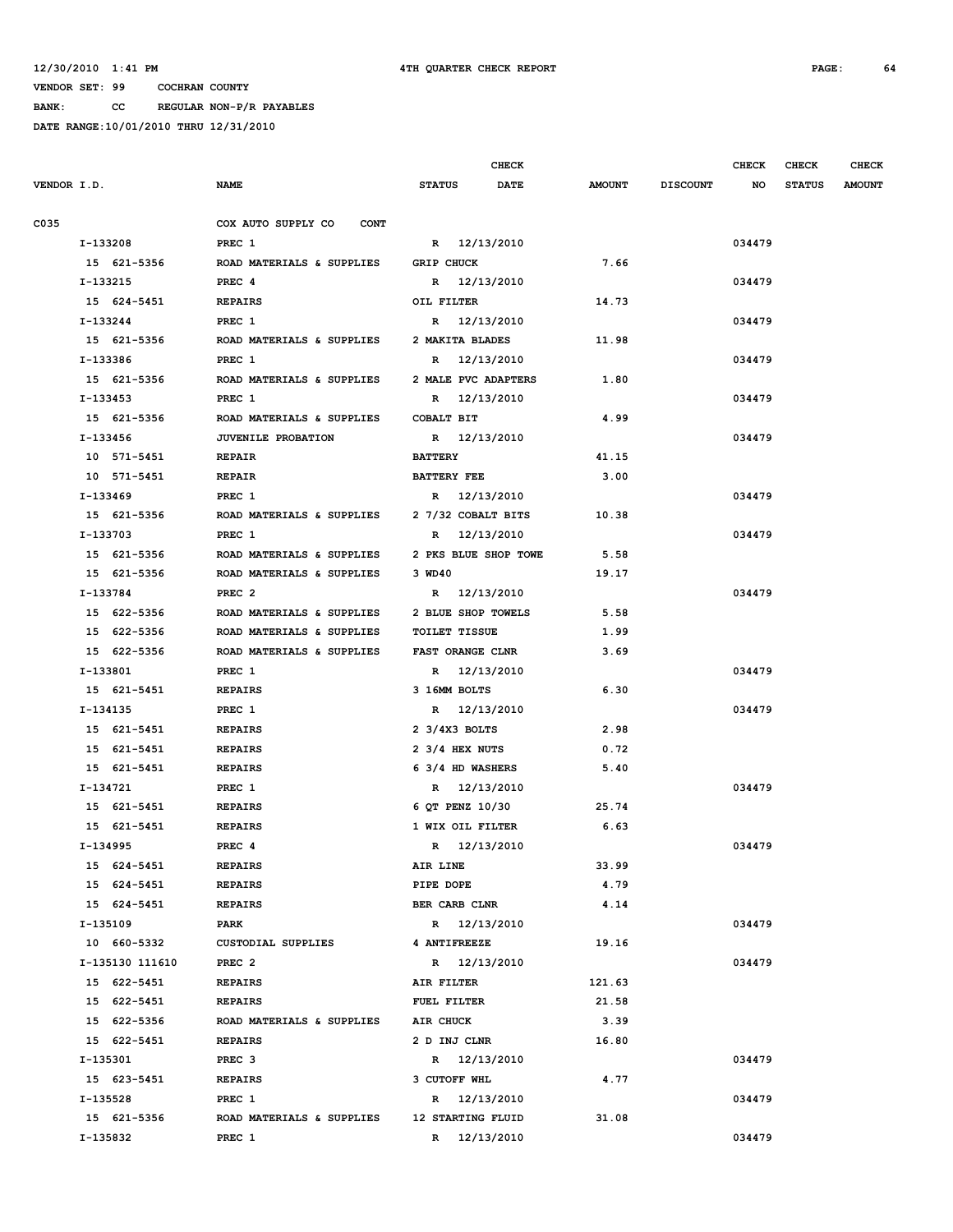**BANK: CC REGULAR NON-P/R PAYABLES**

|             |                 |                                   |                                     | <b>CHECK</b> |               |                 | <b>CHECK</b> | <b>CHECK</b>  | <b>CHECK</b>  |
|-------------|-----------------|-----------------------------------|-------------------------------------|--------------|---------------|-----------------|--------------|---------------|---------------|
| VENDOR I.D. |                 | <b>NAME</b>                       | <b>STATUS</b>                       | <b>DATE</b>  | <b>AMOUNT</b> | <b>DISCOUNT</b> | NO           | <b>STATUS</b> | <b>AMOUNT</b> |
|             |                 |                                   |                                     |              |               |                 |              |               |               |
| C035        |                 | COX AUTO SUPPLY CO<br><b>CONT</b> |                                     |              |               |                 |              |               |               |
|             | I-133208        | PREC 1                            | R 12/13/2010                        |              |               |                 | 034479       |               |               |
|             | 15 621-5356     | ROAD MATERIALS & SUPPLIES         | <b>GRIP CHUCK</b>                   |              | 7.66          |                 |              |               |               |
|             | I-133215        | PREC <sub>4</sub>                 | R 12/13/2010                        |              |               |                 | 034479       |               |               |
|             | 15 624-5451     | <b>REPAIRS</b>                    | OIL FILTER                          |              | 14.73         |                 |              |               |               |
|             | I-133244        | PREC 1                            | R 12/13/2010                        |              |               |                 | 034479       |               |               |
|             | 15 621-5356     | ROAD MATERIALS & SUPPLIES         | 2 MAKITA BLADES                     |              | 11.98         |                 |              |               |               |
|             | I-133386        | PREC 1                            | R 12/13/2010                        |              |               |                 | 034479       |               |               |
|             | 15 621-5356     | ROAD MATERIALS & SUPPLIES         | 2 MALE PVC ADAPTERS                 |              | 1.80          |                 |              |               |               |
|             | I-133453        | PREC 1                            | R 12/13/2010                        |              |               |                 | 034479       |               |               |
|             | 15 621-5356     | ROAD MATERIALS & SUPPLIES         | COBALT BIT                          |              | 4.99          |                 |              |               |               |
|             | I-133456        | <b>JUVENILE PROBATION</b>         | R 12/13/2010                        |              |               |                 | 034479       |               |               |
|             | 10 571-5451     | <b>REPAIR</b>                     | <b>BATTERY</b>                      |              | 41.15         |                 |              |               |               |
|             | 10 571-5451     | <b>REPAIR</b>                     | <b>BATTERY FEE</b>                  |              | 3.00          |                 |              |               |               |
|             | I-133469        | PREC 1                            | R 12/13/2010                        |              |               |                 | 034479       |               |               |
|             | 15 621-5356     | ROAD MATERIALS & SUPPLIES         | 2 7/32 COBALT BITS                  |              | 10.38         |                 |              |               |               |
|             | I-133703        | PREC 1                            | R 12/13/2010                        |              |               |                 | 034479       |               |               |
|             | 15 621-5356     | ROAD MATERIALS & SUPPLIES         | 2 PKS BLUE SHOP TOWE                |              | 5.58          |                 |              |               |               |
|             | 15 621-5356     | ROAD MATERIALS & SUPPLIES         | 3 WD40                              |              | 19.17         |                 |              |               |               |
|             | I-133784        | PREC <sub>2</sub>                 | R 12/13/2010                        |              |               |                 | 034479       |               |               |
|             | 15 622-5356     | ROAD MATERIALS & SUPPLIES         | 2 BLUE SHOP TOWELS                  |              | 5.58          |                 |              |               |               |
|             | 15 622-5356     | ROAD MATERIALS & SUPPLIES         | <b>TOILET TISSUE</b>                |              | 1.99          |                 |              |               |               |
|             | 15 622-5356     | ROAD MATERIALS & SUPPLIES         | <b>FAST ORANGE CLNR</b>             |              | 3.69          |                 |              |               |               |
|             | I-133801        | PREC 1                            | R 12/13/2010                        |              |               |                 | 034479       |               |               |
|             | 15 621-5451     | <b>REPAIRS</b>                    | 3 16MM BOLTS                        |              | 6.30          |                 |              |               |               |
|             | I-134135        | PREC 1                            | R 12/13/2010                        |              |               |                 | 034479       |               |               |
|             | 15 621-5451     | <b>REPAIRS</b>                    | $2 \frac{3}{4}$ $\frac{3}{4}$ BOLTS |              | 2.98          |                 |              |               |               |
|             | 15 621-5451     | <b>REPAIRS</b>                    | 2 3/4 HEX NUTS                      |              | 0.72          |                 |              |               |               |
|             | 15 621-5451     | <b>REPAIRS</b>                    | 6 3/4 HD WASHERS                    |              | 5.40          |                 |              |               |               |
|             | I-134721        | PREC 1                            | R 12/13/2010                        |              |               |                 | 034479       |               |               |
|             | 15 621-5451     | <b>REPAIRS</b>                    | 6 QT PENZ 10/30                     |              | 25.74         |                 |              |               |               |
|             | 15 621-5451     | <b>REPAIRS</b>                    | 1 WIX OIL FILTER                    |              | 6.63          |                 |              |               |               |
|             | I-134995        | PREC 4                            | R 12/13/2010                        |              |               |                 | 034479       |               |               |
|             | 15 624-5451     | <b>REPAIRS</b>                    | AIR LINE                            |              | 33.99         |                 |              |               |               |
|             | 15 624-5451     | <b>REPAIRS</b>                    | PIPE DOPE                           |              | 4.79          |                 |              |               |               |
|             | 15 624-5451     | <b>REPAIRS</b>                    | BER CARB CLNR                       |              | 4.14          |                 |              |               |               |
|             | I-135109        | PARK                              | R 12/13/2010                        |              |               |                 | 034479       |               |               |
|             | 10 660-5332     | CUSTODIAL SUPPLIES                | 4 ANTIFREEZE                        |              | 19.16         |                 |              |               |               |
|             | I-135130 111610 | PREC <sub>2</sub>                 | R 12/13/2010                        |              |               |                 | 034479       |               |               |
|             | 15 622-5451     | <b>REPAIRS</b>                    | AIR FILTER                          |              | 121.63        |                 |              |               |               |
|             | 15 622-5451     | <b>REPAIRS</b>                    | FUEL FILTER                         |              | 21.58         |                 |              |               |               |
|             | 15 622-5356     | ROAD MATERIALS & SUPPLIES         | AIR CHUCK                           |              | 3.39          |                 |              |               |               |
|             | 15 622-5451     | <b>REPAIRS</b>                    | 2 D INJ CLNR                        |              | 16.80         |                 |              |               |               |
|             | I-135301        | PREC <sub>3</sub>                 | R 12/13/2010                        |              |               |                 | 034479       |               |               |
|             | 15 623-5451     | <b>REPAIRS</b>                    | 3 CUTOFF WHL                        |              | 4.77          |                 |              |               |               |
|             | I-135528        | PREC 1                            | R 12/13/2010                        |              |               |                 | 034479       |               |               |
|             | 15 621-5356     | ROAD MATERIALS & SUPPLIES         | 12 STARTING FLUID                   |              | 31.08         |                 |              |               |               |
|             | I-135832        | PREC 1                            | R 12/13/2010                        |              |               |                 | 034479       |               |               |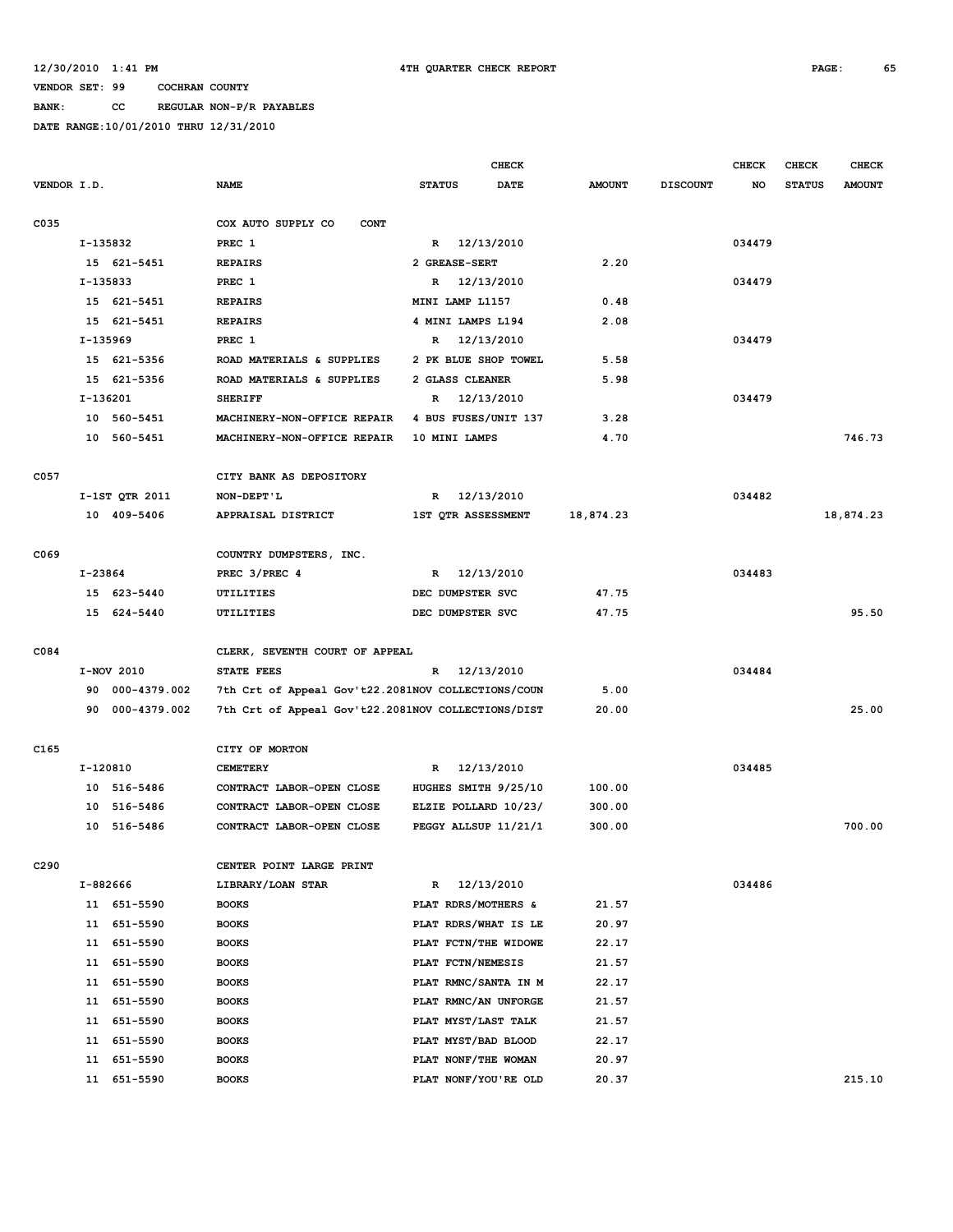**BANK: CC REGULAR NON-P/R PAYABLES**

|                  |          |                         |                                                    |               | <b>CHECK</b>                               |                |                 | <b>CHECK</b> | <b>CHECK</b>  | <b>CHECK</b>  |
|------------------|----------|-------------------------|----------------------------------------------------|---------------|--------------------------------------------|----------------|-----------------|--------------|---------------|---------------|
| VENDOR I.D.      |          |                         | <b>NAME</b>                                        | <b>STATUS</b> | <b>DATE</b>                                | <b>AMOUNT</b>  | <b>DISCOUNT</b> | NO           | <b>STATUS</b> | <b>AMOUNT</b> |
|                  |          |                         |                                                    |               |                                            |                |                 |              |               |               |
| C035             |          |                         | COX AUTO SUPPLY CO<br><b>CONT</b>                  |               |                                            |                |                 |              |               |               |
|                  | I-135832 |                         | PREC 1                                             |               | R 12/13/2010                               |                |                 | 034479       |               |               |
|                  |          | 15 621-5451             | <b>REPAIRS</b>                                     |               | 2 GREASE-SERT                              | 2.20           |                 |              |               |               |
|                  | I-135833 |                         | PREC 1                                             |               | R 12/13/2010                               |                |                 | 034479       |               |               |
|                  |          | 15 621-5451             | <b>REPAIRS</b>                                     |               | MINI LAMP L1157                            | 0.48           |                 |              |               |               |
|                  |          | 15 621-5451             | <b>REPAIRS</b>                                     |               | 4 MINI LAMPS L194                          | 2.08           |                 |              |               |               |
|                  | I-135969 |                         | PREC 1                                             | R             | 12/13/2010                                 |                |                 | 034479       |               |               |
|                  |          | 15 621-5356             | ROAD MATERIALS & SUPPLIES                          |               | 2 PK BLUE SHOP TOWEL                       | 5.58           |                 |              |               |               |
|                  |          | 15 621-5356             | ROAD MATERIALS & SUPPLIES                          |               | 2 GLASS CLEANER                            | 5.98           |                 |              |               |               |
|                  | I-136201 |                         | <b>SHERIFF</b>                                     | R             | 12/13/2010                                 |                |                 | 034479       |               |               |
|                  |          | 10 560-5451             | MACHINERY-NON-OFFICE REPAIR                        |               | 4 BUS FUSES/UNIT 137                       | 3.28           |                 |              |               |               |
|                  | 10       | 560-5451                | MACHINERY-NON-OFFICE REPAIR                        |               | 10 MINI LAMPS                              | 4.70           |                 |              |               | 746.73        |
|                  |          |                         |                                                    |               |                                            |                |                 |              |               |               |
| C057             |          |                         | CITY BANK AS DEPOSITORY                            |               |                                            |                |                 |              |               |               |
|                  |          | I-1ST QTR 2011          | NON-DEPT'L                                         | R             | 12/13/2010                                 |                |                 | 034482       |               |               |
|                  |          | 10 409-5406             | APPRAISAL DISTRICT                                 |               | 1ST QTR ASSESSMENT                         | 18,874.23      |                 |              |               | 18,874.23     |
|                  |          |                         |                                                    |               |                                            |                |                 |              |               |               |
| C <sub>069</sub> |          |                         | COUNTRY DUMPSTERS, INC.                            |               |                                            |                |                 |              |               |               |
|                  | I-23864  |                         | PREC 3/PREC 4                                      |               | R 12/13/2010                               |                |                 | 034483       |               |               |
|                  |          | 15 623-5440             | UTILITIES                                          |               | DEC DUMPSTER SVC                           | 47.75          |                 |              |               |               |
|                  |          | 15 624-5440             | UTILITIES                                          |               | DEC DUMPSTER SVC                           | 47.75          |                 |              |               | 95.50         |
|                  |          |                         |                                                    |               |                                            |                |                 |              |               |               |
| C084             |          |                         | CLERK, SEVENTH COURT OF APPEAL                     |               |                                            |                |                 |              |               |               |
|                  |          | I-NOV 2010              | STATE FEES                                         | $\mathbb{R}$  | 12/13/2010                                 |                |                 | 034484       |               |               |
|                  | 90       | 000-4379.002            | 7th Crt of Appeal Gov't22.2081NOV COLLECTIONS/COUN |               |                                            | 5.00           |                 |              |               |               |
|                  | 90       | 000-4379.002            | 7th Crt of Appeal Gov't22.2081NOV COLLECTIONS/DIST |               |                                            | 20.00          |                 |              |               | 25.00         |
|                  |          |                         |                                                    |               |                                            |                |                 |              |               |               |
| C165             |          |                         | CITY OF MORTON                                     |               |                                            |                |                 |              |               |               |
|                  |          | I-120810                | <b>CEMETERY</b>                                    | R             | 12/13/2010                                 |                |                 | 034485       |               |               |
|                  |          | 10 516-5486             | CONTRACT LABOR-OPEN CLOSE                          |               | HUGHES SMITH 9/25/10                       | 100.00         |                 |              |               |               |
|                  |          | 10 516-5486             | CONTRACT LABOR-OPEN CLOSE                          |               | ELZIE POLLARD 10/23/                       | 300.00         |                 |              |               |               |
|                  | 10       | 516-5486                | CONTRACT LABOR-OPEN CLOSE                          |               | PEGGY ALLSUP 11/21/1                       | 300.00         |                 |              |               | 700.00        |
|                  |          |                         |                                                    |               |                                            |                |                 |              |               |               |
| C290             |          |                         | CENTER POINT LARGE PRINT                           |               |                                            |                |                 |              |               |               |
|                  | I-882666 |                         | LIBRARY/LOAN STAR                                  | R             | 12/13/2010                                 |                |                 | 034486       |               |               |
|                  |          | 11 651-5590             | <b>BOOKS</b>                                       |               | PLAT RDRS/MOTHERS &                        | 21.57          |                 |              |               |               |
|                  | 11       | 651-5590                | <b>BOOKS</b>                                       |               | PLAT RDRS/WHAT IS LE                       | 20.97          |                 |              |               |               |
|                  | 11       | 651-5590                | <b>BOOKS</b>                                       |               | PLAT FCTN/THE WIDOWE                       | 22.17          |                 |              |               |               |
|                  | 11       | 651-5590                | <b>BOOKS</b>                                       |               | PLAT FCTN/NEMESIS                          | 21.57          |                 |              |               |               |
|                  | 11       | 651-5590                | <b>BOOKS</b>                                       |               | PLAT RMNC/SANTA IN M                       | 22.17          |                 |              |               |               |
|                  | 11       | 651-5590                | <b>BOOKS</b>                                       |               | PLAT RMNC/AN UNFORGE                       | 21.57          |                 |              |               |               |
|                  | 11       | 651-5590<br>651-5590    | <b>BOOKS</b>                                       |               | PLAT MYST/LAST TALK<br>PLAT MYST/BAD BLOOD | 21.57          |                 |              |               |               |
|                  | 11<br>11 |                         | <b>BOOKS</b>                                       |               | PLAT NONF/THE WOMAN                        | 22.17          |                 |              |               |               |
|                  |          | 651-5590<br>11 651-5590 | <b>BOOKS</b><br><b>BOOKS</b>                       |               | PLAT NONF/YOU'RE OLD                       | 20.97<br>20.37 |                 |              |               | 215.10        |
|                  |          |                         |                                                    |               |                                            |                |                 |              |               |               |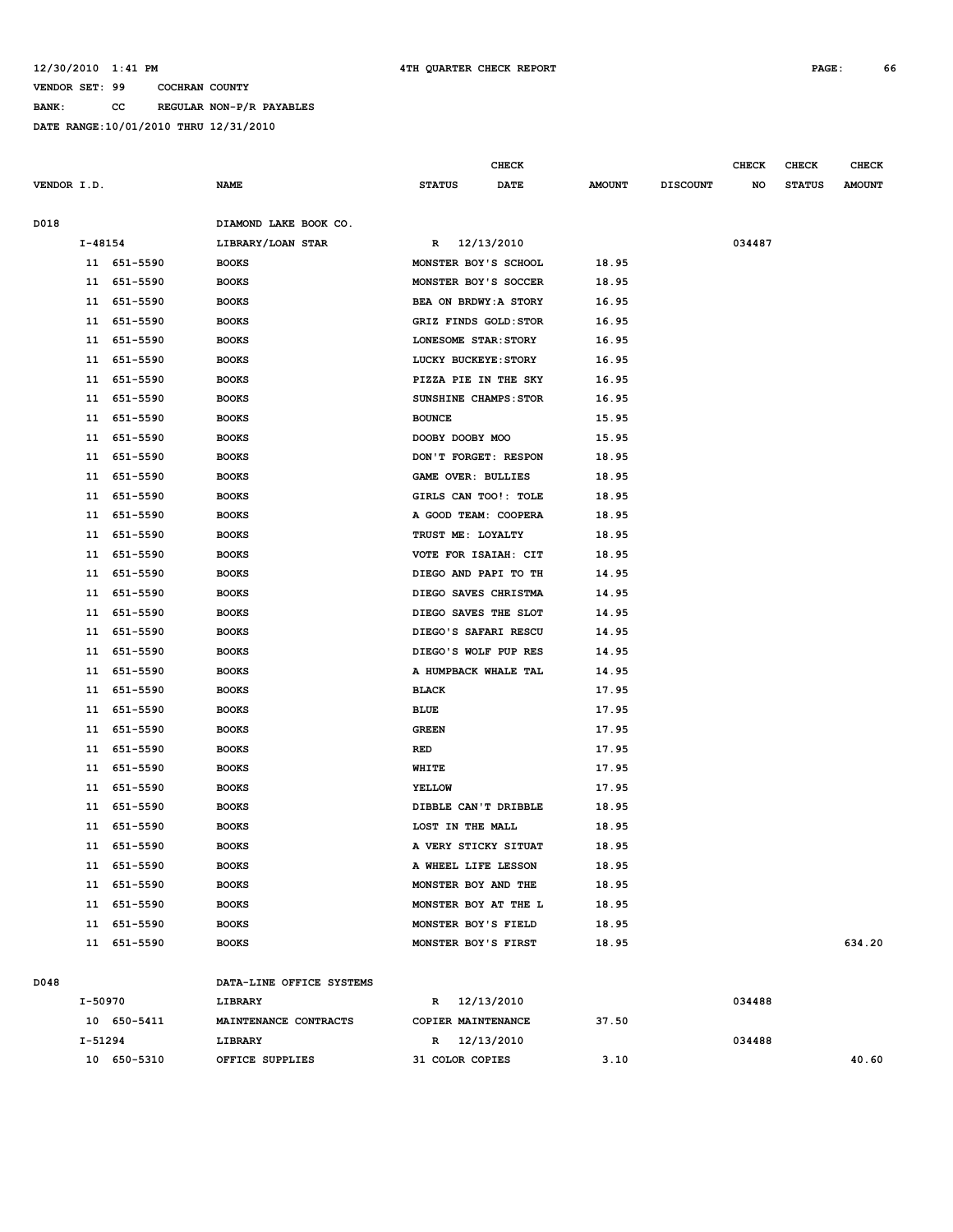#### **12/30/2010 1:41 PM 4TH QUARTER CHECK REPORT PAGE: 66**

**VENDOR SET: 99 COCHRAN COUNTY BANK: CC REGULAR NON-P/R PAYABLES DATE RANGE:10/01/2010 THRU 12/31/2010**

|             |             |             |                          |                 | <b>CHECK</b>          |               |                 | <b>CHECK</b> | <b>CHECK</b>  | <b>CHECK</b>  |
|-------------|-------------|-------------|--------------------------|-----------------|-----------------------|---------------|-----------------|--------------|---------------|---------------|
| VENDOR I.D. |             |             | <b>NAME</b>              | <b>STATUS</b>   | <b>DATE</b>           | <b>AMOUNT</b> | <b>DISCOUNT</b> | NO           | <b>STATUS</b> | <b>AMOUNT</b> |
| D018        |             |             | DIAMOND LAKE BOOK CO.    |                 |                       |               |                 |              |               |               |
|             | $I - 48154$ |             | LIBRARY/LOAN STAR        | R               | 12/13/2010            |               |                 | 034487       |               |               |
|             |             | 11 651-5590 | <b>BOOKS</b>             |                 | MONSTER BOY'S SCHOOL  | 18.95         |                 |              |               |               |
|             | 11          | 651-5590    | <b>BOOKS</b>             |                 | MONSTER BOY'S SOCCER  | 18.95         |                 |              |               |               |
|             | 11          | 651-5590    | <b>BOOKS</b>             |                 | BEA ON BRDWY: A STORY | 16.95         |                 |              |               |               |
|             | 11          | 651-5590    | <b>BOOKS</b>             |                 | GRIZ FINDS GOLD: STOR | 16.95         |                 |              |               |               |
|             | 11          | 651-5590    | <b>BOOKS</b>             |                 | LONESOME STAR: STORY  | 16.95         |                 |              |               |               |
|             | 11          | 651-5590    | <b>BOOKS</b>             |                 | LUCKY BUCKEYE: STORY  | 16.95         |                 |              |               |               |
|             | 11          | 651-5590    | <b>BOOKS</b>             |                 | PIZZA PIE IN THE SKY  | 16.95         |                 |              |               |               |
|             | 11          | 651-5590    | <b>BOOKS</b>             |                 | SUNSHINE CHAMPS: STOR | 16.95         |                 |              |               |               |
|             | 11          | 651-5590    | <b>BOOKS</b>             | <b>BOUNCE</b>   |                       | 15.95         |                 |              |               |               |
|             | 11          | 651-5590    | <b>BOOKS</b>             | DOOBY DOOBY MOO |                       | 15.95         |                 |              |               |               |
|             | 11          | 651-5590    | <b>BOOKS</b>             |                 | DON'T FORGET: RESPON  | 18.95         |                 |              |               |               |
|             | 11          | 651-5590    | <b>BOOKS</b>             |                 | GAME OVER: BULLIES    | 18.95         |                 |              |               |               |
|             | 11          | 651-5590    | <b>BOOKS</b>             |                 | GIRLS CAN TOO!: TOLE  | 18.95         |                 |              |               |               |
|             | 11          | 651-5590    | <b>BOOKS</b>             |                 | A GOOD TEAM: COOPERA  | 18.95         |                 |              |               |               |
|             | 11          | 651-5590    | <b>BOOKS</b>             |                 | TRUST ME: LOYALTY     | 18.95         |                 |              |               |               |
|             | 11          | 651-5590    | <b>BOOKS</b>             |                 | VOTE FOR ISAIAH: CIT  | 18.95         |                 |              |               |               |
|             | 11          | 651-5590    | <b>BOOKS</b>             |                 | DIEGO AND PAPI TO TH  | 14.95         |                 |              |               |               |
|             | 11          | 651-5590    | <b>BOOKS</b>             |                 | DIEGO SAVES CHRISTMA  | 14.95         |                 |              |               |               |
|             | 11          | 651-5590    | <b>BOOKS</b>             |                 | DIEGO SAVES THE SLOT  | 14.95         |                 |              |               |               |
|             | 11          | 651-5590    | <b>BOOKS</b>             |                 | DIEGO'S SAFARI RESCU  | 14.95         |                 |              |               |               |
|             | 11          | 651-5590    | <b>BOOKS</b>             |                 | DIEGO'S WOLF PUP RES  | 14.95         |                 |              |               |               |
|             | 11          | 651-5590    | <b>BOOKS</b>             |                 | A HUMPBACK WHALE TAL  | 14.95         |                 |              |               |               |
|             | 11          | 651-5590    | <b>BOOKS</b>             | <b>BLACK</b>    |                       | 17.95         |                 |              |               |               |
|             | 11          | 651-5590    | <b>BOOKS</b>             | <b>BLUE</b>     |                       | 17.95         |                 |              |               |               |
|             | 11          | 651-5590    | <b>BOOKS</b>             | <b>GREEN</b>    |                       | 17.95         |                 |              |               |               |
|             | 11          | 651-5590    | <b>BOOKS</b>             | RED             |                       | 17.95         |                 |              |               |               |
|             | 11          | 651-5590    | <b>BOOKS</b>             | WHITE           |                       | 17.95         |                 |              |               |               |
|             | 11          | 651-5590    | <b>BOOKS</b>             | <b>YELLOW</b>   |                       | 17.95         |                 |              |               |               |
|             | 11          | 651-5590    | <b>BOOKS</b>             |                 | DIBBLE CAN'T DRIBBLE  | 18.95         |                 |              |               |               |
|             | 11          | 651-5590    | <b>BOOKS</b>             |                 | LOST IN THE MALL      | 18.95         |                 |              |               |               |
|             | 11          | 651-5590    | <b>BOOKS</b>             |                 | A VERY STICKY SITUAT  | 18.95         |                 |              |               |               |
|             |             | 11 651-5590 | <b>BOOKS</b>             |                 | A WHEEL LIFE LESSON   | 18.95         |                 |              |               |               |
|             |             | 11 651-5590 | <b>BOOKS</b>             |                 | MONSTER BOY AND THE   | 18.95         |                 |              |               |               |
|             |             | 11 651-5590 | <b>BOOKS</b>             |                 | MONSTER BOY AT THE L  | 18.95         |                 |              |               |               |
|             |             | 11 651-5590 | <b>BOOKS</b>             |                 | MONSTER BOY'S FIELD   | 18.95         |                 |              |               |               |
|             |             | 11 651-5590 | <b>BOOKS</b>             |                 | MONSTER BOY'S FIRST   | 18.95         |                 |              |               | 634.20        |
| D048        |             |             | DATA-LINE OFFICE SYSTEMS |                 |                       |               |                 |              |               |               |
|             | I-50970     |             | LIBRARY                  |                 | R 12/13/2010          |               |                 | 034488       |               |               |
|             |             | 10 650-5411 | MAINTENANCE CONTRACTS    |                 | COPIER MAINTENANCE    | 37.50         |                 |              |               |               |
|             | I-51294     |             | LIBRARY                  |                 | R 12/13/2010          |               |                 | 034488       |               |               |
|             |             | 10 650-5310 | OFFICE SUPPLIES          | 31 COLOR COPIES |                       | 3.10          |                 |              |               | 40.60         |
|             |             |             |                          |                 |                       |               |                 |              |               |               |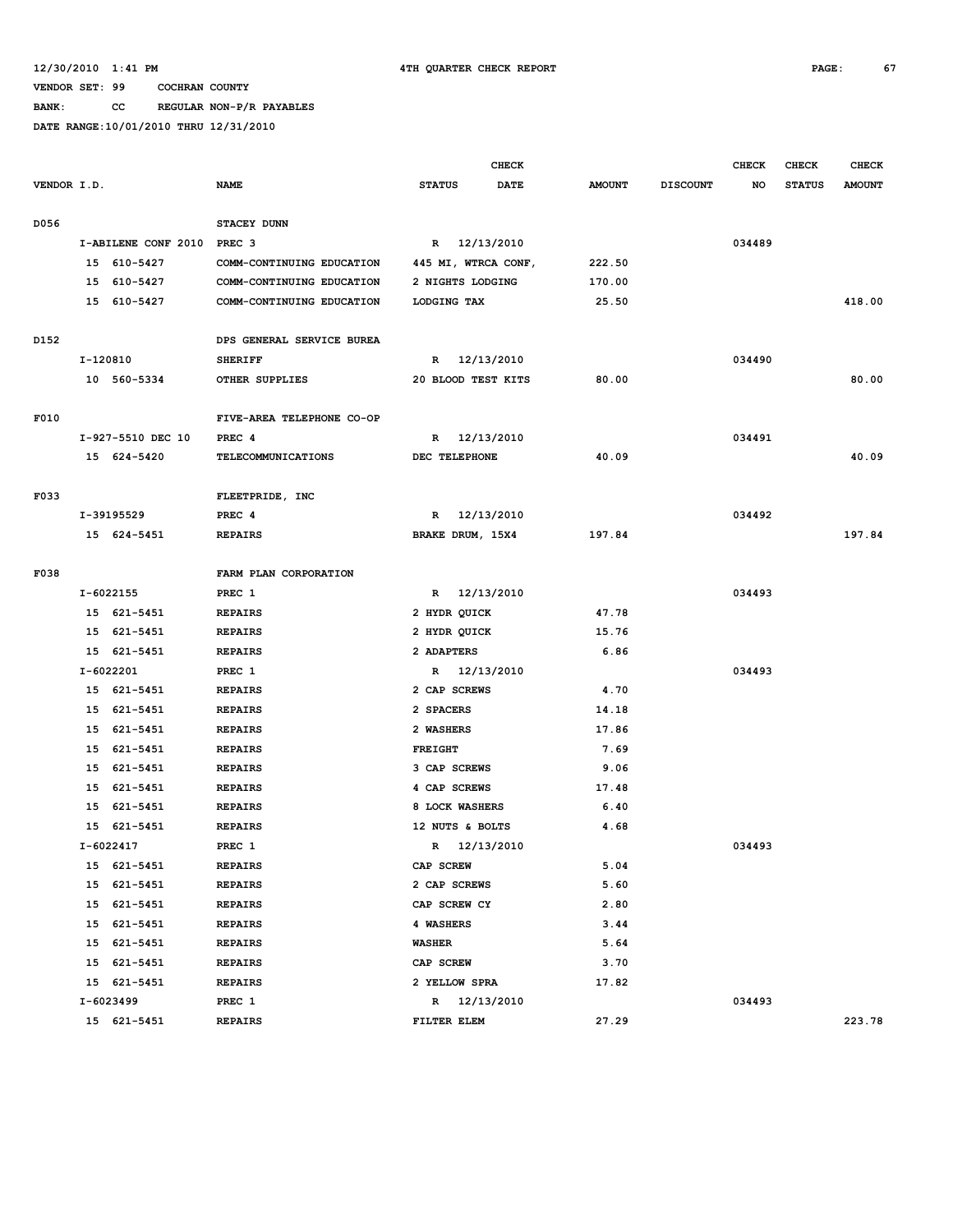**BANK: CC REGULAR NON-P/R PAYABLES**

|             |          |                     |                           |                     | <b>CHECK</b> |               |                 | <b>CHECK</b> | <b>CHECK</b>  | <b>CHECK</b>  |
|-------------|----------|---------------------|---------------------------|---------------------|--------------|---------------|-----------------|--------------|---------------|---------------|
| VENDOR I.D. |          |                     | <b>NAME</b>               | <b>STATUS</b>       | DATE         | <b>AMOUNT</b> | <b>DISCOUNT</b> | NO           | <b>STATUS</b> | <b>AMOUNT</b> |
|             |          |                     |                           |                     |              |               |                 |              |               |               |
| D056        |          |                     | STACEY DUNN               |                     |              |               |                 |              |               |               |
|             |          | I-ABILENE CONF 2010 | PREC <sub>3</sub>         | R 12/13/2010        |              |               |                 | 034489       |               |               |
|             |          | 15 610-5427         | COMM-CONTINUING EDUCATION | 445 MI, WTRCA CONF, |              | 222.50        |                 |              |               |               |
|             | 15       | 610-5427            | COMM-CONTINUING EDUCATION | 2 NIGHTS LODGING    |              | 170.00        |                 |              |               |               |
|             |          | 15 610-5427         | COMM-CONTINUING EDUCATION | LODGING TAX         |              | 25.50         |                 |              |               | 418.00        |
|             |          |                     |                           |                     |              |               |                 |              |               |               |
| D152        |          |                     | DPS GENERAL SERVICE BUREA |                     |              |               |                 |              |               |               |
|             | I-120810 |                     | <b>SHERIFF</b>            | R 12/13/2010        |              |               |                 | 034490       |               |               |
|             |          | 10 560-5334         | OTHER SUPPLIES            | 20 BLOOD TEST KITS  |              | 80.00         |                 |              |               | 80.00         |
|             |          |                     |                           |                     |              |               |                 |              |               |               |
| F010        |          |                     | FIVE-AREA TELEPHONE CO-OP |                     |              |               |                 |              |               |               |
|             |          | I-927-5510 DEC 10   | PREC <sub>4</sub>         | R                   | 12/13/2010   |               |                 | 034491       |               |               |
|             |          | 15 624-5420         | <b>TELECOMMUNICATIONS</b> | DEC TELEPHONE       |              | 40.09         |                 |              |               | 40.09         |
|             |          |                     |                           |                     |              |               |                 |              |               |               |
| F033        |          |                     | FLEETPRIDE, INC           |                     |              |               |                 |              |               |               |
|             |          | I-39195529          | PREC <sub>4</sub>         | R                   | 12/13/2010   |               |                 | 034492       |               |               |
|             |          | 15 624-5451         | <b>REPAIRS</b>            | BRAKE DRUM, 15X4    |              | 197.84        |                 |              |               | 197.84        |
|             |          |                     |                           |                     |              |               |                 |              |               |               |
| F038        |          |                     | FARM PLAN CORPORATION     |                     |              |               |                 |              |               |               |
|             |          | I-6022155           | PREC 1                    | R 12/13/2010        |              |               |                 | 034493       |               |               |
|             |          | 15 621-5451         | <b>REPAIRS</b>            | 2 HYDR QUICK        |              | 47.78         |                 |              |               |               |
|             | 15       | 621-5451            | <b>REPAIRS</b>            | 2 HYDR QUICK        |              | 15.76         |                 |              |               |               |
|             |          | 15 621-5451         | <b>REPAIRS</b>            | 2 ADAPTERS          |              | 6.86          |                 |              |               |               |
|             |          | I-6022201           | PREC 1                    | 12/13/2010<br>R     |              |               |                 | 034493       |               |               |
|             |          | 15 621-5451         | <b>REPAIRS</b>            | 2 CAP SCREWS        |              | 4.70          |                 |              |               |               |
|             |          | 15 621-5451         | <b>REPAIRS</b>            | 2 SPACERS           |              | 14.18         |                 |              |               |               |
|             | 15       | 621-5451            | <b>REPAIRS</b>            | 2 WASHERS           |              | 17.86         |                 |              |               |               |
|             | 15       | 621-5451            | <b>REPAIRS</b>            | <b>FREIGHT</b>      |              | 7.69          |                 |              |               |               |
|             | 15       | 621-5451            | <b>REPAIRS</b>            | 3 CAP SCREWS        |              | 9.06          |                 |              |               |               |
|             | 15       | 621-5451            | <b>REPAIRS</b>            | 4 CAP SCREWS        |              | 17.48         |                 |              |               |               |
|             | 15       | 621-5451            | <b>REPAIRS</b>            | 8 LOCK WASHERS      |              | 6.40          |                 |              |               |               |
|             |          | 15 621-5451         | <b>REPAIRS</b>            | 12 NUTS & BOLTS     |              | 4.68          |                 |              |               |               |
|             |          | I-6022417           | PREC 1                    | R 12/13/2010        |              |               |                 | 034493       |               |               |
|             |          | 15 621-5451         | <b>REPAIRS</b>            | CAP SCREW           |              | 5.04          |                 |              |               |               |
|             |          | 15 621-5451         | <b>REPAIRS</b>            | 2 CAP SCREWS        |              | 5.60          |                 |              |               |               |
|             |          | 15 621-5451         | <b>REPAIRS</b>            | CAP SCREW CY        |              | 2.80          |                 |              |               |               |
|             |          | 15 621-5451         | <b>REPAIRS</b>            | 4 WASHERS           |              | 3.44          |                 |              |               |               |
|             |          | 15 621-5451         | <b>REPAIRS</b>            | WASHER              |              | 5.64          |                 |              |               |               |
|             |          | 15 621-5451         | <b>REPAIRS</b>            | CAP SCREW           |              | 3.70          |                 |              |               |               |
|             |          | 15 621-5451         | <b>REPAIRS</b>            | 2 YELLOW SPRA       |              | 17.82         |                 |              |               |               |
|             |          | I-6023499           | PREC 1                    | R 12/13/2010        |              |               |                 | 034493       |               |               |
|             |          | 15 621-5451         | <b>REPAIRS</b>            | FILTER ELEM         |              | 27.29         |                 |              |               | 223.78        |
|             |          |                     |                           |                     |              |               |                 |              |               |               |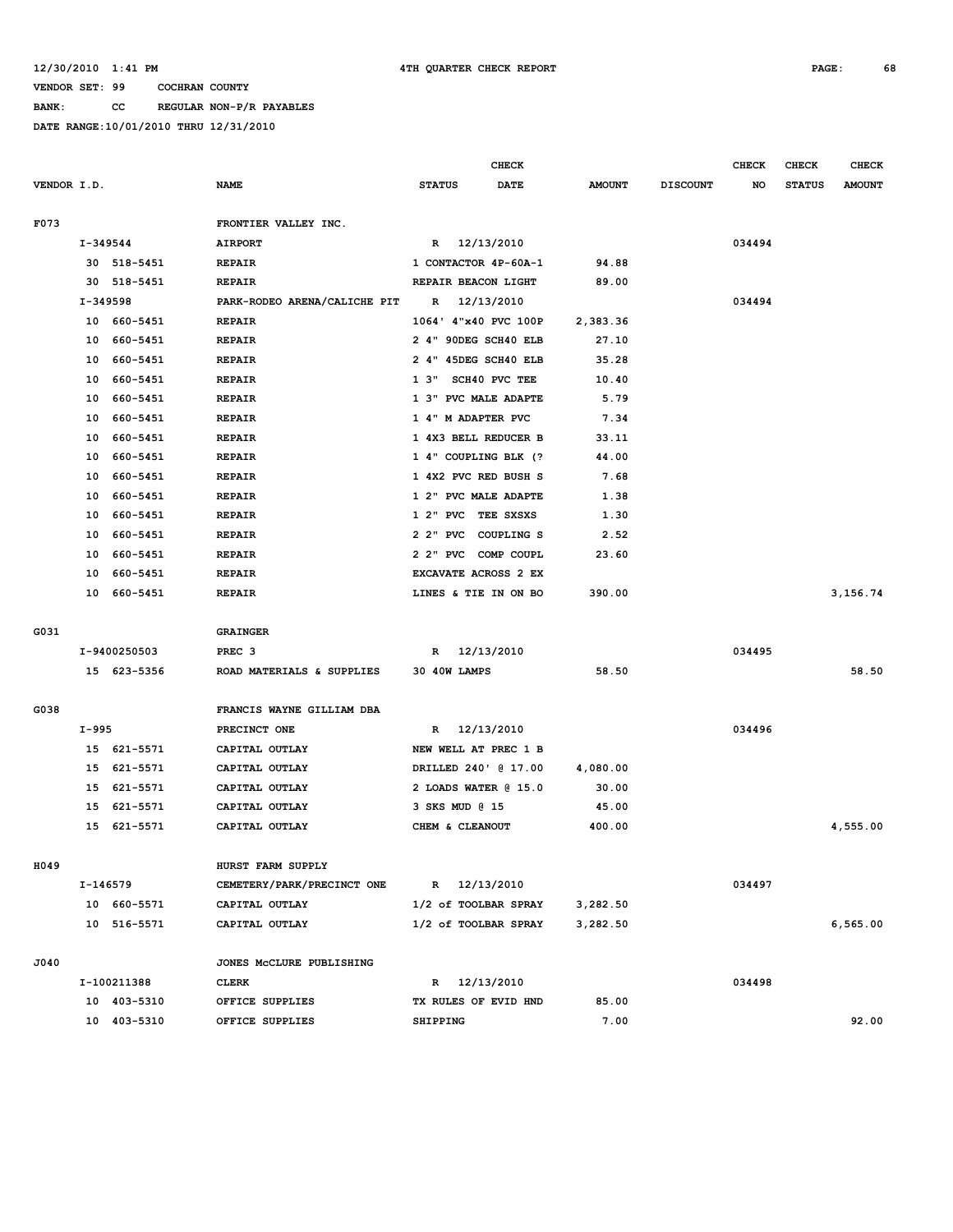**BANK: CC REGULAR NON-P/R PAYABLES**

|             |            |              |                                        |                      | <b>CHECK</b>      |               |                 | <b>CHECK</b> | CHECK         | <b>CHECK</b>  |
|-------------|------------|--------------|----------------------------------------|----------------------|-------------------|---------------|-----------------|--------------|---------------|---------------|
| VENDOR I.D. |            |              | <b>NAME</b>                            | <b>STATUS</b>        | <b>DATE</b>       | <b>AMOUNT</b> | <b>DISCOUNT</b> | NO           | <b>STATUS</b> | <b>AMOUNT</b> |
|             |            |              |                                        |                      |                   |               |                 |              |               |               |
| F073        |            |              | FRONTIER VALLEY INC.<br><b>AIRPORT</b> |                      |                   |               |                 |              |               |               |
|             | $I-349544$ |              |                                        | R 12/13/2010         |                   |               |                 | 034494       |               |               |
|             |            | 30 518-5451  | <b>REPAIR</b>                          | 1 CONTACTOR 4P-60A-1 |                   | 94.88         |                 |              |               |               |
|             | 30         | 518-5451     | <b>REPAIR</b>                          | REPAIR BEACON LIGHT  |                   | 89.00         |                 |              |               |               |
|             | I-349598   |              | PARK-RODEO ARENA/CALICHE PIT           | $\mathbf R$          | 12/13/2010        |               |                 | 034494       |               |               |
|             |            | 10 660-5451  | <b>REPAIR</b>                          | 1064' 4"x40 PVC 100P |                   | 2,383.36      |                 |              |               |               |
|             | 10         | 660-5451     | <b>REPAIR</b>                          | 2 4" 90DEG SCH40 ELB |                   | 27.10         |                 |              |               |               |
|             | 10         | 660-5451     | <b>REPAIR</b>                          | 2 4" 45DEG SCH40 ELB |                   | 35.28         |                 |              |               |               |
|             | 10         | 660-5451     | <b>REPAIR</b>                          | $1 \, 3"$            | SCH40 PVC TEE     | 10.40         |                 |              |               |               |
|             | 10         | 660-5451     | <b>REPAIR</b>                          | 1 3" PVC MALE ADAPTE |                   | 5.79          |                 |              |               |               |
|             | 10         | 660-5451     | <b>REPAIR</b>                          | 1 4" M ADAPTER PVC   |                   | 7.34          |                 |              |               |               |
|             | 10         | 660-5451     | <b>REPAIR</b>                          | 1 4X3 BELL REDUCER B |                   | 33.11         |                 |              |               |               |
|             | 10         | 660-5451     | <b>REPAIR</b>                          | 1 4" COUPLING BLK (? |                   | 44.00         |                 |              |               |               |
|             | 10         | 660-5451     | <b>REPAIR</b>                          | 1 4X2 PVC RED BUSH S |                   | 7.68          |                 |              |               |               |
|             | 10         | 660-5451     | <b>REPAIR</b>                          | 1 2" PVC MALE ADAPTE |                   | 1.38          |                 |              |               |               |
|             | 10         | 660-5451     | <b>REPAIR</b>                          | 1 2" PVC             | TEE SXSXS         | 1.30          |                 |              |               |               |
|             | 10         | 660-5451     | <b>REPAIR</b>                          | 2 2" PVC             | <b>COUPLING S</b> | 2.52          |                 |              |               |               |
|             | 10         | 660-5451     | <b>REPAIR</b>                          | 2 2" PVC COMP COUPL  |                   | 23.60         |                 |              |               |               |
|             | 10         | 660-5451     | <b>REPAIR</b>                          | EXCAVATE ACROSS 2 EX |                   |               |                 |              |               |               |
|             | 10         | 660-5451     | <b>REPAIR</b>                          | LINES & TIE IN ON BO |                   | 390.00        |                 |              |               | 3,156.74      |
|             |            |              |                                        |                      |                   |               |                 |              |               |               |
| G031        |            |              | <b>GRAINGER</b>                        |                      |                   |               |                 |              |               |               |
|             |            | I-9400250503 | PREC <sub>3</sub>                      | $\mathbb{R}$         | 12/13/2010        |               |                 | 034495       |               |               |
|             |            | 15 623-5356  | ROAD MATERIALS & SUPPLIES              | 30 40W LAMPS         |                   | 58.50         |                 |              |               | 58.50         |
| G038        |            |              | FRANCIS WAYNE GILLIAM DBA              |                      |                   |               |                 |              |               |               |
|             | I-995      |              | PRECINCT ONE                           | R                    | 12/13/2010        |               |                 | 034496       |               |               |
|             | 15         | 621-5571     | CAPITAL OUTLAY                         | NEW WELL AT PREC 1 B |                   |               |                 |              |               |               |
|             | 15         | 621-5571     | CAPITAL OUTLAY                         | DRILLED 240' @ 17.00 |                   | 4,080.00      |                 |              |               |               |
|             | 15         | 621-5571     | CAPITAL OUTLAY                         | 2 LOADS WATER @ 15.0 |                   | 30.00         |                 |              |               |               |
|             | 15         | 621-5571     | CAPITAL OUTLAY                         | 3 SKS MUD @ 15       |                   | 45.00         |                 |              |               |               |
|             | 15         |              | CAPITAL OUTLAY                         | CHEM & CLEANOUT      |                   | 400.00        |                 |              |               | 4,555.00      |
|             |            | 621-5571     |                                        |                      |                   |               |                 |              |               |               |
| H049        |            |              | HURST FARM SUPPLY                      |                      |                   |               |                 |              |               |               |
|             | I-146579   |              | CEMETERY/PARK/PRECINCT ONE             | R 12/13/2010         |                   |               |                 | 034497       |               |               |
|             |            | 10 660-5571  | CAPITAL OUTLAY                         | 1/2 of TOOLBAR SPRAY |                   | 3,282.50      |                 |              |               |               |
|             |            | 10 516-5571  | CAPITAL OUTLAY                         | 1/2 of TOOLBAR SPRAY |                   | 3,282.50      |                 |              |               | 6,565.00      |
|             |            |              |                                        |                      |                   |               |                 |              |               |               |
| J040        |            |              | JONES MCCLURE PUBLISHING               |                      |                   |               |                 |              |               |               |
|             |            | I-100211388  | <b>CLERK</b>                           | R 12/13/2010         |                   |               |                 | 034498       |               |               |
|             |            | 10 403-5310  | OFFICE SUPPLIES                        | TX RULES OF EVID HND |                   | 85.00         |                 |              |               |               |
|             |            | 10 403-5310  | OFFICE SUPPLIES                        | SHIPPING             |                   | 7.00          |                 |              |               | 92.00         |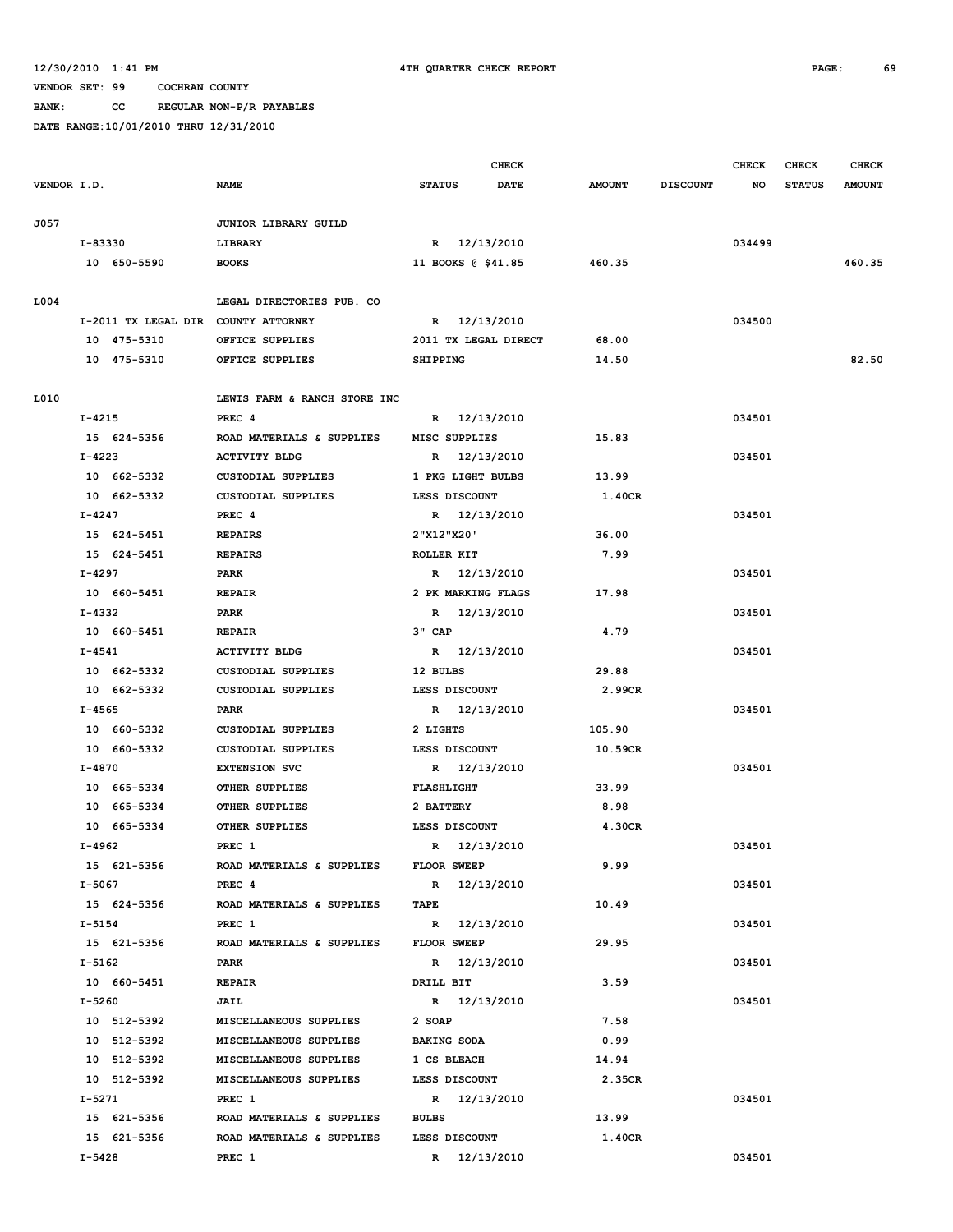**BANK: CC REGULAR NON-P/R PAYABLES**

|             |                                     |                              |                      | <b>CHECK</b> |               |                 | <b>CHECK</b> | CHECK         | <b>CHECK</b>  |
|-------------|-------------------------------------|------------------------------|----------------------|--------------|---------------|-----------------|--------------|---------------|---------------|
| VENDOR I.D. |                                     | <b>NAME</b>                  | <b>STATUS</b>        | <b>DATE</b>  | <b>AMOUNT</b> | <b>DISCOUNT</b> | NO           | <b>STATUS</b> | <b>AMOUNT</b> |
| J057        |                                     | JUNIOR LIBRARY GUILD         |                      |              |               |                 |              |               |               |
|             | I-83330                             | LIBRARY                      | R 12/13/2010         |              |               |                 | 034499       |               |               |
|             | 10 650-5590                         | <b>BOOKS</b>                 | 11 BOOKS @ \$41.85   |              | 460.35        |                 |              |               | 460.35        |
|             |                                     |                              |                      |              |               |                 |              |               |               |
| L004        |                                     | LEGAL DIRECTORIES PUB. CO    |                      |              |               |                 |              |               |               |
|             | I-2011 TX LEGAL DIR COUNTY ATTORNEY |                              | R 12/13/2010         |              |               |                 | 034500       |               |               |
|             | 10 475-5310                         | OFFICE SUPPLIES              | 2011 TX LEGAL DIRECT |              | 68.00         |                 |              |               |               |
|             | 10 475-5310                         | OFFICE SUPPLIES              | SHIPPING             |              | 14.50         |                 |              |               | 82.50         |
| L010        |                                     | LEWIS FARM & RANCH STORE INC |                      |              |               |                 |              |               |               |
|             | I-4215                              | PREC <sub>4</sub>            | R 12/13/2010         |              |               |                 | 034501       |               |               |
|             | 15 624-5356                         | ROAD MATERIALS & SUPPLIES    | MISC SUPPLIES        |              | 15.83         |                 |              |               |               |
|             | $I - 4223$                          | <b>ACTIVITY BLDG</b>         | R 12/13/2010         |              |               |                 | 034501       |               |               |
|             | 10 662-5332                         | <b>CUSTODIAL SUPPLIES</b>    | 1 PKG LIGHT BULBS    |              | 13.99         |                 |              |               |               |
|             | 10 662-5332                         | <b>CUSTODIAL SUPPLIES</b>    | LESS DISCOUNT        |              | 1.40CR        |                 |              |               |               |
|             | $I - 4247$                          | PREC <sub>4</sub>            | R 12/13/2010         |              |               |                 | 034501       |               |               |
|             | 15 624-5451                         | <b>REPAIRS</b>               | 2"X12"X20'           |              | 36.00         |                 |              |               |               |
|             | 15 624-5451                         | <b>REPAIRS</b>               | ROLLER KIT           |              | 7.99          |                 |              |               |               |
|             | $I - 4297$                          | PARK                         | R 12/13/2010         |              |               |                 | 034501       |               |               |
|             | 10 660-5451                         | <b>REPAIR</b>                | 2 PK MARKING FLAGS   |              | 17.98         |                 |              |               |               |
|             | I-4332                              | PARK                         | R 12/13/2010         |              |               |                 | 034501       |               |               |
|             | 10 660-5451                         | <b>REPAIR</b>                | 3" CAP               |              | 4.79          |                 |              |               |               |
|             | I-4541                              | <b>ACTIVITY BLDG</b>         | R 12/13/2010         |              |               |                 | 034501       |               |               |
|             | 10 662-5332                         | CUSTODIAL SUPPLIES           | 12 BULBS             |              | 29.88         |                 |              |               |               |
|             | 10 662-5332                         | <b>CUSTODIAL SUPPLIES</b>    | LESS DISCOUNT        |              | 2.99CR        |                 |              |               |               |
|             | I-4565                              | PARK                         | R 12/13/2010         |              |               |                 | 034501       |               |               |
|             | 10 660-5332                         | <b>CUSTODIAL SUPPLIES</b>    | 2 LIGHTS             |              | 105.90        |                 |              |               |               |
|             | 10 660-5332                         | <b>CUSTODIAL SUPPLIES</b>    | LESS DISCOUNT        |              | 10.59CR       |                 |              |               |               |
|             | I-4870                              | <b>EXTENSION SVC</b>         | R 12/13/2010         |              |               |                 | 034501       |               |               |
|             | 10 665-5334                         | OTHER SUPPLIES               | <b>FLASHLIGHT</b>    |              | 33.99         |                 |              |               |               |
|             | 10 665-5334                         | OTHER SUPPLIES               | 2 BATTERY            |              | 8.98          |                 |              |               |               |
|             | 10 665-5334                         | OTHER SUPPLIES               | LESS DISCOUNT        |              | 4.30CR        |                 |              |               |               |
|             | I-4962                              | PREC 1                       | R 12/13/2010         |              |               |                 | 034501       |               |               |
|             | 15 621-5356                         | ROAD MATERIALS & SUPPLIES    | <b>FLOOR SWEEP</b>   |              | 9.99          |                 |              |               |               |
|             | I-5067                              | PREC 4                       | R 12/13/2010         |              |               |                 | 034501       |               |               |
|             | 15 624-5356                         | ROAD MATERIALS & SUPPLIES    | TAPE                 |              | 10.49         |                 |              |               |               |
|             | $I - 5154$                          | PREC 1                       | R 12/13/2010         |              |               |                 | 034501       |               |               |
|             | 15 621-5356                         | ROAD MATERIALS & SUPPLIES    | <b>FLOOR SWEEP</b>   |              | 29.95         |                 |              |               |               |
|             | I-5162                              | PARK                         | R 12/13/2010         |              |               |                 | 034501       |               |               |
|             | 10 660-5451                         | <b>REPAIR</b>                | DRILL BIT            |              | 3.59          |                 |              |               |               |
|             | $I - 5260$                          | JAIL                         | R 12/13/2010         |              |               |                 | 034501       |               |               |
|             | 10 512-5392                         | MISCELLANEOUS SUPPLIES       | 2 SOAP               |              | 7.58          |                 |              |               |               |
|             | 10 512-5392                         | MISCELLANEOUS SUPPLIES       | <b>BAKING SODA</b>   |              | 0.99          |                 |              |               |               |
|             | 10 512-5392                         | MISCELLANEOUS SUPPLIES       | 1 CS BLEACH          |              | 14.94         |                 |              |               |               |
|             | 10 512-5392                         | MISCELLANEOUS SUPPLIES       | LESS DISCOUNT        |              | 2.35CR        |                 |              |               |               |
|             | I-5271                              | PREC 1                       | R 12/13/2010         |              |               |                 | 034501       |               |               |
|             | 15 621-5356                         | ROAD MATERIALS & SUPPLIES    | <b>BULBS</b>         |              | 13.99         |                 |              |               |               |
|             | 15 621-5356                         | ROAD MATERIALS & SUPPLIES    | LESS DISCOUNT        |              | 1.40CR        |                 |              |               |               |
|             | I-5428                              | PREC 1                       | R 12/13/2010         |              |               |                 | 034501       |               |               |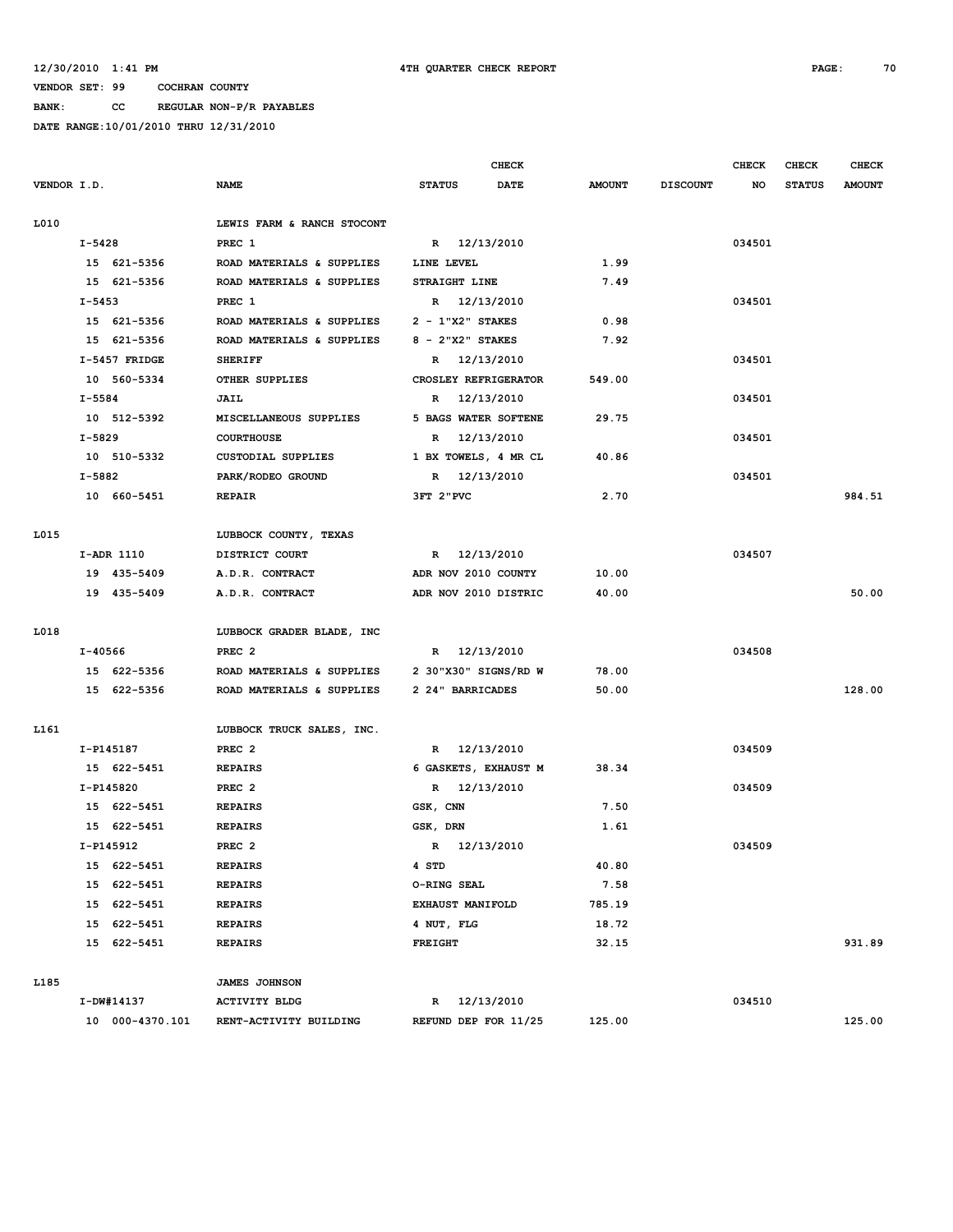**BANK: CC REGULAR NON-P/R PAYABLES**

|             |            |                 |                            |                    | <b>CHECK</b>         |               |                 | <b>CHECK</b> | CHECK         | <b>CHECK</b>  |
|-------------|------------|-----------------|----------------------------|--------------------|----------------------|---------------|-----------------|--------------|---------------|---------------|
| VENDOR I.D. |            |                 | <b>NAME</b>                | <b>STATUS</b>      | <b>DATE</b>          | <b>AMOUNT</b> | <b>DISCOUNT</b> | NO           | <b>STATUS</b> | <b>AMOUNT</b> |
|             |            |                 |                            |                    |                      |               |                 |              |               |               |
| L010        |            |                 | LEWIS FARM & RANCH STOCONT |                    |                      |               |                 |              |               |               |
|             | I-5428     |                 | PREC 1                     |                    | R 12/13/2010         |               |                 | 034501       |               |               |
|             |            | 15 621-5356     | ROAD MATERIALS & SUPPLIES  | LINE LEVEL         |                      | 1.99          |                 |              |               |               |
|             |            | 15 621-5356     | ROAD MATERIALS & SUPPLIES  | STRAIGHT LINE      |                      | 7.49          |                 |              |               |               |
|             | $I - 5453$ |                 | PREC 1                     |                    | R 12/13/2010         |               |                 | 034501       |               |               |
|             |            | 15 621-5356     | ROAD MATERIALS & SUPPLIES  | $2 - 1"X2"$ STAKES |                      | 0.98          |                 |              |               |               |
|             |            | 15 621-5356     | ROAD MATERIALS & SUPPLIES  | $8 - 2"X2"$ STAKES |                      | 7.92          |                 |              |               |               |
|             |            | I-5457 FRIDGE   | <b>SHERIFF</b>             |                    | R 12/13/2010         |               |                 | 034501       |               |               |
|             |            | 10 560-5334     | OTHER SUPPLIES             |                    | CROSLEY REFRIGERATOR | 549.00        |                 |              |               |               |
|             | $I - 5584$ |                 | JAIL                       |                    | R 12/13/2010         |               |                 | 034501       |               |               |
|             |            | 10 512-5392     | MISCELLANEOUS SUPPLIES     |                    | 5 BAGS WATER SOFTENE | 29.75         |                 |              |               |               |
|             | I-5829     |                 | <b>COURTHOUSE</b>          | R                  | 12/13/2010           |               |                 | 034501       |               |               |
|             |            | 10 510-5332     | CUSTODIAL SUPPLIES         |                    | 1 BX TOWELS, 4 MR CL | 40.86         |                 |              |               |               |
|             | I-5882     |                 | PARK/RODEO GROUND          |                    | R 12/13/2010         |               |                 | 034501       |               |               |
|             |            | 10 660-5451     | <b>REPAIR</b>              | 3FT 2"PVC          |                      | 2.70          |                 |              |               | 984.51        |
|             |            |                 |                            |                    |                      |               |                 |              |               |               |
| L015        |            |                 | LUBBOCK COUNTY, TEXAS      |                    |                      |               |                 |              |               |               |
|             | I-ADR 1110 |                 | DISTRICT COURT             |                    | R 12/13/2010         |               |                 | 034507       |               |               |
|             |            | 19 435-5409     | A.D.R. CONTRACT            |                    | ADR NOV 2010 COUNTY  | 10.00         |                 |              |               |               |
|             |            | 19 435-5409     | A.D.R. CONTRACT            |                    | ADR NOV 2010 DISTRIC | 40.00         |                 |              |               | 50.00         |
|             |            |                 |                            |                    |                      |               |                 |              |               |               |
| L018        |            |                 | LUBBOCK GRADER BLADE, INC  |                    |                      |               |                 |              |               |               |
|             | I-40566    |                 | PREC <sub>2</sub>          |                    | R 12/13/2010         |               |                 | 034508       |               |               |
|             |            | 15 622-5356     | ROAD MATERIALS & SUPPLIES  |                    | 2 30"X30" SIGNS/RD W | 78.00         |                 |              |               |               |
|             |            | 15 622-5356     | ROAD MATERIALS & SUPPLIES  | 2 24" BARRICADES   |                      | 50.00         |                 |              |               | 128.00        |
|             |            |                 |                            |                    |                      |               |                 |              |               |               |
| L161        |            |                 | LUBBOCK TRUCK SALES, INC.  |                    |                      |               |                 |              |               |               |
|             | I-P145187  |                 | PREC <sub>2</sub>          |                    | R 12/13/2010         |               |                 | 034509       |               |               |
|             |            | 15 622-5451     | <b>REPAIRS</b>             |                    | 6 GASKETS, EXHAUST M | 38.34         |                 |              |               |               |
|             | I-P145820  |                 | PREC <sub>2</sub>          |                    | R 12/13/2010         |               |                 | 034509       |               |               |
|             |            | 15 622-5451     | <b>REPAIRS</b>             | GSK, CNN           |                      | 7.50          |                 |              |               |               |
|             |            | 15 622-5451     | <b>REPAIRS</b>             | GSK, DRN           |                      | 1.61          |                 |              |               |               |
|             | I-P145912  |                 | PREC <sub>2</sub>          |                    | R 12/13/2010         |               |                 | 034509       |               |               |
|             |            | 15 622-5451     | <b>REPAIRS</b>             | 4 STD              |                      | 40.80         |                 |              |               |               |
|             |            | 15 622-5451     | <b>REPAIRS</b>             | O-RING SEAL        |                      | 7.58          |                 |              |               |               |
|             |            | 15 622-5451     | <b>REPAIRS</b>             | EXHAUST MANIFOLD   |                      | 785.19        |                 |              |               |               |
|             |            | 15 622-5451     | <b>REPAIRS</b>             | 4 NUT, FLG         |                      | 18.72         |                 |              |               |               |
|             |            | 15 622-5451     | <b>REPAIRS</b>             | <b>FREIGHT</b>     |                      | 32.15         |                 |              |               | 931.89        |
|             |            |                 |                            |                    |                      |               |                 |              |               |               |
| L185        |            |                 | <b>JAMES JOHNSON</b>       |                    |                      |               |                 |              |               |               |
|             | I-DW#14137 |                 | <b>ACTIVITY BLDG</b>       |                    | R 12/13/2010         |               |                 | 034510       |               |               |
|             |            | 10 000-4370.101 | RENT-ACTIVITY BUILDING     |                    | REFUND DEP FOR 11/25 | 125.00        |                 |              |               | 125.00        |
|             |            |                 |                            |                    |                      |               |                 |              |               |               |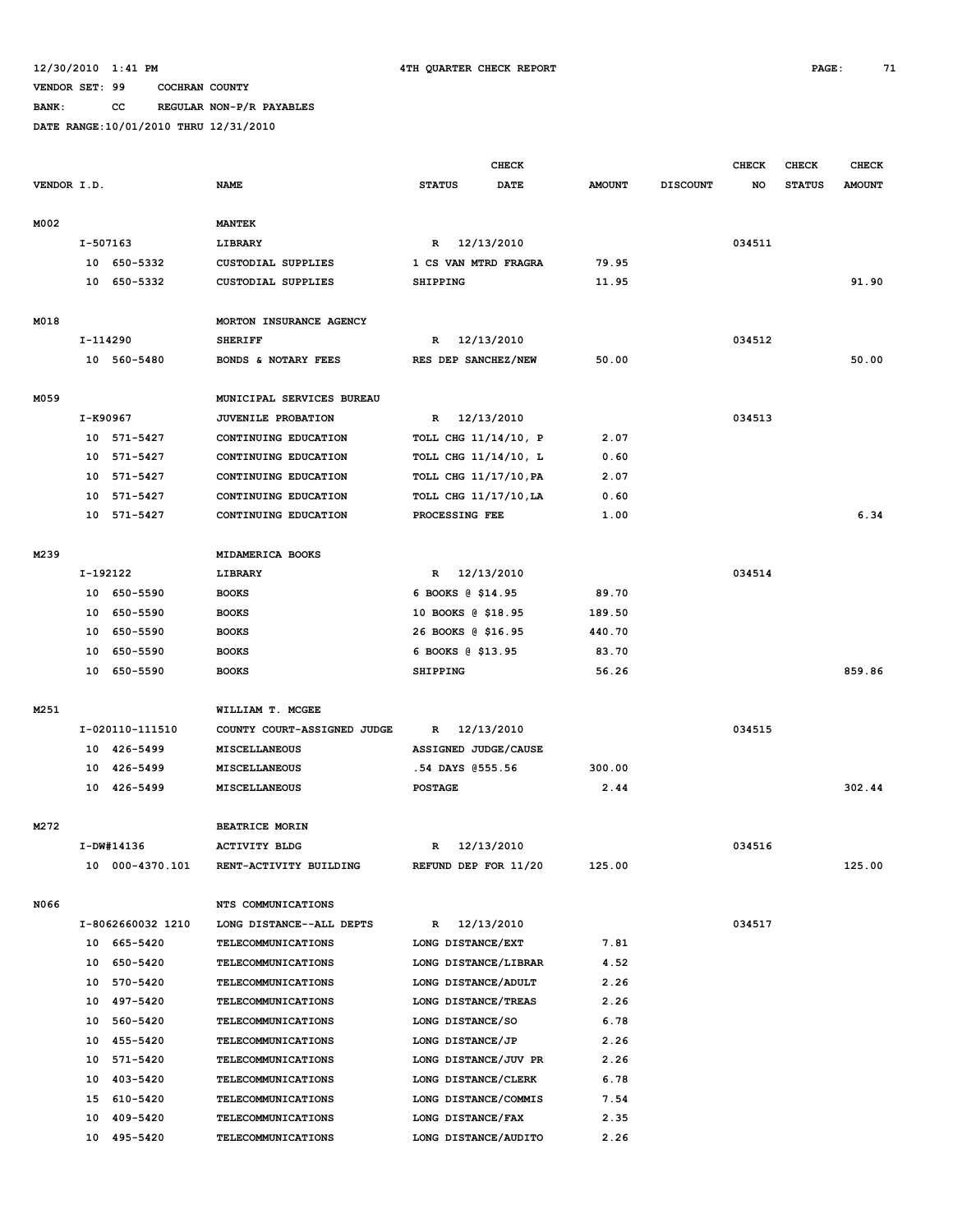**BANK: CC REGULAR NON-P/R PAYABLES**

|             |                  |                            |                                          | <b>CHECK</b>                                |                      |               | <b>CHECK</b><br><b>CHECK</b> |        |               | <b>CHECK</b>  |
|-------------|------------------|----------------------------|------------------------------------------|---------------------------------------------|----------------------|---------------|------------------------------|--------|---------------|---------------|
| VENDOR I.D. |                  |                            | <b>NAME</b>                              | <b>STATUS</b>                               | DATE                 | <b>AMOUNT</b> | <b>DISCOUNT</b>              | NO     | <b>STATUS</b> | <b>AMOUNT</b> |
|             |                  |                            |                                          |                                             |                      |               |                              |        |               |               |
| M002        |                  |                            | <b>MANTEK</b>                            |                                             |                      |               |                              |        |               |               |
|             | I-507163         |                            | LIBRARY                                  | R                                           | 12/13/2010           |               |                              | 034511 |               |               |
|             |                  | 10 650-5332                | <b>CUSTODIAL SUPPLIES</b>                | 1 CS VAN MTRD FRAGRA                        |                      | 79.95         |                              |        |               |               |
|             |                  | 10 650-5332                | <b>CUSTODIAL SUPPLIES</b>                | <b>SHIPPING</b>                             |                      | 11.95         |                              |        |               | 91.90         |
|             |                  |                            |                                          |                                             |                      |               |                              |        |               |               |
| M018        |                  | MORTON INSURANCE AGENCY    |                                          |                                             |                      |               |                              |        |               |               |
|             | I-114290         |                            | <b>SHERIFF</b>                           | R                                           | 12/13/2010           |               |                              | 034512 |               |               |
|             |                  | 10 560-5480                | BONDS & NOTARY FEES                      | RES DEP SANCHEZ/NEW                         |                      | 50.00         |                              |        |               | 50.00         |
|             |                  |                            |                                          |                                             |                      |               |                              |        |               |               |
| M059        |                  |                            | MUNICIPAL SERVICES BUREAU                |                                             |                      |               |                              |        |               |               |
|             | I-K90967         |                            | <b>JUVENILE PROBATION</b>                | R                                           | 12/13/2010           |               |                              | 034513 |               |               |
|             |                  | 10 571-5427                | CONTINUING EDUCATION                     | TOLL CHG 11/14/10, P                        |                      | 2.07          |                              |        |               |               |
|             |                  | 10 571-5427                | CONTINUING EDUCATION                     | TOLL CHG 11/14/10, L                        |                      | 0.60          |                              |        |               |               |
|             |                  | 10 571-5427                | CONTINUING EDUCATION                     | TOLL CHG 11/17/10, PA                       |                      | 2.07          |                              |        |               |               |
|             |                  | 10 571-5427                | CONTINUING EDUCATION                     | TOLL CHG 11/17/10, LA                       |                      | 0.60          |                              |        |               |               |
|             |                  | 10 571-5427                | CONTINUING EDUCATION                     | PROCESSING FEE                              |                      | 1.00          |                              |        |               | 6.34          |
|             |                  |                            |                                          |                                             |                      |               |                              |        |               |               |
| M239        | MIDAMERICA BOOKS |                            |                                          |                                             |                      |               |                              |        |               |               |
|             | I-192122         |                            | LIBRARY                                  | R                                           | 12/13/2010           |               |                              | 034514 |               |               |
|             |                  | 10 650-5590                | <b>BOOKS</b>                             | 6 BOOKS @ \$14.95                           |                      | 89.70         |                              |        |               |               |
|             |                  | 10 650-5590                | <b>BOOKS</b>                             | 10 BOOKS @ \$18.95                          |                      | 189.50        |                              |        |               |               |
|             |                  | 10 650-5590                | <b>BOOKS</b>                             | 26 BOOKS @ \$16.95                          |                      | 440.70        |                              |        |               |               |
|             |                  | 10 650-5590                | <b>BOOKS</b>                             | 6 BOOKS @ \$13.95                           |                      | 83.70         |                              |        |               |               |
|             |                  | 10 650-5590                | <b>BOOKS</b>                             | <b>SHIPPING</b>                             |                      | 56.26         |                              |        |               | 859.86        |
|             |                  |                            |                                          |                                             |                      |               |                              |        |               |               |
| M251        |                  |                            | WILLIAM T. MCGEE                         |                                             |                      |               |                              |        |               |               |
|             |                  | I-020110-111510            | COUNTY COURT-ASSIGNED JUDGE              | R                                           | 12/13/2010           |               |                              | 034515 |               |               |
|             |                  | 10 426-5499                | MISCELLANEOUS                            | ASSIGNED JUDGE/CAUSE                        |                      |               |                              |        |               |               |
|             |                  | 10 426-5499                | <b>MISCELLANEOUS</b>                     | .54 DAYS @555.56                            |                      | 300.00        |                              |        |               |               |
|             |                  | 10 426-5499                | MISCELLANEOUS                            | <b>POSTAGE</b>                              |                      | 2.44          |                              |        |               | 302.44        |
|             |                  |                            |                                          |                                             |                      |               |                              |        |               |               |
| M272        |                  |                            | <b>BEATRICE MORIN</b>                    |                                             |                      |               |                              |        |               |               |
|             |                  | I-DW#14136                 | <b>ACTIVITY BLDG</b>                     | R                                           | 12/13/2010           |               |                              | 034516 |               |               |
|             |                  | 10 000-4370.101            | RENT-ACTIVITY BUILDING                   | REFUND DEP FOR 11/20                        |                      | 125.00        |                              |        |               | 125.00        |
|             |                  |                            |                                          |                                             |                      |               |                              |        |               |               |
| N066        |                  |                            | NTS COMMUNICATIONS                       |                                             |                      |               |                              |        |               |               |
|             |                  | I-8062660032 1210          | LONG DISTANCE--ALL DEPTS                 | R                                           | 12/13/2010           |               |                              | 034517 |               |               |
|             |                  | 10 665-5420                | <b>TELECOMMUNICATIONS</b>                | LONG DISTANCE/EXT                           |                      | 7.81          |                              |        |               |               |
|             |                  | 10 650-5420                | <b>TELECOMMUNICATIONS</b>                | LONG DISTANCE/LIBRAR                        |                      | 4.52          |                              |        |               |               |
|             |                  | 10 570-5420                | TELECOMMUNICATIONS                       | LONG DISTANCE/ADULT                         |                      | 2.26          |                              |        |               |               |
|             |                  | 10 497-5420                | <b>TELECOMMUNICATIONS</b>                | LONG DISTANCE/TREAS                         |                      | 2.26          |                              |        |               |               |
|             |                  | 10 560-5420                | <b>TELECOMMUNICATIONS</b>                | LONG DISTANCE/SO<br>LONG DISTANCE/JP        |                      | 6.78          |                              |        |               |               |
|             |                  | 10 455-5420                | TELECOMMUNICATIONS                       |                                             |                      | 2.26          |                              |        |               |               |
|             |                  | 10 571-5420                | <b>TELECOMMUNICATIONS</b>                |                                             | LONG DISTANCE/JUV PR | 2.26          |                              |        |               |               |
|             |                  | 10 403-5420<br>15 610-5420 | TELECOMMUNICATIONS<br>TELECOMMUNICATIONS | LONG DISTANCE/CLERK<br>LONG DISTANCE/COMMIS |                      | 6.78<br>7.54  |                              |        |               |               |
|             |                  | 10 409-5420                | <b>TELECOMMUNICATIONS</b>                | LONG DISTANCE/FAX                           |                      | 2.35          |                              |        |               |               |
|             |                  | 10 495-5420                | TELECOMMUNICATIONS                       | LONG DISTANCE/AUDITO                        |                      | 2.26          |                              |        |               |               |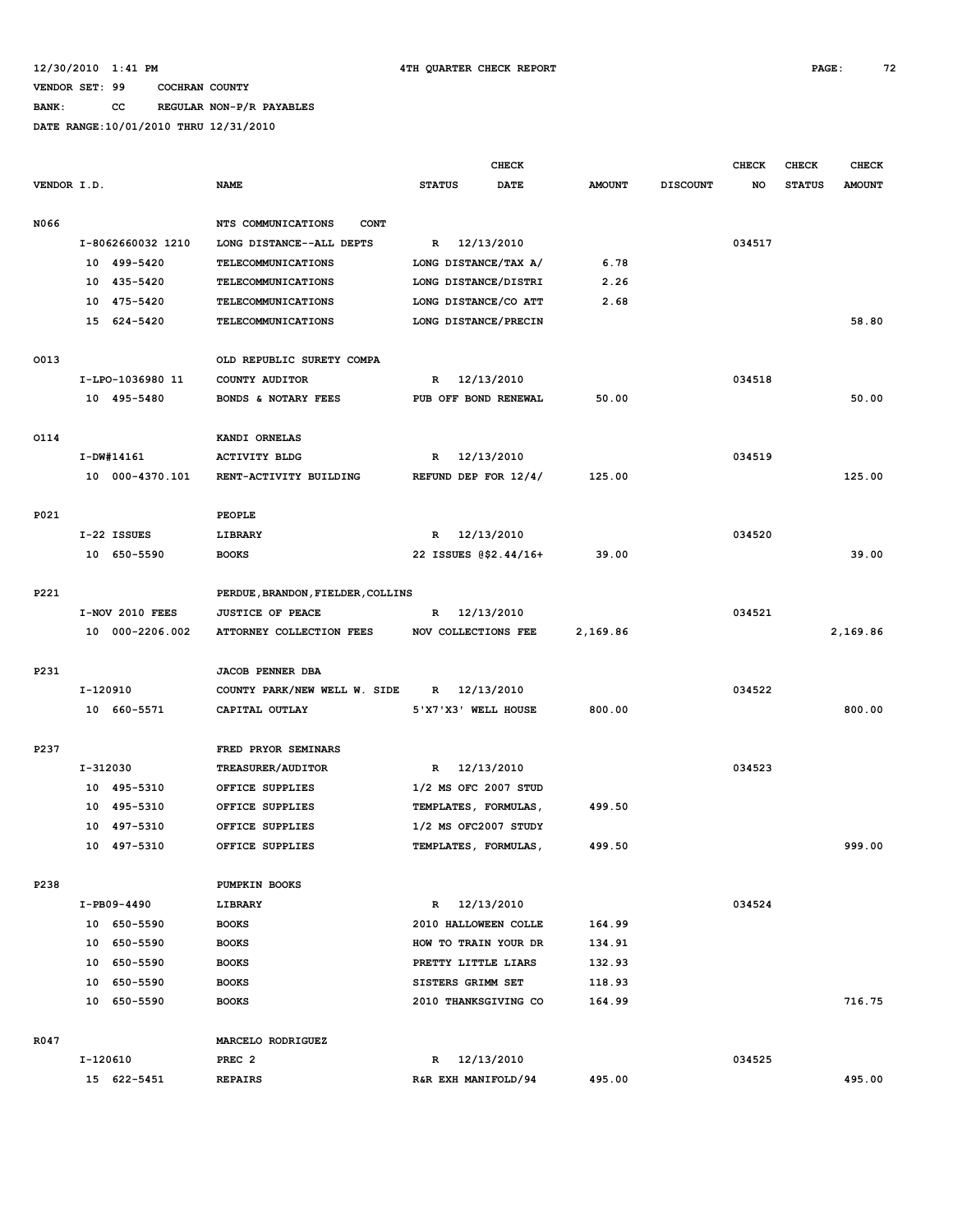# **BANK: CC REGULAR NON-P/R PAYABLES**

|             |          |                   |                                   |               |                     | <b>CHECK</b>          |               |                 | <b>CHECK</b> | <b>CHECK</b>  | <b>CHECK</b>  |
|-------------|----------|-------------------|-----------------------------------|---------------|---------------------|-----------------------|---------------|-----------------|--------------|---------------|---------------|
| VENDOR I.D. |          |                   | <b>NAME</b>                       | <b>STATUS</b> |                     | <b>DATE</b>           | <b>AMOUNT</b> | <b>DISCOUNT</b> | NO           | <b>STATUS</b> | <b>AMOUNT</b> |
|             |          |                   |                                   |               |                     |                       |               |                 |              |               |               |
| N066        |          |                   | NTS COMMUNICATIONS<br><b>CONT</b> |               |                     |                       |               |                 |              |               |               |
|             |          | I-8062660032 1210 | LONG DISTANCE--ALL DEPTS          | R             | 12/13/2010          |                       |               |                 | 034517       |               |               |
|             |          | 10 499-5420       | TELECOMMUNICATIONS                |               |                     | LONG DISTANCE/TAX A/  | 6.78          |                 |              |               |               |
|             |          | 10 435-5420       | TELECOMMUNICATIONS                |               |                     | LONG DISTANCE/DISTRI  | 2.26          |                 |              |               |               |
|             | 10       | 475-5420          | TELECOMMUNICATIONS                |               |                     | LONG DISTANCE/CO ATT  | 2.68          |                 |              |               |               |
|             |          | 15 624-5420       | <b>TELECOMMUNICATIONS</b>         |               |                     | LONG DISTANCE/PRECIN  |               |                 |              |               | 58.80         |
|             |          |                   |                                   |               |                     |                       |               |                 |              |               |               |
| 0013        |          |                   | OLD REPUBLIC SURETY COMPA         |               |                     |                       |               |                 |              |               |               |
|             |          | I-LPO-1036980 11  | COUNTY AUDITOR                    | R             | 12/13/2010          |                       |               |                 | 034518       |               |               |
|             |          | 10 495-5480       | BONDS & NOTARY FEES               |               |                     | PUB OFF BOND RENEWAL  | 50.00         |                 |              |               | 50.00         |
|             |          |                   |                                   |               |                     |                       |               |                 |              |               |               |
| 0114        |          |                   | KANDI ORNELAS                     |               |                     |                       |               |                 |              |               |               |
|             |          |                   |                                   |               |                     |                       |               |                 | 034519       |               |               |
|             |          | I-DW#14161        | <b>ACTIVITY BLDG</b>              | R             | 12/13/2010          |                       |               |                 |              |               |               |
|             |          | 10 000-4370.101   | RENT-ACTIVITY BUILDING            |               |                     | REFUND DEP FOR 12/4/  | 125.00        |                 |              |               | 125.00        |
|             |          |                   |                                   |               |                     |                       |               |                 |              |               |               |
| P021        |          |                   | PEOPLE                            |               |                     |                       |               |                 |              |               |               |
|             |          | I-22 ISSUES       | LIBRARY                           | R             | 12/13/2010          |                       |               |                 | 034520       |               |               |
|             |          | 10 650-5590       | <b>BOOKS</b>                      |               |                     | 22 ISSUES @\$2.44/16+ | 39.00         |                 |              |               | 39.00         |
|             |          |                   |                                   |               |                     |                       |               |                 |              |               |               |
| P221        |          |                   | PERDUE, BRANDON, FIELDER, COLLINS |               |                     |                       |               |                 |              |               |               |
|             |          | I-NOV 2010 FEES   | <b>JUSTICE OF PEACE</b>           | R             | 12/13/2010          |                       |               |                 | 034521       |               |               |
|             |          | 10 000-2206.002   | ATTORNEY COLLECTION FEES          |               | NOV COLLECTIONS FEE |                       | 2,169.86      |                 |              |               | 2,169.86      |
|             |          |                   |                                   |               |                     |                       |               |                 |              |               |               |
| P231        |          |                   | <b>JACOB PENNER DBA</b>           |               |                     |                       |               |                 |              |               |               |
|             | I-120910 |                   | COUNTY PARK/NEW WELL W. SIDE      | $\mathbb{R}$  | 12/13/2010          |                       |               |                 | 034522       |               |               |
|             |          | 10 660-5571       | CAPITAL OUTLAY                    |               | 5'X7'X3' WELL HOUSE |                       | 800.00        |                 |              |               | 800.00        |
|             |          |                   |                                   |               |                     |                       |               |                 |              |               |               |
| P237        |          |                   | FRED PRYOR SEMINARS               |               |                     |                       |               |                 |              |               |               |
|             | I-312030 |                   | <b>TREASURER/AUDITOR</b>          | R             | 12/13/2010          |                       |               |                 | 034523       |               |               |
|             |          | 10 495-5310       | OFFICE SUPPLIES                   |               |                     | 1/2 MS OFC 2007 STUD  |               |                 |              |               |               |
|             | 10       | 495-5310          | OFFICE SUPPLIES                   |               |                     | TEMPLATES, FORMULAS,  | 499.50        |                 |              |               |               |
|             | 10       | 497-5310          | OFFICE SUPPLIES                   |               |                     | 1/2 MS OFC2007 STUDY  |               |                 |              |               |               |
|             |          | 10 497-5310       | OFFICE SUPPLIES                   |               |                     | TEMPLATES, FORMULAS,  | 499.50        |                 |              |               | 999.00        |
|             |          |                   |                                   |               |                     |                       |               |                 |              |               |               |
| P238        |          |                   | <b>PUMPKIN BOOKS</b>              |               |                     |                       |               |                 |              |               |               |
|             |          | I-PB09-4490       | LIBRARY                           | R             | 12/13/2010          |                       |               |                 | 034524       |               |               |
|             |          | 10 650-5590       | <b>BOOKS</b>                      |               |                     | 2010 HALLOWEEN COLLE  | 164.99        |                 |              |               |               |
|             |          | 10 650-5590       | <b>BOOKS</b>                      |               |                     | HOW TO TRAIN YOUR DR  | 134.91        |                 |              |               |               |
|             |          | 10 650-5590       | <b>BOOKS</b>                      |               | PRETTY LITTLE LIARS |                       | 132.93        |                 |              |               |               |
|             |          | 10 650-5590       | <b>BOOKS</b>                      |               | SISTERS GRIMM SET   |                       | 118.93        |                 |              |               |               |
|             |          | 10 650-5590       | <b>BOOKS</b>                      |               |                     | 2010 THANKSGIVING CO  | 164.99        |                 |              |               | 716.75        |
|             |          |                   |                                   |               |                     |                       |               |                 |              |               |               |
|             |          |                   |                                   |               |                     |                       |               |                 |              |               |               |
| R047        |          |                   | MARCELO RODRIGUEZ                 |               |                     |                       |               |                 |              |               |               |
|             | I-120610 |                   | PREC <sub>2</sub>                 |               | R 12/13/2010        |                       |               |                 | 034525       |               |               |
|             |          | 15 622-5451       | <b>REPAIRS</b>                    |               | R&R EXH MANIFOLD/94 |                       | 495.00        |                 |              |               | 495.00        |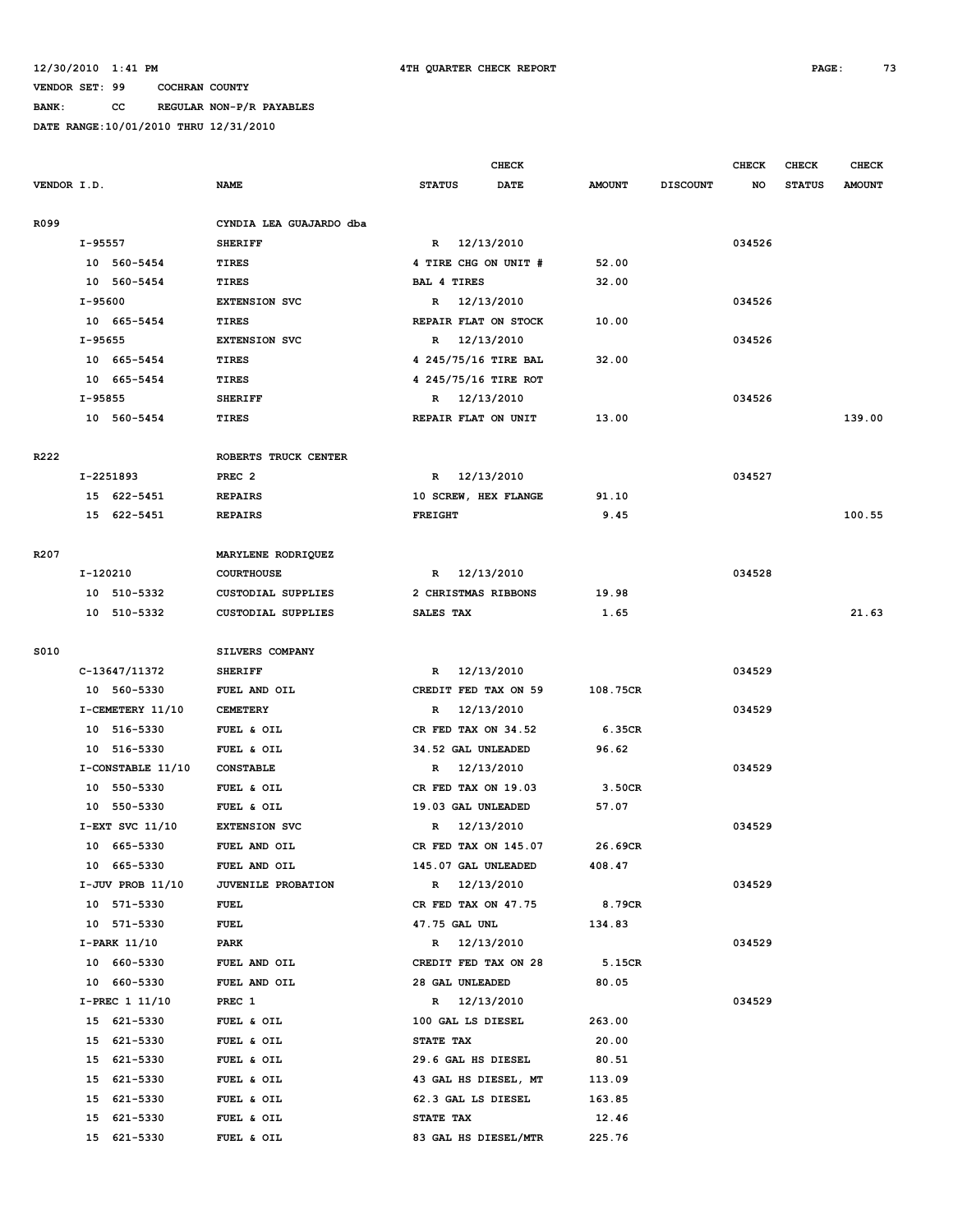## **BANK: CC REGULAR NON-P/R PAYABLES**

|                  |                   |                           |                      | <b>CHECK</b> |               |                 | <b>CHECK</b> | CHECK         | <b>CHECK</b>  |
|------------------|-------------------|---------------------------|----------------------|--------------|---------------|-----------------|--------------|---------------|---------------|
| VENDOR I.D.      |                   | <b>NAME</b>               | <b>STATUS</b>        | DATE         | <b>AMOUNT</b> | <b>DISCOUNT</b> | NO           | <b>STATUS</b> | <b>AMOUNT</b> |
| R099             |                   | CYNDIA LEA GUAJARDO dba   |                      |              |               |                 |              |               |               |
|                  | I-95557           | <b>SHERIFF</b>            | R 12/13/2010         |              |               |                 | 034526       |               |               |
|                  | 10 560-5454       | <b>TIRES</b>              | 4 TIRE CHG ON UNIT # |              | 52.00         |                 |              |               |               |
|                  | 10 560-5454       | <b>TIRES</b>              | <b>BAL 4 TIRES</b>   |              | 32.00         |                 |              |               |               |
|                  | I-95600           | <b>EXTENSION SVC</b>      | R                    | 12/13/2010   |               |                 | 034526       |               |               |
|                  | 10 665-5454       | TIRES                     | REPAIR FLAT ON STOCK |              | 10.00         |                 |              |               |               |
|                  | I-95655           | <b>EXTENSION SVC</b>      | R                    | 12/13/2010   |               |                 | 034526       |               |               |
|                  | 10 665-5454       | <b>TIRES</b>              | 4 245/75/16 TIRE BAL |              | 32.00         |                 |              |               |               |
|                  | 10 665-5454       | TIRES                     | 4 245/75/16 TIRE ROT |              |               |                 |              |               |               |
|                  | I-95855           | <b>SHERIFF</b>            | R 12/13/2010         |              |               |                 | 034526       |               |               |
|                  | 10 560-5454       | TIRES                     | REPAIR FLAT ON UNIT  |              | 13.00         |                 |              |               | 139.00        |
|                  |                   |                           |                      |              |               |                 |              |               |               |
| R222             |                   | ROBERTS TRUCK CENTER      |                      |              |               |                 |              |               |               |
|                  | I-2251893         | PREC <sub>2</sub>         | R                    | 12/13/2010   |               |                 | 034527       |               |               |
|                  | 15 622-5451       | <b>REPAIRS</b>            | 10 SCREW, HEX FLANGE |              | 91.10         |                 |              |               |               |
|                  | 15 622-5451       | <b>REPAIRS</b>            | <b>FREIGHT</b>       |              | 9.45          |                 |              |               | 100.55        |
| R <sub>207</sub> |                   | MARYLENE RODRIQUEZ        |                      |              |               |                 |              |               |               |
|                  | I-120210          | <b>COURTHOUSE</b>         | R                    | 12/13/2010   |               |                 | 034528       |               |               |
|                  | 10 510-5332       | CUSTODIAL SUPPLIES        | 2 CHRISTMAS RIBBONS  |              | 19.98         |                 |              |               |               |
|                  | 10 510-5332       | <b>CUSTODIAL SUPPLIES</b> | SALES TAX            |              | 1.65          |                 |              |               | 21.63         |
|                  |                   |                           |                      |              |               |                 |              |               |               |
| S010             |                   | SILVERS COMPANY           |                      |              |               |                 |              |               |               |
|                  | C-13647/11372     | <b>SHERIFF</b>            | R                    | 12/13/2010   |               |                 | 034529       |               |               |
|                  | 10 560-5330       | FUEL AND OIL              | CREDIT FED TAX ON 59 |              | 108.75CR      |                 |              |               |               |
|                  | I-CEMETERY 11/10  | <b>CEMETERY</b>           | R                    | 12/13/2010   |               |                 | 034529       |               |               |
|                  | 10 516-5330       | FUEL & OIL                | CR FED TAX ON 34.52  |              | 6.35CR        |                 |              |               |               |
|                  | 10 516-5330       | FUEL & OIL                | 34.52 GAL UNLEADED   |              | 96.62         |                 |              |               |               |
|                  | I-CONSTABLE 11/10 | <b>CONSTABLE</b>          | R                    | 12/13/2010   |               |                 | 034529       |               |               |
|                  | 10 550-5330       | FUEL & OIL                | CR FED TAX ON 19.03  |              | 3.50CR        |                 |              |               |               |
|                  | 10 550-5330       | FUEL & OIL                | 19.03 GAL UNLEADED   |              | 57.07         |                 |              |               |               |
|                  | I-EXT SVC 11/10   | <b>EXTENSION SVC</b>      | R                    | 12/13/2010   |               |                 | 034529       |               |               |
|                  | 10 665-5330       | FUEL AND OIL              | CR FED TAX ON 145.07 |              | 26.69CR       |                 |              |               |               |
|                  | 10 665-5330       | FUEL AND OIL              | 145.07 GAL UNLEADED  |              | 408.47        |                 |              |               |               |
|                  | I-JUV PROB 11/10  | <b>JUVENILE PROBATION</b> | R 12/13/2010         |              |               |                 | 034529       |               |               |
|                  | 10 571-5330       | FUEL                      | CR FED TAX ON 47.75  |              | 8.79CR        |                 |              |               |               |
|                  | 10 571-5330       | <b>FUEL</b>               | 47.75 GAL UNL        |              | 134.83        |                 |              |               |               |
|                  | I-PARK 11/10      | PARK                      | R 12/13/2010         |              |               |                 | 034529       |               |               |
|                  | 10 660-5330       | FUEL AND OIL              | CREDIT FED TAX ON 28 |              | 5.15CR        |                 |              |               |               |
|                  | 10 660-5330       | FUEL AND OIL              | 28 GAL UNLEADED      |              | 80.05         |                 |              |               |               |
|                  | I-PREC 1 11/10    | PREC 1                    | R 12/13/2010         |              |               |                 | 034529       |               |               |
|                  | 15 621-5330       | FUEL & OIL                | 100 GAL LS DIESEL    |              | 263.00        |                 |              |               |               |
|                  | 15 621-5330       | FUEL & OIL                | STATE TAX            |              | 20.00         |                 |              |               |               |
|                  | 15 621-5330       | FUEL & OIL                | 29.6 GAL HS DIESEL   |              | 80.51         |                 |              |               |               |
|                  | 15 621-5330       | FUEL & OIL                | 43 GAL HS DIESEL, MT |              | 113.09        |                 |              |               |               |
|                  | 15 621-5330       | FUEL & OIL                | 62.3 GAL LS DIESEL   |              | 163.85        |                 |              |               |               |
|                  | 621-5330<br>15    | FUEL & OIL                | STATE TAX            |              | 12.46         |                 |              |               |               |
|                  | 15 621-5330       | FUEL & OIL                | 83 GAL HS DIESEL/MTR |              | 225.76        |                 |              |               |               |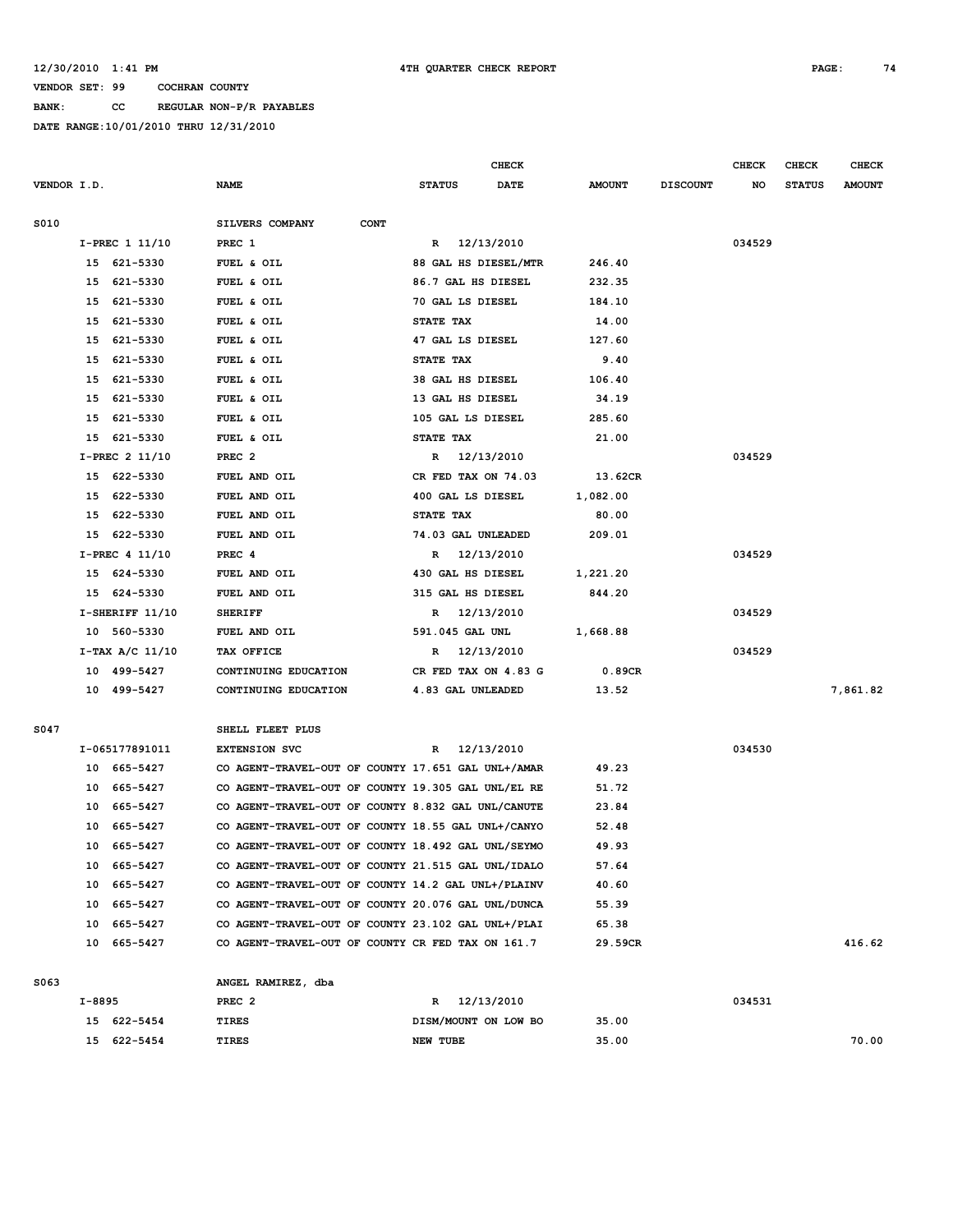**BANK: CC REGULAR NON-P/R PAYABLES**

|             |        |                   |                                                    |                 | CHECK                |               |                 | <b>CHECK</b> | CHECK         | <b>CHECK</b>  |
|-------------|--------|-------------------|----------------------------------------------------|-----------------|----------------------|---------------|-----------------|--------------|---------------|---------------|
| VENDOR I.D. |        |                   | <b>NAME</b>                                        | <b>STATUS</b>   | <b>DATE</b>          | <b>AMOUNT</b> | <b>DISCOUNT</b> | NO           | <b>STATUS</b> | <b>AMOUNT</b> |
|             |        |                   |                                                    |                 |                      |               |                 |              |               |               |
| S010        |        |                   | SILVERS COMPANY<br><b>CONT</b>                     |                 |                      |               |                 |              |               |               |
|             |        | I-PREC 1 11/10    | PREC 1                                             |                 | R 12/13/2010         |               |                 | 034529       |               |               |
|             |        | 15 621-5330       | FUEL & OIL                                         |                 | 88 GAL HS DIESEL/MTR | 246.40        |                 |              |               |               |
|             |        | 15 621-5330       | FUEL & OIL                                         |                 | 86.7 GAL HS DIESEL   | 232.35        |                 |              |               |               |
|             | 15     | 621-5330          | FUEL & OIL                                         |                 | 70 GAL LS DIESEL     | 184.10        |                 |              |               |               |
|             | 15     | 621-5330          | FUEL & OIL                                         | STATE TAX       |                      | 14.00         |                 |              |               |               |
|             | 15     | 621-5330          | FUEL & OIL                                         |                 | 47 GAL LS DIESEL     | 127.60        |                 |              |               |               |
|             | 15     | 621-5330          | FUEL & OIL                                         | STATE TAX       |                      | 9.40          |                 |              |               |               |
|             |        | 15 621-5330       | FUEL & OIL                                         |                 | 38 GAL HS DIESEL     | 106.40        |                 |              |               |               |
|             | 15     | 621-5330          | FUEL & OIL                                         |                 | 13 GAL HS DIESEL     | 34.19         |                 |              |               |               |
|             | 15     | 621-5330          | FUEL & OIL                                         |                 | 105 GAL LS DIESEL    | 285.60        |                 |              |               |               |
|             |        | 15 621-5330       | FUEL & OIL                                         | STATE TAX       |                      | 21.00         |                 |              |               |               |
|             |        | I-PREC 2 11/10    | PREC <sub>2</sub>                                  |                 | R 12/13/2010         |               |                 | 034529       |               |               |
|             |        | 15 622-5330       | FUEL AND OIL                                       |                 | CR FED TAX ON 74.03  | 13.62CR       |                 |              |               |               |
|             |        | 15 622-5330       | FUEL AND OIL                                       |                 | 400 GAL LS DIESEL    | 1,082.00      |                 |              |               |               |
|             | 15     | 622-5330          | FUEL AND OIL                                       | STATE TAX       |                      | 80.00         |                 |              |               |               |
|             | 15     | 622-5330          | FUEL AND OIL                                       |                 | 74.03 GAL UNLEADED   | 209.01        |                 |              |               |               |
|             |        | $I-PREC$ 4 11/10  | PREC 4                                             |                 | R 12/13/2010         |               |                 | 034529       |               |               |
|             |        | 15 624-5330       | FUEL AND OIL                                       |                 | 430 GAL HS DIESEL    | 1,221.20      |                 |              |               |               |
|             |        | 15 624-5330       | FUEL AND OIL                                       |                 | 315 GAL HS DIESEL    | 844.20        |                 |              |               |               |
|             |        | $I-SHERIFF 11/10$ | <b>SHERIFF</b>                                     |                 | R 12/13/2010         |               |                 | 034529       |               |               |
|             |        | 10 560-5330       | FUEL AND OIL                                       | 591.045 GAL UNL |                      | 1,668.88      |                 |              |               |               |
|             |        | I-TAX A/C 11/10   | TAX OFFICE                                         |                 | R 12/13/2010         |               |                 | 034529       |               |               |
|             |        | 10 499-5427       | CONTINUING EDUCATION                               |                 | CR FED TAX ON 4.83 G | 0.89CR        |                 |              |               |               |
|             |        | 10 499-5427       | CONTINUING EDUCATION                               |                 | 4.83 GAL UNLEADED    | 13.52         |                 |              |               | 7,861.82      |
|             |        |                   |                                                    |                 |                      |               |                 |              |               |               |
| S047        |        |                   | SHELL FLEET PLUS                                   |                 |                      |               |                 |              |               |               |
|             |        | I-065177891011    | <b>EXTENSION SVC</b>                               | R               | 12/13/2010           |               |                 | 034530       |               |               |
|             |        | 10 665-5427       | CO AGENT-TRAVEL-OUT OF COUNTY 17.651 GAL UNL+/AMAR |                 |                      | 49.23         |                 |              |               |               |
|             |        | 10 665-5427       | CO AGENT-TRAVEL-OUT OF COUNTY 19.305 GAL UNL/EL RE |                 |                      | 51.72         |                 |              |               |               |
|             | 10     | 665-5427          | CO AGENT-TRAVEL-OUT OF COUNTY 8.832 GAL UNL/CANUTE |                 |                      | 23.84         |                 |              |               |               |
|             | 10     | 665-5427          | CO AGENT-TRAVEL-OUT OF COUNTY 18.55 GAL UNL+/CANYO |                 |                      | 52.48         |                 |              |               |               |
|             | 10     | 665-5427          | CO AGENT-TRAVEL-OUT OF COUNTY 18.492 GAL UNL/SEYMO |                 |                      | 49.93         |                 |              |               |               |
|             |        | 10 665-5427       | CO AGENT-TRAVEL-OUT OF COUNTY 21.515 GAL UNL/IDALO |                 |                      | 57.64         |                 |              |               |               |
|             |        | 10 665-5427       | CO AGENT-TRAVEL-OUT OF COUNTY 14.2 GAL UNL+/PLAINV |                 |                      | 40.60         |                 |              |               |               |
|             |        | 10 665-5427       | CO AGENT-TRAVEL-OUT OF COUNTY 20.076 GAL UNL/DUNCA |                 |                      | 55.39         |                 |              |               |               |
|             |        | 10 665-5427       | CO AGENT-TRAVEL-OUT OF COUNTY 23.102 GAL UNL+/PLAI |                 |                      | 65.38         |                 |              |               |               |
|             |        | 10 665-5427       | CO AGENT-TRAVEL-OUT OF COUNTY CR FED TAX ON 161.7  |                 |                      | 29.59CR       |                 |              |               | 416.62        |
| S063        |        |                   | ANGEL RAMIREZ, dba                                 |                 |                      |               |                 |              |               |               |
|             | I-8895 |                   | PREC <sub>2</sub>                                  |                 | R 12/13/2010         |               |                 | 034531       |               |               |
|             |        | 15 622-5454       | TIRES                                              |                 | DISM/MOUNT ON LOW BO | 35.00         |                 |              |               |               |
|             |        | 15 622-5454       | TIRES                                              | NEW TUBE        |                      | 35.00         |                 |              |               | 70.00         |
|             |        |                   |                                                    |                 |                      |               |                 |              |               |               |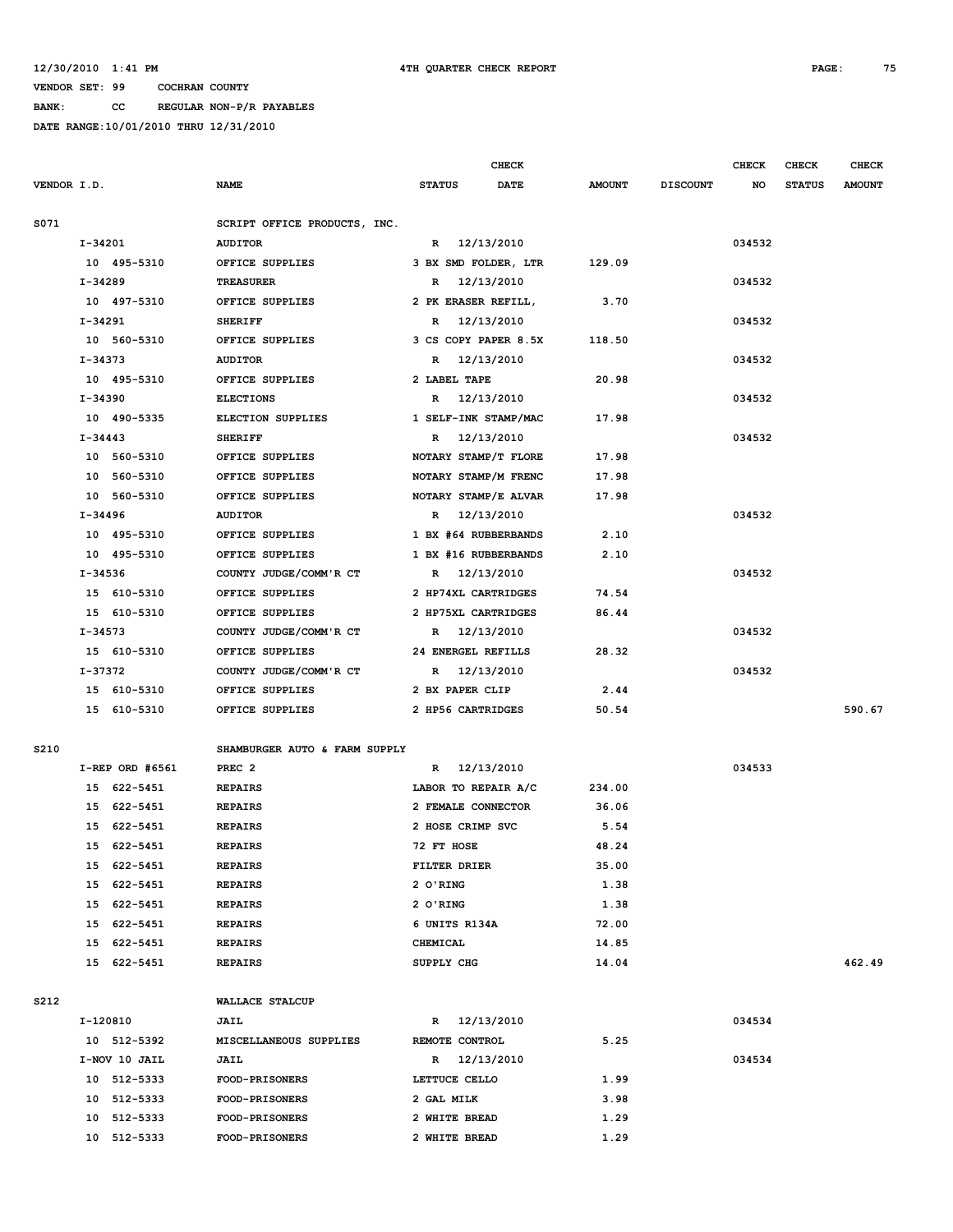**BANK: CC REGULAR NON-P/R PAYABLES**

|             |           |                   |                               |                      | <b>CHECK</b> |               |                 | <b>CHECK</b> | <b>CHECK</b>  | <b>CHECK</b>  |
|-------------|-----------|-------------------|-------------------------------|----------------------|--------------|---------------|-----------------|--------------|---------------|---------------|
| VENDOR I.D. |           |                   | <b>NAME</b>                   | <b>STATUS</b>        | <b>DATE</b>  | <b>AMOUNT</b> | <b>DISCOUNT</b> | NO           | <b>STATUS</b> | <b>AMOUNT</b> |
|             |           |                   |                               |                      |              |               |                 |              |               |               |
| S071        |           |                   | SCRIPT OFFICE PRODUCTS, INC.  |                      |              |               |                 |              |               |               |
|             | I-34201   |                   | <b>AUDITOR</b>                | R 12/13/2010         |              |               |                 | 034532       |               |               |
|             |           | 10 495-5310       | OFFICE SUPPLIES               | 3 BX SMD FOLDER, LTR |              | 129.09        |                 |              |               |               |
|             | I-34289   |                   | <b>TREASURER</b>              | R                    | 12/13/2010   |               |                 | 034532       |               |               |
|             |           | 10 497-5310       | OFFICE SUPPLIES               | 2 PK ERASER REFILL,  |              | 3.70          |                 |              |               |               |
|             | I-34291   |                   | <b>SHERIFF</b>                | R 12/13/2010         |              |               |                 | 034532       |               |               |
|             |           | 10 560-5310       | OFFICE SUPPLIES               | 3 CS COPY PAPER 8.5X |              | 118.50        |                 |              |               |               |
|             | I-34373   |                   | <b>AUDITOR</b>                | R 12/13/2010         |              |               |                 | 034532       |               |               |
|             |           | 10 495-5310       | OFFICE SUPPLIES               | 2 LABEL TAPE         |              | 20.98         |                 |              |               |               |
|             | I-34390   |                   | <b>ELECTIONS</b>              | R 12/13/2010         |              |               |                 | 034532       |               |               |
|             |           | 10 490-5335       | ELECTION SUPPLIES             | 1 SELF-INK STAMP/MAC |              | 17.98         |                 |              |               |               |
|             | I-34443   |                   | <b>SHERIFF</b>                | R 12/13/2010         |              |               |                 | 034532       |               |               |
|             |           | 10 560-5310       | OFFICE SUPPLIES               | NOTARY STAMP/T FLORE |              | 17.98         |                 |              |               |               |
|             |           | 10 560-5310       | OFFICE SUPPLIES               | NOTARY STAMP/M FRENC |              | 17.98         |                 |              |               |               |
|             |           | 10 560-5310       | OFFICE SUPPLIES               | NOTARY STAMP/E ALVAR |              | 17.98         |                 |              |               |               |
|             | $I-34496$ |                   | <b>AUDITOR</b>                | R 12/13/2010         |              |               |                 | 034532       |               |               |
|             |           | 10 495-5310       | OFFICE SUPPLIES               | 1 BX #64 RUBBERBANDS |              | 2.10          |                 |              |               |               |
|             |           | 10 495-5310       | OFFICE SUPPLIES               | 1 BX #16 RUBBERBANDS |              | 2.10          |                 |              |               |               |
|             | I-34536   |                   | COUNTY JUDGE/COMM'R CT        | R 12/13/2010         |              |               |                 | 034532       |               |               |
|             |           | 15 610-5310       | OFFICE SUPPLIES               | 2 HP74XL CARTRIDGES  |              | 74.54         |                 |              |               |               |
|             |           | 15 610-5310       | OFFICE SUPPLIES               | 2 HP75XL CARTRIDGES  |              | 86.44         |                 |              |               |               |
|             | I-34573   |                   | COUNTY JUDGE/COMM'R CT        | R 12/13/2010         |              |               |                 | 034532       |               |               |
|             |           | 15 610-5310       | OFFICE SUPPLIES               | 24 ENERGEL REFILLS   |              | 28.32         |                 |              |               |               |
|             | I-37372   |                   | COUNTY JUDGE/COMM'R CT        | R 12/13/2010         |              |               |                 | 034532       |               |               |
|             |           | 15 610-5310       | OFFICE SUPPLIES               | 2 BX PAPER CLIP      |              | 2.44          |                 |              |               | 590.67        |
|             |           | 15 610-5310       | OFFICE SUPPLIES               | 2 HP56 CARTRIDGES    |              | 50.54         |                 |              |               |               |
| S210        |           |                   | SHAMBURGER AUTO & FARM SUPPLY |                      |              |               |                 |              |               |               |
|             |           | $I-REF$ ORD #6561 | PREC <sub>2</sub>             | $\mathbb{R}$         | 12/13/2010   |               |                 | 034533       |               |               |
|             |           | 15 622-5451       | <b>REPAIRS</b>                | LABOR TO REPAIR A/C  |              | 234.00        |                 |              |               |               |
|             |           | 15 622-5451       | <b>REPAIRS</b>                | 2 FEMALE CONNECTOR   |              | 36.06         |                 |              |               |               |
|             |           | 15 622-5451       | <b>REPAIRS</b>                | 2 HOSE CRIMP SVC     |              | 5.54          |                 |              |               |               |
|             |           | 15 622-5451       | <b>REPAIRS</b>                | 72 FT HOSE           |              | 48.24         |                 |              |               |               |
|             |           | 15 622-5451       | <b>REPAIRS</b>                | FILTER DRIER         |              | 35.00         |                 |              |               |               |
|             |           | 15 622-5451       | <b>REPAIRS</b>                | 2 O'RING             |              | 1.38          |                 |              |               |               |
|             |           | 15 622-5451       | <b>REPAIRS</b>                | 2 O'RING             |              | 1.38          |                 |              |               |               |
|             |           | 15 622-5451       | <b>REPAIRS</b>                | 6 UNITS R134A        |              | 72.00         |                 |              |               |               |
|             |           | 15 622-5451       | <b>REPAIRS</b>                | CHEMICAL             |              | 14.85         |                 |              |               |               |
|             |           | 15 622-5451       | <b>REPAIRS</b>                | SUPPLY CHG           |              | 14.04         |                 |              |               | 462.49        |
|             |           |                   |                               |                      |              |               |                 |              |               |               |
| S212        |           |                   | WALLACE STALCUP               |                      |              |               |                 |              |               |               |
|             |           | I-120810          | <b>JAIL</b>                   | R 12/13/2010         |              |               |                 | 034534       |               |               |
|             |           | 10 512-5392       | MISCELLANEOUS SUPPLIES        | REMOTE CONTROL       |              | 5.25          |                 |              |               |               |
|             |           | I-NOV 10 JAIL     | <b>JAIL</b>                   | R 12/13/2010         |              |               |                 | 034534       |               |               |
|             |           | 10 512-5333       | <b>FOOD-PRISONERS</b>         | LETTUCE CELLO        |              | 1.99          |                 |              |               |               |
|             |           | 10 512-5333       | <b>FOOD-PRISONERS</b>         | 2 GAL MILK           |              | 3.98          |                 |              |               |               |
|             |           | 10 512-5333       | <b>FOOD-PRISONERS</b>         | 2 WHITE BREAD        |              | 1.29          |                 |              |               |               |
|             |           | 10 512-5333       | <b>FOOD-PRISONERS</b>         | 2 WHITE BREAD        |              | 1.29          |                 |              |               |               |
|             |           |                   |                               |                      |              |               |                 |              |               |               |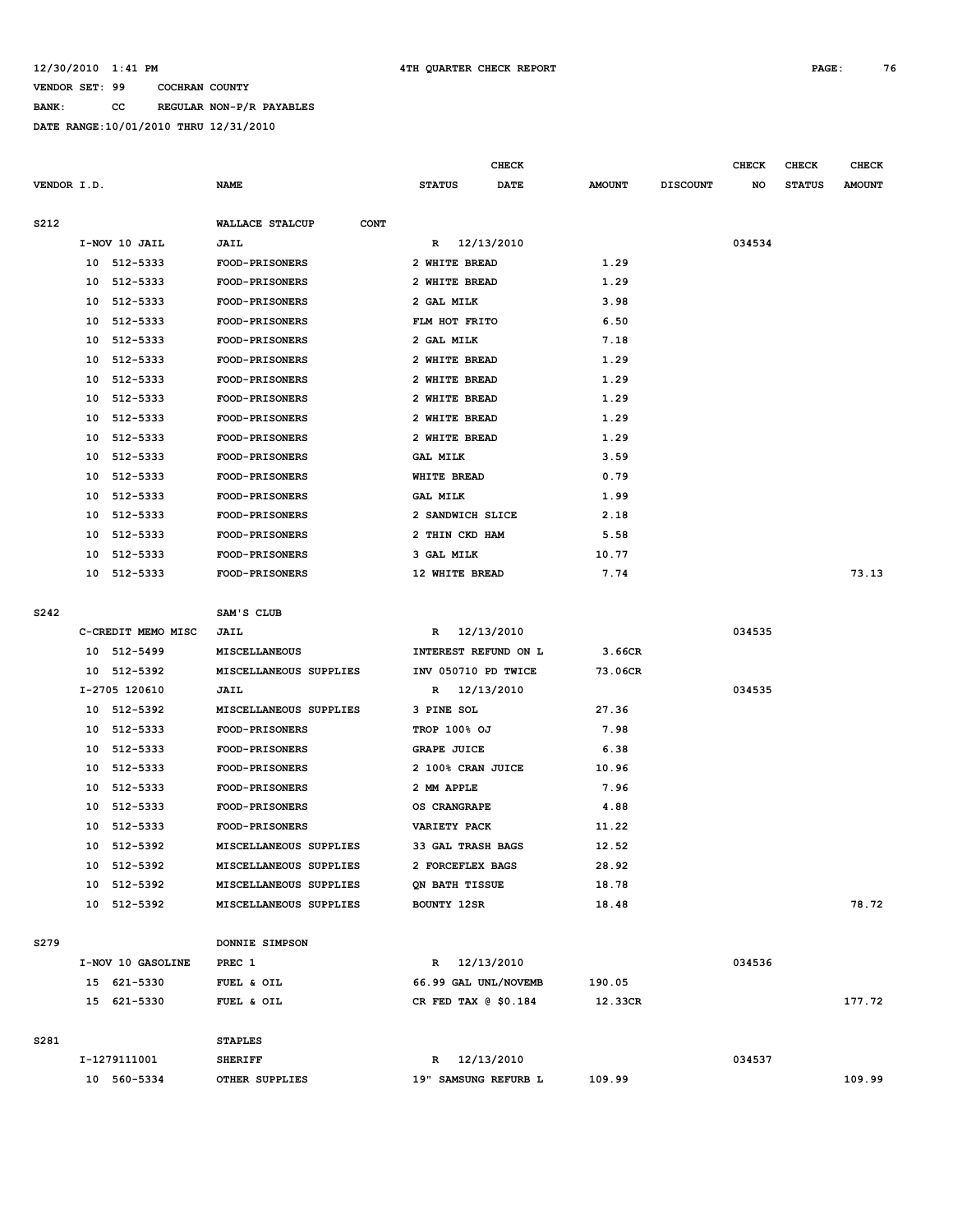**BANK: CC REGULAR NON-P/R PAYABLES**

|             |    |                    |                                |                      | <b>CHECK</b> |               |                 | <b>CHECK</b> | <b>CHECK</b>  | <b>CHECK</b>  |
|-------------|----|--------------------|--------------------------------|----------------------|--------------|---------------|-----------------|--------------|---------------|---------------|
| VENDOR I.D. |    |                    | <b>NAME</b>                    | <b>STATUS</b>        | <b>DATE</b>  | <b>AMOUNT</b> | <b>DISCOUNT</b> | NO           | <b>STATUS</b> | <b>AMOUNT</b> |
|             |    |                    |                                |                      |              |               |                 |              |               |               |
| S212        |    |                    | WALLACE STALCUP<br><b>CONT</b> |                      |              |               |                 |              |               |               |
|             |    | I-NOV 10 JAIL      | <b>JAIL</b>                    | R 12/13/2010         |              |               |                 | 034534       |               |               |
|             |    | 10 512-5333        | <b>FOOD-PRISONERS</b>          | 2 WHITE BREAD        |              | 1.29          |                 |              |               |               |
|             |    | 10 512-5333        | FOOD-PRISONERS                 | 2 WHITE BREAD        |              | 1.29          |                 |              |               |               |
|             |    | 10 512-5333        | FOOD-PRISONERS                 | 2 GAL MILK           |              | 3.98          |                 |              |               |               |
|             |    | 10 512-5333        | <b>FOOD-PRISONERS</b>          | FLM HOT FRITO        |              | 6.50          |                 |              |               |               |
|             | 10 | 512-5333           | <b>FOOD-PRISONERS</b>          | 2 GAL MILK           |              | 7.18          |                 |              |               |               |
|             | 10 | 512-5333           | FOOD-PRISONERS                 | 2 WHITE BREAD        |              | 1.29          |                 |              |               |               |
|             |    | 10 512-5333        | <b>FOOD-PRISONERS</b>          | 2 WHITE BREAD        |              | 1.29          |                 |              |               |               |
|             |    | 10 512-5333        | FOOD-PRISONERS                 | 2 WHITE BREAD        |              | 1.29          |                 |              |               |               |
|             |    | 10 512-5333        | FOOD-PRISONERS                 | 2 WHITE BREAD        |              | 1.29          |                 |              |               |               |
|             |    | 10 512-5333        | <b>FOOD-PRISONERS</b>          | 2 WHITE BREAD        |              | 1.29          |                 |              |               |               |
|             |    | 10 512-5333        | <b>FOOD-PRISONERS</b>          | <b>GAL MILK</b>      |              | 3.59          |                 |              |               |               |
|             |    | 10 512-5333        | FOOD-PRISONERS                 | <b>WHITE BREAD</b>   |              | 0.79          |                 |              |               |               |
|             |    | 10 512-5333        | <b>FOOD-PRISONERS</b>          | <b>GAL MILK</b>      |              | 1.99          |                 |              |               |               |
|             |    | 10 512-5333        | <b>FOOD-PRISONERS</b>          | 2 SANDWICH SLICE     |              | 2.18          |                 |              |               |               |
|             |    | 10 512-5333        | FOOD-PRISONERS                 | 2 THIN CKD HAM       |              | 5.58          |                 |              |               |               |
|             |    | 10 512-5333        | <b>FOOD-PRISONERS</b>          | 3 GAL MILK           |              | 10.77         |                 |              |               |               |
|             |    | 10 512-5333        | <b>FOOD-PRISONERS</b>          | 12 WHITE BREAD       |              | 7.74          |                 |              |               | 73.13         |
|             |    |                    |                                |                      |              |               |                 |              |               |               |
| S242        |    |                    | SAM'S CLUB                     |                      |              |               |                 |              |               |               |
|             |    | C-CREDIT MEMO MISC | <b>JAIL</b>                    | R 12/13/2010         |              |               |                 | 034535       |               |               |
|             |    | 10 512-5499        | MISCELLANEOUS                  | INTEREST REFUND ON L |              | 3.66CR        |                 |              |               |               |
|             |    | 10 512-5392        | MISCELLANEOUS SUPPLIES         | INV 050710 PD TWICE  |              | 73.06CR       |                 |              |               |               |
|             |    | I-2705 120610      | <b>JAIL</b>                    | R 12/13/2010         |              |               |                 | 034535       |               |               |
|             |    | 10 512-5392        | MISCELLANEOUS SUPPLIES         | 3 PINE SOL           |              | 27.36         |                 |              |               |               |
|             |    | 10 512-5333        | <b>FOOD-PRISONERS</b>          | TROP 100% OJ         |              | 7.98          |                 |              |               |               |
|             |    | 10 512-5333        | <b>FOOD-PRISONERS</b>          | <b>GRAPE JUICE</b>   |              | 6.38          |                 |              |               |               |
|             |    | 10 512-5333        | <b>FOOD-PRISONERS</b>          | 2 100% CRAN JUICE    |              | 10.96         |                 |              |               |               |
|             |    | 10 512-5333        | <b>FOOD-PRISONERS</b>          | 2 MM APPLE           |              | 7.96          |                 |              |               |               |
|             | 10 | 512-5333           | <b>FOOD-PRISONERS</b>          | OS CRANGRAPE         |              | 4.88          |                 |              |               |               |
|             | 10 | 512-5333           | FOOD-PRISONERS                 | <b>VARIETY PACK</b>  |              | 11.22         |                 |              |               |               |
|             |    | 10 512-5392        | MISCELLANEOUS SUPPLIES         | 33 GAL TRASH BAGS    |              | 12.52         |                 |              |               |               |
|             |    | 10 512-5392        | MISCELLANEOUS SUPPLIES         | 2 FORCEFLEX BAGS     |              | 28.92         |                 |              |               |               |
|             |    | 10 512-5392        | MISCELLANEOUS SUPPLIES         | QN BATH TISSUE       |              | 18.78         |                 |              |               |               |
|             |    | 10 512-5392        | MISCELLANEOUS SUPPLIES         | BOUNTY 12SR          |              | 18.48         |                 |              |               | 78.72         |
|             |    |                    |                                |                      |              |               |                 |              |               |               |
| S279        |    |                    | DONNIE SIMPSON                 |                      |              |               |                 |              |               |               |
|             |    | I-NOV 10 GASOLINE  | PREC 1                         | R 12/13/2010         |              |               |                 | 034536       |               |               |
|             |    | 15 621-5330        | FUEL & OIL                     | 66.99 GAL UNL/NOVEMB |              | 190.05        |                 |              |               |               |
|             |    | 15 621-5330        | FUEL & OIL                     | CR FED TAX @ \$0.184 |              | 12.33CR       |                 |              |               | 177.72        |
|             |    |                    |                                |                      |              |               |                 |              |               |               |
| S281        |    |                    | <b>STAPLES</b>                 |                      |              |               |                 |              |               |               |
|             |    | I-1279111001       | <b>SHERIFF</b>                 | R 12/13/2010         |              |               |                 | 034537       |               |               |
|             |    | 10 560-5334        | OTHER SUPPLIES                 | 19" SAMSUNG REFURB L |              | 109.99        |                 |              |               | 109.99        |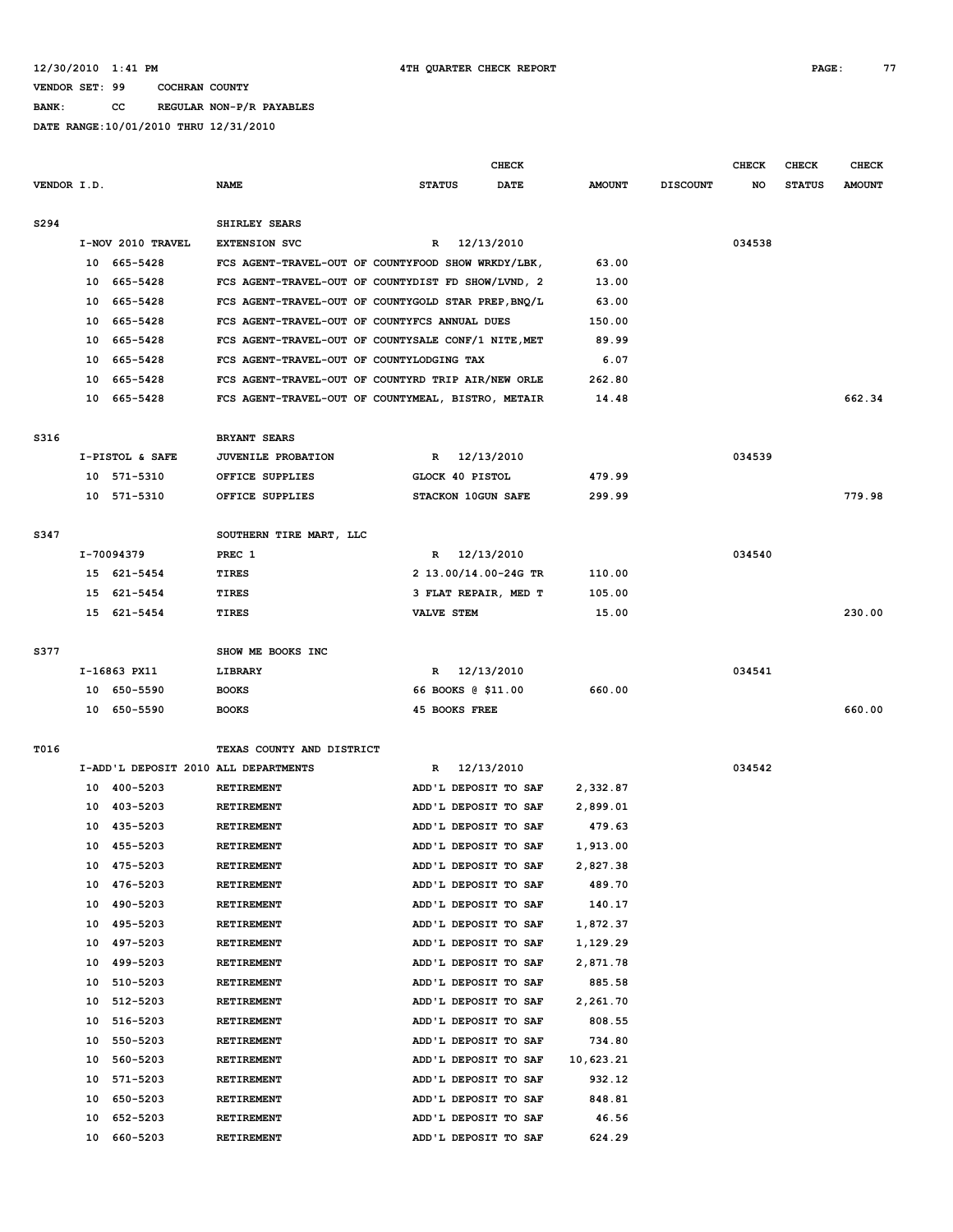**BANK: CC REGULAR NON-P/R PAYABLES**

|             |    |                                      |                                                     |                    | <b>CHECK</b>         |               |                 | <b>CHECK</b> | CHECK         | <b>CHECK</b>  |
|-------------|----|--------------------------------------|-----------------------------------------------------|--------------------|----------------------|---------------|-----------------|--------------|---------------|---------------|
| VENDOR I.D. |    |                                      | <b>NAME</b>                                         | <b>STATUS</b>      | DATE                 | <b>AMOUNT</b> | <b>DISCOUNT</b> | NO           | <b>STATUS</b> | <b>AMOUNT</b> |
| S294        |    |                                      | SHIRLEY SEARS                                       |                    |                      |               |                 |              |               |               |
|             |    | I-NOV 2010 TRAVEL                    | <b>EXTENSION SVC</b>                                | $\mathbb{R}$       | 12/13/2010           |               |                 | 034538       |               |               |
|             |    | 10 665-5428                          | FCS AGENT-TRAVEL-OUT OF COUNTYFOOD SHOW WRKDY/LBK,  |                    |                      | 63.00         |                 |              |               |               |
|             | 10 | 665–5428                             | FCS AGENT-TRAVEL-OUT OF COUNTYDIST FD SHOW/LVND, 2  |                    |                      | 13.00         |                 |              |               |               |
|             | 10 | 665-5428                             | FCS AGENT-TRAVEL-OUT OF COUNTYGOLD STAR PREP, BNQ/L |                    |                      | 63.00         |                 |              |               |               |
|             | 10 | 665-5428                             | FCS AGENT-TRAVEL-OUT OF COUNTYFCS ANNUAL DUES       |                    |                      | 150.00        |                 |              |               |               |
|             | 10 | 665–5428                             | FCS AGENT-TRAVEL-OUT OF COUNTYSALE CONF/1 NITE, MET |                    |                      | 89.99         |                 |              |               |               |
|             |    | 10 665-5428                          | FCS AGENT-TRAVEL-OUT OF COUNTYLODGING TAX           |                    |                      | 6.07          |                 |              |               |               |
|             | 10 | 665–5428                             | FCS AGENT-TRAVEL-OUT OF COUNTYRD TRIP AIR/NEW ORLE  |                    |                      | 262.80        |                 |              |               |               |
|             | 10 | 665-5428                             | FCS AGENT-TRAVEL-OUT OF COUNTYMEAL, BISTRO, METAIR  |                    |                      | 14.48         |                 |              |               | 662.34        |
| S316        |    |                                      | <b>BRYANT SEARS</b>                                 |                    |                      |               |                 |              |               |               |
|             |    | I-PISTOL & SAFE                      | <b>JUVENILE PROBATION</b>                           | $\mathbb{R}$       | 12/13/2010           |               |                 | 034539       |               |               |
|             |    | 10 571-5310                          | OFFICE SUPPLIES                                     | GLOCK 40 PISTOL    |                      | 479.99        |                 |              |               |               |
|             |    | 10 571-5310                          | OFFICE SUPPLIES                                     |                    | STACKON 10GUN SAFE   | 299.99        |                 |              |               | 779.98        |
| S347        |    |                                      | SOUTHERN TIRE MART, LLC                             |                    |                      |               |                 |              |               |               |
|             |    | I-70094379                           | PREC 1                                              | $\mathbb{R}$       | 12/13/2010           |               |                 | 034540       |               |               |
|             |    | 15 621-5454                          | <b>TIRES</b>                                        |                    | 2 13.00/14.00-24G TR | 110.00        |                 |              |               |               |
|             |    | 15 621-5454                          | TIRES                                               |                    | 3 FLAT REPAIR, MED T | 105.00        |                 |              |               |               |
|             |    | 15 621-5454                          | TIRES                                               | <b>VALVE STEM</b>  |                      | 15.00         |                 |              |               | 230.00        |
| S377        |    |                                      | SHOW ME BOOKS INC                                   |                    |                      |               |                 |              |               |               |
|             |    | I-16863 PX11                         | LIBRARY                                             | $\mathbb{R}$       | 12/13/2010           |               |                 | 034541       |               |               |
|             |    | 10 650-5590                          | <b>BOOKS</b>                                        | 66 BOOKS @ \$11.00 |                      | 660.00        |                 |              |               |               |
|             |    | 10 650-5590                          | <b>BOOKS</b>                                        | 45 BOOKS FREE      |                      |               |                 |              |               | 660.00        |
| T016        |    |                                      | TEXAS COUNTY AND DISTRICT                           |                    |                      |               |                 |              |               |               |
|             |    | I-ADD'L DEPOSIT 2010 ALL DEPARTMENTS |                                                     | R                  | 12/13/2010           |               |                 | 034542       |               |               |
|             |    | 10 400-5203                          | <b>RETIREMENT</b>                                   |                    | ADD'L DEPOSIT TO SAF | 2,332.87      |                 |              |               |               |
|             |    | 10 403-5203                          | <b>RETIREMENT</b>                                   |                    | ADD'L DEPOSIT TO SAF | 2,899.01      |                 |              |               |               |
|             |    | 10 435-5203                          | RETIREMENT                                          |                    | ADD'L DEPOSIT TO SAF | 479.63        |                 |              |               |               |
|             |    | 10 455-5203                          | <b>RETIREMENT</b>                                   |                    | ADD'L DEPOSIT TO SAF | 1,913.00      |                 |              |               |               |
|             |    | 10 475-5203                          | RETIREMENT                                          |                    | ADD'L DEPOSIT TO SAF | 2,827.38      |                 |              |               |               |
|             | 10 | 476-5203                             | RETIREMENT                                          |                    | ADD'L DEPOSIT TO SAF | 489.70        |                 |              |               |               |
|             | 10 | 490-5203                             | RETIREMENT                                          |                    | ADD'L DEPOSIT TO SAF | 140.17        |                 |              |               |               |
|             | 10 | 495-5203                             | RETIREMENT                                          |                    | ADD'L DEPOSIT TO SAF | 1,872.37      |                 |              |               |               |
|             | 10 | 497-5203                             | RETIREMENT                                          |                    | ADD'L DEPOSIT TO SAF | 1,129.29      |                 |              |               |               |
|             | 10 | 499-5203                             | RETIREMENT                                          |                    | ADD'L DEPOSIT TO SAF | 2,871.78      |                 |              |               |               |
|             | 10 | 510-5203                             | <b>RETIREMENT</b>                                   |                    | ADD'L DEPOSIT TO SAF | 885.58        |                 |              |               |               |
|             | 10 | 512-5203                             | RETIREMENT                                          |                    | ADD'L DEPOSIT TO SAF | 2,261.70      |                 |              |               |               |
|             | 10 | 516-5203                             | RETIREMENT                                          |                    | ADD'L DEPOSIT TO SAF | 808.55        |                 |              |               |               |
|             | 10 | 550-5203                             | RETIREMENT                                          |                    | ADD'L DEPOSIT TO SAF | 734.80        |                 |              |               |               |
|             | 10 | 560-5203                             | RETIREMENT                                          |                    | ADD'L DEPOSIT TO SAF | 10,623.21     |                 |              |               |               |
|             | 10 | 571-5203                             | RETIREMENT                                          |                    | ADD'L DEPOSIT TO SAF | 932.12        |                 |              |               |               |
|             | 10 | 650-5203                             | RETIREMENT                                          |                    | ADD'L DEPOSIT TO SAF | 848.81        |                 |              |               |               |
|             | 10 | 652-5203                             | RETIREMENT                                          |                    | ADD'L DEPOSIT TO SAF | 46.56         |                 |              |               |               |
|             | 10 | 660-5203                             | RETIREMENT                                          |                    | ADD'L DEPOSIT TO SAF | 624.29        |                 |              |               |               |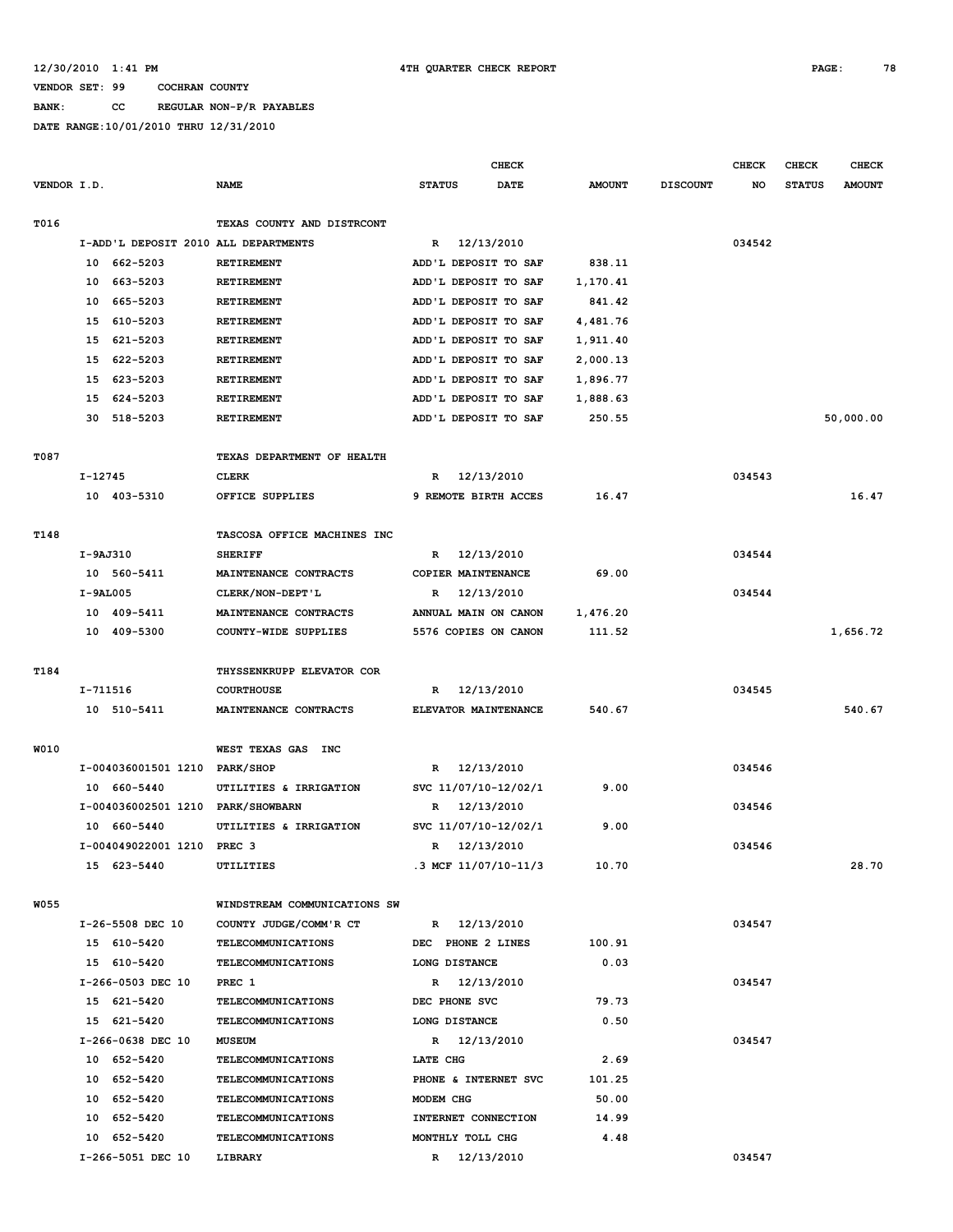**BANK: CC REGULAR NON-P/R PAYABLES**

|             |                                      |                              | <b>CHECK</b>          |               |                 | <b>CHECK</b> | <b>CHECK</b>  | <b>CHECK</b>  |
|-------------|--------------------------------------|------------------------------|-----------------------|---------------|-----------------|--------------|---------------|---------------|
| VENDOR I.D. |                                      | <b>NAME</b>                  | <b>STATUS</b><br>DATE | <b>AMOUNT</b> | <b>DISCOUNT</b> | NO           | <b>STATUS</b> | <b>AMOUNT</b> |
| T016        |                                      | TEXAS COUNTY AND DISTRCONT   |                       |               |                 |              |               |               |
|             | I-ADD'L DEPOSIT 2010 ALL DEPARTMENTS |                              | 12/13/2010<br>R       |               |                 | 034542       |               |               |
|             | 662-5203<br>10                       | RETIREMENT                   | ADD'L DEPOSIT TO SAF  | 838.11        |                 |              |               |               |
|             | 663-5203<br>10                       | <b>RETIREMENT</b>            | ADD'L DEPOSIT TO SAF  | 1,170.41      |                 |              |               |               |
|             | 665-5203<br>10                       | RETIREMENT                   | ADD'L DEPOSIT TO SAF  | 841.42        |                 |              |               |               |
|             | 610-5203<br>15                       | RETIREMENT                   | ADD'L DEPOSIT TO SAF  | 4,481.76      |                 |              |               |               |
|             | 621-5203<br>15                       | RETIREMENT                   | ADD'L DEPOSIT TO SAF  | 1,911.40      |                 |              |               |               |
|             | 622-5203<br>15                       | RETIREMENT                   | ADD'L DEPOSIT TO SAF  | 2,000.13      |                 |              |               |               |
|             | 623-5203<br>15                       | RETIREMENT                   | ADD'L DEPOSIT TO SAF  | 1,896.77      |                 |              |               |               |
|             | 624-5203<br>15                       | RETIREMENT                   | ADD'L DEPOSIT TO SAF  | 1,888.63      |                 |              |               |               |
|             | 518-5203<br>30                       | RETIREMENT                   | ADD'L DEPOSIT TO SAF  | 250.55        |                 |              |               | 50,000.00     |
|             |                                      |                              |                       |               |                 |              |               |               |
| T087        |                                      | TEXAS DEPARTMENT OF HEALTH   |                       |               |                 |              |               |               |
|             | $I-12745$                            | <b>CLERK</b>                 | 12/13/2010<br>R       |               |                 | 034543       |               |               |
|             | 10 403-5310                          | OFFICE SUPPLIES              | 9 REMOTE BIRTH ACCES  | 16.47         |                 |              |               | 16.47         |
|             |                                      |                              |                       |               |                 |              |               |               |
| T148        |                                      | TASCOSA OFFICE MACHINES INC  |                       |               |                 |              |               |               |
|             | I-9AJ310                             | <b>SHERIFF</b>               | 12/13/2010<br>R       |               |                 | 034544       |               |               |
|             | 10 560-5411                          | MAINTENANCE CONTRACTS        | COPIER MAINTENANCE    | 69.00         |                 |              |               |               |
|             | $I-9AL005$                           | CLERK/NON-DEPT'L             | 12/13/2010<br>R       |               |                 | 034544       |               |               |
|             | 10 409-5411                          | MAINTENANCE CONTRACTS        | ANNUAL MAIN ON CANON  | 1,476.20      |                 |              |               |               |
|             | 10 409-5300                          | COUNTY-WIDE SUPPLIES         | 5576 COPIES ON CANON  | 111.52        |                 |              |               | 1,656.72      |
|             |                                      |                              |                       |               |                 |              |               |               |
| T184        |                                      | THYSSENKRUPP ELEVATOR COR    |                       |               |                 |              |               |               |
|             | I-711516                             | <b>COURTHOUSE</b>            | 12/13/2010<br>R       |               |                 | 034545       |               |               |
|             | 10 510-5411                          | MAINTENANCE CONTRACTS        | ELEVATOR MAINTENANCE  | 540.67        |                 |              |               | 540.67        |
|             |                                      |                              |                       |               |                 |              |               |               |
| W010        |                                      | WEST TEXAS GAS<br>INC        |                       |               |                 |              |               |               |
|             | I-004036001501 1210                  | <b>PARK/SHOP</b>             | 12/13/2010<br>R       |               |                 | 034546       |               |               |
|             | 10 660-5440                          | UTILITIES & IRRIGATION       | svc 11/07/10-12/02/1  | 9.00          |                 |              |               |               |
|             | I-004036002501 1210                  | <b>PARK/SHOWBARN</b>         | 12/13/2010<br>R       |               |                 | 034546       |               |               |
|             | 10 660-5440                          | UTILITIES & IRRIGATION       | SVC 11/07/10-12/02/1  | 9.00          |                 |              |               |               |
|             | I-004049022001 1210 PREC 3           |                              | 12/13/2010<br>R       |               |                 | 034546       |               |               |
|             | 15 623-5440                          | UTILITIES                    | .3 MCF 11/07/10-11/3  | 10.70         |                 |              |               | 28.70         |
|             |                                      |                              |                       |               |                 |              |               |               |
| <b>W055</b> |                                      | WINDSTREAM COMMUNICATIONS SW |                       |               |                 |              |               |               |
|             | I-26-5508 DEC 10                     | COUNTY JUDGE/COMM'R CT       | R 12/13/2010          |               |                 | 034547       |               |               |
|             | 15 610-5420                          | <b>TELECOMMUNICATIONS</b>    | DEC PHONE 2 LINES     | 100.91        |                 |              |               |               |
|             | 15 610-5420                          | TELECOMMUNICATIONS           | LONG DISTANCE         | 0.03          |                 |              |               |               |
|             | I-266-0503 DEC 10                    | PREC 1                       | R 12/13/2010          |               |                 | 034547       |               |               |
|             | 15 621-5420                          | <b>TELECOMMUNICATIONS</b>    | DEC PHONE SVC         | 79.73         |                 |              |               |               |
|             | 15 621-5420                          | <b>TELECOMMUNICATIONS</b>    | LONG DISTANCE         | 0.50          |                 |              |               |               |
|             | I-266-0638 DEC 10                    | <b>MUSEUM</b>                | R 12/13/2010          |               |                 | 034547       |               |               |
|             | 10 652-5420                          | <b>TELECOMMUNICATIONS</b>    | LATE CHG              | 2.69          |                 |              |               |               |
|             | 10 652-5420                          | TELECOMMUNICATIONS           | PHONE & INTERNET SVC  | 101.25        |                 |              |               |               |
|             | 10 652-5420                          | TELECOMMUNICATIONS           | MODEM CHG             | 50.00         |                 |              |               |               |
|             | 10 652-5420                          | <b>TELECOMMUNICATIONS</b>    | INTERNET CONNECTION   | 14.99         |                 |              |               |               |
|             | 10 652-5420                          | <b>TELECOMMUNICATIONS</b>    | MONTHLY TOLL CHG      | 4.48          |                 |              |               |               |
|             | I-266-5051 DEC 10                    | LIBRARY                      | R 12/13/2010          |               |                 | 034547       |               |               |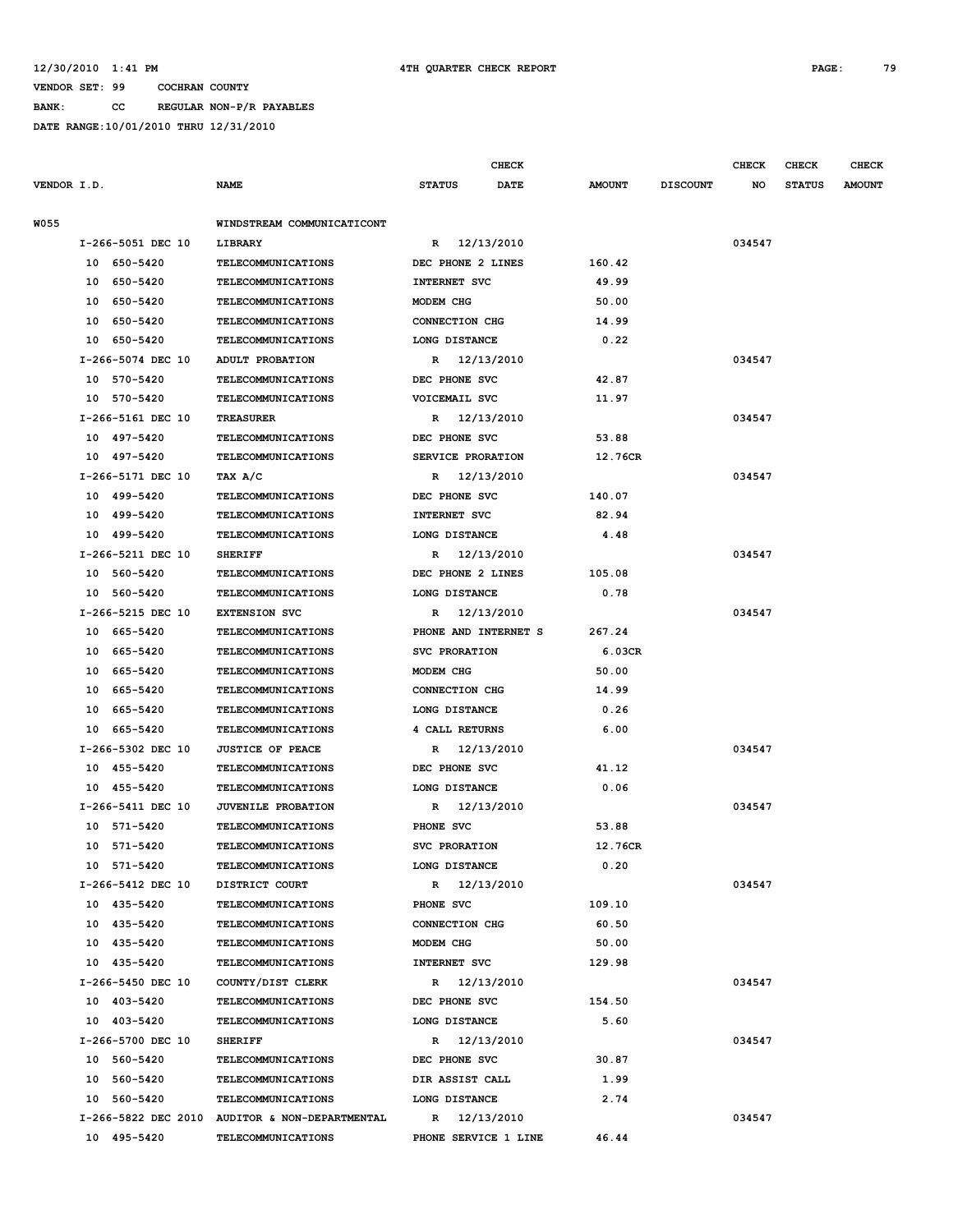**BANK: CC REGULAR NON-P/R PAYABLES**

|             |                   |                                                |                            | <b>CHECK</b> |               |                 | <b>CHECK</b> | <b>CHECK</b>  | <b>CHECK</b>  |
|-------------|-------------------|------------------------------------------------|----------------------------|--------------|---------------|-----------------|--------------|---------------|---------------|
| VENDOR I.D. |                   | <b>NAME</b>                                    | <b>STATUS</b>              | <b>DATE</b>  | <b>AMOUNT</b> | <b>DISCOUNT</b> | NO.          | <b>STATUS</b> | <b>AMOUNT</b> |
|             |                   |                                                |                            |              |               |                 |              |               |               |
| W055        |                   | WINDSTREAM COMMUNICATICONT                     |                            |              |               |                 |              |               |               |
|             | I-266-5051 DEC 10 | LIBRARY                                        | R 12/13/2010               |              |               |                 | 034547       |               |               |
|             | 10 650-5420       | <b>TELECOMMUNICATIONS</b>                      | DEC PHONE 2 LINES          |              | 160.42        |                 |              |               |               |
|             | 10 650-5420       | <b>TELECOMMUNICATIONS</b>                      | INTERNET SVC               |              | 49.99         |                 |              |               |               |
|             | 10 650-5420       | <b>TELECOMMUNICATIONS</b>                      | MODEM CHG                  |              | 50.00         |                 |              |               |               |
|             | 10 650-5420       | TELECOMMUNICATIONS                             | CONNECTION CHG             |              | 14.99         |                 |              |               |               |
|             | 10 650-5420       | <b>TELECOMMUNICATIONS</b>                      | LONG DISTANCE              |              | 0.22          |                 |              |               |               |
|             | I-266-5074 DEC 10 | ADULT PROBATION                                | R 12/13/2010               |              |               |                 | 034547       |               |               |
|             | 10 570-5420       | <b>TELECOMMUNICATIONS</b>                      | DEC PHONE SVC              |              | 42.87         |                 |              |               |               |
|             | 10 570-5420       | <b>TELECOMMUNICATIONS</b>                      | VOICEMAIL SVC              |              | 11.97         |                 |              |               |               |
|             | I-266-5161 DEC 10 | <b>TREASURER</b>                               | R 12/13/2010               |              |               |                 | 034547       |               |               |
|             | 10 497-5420       | <b>TELECOMMUNICATIONS</b>                      | DEC PHONE SVC              |              | 53.88         |                 |              |               |               |
|             | 10 497-5420       | <b>TELECOMMUNICATIONS</b>                      | SERVICE PRORATION          |              | 12.76CR       |                 |              |               |               |
|             | I-266-5171 DEC 10 | TAX A/C                                        | R 12/13/2010               |              |               |                 | 034547       |               |               |
|             | 10 499-5420       | TELECOMMUNICATIONS                             | DEC PHONE SVC              |              | 140.07        |                 |              |               |               |
|             | 10 499-5420       | <b>TELECOMMUNICATIONS</b>                      | <b>INTERNET SVC</b>        |              | 82.94         |                 |              |               |               |
|             | 10 499-5420       | <b>TELECOMMUNICATIONS</b>                      | LONG DISTANCE              |              | 4.48          |                 |              |               |               |
|             | I-266-5211 DEC 10 | <b>SHERIFF</b>                                 | R 12/13/2010               |              |               |                 | 034547       |               |               |
|             | 10 560-5420       | <b>TELECOMMUNICATIONS</b>                      | DEC PHONE 2 LINES          |              | 105.08        |                 |              |               |               |
|             | 10 560-5420       | <b>TELECOMMUNICATIONS</b>                      | LONG DISTANCE              |              | 0.78          |                 |              |               |               |
|             | I-266-5215 DEC 10 | <b>EXTENSION SVC</b>                           | 12/13/2010<br>R            |              |               |                 | 034547       |               |               |
|             | 10 665-5420       | <b>TELECOMMUNICATIONS</b>                      | PHONE AND INTERNET S       |              | 267.24        |                 |              |               |               |
|             | 10 665-5420       | <b>TELECOMMUNICATIONS</b>                      | SVC PRORATION              |              | 6.03CR        |                 |              |               |               |
|             | 10 665-5420       | <b>TELECOMMUNICATIONS</b>                      | MODEM CHG                  |              | 50.00         |                 |              |               |               |
|             | 10 665-5420       | <b>TELECOMMUNICATIONS</b>                      | CONNECTION CHG             |              | 14.99         |                 |              |               |               |
|             | 10 665-5420       | TELECOMMUNICATIONS                             | LONG DISTANCE              |              | 0.26          |                 |              |               |               |
|             | 10 665-5420       | <b>TELECOMMUNICATIONS</b>                      | 4 CALL RETURNS             |              | 6.00          |                 |              |               |               |
|             | I-266-5302 DEC 10 | <b>JUSTICE OF PEACE</b>                        | R 12/13/2010               |              |               |                 | 034547       |               |               |
|             | 10 455-5420       | TELECOMMUNICATIONS                             | DEC PHONE SVC              |              | 41.12         |                 |              |               |               |
|             | 10 455-5420       | <b>TELECOMMUNICATIONS</b>                      | LONG DISTANCE              |              | 0.06          |                 |              |               |               |
|             | I-266-5411 DEC 10 | JUVENILE PROBATION                             | 12/13/2010<br>$\mathbf{R}$ |              |               |                 | 034547       |               |               |
|             | 10 571-5420       | TELECOMMUNICATIONS                             | PHONE SVC                  |              | 53.88         |                 |              |               |               |
|             | 10 571-5420       | <b>TELECOMMUNICATIONS</b>                      | SVC PRORATION              |              | 12.76CR       |                 |              |               |               |
|             | 10 571-5420       | <b>TELECOMMUNICATIONS</b>                      | LONG DISTANCE              |              | 0.20          |                 |              |               |               |
|             | I-266-5412 DEC 10 | DISTRICT COURT                                 | R 12/13/2010               |              |               |                 | 034547       |               |               |
|             | 10 435-5420       | <b>TELECOMMUNICATIONS</b>                      | PHONE SVC                  |              | 109.10        |                 |              |               |               |
|             | 10 435-5420       | <b>TELECOMMUNICATIONS</b>                      | CONNECTION CHG             |              | 60.50         |                 |              |               |               |
|             | 10 435-5420       | <b>TELECOMMUNICATIONS</b>                      | MODEM CHG                  |              | 50.00         |                 |              |               |               |
|             | 10 435-5420       | <b>TELECOMMUNICATIONS</b>                      | <b>INTERNET SVC</b>        |              | 129.98        |                 |              |               |               |
|             | I-266-5450 DEC 10 | COUNTY/DIST CLERK                              | R 12/13/2010               |              |               |                 | 034547       |               |               |
|             | 10 403-5420       | <b>TELECOMMUNICATIONS</b>                      | DEC PHONE SVC              |              | 154.50        |                 |              |               |               |
|             | 10 403-5420       | <b>TELECOMMUNICATIONS</b>                      | LONG DISTANCE              |              | 5.60          |                 |              |               |               |
|             | I-266-5700 DEC 10 | <b>SHERIFF</b>                                 | R 12/13/2010               |              |               |                 | 034547       |               |               |
|             | 10 560-5420       | <b>TELECOMMUNICATIONS</b>                      | DEC PHONE SVC              |              | 30.87         |                 |              |               |               |
|             | 10 560-5420       | <b>TELECOMMUNICATIONS</b>                      | DIR ASSIST CALL            |              | 1.99          |                 |              |               |               |
|             | 10 560-5420       | <b>TELECOMMUNICATIONS</b>                      | LONG DISTANCE              |              | 2.74          |                 |              |               |               |
|             |                   | I-266-5822 DEC 2010 AUDITOR & NON-DEPARTMENTAL | R 12/13/2010               |              |               |                 | 034547       |               |               |
|             | 10 495-5420       | <b>TELECOMMUNICATIONS</b>                      | PHONE SERVICE 1 LINE       |              | 46.44         |                 |              |               |               |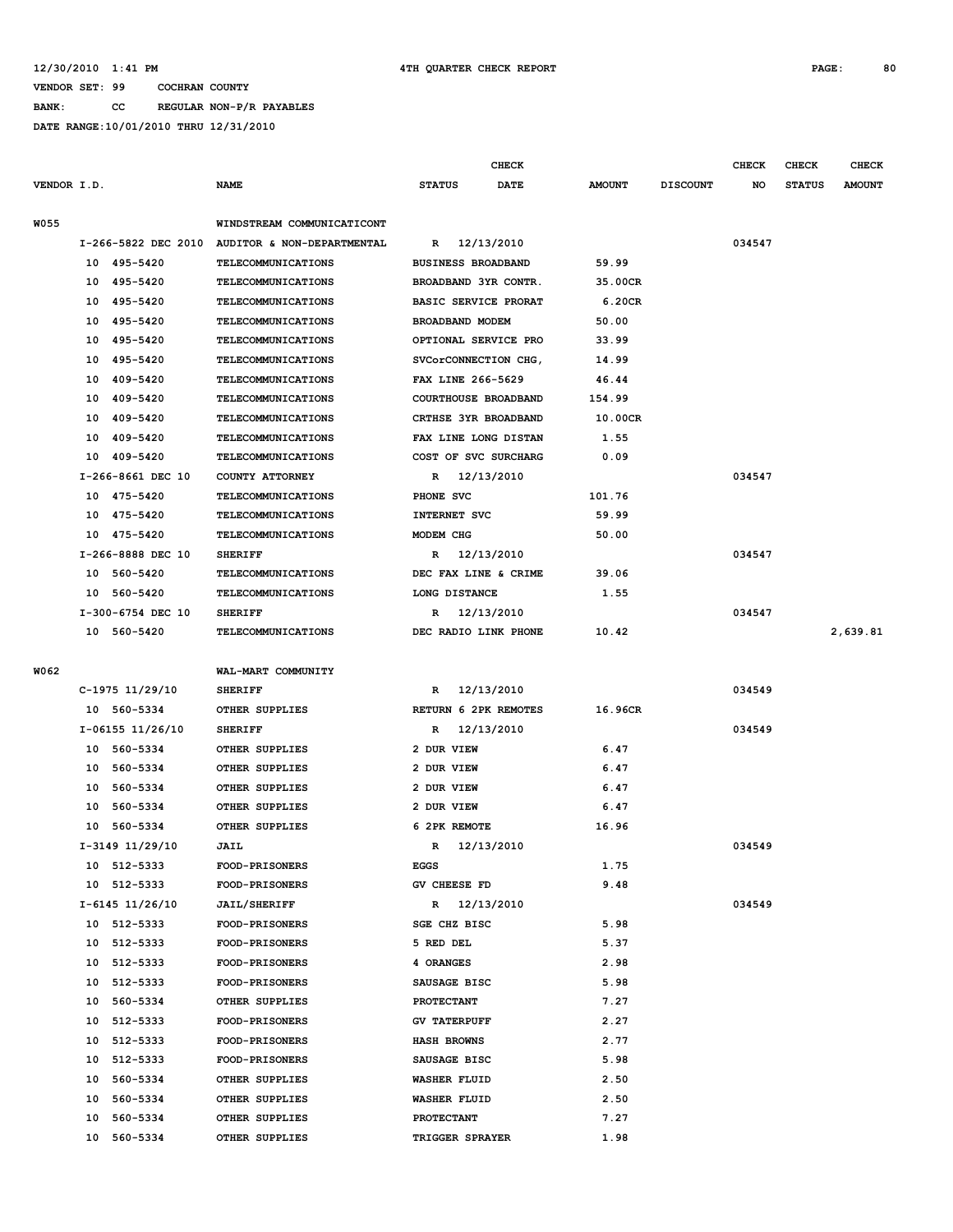**BANK: CC REGULAR NON-P/R PAYABLES**

|             |    |                   |                                                |                             | CHECK      |               |                 | <b>CHECK</b> | CHECK         | <b>CHECK</b>  |
|-------------|----|-------------------|------------------------------------------------|-----------------------------|------------|---------------|-----------------|--------------|---------------|---------------|
| VENDOR I.D. |    |                   | <b>NAME</b>                                    | <b>STATUS</b>               | DATE       | <b>AMOUNT</b> | <b>DISCOUNT</b> | NO           | <b>STATUS</b> | <b>AMOUNT</b> |
| <b>W055</b> |    |                   | WINDSTREAM COMMUNICATICONT                     |                             |            |               |                 |              |               |               |
|             |    |                   | I-266-5822 DEC 2010 AUDITOR & NON-DEPARTMENTAL | R                           | 12/13/2010 |               |                 | 034547       |               |               |
|             |    | 10 495-5420       | <b>TELECOMMUNICATIONS</b>                      | <b>BUSINESS BROADBAND</b>   |            | 59.99         |                 |              |               |               |
|             | 10 | 495–5420          | TELECOMMUNICATIONS                             | BROADBAND 3YR CONTR.        |            | 35.00CR       |                 |              |               |               |
|             | 10 | 495-5420          | <b>TELECOMMUNICATIONS</b>                      | <b>BASIC SERVICE PRORAT</b> |            | 6.20CR        |                 |              |               |               |
|             | 10 | 495–5420          | TELECOMMUNICATIONS                             | BROADBAND MODEM             |            | 50.00         |                 |              |               |               |
|             | 10 | 495-5420          | <b>TELECOMMUNICATIONS</b>                      | OPTIONAL SERVICE PRO        |            | 33.99         |                 |              |               |               |
|             | 10 | 495-5420          | TELECOMMUNICATIONS                             | SVCorCONNECTION CHG,        |            | 14.99         |                 |              |               |               |
|             | 10 | 409-5420          | <b>TELECOMMUNICATIONS</b>                      | FAX LINE 266-5629           |            | 46.44         |                 |              |               |               |
|             | 10 | 409-5420          | <b>TELECOMMUNICATIONS</b>                      | COURTHOUSE BROADBAND        |            | 154.99        |                 |              |               |               |
|             | 10 | 409-5420          | <b>TELECOMMUNICATIONS</b>                      | CRTHSE 3YR BROADBAND        |            | 10.00CR       |                 |              |               |               |
|             | 10 | 409-5420          | <b>TELECOMMUNICATIONS</b>                      | FAX LINE LONG DISTAN        |            | 1.55          |                 |              |               |               |
|             | 10 | 409-5420          | TELECOMMUNICATIONS                             | COST OF SVC SURCHARG        |            | 0.09          |                 |              |               |               |
|             |    | I-266-8661 DEC 10 | COUNTY ATTORNEY                                | R                           | 12/13/2010 |               |                 | 034547       |               |               |
|             |    | 10 475-5420       | <b>TELECOMMUNICATIONS</b>                      | PHONE SVC                   |            | 101.76        |                 |              |               |               |
|             |    | 10 475-5420       | TELECOMMUNICATIONS                             | INTERNET SVC                |            | 59.99         |                 |              |               |               |
|             | 10 | 475-5420          | <b>TELECOMMUNICATIONS</b>                      | MODEM CHG                   |            | 50.00         |                 |              |               |               |
|             |    | I-266-8888 DEC 10 | <b>SHERIFF</b>                                 | R 12/13/2010                |            |               |                 | 034547       |               |               |
|             |    | 10 560-5420       | <b>TELECOMMUNICATIONS</b>                      | DEC FAX LINE & CRIME        |            | 39.06         |                 |              |               |               |
|             | 10 | 560-5420          | TELECOMMUNICATIONS                             | LONG DISTANCE               |            | 1.55          |                 |              |               |               |
|             |    | I-300-6754 DEC 10 | <b>SHERIFF</b>                                 | R 12/13/2010                |            |               |                 | 034547       |               |               |
|             |    | 10 560-5420       | TELECOMMUNICATIONS                             | DEC RADIO LINK PHONE        |            | 10.42         |                 |              |               | 2,639.81      |
|             |    |                   |                                                |                             |            |               |                 |              |               |               |
| W062        |    |                   | WAL-MART COMMUNITY                             |                             |            |               |                 |              |               |               |
|             |    | C-1975 11/29/10   | <b>SHERIFF</b>                                 | R 12/13/2010                |            |               |                 | 034549       |               |               |
|             |    | 10 560-5334       | OTHER SUPPLIES                                 | RETURN 6 2PK REMOTES        |            | 16.96CR       |                 |              |               |               |
|             |    | I-06155 11/26/10  | <b>SHERIFF</b>                                 | R 12/13/2010                |            |               |                 | 034549       |               |               |
|             |    | 10 560-5334       | OTHER SUPPLIES                                 | 2 DUR VIEW                  |            | 6.47          |                 |              |               |               |
|             |    | 10 560-5334       | OTHER SUPPLIES                                 | 2 DUR VIEW                  |            | 6.47          |                 |              |               |               |
|             | 10 | 560–5334          | OTHER SUPPLIES                                 | 2 DUR VIEW                  |            | 6.47          |                 |              |               |               |
|             | 10 | 560-5334          | OTHER SUPPLIES                                 | 2 DUR VIEW                  |            | 6.47          |                 |              |               |               |
|             | 10 | 560-5334          | OTHER SUPPLIES                                 | 6 2PK REMOTE                |            | 16.96         |                 |              |               |               |
|             |    | I-3149 11/29/10   | <b>JAIL</b>                                    | R 12/13/2010                |            |               |                 | 034549       |               |               |
|             |    | 10 512-5333       | <b>FOOD-PRISONERS</b>                          | EGGS                        |            | 1.75          |                 |              |               |               |
|             |    | 10 512-5333       | FOOD-PRISONERS                                 | GV CHEESE FD                |            | 9.48          |                 |              |               |               |
|             |    | $I-6145$ 11/26/10 | <b>JAIL/SHERIFF</b>                            | $\mathbb{R}$                | 12/13/2010 |               |                 | 034549       |               |               |
|             |    | 10 512-5333       | <b>FOOD-PRISONERS</b>                          | <b>SGE CHZ BISC</b>         |            | 5.98          |                 |              |               |               |
|             | 10 | 512-5333          | FOOD-PRISONERS                                 | 5 RED DEL                   |            | 5.37          |                 |              |               |               |
|             | 10 | 512-5333          | <b>FOOD-PRISONERS</b>                          | 4 ORANGES                   |            | 2.98          |                 |              |               |               |
|             | 10 | 512-5333          | <b>FOOD-PRISONERS</b>                          | SAUSAGE BISC                |            | 5.98          |                 |              |               |               |
|             | 10 | 560-5334          | OTHER SUPPLIES                                 | <b>PROTECTANT</b>           |            | 7.27          |                 |              |               |               |
|             | 10 | 512-5333          | <b>FOOD-PRISONERS</b>                          | <b>GV TATERPUFF</b>         |            | 2.27          |                 |              |               |               |
|             | 10 | 512-5333          | <b>FOOD-PRISONERS</b>                          | <b>HASH BROWNS</b>          |            | 2.77          |                 |              |               |               |
|             | 10 | 512-5333          | <b>FOOD-PRISONERS</b>                          | SAUSAGE BISC                |            | 5.98          |                 |              |               |               |
|             | 10 | 560-5334          | OTHER SUPPLIES                                 | <b>WASHER FLUID</b>         |            | 2.50          |                 |              |               |               |
|             | 10 | 560-5334          | OTHER SUPPLIES                                 | <b>WASHER FLUID</b>         |            | 2.50          |                 |              |               |               |
|             | 10 | 560-5334          | OTHER SUPPLIES                                 | <b>PROTECTANT</b>           |            | 7.27          |                 |              |               |               |
|             | 10 | 560-5334          | OTHER SUPPLIES                                 | TRIGGER SPRAYER             |            | 1.98          |                 |              |               |               |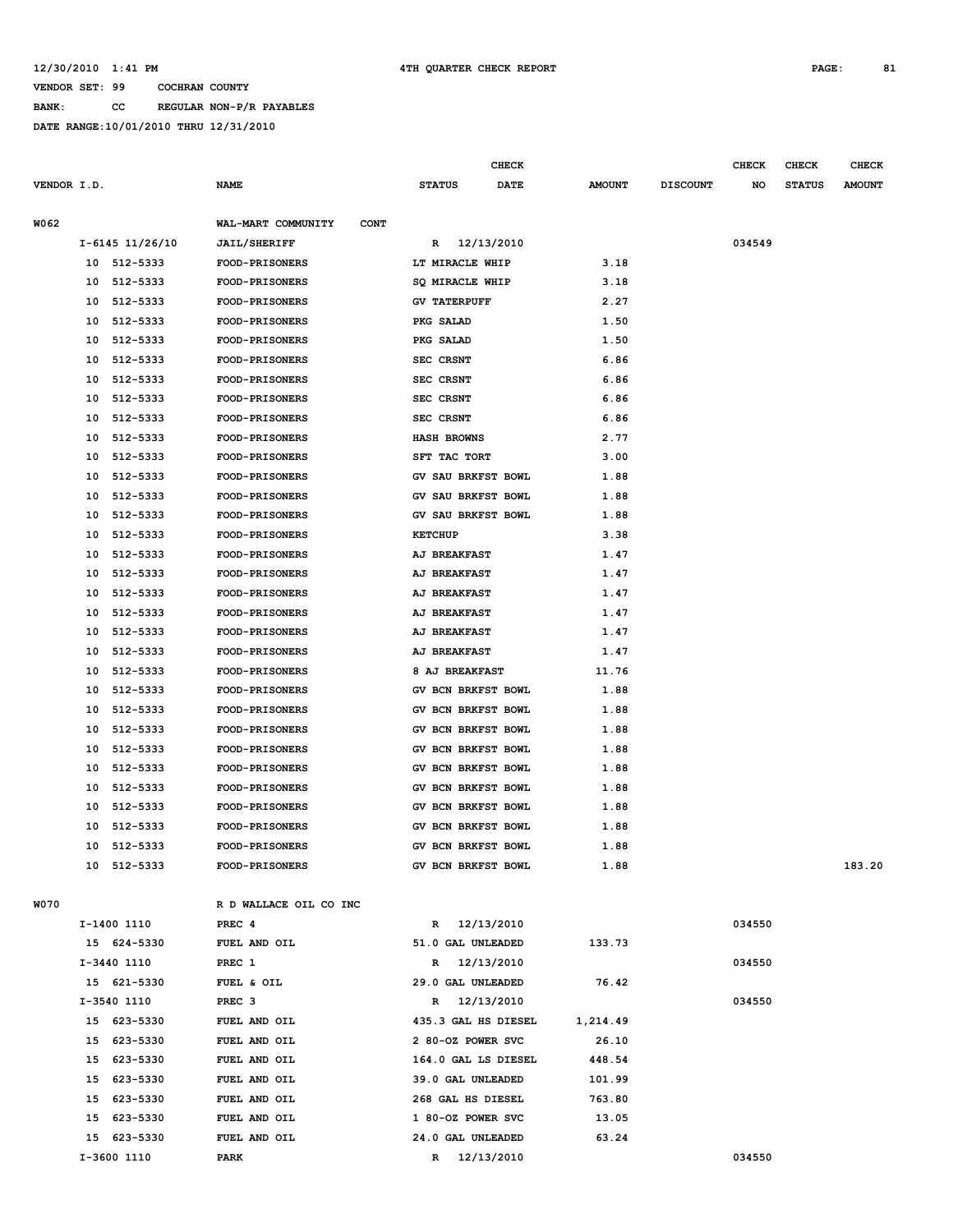**BANK: CC REGULAR NON-P/R PAYABLES**

|             |    |                 |                                   |                     | <b>CHECK</b> |               |                 | <b>CHECK</b> | CHECK         | <b>CHECK</b>  |
|-------------|----|-----------------|-----------------------------------|---------------------|--------------|---------------|-----------------|--------------|---------------|---------------|
| VENDOR I.D. |    |                 | <b>NAME</b>                       | <b>STATUS</b>       | <b>DATE</b>  | <b>AMOUNT</b> | <b>DISCOUNT</b> | NO           | <b>STATUS</b> | <b>AMOUNT</b> |
|             |    |                 |                                   |                     |              |               |                 |              |               |               |
| W062        |    |                 | WAL-MART COMMUNITY<br><b>CONT</b> |                     |              |               |                 |              |               |               |
|             |    | I-6145 11/26/10 | <b>JAIL/SHERIFF</b>               | R                   | 12/13/2010   |               |                 | 034549       |               |               |
|             |    | 10 512-5333     | <b>FOOD-PRISONERS</b>             | LT MIRACLE WHIP     |              | 3.18          |                 |              |               |               |
|             | 10 | 512-5333        | FOOD-PRISONERS                    | SQ MIRACLE WHIP     |              | 3.18          |                 |              |               |               |
|             | 10 | 512-5333        | <b>FOOD-PRISONERS</b>             | <b>GV TATERPUFF</b> |              | 2.27          |                 |              |               |               |
|             | 10 | 512-5333        | FOOD-PRISONERS                    | PKG SALAD           |              | 1.50          |                 |              |               |               |
|             | 10 | 512-5333        | FOOD-PRISONERS                    | PKG SALAD           |              | 1.50          |                 |              |               |               |
|             | 10 | 512-5333        | <b>FOOD-PRISONERS</b>             | SEC CRSNT           |              | 6.86          |                 |              |               |               |
|             | 10 | 512-5333        | <b>FOOD-PRISONERS</b>             | SEC CRSNT           |              | 6.86          |                 |              |               |               |
|             | 10 | 512-5333        | <b>FOOD-PRISONERS</b>             | SEC CRSNT           |              | 6.86          |                 |              |               |               |
|             | 10 | 512-5333        | <b>FOOD-PRISONERS</b>             | SEC CRSNT           |              | 6.86          |                 |              |               |               |
|             | 10 | 512-5333        | <b>FOOD-PRISONERS</b>             | <b>HASH BROWNS</b>  |              | 2.77          |                 |              |               |               |
|             | 10 | 512-5333        | FOOD-PRISONERS                    | SFT TAC TORT        |              | 3.00          |                 |              |               |               |
|             | 10 | 512-5333        | <b>FOOD-PRISONERS</b>             | GV SAU BRKFST BOWL  |              | 1.88          |                 |              |               |               |
|             | 10 | 512-5333        | <b>FOOD-PRISONERS</b>             | GV SAU BRKFST BOWL  |              | 1.88          |                 |              |               |               |
|             | 10 | 512-5333        | FOOD-PRISONERS                    | GV SAU BRKFST BOWL  |              | 1.88          |                 |              |               |               |
|             | 10 | 512-5333        | <b>FOOD-PRISONERS</b>             | <b>KETCHUP</b>      |              | 3.38          |                 |              |               |               |
|             | 10 | 512-5333        | FOOD-PRISONERS                    | AJ BREAKFAST        |              | 1.47          |                 |              |               |               |
|             | 10 | 512-5333        | FOOD-PRISONERS                    | AJ BREAKFAST        |              | 1.47          |                 |              |               |               |
|             | 10 | 512-5333        | <b>FOOD-PRISONERS</b>             | AJ BREAKFAST        |              | 1.47          |                 |              |               |               |
|             | 10 | 512-5333        | <b>FOOD-PRISONERS</b>             | AJ BREAKFAST        |              | 1.47          |                 |              |               |               |
|             | 10 | 512-5333        | <b>FOOD-PRISONERS</b>             | AJ BREAKFAST        |              | 1.47          |                 |              |               |               |
|             | 10 | 512-5333        | <b>FOOD-PRISONERS</b>             | AJ BREAKFAST        |              | 1.47          |                 |              |               |               |
|             | 10 | 512-5333        | <b>FOOD-PRISONERS</b>             | 8 AJ BREAKFAST      |              | 11.76         |                 |              |               |               |
|             | 10 | 512-5333        | <b>FOOD-PRISONERS</b>             | GV BCN BRKFST BOWL  |              | 1.88          |                 |              |               |               |
|             | 10 | 512-5333        | <b>FOOD-PRISONERS</b>             | GV BCN BRKFST BOWL  |              | 1.88          |                 |              |               |               |
|             | 10 | 512-5333        | FOOD-PRISONERS                    | GV BCN BRKFST BOWL  |              | 1.88          |                 |              |               |               |
|             | 10 | 512-5333        | FOOD-PRISONERS                    | GV BCN BRKFST BOWL  |              | 1.88          |                 |              |               |               |
|             | 10 | 512-5333        | <b>FOOD-PRISONERS</b>             | GV BCN BRKFST BOWL  |              | 1.88          |                 |              |               |               |
|             | 10 | 512-5333        | <b>FOOD-PRISONERS</b>             | GV BCN BRKFST BOWL  |              | 1.88          |                 |              |               |               |
|             | 10 | 512-5333        | <b>FOOD-PRISONERS</b>             | GV BCN BRKFST BOWL  |              | 1.88          |                 |              |               |               |
|             | 10 | 512-5333        | <b>FOOD-PRISONERS</b>             | GV BCN BRKFST BOWL  |              | 1.88          |                 |              |               |               |
|             | 10 | 512-5333        | FOOD-PRISONERS                    | GV BCN BRKFST BOWL  |              | 1.88          |                 |              |               |               |
|             |    | 10 512-5333     | <b>FOOD-PRISONERS</b>             | GV BCN BRKFST BOWL  |              | 1.88          |                 |              |               | 183.20        |
|             |    |                 |                                   |                     |              |               |                 |              |               |               |
| W070        |    |                 | R D WALLACE OIL CO INC            |                     |              |               |                 |              |               |               |
|             |    | I-1400 1110     | PREC 4                            | R 12/13/2010        |              |               |                 | 034550       |               |               |
|             |    | 15 624-5330     | FUEL AND OIL                      | 51.0 GAL UNLEADED   |              | 133.73        |                 |              |               |               |
|             |    | I-3440 1110     | PREC 1                            | R 12/13/2010        |              |               |                 | 034550       |               |               |
|             |    | 15 621-5330     | FUEL & OIL                        | 29.0 GAL UNLEADED   |              | 76.42         |                 |              |               |               |
|             |    | I-3540 1110     | PREC <sub>3</sub>                 | R 12/13/2010        |              |               |                 | 034550       |               |               |
|             |    | 15 623-5330     | FUEL AND OIL                      | 435.3 GAL HS DIESEL |              | 1,214.49      |                 |              |               |               |
|             |    | 15 623-5330     | FUEL AND OIL                      | 2 80-OZ POWER SVC   |              | 26.10         |                 |              |               |               |
|             |    | 15 623-5330     | FUEL AND OIL                      | 164.0 GAL LS DIESEL |              | 448.54        |                 |              |               |               |
|             |    | 15 623-5330     | FUEL AND OIL                      | 39.0 GAL UNLEADED   |              | 101.99        |                 |              |               |               |
|             |    | 15 623-5330     | FUEL AND OIL                      | 268 GAL HS DIESEL   |              | 763.80        |                 |              |               |               |
|             | 15 | 623-5330        | FUEL AND OIL                      | 1 80-OZ POWER SVC   |              | 13.05         |                 |              |               |               |
|             |    | 15 623-5330     | FUEL AND OIL                      | 24.0 GAL UNLEADED   |              | 63.24         |                 |              |               |               |
|             |    | I-3600 1110     | PARK                              | R 12/13/2010        |              |               |                 | 034550       |               |               |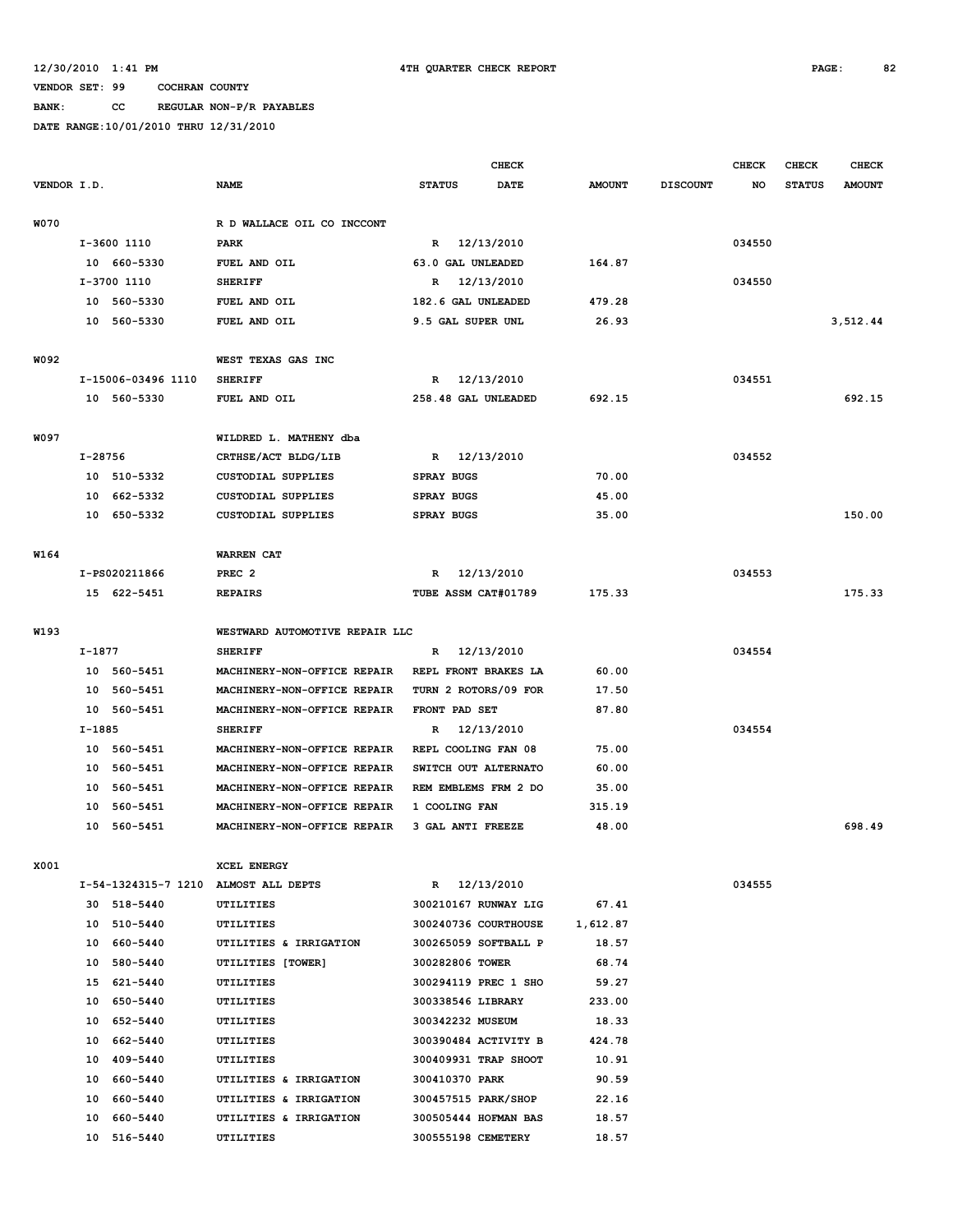### **BANK: CC REGULAR NON-P/R PAYABLES**

|             |          |                    |                                      |                      | <b>CHECK</b> |               |                 | <b>CHECK</b> | <b>CHECK</b>  | <b>CHECK</b>  |
|-------------|----------|--------------------|--------------------------------------|----------------------|--------------|---------------|-----------------|--------------|---------------|---------------|
| VENDOR I.D. |          |                    | <b>NAME</b>                          | <b>STATUS</b>        | <b>DATE</b>  | <b>AMOUNT</b> | <b>DISCOUNT</b> | NO.          | <b>STATUS</b> | <b>AMOUNT</b> |
|             |          |                    |                                      |                      |              |               |                 |              |               |               |
| <b>W070</b> |          |                    | R D WALLACE OIL CO INCCONT           |                      |              |               |                 |              |               |               |
|             |          | I-3600 1110        | <b>PARK</b>                          | R 12/13/2010         |              |               |                 | 034550       |               |               |
|             |          | 10 660-5330        | FUEL AND OIL                         | 63.0 GAL UNLEADED    |              | 164.87        |                 |              |               |               |
|             |          | I-3700 1110        | <b>SHERIFF</b>                       | R                    | 12/13/2010   |               |                 | 034550       |               |               |
|             |          | 10 560-5330        | FUEL AND OIL                         | 182.6 GAL UNLEADED   |              | 479.28        |                 |              |               |               |
|             |          | 10 560-5330        | FUEL AND OIL                         | 9.5 GAL SUPER UNL    |              | 26.93         |                 |              |               | 3,512.44      |
|             |          |                    |                                      |                      |              |               |                 |              |               |               |
| W092        |          |                    | WEST TEXAS GAS INC                   |                      |              |               |                 |              |               |               |
|             |          | I-15006-03496 1110 | <b>SHERIFF</b>                       | R                    | 12/13/2010   |               |                 | 034551       |               |               |
|             |          | 10 560-5330        | FUEL AND OIL                         | 258.48 GAL UNLEADED  |              | 692.15        |                 |              |               | 692.15        |
| W097        |          |                    | WILDRED L. MATHENY dba               |                      |              |               |                 |              |               |               |
|             | I-28756  |                    | CRTHSE/ACT BLDG/LIB                  | $\mathbb{R}$         | 12/13/2010   |               |                 | 034552       |               |               |
|             | 10       | 510-5332           | <b>CUSTODIAL SUPPLIES</b>            | <b>SPRAY BUGS</b>    |              | 70.00         |                 |              |               |               |
|             | 10       | 662-5332           | <b>CUSTODIAL SUPPLIES</b>            | <b>SPRAY BUGS</b>    |              | 45.00         |                 |              |               |               |
|             |          | 10 650-5332        | <b>CUSTODIAL SUPPLIES</b>            | <b>SPRAY BUGS</b>    |              | 35.00         |                 |              |               | 150.00        |
|             |          |                    |                                      |                      |              |               |                 |              |               |               |
| W164        |          |                    | <b>WARREN CAT</b>                    |                      |              |               |                 |              |               |               |
|             |          | I-PS020211866      | PREC <sub>2</sub>                    | R                    | 12/13/2010   |               |                 | 034553       |               |               |
|             |          | 15 622-5451        | <b>REPAIRS</b>                       | TUBE ASSM CAT#01789  |              | 175.33        |                 |              |               | 175.33        |
|             |          |                    |                                      |                      |              |               |                 |              |               |               |
| W193        |          |                    | WESTWARD AUTOMOTIVE REPAIR LLC       |                      |              |               |                 |              |               |               |
|             | I-1877   |                    | <b>SHERIFF</b>                       | R                    | 12/13/2010   |               |                 | 034554       |               |               |
|             |          | 10 560-5451        | MACHINERY-NON-OFFICE REPAIR          | REPL FRONT BRAKES LA |              | 60.00         |                 |              |               |               |
|             | 10       | 560-5451           | MACHINERY-NON-OFFICE REPAIR          | TURN 2 ROTORS/09 FOR |              | 17.50         |                 |              |               |               |
|             | 10       | 560-5451           | MACHINERY-NON-OFFICE REPAIR          | FRONT PAD SET        |              | 87.80         |                 |              |               |               |
|             | $I-1885$ |                    | <b>SHERIFF</b>                       | R                    | 12/13/2010   |               |                 | 034554       |               |               |
|             |          | 10 560-5451        | MACHINERY-NON-OFFICE REPAIR          | REPL COOLING FAN 08  |              | 75.00         |                 |              |               |               |
|             |          | 10 560-5451        | MACHINERY-NON-OFFICE REPAIR          | SWITCH OUT ALTERNATO |              | 60.00         |                 |              |               |               |
|             |          | 10 560-5451        | MACHINERY-NON-OFFICE REPAIR          | REM EMBLEMS FRM 2 DO |              | 35.00         |                 |              |               |               |
|             | 10       | 560-5451           | MACHINERY-NON-OFFICE REPAIR          | 1 COOLING FAN        |              | 315.19        |                 |              |               |               |
|             | 10       | 560-5451           | MACHINERY-NON-OFFICE REPAIR          | 3 GAL ANTI FREEZE    |              | 48.00         |                 |              |               | 698.49        |
|             |          |                    |                                      |                      |              |               |                 |              |               |               |
| X001        |          |                    | XCEL ENERGY                          |                      |              |               |                 |              |               |               |
|             |          |                    | I-54-1324315-7 1210 ALMOST ALL DEPTS | R 12/13/2010         |              |               |                 | 034555       |               |               |
|             |          | 30 518-5440        | <b>UTILITIES</b>                     | 300210167 RUNWAY LIG |              | 67.41         |                 |              |               |               |
|             |          | 10 510-5440        | UTILITIES                            | 300240736 COURTHOUSE |              | 1,612.87      |                 |              |               |               |
|             |          | 10 660-5440        | UTILITIES & IRRIGATION               | 300265059 SOFTBALL P |              | 18.57         |                 |              |               |               |
|             |          | 10 580-5440        | UTILITIES [TOWER]                    | 300282806 TOWER      |              | 68.74         |                 |              |               |               |
|             |          | 15 621-5440        | UTILITIES                            | 300294119 PREC 1 SHO |              | 59.27         |                 |              |               |               |
|             |          | 10 650-5440        | UTILITIES                            | 300338546 LIBRARY    |              | 233.00        |                 |              |               |               |
|             |          | 10 652-5440        | UTILITIES                            | 300342232 MUSEUM     |              | 18.33         |                 |              |               |               |
|             |          | 10 662-5440        | UTILITIES                            | 300390484 ACTIVITY B |              | 424.78        |                 |              |               |               |
|             |          | 10 409-5440        | UTILITIES                            | 300409931 TRAP SHOOT |              | 10.91         |                 |              |               |               |
|             |          | 10 660-5440        | UTILITIES & IRRIGATION               | 300410370 PARK       |              | 90.59         |                 |              |               |               |
|             |          | 10 660-5440        | UTILITIES & IRRIGATION               | 300457515 PARK/SHOP  |              | 22.16         |                 |              |               |               |
|             |          | 10 660-5440        | UTILITIES & IRRIGATION               | 300505444 HOFMAN BAS |              | 18.57         |                 |              |               |               |
|             |          | 10 516-5440        | UTILITIES                            | 300555198 CEMETERY   |              | 18.57         |                 |              |               |               |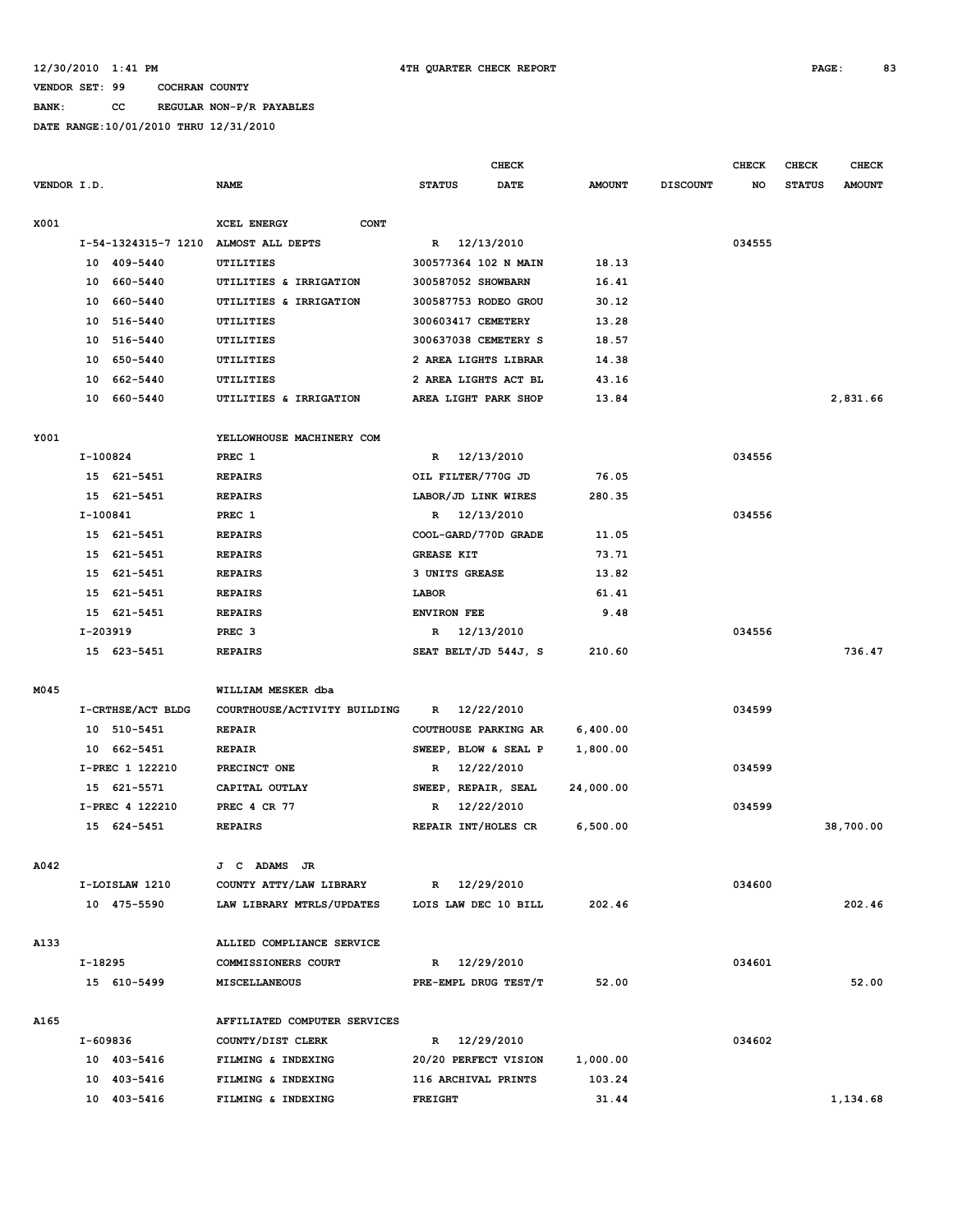**BANK: CC REGULAR NON-P/R PAYABLES**

|             |                     |                                                | <b>CHECK</b>         |             |               |                 | <b>CHECK</b> | CHECK         | <b>CHECK</b>  |
|-------------|---------------------|------------------------------------------------|----------------------|-------------|---------------|-----------------|--------------|---------------|---------------|
| VENDOR I.D. |                     | <b>NAME</b>                                    | <b>STATUS</b>        | <b>DATE</b> | <b>AMOUNT</b> | <b>DISCOUNT</b> | NO           | <b>STATUS</b> | <b>AMOUNT</b> |
|             |                     |                                                |                      |             |               |                 |              |               |               |
| X001        |                     | XCEL ENERGY<br><b>CONT</b>                     |                      |             |               |                 |              |               |               |
|             | I-54-1324315-7 1210 | ALMOST ALL DEPTS                               | R 12/13/2010         |             |               |                 | 034555       |               |               |
|             | 10 409-5440         | UTILITIES                                      | 300577364 102 N MAIN |             | 18.13         |                 |              |               |               |
|             | 10 660-5440         | UTILITIES & IRRIGATION                         | 300587052 SHOWBARN   |             | 16.41         |                 |              |               |               |
|             | 660-5440<br>10      | UTILITIES & IRRIGATION                         | 300587753 RODEO GROU |             | 30.12         |                 |              |               |               |
|             | 10 516-5440         | UTILITIES                                      | 300603417 CEMETERY   |             | 13.28         |                 |              |               |               |
|             | 10 516-5440         | UTILITIES                                      | 300637038 CEMETERY S |             | 18.57         |                 |              |               |               |
|             | 10 650-5440         | UTILITIES                                      | 2 AREA LIGHTS LIBRAR |             | 14.38         |                 |              |               |               |
|             | 10<br>662-5440      | UTILITIES                                      | 2 AREA LIGHTS ACT BL |             | 43.16         |                 |              |               |               |
|             | 10<br>660-5440      | UTILITIES & IRRIGATION                         | AREA LIGHT PARK SHOP |             | 13.84         |                 |              |               | 2,831.66      |
| Y001        |                     | YELLOWHOUSE MACHINERY COM                      |                      |             |               |                 |              |               |               |
|             | I-100824            | PREC 1                                         | R 12/13/2010         |             |               |                 | 034556       |               |               |
|             | 15 621-5451         | <b>REPAIRS</b>                                 | OIL FILTER/770G JD   |             | 76.05         |                 |              |               |               |
|             | 15 621-5451         | <b>REPAIRS</b>                                 | LABOR/JD LINK WIRES  |             | 280.35        |                 |              |               |               |
|             | $I-100841$          | PREC 1                                         | R 12/13/2010         |             |               |                 | 034556       |               |               |
|             | 15 621-5451         | <b>REPAIRS</b>                                 | COOL-GARD/770D GRADE |             | 11.05         |                 |              |               |               |
|             | 15 621-5451         | <b>REPAIRS</b>                                 | <b>GREASE KIT</b>    |             | 73.71         |                 |              |               |               |
|             | 15 621-5451         | <b>REPAIRS</b>                                 | 3 UNITS GREASE       |             | 13.82         |                 |              |               |               |
|             | 15 621-5451         | <b>REPAIRS</b>                                 | LABOR                |             | 61.41         |                 |              |               |               |
|             | 15 621-5451         | <b>REPAIRS</b>                                 | <b>ENVIRON FEE</b>   |             | 9.48          |                 |              |               |               |
|             | I-203919            | PREC <sub>3</sub>                              | R 12/13/2010         |             |               |                 | 034556       |               |               |
|             | 15 623-5451         | <b>REPAIRS</b>                                 | SEAT BELT/JD 544J, S |             | 210.60        |                 |              |               | 736.47        |
|             |                     |                                                |                      |             |               |                 |              |               |               |
| M045        |                     | WILLIAM MESKER dba                             |                      |             |               |                 |              |               |               |
|             | I-CRTHSE/ACT BLDG   | COURTHOUSE/ACTIVITY BUILDING                   | 12/22/2010<br>R      |             |               |                 | 034599       |               |               |
|             | 10 510-5451         | <b>REPAIR</b>                                  | COUTHOUSE PARKING AR |             | 6,400.00      |                 |              |               |               |
|             | 10 662-5451         | <b>REPAIR</b>                                  | SWEEP, BLOW & SEAL P |             | 1,800.00      |                 |              |               |               |
|             | I-PREC 1 122210     | PRECINCT ONE                                   | 12/22/2010<br>R      |             |               |                 | 034599       |               |               |
|             | 15 621-5571         | CAPITAL OUTLAY                                 | SWEEP, REPAIR, SEAL  |             | 24,000.00     |                 |              |               |               |
|             | I-PREC 4 122210     | <b>PREC 4 CR 77</b>                            | 12/22/2010<br>R      |             |               |                 | 034599       |               |               |
|             | 15 624-5451         | <b>REPAIRS</b>                                 | REPAIR INT/HOLES CR  |             | 6,500.00      |                 |              |               | 38,700.00     |
|             |                     |                                                |                      |             |               |                 |              |               |               |
| A042        |                     | J C ADAMS JR                                   |                      |             |               |                 |              |               |               |
|             | I-LOISLAW 1210      | COUNTY ATTY/LAW LIBRARY                        | R 12/29/2010         |             |               |                 | 034600       |               |               |
|             | 10 475-5590         | LAW LIBRARY MTRLS/UPDATES LOIS LAW DEC 10 BILL |                      |             | 202.46        |                 |              |               | 202.46        |
| A133        |                     | ALLIED COMPLIANCE SERVICE                      |                      |             |               |                 |              |               |               |
|             | I-18295             | COMMISSIONERS COURT                            | R 12/29/2010         |             |               |                 | 034601       |               |               |
|             | 15 610-5499         | MISCELLANEOUS                                  | PRE-EMPL DRUG TEST/T |             | 52.00         |                 |              |               | 52.00         |
| A165        |                     | AFFILIATED COMPUTER SERVICES                   |                      |             |               |                 |              |               |               |
|             | I-609836            | COUNTY/DIST CLERK                              | R 12/29/2010         |             |               |                 | 034602       |               |               |
|             | 10 403-5416         | FILMING & INDEXING                             | 20/20 PERFECT VISION |             | 1,000.00      |                 |              |               |               |
|             | 10 403-5416         | FILMING & INDEXING                             | 116 ARCHIVAL PRINTS  |             | 103.24        |                 |              |               |               |
|             | 10 403-5416         | FILMING & INDEXING                             | <b>FREIGHT</b>       |             | 31.44         |                 |              |               | 1,134.68      |
|             |                     |                                                |                      |             |               |                 |              |               |               |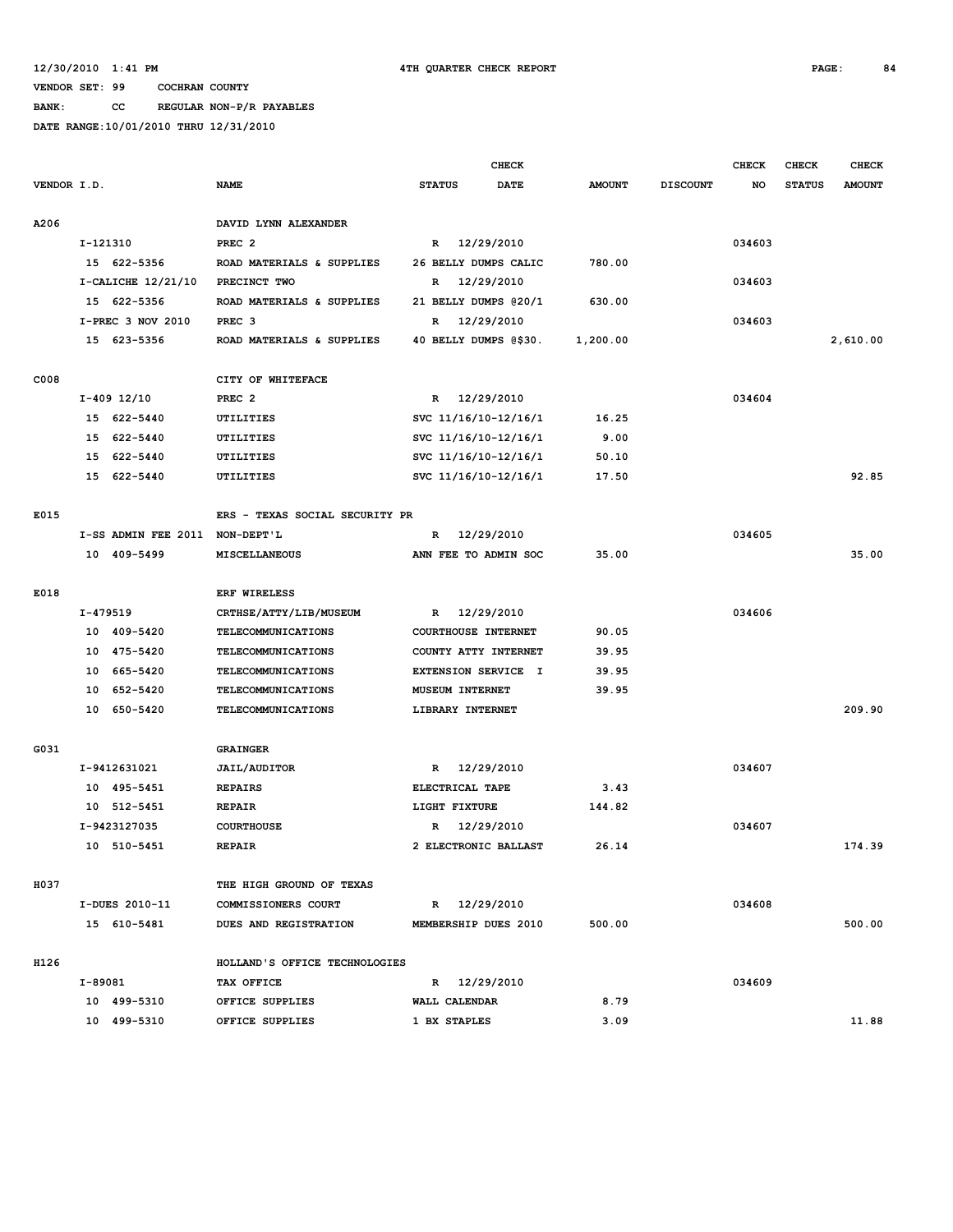**BANK: CC REGULAR NON-P/R PAYABLES**

|             |          |                                |                                |               |                        | <b>CHECK</b>          |               |                 | <b>CHECK</b> | <b>CHECK</b>  | <b>CHECK</b>  |
|-------------|----------|--------------------------------|--------------------------------|---------------|------------------------|-----------------------|---------------|-----------------|--------------|---------------|---------------|
| VENDOR I.D. |          |                                | <b>NAME</b>                    | <b>STATUS</b> |                        | <b>DATE</b>           | <b>AMOUNT</b> | <b>DISCOUNT</b> | NO           | <b>STATUS</b> | <b>AMOUNT</b> |
|             |          |                                |                                |               |                        |                       |               |                 |              |               |               |
| A206        |          |                                | DAVID LYNN ALEXANDER           |               |                        |                       |               |                 |              |               |               |
|             | I-121310 |                                | PREC <sub>2</sub>              |               |                        | R 12/29/2010          |               |                 | 034603       |               |               |
|             |          | 15 622-5356                    | ROAD MATERIALS & SUPPLIES      |               |                        | 26 BELLY DUMPS CALIC  | 780.00        |                 |              |               |               |
|             |          | $I-CALICHE$ 12/21/10           | PRECINCT TWO                   | R             |                        | 12/29/2010            |               |                 | 034603       |               |               |
|             |          | 15 622-5356                    | ROAD MATERIALS & SUPPLIES      |               |                        | 21 BELLY DUMPS @20/1  | 630.00        |                 |              |               |               |
|             |          | I-PREC 3 NOV 2010              | PREC <sub>3</sub>              | R             |                        | 12/29/2010            |               |                 | 034603       |               |               |
|             |          | 15 623-5356                    | ROAD MATERIALS & SUPPLIES      |               |                        | 40 BELLY DUMPS @\$30. | 1,200.00      |                 |              |               | 2,610.00      |
|             |          |                                |                                |               |                        |                       |               |                 |              |               |               |
| C008        |          |                                | CITY OF WHITEFACE              |               |                        |                       |               |                 |              |               |               |
|             |          | $I-409$ 12/10                  | PREC <sub>2</sub>              | $\mathbb{R}$  |                        | 12/29/2010            |               |                 | 034604       |               |               |
|             |          | 15 622-5440                    | UTILITIES                      |               |                        | svc 11/16/10-12/16/1  | 16.25         |                 |              |               |               |
|             |          | 15 622-5440                    | UTILITIES                      |               |                        | svc 11/16/10-12/16/1  | 9.00          |                 |              |               |               |
|             |          | 15 622-5440                    | UTILITIES                      |               |                        | SVC 11/16/10-12/16/1  | 50.10         |                 |              |               |               |
|             | 15       | 622-5440                       | UTILITIES                      |               |                        | svc 11/16/10-12/16/1  | 17.50         |                 |              |               | 92.85         |
|             |          |                                |                                |               |                        |                       |               |                 |              |               |               |
| E015        |          |                                | ERS - TEXAS SOCIAL SECURITY PR |               |                        |                       |               |                 |              |               |               |
|             |          | I-SS ADMIN FEE 2011 NON-DEPT'L |                                | R             |                        | 12/29/2010            |               |                 | 034605       |               |               |
|             |          | 10 409-5499                    | MISCELLANEOUS                  |               |                        | ANN FEE TO ADMIN SOC  | 35.00         |                 |              |               | 35.00         |
|             |          |                                |                                |               |                        |                       |               |                 |              |               |               |
| E018        |          |                                | <b>ERF WIRELESS</b>            |               |                        |                       |               |                 |              |               |               |
|             | I-479519 |                                | CRTHSE/ATTY/LIB/MUSEUM         |               |                        | R 12/29/2010          |               |                 | 034606       |               |               |
|             |          | 10 409-5420                    | TELECOMMUNICATIONS             |               |                        | COURTHOUSE INTERNET   | 90.05         |                 |              |               |               |
|             | 10       | 475-5420                       | TELECOMMUNICATIONS             |               |                        | COUNTY ATTY INTERNET  | 39.95         |                 |              |               |               |
|             | 10       | 665-5420                       | TELECOMMUNICATIONS             |               |                        | EXTENSION SERVICE I   | 39.95         |                 |              |               |               |
|             | 10       | 652-5420                       | TELECOMMUNICATIONS             |               | <b>MUSEUM INTERNET</b> |                       | 39.95         |                 |              |               |               |
|             | 10       | 650-5420                       | <b>TELECOMMUNICATIONS</b>      |               | LIBRARY INTERNET       |                       |               |                 |              |               | 209.90        |
|             |          |                                |                                |               |                        |                       |               |                 |              |               |               |
| G031        |          |                                | <b>GRAINGER</b>                |               |                        |                       |               |                 |              |               |               |
|             |          | I-9412631021                   | <b>JAIL/AUDITOR</b>            | R             |                        | 12/29/2010            |               |                 | 034607       |               |               |
|             |          | 10 495-5451                    | <b>REPAIRS</b>                 |               | ELECTRICAL TAPE        |                       | 3.43          |                 |              |               |               |
|             |          | 10 512-5451                    | <b>REPAIR</b>                  |               | LIGHT FIXTURE          |                       | 144.82        |                 |              |               |               |
|             |          | I-9423127035                   | <b>COURTHOUSE</b>              | R             |                        | 12/29/2010            |               |                 | 034607       |               |               |
|             |          | 10 510-5451                    | <b>REPAIR</b>                  |               |                        | 2 ELECTRONIC BALLAST  | 26.14         |                 |              |               | 174.39        |
|             |          |                                |                                |               |                        |                       |               |                 |              |               |               |
| H037        |          |                                | THE HIGH GROUND OF TEXAS       |               |                        |                       |               |                 |              |               |               |
|             |          | I-DUES 2010-11                 | COMMISSIONERS COURT            |               |                        | R 12/29/2010          |               |                 | 034608       |               |               |
|             |          | 15 610-5481                    | DUES AND REGISTRATION          |               |                        | MEMBERSHIP DUES 2010  | 500.00        |                 |              |               | 500.00        |
|             |          |                                |                                |               |                        |                       |               |                 |              |               |               |
| H126        |          |                                | HOLLAND'S OFFICE TECHNOLOGIES  |               |                        |                       |               |                 |              |               |               |
|             | I-89081  |                                | TAX OFFICE                     |               |                        | R 12/29/2010          |               |                 | 034609       |               |               |
|             |          | 10 499-5310                    | OFFICE SUPPLIES                |               | WALL CALENDAR          |                       | 8.79          |                 |              |               |               |
|             |          | 10 499-5310                    | OFFICE SUPPLIES                |               | 1 BX STAPLES           |                       | 3.09          |                 |              |               | 11.88         |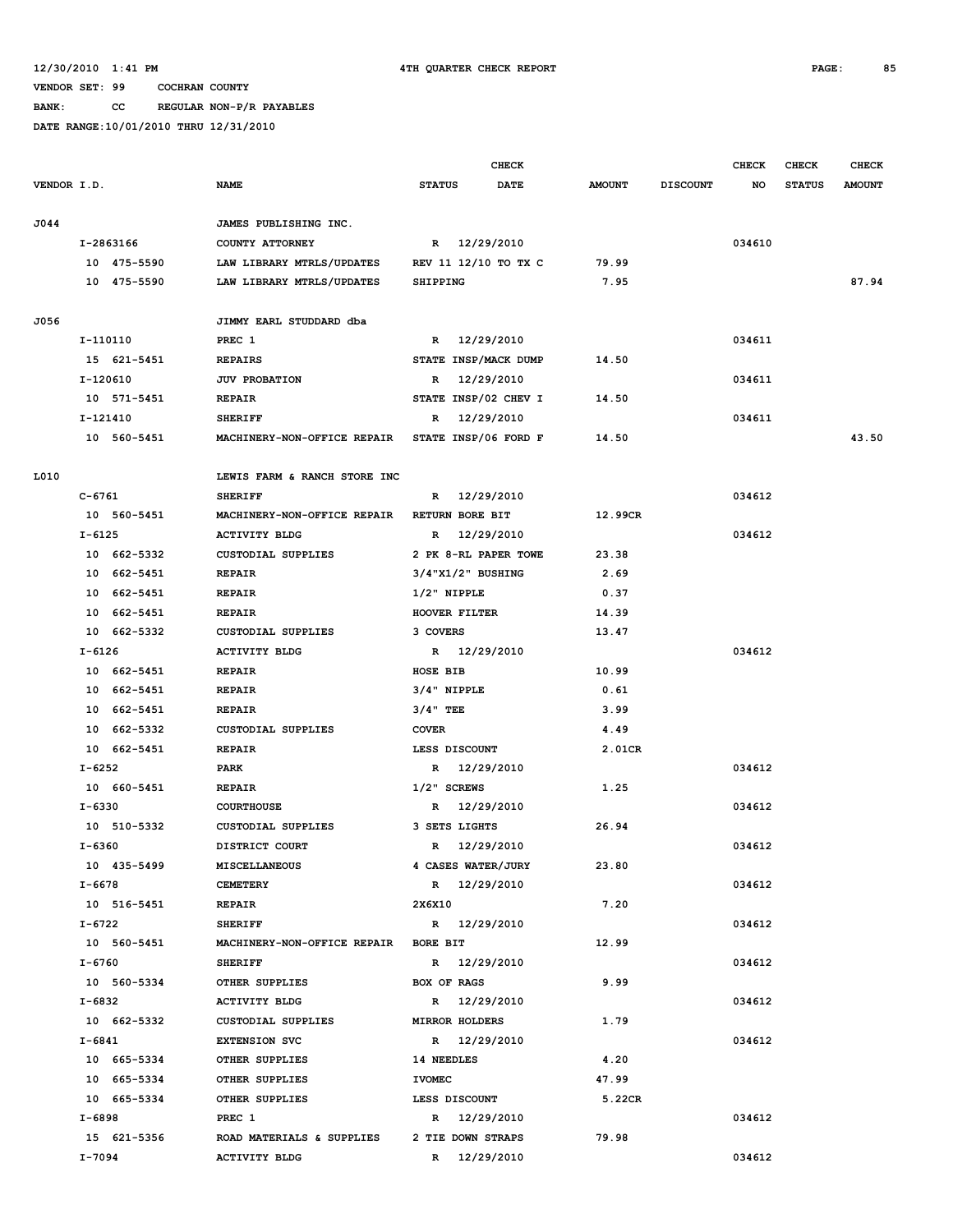**BANK: CC REGULAR NON-P/R PAYABLES**

|             |             |                              | <b>CHECK</b>                |               |                 | <b>CHECK</b> | <b>CHECK</b>  | <b>CHECK</b>  |
|-------------|-------------|------------------------------|-----------------------------|---------------|-----------------|--------------|---------------|---------------|
| VENDOR I.D. |             | NAME                         | <b>STATUS</b><br>DATE       | <b>AMOUNT</b> | <b>DISCOUNT</b> | NO           | <b>STATUS</b> | <b>AMOUNT</b> |
| J044        |             | JAMES PUBLISHING INC.        |                             |               |                 |              |               |               |
|             | I-2863166   | COUNTY ATTORNEY              | R 12/29/2010                |               |                 | 034610       |               |               |
|             | 10 475-5590 | LAW LIBRARY MTRLS/UPDATES    | REV 11 12/10 TO TX C        | 79.99         |                 |              |               |               |
|             | 10 475-5590 | LAW LIBRARY MTRLS/UPDATES    | <b>SHIPPING</b>             | 7.95          |                 |              |               | 87.94         |
|             |             |                              |                             |               |                 |              |               |               |
| J056        |             | JIMMY EARL STUDDARD dba      |                             |               |                 |              |               |               |
|             | I-110110    | PREC 1                       | 12/29/2010<br>$\mathbb{R}$  |               |                 | 034611       |               |               |
|             | 15 621-5451 | <b>REPAIRS</b>               | STATE INSP/MACK DUMP        | 14.50         |                 |              |               |               |
|             | $I-120610$  | <b>JUV PROBATION</b>         | 12/29/2010<br>R             |               |                 | 034611       |               |               |
|             | 10 571-5451 | <b>REPAIR</b>                | STATE INSP/02 CHEV I        | 14.50         |                 |              |               |               |
|             | I-121410    | <b>SHERIFF</b>               | 12/29/2010<br>R             |               |                 | 034611       |               |               |
|             | 10 560-5451 | MACHINERY-NON-OFFICE REPAIR  | <b>STATE INSP/06 FORD F</b> | 14.50         |                 |              |               | 43.50         |
| L010        |             | LEWIS FARM & RANCH STORE INC |                             |               |                 |              |               |               |
|             | $C - 6761$  | <b>SHERIFF</b>               | R 12/29/2010                |               |                 | 034612       |               |               |
|             | 10 560-5451 | MACHINERY-NON-OFFICE REPAIR  | RETURN BORE BIT             | 12.99CR       |                 |              |               |               |
|             | $I - 6125$  | <b>ACTIVITY BLDG</b>         | 12/29/2010<br>R             |               |                 | 034612       |               |               |
|             | 10 662-5332 | <b>CUSTODIAL SUPPLIES</b>    | 2 PK 8-RL PAPER TOWE        | 23.38         |                 |              |               |               |
|             | 10 662-5451 | <b>REPAIR</b>                | $3/4$ "X1/2" BUSHING        | 2.69          |                 |              |               |               |
|             | 10 662-5451 | <b>REPAIR</b>                | $1/2$ " NIPPLE              | 0.37          |                 |              |               |               |
|             | 10 662-5451 | <b>REPAIR</b>                | HOOVER FILTER               | 14.39         |                 |              |               |               |
|             | 10 662-5332 | <b>CUSTODIAL SUPPLIES</b>    | 3 COVERS                    | 13.47         |                 |              |               |               |
|             | I-6126      | <b>ACTIVITY BLDG</b>         | R 12/29/2010                |               |                 | 034612       |               |               |
|             | 10 662-5451 | <b>REPAIR</b>                | HOSE BIB                    | 10.99         |                 |              |               |               |
|             | 10 662-5451 | <b>REPAIR</b>                | $3/4"$ NIPPLE               | 0.61          |                 |              |               |               |
|             | 10 662-5451 | <b>REPAIR</b>                | $3/4$ " TEE                 | 3.99          |                 |              |               |               |
|             | 10 662-5332 | <b>CUSTODIAL SUPPLIES</b>    | <b>COVER</b>                | 4.49          |                 |              |               |               |
|             | 10 662-5451 | <b>REPAIR</b>                | LESS DISCOUNT               | 2.01CR        |                 |              |               |               |
|             | $I - 6252$  | <b>PARK</b>                  | 12/29/2010<br>R             |               |                 | 034612       |               |               |
|             | 10 660-5451 | <b>REPAIR</b>                | $1/2$ " SCREWS              | 1.25          |                 |              |               |               |
|             | $I - 6330$  | <b>COURTHOUSE</b>            | 12/29/2010<br>R             |               |                 | 034612       |               |               |
|             | 10 510-5332 | <b>CUSTODIAL SUPPLIES</b>    | 3 SETS LIGHTS               | 26.94         |                 |              |               |               |
|             | I-6360      | DISTRICT COURT               | R 12/29/2010                |               |                 | 034612       |               |               |
|             | 10 435-5499 | <b>MISCELLANEOUS</b>         | 4 CASES WATER/JURY          | 23.80         |                 |              |               |               |
|             | I-6678      | <b>CEMETERY</b>              | R 12/29/2010                |               |                 | 034612       |               |               |
|             | 10 516-5451 | <b>REPAIR</b>                | 2X6X10                      | 7.20          |                 |              |               |               |
|             | I-6722      | <b>SHERIFF</b>               | R 12/29/2010                |               |                 | 034612       |               |               |
|             | 10 560-5451 | MACHINERY-NON-OFFICE REPAIR  | <b>BORE BIT</b>             | 12.99         |                 |              |               |               |
|             | I-6760      | <b>SHERIFF</b>               | R 12/29/2010                |               |                 | 034612       |               |               |
|             | 10 560-5334 | OTHER SUPPLIES               | BOX OF RAGS                 | 9.99          |                 |              |               |               |
|             | I-6832      | <b>ACTIVITY BLDG</b>         | R 12/29/2010                |               |                 | 034612       |               |               |
|             | 10 662-5332 | CUSTODIAL SUPPLIES           | <b>MIRROR HOLDERS</b>       | 1.79          |                 |              |               |               |
|             | $I - 6841$  | <b>EXTENSION SVC</b>         | R 12/29/2010                |               |                 | 034612       |               |               |
|             | 10 665-5334 | OTHER SUPPLIES               | 14 NEEDLES                  | 4.20          |                 |              |               |               |
|             | 10 665-5334 | OTHER SUPPLIES               | <b>IVOMEC</b>               | 47.99         |                 |              |               |               |
|             | 10 665-5334 | OTHER SUPPLIES               | LESS DISCOUNT               | 5.22CR        |                 |              |               |               |
|             | I-6898      | PREC 1                       | R 12/29/2010                |               |                 | 034612       |               |               |
|             | 15 621-5356 | ROAD MATERIALS & SUPPLIES    | 2 TIE DOWN STRAPS           | 79.98         |                 |              |               |               |
|             | I-7094      | <b>ACTIVITY BLDG</b>         | R 12/29/2010                |               |                 | 034612       |               |               |
|             |             |                              |                             |               |                 |              |               |               |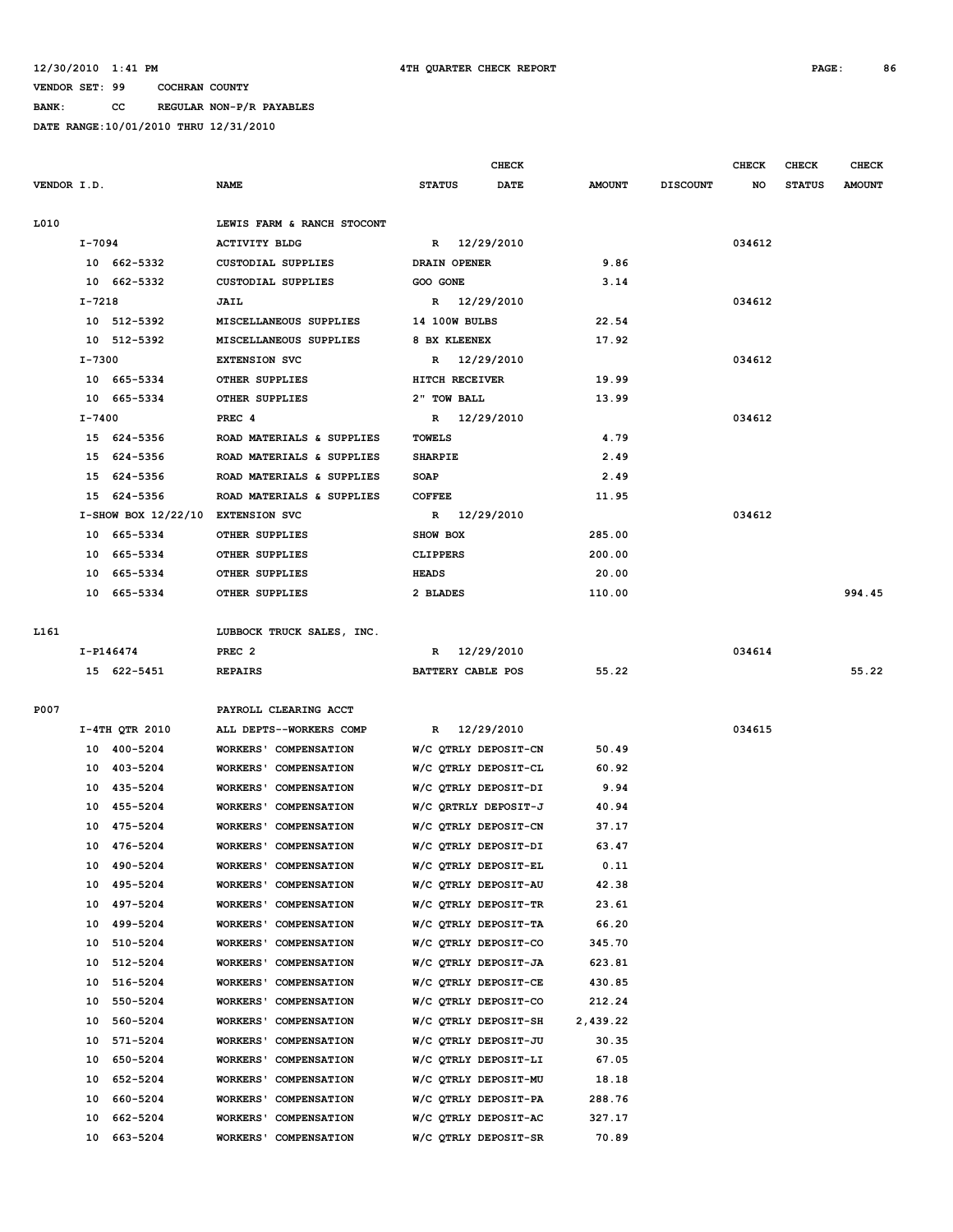**BANK: CC REGULAR NON-P/R PAYABLES**

|             |            |                                   |                              |                          | CHECK       |               |                 | <b>CHECK</b> | <b>CHECK</b>  | <b>CHECK</b>  |
|-------------|------------|-----------------------------------|------------------------------|--------------------------|-------------|---------------|-----------------|--------------|---------------|---------------|
| VENDOR I.D. |            |                                   | <b>NAME</b>                  | <b>STATUS</b>            | <b>DATE</b> | <b>AMOUNT</b> | <b>DISCOUNT</b> | NO           | <b>STATUS</b> | <b>AMOUNT</b> |
| L010        |            |                                   | LEWIS FARM & RANCH STOCONT   |                          |             |               |                 |              |               |               |
|             | I-7094     |                                   | <b>ACTIVITY BLDG</b>         | R 12/29/2010             |             |               |                 | 034612       |               |               |
|             |            | 10 662-5332                       | <b>CUSTODIAL SUPPLIES</b>    | DRAIN OPENER             |             | 9.86          |                 |              |               |               |
|             |            | 10 662-5332                       | <b>CUSTODIAL SUPPLIES</b>    | GOO GONE                 |             | 3.14          |                 |              |               |               |
|             | $I - 7218$ |                                   | JAIL                         | R 12/29/2010             |             |               |                 | 034612       |               |               |
|             |            | 10 512-5392                       | MISCELLANEOUS SUPPLIES       | <b>14 100W BULBS</b>     |             | 22.54         |                 |              |               |               |
|             |            | 10 512-5392                       | MISCELLANEOUS SUPPLIES       | 8 BX KLEENEX             |             | 17.92         |                 |              |               |               |
|             | I-7300     |                                   | <b>EXTENSION SVC</b>         | R 12/29/2010             |             |               |                 | 034612       |               |               |
|             |            | 10 665-5334                       | <b>OTHER SUPPLIES</b>        | HITCH RECEIVER           |             | 19.99         |                 |              |               |               |
|             |            | 10 665-5334                       | OTHER SUPPLIES               | 2" TOW BALL              |             | 13.99         |                 |              |               |               |
|             | I-7400     |                                   | PREC 4                       | R 12/29/2010             |             |               |                 | 034612       |               |               |
|             |            | 15 624-5356                       | ROAD MATERIALS & SUPPLIES    | <b>TOWELS</b>            |             | 4.79          |                 |              |               |               |
|             |            | 15 624-5356                       | ROAD MATERIALS & SUPPLIES    | <b>SHARPIE</b>           |             | 2.49          |                 |              |               |               |
|             |            | 15 624-5356                       | ROAD MATERIALS & SUPPLIES    | <b>SOAP</b>              |             | 2.49          |                 |              |               |               |
|             | 15         | 624-5356                          | ROAD MATERIALS & SUPPLIES    | <b>COFFEE</b>            |             | 11.95         |                 |              |               |               |
|             |            | I-SHOW BOX 12/22/10 EXTENSION SVC |                              | R                        | 12/29/2010  |               |                 | 034612       |               |               |
|             | 10         | 665–5334                          | OTHER SUPPLIES               | SHOW BOX                 |             | 285.00        |                 |              |               |               |
|             | 10         | 665-5334                          | <b>OTHER SUPPLIES</b>        | <b>CLIPPERS</b>          |             | 200.00        |                 |              |               |               |
|             |            |                                   | OTHER SUPPLIES               |                          |             |               |                 |              |               |               |
|             | 10         | 665-5334                          | OTHER SUPPLIES               | <b>HEADS</b><br>2 BLADES |             | 20.00         |                 |              |               |               |
|             |            | 10 665-5334                       |                              |                          |             | 110.00        |                 |              |               | 994.45        |
| L161        |            |                                   | LUBBOCK TRUCK SALES, INC.    |                          |             |               |                 |              |               |               |
|             |            | I-P146474                         | PREC <sub>2</sub>            | R 12/29/2010             |             |               |                 | 034614       |               |               |
|             |            | 15 622-5451                       | <b>REPAIRS</b>               | BATTERY CABLE POS        |             | 55.22         |                 |              |               | 55.22         |
|             |            |                                   |                              |                          |             |               |                 |              |               |               |
| P007        |            |                                   | PAYROLL CLEARING ACCT        |                          |             |               |                 |              |               |               |
|             |            | I-4TH QTR 2010                    | ALL DEPTS--WORKERS COMP      | R 12/29/2010             |             |               |                 | 034615       |               |               |
|             |            | 10 400-5204                       | WORKERS' COMPENSATION        | W/C QTRLY DEPOSIT-CN     |             | 50.49         |                 |              |               |               |
|             | 10         | 403-5204                          | <b>WORKERS' COMPENSATION</b> | W/C QTRLY DEPOSIT-CL     |             | 60.92         |                 |              |               |               |
|             | 10         | 435-5204                          | WORKERS' COMPENSATION        | W/C QTRLY DEPOSIT-DI     |             | 9.94          |                 |              |               |               |
|             | 10         | 455-5204                          | WORKERS' COMPENSATION        | W/C QRTRLY DEPOSIT-J     |             | 40.94         |                 |              |               |               |
|             | 10         | 475-5204                          | WORKERS' COMPENSATION        | W/C OTRLY DEPOSIT-CN     |             | 37.17         |                 |              |               |               |
|             |            | 10 476-5204                       | WORKERS' COMPENSATION        | W/C QTRLY DEPOSIT-DI     |             | 63.47         |                 |              |               |               |
|             | 10         | 490-5204                          | WORKERS' COMPENSATION        | W/C QTRLY DEPOSIT-EL     |             | 0.11          |                 |              |               |               |
|             | 10         | 495-5204                          | <b>WORKERS' COMPENSATION</b> | W/C OTRLY DEPOSIT-AU     |             | 42.38         |                 |              |               |               |
|             | 10         | 497-5204                          | WORKERS' COMPENSATION        | W/C QTRLY DEPOSIT-TR     |             | 23.61         |                 |              |               |               |
|             | 10         | 499-5204                          | WORKERS' COMPENSATION        | W/C QTRLY DEPOSIT-TA     |             | 66.20         |                 |              |               |               |
|             | 10         | 510-5204                          | WORKERS' COMPENSATION        | W/C QTRLY DEPOSIT-CO     |             | 345.70        |                 |              |               |               |
|             | 10         | 512-5204                          | WORKERS' COMPENSATION        | W/C QTRLY DEPOSIT-JA     |             | 623.81        |                 |              |               |               |
|             | 10         | 516-5204                          | WORKERS' COMPENSATION        | W/C QTRLY DEPOSIT-CE     |             | 430.85        |                 |              |               |               |
|             | 10         | 550-5204                          | WORKERS' COMPENSATION        | W/C QTRLY DEPOSIT-CO     |             | 212.24        |                 |              |               |               |
|             | 10         | 560-5204                          | WORKERS' COMPENSATION        | W/C QTRLY DEPOSIT-SH     |             | 2,439.22      |                 |              |               |               |
|             | 10         | 571-5204                          | WORKERS' COMPENSATION        | W/C QTRLY DEPOSIT-JU     |             | 30.35         |                 |              |               |               |
|             | 10         | 650-5204                          | WORKERS' COMPENSATION        | W/C QTRLY DEPOSIT-LI     |             | 67.05         |                 |              |               |               |
|             | 10         | 652-5204                          | WORKERS' COMPENSATION        | W/C QTRLY DEPOSIT-MU     |             | 18.18         |                 |              |               |               |
|             | 10         | 660-5204                          | WORKERS' COMPENSATION        | W/C QTRLY DEPOSIT-PA     |             | 288.76        |                 |              |               |               |
|             | 10         | 662-5204                          | WORKERS' COMPENSATION        | W/C QTRLY DEPOSIT-AC     |             | 327.17        |                 |              |               |               |
|             | 10         | 663-5204                          | WORKERS' COMPENSATION        | W/C QTRLY DEPOSIT-SR     |             | 70.89         |                 |              |               |               |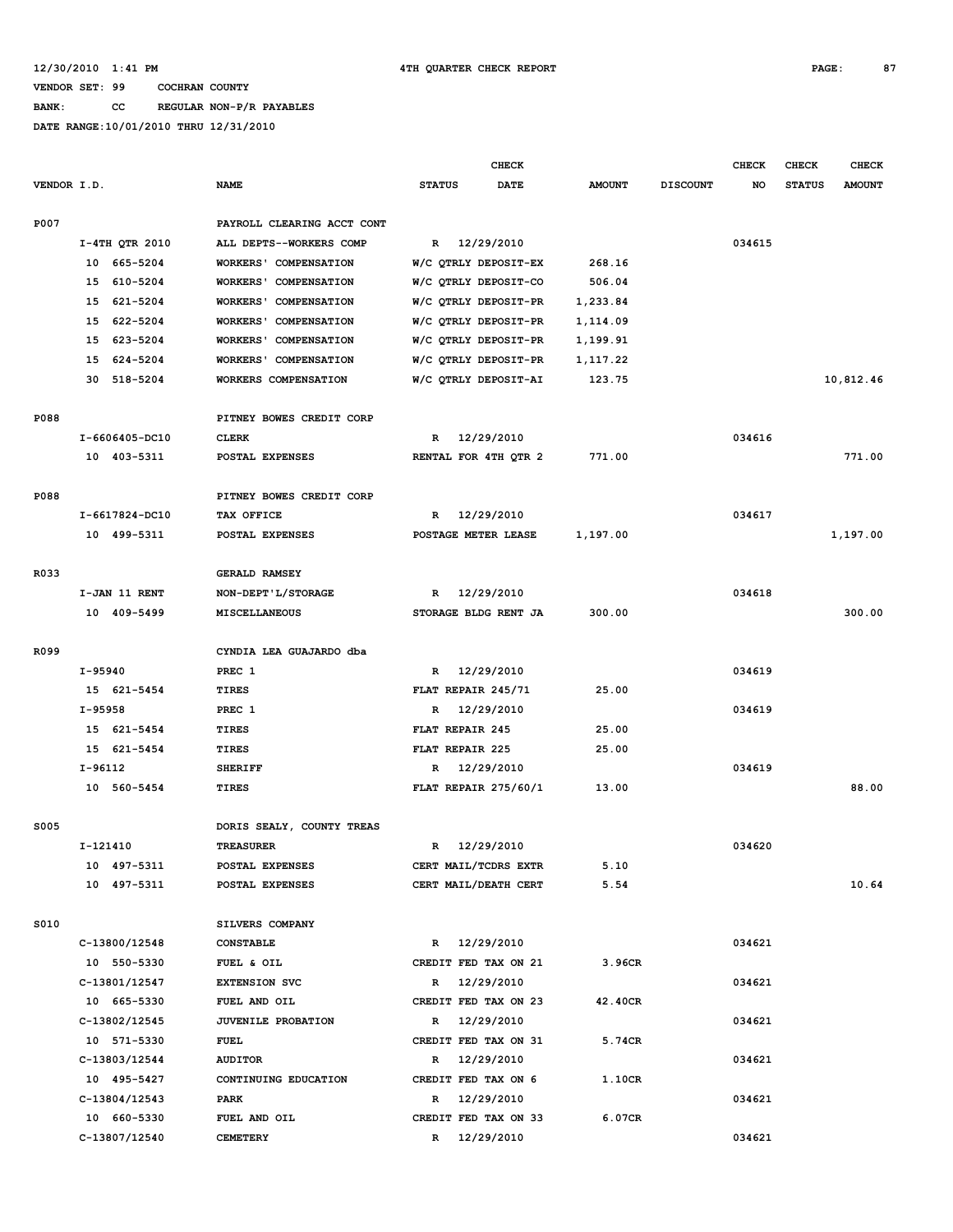**BANK: CC REGULAR NON-P/R PAYABLES**

|             |                |                              | <b>CHECK</b>                 |               |                 | <b>CHECK</b> | <b>CHECK</b>  | <b>CHECK</b>  |
|-------------|----------------|------------------------------|------------------------------|---------------|-----------------|--------------|---------------|---------------|
| VENDOR I.D. |                | <b>NAME</b>                  | <b>STATUS</b><br><b>DATE</b> | <b>AMOUNT</b> | <b>DISCOUNT</b> | NO           | <b>STATUS</b> | <b>AMOUNT</b> |
|             |                |                              |                              |               |                 |              |               |               |
| P007        |                | PAYROLL CLEARING ACCT CONT   |                              |               |                 |              |               |               |
|             | I-4TH QTR 2010 | ALL DEPTS--WORKERS COMP      | R 12/29/2010                 |               |                 | 034615       |               |               |
|             | 665-5204<br>10 | <b>WORKERS' COMPENSATION</b> | W/C OTRLY DEPOSIT-EX         | 268.16        |                 |              |               |               |
|             | 15 610-5204    | <b>WORKERS' COMPENSATION</b> | W/C QTRLY DEPOSIT-CO         | 506.04        |                 |              |               |               |
|             | 15 621-5204    | <b>WORKERS' COMPENSATION</b> | W/C QTRLY DEPOSIT-PR         | 1,233.84      |                 |              |               |               |
|             | 15 622-5204    | <b>WORKERS' COMPENSATION</b> | W/C QTRLY DEPOSIT-PR         | 1,114.09      |                 |              |               |               |
|             | 15 623-5204    | WORKERS' COMPENSATION        | W/C QTRLY DEPOSIT-PR         | 1,199.91      |                 |              |               |               |
|             | 15 624-5204    | <b>WORKERS' COMPENSATION</b> | W/C QTRLY DEPOSIT-PR         | 1,117.22      |                 |              |               |               |
|             | 30<br>518-5204 | WORKERS COMPENSATION         | W/C QTRLY DEPOSIT-AI         | 123.75        |                 |              |               | 10,812.46     |
|             |                |                              |                              |               |                 |              |               |               |
| P088        |                | PITNEY BOWES CREDIT CORP     |                              |               |                 |              |               |               |
|             | I-6606405-DC10 | <b>CLERK</b>                 | 12/29/2010<br>R              |               |                 | 034616       |               |               |
|             | 10 403-5311    | POSTAL EXPENSES              | RENTAL FOR 4TH QTR 2         | 771.00        |                 |              |               | 771.00        |
|             |                |                              |                              |               |                 |              |               |               |
| P088        |                | PITNEY BOWES CREDIT CORP     |                              |               |                 |              |               |               |
|             | I-6617824-DC10 | TAX OFFICE                   | 12/29/2010<br>R              |               |                 | 034617       |               |               |
|             | 10 499-5311    | POSTAL EXPENSES              | POSTAGE METER LEASE          | 1,197.00      |                 |              |               | 1,197.00      |
|             |                |                              |                              |               |                 |              |               |               |
| R033        |                | <b>GERALD RAMSEY</b>         |                              |               |                 |              |               |               |
|             | I-JAN 11 RENT  | NON-DEPT'L/STORAGE           | 12/29/2010<br>R              |               |                 | 034618       |               |               |
|             | 10 409-5499    | MISCELLANEOUS                | STORAGE BLDG RENT JA         | 300.00        |                 |              |               | 300.00        |
|             |                |                              |                              |               |                 |              |               |               |
| R099        |                | CYNDIA LEA GUAJARDO dba      |                              |               |                 |              |               |               |
|             | I-95940        | PREC 1                       | R 12/29/2010                 |               |                 | 034619       |               |               |
|             | 15 621-5454    | TIRES                        | FLAT REPAIR 245/71           | 25.00         |                 |              |               |               |
|             | I-95958        | PREC 1                       | 12/29/2010<br>R              |               |                 | 034619       |               |               |
|             | 15 621-5454    | TIRES                        | FLAT REPAIR 245              | 25.00         |                 |              |               |               |
|             | 15 621-5454    | TIRES                        | FLAT REPAIR 225              | 25.00         |                 |              |               |               |
|             | I-96112        | <b>SHERIFF</b>               | 12/29/2010<br>R              |               |                 | 034619       |               |               |
|             | 10 560-5454    | TIRES                        | FLAT REPAIR 275/60/1         | 13.00         |                 |              |               | 88.00         |
|             |                |                              |                              |               |                 |              |               |               |
| <b>S005</b> |                | DORIS SEALY, COUNTY TREAS    |                              |               |                 |              |               |               |
|             | I-121410       | <b>TREASURER</b>             | 12/29/2010<br>R              |               |                 | 034620       |               |               |
|             | 10 497-5311    | POSTAL EXPENSES              | CERT MAIL/TCDRS EXTR         | 5.10          |                 |              |               |               |
|             | 10 497-5311    | POSTAL EXPENSES              | CERT MAIL/DEATH CERT         | 5.54          |                 |              |               | 10.64         |
|             |                |                              |                              |               |                 |              |               |               |
| S010        |                | SILVERS COMPANY              |                              |               |                 |              |               |               |
|             | C-13800/12548  | <b>CONSTABLE</b>             | R 12/29/2010                 |               |                 | 034621       |               |               |
|             | 10 550-5330    |                              |                              |               |                 |              |               |               |
|             |                | FUEL & OIL                   | CREDIT FED TAX ON 21         | 3.96CR        |                 |              |               |               |
|             | C-13801/12547  | <b>EXTENSION SVC</b>         | 12/29/2010<br>$\mathbb{R}$   |               |                 | 034621       |               |               |
|             | 10 665-5330    | FUEL AND OIL                 | CREDIT FED TAX ON 23         | 42.40CR       |                 |              |               |               |
|             | C-13802/12545  | JUVENILE PROBATION           | R 12/29/2010                 |               |                 | 034621       |               |               |
|             | 10 571-5330    | <b>FUEL</b>                  | CREDIT FED TAX ON 31         | 5.74CR        |                 |              |               |               |
|             | C-13803/12544  | <b>AUDITOR</b>               | 12/29/2010<br>$\mathbb{R}$   |               |                 | 034621       |               |               |
|             | 10 495-5427    | CONTINUING EDUCATION         | CREDIT FED TAX ON 6          | 1.10CR        |                 |              |               |               |
|             | C-13804/12543  | PARK                         | R 12/29/2010                 |               |                 | 034621       |               |               |
|             | 10 660-5330    | FUEL AND OIL                 | CREDIT FED TAX ON 33         | 6.07CR        |                 |              |               |               |
|             | C-13807/12540  | <b>CEMETERY</b>              | R 12/29/2010                 |               |                 | 034621       |               |               |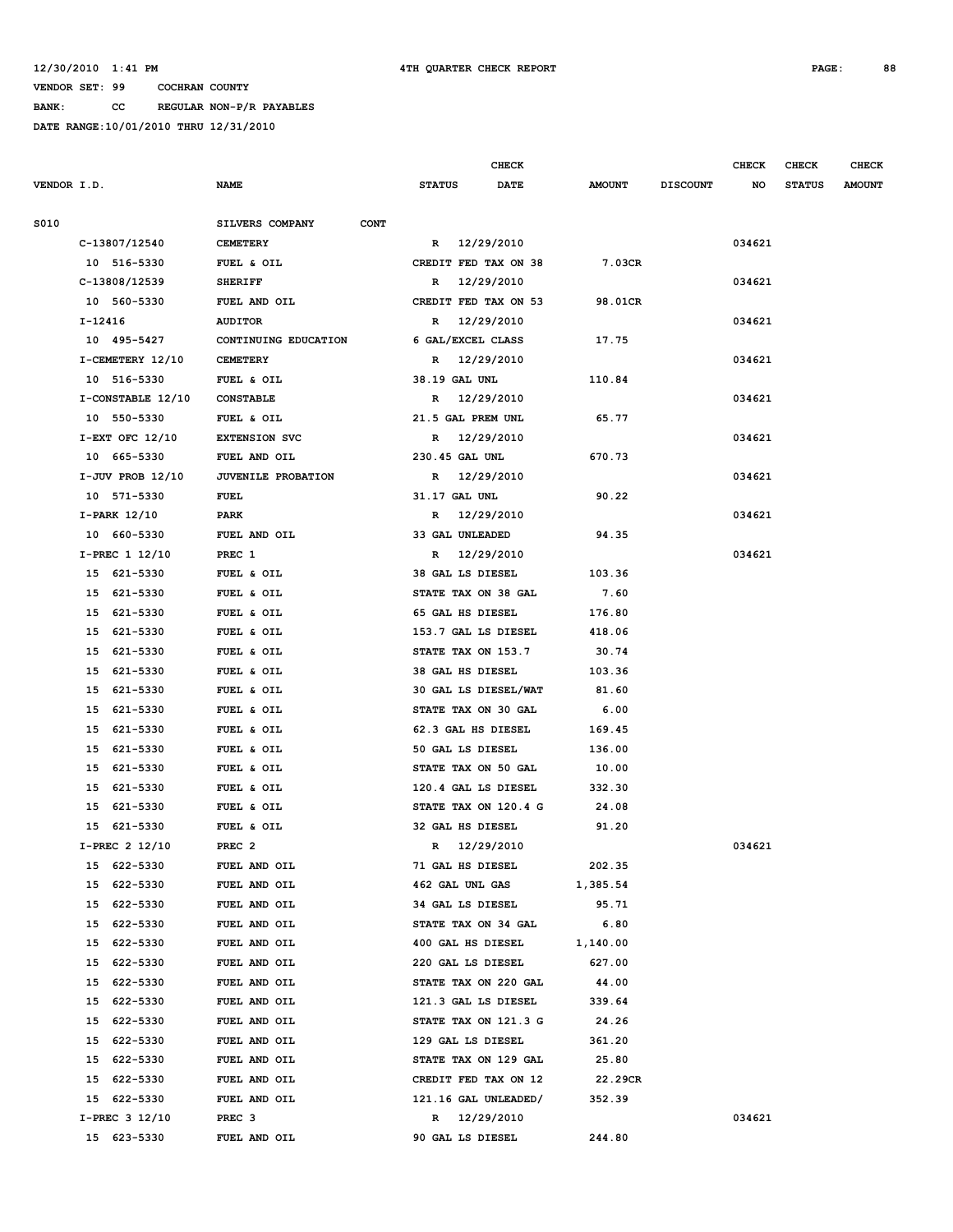**BANK: CC REGULAR NON-P/R PAYABLES**

|             |                      |                                |                        | CHECK      |               |                 | <b>CHECK</b> | CHECK         | <b>CHECK</b>  |
|-------------|----------------------|--------------------------------|------------------------|------------|---------------|-----------------|--------------|---------------|---------------|
| VENDOR I.D. |                      | NAME                           | <b>STATUS</b>          | DATE       | <b>AMOUNT</b> | <b>DISCOUNT</b> | NO           | <b>STATUS</b> | <b>AMOUNT</b> |
| S010        |                      | SILVERS COMPANY<br><b>CONT</b> |                        |            |               |                 |              |               |               |
|             | C-13807/12540        | <b>CEMETERY</b>                | R 12/29/2010           |            |               |                 | 034621       |               |               |
|             | 10 516-5330          | FUEL & OIL                     | CREDIT FED TAX ON 38   |            | 7.03CR        |                 |              |               |               |
|             | C-13808/12539        | <b>SHERIFF</b>                 | R                      | 12/29/2010 |               |                 | 034621       |               |               |
|             | 10 560-5330          | FUEL AND OIL                   | CREDIT FED TAX ON 53   |            | 98.01CR       |                 |              |               |               |
|             | I-12416              | <b>AUDITOR</b>                 | R                      | 12/29/2010 |               |                 | 034621       |               |               |
|             | 10 495-5427          | CONTINUING EDUCATION           | 6 GAL/EXCEL CLASS      |            | 17.75         |                 |              |               |               |
|             | I-CEMETERY 12/10     | <b>CEMETERY</b>                | R 12/29/2010           |            |               |                 | 034621       |               |               |
|             | 10 516-5330          | FUEL & OIL                     | 38.19 GAL UNL          |            | 110.84        |                 |              |               |               |
|             | I-CONSTABLE 12/10    | <b>CONSTABLE</b>               | R 12/29/2010           |            |               |                 | 034621       |               |               |
|             | 10 550-5330          | FUEL & OIL                     | 21.5 GAL PREM UNL      |            | 65.77         |                 |              |               |               |
|             | $I-EXT$ OFC $12/10$  | <b>EXTENSION SVC</b>           | R 12/29/2010           |            |               |                 | 034621       |               |               |
|             | 10 665-5330          | FUEL AND OIL                   | 230.45 GAL UNL         |            | 670.73        |                 |              |               |               |
|             | $I-JUV$ PROB $12/10$ | JUVENILE PROBATION             | R 12/29/2010           |            |               |                 | 034621       |               |               |
|             | 10 571-5330          | FUEL                           | 31.17 GAL UNL          |            | 90.22         |                 |              |               |               |
|             | $I-PARK$ 12/10       | PARK                           | R 12/29/2010           |            |               |                 | 034621       |               |               |
|             | 10 660-5330          | FUEL AND OIL                   | <b>33 GAL UNLEADED</b> |            | 94.35         |                 |              |               |               |
|             | I-PREC 1 12/10       | PREC 1                         | R 12/29/2010           |            |               |                 | 034621       |               |               |
|             | 15 621-5330          | FUEL & OIL                     | 38 GAL LS DIESEL       |            | 103.36        |                 |              |               |               |
|             | 15 621-5330          | FUEL & OIL                     | STATE TAX ON 38 GAL    |            | 7.60          |                 |              |               |               |
|             | 15 621-5330          | FUEL & OIL                     | 65 GAL HS DIESEL       |            | 176.80        |                 |              |               |               |
|             | 15 621-5330          | FUEL & OIL                     | 153.7 GAL LS DIESEL    |            | 418.06        |                 |              |               |               |
|             | 15 621-5330          | FUEL & OIL                     | STATE TAX ON 153.7     |            | 30.74         |                 |              |               |               |
|             | 15 621-5330          | FUEL & OIL                     | 38 GAL HS DIESEL       |            | 103.36        |                 |              |               |               |
|             | 15 621-5330          | FUEL & OIL                     | 30 GAL LS DIESEL/WAT   |            | 81.60         |                 |              |               |               |
|             | 15 621-5330          | FUEL & OIL                     | STATE TAX ON 30 GAL    |            | 6.00          |                 |              |               |               |
|             | 15 621-5330          | FUEL & OIL                     | 62.3 GAL HS DIESEL     |            | 169.45        |                 |              |               |               |
|             | 15 621-5330          | FUEL & OIL                     | 50 GAL LS DIESEL       |            | 136.00        |                 |              |               |               |
|             | 15<br>621-5330       | FUEL & OIL                     | STATE TAX ON 50 GAL    |            | 10.00         |                 |              |               |               |
|             | 15 621-5330          | FUEL & OIL                     | 120.4 GAL LS DIESEL    |            | 332.30        |                 |              |               |               |
|             | 15 621-5330          | FUEL & OIL                     | STATE TAX ON 120.4 G   |            | 24.08         |                 |              |               |               |
|             | 15 621-5330          | FUEL & OIL                     | 32 GAL HS DIESEL       |            | 91.20         |                 |              |               |               |
|             | I-PREC 2 12/10       | PREC <sub>2</sub>              | R 12/29/2010           |            |               |                 | 034621       |               |               |
|             | 622-5330<br>15       | FUEL AND OIL                   | 71 GAL HS DIESEL       |            | 202.35        |                 |              |               |               |
|             | 622-5330<br>15       | FUEL AND OIL                   | 462 GAL UNL GAS        |            | 1,385.54      |                 |              |               |               |
|             | 622-5330<br>15       | FUEL AND OIL                   | 34 GAL LS DIESEL       |            | 95.71         |                 |              |               |               |
|             | 622-5330<br>15       | FUEL AND OIL                   | STATE TAX ON 34 GAL    |            | 6.80          |                 |              |               |               |
|             | 15<br>622-5330       | FUEL AND OIL                   | 400 GAL HS DIESEL      |            | 1,140.00      |                 |              |               |               |
|             | 622-5330<br>15       | FUEL AND OIL                   | 220 GAL LS DIESEL      |            | 627.00        |                 |              |               |               |
|             | 622-5330<br>15       | FUEL AND OIL                   | STATE TAX ON 220 GAL   |            | 44.00         |                 |              |               |               |
|             | 15<br>622-5330       | FUEL AND OIL                   | 121.3 GAL LS DIESEL    |            | 339.64        |                 |              |               |               |
|             | 15<br>622-5330       | FUEL AND OIL                   | STATE TAX ON 121.3 G   |            | 24.26         |                 |              |               |               |
|             | 15<br>622-5330       | FUEL AND OIL                   | 129 GAL LS DIESEL      |            | 361.20        |                 |              |               |               |
|             | 15<br>622-5330       | FUEL AND OIL                   | STATE TAX ON 129 GAL   |            | 25.80         |                 |              |               |               |
|             | 622-5330<br>15       | FUEL AND OIL                   | CREDIT FED TAX ON 12   |            | 22.29CR       |                 |              |               |               |
|             | 622-5330<br>15       | FUEL AND OIL                   | 121.16 GAL UNLEADED/   |            | 352.39        |                 |              |               |               |
|             | I-PREC 3 12/10       | PREC <sub>3</sub>              | R 12/29/2010           |            |               |                 | 034621       |               |               |
|             | 15 623-5330          | FUEL AND OIL                   | 90 GAL LS DIESEL       |            | 244.80        |                 |              |               |               |
|             |                      |                                |                        |            |               |                 |              |               |               |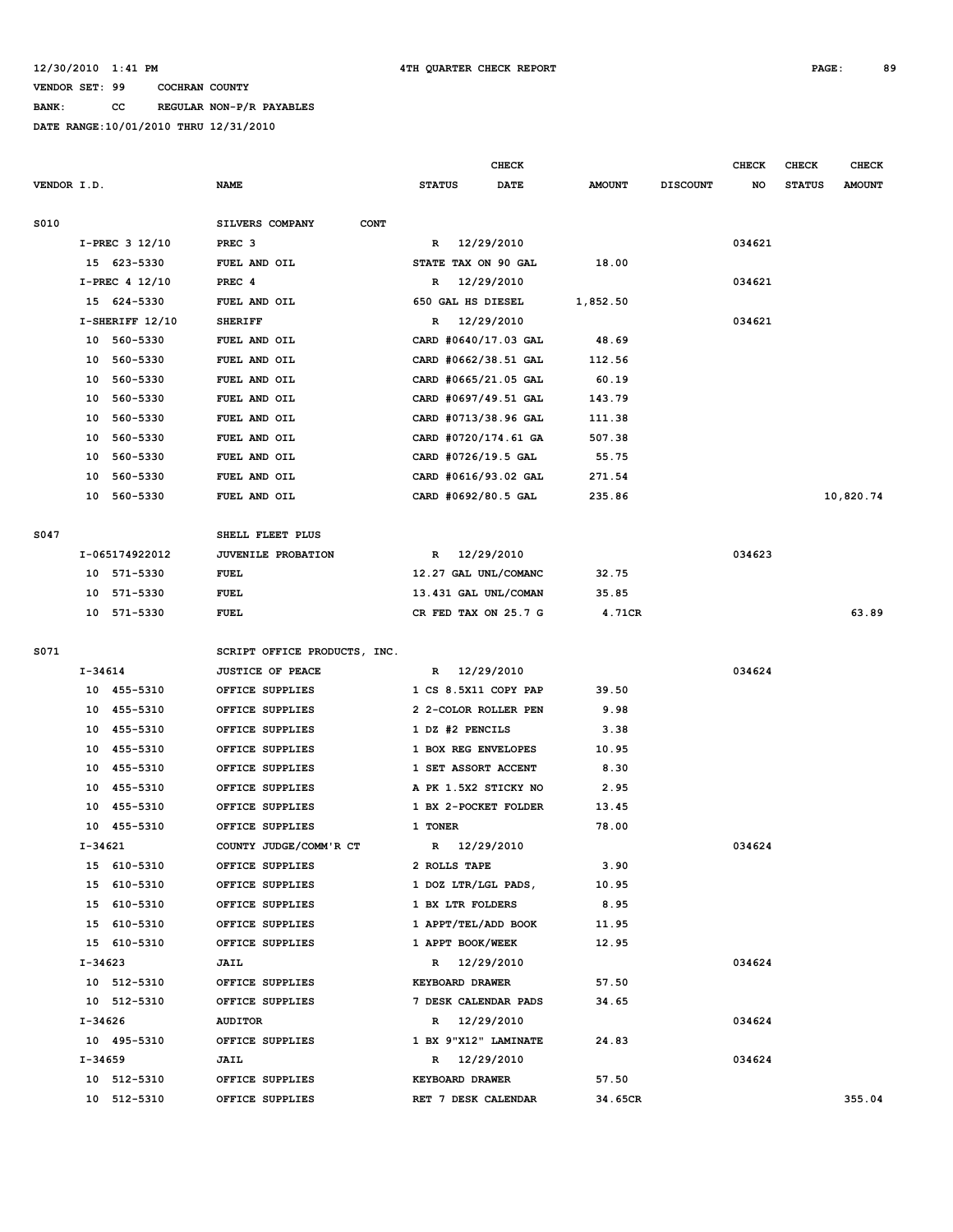**BANK: CC REGULAR NON-P/R PAYABLES**

|             |         |                   |                                |               |                                 | <b>CHECK</b>         |               |                 | <b>CHECK</b> | CHECK         | <b>CHECK</b>  |
|-------------|---------|-------------------|--------------------------------|---------------|---------------------------------|----------------------|---------------|-----------------|--------------|---------------|---------------|
| VENDOR I.D. |         |                   | <b>NAME</b>                    | <b>STATUS</b> |                                 | <b>DATE</b>          | <b>AMOUNT</b> | <b>DISCOUNT</b> | NO           | <b>STATUS</b> | <b>AMOUNT</b> |
|             |         |                   |                                |               |                                 |                      |               |                 |              |               |               |
| S010        |         |                   | SILVERS COMPANY<br><b>CONT</b> |               |                                 |                      |               |                 |              |               |               |
|             |         | $I-PREC$ 3 12/10  | PREC <sub>3</sub>              | R             | 12/29/2010                      |                      |               |                 | 034621       |               |               |
|             |         | 15 623-5330       | FUEL AND OIL                   |               |                                 | STATE TAX ON 90 GAL  | 18.00         |                 |              |               |               |
|             |         | I-PREC 4 12/10    | PREC 4                         | R             | 12/29/2010                      |                      |               |                 | 034621       |               |               |
|             |         | 15 624-5330       | FUEL AND OIL                   |               | 650 GAL HS DIESEL<br>12/29/2010 |                      | 1,852.50      |                 |              |               |               |
|             |         | $I-SHERIFF 12/10$ | <b>SHERIFF</b>                 | R             |                                 |                      |               |                 | 034621       |               |               |
|             |         | 10 560-5330       | FUEL AND OIL                   |               |                                 | CARD #0640/17.03 GAL | 48.69         |                 |              |               |               |
|             |         | 10 560-5330       | FUEL AND OIL                   |               |                                 | CARD #0662/38.51 GAL | 112.56        |                 |              |               |               |
|             |         | 10 560-5330       | FUEL AND OIL                   |               |                                 | CARD #0665/21.05 GAL | 60.19         |                 |              |               |               |
|             |         | 10 560-5330       | FUEL AND OIL                   |               |                                 | CARD #0697/49.51 GAL | 143.79        |                 |              |               |               |
|             |         | 10 560-5330       | FUEL AND OIL                   |               |                                 | CARD #0713/38.96 GAL | 111.38        |                 |              |               |               |
|             | 10      | 560-5330          | FUEL AND OIL                   |               |                                 | CARD #0720/174.61 GA | 507.38        |                 |              |               |               |
|             | 10      | 560-5330          | FUEL AND OIL                   |               |                                 | CARD #0726/19.5 GAL  | 55.75         |                 |              |               |               |
|             |         | 10 560-5330       | FUEL AND OIL                   |               |                                 | CARD #0616/93.02 GAL | 271.54        |                 |              |               |               |
|             |         | 10 560-5330       | FUEL AND OIL                   |               |                                 | CARD #0692/80.5 GAL  | 235.86        |                 |              |               | 10,820.74     |
| S047        |         |                   | SHELL FLEET PLUS               |               |                                 |                      |               |                 |              |               |               |
|             |         | I-065174922012    | <b>JUVENILE PROBATION</b>      | R             | 12/29/2010                      |                      |               |                 | 034623       |               |               |
|             |         | 10 571-5330       | FUEL                           |               |                                 | 12.27 GAL UNL/COMANC | 32.75         |                 |              |               |               |
|             |         | 10 571-5330       | FUEL                           |               |                                 | 13.431 GAL UNL/COMAN | 35.85         |                 |              |               |               |
|             |         | 10 571-5330       | FUEL                           |               |                                 | CR FED TAX ON 25.7 G | 4.71CR        |                 |              |               | 63.89         |
|             |         |                   |                                |               |                                 |                      |               |                 |              |               |               |
| S071        |         |                   | SCRIPT OFFICE PRODUCTS, INC.   |               |                                 |                      |               |                 |              |               |               |
|             | I-34614 |                   | <b>JUSTICE OF PEACE</b>        | R             | 12/29/2010                      |                      |               |                 | 034624       |               |               |
|             |         | 10 455-5310       | OFFICE SUPPLIES                |               |                                 | 1 CS 8.5X11 COPY PAP | 39.50         |                 |              |               |               |
|             |         | 10 455-5310       | OFFICE SUPPLIES                |               |                                 | 2 2-COLOR ROLLER PEN | 9.98          |                 |              |               |               |
|             |         | 10 455-5310       | OFFICE SUPPLIES                |               | 1 DZ #2 PENCILS                 |                      | 3.38          |                 |              |               |               |
|             |         | 10 455-5310       | OFFICE SUPPLIES                |               |                                 | 1 BOX REG ENVELOPES  | 10.95         |                 |              |               |               |
|             |         | 10 455-5310       | OFFICE SUPPLIES                |               |                                 | 1 SET ASSORT ACCENT  | 8.30          |                 |              |               |               |
|             |         | 10 455-5310       | OFFICE SUPPLIES                |               |                                 | A PK 1.5X2 STICKY NO | 2.95          |                 |              |               |               |
|             | 10      | 455-5310          | OFFICE SUPPLIES                |               |                                 | 1 BX 2-POCKET FOLDER | 13.45         |                 |              |               |               |
|             |         | 10 455-5310       | OFFICE SUPPLIES                | 1 TONER       |                                 |                      | 78.00         |                 |              |               |               |
|             | I-34621 |                   | COUNTY JUDGE/COMM'R CT         |               | R 12/29/2010                    |                      |               |                 | 034624       |               |               |
|             |         | 15 610-5310       | OFFICE SUPPLIES                |               | 2 ROLLS TAPE                    |                      | 3.90          |                 |              |               |               |
|             |         | 15 610-5310       | OFFICE SUPPLIES                |               |                                 | 1 DOZ LTR/LGL PADS,  | 10.95         |                 |              |               |               |
|             |         | 15 610-5310       | OFFICE SUPPLIES                |               | 1 BX LTR FOLDERS                |                      | 8.95          |                 |              |               |               |
|             |         | 15 610-5310       | OFFICE SUPPLIES                |               |                                 | 1 APPT/TEL/ADD BOOK  | 11.95         |                 |              |               |               |
|             |         | 15 610-5310       | OFFICE SUPPLIES                |               | 1 APPT BOOK/WEEK                |                      | 12.95         |                 |              |               |               |
|             | I-34623 |                   | <b>JAIL</b>                    |               | R 12/29/2010                    |                      |               |                 | 034624       |               |               |
|             |         | 10 512-5310       | OFFICE SUPPLIES                |               | <b>KEYBOARD DRAWER</b>          |                      | 57.50         |                 |              |               |               |
|             |         | 10 512-5310       | OFFICE SUPPLIES                |               |                                 | 7 DESK CALENDAR PADS | 34.65         |                 |              |               |               |
|             | I-34626 |                   | <b>AUDITOR</b>                 |               | R 12/29/2010                    |                      |               |                 | 034624       |               |               |
|             |         | 10 495-5310       | OFFICE SUPPLIES                |               |                                 | 1 BX 9"X12" LAMINATE | 24.83         |                 |              |               |               |
|             | I-34659 |                   | <b>JAIL</b>                    |               | R 12/29/2010                    |                      |               |                 | 034624       |               |               |
|             |         | 10 512-5310       | OFFICE SUPPLIES                |               | KEYBOARD DRAWER                 |                      | 57.50         |                 |              |               |               |
|             |         | 10 512-5310       | OFFICE SUPPLIES                |               |                                 | RET 7 DESK CALENDAR  | 34.65CR       |                 |              |               | 355.04        |
|             |         |                   |                                |               |                                 |                      |               |                 |              |               |               |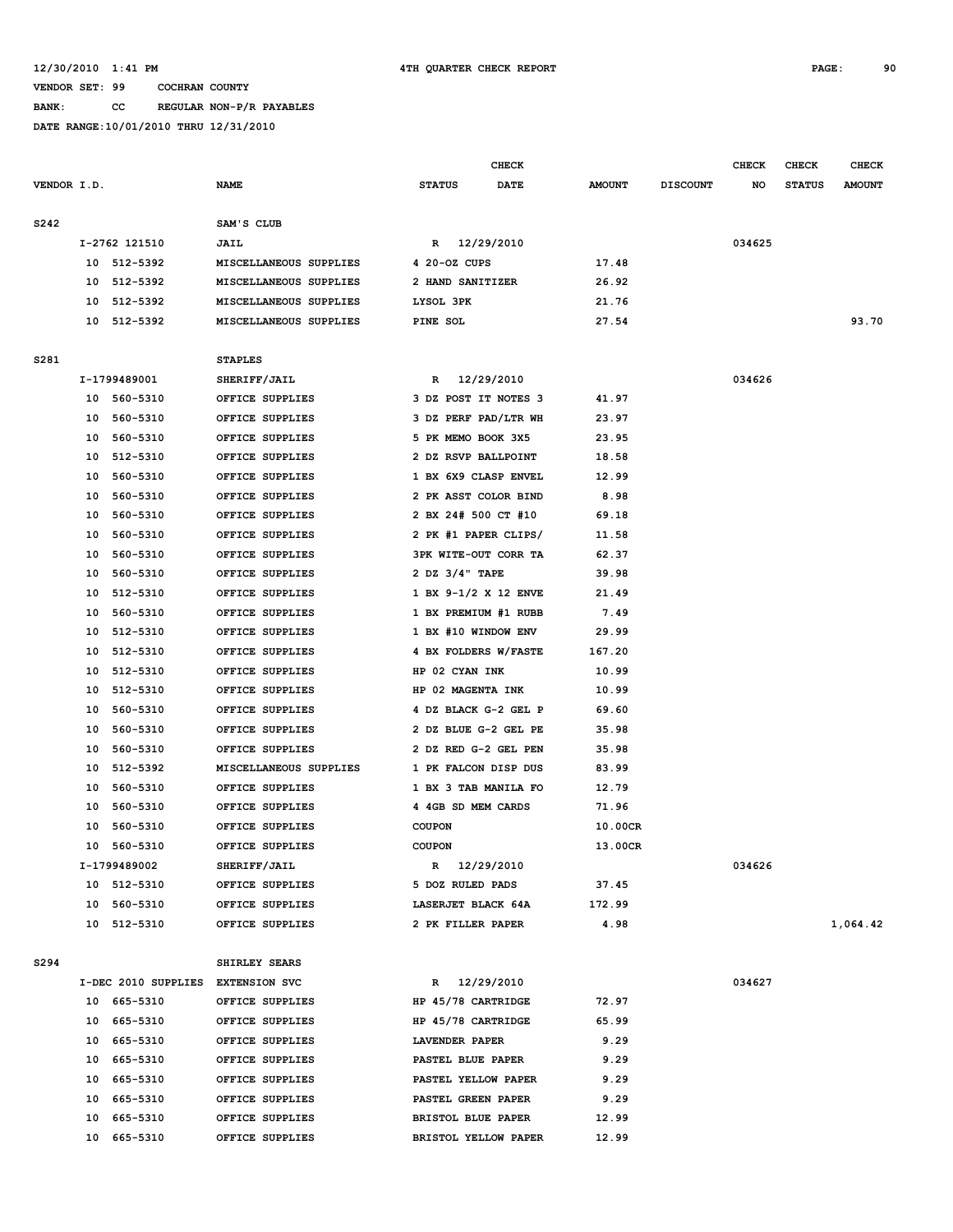**BANK: CC REGULAR NON-P/R PAYABLES**

**DATE RANGE:10/01/2010 THRU 12/31/2010**

|             |    |                                   |                        |                        | CHECK       |               |                 | <b>CHECK</b> | <b>CHECK</b>  | <b>CHECK</b>  |
|-------------|----|-----------------------------------|------------------------|------------------------|-------------|---------------|-----------------|--------------|---------------|---------------|
| VENDOR I.D. |    |                                   | <b>NAME</b>            | <b>STATUS</b>          | <b>DATE</b> | <b>AMOUNT</b> | <b>DISCOUNT</b> | NO           | <b>STATUS</b> | <b>AMOUNT</b> |
| S242        |    |                                   | SAM'S CLUB             |                        |             |               |                 |              |               |               |
|             |    | I-2762 121510                     | JAIL                   | R 12/29/2010           |             |               |                 | 034625       |               |               |
|             |    | 10 512-5392                       | MISCELLANEOUS SUPPLIES | 4 20-02 CUPS           |             | 17.48         |                 |              |               |               |
|             |    | 10 512-5392                       | MISCELLANEOUS SUPPLIES | 2 HAND SANITIZER       |             | 26.92         |                 |              |               |               |
|             |    | 10 512-5392                       | MISCELLANEOUS SUPPLIES | LYSOL 3PK              |             | 21.76         |                 |              |               |               |
|             |    | 10 512-5392                       | MISCELLANEOUS SUPPLIES | PINE SOL               |             | 27.54         |                 |              |               | 93.70         |
|             |    |                                   |                        |                        |             |               |                 |              |               |               |
| S281        |    |                                   | <b>STAPLES</b>         |                        |             |               |                 |              |               |               |
|             |    | I-1799489001                      | SHERIFF/JAIL           | R 12/29/2010           |             |               |                 | 034626       |               |               |
|             |    | 10 560-5310                       | OFFICE SUPPLIES        | 3 DZ POST IT NOTES 3   |             | 41.97         |                 |              |               |               |
|             | 10 | 560-5310                          | OFFICE SUPPLIES        | 3 DZ PERF PAD/LTR WH   |             | 23.97         |                 |              |               |               |
|             | 10 | 560-5310                          | OFFICE SUPPLIES        | 5 PK MEMO BOOK 3X5     |             | 23.95         |                 |              |               |               |
|             | 10 | 512-5310                          | OFFICE SUPPLIES        | 2 DZ RSVP BALLPOINT    |             | 18.58         |                 |              |               |               |
|             | 10 | 560-5310                          | OFFICE SUPPLIES        | 1 BX 6X9 CLASP ENVEL   |             | 12.99         |                 |              |               |               |
|             | 10 | 560-5310                          | OFFICE SUPPLIES        | 2 PK ASST COLOR BIND   |             | 8.98          |                 |              |               |               |
|             | 10 | 560-5310                          | OFFICE SUPPLIES        | 2 BX 24# 500 CT #10    |             | 69.18         |                 |              |               |               |
|             | 10 | 560-5310                          | OFFICE SUPPLIES        | 2 PK #1 PAPER CLIPS/   |             | 11.58         |                 |              |               |               |
|             | 10 | 560-5310                          | OFFICE SUPPLIES        | 3PK WITE-OUT CORR TA   |             | 62.37         |                 |              |               |               |
|             | 10 | 560-5310                          | OFFICE SUPPLIES        | 2 DZ 3/4" TAPE         |             | 39.98         |                 |              |               |               |
|             | 10 | 512-5310                          | OFFICE SUPPLIES        | 1 BX $9-1/2$ X 12 ENVE |             | 21.49         |                 |              |               |               |
|             | 10 | 560-5310                          | OFFICE SUPPLIES        | 1 BX PREMIUM #1 RUBB   |             | 7.49          |                 |              |               |               |
|             | 10 | 512-5310                          | OFFICE SUPPLIES        | 1 BX #10 WINDOW ENV    |             | 29.99         |                 |              |               |               |
|             | 10 | 512-5310                          | OFFICE SUPPLIES        | 4 BX FOLDERS W/FASTE   |             | 167.20        |                 |              |               |               |
|             | 10 | 512-5310                          | OFFICE SUPPLIES        | HP 02 CYAN INK         |             | 10.99         |                 |              |               |               |
|             | 10 | 512-5310                          | OFFICE SUPPLIES        | HP 02 MAGENTA INK      |             | 10.99         |                 |              |               |               |
|             | 10 | 560-5310                          | OFFICE SUPPLIES        | 4 DZ BLACK G-2 GEL P   |             | 69.60         |                 |              |               |               |
|             | 10 | 560-5310                          | OFFICE SUPPLIES        | 2 DZ BLUE G-2 GEL PE   |             | 35.98         |                 |              |               |               |
|             | 10 | 560-5310                          | OFFICE SUPPLIES        | 2 DZ RED G-2 GEL PEN   |             | 35.98         |                 |              |               |               |
|             | 10 | 512-5392                          | MISCELLANEOUS SUPPLIES | 1 PK FALCON DISP DUS   |             | 83.99         |                 |              |               |               |
|             | 10 | 560-5310                          | OFFICE SUPPLIES        | 1 BX 3 TAB MANILA FO   |             | 12.79         |                 |              |               |               |
|             | 10 | 560-5310                          | OFFICE SUPPLIES        | 4 4GB SD MEM CARDS     |             | 71.96         |                 |              |               |               |
|             | 10 | 560-5310                          | OFFICE SUPPLIES        | <b>COUPON</b>          |             | 10.00CR       |                 |              |               |               |
|             |    | 10 560-5310                       | OFFICE SUPPLIES        | <b>COUPON</b>          |             | 13.00CR       |                 |              |               |               |
|             |    | I-1799489002                      | <b>SHERIFF/JAIL</b>    | R 12/29/2010           |             |               |                 | 034626       |               |               |
|             |    | 10 512-5310                       | OFFICE SUPPLIES        | 5 DOZ RULED PADS       |             | 37.45         |                 |              |               |               |
|             |    | 10 560-5310                       | OFFICE SUPPLIES        | LASERJET BLACK 64A     |             | 172.99        |                 |              |               |               |
|             |    | 10 512-5310                       | OFFICE SUPPLIES        | 2 PK FILLER PAPER      |             | 4.98          |                 |              |               | 1,064.42      |
|             |    |                                   |                        |                        |             |               |                 |              |               |               |
| S294        |    |                                   | SHIRLEY SEARS          |                        |             |               |                 |              |               |               |
|             |    | I-DEC 2010 SUPPLIES EXTENSION SVC |                        | R 12/29/2010           |             |               |                 | 034627       |               |               |
|             |    | 10 665-5310                       | OFFICE SUPPLIES        | HP 45/78 CARTRIDGE     |             | 72.97         |                 |              |               |               |
|             |    | 10 665-5310                       | OFFICE SUPPLIES        | HP 45/78 CARTRIDGE     |             | 65.99         |                 |              |               |               |
|             |    | 10 665-5310                       | OFFICE SUPPLIES        | LAVENDER PAPER         |             | 9.29          |                 |              |               |               |
|             |    | 10 665-5310                       | OFFICE SUPPLIES        | PASTEL BLUE PAPER      |             | 9.29          |                 |              |               |               |
|             |    | 10 665-5310                       | OFFICE SUPPLIES        | PASTEL YELLOW PAPER    |             | 9.29          |                 |              |               |               |
|             |    | 10 665-5310                       | OFFICE SUPPLIES        | PASTEL GREEN PAPER     |             | 9.29          |                 |              |               |               |
|             |    |                                   |                        |                        |             |               |                 |              |               |               |

 **10 665-5310 OFFICE SUPPLIES BRISTOL BLUE PAPER 12.99 10 665-5310 OFFICE SUPPLIES BRISTOL YELLOW PAPER 12.99**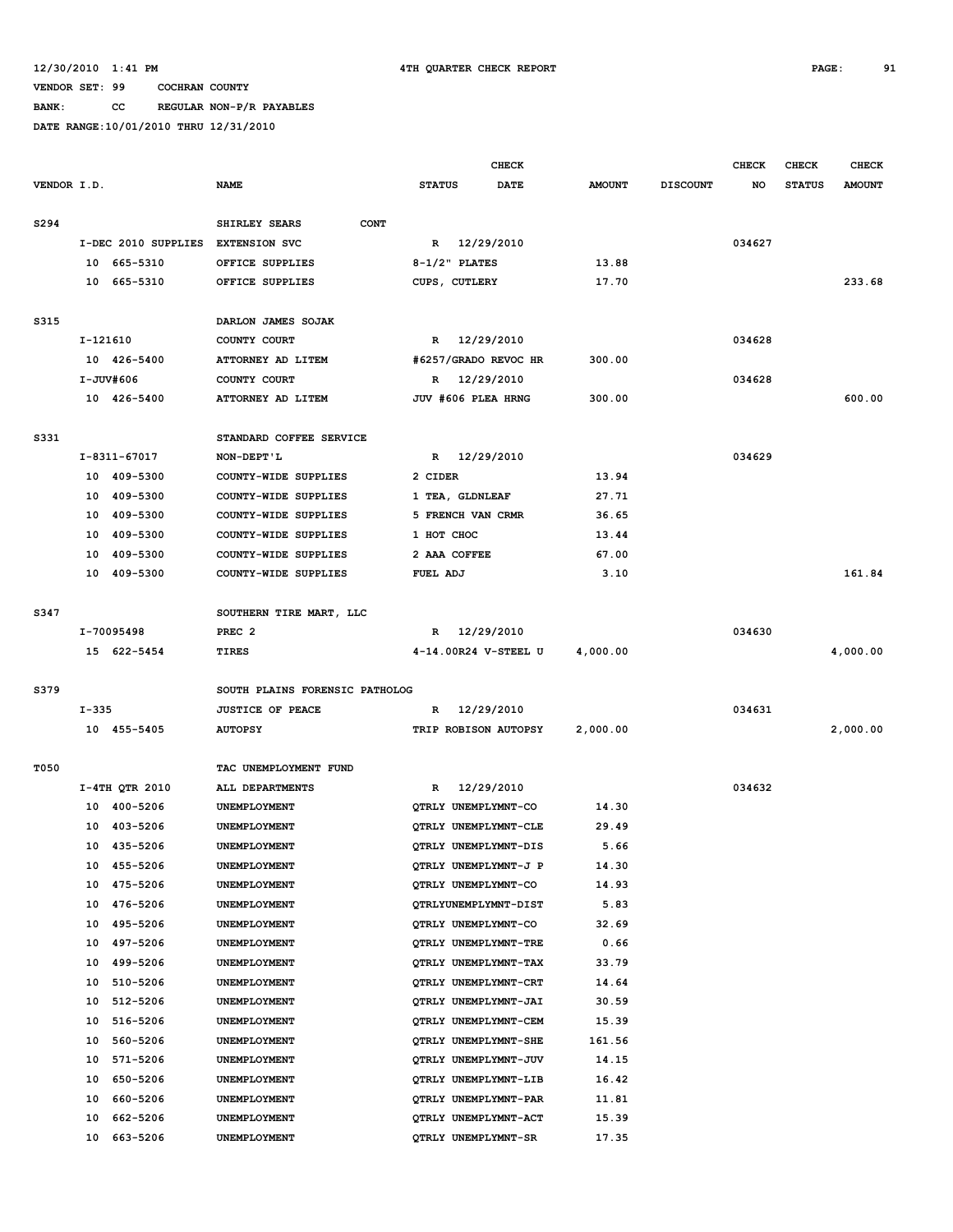**BANK: CC REGULAR NON-P/R PAYABLES**

|             |           |                     |                                |                             | <b>CHECK</b>         |               |                 | <b>CHECK</b> | <b>CHECK</b>  | <b>CHECK</b>  |
|-------------|-----------|---------------------|--------------------------------|-----------------------------|----------------------|---------------|-----------------|--------------|---------------|---------------|
| VENDOR I.D. |           |                     | <b>NAME</b>                    | <b>STATUS</b>               | DATE                 | <b>AMOUNT</b> | <b>DISCOUNT</b> | NO           | <b>STATUS</b> | <b>AMOUNT</b> |
|             |           |                     |                                |                             |                      |               |                 |              |               |               |
| S294        |           |                     | SHIRLEY SEARS<br><b>CONT</b>   |                             |                      |               |                 |              |               |               |
|             |           | I-DEC 2010 SUPPLIES | <b>EXTENSION SVC</b>           | R 12/29/2010                |                      |               |                 | 034627       |               |               |
|             |           | 10 665-5310         | OFFICE SUPPLIES                | $8-1/2$ " PLATES            |                      | 13.88         |                 |              |               |               |
|             |           | 10 665-5310         | OFFICE SUPPLIES                | CUPS, CUTLERY               |                      | 17.70         |                 |              |               | 233.68        |
|             |           |                     |                                |                             |                      |               |                 |              |               |               |
| S315        |           |                     | DARLON JAMES SOJAK             |                             |                      |               |                 |              |               |               |
|             | I-121610  |                     | COUNTY COURT                   | R 12/29/2010                |                      |               |                 | 034628       |               |               |
|             |           | 10 426-5400         | ATTORNEY AD LITEM              | #6257/GRADO REVOC HR        |                      | 300.00        |                 |              |               |               |
|             |           | I-JUV#606           | COUNTY COURT                   | R 12/29/2010                |                      |               |                 | 034628       |               |               |
|             |           | 10 426-5400         | ATTORNEY AD LITEM              | JUV #606 PLEA HRNG          |                      | 300.00        |                 |              |               | 600.00        |
|             |           |                     |                                |                             |                      |               |                 |              |               |               |
| S331        |           |                     | STANDARD COFFEE SERVICE        |                             |                      |               |                 |              |               |               |
|             |           | I-8311-67017        | NON-DEPT'L                     | R 12/29/2010                |                      |               |                 | 034629       |               |               |
|             |           | 10 409-5300         | COUNTY-WIDE SUPPLIES           | 2 CIDER                     |                      | 13.94         |                 |              |               |               |
|             |           | 10 409-5300         | COUNTY-WIDE SUPPLIES           | 1 TEA, GLDNLEAF             |                      | 27.71         |                 |              |               |               |
|             |           | 10 409-5300         | COUNTY-WIDE SUPPLIES           | 5 FRENCH VAN CRMR           |                      | 36.65         |                 |              |               |               |
|             |           | 10 409-5300         | COUNTY-WIDE SUPPLIES           | 1 HOT CHOC                  |                      | 13.44         |                 |              |               |               |
|             |           | 10 409-5300         | COUNTY-WIDE SUPPLIES           | 2 AAA COFFEE                |                      | 67.00         |                 |              |               |               |
|             |           | 10 409-5300         | COUNTY-WIDE SUPPLIES           | FUEL ADJ                    |                      | 3.10          |                 |              |               | 161.84        |
|             |           |                     |                                |                             |                      |               |                 |              |               |               |
| S347        |           |                     | SOUTHERN TIRE MART, LLC        |                             |                      |               |                 |              |               |               |
|             |           | I-70095498          | PREC <sub>2</sub>              | R 12/29/2010                |                      |               |                 | 034630       |               |               |
|             |           | 15 622-5454         | TIRES                          |                             | 4-14.00R24 V-STEEL U | 4,000.00      |                 |              |               | 4,000.00      |
|             |           |                     |                                |                             |                      |               |                 |              |               |               |
| S379        |           |                     | SOUTH PLAINS FORENSIC PATHOLOG |                             |                      |               |                 |              |               |               |
|             | $I - 335$ |                     | <b>JUSTICE OF PEACE</b>        | R                           | 12/29/2010           |               |                 | 034631       |               |               |
|             |           | 10 455-5405         | <b>AUTOPSY</b>                 |                             | TRIP ROBISON AUTOPSY | 2,000.00      |                 |              |               | 2,000.00      |
| T050        |           |                     | TAC UNEMPLOYMENT FUND          |                             |                      |               |                 |              |               |               |
|             |           | I-4TH QTR 2010      | ALL DEPARTMENTS                | $\mathbb{R}$                | 12/29/2010           |               |                 | 034632       |               |               |
|             |           | 10 400-5206         | UNEMPLOYMENT                   | QTRLY UNEMPLYMNT-CO         |                      | 14.30         |                 |              |               |               |
|             | 10        | 403-5206            | UNEMPLOYMENT                   | QTRLY UNEMPLYMNT-CLE        |                      | 29.49         |                 |              |               |               |
|             |           | 10 435-5206         | <b>UNEMPLOYMENT</b>            | OTRLY UNEMPLYMNT-DIS        |                      | 5.66          |                 |              |               |               |
|             |           | 10 455-5206         | UNEMPLOYMENT                   | OTRLY UNEMPLYMNT-J P        |                      | 14.30         |                 |              |               |               |
|             | 10        | 475-5206            | UNEMPLOYMENT                   | OTRLY UNEMPLYMNT-CO         |                      | 14.93         |                 |              |               |               |
|             | 10        | 476-5206            | UNEMPLOYMENT                   | QTRLYUNEMPLYMNT-DIST        |                      | 5.83          |                 |              |               |               |
|             | 10        | 495-5206            | UNEMPLOYMENT                   | QTRLY UNEMPLYMNT-CO         |                      | 32.69         |                 |              |               |               |
|             | 10        | 497-5206            | UNEMPLOYMENT                   | QTRLY UNEMPLYMNT-TRE        |                      | 0.66          |                 |              |               |               |
|             | 10        | 499-5206            | UNEMPLOYMENT                   | OTRLY UNEMPLYMNT-TAX        |                      | 33.79         |                 |              |               |               |
|             | 10        | 510-5206            | UNEMPLOYMENT                   | QTRLY UNEMPLYMNT-CRT        |                      | 14.64         |                 |              |               |               |
|             | 10        | 512-5206            | UNEMPLOYMENT                   | OTRLY UNEMPLYMNT-JAI        |                      | 30.59         |                 |              |               |               |
|             | 10        | 516-5206            | UNEMPLOYMENT                   | OTRLY UNEMPLYMNT-CEM        |                      | 15.39         |                 |              |               |               |
|             | 10        | 560-5206            | UNEMPLOYMENT                   | <b>OTRLY UNEMPLYMNT-SHE</b> |                      | 161.56        |                 |              |               |               |
|             | 10        | 571-5206            | UNEMPLOYMENT                   | QTRLY UNEMPLYMNT-JUV        |                      | 14.15         |                 |              |               |               |
|             | 10        | 650-5206            | UNEMPLOYMENT                   | QTRLY UNEMPLYMNT-LIB        |                      | 16.42         |                 |              |               |               |
|             | 10        | 660-5206            | UNEMPLOYMENT                   | QTRLY UNEMPLYMNT-PAR        |                      | 11.81         |                 |              |               |               |
|             | 10        | 662-5206            | UNEMPLOYMENT                   | QTRLY UNEMPLYMNT-ACT        |                      | 15.39         |                 |              |               |               |
|             | 10        | 663-5206            | UNEMPLOYMENT                   | QTRLY UNEMPLYMNT-SR         |                      | 17.35         |                 |              |               |               |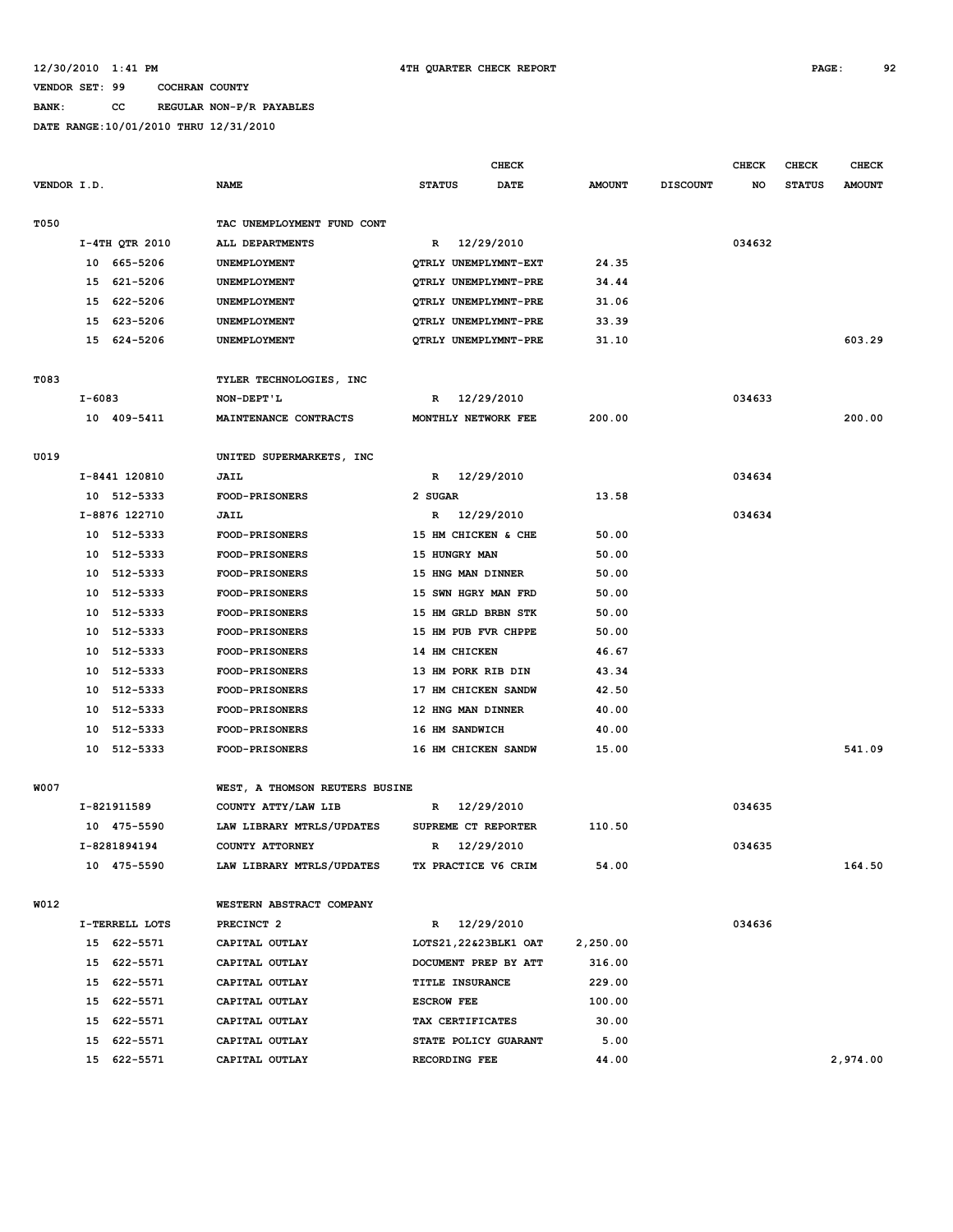### **BANK: CC REGULAR NON-P/R PAYABLES**

|             |                |                                | <b>CHECK</b>                 |               |                 | <b>CHECK</b> | <b>CHECK</b>  | <b>CHECK</b>  |
|-------------|----------------|--------------------------------|------------------------------|---------------|-----------------|--------------|---------------|---------------|
| VENDOR I.D. |                | <b>NAME</b>                    | <b>STATUS</b><br><b>DATE</b> | <b>AMOUNT</b> | <b>DISCOUNT</b> | NO           | <b>STATUS</b> | <b>AMOUNT</b> |
|             |                |                                |                              |               |                 |              |               |               |
| T050        |                | TAC UNEMPLOYMENT FUND CONT     |                              |               |                 |              |               |               |
|             | I-4TH QTR 2010 | ALL DEPARTMENTS                | R 12/29/2010                 |               |                 | 034632       |               |               |
|             | 665-5206<br>10 | UNEMPLOYMENT                   | QTRLY UNEMPLYMNT-EXT         | 24.35         |                 |              |               |               |
|             | 621-5206<br>15 | UNEMPLOYMENT                   | QTRLY UNEMPLYMNT-PRE         | 34.44         |                 |              |               |               |
|             | 622-5206<br>15 | UNEMPLOYMENT                   | QTRLY UNEMPLYMNT-PRE         | 31.06         |                 |              |               |               |
|             | 623-5206<br>15 | UNEMPLOYMENT                   | QTRLY UNEMPLYMNT-PRE         | 33.39         |                 |              |               |               |
|             | 15 624-5206    | UNEMPLOYMENT                   | QTRLY UNEMPLYMNT-PRE         | 31.10         |                 |              |               | 603.29        |
| T083        |                | TYLER TECHNOLOGIES, INC        |                              |               |                 |              |               |               |
|             | I-6083         | NON-DEPT'L                     | R 12/29/2010                 |               |                 | 034633       |               |               |
|             | 10 409-5411    | MAINTENANCE CONTRACTS          | MONTHLY NETWORK FEE          | 200.00        |                 |              |               | 200.00        |
|             |                |                                |                              |               |                 |              |               |               |
| U019        |                | UNITED SUPERMARKETS, INC       |                              |               |                 |              |               |               |
|             | I-8441 120810  | <b>JAIL</b>                    | 12/29/2010<br>$\mathbb{R}$   |               |                 | 034634       |               |               |
|             | 10 512-5333    | <b>FOOD-PRISONERS</b>          | 2 SUGAR                      | 13.58         |                 |              |               |               |
|             | I-8876 122710  | JAIL                           | R 12/29/2010                 |               |                 | 034634       |               |               |
|             | 10 512-5333    | <b>FOOD-PRISONERS</b>          | 15 HM CHICKEN & CHE          | 50.00         |                 |              |               |               |
|             | 512-5333<br>10 | <b>FOOD-PRISONERS</b>          | 15 HUNGRY MAN                | 50.00         |                 |              |               |               |
|             | 10 512-5333    | <b>FOOD-PRISONERS</b>          | 15 HNG MAN DINNER            | 50.00         |                 |              |               |               |
|             | 10 512-5333    | <b>FOOD-PRISONERS</b>          | 15 SWN HGRY MAN FRD          | 50.00         |                 |              |               |               |
|             | 512-5333<br>10 | <b>FOOD-PRISONERS</b>          | 15 HM GRLD BRBN STK          | 50.00         |                 |              |               |               |
|             | 10<br>512-5333 | <b>FOOD-PRISONERS</b>          | 15 HM PUB FVR CHPPE          | 50.00         |                 |              |               |               |
|             | 10<br>512-5333 | <b>FOOD-PRISONERS</b>          | 14 HM CHICKEN                | 46.67         |                 |              |               |               |
|             | 10<br>512-5333 | <b>FOOD-PRISONERS</b>          | 13 HM PORK RIB DIN           | 43.34         |                 |              |               |               |
|             | 10<br>512-5333 | <b>FOOD-PRISONERS</b>          | 17 HM CHICKEN SANDW          | 42.50         |                 |              |               |               |
|             | 512-5333<br>10 | <b>FOOD-PRISONERS</b>          | 12 HNG MAN DINNER            | 40.00         |                 |              |               |               |
|             | 512-5333<br>10 | <b>FOOD-PRISONERS</b>          | 16 HM SANDWICH               | 40.00         |                 |              |               |               |
|             | 10 512-5333    | <b>FOOD-PRISONERS</b>          | 16 HM CHICKEN SANDW          | 15.00         |                 |              |               | 541.09        |
| W007        |                | WEST, A THOMSON REUTERS BUSINE |                              |               |                 |              |               |               |
|             | I-821911589    | COUNTY ATTY/LAW LIB            | 12/29/2010<br>R              |               |                 | 034635       |               |               |
|             | 10 475-5590    | LAW LIBRARY MTRLS/UPDATES      | SUPREME CT REPORTER          | 110.50        |                 |              |               |               |
|             | I-8281894194   | COUNTY ATTORNEY                | 12/29/2010<br>R              |               |                 | 034635       |               |               |
|             | 10 475-5590    | LAW LIBRARY MTRLS/UPDATES      | TX PRACTICE V6 CRIM          | 54.00         |                 |              |               | 164.50        |
|             |                |                                |                              |               |                 |              |               |               |
| W012        |                | WESTERN ABSTRACT COMPANY       |                              |               |                 |              |               |               |
|             | I-TERRELL LOTS | PRECINCT <sub>2</sub>          | R 12/29/2010                 |               |                 | 034636       |               |               |
|             | 15 622-5571    | CAPITAL OUTLAY                 | LOTS21,22&23BLK1 OAT         | 2,250.00      |                 |              |               |               |
|             | 15 622-5571    | CAPITAL OUTLAY                 | DOCUMENT PREP BY ATT         | 316.00        |                 |              |               |               |
|             | 15 622-5571    | CAPITAL OUTLAY                 | TITLE INSURANCE              | 229.00        |                 |              |               |               |
|             | 15 622-5571    | CAPITAL OUTLAY                 | <b>ESCROW FEE</b>            | 100.00        |                 |              |               |               |
|             | 15 622-5571    | CAPITAL OUTLAY                 | TAX CERTIFICATES             | 30.00         |                 |              |               |               |
|             | 15 622-5571    | CAPITAL OUTLAY                 | STATE POLICY GUARANT         | 5.00          |                 |              |               |               |
|             | 15 622-5571    | CAPITAL OUTLAY                 | RECORDING FEE                | 44.00         |                 |              |               | 2,974.00      |
|             |                |                                |                              |               |                 |              |               |               |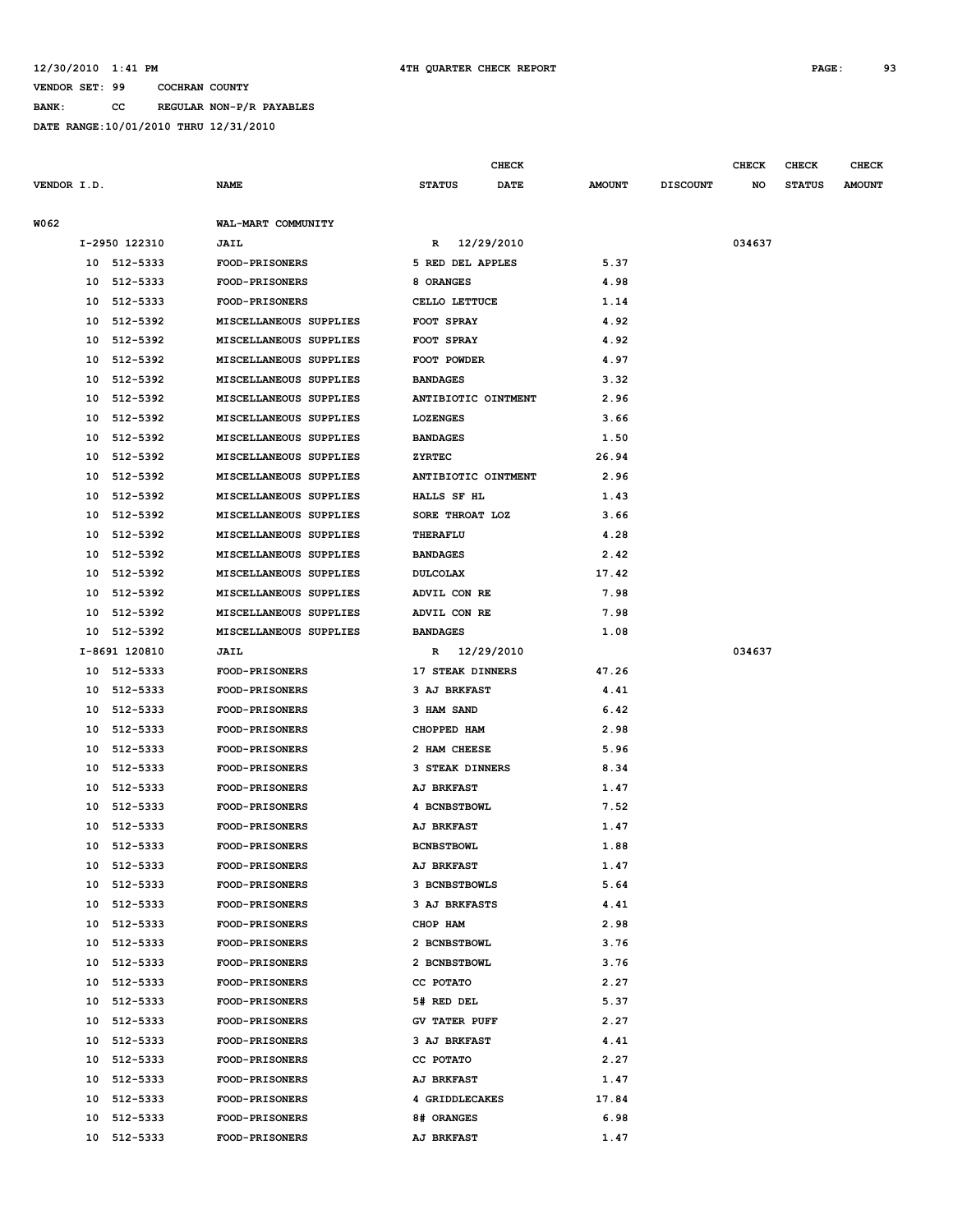**VENDOR SET: 99 COCHRAN COUNTY BANK: CC REGULAR NON-P/R PAYABLES**

|             |                |          |                        |                      | CHECK      |               |                 | <b>CHECK</b> | <b>CHECK</b>  | <b>CHECK</b>  |
|-------------|----------------|----------|------------------------|----------------------|------------|---------------|-----------------|--------------|---------------|---------------|
| VENDOR I.D. |                |          | NAME                   | <b>STATUS</b>        | DATE       | <b>AMOUNT</b> | <b>DISCOUNT</b> | NO           | <b>STATUS</b> | <b>AMOUNT</b> |
| W062        |                |          | WAL-MART COMMUNITY     |                      |            |               |                 |              |               |               |
|             | I-2950 122310  |          | <b>JAIL</b>            | $\mathbb{R}$         | 12/29/2010 |               |                 | 034637       |               |               |
|             | 10 512-5333    |          | FOOD-PRISONERS         | 5 RED DEL APPLES     |            | 5.37          |                 |              |               |               |
|             | 10             | 512-5333 | <b>FOOD-PRISONERS</b>  | 8 ORANGES            |            | 4.98          |                 |              |               |               |
|             | 10             | 512-5333 | <b>FOOD-PRISONERS</b>  | CELLO LETTUCE        |            | 1.14          |                 |              |               |               |
|             | 10             | 512-5392 | MISCELLANEOUS SUPPLIES | FOOT SPRAY           |            | 4.92          |                 |              |               |               |
|             | 10             | 512-5392 | MISCELLANEOUS SUPPLIES | FOOT SPRAY           |            | 4.92          |                 |              |               |               |
|             | 10             | 512-5392 | MISCELLANEOUS SUPPLIES | FOOT POWDER          |            | 4.97          |                 |              |               |               |
|             | 10             | 512-5392 | MISCELLANEOUS SUPPLIES | <b>BANDAGES</b>      |            | 3.32          |                 |              |               |               |
|             | 10             | 512-5392 | MISCELLANEOUS SUPPLIES | ANTIBIOTIC OINTMENT  |            | 2.96          |                 |              |               |               |
|             | 10             | 512-5392 | MISCELLANEOUS SUPPLIES | <b>LOZENGES</b>      |            | 3.66          |                 |              |               |               |
|             | 10             | 512-5392 | MISCELLANEOUS SUPPLIES | <b>BANDAGES</b>      |            | 1.50          |                 |              |               |               |
|             | 10             | 512-5392 | MISCELLANEOUS SUPPLIES | ZYRTEC               |            | 26.94         |                 |              |               |               |
|             | 10             | 512-5392 | MISCELLANEOUS SUPPLIES | ANTIBIOTIC OINTMENT  |            | 2.96          |                 |              |               |               |
|             | 10             | 512-5392 | MISCELLANEOUS SUPPLIES | HALLS SF HL          |            | 1.43          |                 |              |               |               |
|             | 10             | 512-5392 | MISCELLANEOUS SUPPLIES | SORE THROAT LOZ      |            | 3.66          |                 |              |               |               |
|             | 10             | 512-5392 | MISCELLANEOUS SUPPLIES | THERAFLU             |            | 4.28          |                 |              |               |               |
|             | 10             | 512-5392 | MISCELLANEOUS SUPPLIES | <b>BANDAGES</b>      |            | 2.42          |                 |              |               |               |
|             | 512-5392<br>10 |          | MISCELLANEOUS SUPPLIES | <b>DULCOLAX</b>      |            | 17.42         |                 |              |               |               |
|             | 10             | 512-5392 | MISCELLANEOUS SUPPLIES | ADVIL CON RE         |            | 7.98          |                 |              |               |               |
|             | 10             | 512-5392 | MISCELLANEOUS SUPPLIES | ADVIL CON RE         |            | 7.98          |                 |              |               |               |
|             | 10             | 512-5392 | MISCELLANEOUS SUPPLIES | <b>BANDAGES</b>      |            | 1.08          |                 |              |               |               |
|             | I-8691 120810  |          | JAIL                   | R 12/29/2010         |            |               |                 | 034637       |               |               |
|             | 10 512-5333    |          | FOOD-PRISONERS         | 17 STEAK DINNERS     |            | 47.26         |                 |              |               |               |
|             | 512-5333<br>10 |          | <b>FOOD-PRISONERS</b>  | 3 AJ BRKFAST         |            | 4.41          |                 |              |               |               |
|             | 512-5333<br>10 |          | <b>FOOD-PRISONERS</b>  | 3 HAM SAND           |            | 6.42          |                 |              |               |               |
|             | 10             | 512-5333 | FOOD-PRISONERS         | CHOPPED HAM          |            | 2.98          |                 |              |               |               |
|             | 10             | 512-5333 | <b>FOOD-PRISONERS</b>  | 2 HAM CHEESE         |            | 5.96          |                 |              |               |               |
|             | 10             | 512-5333 | <b>FOOD-PRISONERS</b>  | 3 STEAK DINNERS      |            | 8.34          |                 |              |               |               |
|             | 10             | 512-5333 | <b>FOOD-PRISONERS</b>  | <b>AJ BRKFAST</b>    |            | 1.47          |                 |              |               |               |
|             | 10             | 512-5333 | <b>FOOD-PRISONERS</b>  | 4 BCNBSTBOWL         |            | 7.52          |                 |              |               |               |
|             | 10             | 512-5333 | <b>FOOD-PRISONERS</b>  | <b>AJ BRKFAST</b>    |            | 1.47          |                 |              |               |               |
|             | 10             | 512-5333 | FOOD-PRISONERS         | <b>BCNBSTBOWL</b>    |            | 1.88          |                 |              |               |               |
|             | 10             | 512-5333 | <b>FOOD-PRISONERS</b>  | <b>AJ BRKFAST</b>    |            | 1.47          |                 |              |               |               |
|             | 10             | 512-5333 | <b>FOOD-PRISONERS</b>  | 3 BCNBSTBOWLS        |            | 5.64          |                 |              |               |               |
|             | 10             | 512-5333 | <b>FOOD-PRISONERS</b>  | 3 AJ BRKFASTS        |            | 4.41          |                 |              |               |               |
|             | 512-5333<br>10 |          | <b>FOOD-PRISONERS</b>  | CHOP HAM             |            | 2.98          |                 |              |               |               |
|             | 512-5333<br>10 |          | <b>FOOD-PRISONERS</b>  | 2 BCNBSTBOWL         |            | 3.76          |                 |              |               |               |
|             | 10             | 512-5333 | FOOD-PRISONERS         | 2 BCNBSTBOWL         |            | 3.76          |                 |              |               |               |
|             | 10             | 512-5333 | <b>FOOD-PRISONERS</b>  | CC POTATO            |            | 2.27          |                 |              |               |               |
|             | 10             | 512-5333 | <b>FOOD-PRISONERS</b>  | 5# RED DEL           |            | 5.37          |                 |              |               |               |
|             | 10 512-5333    |          | <b>FOOD-PRISONERS</b>  | <b>GV TATER PUFF</b> |            | 2.27          |                 |              |               |               |
|             | 512-5333<br>10 |          | <b>FOOD-PRISONERS</b>  | 3 AJ BRKFAST         |            | 4.41          |                 |              |               |               |
|             | 10 512-5333    |          | <b>FOOD-PRISONERS</b>  | CC POTATO            |            | 2.27          |                 |              |               |               |
|             | 10 512-5333    |          | FOOD-PRISONERS         | <b>AJ BRKFAST</b>    |            | 1.47          |                 |              |               |               |
|             | 512-5333<br>10 |          | <b>FOOD-PRISONERS</b>  | 4 GRIDDLECAKES       |            | 17.84         |                 |              |               |               |
|             | 10             | 512-5333 | <b>FOOD-PRISONERS</b>  | 8# ORANGES           |            | 6.98          |                 |              |               |               |
|             | 10 512-5333    |          | <b>FOOD-PRISONERS</b>  | <b>AJ BRKFAST</b>    |            | 1.47          |                 |              |               |               |
|             |                |          |                        |                      |            |               |                 |              |               |               |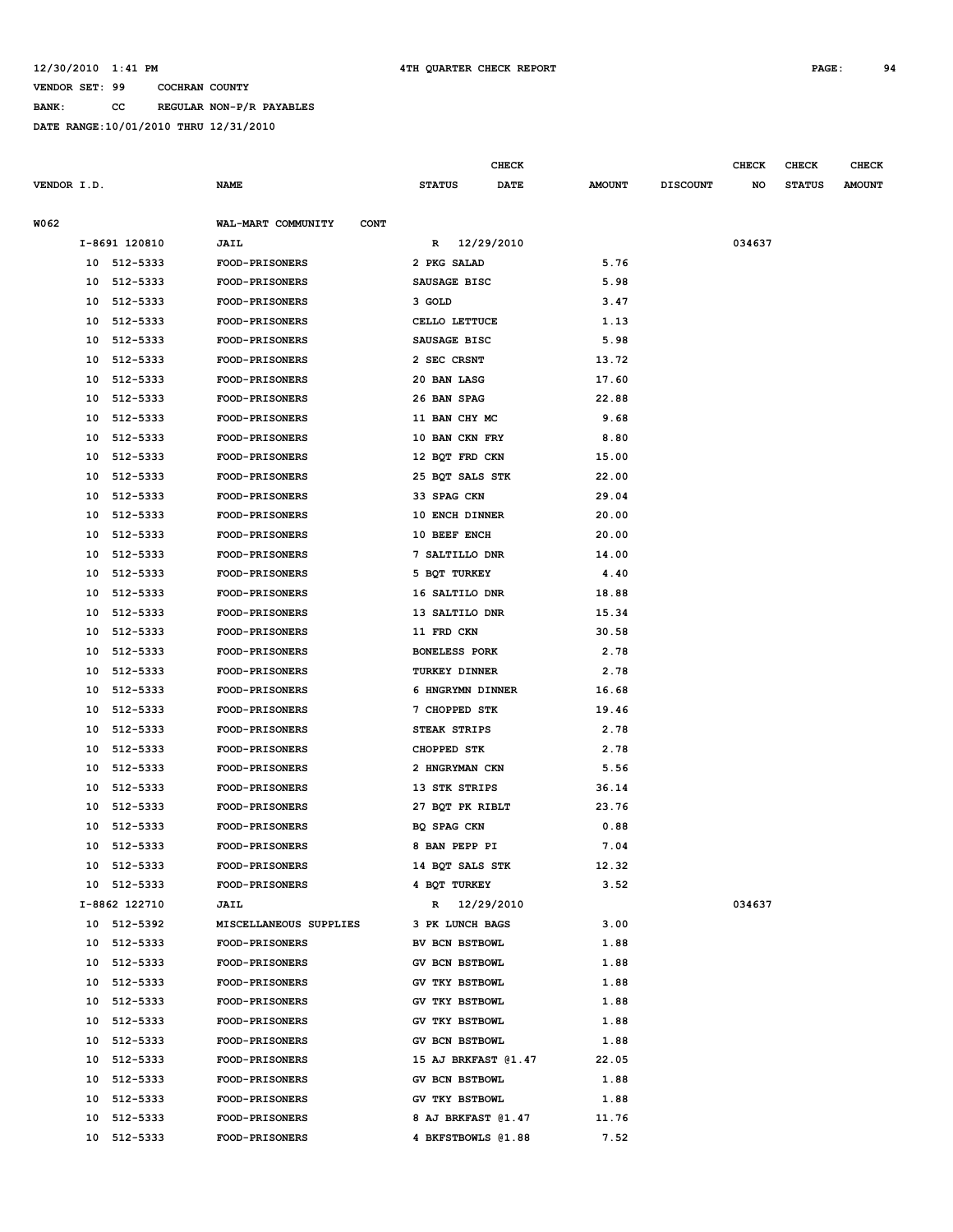**BANK: CC REGULAR NON-P/R PAYABLES**

|             |    |               |                                   |                       | CHECK       |               |                 | <b>CHECK</b> | <b>CHECK</b>  | <b>CHECK</b>  |
|-------------|----|---------------|-----------------------------------|-----------------------|-------------|---------------|-----------------|--------------|---------------|---------------|
| VENDOR I.D. |    |               | NAME                              | <b>STATUS</b>         | <b>DATE</b> | <b>AMOUNT</b> | <b>DISCOUNT</b> | NO           | <b>STATUS</b> | <b>AMOUNT</b> |
| W062        |    |               | WAL-MART COMMUNITY<br><b>CONT</b> |                       |             |               |                 |              |               |               |
|             |    | I-8691 120810 | <b>JAIL</b>                       | $\mathbb{R}$          | 12/29/2010  |               |                 | 034637       |               |               |
|             |    | 10 512-5333   | FOOD-PRISONERS                    | 2 PKG SALAD           |             | 5.76          |                 |              |               |               |
|             | 10 | 512-5333      | <b>FOOD-PRISONERS</b>             | SAUSAGE BISC          |             | 5.98          |                 |              |               |               |
|             | 10 | 512-5333      | <b>FOOD-PRISONERS</b>             | 3 GOLD                |             | 3.47          |                 |              |               |               |
|             | 10 | 512-5333      | <b>FOOD-PRISONERS</b>             | CELLO LETTUCE         |             | 1.13          |                 |              |               |               |
|             | 10 | 512-5333      | <b>FOOD-PRISONERS</b>             | SAUSAGE BISC          |             | 5.98          |                 |              |               |               |
|             | 10 | 512-5333      | <b>FOOD-PRISONERS</b>             | 2 SEC CRSNT           |             | 13.72         |                 |              |               |               |
|             | 10 | 512-5333      | <b>FOOD-PRISONERS</b>             | 20 BAN LASG           |             | 17.60         |                 |              |               |               |
|             | 10 | 512-5333      | <b>FOOD-PRISONERS</b>             | 26 BAN SPAG           |             | 22.88         |                 |              |               |               |
|             | 10 | 512-5333      | <b>FOOD-PRISONERS</b>             | 11 BAN CHY MC         |             | 9.68          |                 |              |               |               |
|             | 10 | 512-5333      | <b>FOOD-PRISONERS</b>             | 10 BAN CKN FRY        |             | 8.80          |                 |              |               |               |
|             | 10 | 512-5333      | <b>FOOD-PRISONERS</b>             | 12 BQT FRD CKN        |             | 15.00         |                 |              |               |               |
|             | 10 | 512-5333      | <b>FOOD-PRISONERS</b>             | 25 BQT SALS STK       |             | 22.00         |                 |              |               |               |
|             | 10 | 512-5333      | FOOD-PRISONERS                    | 33 SPAG CKN           |             | 29.04         |                 |              |               |               |
|             | 10 | 512-5333      | FOOD-PRISONERS                    | 10 ENCH DINNER        |             | 20.00         |                 |              |               |               |
|             | 10 | 512-5333      | <b>FOOD-PRISONERS</b>             | 10 BEEF ENCH          |             | 20.00         |                 |              |               |               |
|             | 10 | 512-5333      | <b>FOOD-PRISONERS</b>             | 7 SALTILLO DNR        |             | 14.00         |                 |              |               |               |
|             | 10 | 512-5333      | FOOD-PRISONERS                    | 5 BQT TURKEY          |             | 4.40          |                 |              |               |               |
|             | 10 | 512-5333      | <b>FOOD-PRISONERS</b>             | 16 SALTILO DNR        |             | 18.88         |                 |              |               |               |
|             | 10 | 512-5333      | <b>FOOD-PRISONERS</b>             | 13 SALTILO DNR        |             | 15.34         |                 |              |               |               |
|             | 10 | 512-5333      | <b>FOOD-PRISONERS</b>             | 11 FRD CKN            |             | 30.58         |                 |              |               |               |
|             | 10 | 512-5333      | <b>FOOD-PRISONERS</b>             | <b>BONELESS PORK</b>  |             | 2.78          |                 |              |               |               |
|             | 10 | 512-5333      | <b>FOOD-PRISONERS</b>             | TURKEY DINNER         |             | 2.78          |                 |              |               |               |
|             | 10 | 512-5333      | <b>FOOD-PRISONERS</b>             | 6 HNGRYMN DINNER      |             | 16.68         |                 |              |               |               |
|             | 10 | 512-5333      | <b>FOOD-PRISONERS</b>             | 7 CHOPPED STK         |             | 19.46         |                 |              |               |               |
|             | 10 | 512-5333      | FOOD-PRISONERS                    | STEAK STRIPS          |             | 2.78          |                 |              |               |               |
|             | 10 | 512-5333      | <b>FOOD-PRISONERS</b>             | CHOPPED STK           |             | 2.78          |                 |              |               |               |
|             | 10 | 512-5333      | <b>FOOD-PRISONERS</b>             | 2 HNGRYMAN CKN        |             | 5.56          |                 |              |               |               |
|             | 10 | 512-5333      | <b>FOOD-PRISONERS</b>             | 13 STK STRIPS         |             | 36.14         |                 |              |               |               |
|             | 10 | 512-5333      | <b>FOOD-PRISONERS</b>             | 27 BOT PK RIBLT       |             | 23.76         |                 |              |               |               |
|             | 10 | 512-5333      | <b>FOOD-PRISONERS</b>             | BQ SPAG CKN           |             | 0.88          |                 |              |               |               |
|             | 10 | 512-5333      | FOOD-PRISONERS                    | 8 BAN PEPP PI         |             | 7.04          |                 |              |               |               |
|             |    | 10 512-5333   | <b>FOOD-PRISONERS</b>             | 14 BQT SALS STK       |             | 12.32         |                 |              |               |               |
|             |    | 10 512-5333   | <b>FOOD-PRISONERS</b>             | 4 BOT TURKEY          |             | 3.52          |                 |              |               |               |
|             |    | I-8862 122710 | <b>JAIL</b>                       | R 12/29/2010          |             |               |                 | 034637       |               |               |
|             |    | 10 512-5392   | MISCELLANEOUS SUPPLIES            | 3 PK LUNCH BAGS       |             | 3.00          |                 |              |               |               |
|             |    | 10 512-5333   | FOOD-PRISONERS                    | BV BCN BSTBOWL        |             | 1.88          |                 |              |               |               |
|             |    | 10 512-5333   | FOOD-PRISONERS                    | GV BCN BSTBOWL        |             | 1.88          |                 |              |               |               |
|             |    | 10 512-5333   | <b>FOOD-PRISONERS</b>             | GV TKY BSTBOWL        |             | 1.88          |                 |              |               |               |
|             |    | 10 512-5333   | <b>FOOD-PRISONERS</b>             | <b>GV TKY BSTBOWL</b> |             | 1.88          |                 |              |               |               |
|             |    | 10 512-5333   | <b>FOOD-PRISONERS</b>             | <b>GV TKY BSTBOWL</b> |             | 1.88          |                 |              |               |               |
|             |    | 10 512-5333   | <b>FOOD-PRISONERS</b>             | <b>GV BCN BSTBOWL</b> |             | 1.88          |                 |              |               |               |
|             |    | 10 512-5333   | <b>FOOD-PRISONERS</b>             | 15 AJ BRKFAST @1.47   |             | 22.05         |                 |              |               |               |
|             |    | 10 512-5333   | FOOD-PRISONERS                    | GV BCN BSTBOWL        |             | 1.88          |                 |              |               |               |
|             |    | 10 512-5333   | <b>FOOD-PRISONERS</b>             | <b>GV TKY BSTBOWL</b> |             | 1.88          |                 |              |               |               |
|             | 10 | 512-5333      | <b>FOOD-PRISONERS</b>             | 8 AJ BRKFAST @1.47    |             | 11.76         |                 |              |               |               |
|             |    | 10 512-5333   | <b>FOOD-PRISONERS</b>             | 4 BKFSTBOWLS @1.88    |             | 7.52          |                 |              |               |               |
|             |    |               |                                   |                       |             |               |                 |              |               |               |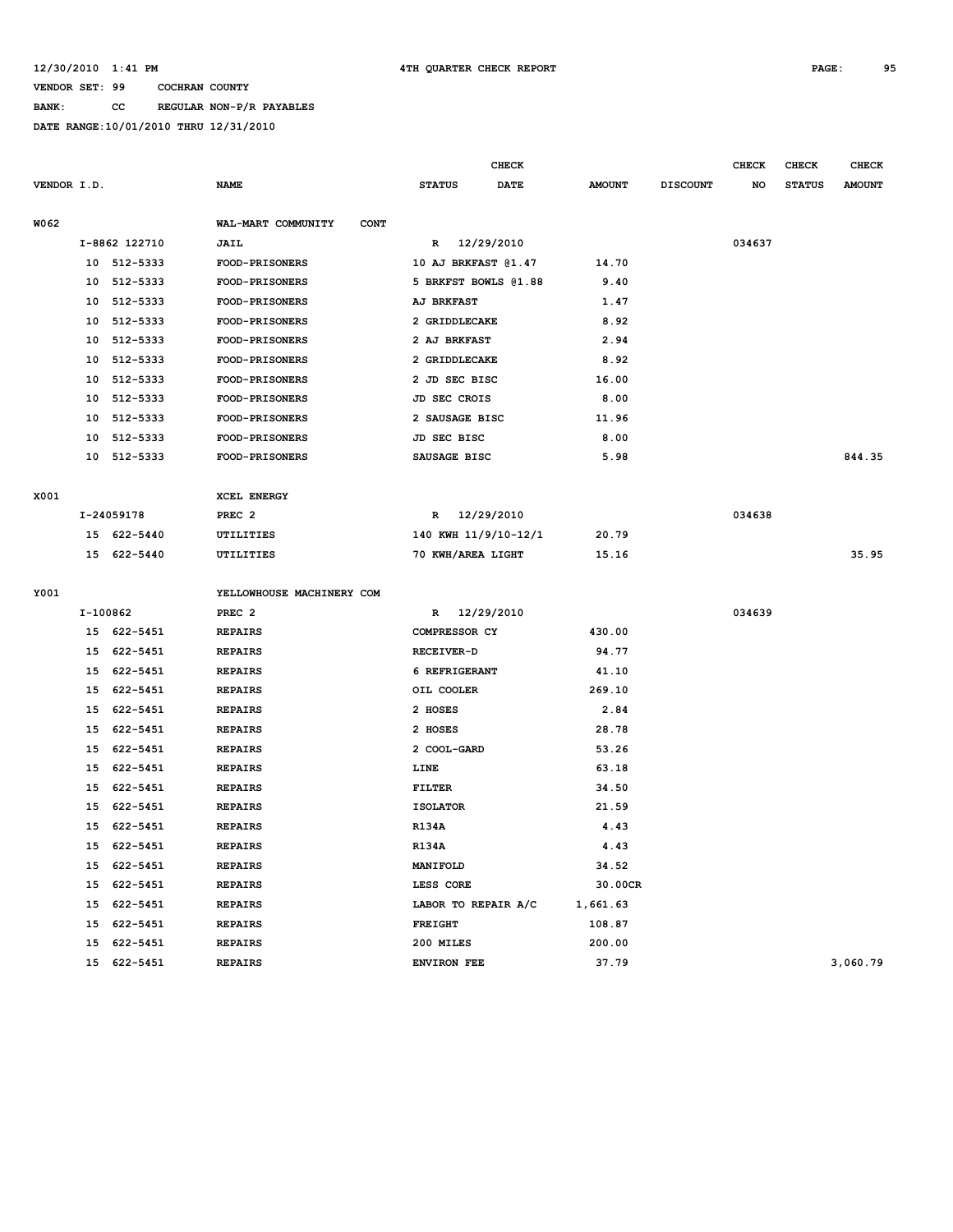### **BANK: CC REGULAR NON-P/R PAYABLES**

|             |          | <b>CHECK</b>  |                                   |                      | <b>CHECK</b><br><b>CHECK</b> |               |                 |        |               | <b>CHECK</b>  |
|-------------|----------|---------------|-----------------------------------|----------------------|------------------------------|---------------|-----------------|--------|---------------|---------------|
| VENDOR I.D. |          |               | <b>NAME</b>                       | <b>STATUS</b>        | <b>DATE</b>                  | <b>AMOUNT</b> | <b>DISCOUNT</b> | NO     | <b>STATUS</b> | <b>AMOUNT</b> |
|             |          |               |                                   |                      |                              |               |                 |        |               |               |
| W062        |          |               | WAL-MART COMMUNITY<br><b>CONT</b> |                      |                              |               |                 |        |               |               |
|             |          | I-8862 122710 | JAIL                              | R 12/29/2010         |                              |               |                 | 034637 |               |               |
|             |          | 10 512-5333   | FOOD-PRISONERS                    | 10 AJ BRKFAST @1.47  |                              | 14.70         |                 |        |               |               |
|             |          | 10 512-5333   | <b>FOOD-PRISONERS</b>             | 5 BRKFST BOWLS @1.88 |                              | 9.40          |                 |        |               |               |
|             |          | 10 512-5333   | <b>FOOD-PRISONERS</b>             | <b>AJ BRKFAST</b>    |                              | 1.47          |                 |        |               |               |
|             |          | 10 512-5333   | FOOD-PRISONERS                    | 2 GRIDDLECAKE        |                              | 8.92          |                 |        |               |               |
|             | 10       | 512-5333      | FOOD-PRISONERS                    | 2 AJ BRKFAST         |                              | 2.94          |                 |        |               |               |
|             | 10       | 512-5333      | <b>FOOD-PRISONERS</b>             | 2 GRIDDLECAKE        |                              | 8.92          |                 |        |               |               |
|             | 10       | 512-5333      | FOOD-PRISONERS                    | 2 JD SEC BISC        |                              | 16.00         |                 |        |               |               |
|             | 10       | 512-5333      | FOOD-PRISONERS                    | JD SEC CROIS         |                              | 8.00          |                 |        |               |               |
|             | 10       | 512-5333      | <b>FOOD-PRISONERS</b>             | 2 SAUSAGE BISC       |                              | 11.96         |                 |        |               |               |
|             |          | 10 512-5333   | FOOD-PRISONERS                    | JD SEC BISC          |                              | 8.00          |                 |        |               |               |
|             |          | 10 512-5333   | <b>FOOD-PRISONERS</b>             | SAUSAGE BISC         |                              | 5.98          |                 |        |               | 844.35        |
|             |          |               |                                   |                      |                              |               |                 |        |               |               |
| X001        |          |               | <b>XCEL ENERGY</b>                |                      |                              |               |                 |        |               |               |
|             |          | I-24059178    | PREC <sub>2</sub>                 | R 12/29/2010         |                              |               |                 | 034638 |               |               |
|             |          | 15 622-5440   | UTILITIES                         | 140 KWH 11/9/10-12/1 |                              | 20.79         |                 |        |               |               |
|             |          | 15 622-5440   | UTILITIES                         | 70 KWH/AREA LIGHT    |                              | 15.16         |                 |        |               | 35.95         |
|             |          |               |                                   |                      |                              |               |                 |        |               |               |
| Y001        |          |               | YELLOWHOUSE MACHINERY COM         |                      |                              |               |                 |        |               |               |
|             | I-100862 |               | PREC <sub>2</sub>                 | R 12/29/2010         |                              |               |                 | 034639 |               |               |
|             |          | 15 622-5451   | <b>REPAIRS</b>                    | COMPRESSOR CY        |                              | 430.00        |                 |        |               |               |
|             |          | 15 622-5451   | <b>REPAIRS</b>                    | RECEIVER-D           |                              | 94.77         |                 |        |               |               |
|             |          | 15 622-5451   | <b>REPAIRS</b>                    | 6 REFRIGERANT        |                              | 41.10         |                 |        |               |               |
|             | 15       | 622-5451      | <b>REPAIRS</b>                    | OIL COOLER           |                              | 269.10        |                 |        |               |               |
|             | 15       | 622-5451      | <b>REPAIRS</b>                    | 2 HOSES              |                              | 2.84          |                 |        |               |               |
|             | 15       | 622-5451      | <b>REPAIRS</b>                    | 2 HOSES              |                              | 28.78         |                 |        |               |               |
|             | 15       | 622-5451      | <b>REPAIRS</b>                    | 2 COOL-GARD          |                              | 53.26         |                 |        |               |               |
|             | 15       | 622-5451      | <b>REPAIRS</b>                    | LINE                 |                              | 63.18         |                 |        |               |               |
|             | 15       | 622-5451      | <b>REPAIRS</b>                    | FILTER               |                              | 34.50         |                 |        |               |               |
|             | 15       | 622-5451      | <b>REPAIRS</b>                    | <b>ISOLATOR</b>      |                              | 21.59         |                 |        |               |               |
|             | 15       | 622-5451      | <b>REPAIRS</b>                    | <b>R134A</b>         |                              | 4.43          |                 |        |               |               |
|             | 15       | 622-5451      | <b>REPAIRS</b>                    | <b>R134A</b>         |                              | 4.43          |                 |        |               |               |
|             |          | 15 622-5451   | <b>REPAIRS</b>                    | MANIFOLD             |                              | 34.52         |                 |        |               |               |
|             | 15       | 622-5451      | <b>REPAIRS</b>                    | LESS CORE            |                              | 30.00CR       |                 |        |               |               |
|             | 15       | 622-5451      | <b>REPAIRS</b>                    | LABOR TO REPAIR A/C  |                              | 1,661.63      |                 |        |               |               |
|             | 15       | 622-5451      | <b>REPAIRS</b>                    | <b>FREIGHT</b>       |                              | 108.87        |                 |        |               |               |
|             | 15       | 622-5451      | <b>REPAIRS</b>                    | 200 MILES            |                              | 200.00        |                 |        |               |               |
|             |          | 15 622-5451   | <b>REPAIRS</b>                    | <b>ENVIRON FEE</b>   |                              | 37.79         |                 |        |               | 3,060.79      |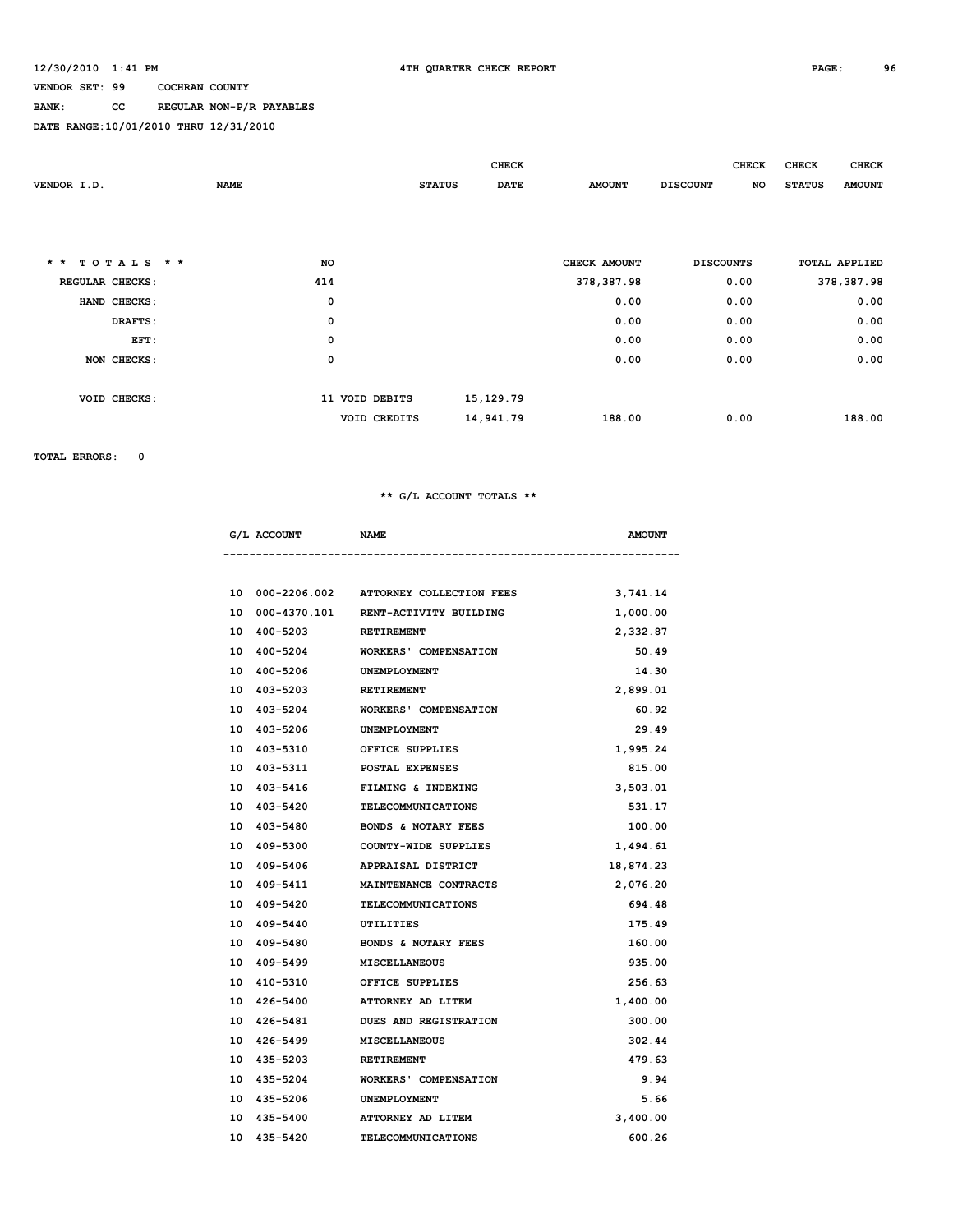### **BANK: CC REGULAR NON-P/R PAYABLES**

**DATE RANGE:10/01/2010 THRU 12/31/2010**

|                 |              |                     |                | <b>CHECK</b>          |               | <b>CHECK</b>     | <b>CHECK</b>        | <b>CHECK</b>         |
|-----------------|--------------|---------------------|----------------|-----------------------|---------------|------------------|---------------------|----------------------|
| VENDOR I.D.     |              | <b>NAME</b>         |                | DATE<br><b>STATUS</b> | <b>AMOUNT</b> | <b>DISCOUNT</b>  | NO<br><b>STATUS</b> | <b>AMOUNT</b>        |
|                 |              |                     |                |                       |               |                  |                     |                      |
|                 |              |                     |                |                       |               |                  |                     |                      |
|                 |              |                     |                |                       |               |                  |                     |                      |
| $\star$ $\star$ | TOTALS $*$ * | NO                  |                |                       | CHECK AMOUNT  | <b>DISCOUNTS</b> |                     | <b>TOTAL APPLIED</b> |
| REGULAR CHECKS: |              | 414                 |                |                       | 378,387.98    | 0.00             |                     | 378, 387.98          |
|                 | HAND CHECKS: | $\mathbf 0$         |                |                       | 0.00          | 0.00             |                     | 0.00                 |
|                 | DRAFTS:      | $\mathsf{o}\xspace$ |                |                       | 0.00          | 0.00             |                     | 0.00                 |
|                 | EFT:         | $\mathsf{o}\,$      |                |                       | 0.00          | 0.00             |                     | 0.00                 |
|                 | NON CHECKS:  | $\mathsf{o}\xspace$ |                |                       | 0.00          | 0.00             |                     | 0.00                 |
|                 |              |                     |                |                       |               |                  |                     |                      |
|                 | VOID CHECKS: |                     | 11 VOID DEBITS | 15, 129. 79           |               |                  |                     |                      |
|                 |              |                     | VOID CREDITS   | 14,941.79             | 188.00        | 0.00             |                     | 188.00               |
|                 |              |                     |                |                       |               |                  |                     |                      |

**TOTAL ERRORS: 0**

### **\*\* G/L ACCOUNT TOTALS \*\***

| G/L ACCOUNT              | <b>NAME</b>                              | <b>AMOUNT</b> |
|--------------------------|------------------------------------------|---------------|
|                          |                                          |               |
|                          | 10 000-2206.002 ATTORNEY COLLECTION FEES | 3,741.14      |
|                          | 10 000-4370.101 RENT-ACTIVITY BUILDING   | 1,000.00      |
| 10 400-5203 RETIREMENT   |                                          | 2,332.87      |
| 10 400-5204              | WORKERS' COMPENSATION                    | 50.49         |
| 10 400-5206 UNEMPLOYMENT |                                          | 14.30         |
| 10 403-5203              | RETIREMENT                               | 2,899.01      |
| 10 403-5204              | <b>WORKERS' COMPENSATION</b>             | 60.92         |
| 10 403-5206              | UNEMPLOYMENT                             | 29.49         |
| 10 403-5310              | OFFICE SUPPLIES                          | 1,995.24      |
|                          | 10 403-5311 POSTAL EXPENSES              | 815.00        |
| 10 403-5416              | FILMING & INDEXING                       | 3,503.01      |
|                          | 10 403-5420 TELECOMMUNICATIONS           | 531.17        |
| 10 403-5480              | BONDS & NOTARY FEES                      | 100.00        |
| 10 409-5300              | COUNTY-WIDE SUPPLIES                     | 1,494.61      |
|                          | 10 409-5406 APPRAISAL DISTRICT           | 18,874.23     |
| 10 409-5411              | <b>MAINTENANCE CONTRACTS</b>             | 2,076.20      |
|                          | 10 409-5420 TELECOMMUNICATIONS           | 694.48        |
| 10 409-5440              | UTILITIES                                | 175.49        |
|                          | 10 409-5480 BONDS & NOTARY FEES          | 160.00        |
| 10 409-5499              | <b>MISCELLANEOUS</b>                     | 935.00        |
| 10 410-5310              | OFFICE SUPPLIES                          | 256.63        |
|                          | 10 426-5400 ATTORNEY AD LITEM            | 1,400.00      |
| 10 426-5481              | <b>DUES AND REGISTRATION</b>             | 300.00        |
|                          | 10 426-5499 MISCELLANEOUS                | 302.44        |
| 10 435-5203              | <b>RETIREMENT</b>                        | 479.63        |
|                          | 10 435-5204 WORKERS' COMPENSATION        | 9.94          |
| 10 435-5206 UNEMPLOYMENT |                                          | 5.66          |
| 10 435-5400              | ATTORNEY AD LITEM                        | 3,400.00      |

**10 435-5420 TELECOMMUNICATIONS 600.26**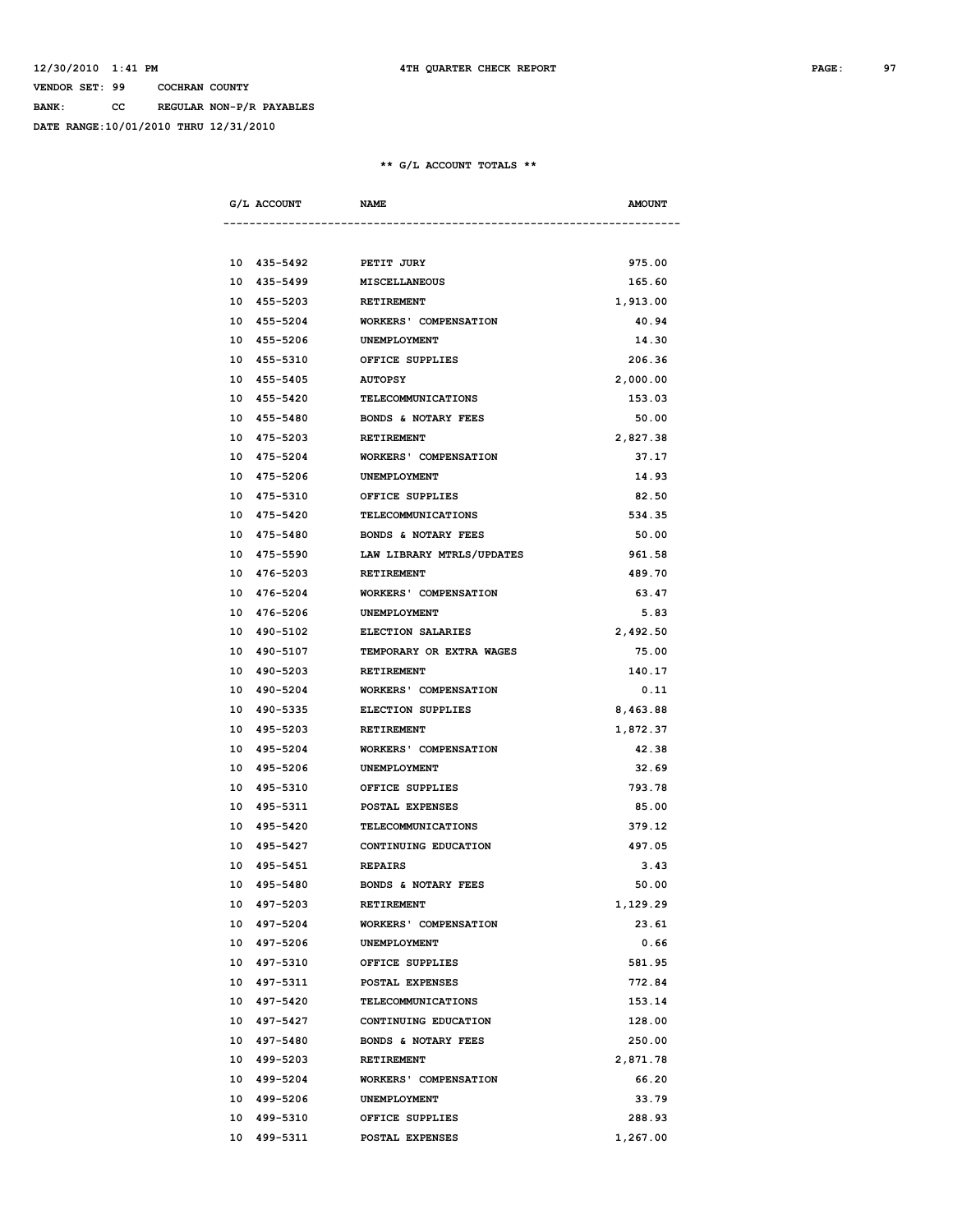**BANK: CC REGULAR NON-P/R PAYABLES**

**DATE RANGE:10/01/2010 THRU 12/31/2010**

| G/L ACCOUNT | <b>NAME</b>                       | <b>AMOUNT</b> |
|-------------|-----------------------------------|---------------|
|             |                                   |               |
|             | 10 435-5492 PETIT JURY            | 975.00        |
| 10 435-5499 | <b>MISCELLANEOUS</b>              | 165.60        |
| 10 455-5203 | RETIREMENT                        | 1,913.00      |
| 10 455-5204 | <b>WORKERS' COMPENSATION</b>      | 40.94         |
| 10 455-5206 | UNEMPLOYMENT                      | 14.30         |
| 10 455-5310 | OFFICE SUPPLIES                   | 206.36        |
| 10 455-5405 | <b>AUTOPSY</b>                    | 2,000.00      |
| 10 455-5420 | TELECOMMUNICATIONS                | 153.03        |
|             | 10 455-5480 BONDS & NOTARY FEES   | 50.00         |
|             | 10 475-5203 RETIREMENT            | 2,827.38      |
|             | 10 475-5204 WORKERS' COMPENSATION | 37.17         |
|             | 10 475-5206 UNEMPLOYMENT          | 14.93         |
| 10 475-5310 | OFFICE SUPPLIES                   | 82.50         |
| 10 475-5420 | TELECOMMUNICATIONS                | 534.35        |
| 10 475-5480 | <b>BONDS &amp; NOTARY FEES</b>    | 50.00         |
| 10 475-5590 | LAW LIBRARY MTRLS/UPDATES         | 961.58        |
| 10 476-5203 | RETIREMENT                        | 489.70        |
| 10 476-5204 | <b>WORKERS' COMPENSATION</b>      | 63.47         |
| 10 476-5206 | <b>UNEMPLOYMENT</b>               | 5.83          |
|             | 10 490-5102 ELECTION SALARIES     | 2,492.50      |
| 10 490-5107 | TEMPORARY OR EXTRA WAGES          | 75.00         |
|             | 10 490-5203 RETIREMENT            | 140.17        |
|             | 10 490-5204 WORKERS' COMPENSATION | 0.11          |
|             | 10 490-5335 ELECTION SUPPLIES     | 8,463.88      |
| 10 495-5203 | <b>RETIREMENT</b>                 | 1,872.37      |
| 10 495-5204 | WORKERS' COMPENSATION             | 42.38         |
| 10 495-5206 | UNEMPLOYMENT                      | 32.69         |
| 10 495-5310 | OFFICE SUPPLIES                   | 793.78        |
| 10 495-5311 | <b>POSTAL EXPENSES</b>            | 85.00         |
| 10 495-5420 | <b>TELECOMMUNICATIONS</b>         | 379.12        |
| 10 495-5427 | CONTINUING EDUCATION              | 497.05        |
| 10 495-5451 | <b>REPAIRS</b>                    | 3.43          |
| 10 495-5480 | BONDS & NOTARY FEES               | 50.00         |
| 10 497-5203 | RETIREMENT                        | 1,129.29      |
| 10 497-5204 | <b>WORKERS' COMPENSATION</b>      | 23.61         |
| 10 497-5206 | UNEMPLOYMENT                      | 0.66          |
| 10 497-5310 | OFFICE SUPPLIES                   | 581.95        |
|             |                                   |               |
| 10 497-5311 | POSTAL EXPENSES                   | 772.84        |
| 10 497-5420 | TELECOMMUNICATIONS                | 153.14        |
| 10 497-5427 | CONTINUING EDUCATION              | 128.00        |
| 10 497-5480 | BONDS & NOTARY FEES               | 250.00        |
| 10 499-5203 | RETIREMENT                        | 2,871.78      |
| 10 499-5204 | <b>WORKERS' COMPENSATION</b>      | 66.20         |
| 10 499-5206 | UNEMPLOYMENT                      | 33.79         |
| 10 499-5310 | OFFICE SUPPLIES                   | 288.93        |
| 10 499-5311 | POSTAL EXPENSES                   | 1,267.00      |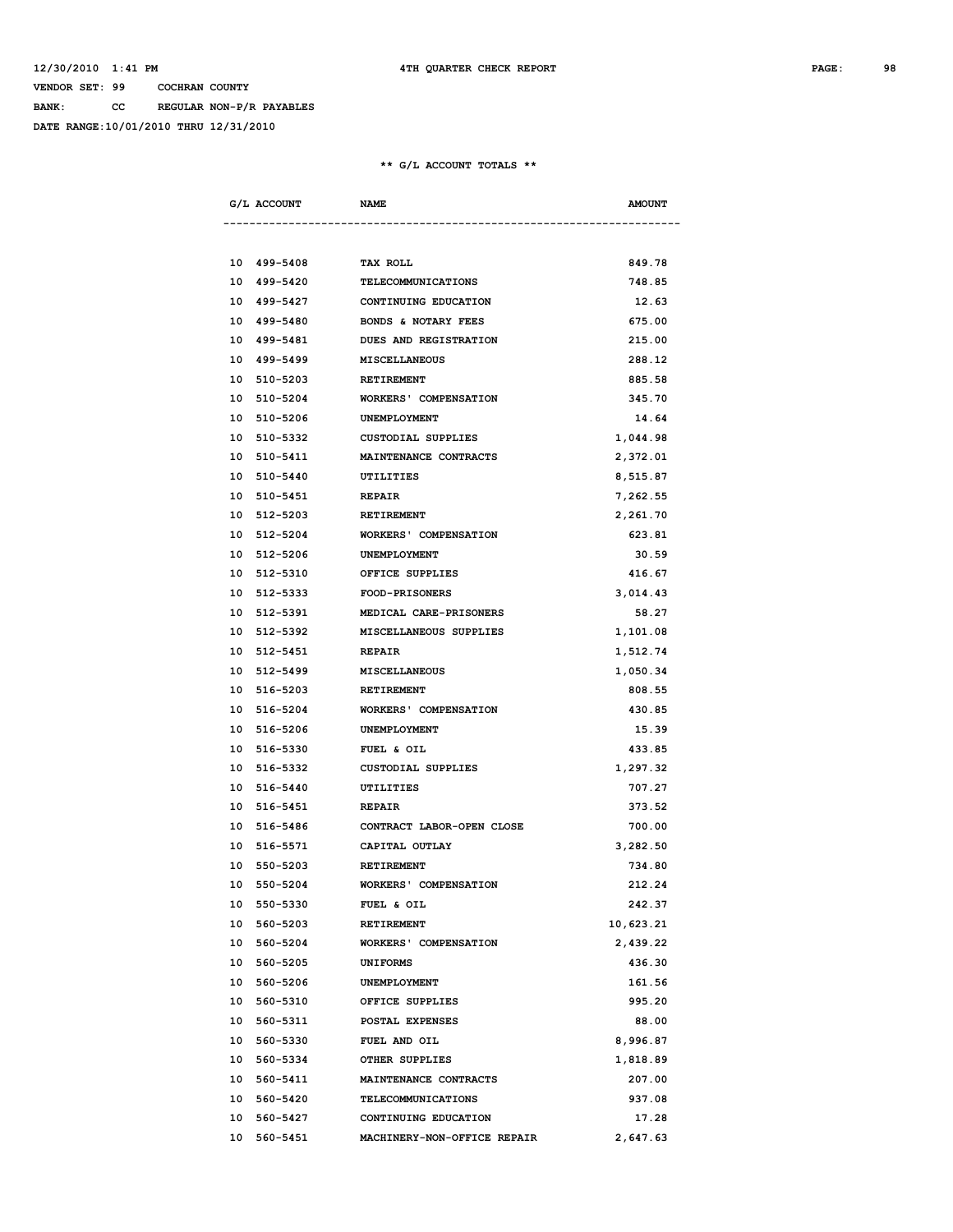**BANK: CC REGULAR NON-P/R PAYABLES**

**DATE RANGE:10/01/2010 THRU 12/31/2010**

|    | G/L ACCOUNT | <b>NAME</b>                  | <b>AMOUNT</b> |
|----|-------------|------------------------------|---------------|
|    |             |                              |               |
|    | 10 499-5408 | <b>TAX ROLL</b>              | 849.78        |
|    | 10 499-5420 | TELECOMMUNICATIONS           | 748.85        |
|    | 10 499-5427 | CONTINUING EDUCATION         | 12.63         |
|    | 10 499-5480 | BONDS & NOTARY FEES          | 675.00        |
|    | 10 499-5481 | DUES AND REGISTRATION        | 215.00        |
|    | 10 499-5499 | MISCELLANEOUS                | 288.12        |
|    | 10 510-5203 | RETIREMENT                   | 885.58        |
|    | 10 510-5204 | <b>WORKERS' COMPENSATION</b> | 345.70        |
|    | 10 510-5206 | <b>UNEMPLOYMENT</b>          | 14.64         |
| 10 | 510-5332    | CUSTODIAL SUPPLIES           | 1,044.98      |
|    | 10 510-5411 | MAINTENANCE CONTRACTS        | 2,372.01      |
|    | 10 510-5440 | UTILITIES                    | 8,515.87      |
|    | 10 510-5451 | <b>REPAIR</b>                | 7,262.55      |
|    | 10 512-5203 | RETIREMENT                   | 2,261.70      |
|    | 10 512-5204 | <b>WORKERS' COMPENSATION</b> | 623.81        |
|    | 10 512-5206 | UNEMPLOYMENT                 | 30.59         |
|    | 10 512-5310 | OFFICE SUPPLIES              | 416.67        |
|    | 10 512-5333 | <b>FOOD-PRISONERS</b>        | 3,014.43      |
|    | 10 512-5391 | MEDICAL CARE-PRISONERS       | 58.27         |
|    | 10 512-5392 | MISCELLANEOUS SUPPLIES       | 1,101.08      |
|    | 10 512-5451 | <b>REPAIR</b>                | 1,512.74      |
|    | 10 512-5499 | <b>MISCELLANEOUS</b>         | 1,050.34      |
|    | 10 516-5203 | <b>RETIREMENT</b>            | 808.55        |
|    | 10 516-5204 | <b>WORKERS' COMPENSATION</b> | 430.85        |
|    | 10 516-5206 | UNEMPLOYMENT                 | 15.39         |
|    | 10 516-5330 | FUEL & OIL                   | 433.85        |
|    | 10 516-5332 | CUSTODIAL SUPPLIES           | 1,297.32      |
|    | 10 516-5440 | UTILITIES                    | 707.27        |
|    | 10 516-5451 | <b>REPAIR</b>                | 373.52        |
|    | 10 516-5486 | CONTRACT LABOR-OPEN CLOSE    | 700.00        |
|    | 10 516-5571 | CAPITAL OUTLAY               | 3,282.50      |
|    | 10 550-5203 | RETIREMENT                   | 734.80        |
|    | 10 550-5204 | <b>WORKERS' COMPENSATION</b> | 212.24        |
|    | 10 550-5330 | FUEL & OIL                   | 242.37        |
|    | 10 560-5203 | <b>RETIREMENT</b>            | 10,623.21     |
|    | 10 560-5204 | <b>WORKERS' COMPENSATION</b> | 2,439.22      |
|    | 10 560-5205 | <b>UNIFORMS</b>              | 436.30        |
|    | 10 560-5206 | UNEMPLOYMENT                 | 161.56        |
|    | 10 560-5310 | OFFICE SUPPLIES              | 995.20        |
|    | 10 560-5311 | POSTAL EXPENSES              | 88.00         |
|    | 10 560-5330 | FUEL AND OIL                 | 8,996.87      |
|    | 10 560-5334 | OTHER SUPPLIES               | 1,818.89      |
|    | 10 560-5411 | MAINTENANCE CONTRACTS        | 207.00        |
|    | 10 560-5420 | TELECOMMUNICATIONS           | 937.08        |
|    | 10 560-5427 | CONTINUING EDUCATION         | 17.28         |
|    | 10 560-5451 | MACHINERY-NON-OFFICE REPAIR  | 2,647.63      |
|    |             |                              |               |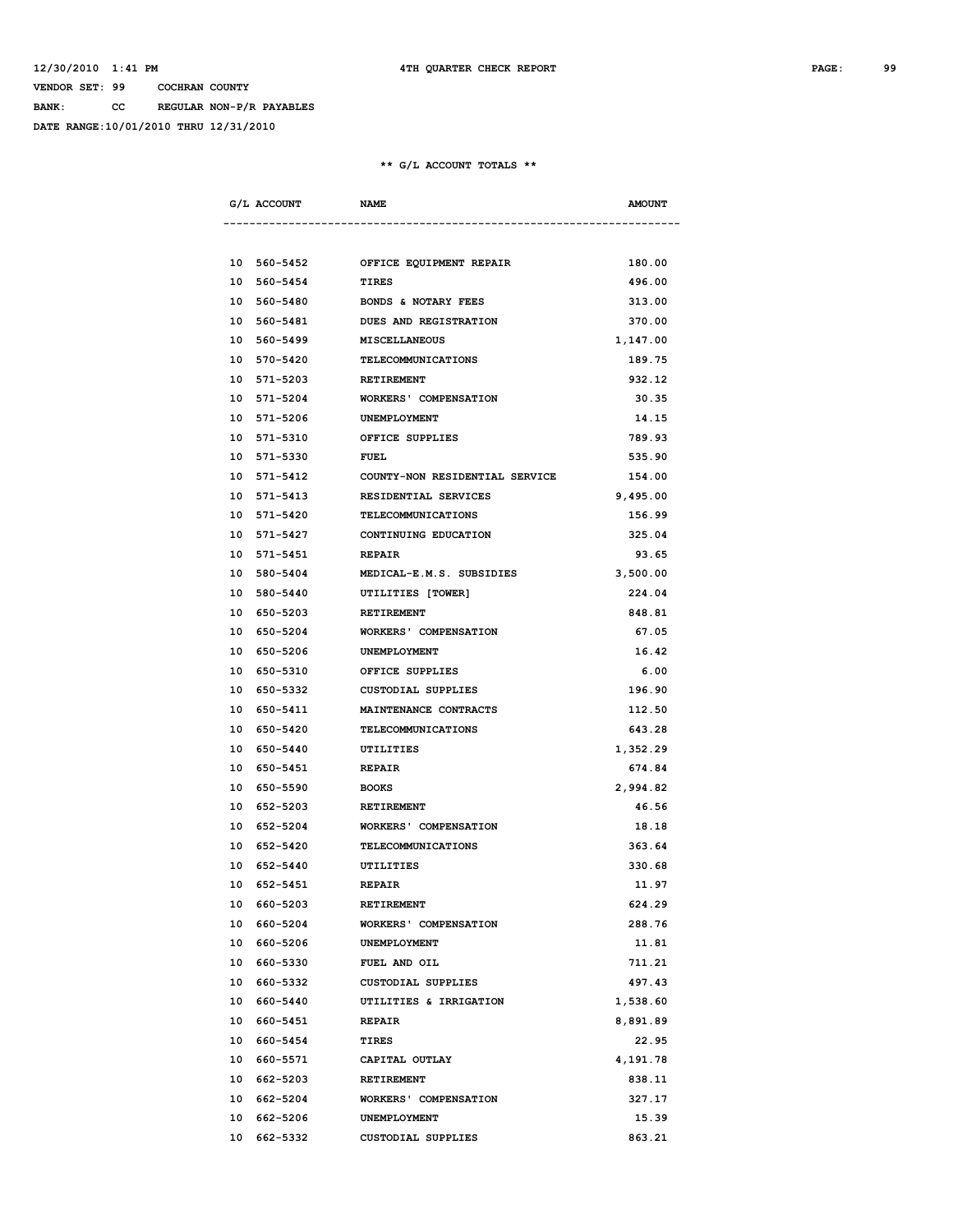**BANK: CC REGULAR NON-P/R PAYABLES**

**DATE RANGE:10/01/2010 THRU 12/31/2010**

| G/L ACCOUNT              | <b>NAME</b>                                | <b>AMOUNT</b> |
|--------------------------|--------------------------------------------|---------------|
|                          |                                            |               |
|                          | 10 560-5452 OFFICE EQUIPMENT REPAIR        | 180.00        |
| 10 560-5454              | <b>TIRES</b>                               | 496.00        |
| 10 560-5480              | <b>BONDS &amp; NOTARY FEES</b>             | 313.00        |
| 10 560-5481              | <b>DUES AND REGISTRATION</b>               | 370.00        |
| 10 560-5499              | MISCELLANEOUS                              | 1,147.00      |
| 10 570-5420              | <b>TELECOMMUNICATIONS</b>                  | 189.75        |
| 10 571-5203              | <b>RETIREMENT</b>                          | 932.12        |
|                          | 10 571-5204 WORKERS' COMPENSATION          | 30.35         |
| 10 571-5206 UNEMPLOYMENT |                                            | 14.15         |
|                          | 10 571-5310 OFFICE SUPPLIES                | 789.93        |
| 10 571-5330 FUEL         |                                            | 535.90        |
|                          | 10 571-5412 COUNTY-NON RESIDENTIAL SERVICE | 154.00        |
| 10 571-5413              | RESIDENTIAL SERVICES                       | 9,495.00      |
| 10 571-5420              | TELECOMMUNICATIONS                         | 156.99        |
| 10 571-5427              | CONTINUING EDUCATION                       | 325.04        |
| 10 571-5451              | <b>REPAIR</b>                              | 93.65         |
| 10 580-5404              | MEDICAL-E.M.S. SUBSIDIES                   | 3,500.00      |
| 10 580-5440              | UTILITIES [TOWER]                          | 224.04        |
| 10 650-5203              | <b>RETIREMENT</b>                          | 848.81        |
|                          | 10 650-5204 WORKERS' COMPENSATION          | 67.05         |
| 10 650-5206 UNEMPLOYMENT |                                            | 16.42         |
|                          | 10 650-5310 OFFICE SUPPLIES                | 6.00          |
|                          | 10 650-5332 CUSTODIAL SUPPLIES             | 196.90        |
|                          | 10 650-5411 MAINTENANCE CONTRACTS          | 112.50        |
| 10 650-5420              | TELECOMMUNICATIONS                         | 643.28        |
| 10 650-5440              | UTILITIES                                  | 1,352.29      |
| 10 650-5451              | <b>REPAIR</b>                              | 674.84        |
| 10 650-5590              | <b>BOOKS</b>                               | 2,994.82      |
| 10 652-5203              | <b>RETIREMENT</b>                          | 46.56         |
| 10 652-5204              | <b>WORKERS' COMPENSATION</b>               | 18.18         |
| 10 652-5420              | TELECOMMUNICATIONS                         | 363.64        |
| 10 652-5440              | UTILITIES                                  | 330.68        |
| 10 652-5451              | <b>REPAIR</b>                              | 11.97         |
| 10 660-5203              | <b>RETIREMENT</b>                          | 624.29        |
| 10 660-5204              | <b>WORKERS' COMPENSATION</b>               | 288.76        |
| 10 660-5206              | UNEMPLOYMENT                               | 11.81         |
| 10 660-5330              | FUEL AND OIL                               | 711.21        |
| 10 660-5332              | CUSTODIAL SUPPLIES                         | 497.43        |
| 10 660-5440              | UTILITIES & IRRIGATION                     | 1,538.60      |
| 10 660-5451              | <b>REPAIR</b>                              | 8,891.89      |
| 10 660-5454              | TIRES                                      | 22.95         |
| 10 660-5571              | CAPITAL OUTLAY                             | 4,191.78      |
| 10 662-5203              | RETIREMENT                                 | 838.11        |
| 10 662-5204              | WORKERS' COMPENSATION                      | 327.17        |
| 10 662-5206              | UNEMPLOYMENT                               | 15.39         |
| 10 662-5332              | <b>CUSTODIAL SUPPLIES</b>                  | 863.21        |
|                          |                                            |               |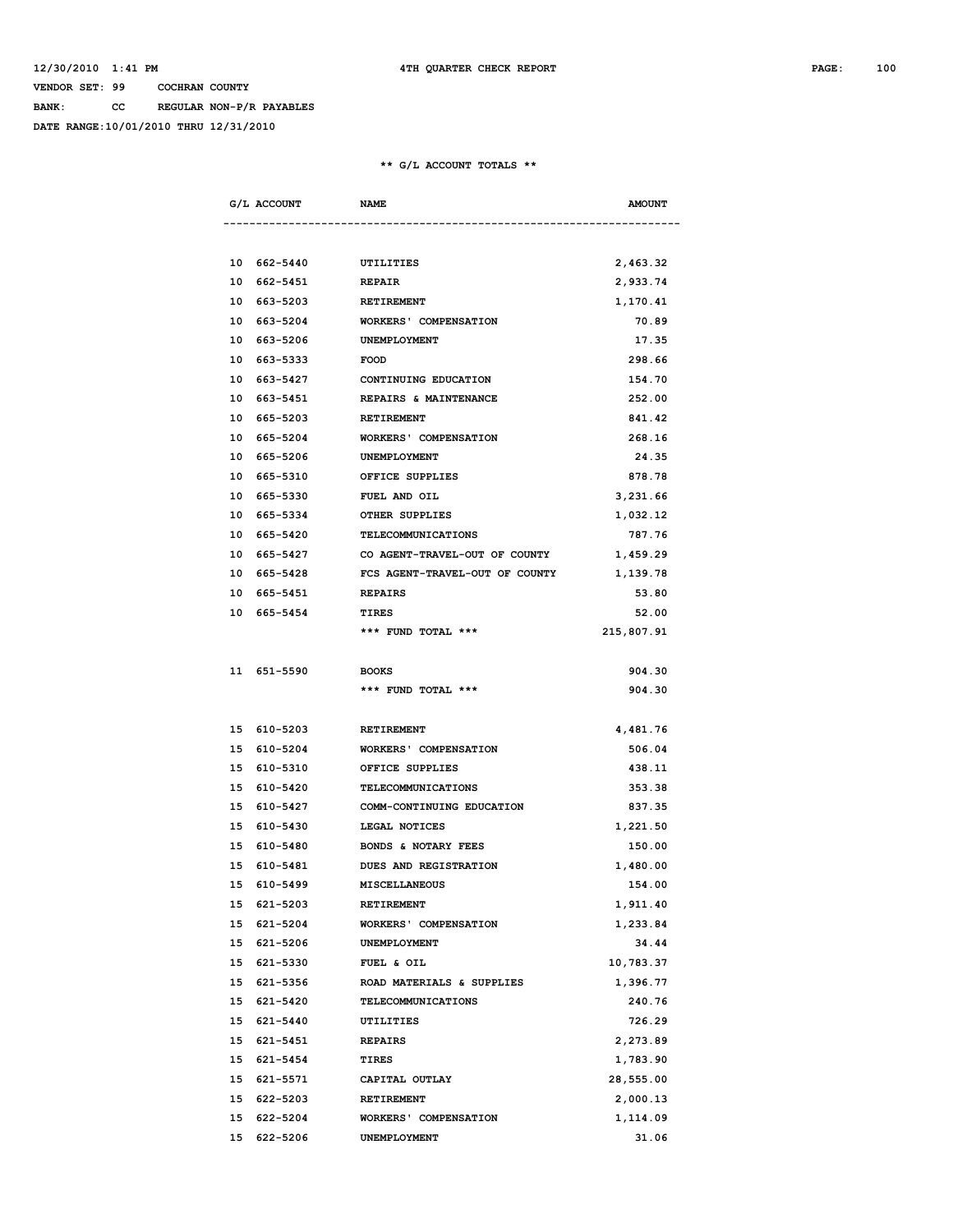**BANK: CC REGULAR NON-P/R PAYABLES**

**DATE RANGE:10/01/2010 THRU 12/31/2010**

| G/L ACCOUNT | <b>NAME</b>                    | <b>AMOUNT</b> |
|-------------|--------------------------------|---------------|
|             |                                |               |
| 10 662-5440 | UTILITIES                      | 2,463.32      |
| 10 662-5451 | <b>REPAIR</b>                  | 2,933.74      |
| 10 663-5203 | <b>RETIREMENT</b>              | 1,170.41      |
| 10 663-5204 | <b>WORKERS' COMPENSATION</b>   | 70.89         |
| 10 663-5206 | <b>UNEMPLOYMENT</b>            | 17.35         |
| 10 663-5333 | <b>FOOD</b>                    | 298.66        |
| 10 663-5427 | CONTINUING EDUCATION           | 154.70        |
| 10 663-5451 | REPAIRS & MAINTENANCE          | 252.00        |
| 10 665-5203 | <b>RETIREMENT</b>              | 841.42        |
| 10 665-5204 | WORKERS' COMPENSATION          | 268.16        |
| 10 665-5206 | <b>UNEMPLOYMENT</b>            | 24.35         |
| 10 665-5310 | OFFICE SUPPLIES                | 878.78        |
| 10 665-5330 | FUEL AND OIL                   | 3,231.66      |
| 10 665-5334 | OTHER SUPPLIES                 | 1,032.12      |
| 10 665-5420 | TELECOMMUNICATIONS             | 787.76        |
| 10 665-5427 | CO AGENT-TRAVEL-OUT OF COUNTY  | 1,459.29      |
| 10 665-5428 | FCS AGENT-TRAVEL-OUT OF COUNTY | 1,139.78      |
| 10 665-5451 | <b>REPAIRS</b>                 | 53.80         |
| 10 665-5454 | <b>TIRES</b>                   | 52.00         |
|             | *** FUND TOTAL ***             | 215,807.91    |
| 11 651-5590 | <b>BOOKS</b>                   | 904.30        |
|             | *** FUND TOTAL ***             | 904.30        |
| 15 610-5203 | RETIREMENT                     | 4,481.76      |
| 15 610-5204 | <b>WORKERS' COMPENSATION</b>   | 506.04        |
| 15 610-5310 | OFFICE SUPPLIES                | 438.11        |
| 15 610-5420 | TELECOMMUNICATIONS             | 353.38        |
| 15 610-5427 | COMM-CONTINUING EDUCATION      | 837.35        |
| 15 610-5430 | LEGAL NOTICES                  | 1,221.50      |
| 15 610-5480 | BONDS & NOTARY FEES            | 150.00        |
| 15 610-5481 | <b>DUES AND REGISTRATION</b>   | 1,480.00      |
| 15 610-5499 | MISCELLANEOUS                  | 154.00        |
| 15 621-5203 | RETIREMENT                     | 1,911.40      |
| 15 621-5204 | <b>WORKERS' COMPENSATION</b>   | 1,233.84      |
| 15 621-5206 | UNEMPLOYMENT                   | 34.44         |
| 15 621-5330 | FUEL & OIL                     | 10,783.37     |
| 15 621-5356 | ROAD MATERIALS & SUPPLIES      | 1,396.77      |
| 15 621-5420 | TELECOMMUNICATIONS             | 240.76        |
| 15 621-5440 | UTILITIES                      | 726.29        |
| 15 621-5451 | <b>REPAIRS</b>                 | 2,273.89      |
| 15 621-5454 | TIRES                          | 1,783.90      |
| 15 621-5571 | CAPITAL OUTLAY                 | 28,555.00     |
| 15 622-5203 | RETIREMENT                     | 2,000.13      |
| 15 622-5204 | <b>WORKERS' COMPENSATION</b>   | 1,114.09      |
| 15 622-5206 | UNEMPLOYMENT                   | 31.06         |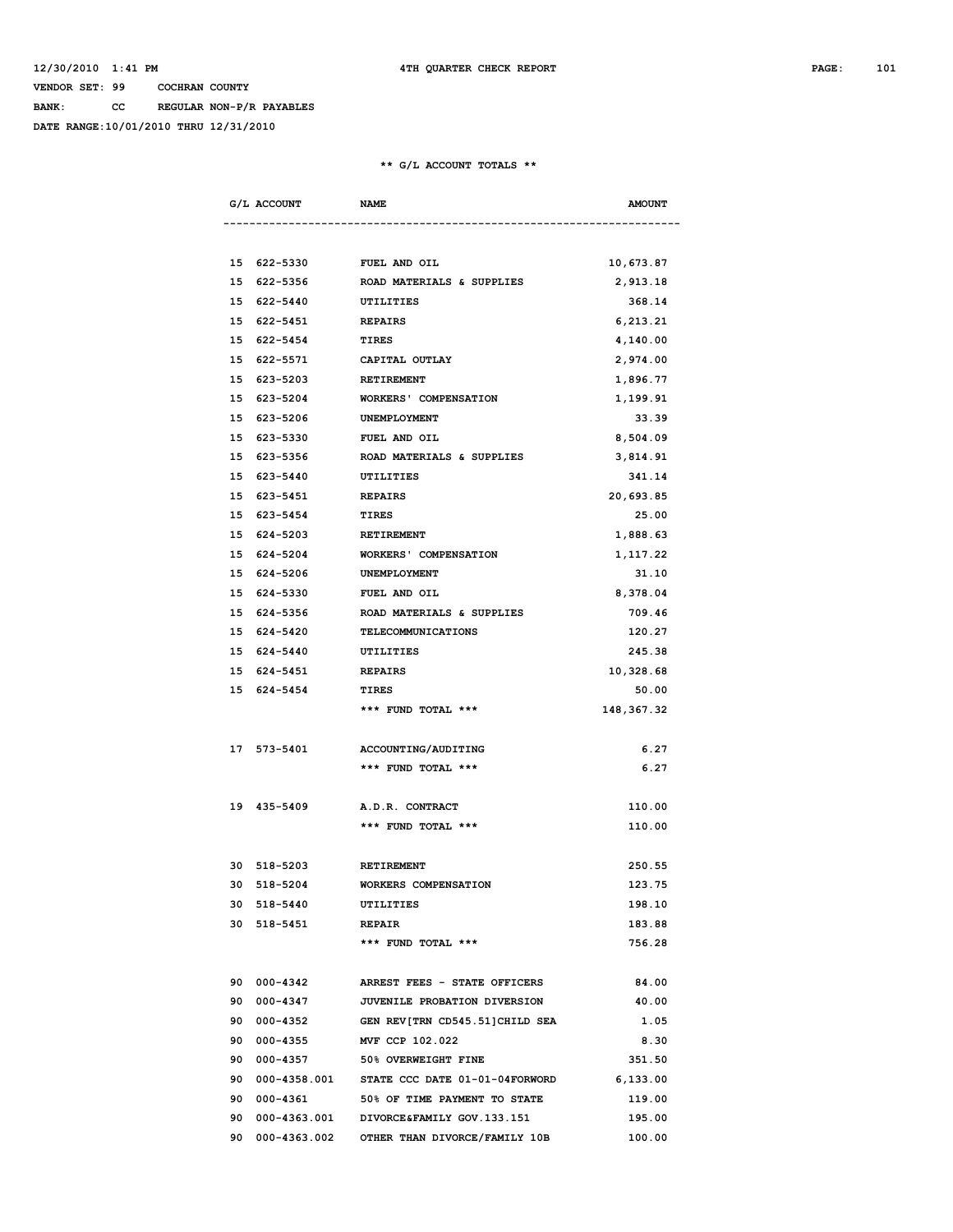**BANK: CC REGULAR NON-P/R PAYABLES**

**DATE RANGE:10/01/2010 THRU 12/31/2010**

| G/L ACCOUNT                 | <b>NAME</b>                                       | <b>AMOUNT</b> |
|-----------------------------|---------------------------------------------------|---------------|
|                             |                                                   |               |
| 15 622-5330                 | FUEL AND OIL                                      | 10,673.87     |
| 15 622-5356                 | ROAD MATERIALS & SUPPLIES                         | 2,913.18      |
| 15 622-5440                 | UTILITIES                                         | 368.14        |
| 15 622-5451                 | <b>REPAIRS</b>                                    | 6,213.21      |
| 15 622-5454 TIRES           |                                                   | 4,140.00      |
|                             | 15 622-5571 CAPITAL OUTLAY                        | 2,974.00      |
| 15 623-5203 RETIREMENT      |                                                   | 1,896.77      |
| 15 623-5204                 | <b>WORKERS' COMPENSATION</b>                      | 1,199.91      |
| 15 623-5206                 | UNEMPLOYMENT                                      | 33.39         |
| 15 623-5330                 | FUEL AND OIL                                      | 8,504.09      |
| 15 623-5356                 | ROAD MATERIALS & SUPPLIES                         | 3,814.91      |
| 15 623-5440                 | UTILITIES                                         | 341.14        |
| 15 623-5451                 | <b>REPAIRS</b>                                    | 20,693.85     |
| 15 623-5454                 | <b>TIRES</b>                                      | 25.00         |
| 15 624-5203 RETIREMENT      |                                                   | 1,888.63      |
|                             | 15 624-5204 WORKERS' COMPENSATION                 | 1,117.22      |
| 15 624-5206 UNEMPLOYMENT    |                                                   | 31.10         |
| 15 624-5330 FUEL AND OIL    |                                                   | 8,378.04      |
|                             | 15 624-5356 ROAD MATERIALS & SUPPLIES             | 709.46        |
| 15 624-5420                 | TELECOMMUNICATIONS                                | 120.27        |
| 15 624-5440                 | UTILITIES                                         | 245.38        |
| 15 624-5451                 | <b>REPAIRS</b>                                    | 10,328.68     |
| 15 624-5454                 | TIRES                                             | 50.00         |
|                             | *** FUND TOTAL ***                                | 148,367.32    |
|                             |                                                   |               |
| 17 573-5401                 | <b>ACCOUNTING/AUDITING</b>                        | 6.27          |
|                             | *** FUND TOTAL ***                                | 6.27          |
|                             |                                                   |               |
| 19 435-5409 A.D.R. CONTRACT |                                                   | 110.00        |
|                             | *** FUND TOTAL ***                                | 110.00        |
|                             |                                                   |               |
| 30 518-5203                 | <b>RETIREMENT</b>                                 | 250.55        |
| 30 518-5204                 | <b>WORKERS COMPENSATION</b>                       | 123.75        |
| 30 518-5440                 | UTILITIES                                         | 198.10        |
| 30 518-5451                 | <b>REPAIR</b>                                     | 183.88        |
|                             | *** FUND TOTAL ***                                | 756.28        |
|                             |                                                   |               |
| 90 000-4342                 | ARREST FEES - STATE OFFICERS                      | 84.00         |
| 90 000-4347                 | <b>JUVENILE PROBATION DIVERSION</b>               | 40.00         |
| 90 000-4352                 | GEN REV[TRN CD545.51]CHILD SEA                    | 1.05          |
|                             | 90 000-4355 MVF CCP 102.022                       | 8.30          |
|                             | 90 000-4357 50% OVERWEIGHT FINE                   | 351.50        |
|                             | 90  000-4358.001  STATE CCC DATE  01-01-04FORWORD | 6,133.00      |
| 90 000-4361                 | 50% OF TIME PAYMENT TO STATE                      | 119.00        |
|                             | 90  000-4363.001  DIVORCE&FAMILY GOV.133.151      | 195.00        |
| 90 000-4363.002             | OTHER THAN DIVORCE/FAMILY 10B                     | 100.00        |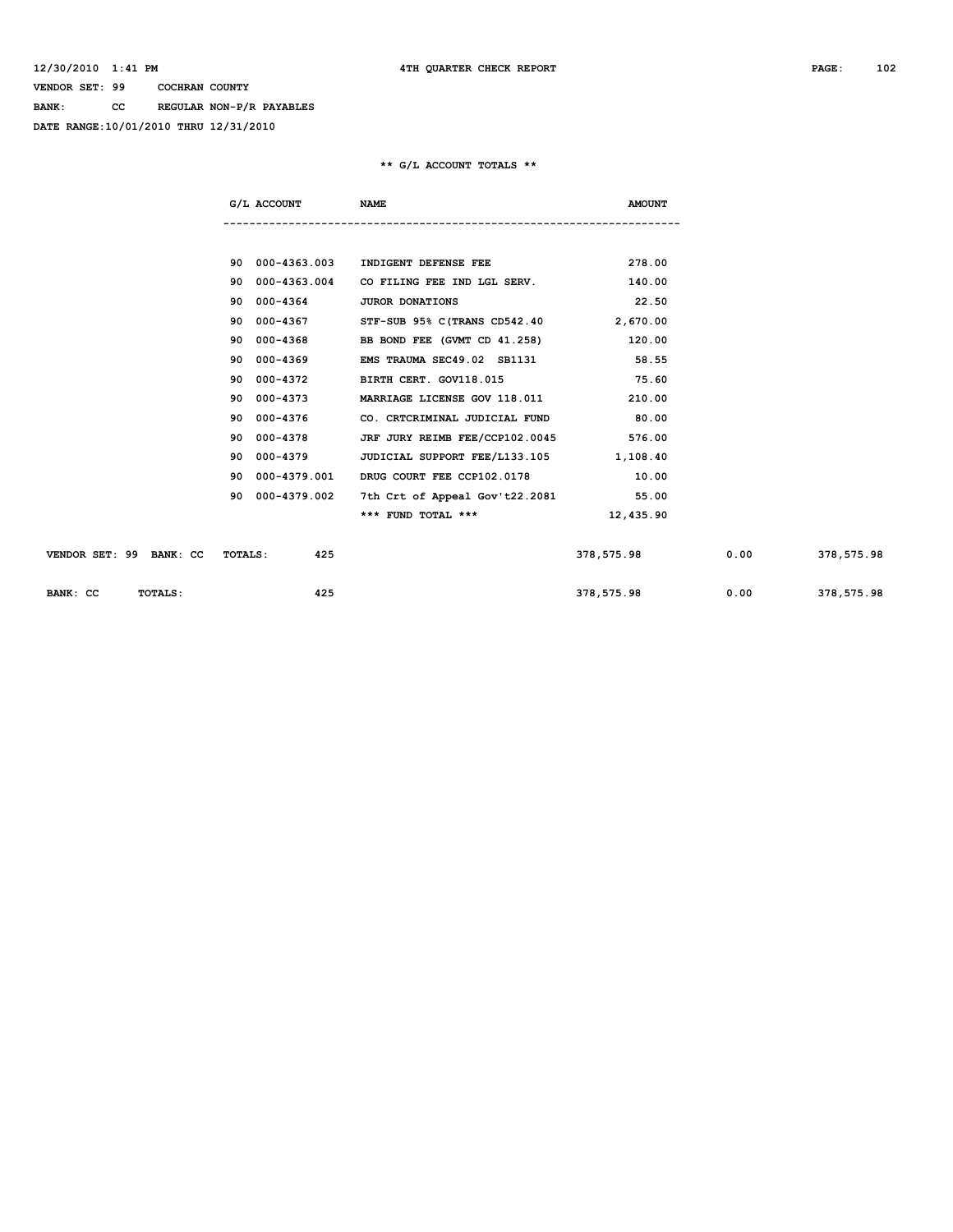**BANK: CC REGULAR NON-P/R PAYABLES**

**DATE RANGE:10/01/2010 THRU 12/31/2010**

|                                           | G/L ACCOUNT     | <b>NAME</b>                            | <b>AMOUNT</b> |      |            |
|-------------------------------------------|-----------------|----------------------------------------|---------------|------|------------|
|                                           |                 |                                        |               |      |            |
|                                           | 90 000-4363.003 | INDIGENT DEFENSE FEE                   | 278.00        |      |            |
| 90                                        | 000-4363.004    | CO FILING FEE IND LGL SERV.            | 140.00        |      |            |
| 90                                        | 000-4364        | <b>JUROR DONATIONS</b>                 | 22.50         |      |            |
| 90                                        | 000-4367        | STF-SUB 95% C(TRANS CD542.40 2,670.00  |               |      |            |
| 90                                        | 000-4368        | BB BOND FEE (GVMT CD 41.258)           | 120.00        |      |            |
| 90                                        | 000-4369        | EMS TRAUMA SEC49.02 SB1131             | 58.55         |      |            |
| 90                                        | 000-4372        | BIRTH CERT. GOV118.015                 | 75.60         |      |            |
| 90                                        | 000-4373        | MARRIAGE LICENSE GOV 118.011           | 210.00        |      |            |
| 90                                        | 000-4376        | CO. CRTCRIMINAL JUDICIAL FUND          | 80.00         |      |            |
| 90                                        | 000-4378        | JRF JURY REIMB FEE/CCP102.0045         | 576.00        |      |            |
| 90                                        | 000-4379        | JUDICIAL SUPPORT FEE/L133.105 1,108.40 |               |      |            |
| 90                                        | 000-4379.001    | DRUG COURT FEE CCP102.0178             | 10.00         |      |            |
|                                           | 90 000-4379.002 | 7th Crt of Appeal Gov't22.2081 55.00   |               |      |            |
|                                           |                 | *** FUND TOTAL ***                     | 12,435.90     |      |            |
|                                           |                 |                                        |               |      |            |
| VENDOR SET: 99 BANK: CC<br><b>TOTALS:</b> | 425             |                                        | 378,575.98    | 0.00 | 378,575.98 |
|                                           |                 |                                        |               |      |            |
| BANK: CC<br>TOTALS:                       | 425             |                                        | 378,575.98    | 0.00 | 378,575.98 |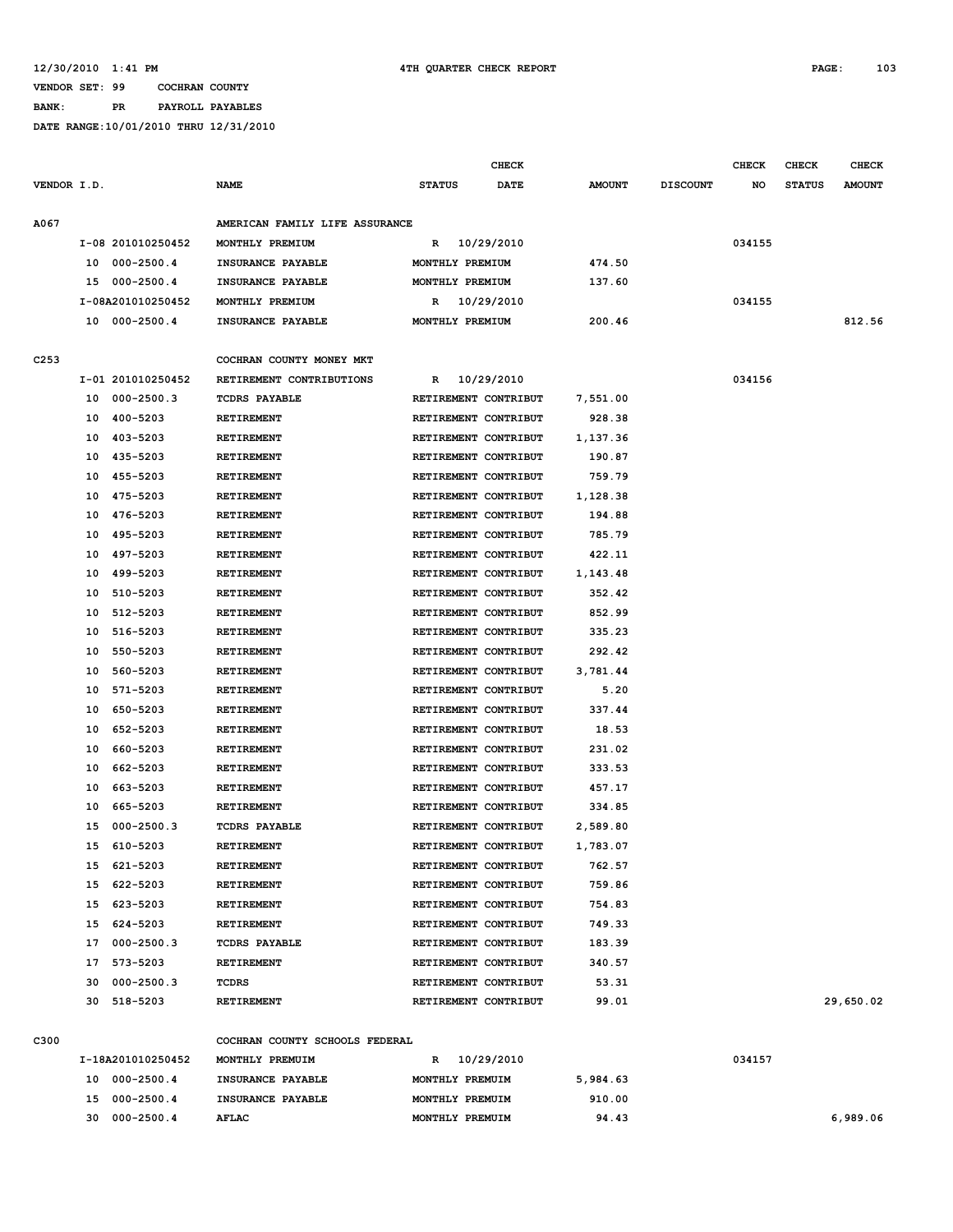**BANK: PR PAYROLL PAYABLES**

|             |                                                                                        |                   |                                                   |                      | <b>CHECK</b> |               |                 | <b>CHECK</b> | <b>CHECK</b>  | <b>CHECK</b>  |
|-------------|----------------------------------------------------------------------------------------|-------------------|---------------------------------------------------|----------------------|--------------|---------------|-----------------|--------------|---------------|---------------|
| VENDOR I.D. |                                                                                        |                   | <b>NAME</b>                                       | <b>STATUS</b>        | <b>DATE</b>  | <b>AMOUNT</b> | <b>DISCOUNT</b> | NO           | <b>STATUS</b> | <b>AMOUNT</b> |
| A067        |                                                                                        |                   | AMERICAN FAMILY LIFE ASSURANCE                    |                      |              |               |                 |              |               |               |
|             | I-08 201010250452<br>$000 - 2500.4$<br>10<br>15<br>$000 - 2500.4$<br>I-08A201010250452 |                   | MONTHLY PREMIUM                                   | R                    | 10/29/2010   |               |                 | 034155       |               |               |
|             |                                                                                        |                   | INSURANCE PAYABLE                                 | MONTHLY PREMIUM      |              | 474.50        |                 |              |               |               |
|             |                                                                                        |                   | INSURANCE PAYABLE                                 | MONTHLY PREMIUM      |              | 137.60        |                 |              |               |               |
|             |                                                                                        |                   | MONTHLY PREMIUM                                   | R                    | 10/29/2010   |               |                 | 034155       |               |               |
|             | 10                                                                                     | $000 - 2500.4$    | INSURANCE PAYABLE                                 | MONTHLY PREMIUM      |              | 200.46        |                 |              |               | 812.56        |
|             |                                                                                        |                   |                                                   |                      |              |               |                 |              |               |               |
| C253        |                                                                                        |                   | COCHRAN COUNTY MONEY MKT                          |                      |              |               |                 |              |               |               |
|             |                                                                                        | I-01 201010250452 | RETIREMENT CONTRIBUTIONS                          | R                    | 10/29/2010   |               |                 | 034156       |               |               |
|             | 10                                                                                     | $000 - 2500.3$    | <b>TCDRS PAYABLE</b>                              | RETIREMENT CONTRIBUT |              | 7,551.00      |                 |              |               |               |
|             | 10                                                                                     | 400-5203          | <b>RETIREMENT</b>                                 | RETIREMENT CONTRIBUT |              | 928.38        |                 |              |               |               |
|             | 10                                                                                     | 403-5203          | <b>RETIREMENT</b>                                 | RETIREMENT CONTRIBUT |              | 1,137.36      |                 |              |               |               |
|             | 10                                                                                     | 435-5203          | RETIREMENT                                        | RETIREMENT CONTRIBUT |              | 190.87        |                 |              |               |               |
|             | 10                                                                                     | 455-5203          | RETIREMENT                                        | RETIREMENT CONTRIBUT |              | 759.79        |                 |              |               |               |
|             | 10                                                                                     | 475-5203          | <b>RETIREMENT</b>                                 | RETIREMENT CONTRIBUT |              | 1,128.38      |                 |              |               |               |
|             | 10                                                                                     | 476-5203          | <b>RETIREMENT</b>                                 | RETIREMENT CONTRIBUT |              | 194.88        |                 |              |               |               |
|             | 10                                                                                     | 495-5203          | RETIREMENT                                        | RETIREMENT CONTRIBUT |              | 785.79        |                 |              |               |               |
|             | 10                                                                                     | 497-5203          | <b>RETIREMENT</b>                                 | RETIREMENT CONTRIBUT |              | 422.11        |                 |              |               |               |
|             | 10                                                                                     | 499-5203          | <b>RETIREMENT</b>                                 | RETIREMENT CONTRIBUT |              | 1,143.48      |                 |              |               |               |
|             | 10                                                                                     | 510-5203          | <b>RETIREMENT</b>                                 | RETIREMENT CONTRIBUT |              | 352.42        |                 |              |               |               |
|             | 10                                                                                     | 512-5203          | <b>RETIREMENT</b>                                 | RETIREMENT CONTRIBUT |              | 852.99        |                 |              |               |               |
|             | 10                                                                                     | 516-5203          | <b>RETIREMENT</b>                                 | RETIREMENT CONTRIBUT |              | 335.23        |                 |              |               |               |
|             | 10                                                                                     | 550-5203          | <b>RETIREMENT</b>                                 | RETIREMENT CONTRIBUT |              | 292.42        |                 |              |               |               |
|             | 10                                                                                     | 560-5203          | RETIREMENT                                        | RETIREMENT CONTRIBUT |              | 3,781.44      |                 |              |               |               |
|             | 10                                                                                     | 571-5203          | RETIREMENT                                        | RETIREMENT CONTRIBUT |              | 5.20          |                 |              |               |               |
|             | 10                                                                                     | 650-5203          | RETIREMENT                                        | RETIREMENT CONTRIBUT |              | 337.44        |                 |              |               |               |
|             | 10                                                                                     | 652-5203          | RETIREMENT                                        | RETIREMENT CONTRIBUT |              | 18.53         |                 |              |               |               |
|             | 10                                                                                     | 660-5203          | RETIREMENT                                        | RETIREMENT CONTRIBUT |              | 231.02        |                 |              |               |               |
|             | 10                                                                                     | 662-5203          | RETIREMENT                                        | RETIREMENT CONTRIBUT |              | 333.53        |                 |              |               |               |
|             | 10                                                                                     | 663-5203          | RETIREMENT                                        | RETIREMENT CONTRIBUT |              | 457.17        |                 |              |               |               |
|             | 10                                                                                     | 665-5203          | RETIREMENT                                        | RETIREMENT CONTRIBUT |              | 334.85        |                 |              |               |               |
|             | 15                                                                                     | $000 - 2500.3$    | <b>TCDRS PAYABLE</b>                              | RETIREMENT CONTRIBUT |              | 2,589.80      |                 |              |               |               |
|             | 15                                                                                     | 610-5203          | <b>RETIREMENT</b>                                 | RETIREMENT CONTRIBUT |              | 1,783.07      |                 |              |               |               |
|             |                                                                                        | 15 621-5203       | <b>RETIREMENT</b>                                 | RETIREMENT CONTRIBUT |              | 762.57        |                 |              |               |               |
|             |                                                                                        | 15 622-5203       | RETIREMENT                                        | RETIREMENT CONTRIBUT |              | 759.86        |                 |              |               |               |
|             |                                                                                        | 15 623-5203       | RETIREMENT                                        | RETIREMENT CONTRIBUT |              | 754.83        |                 |              |               |               |
|             |                                                                                        | 15 624-5203       | RETIREMENT                                        | RETIREMENT CONTRIBUT |              | 749.33        |                 |              |               |               |
|             |                                                                                        | 17 000-2500.3     | <b>TCDRS PAYABLE</b>                              | RETIREMENT CONTRIBUT |              | 183.39        |                 |              |               |               |
|             |                                                                                        | 17 573-5203       | <b>RETIREMENT</b>                                 | RETIREMENT CONTRIBUT |              | 340.57        |                 |              |               |               |
|             |                                                                                        | 30 000-2500.3     | TCDRS                                             | RETIREMENT CONTRIBUT |              | 53.31         |                 |              |               |               |
|             |                                                                                        | 30 518-5203       | RETIREMENT                                        | RETIREMENT CONTRIBUT |              | 99.01         |                 |              |               | 29,650.02     |
|             |                                                                                        |                   |                                                   |                      |              |               |                 |              |               |               |
| C300        |                                                                                        | I-18A201010250452 | COCHRAN COUNTY SCHOOLS FEDERAL<br>MONTHLY PREMUIM | R 10/29/2010         |              |               |                 | 034157       |               |               |
|             |                                                                                        | 10 000-2500.4     | INSURANCE PAYABLE                                 | MONTHLY PREMUIM      |              | 5,984.63      |                 |              |               |               |
|             |                                                                                        | 15 000-2500.4     | INSURANCE PAYABLE                                 | MONTHLY PREMUIM      |              | 910.00        |                 |              |               |               |
|             |                                                                                        | 30 000-2500.4     | AFLAC                                             | MONTHLY PREMUIM      |              | 94.43         |                 |              |               | 6,989.06      |
|             |                                                                                        |                   |                                                   |                      |              |               |                 |              |               |               |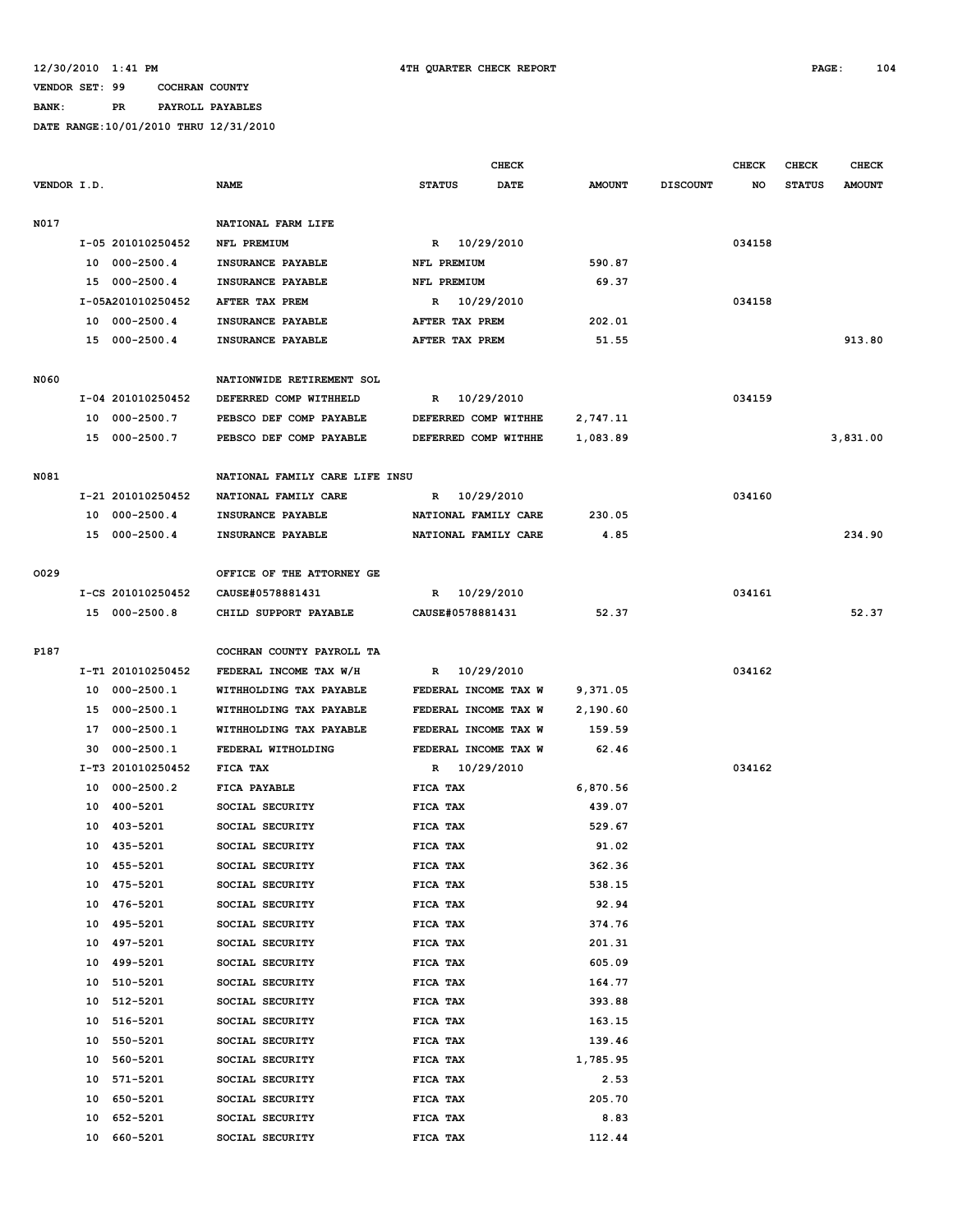## **BANK: PR PAYROLL PAYABLES**

|             |    |                         |                                    |               | <b>CHECK</b>         |                  |                 | <b>CHECK</b> | <b>CHECK</b>  | <b>CHECK</b>  |
|-------------|----|-------------------------|------------------------------------|---------------|----------------------|------------------|-----------------|--------------|---------------|---------------|
| VENDOR I.D. |    |                         | <b>NAME</b>                        | <b>STATUS</b> | DATE                 | <b>AMOUNT</b>    | <b>DISCOUNT</b> | NO           | <b>STATUS</b> | <b>AMOUNT</b> |
| N017        |    |                         | NATIONAL FARM LIFE                 |               |                      |                  |                 |              |               |               |
|             |    | I-05 201010250452       | NFL PREMIUM                        |               | R 10/29/2010         |                  |                 | 034158       |               |               |
|             |    | 10 000-2500.4           | INSURANCE PAYABLE                  | NFL PREMIUM   |                      | 590.87           |                 |              |               |               |
|             |    | 15 000-2500.4           | INSURANCE PAYABLE                  | NFL PREMIUM   |                      | 69.37            |                 |              |               |               |
|             |    | I-05A201010250452       | AFTER TAX PREM                     | $\mathbb{R}$  | 10/29/2010           |                  |                 | 034158       |               |               |
|             |    | 10 000-2500.4           | INSURANCE PAYABLE                  |               | AFTER TAX PREM       | 202.01           |                 |              |               |               |
|             |    | 15 000-2500.4           | INSURANCE PAYABLE                  |               | AFTER TAX PREM       | 51.55            |                 |              |               | 913.80        |
|             |    |                         |                                    |               |                      |                  |                 |              |               |               |
| N060        |    |                         | NATIONWIDE RETIREMENT SOL          |               |                      |                  |                 |              |               |               |
|             |    | I-04 201010250452       | DEFERRED COMP WITHHELD             | $\mathbb{R}$  | 10/29/2010           |                  |                 | 034159       |               |               |
|             |    | 10 000-2500.7           | PEBSCO DEF COMP PAYABLE            |               | DEFERRED COMP WITHHE | 2,747.11         |                 |              |               |               |
|             |    | 15 000-2500.7           | PEBSCO DEF COMP PAYABLE            |               | DEFERRED COMP WITHHE | 1,083.89         |                 |              |               | 3,831.00      |
| N081        |    |                         | NATIONAL FAMILY CARE LIFE INSU     |               |                      |                  |                 |              |               |               |
|             |    | I-21 201010250452       | NATIONAL FAMILY CARE               | R             | 10/29/2010           |                  |                 | 034160       |               |               |
|             |    | 10 000-2500.4           | INSURANCE PAYABLE                  |               | NATIONAL FAMILY CARE | 230.05           |                 |              |               |               |
|             |    | 15 000-2500.4           | INSURANCE PAYABLE                  |               | NATIONAL FAMILY CARE | 4.85             |                 |              |               | 234.90        |
|             |    |                         |                                    |               |                      |                  |                 |              |               |               |
| 0029        |    |                         | OFFICE OF THE ATTORNEY GE          |               |                      |                  |                 |              |               |               |
|             |    | I-CS 201010250452       | CAUSE#0578881431                   | R             | 10/29/2010           |                  |                 | 034161       |               |               |
|             |    | 15 000-2500.8           | CHILD SUPPORT PAYABLE              |               | CAUSE#0578881431     | 52.37            |                 |              |               | 52.37         |
| P187        |    |                         | COCHRAN COUNTY PAYROLL TA          |               |                      |                  |                 |              |               |               |
|             |    | I-T1 201010250452       | FEDERAL INCOME TAX W/H             |               | R 10/29/2010         |                  |                 | 034162       |               |               |
|             |    | 10 000-2500.1           | WITHHOLDING TAX PAYABLE            |               | FEDERAL INCOME TAX W | 9,371.05         |                 |              |               |               |
|             | 15 | 000-2500.1              | WITHHOLDING TAX PAYABLE            |               | FEDERAL INCOME TAX W | 2,190.60         |                 |              |               |               |
|             | 17 | $000 - 2500.1$          | WITHHOLDING TAX PAYABLE            |               | FEDERAL INCOME TAX W | 159.59           |                 |              |               |               |
|             | 30 | $000 - 2500.1$          | FEDERAL WITHOLDING                 |               | FEDERAL INCOME TAX W | 62.46            |                 |              |               |               |
|             |    | I-T3 201010250452       | FICA TAX                           | R             | 10/29/2010           |                  |                 | 034162       |               |               |
|             | 10 | 000-2500.2              | FICA PAYABLE                       | FICA TAX      |                      | 6,870.56         |                 |              |               |               |
|             | 10 | 400-5201                | SOCIAL SECURITY                    | FICA TAX      |                      | 439.07           |                 |              |               |               |
|             | 10 | 403-5201                | SOCIAL SECURITY                    | FICA TAX      |                      | 529.67           |                 |              |               |               |
|             |    | 10 435-5201             | SOCIAL SECURITY                    | FICA TAX      |                      | 91.02            |                 |              |               |               |
|             |    |                         |                                    |               |                      |                  |                 |              |               |               |
|             |    | 10 455-5201<br>475-5201 | SOCIAL SECURITY                    | FICA TAX      |                      | 362.36<br>538.15 |                 |              |               |               |
|             | 10 | 476-5201                | SOCIAL SECURITY<br>SOCIAL SECURITY | FICA TAX      |                      | 92.94            |                 |              |               |               |
|             | 10 |                         |                                    | FICA TAX      |                      |                  |                 |              |               |               |
|             | 10 | 495-5201                | SOCIAL SECURITY                    | FICA TAX      |                      | 374.76           |                 |              |               |               |
|             | 10 | 497-5201                | SOCIAL SECURITY                    | FICA TAX      |                      | 201.31           |                 |              |               |               |
|             | 10 | 499-5201                | SOCIAL SECURITY                    | FICA TAX      |                      | 605.09           |                 |              |               |               |
|             | 10 | 510-5201                | SOCIAL SECURITY                    | FICA TAX      |                      | 164.77           |                 |              |               |               |
|             | 10 | 512-5201                | SOCIAL SECURITY                    | FICA TAX      |                      | 393.88           |                 |              |               |               |
|             | 10 | 516-5201                | SOCIAL SECURITY                    | FICA TAX      |                      | 163.15           |                 |              |               |               |
|             | 10 | 550-5201                | SOCIAL SECURITY                    | FICA TAX      |                      | 139.46           |                 |              |               |               |
|             | 10 | 560-5201                | SOCIAL SECURITY                    | FICA TAX      |                      | 1,785.95         |                 |              |               |               |
|             | 10 | 571-5201                | SOCIAL SECURITY                    | FICA TAX      |                      | 2.53             |                 |              |               |               |
|             | 10 | 650-5201                | SOCIAL SECURITY                    | FICA TAX      |                      | 205.70           |                 |              |               |               |
|             | 10 | 652-5201                | SOCIAL SECURITY                    | FICA TAX      |                      | 8.83             |                 |              |               |               |
|             | 10 | 660-5201                | SOCIAL SECURITY                    | FICA TAX      |                      | 112.44           |                 |              |               |               |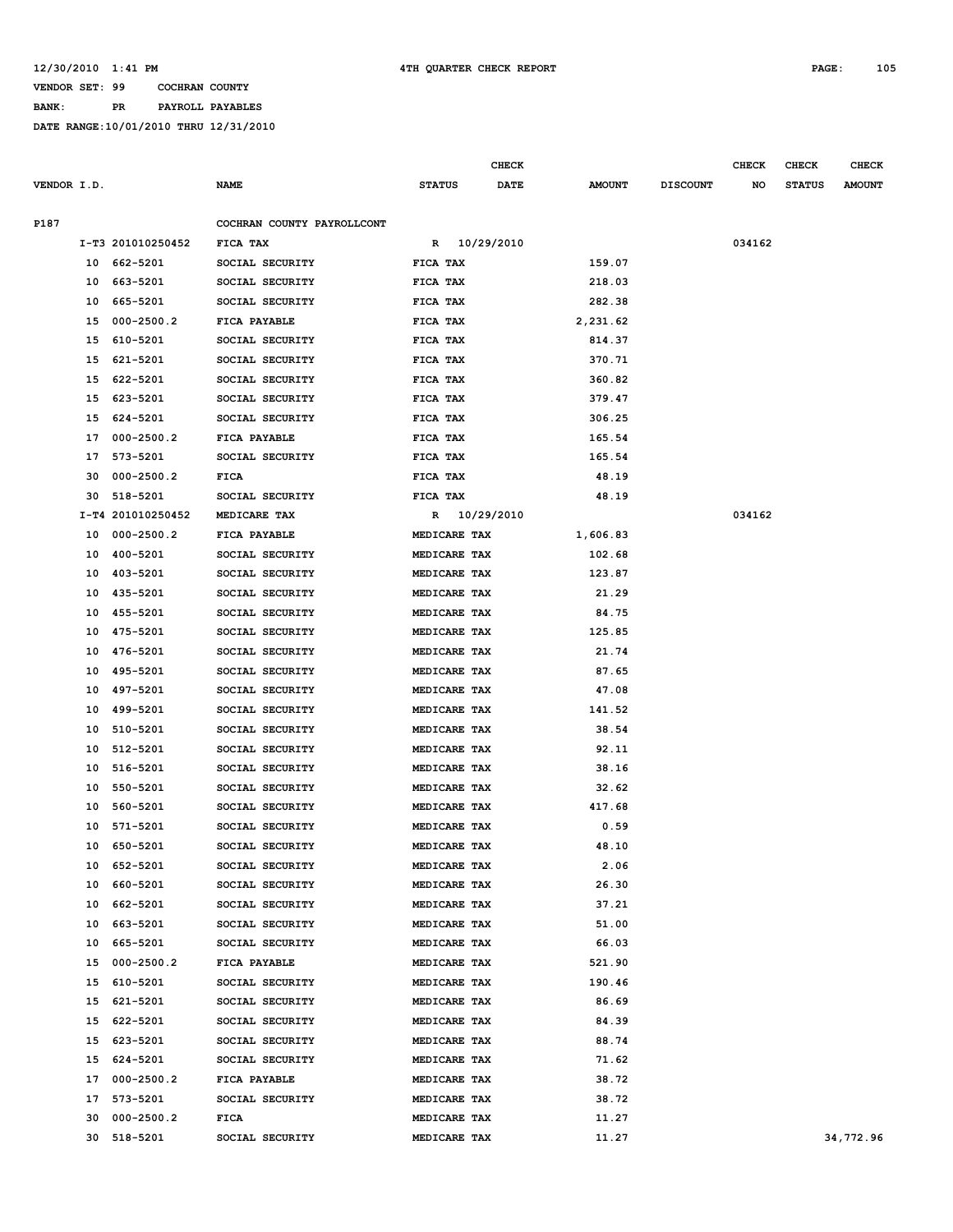**BANK: PR PAYROLL PAYABLES**

|             |          |                            |                                    |                              | <b>CHECK</b> |                  |                 | <b>CHECK</b> | <b>CHECK</b>  | <b>CHECK</b>  |
|-------------|----------|----------------------------|------------------------------------|------------------------------|--------------|------------------|-----------------|--------------|---------------|---------------|
| VENDOR I.D. |          |                            | <b>NAME</b>                        | <b>STATUS</b>                | <b>DATE</b>  | <b>AMOUNT</b>    | <b>DISCOUNT</b> | NO           | <b>STATUS</b> | <b>AMOUNT</b> |
|             |          |                            |                                    |                              |              |                  |                 |              |               |               |
| P187        |          |                            | COCHRAN COUNTY PAYROLLCONT         |                              |              |                  |                 |              |               |               |
|             |          | I-T3 201010250452          | FICA TAX                           | R 10/29/2010                 |              |                  |                 | 034162       |               |               |
|             | 10       | 662-5201                   | SOCIAL SECURITY                    | FICA TAX                     |              | 159.07           |                 |              |               |               |
|             | 10       | 663-5201                   | SOCIAL SECURITY                    | FICA TAX                     |              | 218.03           |                 |              |               |               |
|             | 10       | 665-5201                   | SOCIAL SECURITY                    | FICA TAX                     |              | 282.38           |                 |              |               |               |
|             | 15       | $000 - 2500.2$             | FICA PAYABLE                       | FICA TAX                     |              | 2,231.62         |                 |              |               |               |
|             | 15       | 610-5201                   | SOCIAL SECURITY                    | FICA TAX                     |              | 814.37           |                 |              |               |               |
|             | 15<br>15 | 621-5201<br>622-5201       | SOCIAL SECURITY                    | FICA TAX                     |              | 370.71<br>360.82 |                 |              |               |               |
|             | 15       | 623-5201                   | SOCIAL SECURITY<br>SOCIAL SECURITY | FICA TAX<br>FICA TAX         |              | 379.47           |                 |              |               |               |
|             |          |                            |                                    |                              |              |                  |                 |              |               |               |
|             | 15       | 624-5201<br>$000 - 2500.2$ | SOCIAL SECURITY                    | FICA TAX                     |              | 306.25           |                 |              |               |               |
|             | 17       |                            | FICA PAYABLE                       | FICA TAX                     |              | 165.54           |                 |              |               |               |
|             | 17       | 573-5201                   | SOCIAL SECURITY                    | FICA TAX                     |              | 165.54           |                 |              |               |               |
|             | 30       | $000 - 2500.2$             | <b>FICA</b>                        | FICA TAX                     |              | 48.19            |                 |              |               |               |
|             | 30       | 518-5201                   | SOCIAL SECURITY                    | FICA TAX                     |              | 48.19            |                 |              |               |               |
|             |          | I-T4 201010250452          | MEDICARE TAX                       | R 10/29/2010                 |              |                  |                 | 034162       |               |               |
|             | 10       | $000 - 2500.2$<br>400-5201 | FICA PAYABLE                       | MEDICARE TAX                 |              | 1,606.83         |                 |              |               |               |
|             | 10       | 403-5201                   | SOCIAL SECURITY                    | MEDICARE TAX                 |              | 102.68           |                 |              |               |               |
|             | 10       | 435-5201                   | SOCIAL SECURITY                    | MEDICARE TAX                 |              | 123.87           |                 |              |               |               |
|             | 10       |                            | SOCIAL SECURITY                    | MEDICARE TAX                 |              | 21.29            |                 |              |               |               |
|             | 10       | 455-5201                   | SOCIAL SECURITY                    | MEDICARE TAX                 |              | 84.75            |                 |              |               |               |
|             | 10       | 475-5201                   | SOCIAL SECURITY                    | MEDICARE TAX                 |              | 125.85           |                 |              |               |               |
|             | 10       | 476-5201                   | SOCIAL SECURITY                    | MEDICARE TAX                 |              | 21.74<br>87.65   |                 |              |               |               |
|             | 10<br>10 | 495-5201                   | SOCIAL SECURITY                    | MEDICARE TAX                 |              | 47.08            |                 |              |               |               |
|             | 10       | 497-5201<br>499-5201       | SOCIAL SECURITY<br>SOCIAL SECURITY | MEDICARE TAX<br>MEDICARE TAX |              | 141.52           |                 |              |               |               |
|             |          |                            | SOCIAL SECURITY                    |                              |              | 38.54            |                 |              |               |               |
|             | 10<br>10 | 510-5201<br>512-5201       | SOCIAL SECURITY                    | MEDICARE TAX<br>MEDICARE TAX |              | 92.11            |                 |              |               |               |
|             | 10       | 516-5201                   | SOCIAL SECURITY                    | MEDICARE TAX                 |              | 38.16            |                 |              |               |               |
|             | 10       | 550-5201                   | SOCIAL SECURITY                    | MEDICARE TAX                 |              | 32.62            |                 |              |               |               |
|             | 10       | 560-5201                   | SOCIAL SECURITY                    | MEDICARE TAX                 |              | 417.68           |                 |              |               |               |
|             | 10       | 571-5201                   | SOCIAL SECURITY                    | MEDICARE TAX                 |              | 0.59             |                 |              |               |               |
|             | 10       | 650-5201                   | SOCIAL SECURITY                    | MEDICARE TAX                 |              | 48.10            |                 |              |               |               |
|             |          | 10 652-5201                | SOCIAL SECURITY                    | MEDICARE TAX                 |              | 2.06             |                 |              |               |               |
|             |          | 10 660-5201                | SOCIAL SECURITY                    | MEDICARE TAX                 |              | 26.30            |                 |              |               |               |
|             | 10       | 662-5201                   | SOCIAL SECURITY                    | MEDICARE TAX                 |              | 37.21            |                 |              |               |               |
|             | 10       | 663-5201                   | SOCIAL SECURITY                    | MEDICARE TAX                 |              | 51.00            |                 |              |               |               |
|             |          | 10 665-5201                | SOCIAL SECURITY                    | MEDICARE TAX                 |              | 66.03            |                 |              |               |               |
|             |          | 15 000-2500.2              | FICA PAYABLE                       | MEDICARE TAX                 |              | 521.90           |                 |              |               |               |
|             |          | 15 610-5201                | SOCIAL SECURITY                    | MEDICARE TAX                 |              | 190.46           |                 |              |               |               |
|             |          | 15 621-5201                | SOCIAL SECURITY                    | MEDICARE TAX                 |              | 86.69            |                 |              |               |               |
|             | 15       | 622-5201                   | SOCIAL SECURITY                    | MEDICARE TAX                 |              | 84.39            |                 |              |               |               |
|             |          | 15 623-5201                | SOCIAL SECURITY                    | MEDICARE TAX                 |              | 88.74            |                 |              |               |               |
|             |          | 15 624-5201                | SOCIAL SECURITY                    | MEDICARE TAX                 |              | 71.62            |                 |              |               |               |
|             |          | 17 000-2500.2              | FICA PAYABLE                       | MEDICARE TAX                 |              | 38.72            |                 |              |               |               |
|             |          | 17 573-5201                | SOCIAL SECURITY                    | MEDICARE TAX                 |              | 38.72            |                 |              |               |               |
|             | 30       | 000-2500.2                 | <b>FICA</b>                        | MEDICARE TAX                 |              | 11.27            |                 |              |               |               |
|             |          | 30 518-5201                | SOCIAL SECURITY                    | MEDICARE TAX                 |              | 11.27            |                 |              |               | 34,772.96     |
|             |          |                            |                                    |                              |              |                  |                 |              |               |               |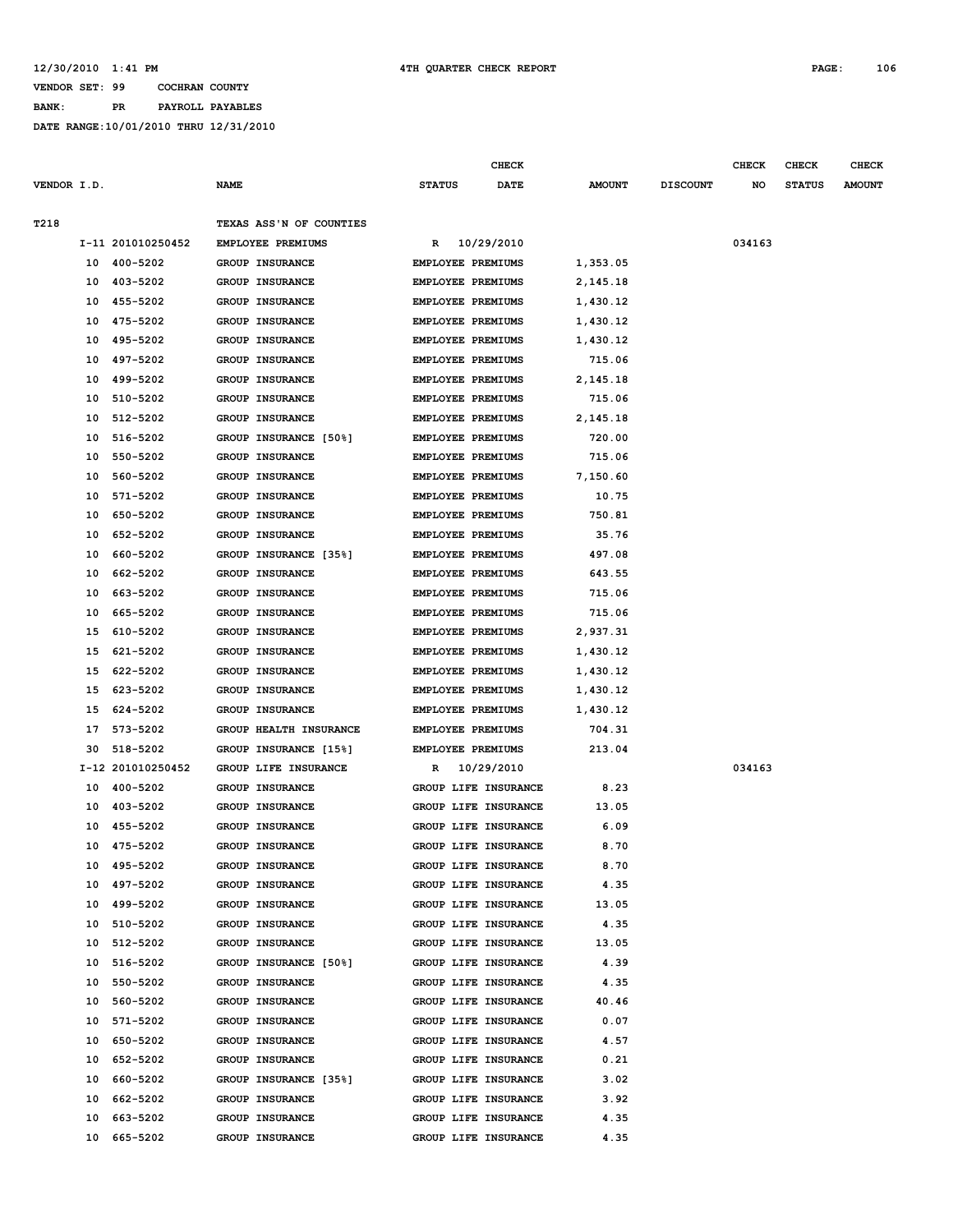#### **12/30/2010 1:41 PM 4TH QUARTER CHECK REPORT PAGE: 106**

### **VENDOR SET: 99 COCHRAN COUNTY**

# **BANK: PR PAYROLL PAYABLES**

|             |    |                   |                          |                          | CHECK                    |               |                 | CHECK  | CHECK         | <b>CHECK</b>  |
|-------------|----|-------------------|--------------------------|--------------------------|--------------------------|---------------|-----------------|--------|---------------|---------------|
| VENDOR I.D. |    |                   | <b>NAME</b>              | <b>STATUS</b>            | DATE                     | <b>AMOUNT</b> | <b>DISCOUNT</b> | NO     | <b>STATUS</b> | <b>AMOUNT</b> |
|             |    |                   |                          |                          |                          |               |                 |        |               |               |
| T218        |    |                   | TEXAS ASS'N OF COUNTIES  |                          |                          |               |                 |        |               |               |
|             |    | I-11 201010250452 | <b>EMPLOYEE PREMIUMS</b> |                          | R 10/29/2010             |               |                 | 034163 |               |               |
|             |    | 10 400-5202       | <b>GROUP INSURANCE</b>   | EMPLOYEE PREMIUMS        |                          | 1,353.05      |                 |        |               |               |
|             |    | 10 403-5202       | GROUP INSURANCE          | EMPLOYEE PREMIUMS        |                          | 2,145.18      |                 |        |               |               |
|             | 10 | 455-5202          | GROUP INSURANCE          |                          | EMPLOYEE PREMIUMS        | 1,430.12      |                 |        |               |               |
|             | 10 | 475-5202          | GROUP INSURANCE          | EMPLOYEE PREMIUMS        |                          | 1,430.12      |                 |        |               |               |
|             | 10 | 495-5202          | GROUP INSURANCE          |                          | EMPLOYEE PREMIUMS        | 1,430.12      |                 |        |               |               |
|             | 10 | 497-5202          | <b>GROUP INSURANCE</b>   |                          | EMPLOYEE PREMIUMS        | 715.06        |                 |        |               |               |
|             | 10 | 499-5202          | GROUP INSURANCE          | <b>EMPLOYEE PREMIUMS</b> |                          | 2,145.18      |                 |        |               |               |
|             | 10 | 510-5202          | GROUP INSURANCE          | EMPLOYEE PREMIUMS        |                          | 715.06        |                 |        |               |               |
|             | 10 | 512-5202          | GROUP INSURANCE          |                          | EMPLOYEE PREMIUMS        | 2,145.18      |                 |        |               |               |
|             | 10 | 516-5202          | GROUP INSURANCE [50%]    | EMPLOYEE PREMIUMS        |                          | 720.00        |                 |        |               |               |
|             | 10 | 550-5202          | GROUP INSURANCE          | EMPLOYEE PREMIUMS        |                          | 715.06        |                 |        |               |               |
|             | 10 | 560-5202          | <b>GROUP INSURANCE</b>   |                          | EMPLOYEE PREMIUMS        | 7,150.60      |                 |        |               |               |
|             | 10 | 571-5202          | GROUP INSURANCE          |                          | <b>EMPLOYEE PREMIUMS</b> | 10.75         |                 |        |               |               |
|             | 10 | 650-5202          | <b>GROUP INSURANCE</b>   | EMPLOYEE PREMIUMS        |                          | 750.81        |                 |        |               |               |
|             | 10 | 652-5202          | <b>GROUP INSURANCE</b>   |                          | EMPLOYEE PREMIUMS        | 35.76         |                 |        |               |               |
|             | 10 | 660-5202          | GROUP INSURANCE [35%]    | <b>EMPLOYEE PREMIUMS</b> |                          | 497.08        |                 |        |               |               |
|             | 10 | 662-5202          | GROUP INSURANCE          | EMPLOYEE PREMIUMS        |                          | 643.55        |                 |        |               |               |
|             | 10 | 663-5202          | <b>GROUP INSURANCE</b>   |                          | EMPLOYEE PREMIUMS        | 715.06        |                 |        |               |               |
|             | 10 | 665-5202          | GROUP INSURANCE          | <b>EMPLOYEE PREMIUMS</b> |                          | 715.06        |                 |        |               |               |
|             | 15 | 610-5202          | GROUP INSURANCE          | EMPLOYEE PREMIUMS        |                          | 2,937.31      |                 |        |               |               |
|             | 15 | 621-5202          | GROUP INSURANCE          |                          | EMPLOYEE PREMIUMS        | 1,430.12      |                 |        |               |               |
|             |    | 15 622-5202       | GROUP INSURANCE          | EMPLOYEE PREMIUMS        |                          | 1,430.12      |                 |        |               |               |
|             | 15 | 623-5202          | GROUP INSURANCE          |                          | EMPLOYEE PREMIUMS        | 1,430.12      |                 |        |               |               |
|             | 15 | 624-5202          | <b>GROUP INSURANCE</b>   |                          | <b>EMPLOYEE PREMIUMS</b> | 1,430.12      |                 |        |               |               |
|             | 17 | 573-5202          | GROUP HEALTH INSURANCE   | EMPLOYEE PREMIUMS        |                          | 704.31        |                 |        |               |               |
|             | 30 | 518-5202          | GROUP INSURANCE [15%]    |                          | EMPLOYEE PREMIUMS        | 213.04        |                 |        |               |               |
|             |    | I-12 201010250452 | GROUP LIFE INSURANCE     | R                        | 10/29/2010               |               |                 | 034163 |               |               |
|             |    | 10 400-5202       | GROUP INSURANCE          |                          | GROUP LIFE INSURANCE     | 8.23          |                 |        |               |               |
|             | 10 | 403-5202          | GROUP INSURANCE          |                          | GROUP LIFE INSURANCE     | 13.05         |                 |        |               |               |
|             | 10 | 455-5202          | <b>GROUP INSURANCE</b>   |                          | GROUP LIFE INSURANCE     | 6.09          |                 |        |               |               |
|             |    | 10 475-5202       | GROUP INSURANCE          |                          | GROUP LIFE INSURANCE     | 8.70          |                 |        |               |               |
|             |    | 10 495-5202       | GROUP INSURANCE          |                          | GROUP LIFE INSURANCE     | 8.70          |                 |        |               |               |
|             |    | 10 497-5202       | <b>GROUP INSURANCE</b>   |                          | GROUP LIFE INSURANCE     | 4.35          |                 |        |               |               |
|             |    | 10 499-5202       | GROUP INSURANCE          |                          | GROUP LIFE INSURANCE     | 13.05         |                 |        |               |               |
|             |    | 10 510-5202       | GROUP INSURANCE          |                          | GROUP LIFE INSURANCE     | 4.35          |                 |        |               |               |
|             |    | 10 512-5202       | <b>GROUP INSURANCE</b>   |                          | GROUP LIFE INSURANCE     | 13.05         |                 |        |               |               |
|             |    | 10 516-5202       | GROUP INSURANCE [50%]    |                          | GROUP LIFE INSURANCE     | 4.39          |                 |        |               |               |
|             |    | 10 550-5202       | GROUP INSURANCE          |                          | GROUP LIFE INSURANCE     | 4.35          |                 |        |               |               |
|             |    | 10 560-5202       | GROUP INSURANCE          |                          | GROUP LIFE INSURANCE     | 40.46         |                 |        |               |               |
|             |    | 10 571-5202       | GROUP INSURANCE          |                          | GROUP LIFE INSURANCE     | 0.07          |                 |        |               |               |
|             |    | 10 650-5202       | <b>GROUP INSURANCE</b>   |                          | GROUP LIFE INSURANCE     | 4.57          |                 |        |               |               |
|             | 10 | 652-5202          | <b>GROUP INSURANCE</b>   |                          | GROUP LIFE INSURANCE     | 0.21          |                 |        |               |               |
|             |    | 10 660-5202       | GROUP INSURANCE [35%]    |                          | GROUP LIFE INSURANCE     | 3.02          |                 |        |               |               |
|             |    | 10 662-5202       | GROUP INSURANCE          |                          | GROUP LIFE INSURANCE     | 3.92          |                 |        |               |               |
|             | 10 | 663-5202          | GROUP INSURANCE          |                          | GROUP LIFE INSURANCE     | 4.35          |                 |        |               |               |
|             | 10 | 665-5202          | GROUP INSURANCE          |                          | GROUP LIFE INSURANCE     | 4.35          |                 |        |               |               |
|             |    |                   |                          |                          |                          |               |                 |        |               |               |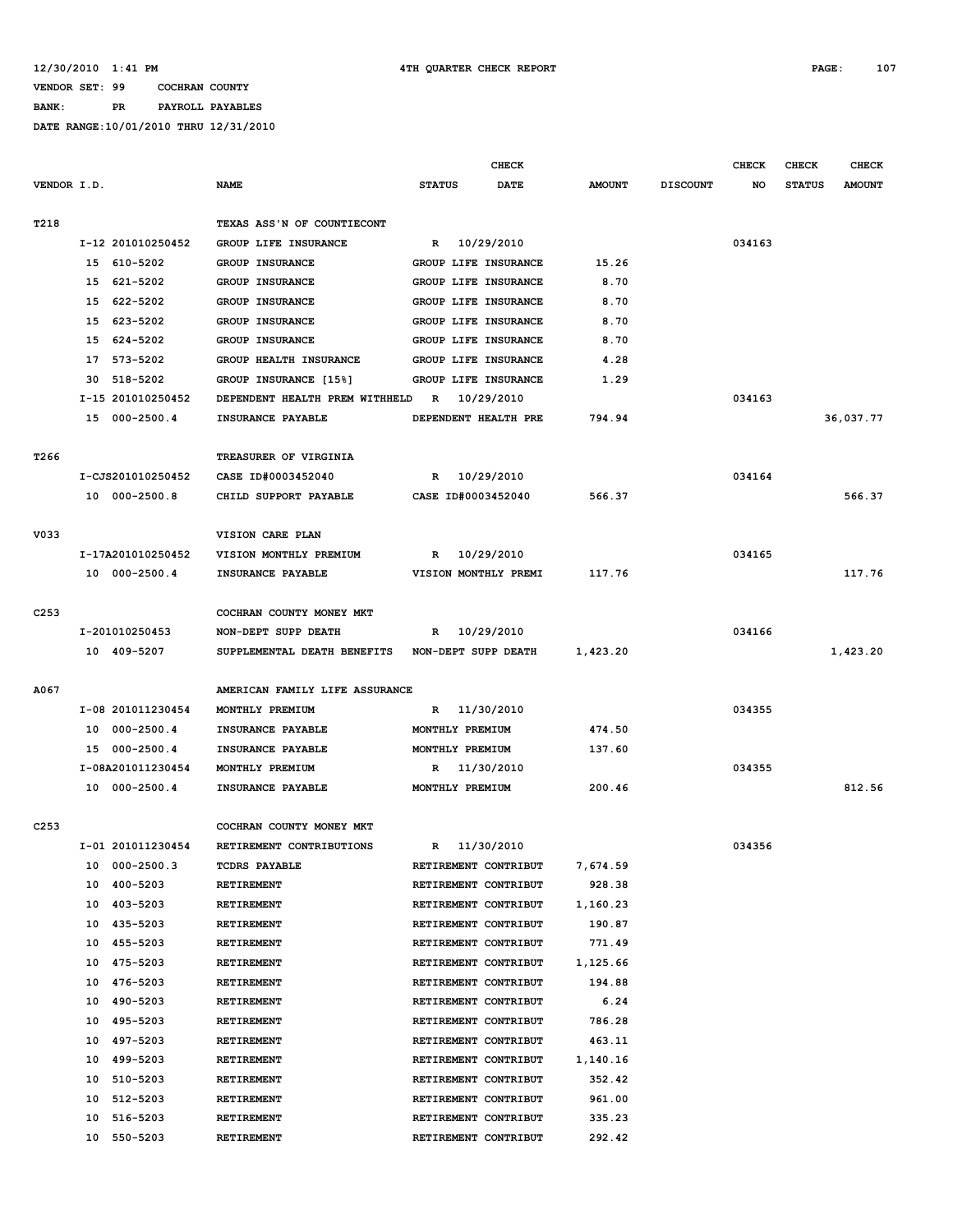**BANK: PR PAYROLL PAYABLES**

|                  |                      |                                                 | <b>CHECK</b>         |            |               |                 | <b>CHECK</b> | CHECK         | <b>CHECK</b>  |
|------------------|----------------------|-------------------------------------------------|----------------------|------------|---------------|-----------------|--------------|---------------|---------------|
| VENDOR I.D.      |                      | <b>NAME</b>                                     | <b>STATUS</b>        | DATE       | <b>AMOUNT</b> | <b>DISCOUNT</b> | NO           | <b>STATUS</b> | <b>AMOUNT</b> |
|                  |                      |                                                 |                      |            |               |                 |              |               |               |
| T218             |                      | TEXAS ASS'N OF COUNTIECONT                      |                      |            |               |                 |              |               |               |
|                  | I-12 201010250452    | GROUP LIFE INSURANCE                            | R                    | 10/29/2010 |               |                 | 034163       |               |               |
|                  | 15 610-5202          | <b>GROUP INSURANCE</b>                          | GROUP LIFE INSURANCE |            | 15.26         |                 |              |               |               |
|                  | 15 621-5202          | GROUP INSURANCE                                 | GROUP LIFE INSURANCE |            | 8.70          |                 |              |               |               |
|                  | 15 622-5202          | GROUP INSURANCE                                 | GROUP LIFE INSURANCE |            | 8.70          |                 |              |               |               |
|                  | 15 623-5202          | <b>GROUP INSURANCE</b>                          | GROUP LIFE INSURANCE |            | 8.70          |                 |              |               |               |
|                  | 15 624-5202          | GROUP INSURANCE                                 | GROUP LIFE INSURANCE |            | 8.70          |                 |              |               |               |
|                  | 17 573-5202          | GROUP HEALTH INSURANCE                          | GROUP LIFE INSURANCE |            | 4.28          |                 |              |               |               |
|                  | 518-5202<br>30       | GROUP INSURANCE [15%]                           | GROUP LIFE INSURANCE |            | 1.29          |                 |              |               |               |
|                  | I-15 201010250452    | DEPENDENT HEALTH PREM WITHHELD                  | $\mathbb{R}$         | 10/29/2010 |               |                 | 034163       |               |               |
|                  | 15 000-2500.4        | INSURANCE PAYABLE                               | DEPENDENT HEALTH PRE |            | 794.94        |                 |              |               | 36,037.77     |
|                  |                      |                                                 |                      |            |               |                 |              |               |               |
| T266             |                      | TREASURER OF VIRGINIA                           |                      |            |               |                 |              |               |               |
|                  | I-CJS201010250452    | CASE ID#0003452040                              | R                    | 10/29/2010 |               |                 | 034164       |               |               |
|                  | 10 000-2500.8        | CHILD SUPPORT PAYABLE                           | CASE ID#0003452040   |            | 566.37        |                 |              |               | 566.37        |
|                  |                      |                                                 |                      |            |               |                 |              |               |               |
| V033             |                      | VISION CARE PLAN                                |                      |            |               |                 |              |               |               |
|                  | I-17A201010250452    | VISION MONTHLY PREMIUM                          | R                    | 10/29/2010 |               |                 | 034165       |               |               |
|                  | 10 000-2500.4        | INSURANCE PAYABLE                               | VISION MONTHLY PREMI |            | 117.76        |                 |              |               | 117.76        |
|                  |                      |                                                 |                      |            |               |                 |              |               |               |
| C <sub>253</sub> |                      | COCHRAN COUNTY MONEY MKT                        |                      |            |               |                 |              |               |               |
|                  | I-201010250453       | NON-DEPT SUPP DEATH                             | R                    | 10/29/2010 |               |                 | 034166       |               |               |
|                  | 10 409-5207          | SUPPLEMENTAL DEATH BENEFITS NON-DEPT SUPP DEATH |                      |            | 1,423.20      |                 |              |               | 1,423.20      |
|                  |                      |                                                 |                      |            |               |                 |              |               |               |
| A067             |                      | AMERICAN FAMILY LIFE ASSURANCE                  |                      |            |               |                 |              |               |               |
|                  | I-08 201011230454    | MONTHLY PREMIUM                                 | R                    | 11/30/2010 |               |                 | 034355       |               |               |
|                  | 10 000-2500.4        | INSURANCE PAYABLE                               | MONTHLY PREMIUM      |            | 474.50        |                 |              |               |               |
|                  | 15 000-2500.4        | INSURANCE PAYABLE                               | MONTHLY PREMIUM      |            | 137.60        |                 |              |               |               |
|                  | I-08A201011230454    | MONTHLY PREMIUM                                 | R                    | 11/30/2010 |               |                 | 034355       |               |               |
|                  | 10 000-2500.4        | INSURANCE PAYABLE                               | MONTHLY PREMIUM      |            | 200.46        |                 |              |               | 812.56        |
|                  |                      |                                                 |                      |            |               |                 |              |               |               |
| C <sub>253</sub> |                      | COCHRAN COUNTY MONEY MKT                        |                      |            |               |                 |              |               |               |
|                  | I-01 201011230454    | RETIREMENT CONTRIBUTIONS                        | R                    | 11/30/2010 |               |                 | 034356       |               |               |
|                  | $000 - 2500.3$<br>10 | <b>TCDRS PAYABLE</b>                            | RETIREMENT CONTRIBUT |            | 7,674.59      |                 |              |               |               |
|                  | 400-5203<br>10       | RETIREMENT                                      | RETIREMENT CONTRIBUT |            | 928.38        |                 |              |               |               |
|                  | 10 403-5203          | RETIREMENT                                      | RETIREMENT CONTRIBUT |            | 1,160.23      |                 |              |               |               |
|                  | 435-5203<br>10       | RETIREMENT                                      | RETIREMENT CONTRIBUT |            | 190.87        |                 |              |               |               |
|                  | 10<br>455-5203       | RETIREMENT                                      | RETIREMENT CONTRIBUT |            | 771.49        |                 |              |               |               |
|                  | 475-5203<br>10       | RETIREMENT                                      | RETIREMENT CONTRIBUT |            | 1,125.66      |                 |              |               |               |
|                  | 10<br>476-5203       | RETIREMENT                                      | RETIREMENT CONTRIBUT |            | 194.88        |                 |              |               |               |
|                  | 10<br>490-5203       | <b>RETIREMENT</b>                               | RETIREMENT CONTRIBUT |            | 6.24          |                 |              |               |               |
|                  | 10 495-5203          | RETIREMENT                                      | RETIREMENT CONTRIBUT |            | 786.28        |                 |              |               |               |
|                  | 497-5203<br>10       | RETIREMENT                                      | RETIREMENT CONTRIBUT |            | 463.11        |                 |              |               |               |
|                  | 10<br>499-5203       | RETIREMENT                                      | RETIREMENT CONTRIBUT |            | 1,140.16      |                 |              |               |               |
|                  | 510-5203<br>10       | RETIREMENT                                      | RETIREMENT CONTRIBUT |            | 352.42        |                 |              |               |               |
|                  | 512-5203<br>10       | RETIREMENT                                      | RETIREMENT CONTRIBUT |            | 961.00        |                 |              |               |               |
|                  | 10<br>516-5203       | RETIREMENT                                      | RETIREMENT CONTRIBUT |            | 335.23        |                 |              |               |               |
|                  | 10<br>550-5203       | RETIREMENT                                      | RETIREMENT CONTRIBUT |            | 292.42        |                 |              |               |               |
|                  |                      |                                                 |                      |            |               |                 |              |               |               |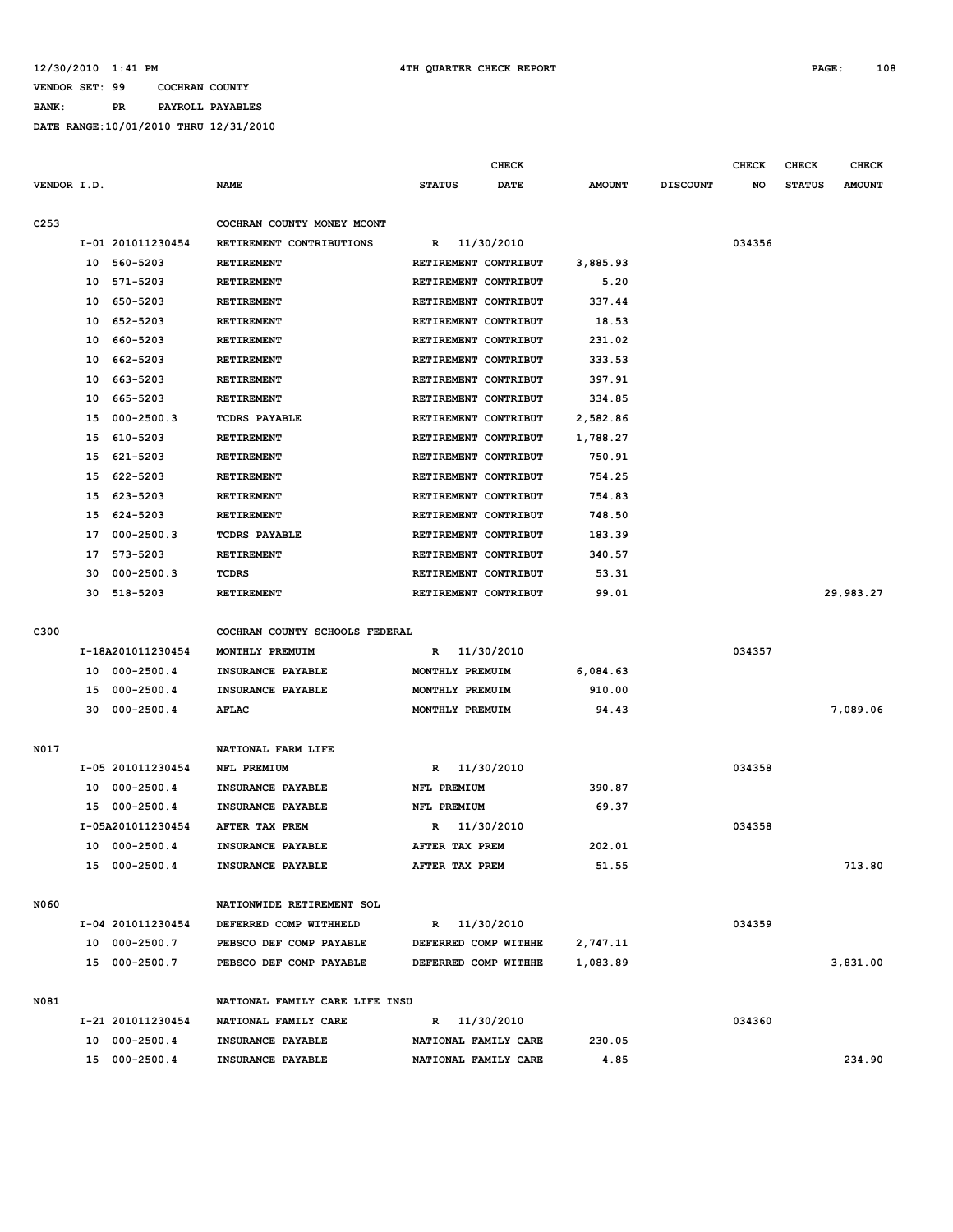### **BANK: PR PAYROLL PAYABLES**

|                  |    |                   |                                |                      | <b>CHECK</b> |               |                 | <b>CHECK</b> | CHECK         | <b>CHECK</b>  |
|------------------|----|-------------------|--------------------------------|----------------------|--------------|---------------|-----------------|--------------|---------------|---------------|
| VENDOR I.D.      |    |                   | <b>NAME</b>                    | <b>STATUS</b>        | <b>DATE</b>  | <b>AMOUNT</b> | <b>DISCOUNT</b> | NO           | <b>STATUS</b> | <b>AMOUNT</b> |
|                  |    |                   |                                |                      |              |               |                 |              |               |               |
| C <sub>253</sub> |    |                   | COCHRAN COUNTY MONEY MCONT     |                      |              |               |                 |              |               |               |
|                  |    | I-01 201011230454 | RETIREMENT CONTRIBUTIONS       | R                    | 11/30/2010   |               |                 | 034356       |               |               |
|                  | 10 | 560-5203          | <b>RETIREMENT</b>              | RETIREMENT CONTRIBUT |              | 3,885.93      |                 |              |               |               |
|                  | 10 | 571-5203          | RETIREMENT                     | RETIREMENT CONTRIBUT |              | 5.20          |                 |              |               |               |
|                  | 10 | 650-5203          | RETIREMENT                     | RETIREMENT CONTRIBUT |              | 337.44        |                 |              |               |               |
|                  | 10 | 652-5203          | <b>RETIREMENT</b>              | RETIREMENT CONTRIBUT |              | 18.53         |                 |              |               |               |
|                  | 10 | 660-5203          | <b>RETIREMENT</b>              | RETIREMENT CONTRIBUT |              | 231.02        |                 |              |               |               |
|                  | 10 | 662-5203          | RETIREMENT                     | RETIREMENT CONTRIBUT |              | 333.53        |                 |              |               |               |
|                  | 10 | 663-5203          | RETIREMENT                     | RETIREMENT CONTRIBUT |              | 397.91        |                 |              |               |               |
|                  | 10 | 665-5203          | RETIREMENT                     | RETIREMENT CONTRIBUT |              | 334.85        |                 |              |               |               |
|                  | 15 | $000 - 2500.3$    | <b>TCDRS PAYABLE</b>           | RETIREMENT CONTRIBUT |              | 2,582.86      |                 |              |               |               |
|                  | 15 | 610-5203          | <b>RETIREMENT</b>              | RETIREMENT CONTRIBUT |              | 1,788.27      |                 |              |               |               |
|                  | 15 | 621-5203          | <b>RETIREMENT</b>              | RETIREMENT CONTRIBUT |              | 750.91        |                 |              |               |               |
|                  | 15 | 622-5203          | RETIREMENT                     | RETIREMENT CONTRIBUT |              | 754.25        |                 |              |               |               |
|                  | 15 | 623-5203          | <b>RETIREMENT</b>              | RETIREMENT CONTRIBUT |              | 754.83        |                 |              |               |               |
|                  | 15 | 624-5203          | RETIREMENT                     | RETIREMENT CONTRIBUT |              | 748.50        |                 |              |               |               |
|                  | 17 | $000 - 2500.3$    | <b>TCDRS PAYABLE</b>           | RETIREMENT CONTRIBUT |              | 183.39        |                 |              |               |               |
|                  | 17 | 573-5203          | RETIREMENT                     | RETIREMENT CONTRIBUT |              | 340.57        |                 |              |               |               |
|                  | 30 | $000 - 2500.3$    | TCDRS                          | RETIREMENT CONTRIBUT |              | 53.31         |                 |              |               |               |
|                  | 30 | 518-5203          | <b>RETIREMENT</b>              | RETIREMENT CONTRIBUT |              | 99.01         |                 |              |               | 29,983.27     |
|                  |    |                   |                                |                      |              |               |                 |              |               |               |
| C300             |    |                   | COCHRAN COUNTY SCHOOLS FEDERAL |                      |              |               |                 |              |               |               |
|                  |    | I-18A201011230454 | MONTHLY PREMUIM                | R                    | 11/30/2010   |               |                 | 034357       |               |               |
|                  |    | 10 000-2500.4     | INSURANCE PAYABLE              | MONTHLY PREMUIM      |              | 6,084.63      |                 |              |               |               |
|                  | 15 | $000 - 2500.4$    | INSURANCE PAYABLE              | MONTHLY PREMUIM      |              | 910.00        |                 |              |               |               |
|                  | 30 | $000 - 2500.4$    | AFLAC                          | MONTHLY PREMUIM      |              | 94.43         |                 |              |               | 7,089.06      |
|                  |    |                   |                                |                      |              |               |                 |              |               |               |
| N017             |    |                   | NATIONAL FARM LIFE             |                      |              |               |                 |              |               |               |
|                  |    | I-05 201011230454 | NFL PREMIUM                    | R                    | 11/30/2010   |               |                 | 034358       |               |               |
|                  | 10 | $000 - 2500.4$    | INSURANCE PAYABLE              | NFL PREMIUM          |              | 390.87        |                 |              |               |               |
|                  | 15 | $000 - 2500.4$    | INSURANCE PAYABLE              | NFL PREMIUM          |              | 69.37         |                 |              |               |               |
|                  |    | I-05A201011230454 | AFTER TAX PREM                 | R                    | 11/30/2010   |               |                 | 034358       |               |               |
|                  | 10 | $000 - 2500.4$    | INSURANCE PAYABLE              | AFTER TAX PREM       |              | 202.01        |                 |              |               |               |
|                  |    | 15 000-2500.4     | INSURANCE PAYABLE              | AFTER TAX PREM       |              | 51.55         |                 |              |               | 713.80        |
| N060             |    |                   | NATIONWIDE RETIREMENT SOL      |                      |              |               |                 |              |               |               |
|                  |    | I-04 201011230454 | DEFERRED COMP WITHHELD         | R 11/30/2010         |              |               |                 | 034359       |               |               |
|                  |    | 10 000-2500.7     | PEBSCO DEF COMP PAYABLE        | DEFERRED COMP WITHHE |              | 2,747.11      |                 |              |               |               |
|                  |    | 15 000-2500.7     | PEBSCO DEF COMP PAYABLE        | DEFERRED COMP WITHHE |              | 1,083.89      |                 |              |               | 3,831.00      |
|                  |    |                   |                                |                      |              |               |                 |              |               |               |
| N081             |    |                   | NATIONAL FAMILY CARE LIFE INSU |                      |              |               |                 |              |               |               |
|                  |    | I-21 201011230454 | NATIONAL FAMILY CARE           | R 11/30/2010         |              |               |                 | 034360       |               |               |
|                  |    | 10 000-2500.4     | INSURANCE PAYABLE              | NATIONAL FAMILY CARE |              | 230.05        |                 |              |               |               |
|                  |    | 15 000-2500.4     | INSURANCE PAYABLE              | NATIONAL FAMILY CARE |              | 4.85          |                 |              |               | 234.90        |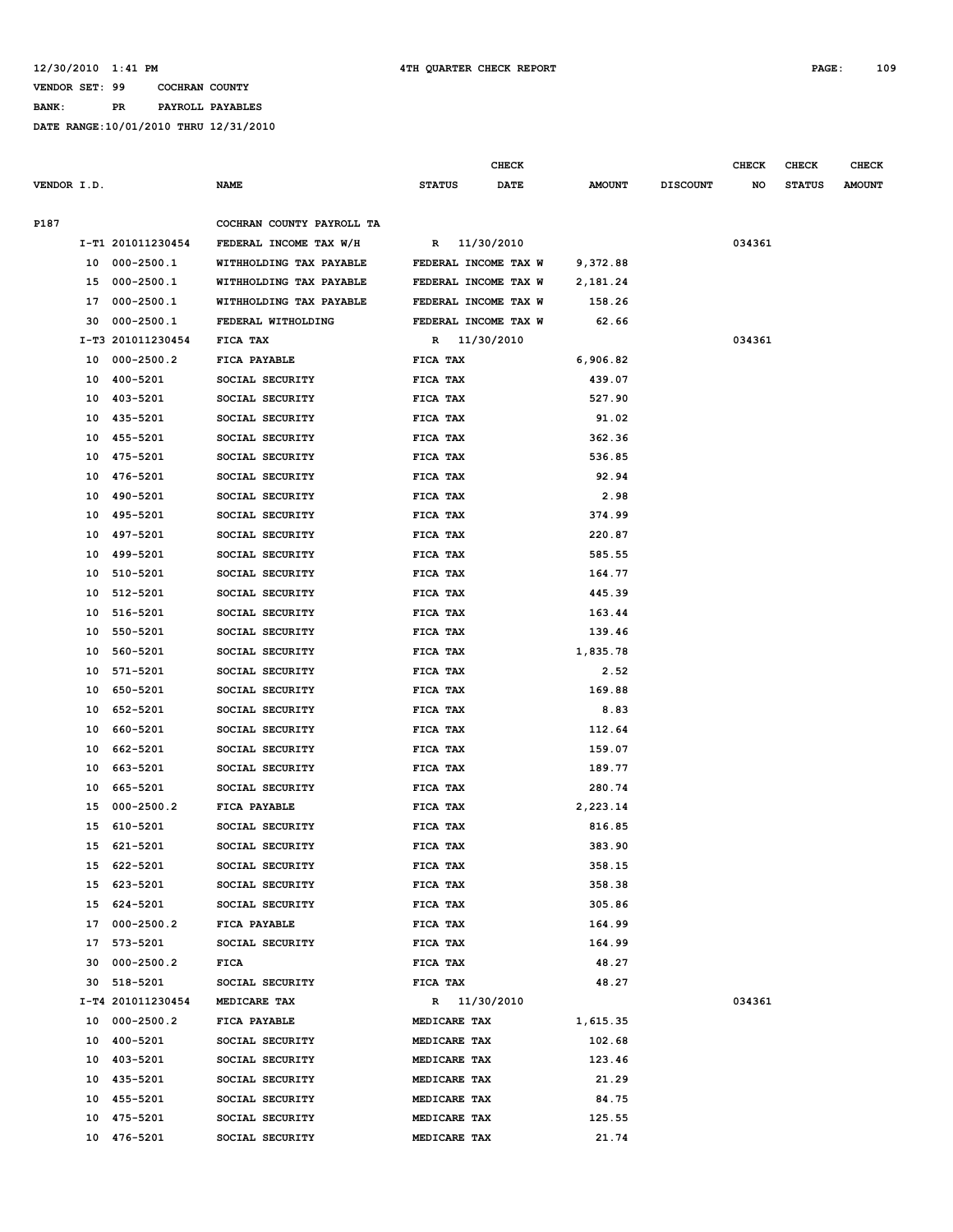# **VENDOR SET: 99 COCHRAN COUNTY BANK: PR PAYROLL PAYABLES**

|             |    |                   |                           |                      | <b>CHECK</b> |               |                 | <b>CHECK</b> | <b>CHECK</b>  | <b>CHECK</b>  |
|-------------|----|-------------------|---------------------------|----------------------|--------------|---------------|-----------------|--------------|---------------|---------------|
| VENDOR I.D. |    |                   | <b>NAME</b>               | <b>STATUS</b>        | <b>DATE</b>  | <b>AMOUNT</b> | <b>DISCOUNT</b> | NO           | <b>STATUS</b> | <b>AMOUNT</b> |
| P187        |    |                   | COCHRAN COUNTY PAYROLL TA |                      |              |               |                 |              |               |               |
|             |    | I-T1 201011230454 | FEDERAL INCOME TAX W/H    | R 11/30/2010         |              |               |                 | 034361       |               |               |
|             |    | 10 000-2500.1     | WITHHOLDING TAX PAYABLE   | FEDERAL INCOME TAX W |              | 9,372.88      |                 |              |               |               |
|             |    | 15 000-2500.1     | WITHHOLDING TAX PAYABLE   | FEDERAL INCOME TAX W |              | 2,181.24      |                 |              |               |               |
|             |    | 17 000-2500.1     | WITHHOLDING TAX PAYABLE   | FEDERAL INCOME TAX W |              | 158.26        |                 |              |               |               |
|             | 30 | 000-2500.1        | FEDERAL WITHOLDING        | FEDERAL INCOME TAX W |              | 62.66         |                 |              |               |               |
|             |    | I-T3 201011230454 | FICA TAX                  | R 11/30/2010         |              |               |                 | 034361       |               |               |
|             |    | 10 000-2500.2     | FICA PAYABLE              | FICA TAX             |              | 6,906.82      |                 |              |               |               |
|             |    | 10 400-5201       | SOCIAL SECURITY           | FICA TAX             |              | 439.07        |                 |              |               |               |
|             |    | 10 403-5201       | SOCIAL SECURITY           | FICA TAX             |              | 527.90        |                 |              |               |               |
|             |    | 10 435-5201       | SOCIAL SECURITY           | FICA TAX             |              | 91.02         |                 |              |               |               |
|             | 10 | 455-5201          | SOCIAL SECURITY           | FICA TAX             |              | 362.36        |                 |              |               |               |
|             | 10 | 475-5201          | SOCIAL SECURITY           | FICA TAX             |              | 536.85        |                 |              |               |               |
|             | 10 | 476-5201          | SOCIAL SECURITY           | FICA TAX             |              | 92.94         |                 |              |               |               |
|             | 10 | 490-5201          | SOCIAL SECURITY           | FICA TAX             |              | 2.98          |                 |              |               |               |
|             | 10 | 495-5201          | SOCIAL SECURITY           | FICA TAX             |              | 374.99        |                 |              |               |               |
|             |    | 10 497-5201       | SOCIAL SECURITY           | FICA TAX             |              | 220.87        |                 |              |               |               |
|             | 10 | 499-5201          | SOCIAL SECURITY           | FICA TAX             |              | 585.55        |                 |              |               |               |
|             | 10 | 510-5201          | SOCIAL SECURITY           | FICA TAX             |              | 164.77        |                 |              |               |               |
|             |    | 10 512-5201       | SOCIAL SECURITY           | FICA TAX             |              | 445.39        |                 |              |               |               |
|             | 10 | 516-5201          | SOCIAL SECURITY           | FICA TAX             |              | 163.44        |                 |              |               |               |
|             | 10 | 550-5201          | SOCIAL SECURITY           | FICA TAX             |              | 139.46        |                 |              |               |               |
|             | 10 | 560-5201          | SOCIAL SECURITY           | FICA TAX             |              | 1,835.78      |                 |              |               |               |
|             | 10 | 571-5201          | SOCIAL SECURITY           | FICA TAX             |              | 2.52          |                 |              |               |               |
|             | 10 | 650-5201          | SOCIAL SECURITY           | FICA TAX             |              | 169.88        |                 |              |               |               |
|             | 10 | 652-5201          | SOCIAL SECURITY           | FICA TAX             |              | 8.83          |                 |              |               |               |
|             | 10 | 660-5201          | SOCIAL SECURITY           | FICA TAX             |              | 112.64        |                 |              |               |               |
|             |    | 10 662-5201       | SOCIAL SECURITY           | FICA TAX             |              | 159.07        |                 |              |               |               |
|             | 10 | 663-5201          | SOCIAL SECURITY           | FICA TAX             |              | 189.77        |                 |              |               |               |
|             | 10 | 665-5201          | SOCIAL SECURITY           | FICA TAX             |              | 280.74        |                 |              |               |               |
|             |    | 15 000-2500.2     | FICA PAYABLE              | FICA TAX             |              | 2,223.14      |                 |              |               |               |
|             |    | 15 610-5201       | SOCIAL SECURITY           | FICA TAX             |              | 816.85        |                 |              |               |               |
|             |    | 15 621-5201       | SOCIAL SECURITY           | FICA TAX             |              | 383.90        |                 |              |               |               |
|             |    | 15 622-5201       | SOCIAL SECURITY           | FICA TAX             |              | 358.15        |                 |              |               |               |
|             |    | 15 623-5201       | SOCIAL SECURITY           | FICA TAX             |              | 358.38        |                 |              |               |               |
|             |    | 15 624-5201       | SOCIAL SECURITY           | FICA TAX             |              | 305.86        |                 |              |               |               |
|             |    | 17 000-2500.2     | FICA PAYABLE              | <b>FICA TAX</b>      |              | 164.99        |                 |              |               |               |
|             |    | 17 573-5201       | SOCIAL SECURITY           | <b>FICA TAX</b>      |              | 164.99        |                 |              |               |               |
|             |    | 30 000-2500.2     | FICA                      | FICA TAX             |              | 48.27         |                 |              |               |               |
|             |    | 30 518-5201       | SOCIAL SECURITY           | FICA TAX             |              | 48.27         |                 |              |               |               |
|             |    | I-T4 201011230454 | MEDICARE TAX              | R 11/30/2010         |              |               |                 | 034361       |               |               |
|             |    | 10 000-2500.2     | FICA PAYABLE              | MEDICARE TAX         |              | 1,615.35      |                 |              |               |               |
|             |    | 10 400-5201       | SOCIAL SECURITY           | MEDICARE TAX         |              | 102.68        |                 |              |               |               |
|             |    | 10 403-5201       | SOCIAL SECURITY           | MEDICARE TAX         |              | 123.46        |                 |              |               |               |
|             |    | 10 435-5201       | SOCIAL SECURITY           | MEDICARE TAX         |              | 21.29         |                 |              |               |               |
|             |    | 10 455-5201       | SOCIAL SECURITY           | MEDICARE TAX         |              | 84.75         |                 |              |               |               |
|             |    | 10 475-5201       | SOCIAL SECURITY           | MEDICARE TAX         |              | 125.55        |                 |              |               |               |
|             |    | 10 476-5201       | SOCIAL SECURITY           | MEDICARE TAX         |              | 21.74         |                 |              |               |               |
|             |    |                   |                           |                      |              |               |                 |              |               |               |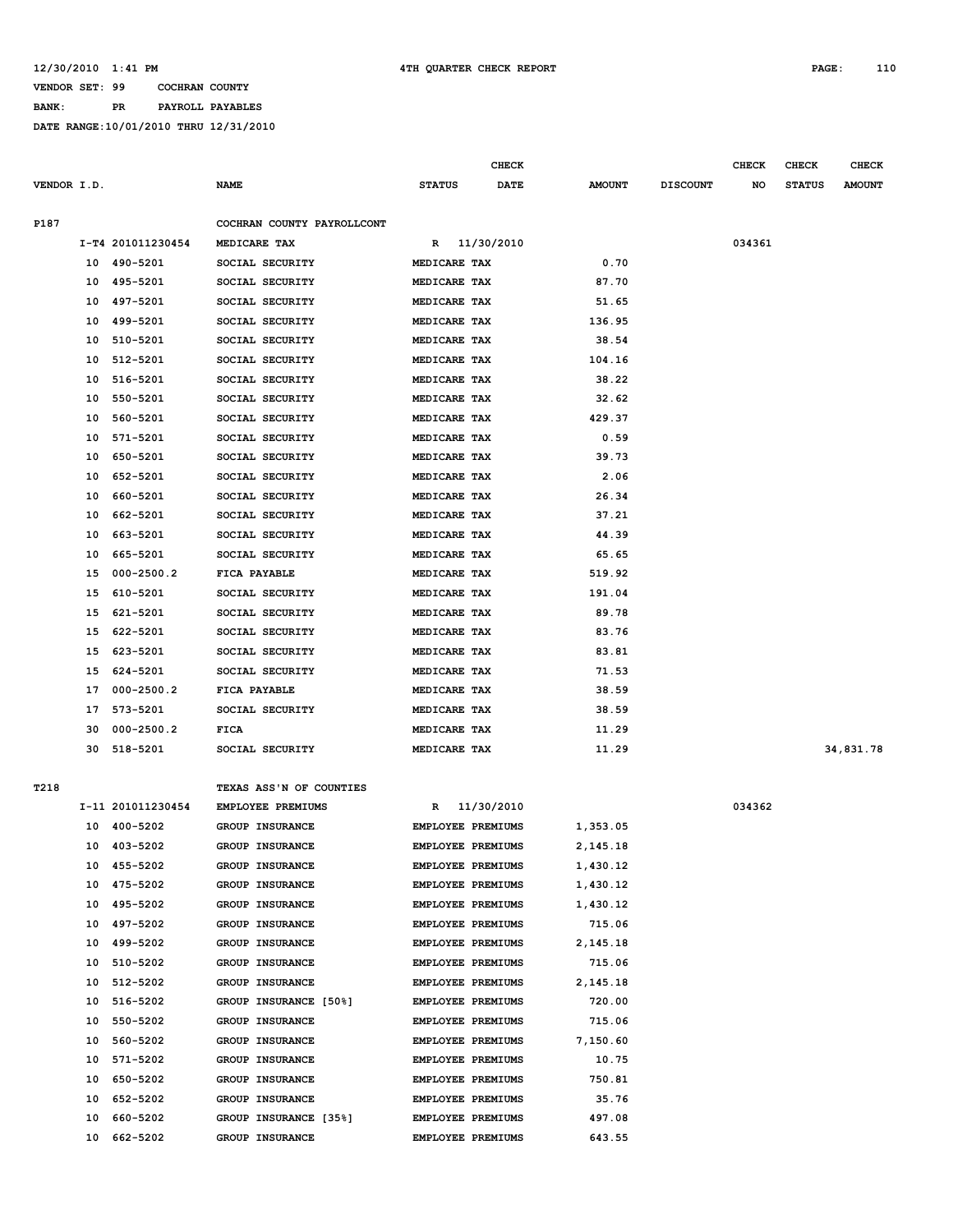### **BANK: PR PAYROLL PAYABLES**

|             |    |                   |                            |                          | CHECK       |               |                 | <b>CHECK</b> | CHECK         | <b>CHECK</b>  |
|-------------|----|-------------------|----------------------------|--------------------------|-------------|---------------|-----------------|--------------|---------------|---------------|
| VENDOR I.D. |    |                   | <b>NAME</b>                | <b>STATUS</b>            | <b>DATE</b> | <b>AMOUNT</b> | <b>DISCOUNT</b> | NO           | <b>STATUS</b> | <b>AMOUNT</b> |
|             |    |                   |                            |                          |             |               |                 |              |               |               |
| P187        |    |                   | COCHRAN COUNTY PAYROLLCONT |                          |             |               |                 |              |               |               |
|             |    | I-T4 201011230454 | MEDICARE TAX               | R                        | 11/30/2010  |               |                 | 034361       |               |               |
|             |    | 10 490-5201       | SOCIAL SECURITY            | MEDICARE TAX             |             | 0.70          |                 |              |               |               |
|             |    | 10 495-5201       | SOCIAL SECURITY            | MEDICARE TAX             |             | 87.70         |                 |              |               |               |
|             |    | 10 497-5201       | SOCIAL SECURITY            | MEDICARE TAX             |             | 51.65         |                 |              |               |               |
|             |    | 10 499-5201       | SOCIAL SECURITY            | MEDICARE TAX             |             | 136.95        |                 |              |               |               |
|             | 10 | 510-5201          | SOCIAL SECURITY            | MEDICARE TAX             |             | 38.54         |                 |              |               |               |
|             | 10 | 512-5201          | SOCIAL SECURITY            | MEDICARE TAX             |             | 104.16        |                 |              |               |               |
|             | 10 | 516-5201          | SOCIAL SECURITY            | MEDICARE TAX             |             | 38.22         |                 |              |               |               |
|             | 10 | 550-5201          | SOCIAL SECURITY            | MEDICARE TAX             |             | 32.62         |                 |              |               |               |
|             | 10 | 560-5201          | SOCIAL SECURITY            | MEDICARE TAX             |             | 429.37        |                 |              |               |               |
|             |    | 10 571-5201       | SOCIAL SECURITY            | MEDICARE TAX             |             | 0.59          |                 |              |               |               |
|             | 10 | 650-5201          | SOCIAL SECURITY            | MEDICARE TAX             |             | 39.73         |                 |              |               |               |
|             | 10 | 652-5201          | SOCIAL SECURITY            | MEDICARE TAX             |             | 2.06          |                 |              |               |               |
|             | 10 | 660-5201          | SOCIAL SECURITY            | MEDICARE TAX             |             | 26.34         |                 |              |               |               |
|             | 10 | 662-5201          | SOCIAL SECURITY            | MEDICARE TAX             |             | 37.21         |                 |              |               |               |
|             | 10 | 663-5201          | SOCIAL SECURITY            | MEDICARE TAX             |             | 44.39         |                 |              |               |               |
|             | 10 | 665-5201          | SOCIAL SECURITY            | MEDICARE TAX             |             | 65.65         |                 |              |               |               |
|             | 15 | $000 - 2500.2$    | <b>FICA PAYABLE</b>        | MEDICARE TAX             |             | 519.92        |                 |              |               |               |
|             | 15 | 610-5201          | SOCIAL SECURITY            | MEDICARE TAX             |             | 191.04        |                 |              |               |               |
|             | 15 | 621-5201          | SOCIAL SECURITY            | MEDICARE TAX             |             | 89.78         |                 |              |               |               |
|             | 15 | 622-5201          | SOCIAL SECURITY            | MEDICARE TAX             |             | 83.76         |                 |              |               |               |
|             | 15 | 623-5201          | SOCIAL SECURITY            | MEDICARE TAX             |             | 83.81         |                 |              |               |               |
|             |    | 15 624-5201       | SOCIAL SECURITY            | MEDICARE TAX             |             | 71.53         |                 |              |               |               |
|             | 17 | $000 - 2500.2$    | FICA PAYABLE               | MEDICARE TAX             |             | 38.59         |                 |              |               |               |
|             | 17 | 573-5201          | SOCIAL SECURITY            | MEDICARE TAX             |             | 38.59         |                 |              |               |               |
|             | 30 | $000 - 2500.2$    | FICA                       | MEDICARE TAX             |             | 11.29         |                 |              |               |               |
|             | 30 | 518-5201          | SOCIAL SECURITY            | MEDICARE TAX             |             | 11.29         |                 |              |               | 34,831.78     |
| T218        |    |                   | TEXAS ASS'N OF COUNTIES    |                          |             |               |                 |              |               |               |
|             |    | I-11 201011230454 | EMPLOYEE PREMIUMS          | R                        | 11/30/2010  |               |                 | 034362       |               |               |
|             | 10 | 400-5202          | <b>GROUP INSURANCE</b>     | EMPLOYEE PREMIUMS        |             | 1,353.05      |                 |              |               |               |
|             | 10 | 403-5202          | GROUP INSURANCE            | <b>EMPLOYEE PREMIUMS</b> |             | 2,145.18      |                 |              |               |               |
|             |    | 10 455-5202       | GROUP INSURANCE            | EMPLOYEE PREMIUMS        |             | 1,430.12      |                 |              |               |               |
|             |    | 10 475-5202       | GROUP INSURANCE            | EMPLOYEE PREMIUMS        |             | 1,430.12      |                 |              |               |               |
|             | 10 | 495-5202          | GROUP INSURANCE            | EMPLOYEE PREMIUMS        |             | 1,430.12      |                 |              |               |               |
|             | 10 | 497-5202          | GROUP INSURANCE            | <b>EMPLOYEE PREMIUMS</b> |             | 715.06        |                 |              |               |               |
|             | 10 | 499-5202          | GROUP INSURANCE            | EMPLOYEE PREMIUMS        |             | 2,145.18      |                 |              |               |               |
|             | 10 | 510-5202          | GROUP INSURANCE            | <b>EMPLOYEE PREMIUMS</b> |             | 715.06        |                 |              |               |               |
|             | 10 | 512-5202          | GROUP INSURANCE            | EMPLOYEE PREMIUMS        |             | 2,145.18      |                 |              |               |               |
|             | 10 | 516-5202          | GROUP INSURANCE [50%]      | EMPLOYEE PREMIUMS        |             | 720.00        |                 |              |               |               |
|             | 10 | 550-5202          | <b>GROUP INSURANCE</b>     | EMPLOYEE PREMIUMS        |             | 715.06        |                 |              |               |               |
|             | 10 | 560-5202          | GROUP INSURANCE            | EMPLOYEE PREMIUMS        |             | 7,150.60      |                 |              |               |               |
|             | 10 | 571-5202          | GROUP INSURANCE            | EMPLOYEE PREMIUMS        |             | 10.75         |                 |              |               |               |
|             | 10 | 650-5202          | GROUP INSURANCE            | <b>EMPLOYEE PREMIUMS</b> |             | 750.81        |                 |              |               |               |
|             | 10 | 652-5202          | GROUP INSURANCE            | EMPLOYEE PREMIUMS        |             | 35.76         |                 |              |               |               |
|             | 10 | 660-5202          | GROUP INSURANCE [35%]      | EMPLOYEE PREMIUMS        |             | 497.08        |                 |              |               |               |
|             | 10 | 662-5202          | GROUP INSURANCE            | <b>EMPLOYEE PREMIUMS</b> |             | 643.55        |                 |              |               |               |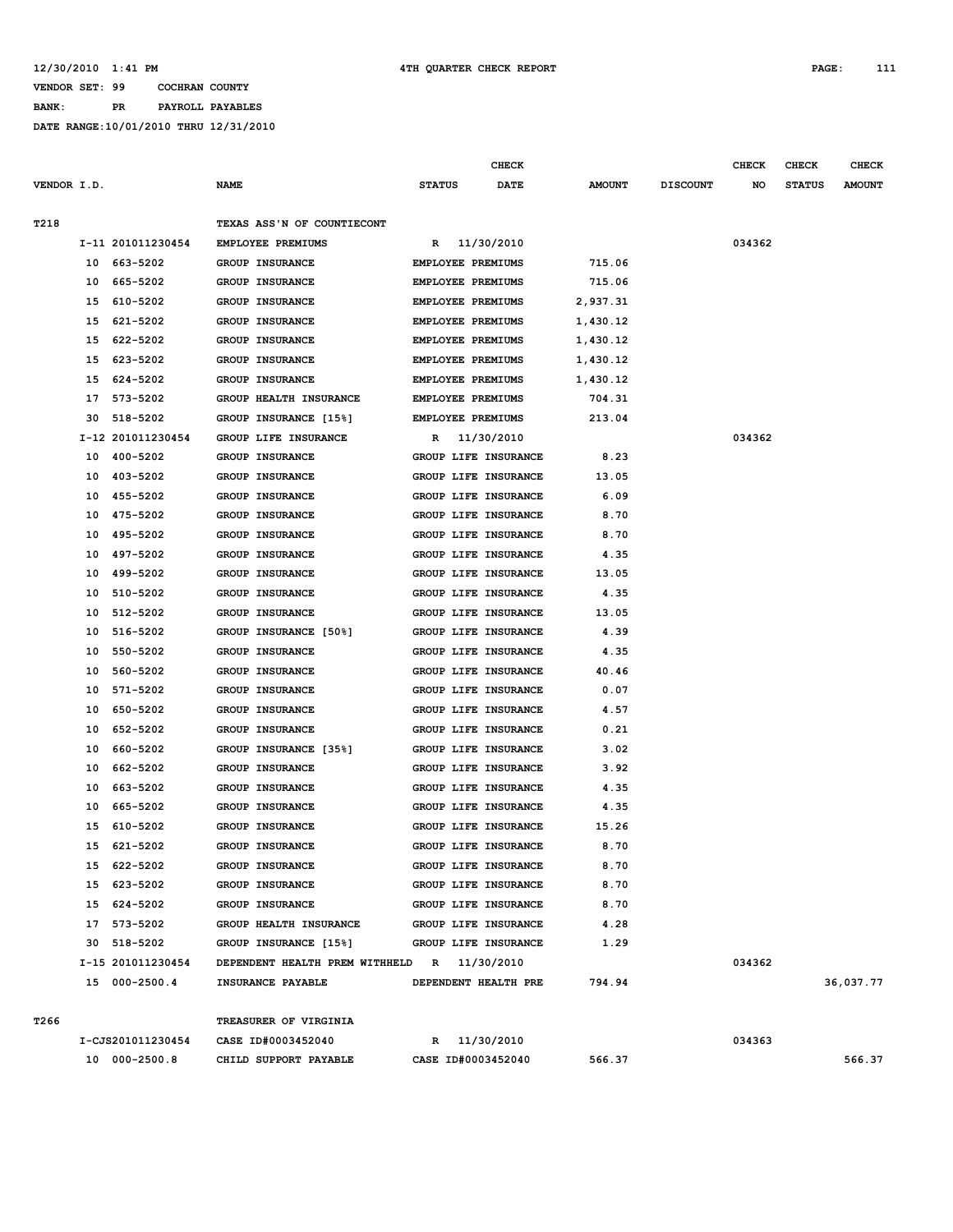**BANK: PR PAYROLL PAYABLES**

|             |    |                   |                                             |               | <b>CHECK</b>                |               |                 | <b>CHECK</b> | <b>CHECK</b>  | <b>CHECK</b>  |
|-------------|----|-------------------|---------------------------------------------|---------------|-----------------------------|---------------|-----------------|--------------|---------------|---------------|
| VENDOR I.D. |    |                   | <b>NAME</b>                                 | <b>STATUS</b> | DATE                        | <b>AMOUNT</b> | <b>DISCOUNT</b> | NO           | <b>STATUS</b> | <b>AMOUNT</b> |
| T218        |    |                   | TEXAS ASS'N OF COUNTIECONT                  |               |                             |               |                 |              |               |               |
|             |    | I-11 201011230454 | EMPLOYEE PREMIUMS                           |               | R 11/30/2010                |               |                 | 034362       |               |               |
|             |    | 10 663-5202       | <b>GROUP INSURANCE</b>                      |               | EMPLOYEE PREMIUMS           | 715.06        |                 |              |               |               |
|             | 10 | 665-5202          | GROUP INSURANCE                             |               | EMPLOYEE PREMIUMS           | 715.06        |                 |              |               |               |
|             | 15 | 610-5202          | GROUP INSURANCE                             |               | EMPLOYEE PREMIUMS           | 2,937.31      |                 |              |               |               |
|             | 15 | 621-5202          | GROUP INSURANCE                             |               | EMPLOYEE PREMIUMS           | 1,430.12      |                 |              |               |               |
|             | 15 | 622-5202          | <b>GROUP INSURANCE</b>                      |               | <b>EMPLOYEE PREMIUMS</b>    | 1,430.12      |                 |              |               |               |
|             | 15 | 623-5202          | <b>GROUP INSURANCE</b>                      |               | EMPLOYEE PREMIUMS           | 1,430.12      |                 |              |               |               |
|             | 15 | 624-5202          | <b>GROUP INSURANCE</b>                      |               | EMPLOYEE PREMIUMS           | 1,430.12      |                 |              |               |               |
|             | 17 | 573-5202          | GROUP HEALTH INSURANCE                      |               | EMPLOYEE PREMIUMS           | 704.31        |                 |              |               |               |
|             | 30 | 518-5202          | GROUP INSURANCE [15%]                       |               | EMPLOYEE PREMIUMS           | 213.04        |                 |              |               |               |
|             |    | I-12 201011230454 | GROUP LIFE INSURANCE                        | R             | 11/30/2010                  |               |                 | 034362       |               |               |
|             | 10 | 400-5202          | <b>GROUP INSURANCE</b>                      |               | GROUP LIFE INSURANCE        | 8.23          |                 |              |               |               |
|             | 10 | 403-5202          | GROUP INSURANCE                             |               | GROUP LIFE INSURANCE        | 13.05         |                 |              |               |               |
|             | 10 | 455-5202          | GROUP INSURANCE                             |               | GROUP LIFE INSURANCE        | 6.09          |                 |              |               |               |
|             | 10 | 475-5202          | GROUP INSURANCE                             |               | GROUP LIFE INSURANCE        | 8.70          |                 |              |               |               |
|             | 10 | 495-5202          | <b>GROUP INSURANCE</b>                      |               | GROUP LIFE INSURANCE        | 8.70          |                 |              |               |               |
|             | 10 | 497-5202          | <b>GROUP INSURANCE</b>                      |               | GROUP LIFE INSURANCE        | 4.35          |                 |              |               |               |
|             | 10 | 499-5202          | <b>GROUP INSURANCE</b>                      |               | GROUP LIFE INSURANCE        | 13.05         |                 |              |               |               |
|             | 10 | 510-5202          | <b>GROUP INSURANCE</b>                      |               | GROUP LIFE INSURANCE        | 4.35          |                 |              |               |               |
|             | 10 | 512-5202          | GROUP INSURANCE                             |               | GROUP LIFE INSURANCE        | 13.05         |                 |              |               |               |
|             | 10 | 516-5202          | GROUP INSURANCE [50%]                       |               | GROUP LIFE INSURANCE        | 4.39          |                 |              |               |               |
|             | 10 | 550-5202          | GROUP INSURANCE                             |               | GROUP LIFE INSURANCE        | 4.35          |                 |              |               |               |
|             | 10 | 560-5202          | <b>GROUP INSURANCE</b>                      |               | GROUP LIFE INSURANCE        | 40.46         |                 |              |               |               |
|             | 10 | 571-5202          | GROUP INSURANCE                             |               | GROUP LIFE INSURANCE        | 0.07          |                 |              |               |               |
|             | 10 | 650-5202          | GROUP INSURANCE                             |               | GROUP LIFE INSURANCE        | 4.57          |                 |              |               |               |
|             | 10 | 652-5202          | GROUP INSURANCE                             |               | GROUP LIFE INSURANCE        | 0.21          |                 |              |               |               |
|             | 10 | 660-5202          | GROUP INSURANCE [35%]                       |               | GROUP LIFE INSURANCE        | 3.02          |                 |              |               |               |
|             | 10 | 662-5202          | <b>GROUP INSURANCE</b>                      |               | GROUP LIFE INSURANCE        | 3.92          |                 |              |               |               |
|             | 10 | 663-5202          | <b>GROUP INSURANCE</b>                      |               | GROUP LIFE INSURANCE        | 4.35          |                 |              |               |               |
|             | 10 | 665-5202          | GROUP INSURANCE                             |               | GROUP LIFE INSURANCE        | 4.35          |                 |              |               |               |
|             | 15 | 610-5202          | GROUP INSURANCE                             |               | GROUP LIFE INSURANCE        | 15.26         |                 |              |               |               |
|             | 15 | 621-5202          | <b>GROUP INSURANCE</b>                      |               | GROUP LIFE INSURANCE        | 8.70          |                 |              |               |               |
|             |    | 15 622-5202       | GROUP INSURANCE                             |               | GROUP LIFE INSURANCE        | 8.70          |                 |              |               |               |
|             |    | 15 623-5202       | GROUP INSURANCE                             |               | GROUP LIFE INSURANCE        | 8.70          |                 |              |               |               |
|             |    | 15 624-5202       | GROUP INSURANCE                             |               | GROUP LIFE INSURANCE        | 8.70          |                 |              |               |               |
|             |    | 17 573-5202       | GROUP HEALTH INSURANCE                      |               | <b>GROUP LIFE INSURANCE</b> | 4.28          |                 |              |               |               |
|             |    | 30 518-5202       | GROUP INSURANCE [15%]                       |               | GROUP LIFE INSURANCE        | 1.29          |                 |              |               |               |
|             |    | I-15 201011230454 | DEPENDENT HEALTH PREM WITHHELD R 11/30/2010 |               |                             |               |                 | 034362       |               |               |
|             |    | 15 000-2500.4     | INSURANCE PAYABLE                           |               | DEPENDENT HEALTH PRE        | 794.94        |                 |              |               | 36,037.77     |
| T266        |    |                   | TREASURER OF VIRGINIA                       |               |                             |               |                 |              |               |               |
|             |    | I-CJS201011230454 | CASE ID#0003452040                          |               | R 11/30/2010                |               |                 | 034363       |               |               |
|             |    | 10 000-2500.8     | CHILD SUPPORT PAYABLE                       |               | CASE ID#0003452040          | 566.37        |                 |              |               | 566.37        |
|             |    |                   |                                             |               |                             |               |                 |              |               |               |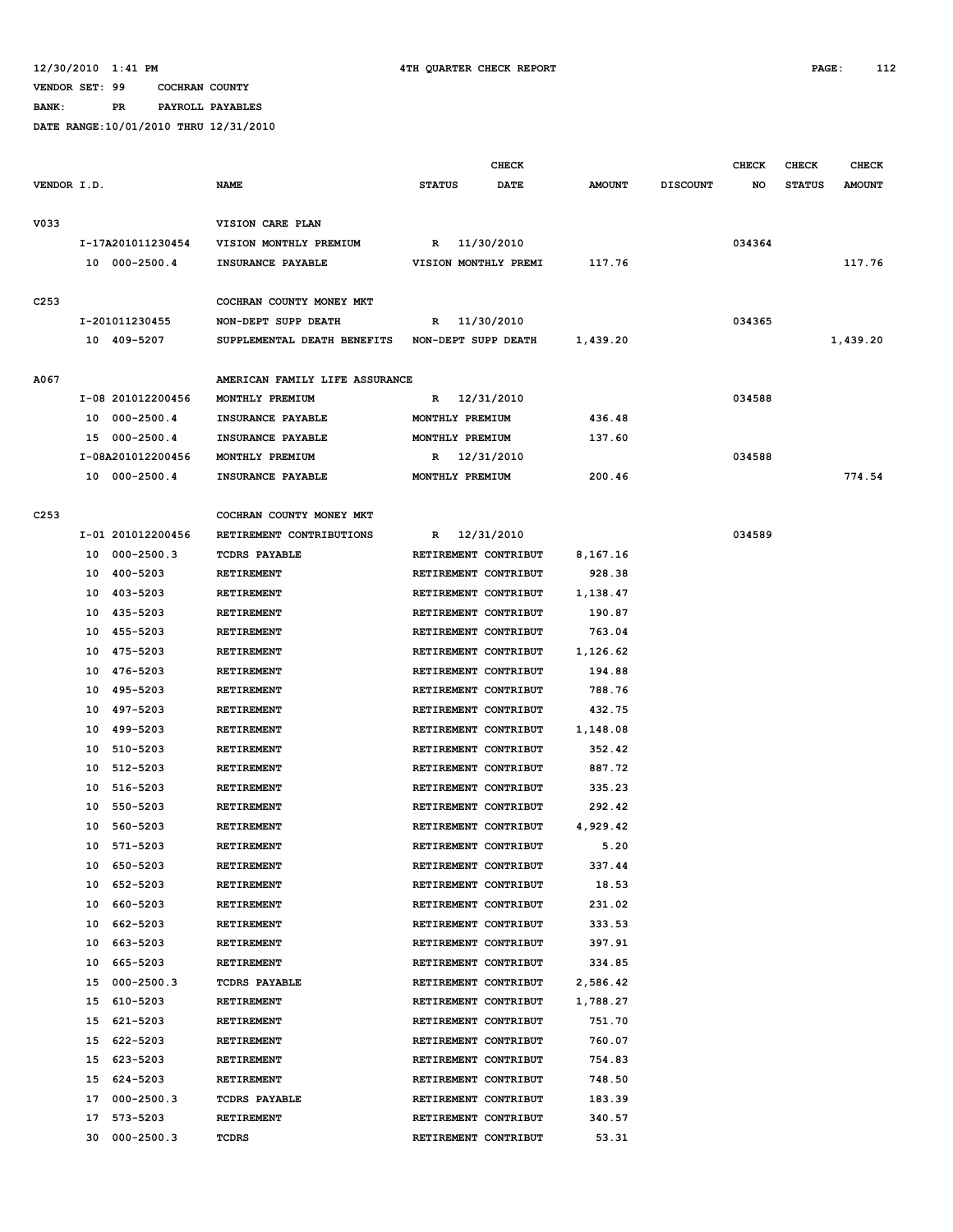**BANK: PR PAYROLL PAYABLES**

|                  |    |                   |                                                 |                      | <b>CHECK</b> |               |                 | <b>CHECK</b> | <b>CHECK</b>  | <b>CHECK</b>  |
|------------------|----|-------------------|-------------------------------------------------|----------------------|--------------|---------------|-----------------|--------------|---------------|---------------|
| VENDOR I.D.      |    |                   | <b>NAME</b>                                     | <b>STATUS</b>        | <b>DATE</b>  | <b>AMOUNT</b> | <b>DISCOUNT</b> | NO           | <b>STATUS</b> | <b>AMOUNT</b> |
| V033             |    |                   | VISION CARE PLAN                                |                      |              |               |                 |              |               |               |
|                  |    | I-17A201011230454 | VISION MONTHLY PREMIUM                          | R                    | 11/30/2010   |               |                 | 034364       |               |               |
|                  |    | 10 000-2500.4     | INSURANCE PAYABLE                               | VISION MONTHLY PREMI |              | 117.76        |                 |              |               | 117.76        |
|                  |    |                   |                                                 |                      |              |               |                 |              |               |               |
| C <sub>253</sub> |    |                   | COCHRAN COUNTY MONEY MKT                        |                      |              |               |                 |              |               |               |
|                  |    | I-201011230455    | NON-DEPT SUPP DEATH                             | R 11/30/2010         |              |               |                 | 034365       |               |               |
|                  |    | 10 409-5207       | SUPPLEMENTAL DEATH BENEFITS NON-DEPT SUPP DEATH |                      |              | 1,439.20      |                 |              |               | 1,439.20      |
| A067             |    |                   | AMERICAN FAMILY LIFE ASSURANCE                  |                      |              |               |                 |              |               |               |
|                  |    | I-08 201012200456 | MONTHLY PREMIUM                                 | R                    | 12/31/2010   |               |                 | 034588       |               |               |
|                  |    | 10 000-2500.4     | INSURANCE PAYABLE                               | MONTHLY PREMIUM      |              | 436.48        |                 |              |               |               |
|                  |    | 15 000-2500.4     | INSURANCE PAYABLE                               | MONTHLY PREMIUM      |              | 137.60        |                 |              |               |               |
|                  |    | I-08A201012200456 | MONTHLY PREMIUM                                 | R                    | 12/31/2010   |               |                 | 034588       |               |               |
|                  |    | 10 000-2500.4     | INSURANCE PAYABLE                               | MONTHLY PREMIUM      |              | 200.46        |                 |              |               | 774.54        |
|                  |    |                   |                                                 |                      |              |               |                 |              |               |               |
| C <sub>253</sub> |    |                   | COCHRAN COUNTY MONEY MKT                        |                      |              |               |                 |              |               |               |
|                  |    | I-01 201012200456 | RETIREMENT CONTRIBUTIONS                        | R                    | 12/31/2010   |               |                 | 034589       |               |               |
|                  | 10 | $000 - 2500.3$    | <b>TCDRS PAYABLE</b>                            | RETIREMENT CONTRIBUT |              | 8,167.16      |                 |              |               |               |
|                  | 10 | 400-5203          | <b>RETIREMENT</b>                               | RETIREMENT CONTRIBUT |              | 928.38        |                 |              |               |               |
|                  | 10 | 403-5203          | <b>RETIREMENT</b>                               | RETIREMENT CONTRIBUT |              | 1,138.47      |                 |              |               |               |
|                  | 10 | 435-5203          | RETIREMENT                                      | RETIREMENT CONTRIBUT |              | 190.87        |                 |              |               |               |
|                  | 10 | 455-5203          | <b>RETIREMENT</b>                               | RETIREMENT CONTRIBUT |              | 763.04        |                 |              |               |               |
|                  | 10 | 475-5203          | <b>RETIREMENT</b>                               | RETIREMENT CONTRIBUT |              | 1,126.62      |                 |              |               |               |
|                  | 10 | 476-5203          | RETIREMENT                                      | RETIREMENT CONTRIBUT |              | 194.88        |                 |              |               |               |
|                  | 10 | 495-5203          | <b>RETIREMENT</b>                               | RETIREMENT CONTRIBUT |              | 788.76        |                 |              |               |               |
|                  | 10 | 497-5203          | RETIREMENT                                      | RETIREMENT CONTRIBUT |              | 432.75        |                 |              |               |               |
|                  | 10 | 499-5203          | RETIREMENT                                      | RETIREMENT CONTRIBUT |              | 1,148.08      |                 |              |               |               |
|                  | 10 | 510-5203          | <b>RETIREMENT</b>                               | RETIREMENT CONTRIBUT |              | 352.42        |                 |              |               |               |
|                  | 10 | 512-5203          | <b>RETIREMENT</b>                               | RETIREMENT CONTRIBUT |              | 887.72        |                 |              |               |               |
|                  | 10 | 516-5203          | <b>RETIREMENT</b>                               | RETIREMENT CONTRIBUT |              | 335.23        |                 |              |               |               |
|                  | 10 | 550-5203          | RETIREMENT                                      | RETIREMENT CONTRIBUT |              | 292.42        |                 |              |               |               |
|                  | 10 | 560-5203          | RETIREMENT                                      | RETIREMENT CONTRIBUT |              | 4,929.42      |                 |              |               |               |
|                  | 10 | 571-5203          | <b>RETIREMENT</b>                               | RETIREMENT CONTRIBUT |              | 5.20          |                 |              |               |               |
|                  | 10 | 650-5203          | RETIREMENT                                      | RETIREMENT CONTRIBUT |              | 337.44        |                 |              |               |               |
|                  | 10 | 652-5203          | RETIREMENT                                      | RETIREMENT CONTRIBUT |              | 18.53         |                 |              |               |               |
|                  | 10 | 660-5203          | RETIREMENT                                      | RETIREMENT CONTRIBUT |              | 231.02        |                 |              |               |               |
|                  | 10 | 662-5203          | RETIREMENT                                      | RETIREMENT CONTRIBUT |              | 333.53        |                 |              |               |               |
|                  | 10 | 663-5203          | RETIREMENT                                      | RETIREMENT CONTRIBUT |              | 397.91        |                 |              |               |               |
|                  | 10 | 665-5203          | <b>RETIREMENT</b>                               | RETIREMENT CONTRIBUT |              | 334.85        |                 |              |               |               |
|                  | 15 | $000 - 2500.3$    | <b>TCDRS PAYABLE</b>                            | RETIREMENT CONTRIBUT |              | 2,586.42      |                 |              |               |               |
|                  | 15 | 610-5203          | RETIREMENT                                      | RETIREMENT CONTRIBUT |              | 1,788.27      |                 |              |               |               |
|                  | 15 | 621-5203          | RETIREMENT                                      | RETIREMENT CONTRIBUT |              | 751.70        |                 |              |               |               |
|                  | 15 | 622-5203          | RETIREMENT                                      | RETIREMENT CONTRIBUT |              | 760.07        |                 |              |               |               |
|                  | 15 | 623-5203          | RETIREMENT                                      | RETIREMENT CONTRIBUT |              | 754.83        |                 |              |               |               |
|                  | 15 | 624-5203          | RETIREMENT                                      | RETIREMENT CONTRIBUT |              | 748.50        |                 |              |               |               |
|                  | 17 | $000 - 2500.3$    | <b>TCDRS PAYABLE</b>                            | RETIREMENT CONTRIBUT |              | 183.39        |                 |              |               |               |
|                  | 17 | 573-5203          | RETIREMENT                                      | RETIREMENT CONTRIBUT |              | 340.57        |                 |              |               |               |
|                  | 30 | $000 - 2500.3$    | TCDRS                                           | RETIREMENT CONTRIBUT |              | 53.31         |                 |              |               |               |
|                  |    |                   |                                                 |                      |              |               |                 |              |               |               |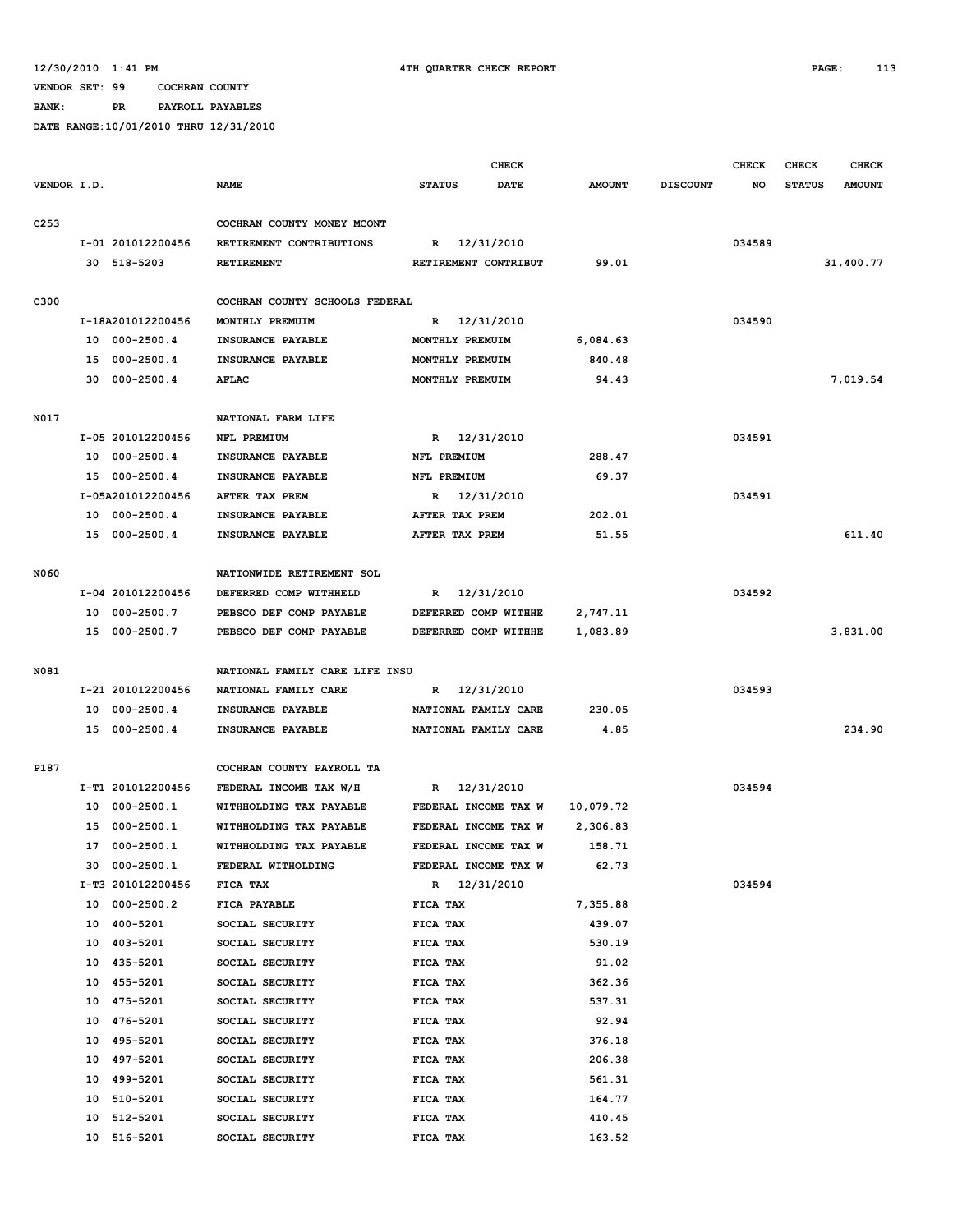**BANK: PR PAYROLL PAYABLES**

|                  |    |                   |                                |                      | <b>CHECK</b> |               |                 | <b>CHECK</b> | <b>CHECK</b>  | <b>CHECK</b>  |
|------------------|----|-------------------|--------------------------------|----------------------|--------------|---------------|-----------------|--------------|---------------|---------------|
| VENDOR I.D.      |    |                   | NAME                           | <b>STATUS</b>        | <b>DATE</b>  | <b>AMOUNT</b> | <b>DISCOUNT</b> | NO           | <b>STATUS</b> | <b>AMOUNT</b> |
|                  |    |                   |                                |                      |              |               |                 |              |               |               |
| C <sub>253</sub> |    |                   | COCHRAN COUNTY MONEY MCONT     |                      |              |               |                 |              |               |               |
|                  |    | I-01 201012200456 | RETIREMENT CONTRIBUTIONS       | R                    | 12/31/2010   |               |                 | 034589       |               |               |
|                  |    | 30 518-5203       | <b>RETIREMENT</b>              | RETIREMENT CONTRIBUT |              | 99.01         |                 |              |               | 31,400.77     |
|                  |    |                   |                                |                      |              |               |                 |              |               |               |
| C300             |    |                   | COCHRAN COUNTY SCHOOLS FEDERAL |                      |              |               |                 |              |               |               |
|                  |    | I-18A201012200456 | MONTHLY PREMUIM                | $\mathbb{R}$         | 12/31/2010   |               |                 | 034590       |               |               |
|                  |    | 10 000-2500.4     | INSURANCE PAYABLE              | MONTHLY PREMUIM      |              | 6,084.63      |                 |              |               |               |
|                  |    | 15 000-2500.4     | INSURANCE PAYABLE              | MONTHLY PREMUIM      |              | 840.48        |                 |              |               |               |
|                  |    | 30 000-2500.4     | <b>AFLAC</b>                   | MONTHLY PREMUIM      |              | 94.43         |                 |              |               | 7,019.54      |
|                  |    |                   |                                |                      |              |               |                 |              |               |               |
| N017             |    |                   | NATIONAL FARM LIFE             |                      |              |               |                 |              |               |               |
|                  |    | I-05 201012200456 | NFL PREMIUM                    | R 12/31/2010         |              |               |                 | 034591       |               |               |
|                  |    | 10 000-2500.4     | INSURANCE PAYABLE              | NFL PREMIUM          |              | 288.47        |                 |              |               |               |
|                  |    | 15 000-2500.4     | INSURANCE PAYABLE              | NFL PREMIUM          |              | 69.37         |                 |              |               |               |
|                  |    | I-05A201012200456 | AFTER TAX PREM                 | R 12/31/2010         |              |               |                 | 034591       |               |               |
|                  |    | 10 000-2500.4     | INSURANCE PAYABLE              | AFTER TAX PREM       |              | 202.01        |                 |              |               |               |
|                  |    | 15 000-2500.4     | INSURANCE PAYABLE              | AFTER TAX PREM       |              | 51.55         |                 |              |               | 611.40        |
|                  |    |                   |                                |                      |              |               |                 |              |               |               |
| <b>N060</b>      |    |                   | NATIONWIDE RETIREMENT SOL      |                      |              |               |                 |              |               |               |
|                  |    | I-04 201012200456 | DEFERRED COMP WITHHELD         | R 12/31/2010         |              |               |                 | 034592       |               |               |
|                  |    | 10 000-2500.7     | PEBSCO DEF COMP PAYABLE        | DEFERRED COMP WITHHE |              | 2,747.11      |                 |              |               |               |
|                  |    | 15 000-2500.7     | PEBSCO DEF COMP PAYABLE        | DEFERRED COMP WITHHE |              | 1,083.89      |                 |              |               | 3,831.00      |
| N081             |    |                   | NATIONAL FAMILY CARE LIFE INSU |                      |              |               |                 |              |               |               |
|                  |    | I-21 201012200456 | NATIONAL FAMILY CARE           | $\mathbb{R}$         | 12/31/2010   |               |                 | 034593       |               |               |
|                  |    | 10 000-2500.4     | INSURANCE PAYABLE              | NATIONAL FAMILY CARE |              | 230.05        |                 |              |               |               |
|                  |    | 15 000-2500.4     | INSURANCE PAYABLE              | NATIONAL FAMILY CARE |              | 4.85          |                 |              |               | 234.90        |
|                  |    |                   |                                |                      |              |               |                 |              |               |               |
| P187             |    |                   | COCHRAN COUNTY PAYROLL TA      |                      |              |               |                 |              |               |               |
|                  |    | I-T1 201012200456 | FEDERAL INCOME TAX W/H         | R                    | 12/31/2010   |               |                 | 034594       |               |               |
|                  |    | 10 000-2500.1     | WITHHOLDING TAX PAYABLE        | FEDERAL INCOME TAX W |              | 10,079.72     |                 |              |               |               |
|                  | 15 | 000-2500.1        | WITHHOLDING TAX PAYABLE        | FEDERAL INCOME TAX W |              | 2,306.83      |                 |              |               |               |
|                  |    | 17 000-2500.1     | WITHHOLDING TAX PAYABLE        | FEDERAL INCOME TAX W |              | 158.71        |                 |              |               |               |
|                  |    | 30 000-2500.1     | FEDERAL WITHOLDING             | FEDERAL INCOME TAX W |              | 62.73         |                 |              |               |               |
|                  |    | I-T3 201012200456 | FICA TAX                       | R 12/31/2010         |              |               |                 | 034594       |               |               |
|                  |    | 10 000-2500.2     | FICA PAYABLE                   | FICA TAX             |              | 7,355.88      |                 |              |               |               |
|                  | 10 | 400-5201          | SOCIAL SECURITY                | FICA TAX             |              | 439.07        |                 |              |               |               |
|                  | 10 | 403-5201          | SOCIAL SECURITY                | FICA TAX             |              | 530.19        |                 |              |               |               |
|                  | 10 | 435-5201          | SOCIAL SECURITY                | FICA TAX             |              | 91.02         |                 |              |               |               |
|                  | 10 | 455-5201          | SOCIAL SECURITY                | FICA TAX             |              | 362.36        |                 |              |               |               |
|                  | 10 | 475-5201          | SOCIAL SECURITY                | FICA TAX             |              | 537.31        |                 |              |               |               |
|                  | 10 | 476-5201          | SOCIAL SECURITY                | FICA TAX             |              | 92.94         |                 |              |               |               |
|                  | 10 | 495-5201          | SOCIAL SECURITY                | FICA TAX             |              | 376.18        |                 |              |               |               |
|                  | 10 | 497-5201          | SOCIAL SECURITY                | FICA TAX             |              | 206.38        |                 |              |               |               |
|                  | 10 | 499-5201          | SOCIAL SECURITY                | FICA TAX             |              | 561.31        |                 |              |               |               |
|                  | 10 | 510-5201          | SOCIAL SECURITY                | FICA TAX             |              | 164.77        |                 |              |               |               |
|                  | 10 | 512-5201          | SOCIAL SECURITY                | FICA TAX             |              | 410.45        |                 |              |               |               |
|                  |    | 10 516-5201       | SOCIAL SECURITY                | FICA TAX             |              | 163.52        |                 |              |               |               |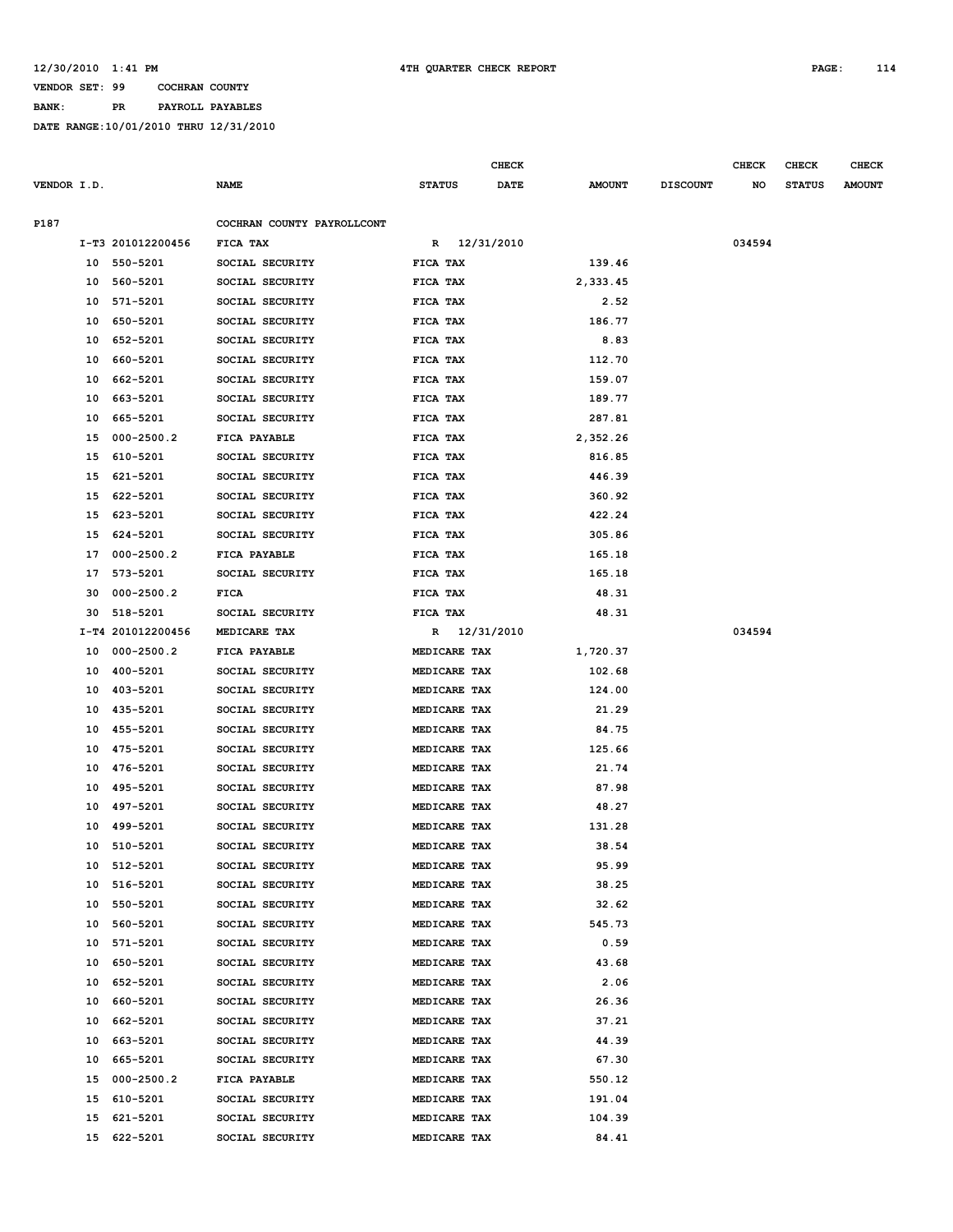**BANK: PR PAYROLL PAYABLES**

|             |    |                   |                            |               |              | <b>CHECK</b> |               |                 | <b>CHECK</b> | <b>CHECK</b>  | <b>CHECK</b>  |
|-------------|----|-------------------|----------------------------|---------------|--------------|--------------|---------------|-----------------|--------------|---------------|---------------|
| VENDOR I.D. |    |                   | <b>NAME</b>                | <b>STATUS</b> |              | <b>DATE</b>  | <b>AMOUNT</b> | <b>DISCOUNT</b> | NO           | <b>STATUS</b> | <b>AMOUNT</b> |
| P187        |    |                   | COCHRAN COUNTY PAYROLLCONT |               |              |              |               |                 |              |               |               |
|             |    | I-T3 201012200456 | FICA TAX                   |               | R 12/31/2010 |              |               |                 | 034594       |               |               |
|             |    | 10 550-5201       | SOCIAL SECURITY            | FICA TAX      |              |              | 139.46        |                 |              |               |               |
|             |    | 10 560-5201       | SOCIAL SECURITY            | FICA TAX      |              |              | 2,333.45      |                 |              |               |               |
|             |    | 10 571-5201       | SOCIAL SECURITY            | FICA TAX      |              |              | 2.52          |                 |              |               |               |
|             | 10 | 650-5201          | SOCIAL SECURITY            | FICA TAX      |              |              | 186.77        |                 |              |               |               |
|             | 10 | 652-5201          | SOCIAL SECURITY            | FICA TAX      |              |              | 8.83          |                 |              |               |               |
|             | 10 | 660-5201          | SOCIAL SECURITY            | FICA TAX      |              |              | 112.70        |                 |              |               |               |
|             | 10 | 662-5201          | SOCIAL SECURITY            | FICA TAX      |              |              | 159.07        |                 |              |               |               |
|             | 10 | 663-5201          | SOCIAL SECURITY            | FICA TAX      |              |              | 189.77        |                 |              |               |               |
|             | 10 | 665-5201          | SOCIAL SECURITY            | FICA TAX      |              |              | 287.81        |                 |              |               |               |
|             | 15 | $000 - 2500.2$    | FICA PAYABLE               | FICA TAX      |              |              | 2,352.26      |                 |              |               |               |
|             |    |                   |                            |               |              |              |               |                 |              |               |               |
|             | 15 | 610-5201          | SOCIAL SECURITY            | FICA TAX      |              |              | 816.85        |                 |              |               |               |
|             |    | 15 621-5201       | SOCIAL SECURITY            | FICA TAX      |              |              | 446.39        |                 |              |               |               |
|             |    | 15 622-5201       | SOCIAL SECURITY            | FICA TAX      |              |              | 360.92        |                 |              |               |               |
|             |    | 15 623-5201       | SOCIAL SECURITY            | FICA TAX      |              |              | 422.24        |                 |              |               |               |
|             |    | 15 624-5201       | SOCIAL SECURITY            | FICA TAX      |              |              | 305.86        |                 |              |               |               |
|             | 17 | $000 - 2500.2$    | FICA PAYABLE               | FICA TAX      |              |              | 165.18        |                 |              |               |               |
|             | 17 | 573-5201          | SOCIAL SECURITY            | FICA TAX      |              |              | 165.18        |                 |              |               |               |
|             | 30 | 000-2500.2        | FICA                       | FICA TAX      |              |              | 48.31         |                 |              |               |               |
|             | 30 | 518-5201          | SOCIAL SECURITY            | FICA TAX      |              |              | 48.31         |                 |              |               |               |
|             |    | I-T4 201012200456 | MEDICARE TAX               |               | R 12/31/2010 |              |               |                 | 034594       |               |               |
|             | 10 | 000-2500.2        | FICA PAYABLE               | MEDICARE TAX  |              |              | 1,720.37      |                 |              |               |               |
|             | 10 | 400-5201          | SOCIAL SECURITY            | MEDICARE TAX  |              |              | 102.68        |                 |              |               |               |
|             | 10 | 403-5201          | SOCIAL SECURITY            | MEDICARE TAX  |              |              | 124.00        |                 |              |               |               |
|             | 10 | 435-5201          | SOCIAL SECURITY            | MEDICARE TAX  |              |              | 21.29         |                 |              |               |               |
|             | 10 | 455-5201          | SOCIAL SECURITY            | MEDICARE TAX  |              |              | 84.75         |                 |              |               |               |
|             |    | 10 475-5201       | SOCIAL SECURITY            | MEDICARE TAX  |              |              | 125.66        |                 |              |               |               |
|             |    | 10 476-5201       | SOCIAL SECURITY            | MEDICARE TAX  |              |              | 21.74         |                 |              |               |               |
|             | 10 | 495-5201          | SOCIAL SECURITY            | MEDICARE TAX  |              |              | 87.98         |                 |              |               |               |
|             | 10 | 497-5201          | SOCIAL SECURITY            | MEDICARE TAX  |              |              | 48.27         |                 |              |               |               |
|             | 10 | 499-5201          | SOCIAL SECURITY            | MEDICARE TAX  |              |              | 131.28        |                 |              |               |               |
|             |    | 10 510-5201       | SOCIAL SECURITY            | MEDICARE TAX  |              |              | 38.54         |                 |              |               |               |
|             |    | 10 512-5201       | SOCIAL SECURITY            | MEDICARE TAX  |              |              | 95.99         |                 |              |               |               |
|             |    | 10 516-5201       | SOCIAL SECURITY            | MEDICARE TAX  |              |              | 38.25         |                 |              |               |               |
|             |    | 10 550-5201       | SOCIAL SECURITY            | MEDICARE TAX  |              |              | 32.62         |                 |              |               |               |
|             |    | 10 560-5201       | SOCIAL SECURITY            | MEDICARE TAX  |              |              | 545.73        |                 |              |               |               |
|             |    | 10 571-5201       | SOCIAL SECURITY            | MEDICARE TAX  |              |              | 0.59          |                 |              |               |               |
|             |    | 10 650-5201       | SOCIAL SECURITY            | MEDICARE TAX  |              |              | 43.68         |                 |              |               |               |
|             |    | 10 652-5201       | SOCIAL SECURITY            | MEDICARE TAX  |              |              | 2.06          |                 |              |               |               |
|             |    | 10 660-5201       | SOCIAL SECURITY            | MEDICARE TAX  |              |              | 26.36         |                 |              |               |               |
|             |    | 10 662-5201       | SOCIAL SECURITY            | MEDICARE TAX  |              |              | 37.21         |                 |              |               |               |
|             |    | 10 663-5201       | SOCIAL SECURITY            | MEDICARE TAX  |              |              | 44.39         |                 |              |               |               |
|             |    | 10 665-5201       | SOCIAL SECURITY            | MEDICARE TAX  |              |              | 67.30         |                 |              |               |               |
|             |    | 15 000-2500.2     | FICA PAYABLE               | MEDICARE TAX  |              |              | 550.12        |                 |              |               |               |
|             |    | 15 610-5201       | SOCIAL SECURITY            | MEDICARE TAX  |              |              | 191.04        |                 |              |               |               |
|             | 15 | 621-5201          | SOCIAL SECURITY            | MEDICARE TAX  |              |              | 104.39        |                 |              |               |               |
|             |    | 15 622-5201       | SOCIAL SECURITY            | MEDICARE TAX  |              |              | 84.41         |                 |              |               |               |
|             |    |                   |                            |               |              |              |               |                 |              |               |               |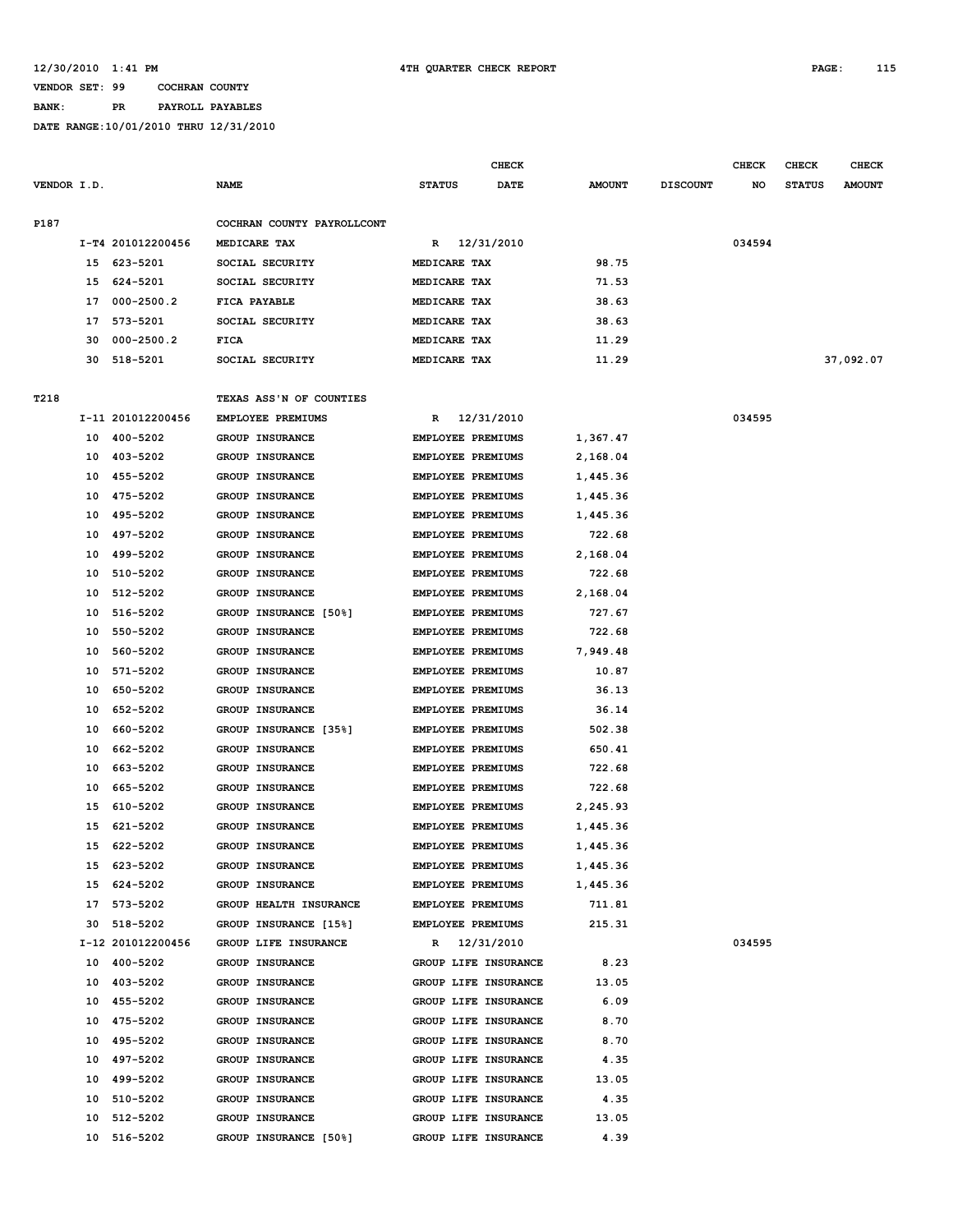### **BANK: PR PAYROLL PAYABLES**

|             |    |                   |                            |                          | <b>CHECK</b>         |               |                 | <b>CHECK</b> | <b>CHECK</b>  | <b>CHECK</b>  |
|-------------|----|-------------------|----------------------------|--------------------------|----------------------|---------------|-----------------|--------------|---------------|---------------|
| VENDOR I.D. |    |                   | <b>NAME</b>                | <b>STATUS</b>            | DATE                 | <b>AMOUNT</b> | <b>DISCOUNT</b> | NO           | <b>STATUS</b> | <b>AMOUNT</b> |
| P187        |    |                   | COCHRAN COUNTY PAYROLLCONT |                          |                      |               |                 |              |               |               |
|             |    | I-T4 201012200456 | MEDICARE TAX               | R                        | 12/31/2010           |               |                 | 034594       |               |               |
|             | 15 | 623-5201          | SOCIAL SECURITY            | MEDICARE TAX             |                      | 98.75         |                 |              |               |               |
|             | 15 | 624-5201          | SOCIAL SECURITY            | MEDICARE TAX             |                      | 71.53         |                 |              |               |               |
|             | 17 | $000 - 2500.2$    | FICA PAYABLE               | MEDICARE TAX             |                      | 38.63         |                 |              |               |               |
|             | 17 | 573-5201          | SOCIAL SECURITY            | MEDICARE TAX             |                      | 38.63         |                 |              |               |               |
|             | 30 | $000 - 2500.2$    | <b>FICA</b>                | MEDICARE TAX             |                      | 11.29         |                 |              |               |               |
|             | 30 | 518-5201          | SOCIAL SECURITY            | MEDICARE TAX             |                      | 11.29         |                 |              |               | 37,092.07     |
|             |    |                   |                            |                          |                      |               |                 |              |               |               |
| T218        |    |                   | TEXAS ASS'N OF COUNTIES    |                          |                      |               |                 |              |               |               |
|             |    | I-11 201012200456 | EMPLOYEE PREMIUMS          | R                        | 12/31/2010           |               |                 | 034595       |               |               |
|             | 10 | 400-5202          | GROUP INSURANCE            | EMPLOYEE PREMIUMS        |                      | 1,367.47      |                 |              |               |               |
|             | 10 | 403-5202          | GROUP INSURANCE            | EMPLOYEE PREMIUMS        |                      | 2,168.04      |                 |              |               |               |
|             | 10 | 455-5202          | <b>GROUP INSURANCE</b>     | EMPLOYEE PREMIUMS        |                      | 1,445.36      |                 |              |               |               |
|             | 10 | 475-5202          | <b>GROUP INSURANCE</b>     | EMPLOYEE PREMIUMS        |                      | 1,445.36      |                 |              |               |               |
|             | 10 | 495-5202          | GROUP INSURANCE            | EMPLOYEE PREMIUMS        |                      | 1,445.36      |                 |              |               |               |
|             | 10 | 497-5202          | <b>GROUP INSURANCE</b>     | EMPLOYEE PREMIUMS        |                      | 722.68        |                 |              |               |               |
|             | 10 | 499-5202          | <b>GROUP INSURANCE</b>     | EMPLOYEE PREMIUMS        |                      | 2,168.04      |                 |              |               |               |
|             | 10 | 510-5202          | <b>GROUP INSURANCE</b>     | <b>EMPLOYEE PREMIUMS</b> |                      | 722.68        |                 |              |               |               |
|             | 10 | 512-5202          | <b>GROUP INSURANCE</b>     | <b>EMPLOYEE PREMIUMS</b> |                      | 2,168.04      |                 |              |               |               |
|             | 10 | 516-5202          | GROUP INSURANCE [50%]      | EMPLOYEE PREMIUMS        |                      | 727.67        |                 |              |               |               |
|             | 10 | 550-5202          | GROUP INSURANCE            | <b>EMPLOYEE PREMIUMS</b> |                      | 722.68        |                 |              |               |               |
|             | 10 | 560-5202          | <b>GROUP INSURANCE</b>     | <b>EMPLOYEE PREMIUMS</b> |                      | 7,949.48      |                 |              |               |               |
|             | 10 | 571-5202          | GROUP INSURANCE            | EMPLOYEE PREMIUMS        |                      | 10.87         |                 |              |               |               |
|             | 10 | 650-5202          | GROUP INSURANCE            | <b>EMPLOYEE PREMIUMS</b> |                      | 36.13         |                 |              |               |               |
|             | 10 | 652-5202          | GROUP INSURANCE            | <b>EMPLOYEE PREMIUMS</b> |                      | 36.14         |                 |              |               |               |
|             | 10 | 660-5202          | GROUP INSURANCE [35%]      | EMPLOYEE PREMIUMS        |                      | 502.38        |                 |              |               |               |
|             | 10 | 662-5202          | GROUP INSURANCE            | <b>EMPLOYEE PREMIUMS</b> |                      | 650.41        |                 |              |               |               |
|             | 10 | 663-5202          | <b>GROUP INSURANCE</b>     | <b>EMPLOYEE PREMIUMS</b> |                      | 722.68        |                 |              |               |               |
|             | 10 | 665-5202          | <b>GROUP INSURANCE</b>     | <b>EMPLOYEE PREMIUMS</b> |                      | 722.68        |                 |              |               |               |
|             | 15 | 610-5202          | GROUP INSURANCE            | <b>EMPLOYEE PREMIUMS</b> |                      | 2,245.93      |                 |              |               |               |
|             | 15 | 621-5202          | <b>GROUP INSURANCE</b>     | EMPLOYEE PREMIUMS        |                      | 1,445.36      |                 |              |               |               |
|             | 15 | 622-5202          | GROUP INSURANCE            | <b>EMPLOYEE PREMIUMS</b> |                      | 1,445.36      |                 |              |               |               |
|             |    | 15 623-5202       | GROUP INSURANCE            | EMPLOYEE PREMIUMS        |                      | 1,445.36      |                 |              |               |               |
|             | 15 | 624-5202          | <b>GROUP INSURANCE</b>     | EMPLOYEE PREMIUMS        |                      | 1,445.36      |                 |              |               |               |
|             |    | 17 573-5202       | GROUP HEALTH INSURANCE     | EMPLOYEE PREMIUMS        |                      | 711.81        |                 |              |               |               |
|             |    | 30 518-5202       | GROUP INSURANCE [15%]      | EMPLOYEE PREMIUMS        |                      | 215.31        |                 |              |               |               |
|             |    | I-12 201012200456 | GROUP LIFE INSURANCE       |                          | R 12/31/2010         |               |                 | 034595       |               |               |
|             |    | 10 400-5202       | GROUP INSURANCE            |                          | GROUP LIFE INSURANCE | 8.23          |                 |              |               |               |
|             |    | 10 403-5202       | GROUP INSURANCE            |                          | GROUP LIFE INSURANCE | 13.05         |                 |              |               |               |
|             |    | 10 455-5202       | <b>GROUP INSURANCE</b>     |                          | GROUP LIFE INSURANCE | 6.09          |                 |              |               |               |
|             |    | 10 475-5202       | GROUP INSURANCE            |                          | GROUP LIFE INSURANCE | 8.70          |                 |              |               |               |
|             |    | 10 495-5202       | GROUP INSURANCE            |                          | GROUP LIFE INSURANCE | 8.70          |                 |              |               |               |
|             |    | 10 497-5202       | <b>GROUP INSURANCE</b>     |                          | GROUP LIFE INSURANCE | 4.35          |                 |              |               |               |
|             |    | 10 499-5202       | <b>GROUP INSURANCE</b>     |                          | GROUP LIFE INSURANCE | 13.05         |                 |              |               |               |
|             |    | 10 510-5202       | GROUP INSURANCE            |                          | GROUP LIFE INSURANCE | 4.35          |                 |              |               |               |
|             | 10 | 512-5202          | <b>GROUP INSURANCE</b>     |                          | GROUP LIFE INSURANCE | 13.05         |                 |              |               |               |
|             |    | 10 516-5202       | GROUP INSURANCE [50%]      |                          | GROUP LIFE INSURANCE | 4.39          |                 |              |               |               |
|             |    |                   |                            |                          |                      |               |                 |              |               |               |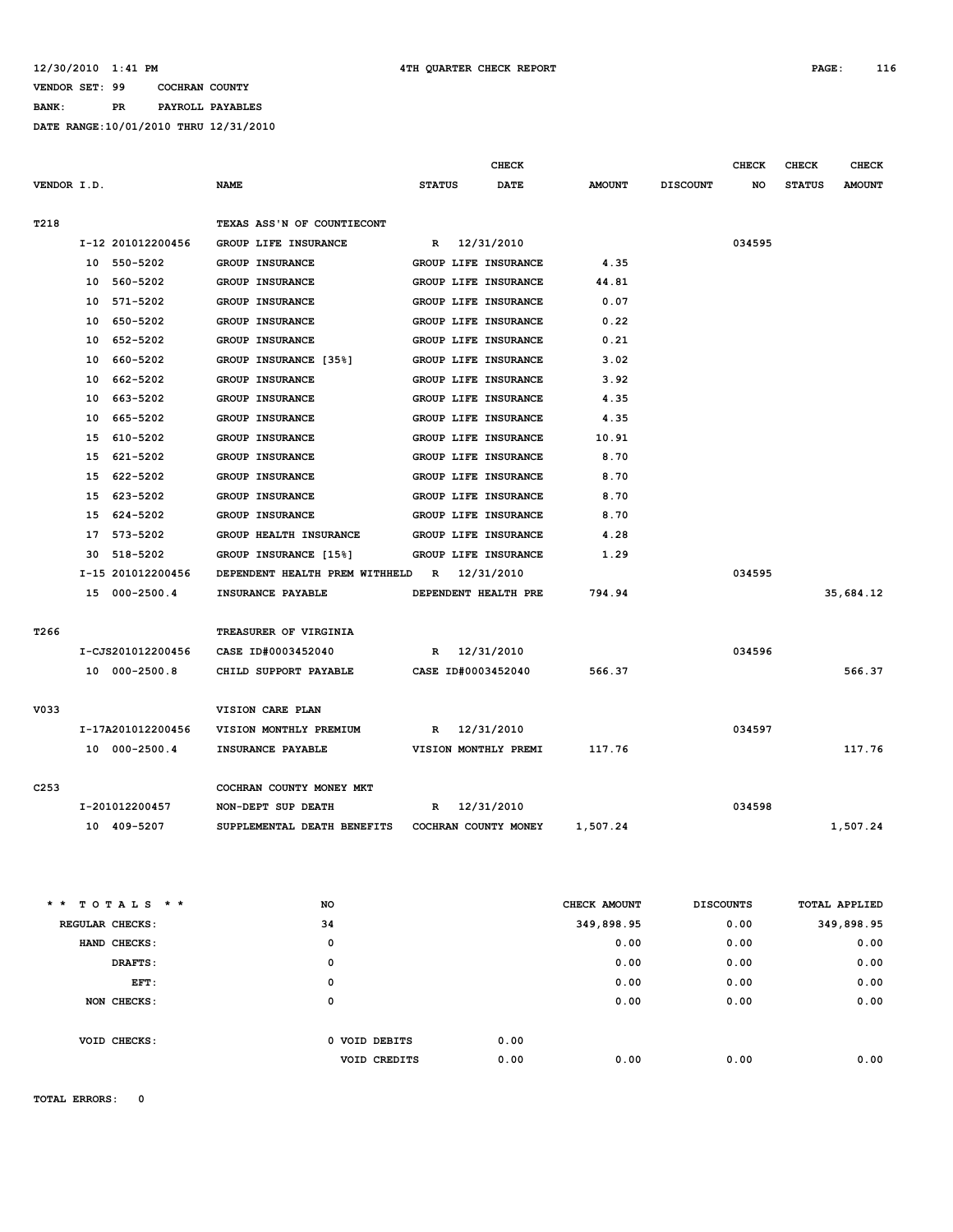### **BANK: PR PAYROLL PAYABLES**

**DATE RANGE:10/01/2010 THRU 12/31/2010**

|                   |                                                  |                      | <b>CHECK</b> |               |                  | <b>CHECK</b> | <b>CHECK</b>  | <b>CHECK</b>  |
|-------------------|--------------------------------------------------|----------------------|--------------|---------------|------------------|--------------|---------------|---------------|
| VENDOR I.D.       | <b>NAME</b>                                      | <b>STATUS</b>        | <b>DATE</b>  | <b>AMOUNT</b> | <b>DISCOUNT</b>  | NO           | <b>STATUS</b> | <b>AMOUNT</b> |
|                   |                                                  |                      |              |               |                  |              |               |               |
| T218              | TEXAS ASS'N OF COUNTIECONT                       |                      |              |               |                  |              |               |               |
| I-12 201012200456 | GROUP LIFE INSURANCE                             | 12/31/2010<br>R      |              |               |                  | 034595       |               |               |
| 550-5202<br>10    | GROUP INSURANCE                                  | GROUP LIFE INSURANCE |              | 4.35          |                  |              |               |               |
| 560-5202<br>10    | <b>GROUP INSURANCE</b>                           | GROUP LIFE INSURANCE |              | 44.81         |                  |              |               |               |
| 571-5202<br>10    | <b>GROUP INSURANCE</b>                           | GROUP LIFE INSURANCE |              | 0.07          |                  |              |               |               |
| 650-5202<br>10    | GROUP INSURANCE                                  | GROUP LIFE INSURANCE |              | 0.22          |                  |              |               |               |
| 652-5202<br>10    | GROUP INSURANCE                                  | GROUP LIFE INSURANCE |              | 0.21          |                  |              |               |               |
| 10<br>660-5202    | GROUP INSURANCE [35%]                            | GROUP LIFE INSURANCE |              | 3.02          |                  |              |               |               |
| 10<br>662-5202    | <b>GROUP INSURANCE</b>                           | GROUP LIFE INSURANCE |              | 3.92          |                  |              |               |               |
| 10<br>663-5202    | <b>GROUP INSURANCE</b>                           | GROUP LIFE INSURANCE |              | 4.35          |                  |              |               |               |
| 10<br>665-5202    | GROUP INSURANCE                                  | GROUP LIFE INSURANCE |              | 4.35          |                  |              |               |               |
| 15<br>610-5202    | <b>GROUP INSURANCE</b>                           | GROUP LIFE INSURANCE |              | 10.91         |                  |              |               |               |
| 15<br>621-5202    | <b>GROUP INSURANCE</b>                           | GROUP LIFE INSURANCE |              | 8.70          |                  |              |               |               |
| 15<br>622-5202    | GROUP INSURANCE                                  | GROUP LIFE INSURANCE |              | 8.70          |                  |              |               |               |
| 623-5202<br>15    | GROUP INSURANCE                                  | GROUP LIFE INSURANCE |              | 8.70          |                  |              |               |               |
| 624-5202<br>15    | <b>GROUP INSURANCE</b>                           | GROUP LIFE INSURANCE |              | 8.70          |                  |              |               |               |
| 17 573-5202       | GROUP HEALTH INSURANCE                           | GROUP LIFE INSURANCE |              | 4.28          |                  |              |               |               |
| 518-5202<br>30    | GROUP INSURANCE [15%]                            | GROUP LIFE INSURANCE |              | 1.29          |                  |              |               |               |
| I-15 201012200456 | DEPENDENT HEALTH PREM WITHHELD                   | 12/31/2010<br>R      |              |               |                  | 034595       |               |               |
| 15 000-2500.4     | INSURANCE PAYABLE                                | DEPENDENT HEALTH PRE |              | 794.94        |                  |              |               | 35,684.12     |
|                   |                                                  |                      |              |               |                  |              |               |               |
| T <sub>266</sub>  | TREASURER OF VIRGINIA                            |                      |              |               |                  |              |               |               |
| I-CJS201012200456 | CASE ID#0003452040                               | R 12/31/2010         |              |               |                  | 034596       |               |               |
| 10 000-2500.8     | CHILD SUPPORT PAYABLE                            | CASE ID#0003452040   |              | 566.37        |                  |              |               | 566.37        |
|                   |                                                  |                      |              |               |                  |              |               |               |
| V033              | VISION CARE PLAN                                 |                      |              |               |                  |              |               |               |
| I-17A201012200456 | VISION MONTHLY PREMIUM                           | 12/31/2010<br>R      |              |               |                  | 034597       |               |               |
| 10 000-2500.4     | INSURANCE PAYABLE                                | VISION MONTHLY PREMI |              | 117.76        |                  |              |               | 117.76        |
|                   |                                                  |                      |              |               |                  |              |               |               |
| C <sub>253</sub>  | COCHRAN COUNTY MONEY MKT                         |                      |              |               |                  |              |               |               |
| I-201012200457    | NON-DEPT SUP DEATH                               | 12/31/2010<br>R      |              |               |                  | 034598       |               |               |
| 10 409-5207       | SUPPLEMENTAL DEATH BENEFITS COCHRAN COUNTY MONEY |                      |              | 1,507.24      |                  |              |               | 1,507.24      |
|                   |                                                  |                      |              |               |                  |              |               |               |
|                   |                                                  |                      |              |               |                  |              |               |               |
|                   |                                                  |                      |              |               |                  |              |               |               |
| * * TOTALS * *    | NO                                               |                      |              | CHECK AMOUNT  | <b>DISCOUNTS</b> |              |               | TOTAL APPLIED |
| REGULAR CHECKS:   | 34                                               |                      |              | 349,898.95    |                  | 0.00         |               | 349,898.95    |
| HAND CHECKS:      | 0                                                |                      |              | 0.00          |                  | 0.00         |               | 0.00          |
| DRAFTS:           | 0                                                |                      |              | 0.00          |                  | 0.00         |               | 0.00          |
| EFT:              | 0                                                |                      |              | 0.00          |                  | 0.00         |               | 0.00          |
| NON CHECKS:       | 0                                                |                      |              | 0.00          |                  | 0.00         |               | 0.00          |
|                   |                                                  |                      |              |               |                  |              |               |               |
| VOID CHECKS:      | 0 VOID DEBITS                                    |                      | 0.00         |               |                  |              |               |               |
|                   | VOID CREDITS                                     |                      | 0.00         | 0.00          |                  | 0.00         |               | 0.00          |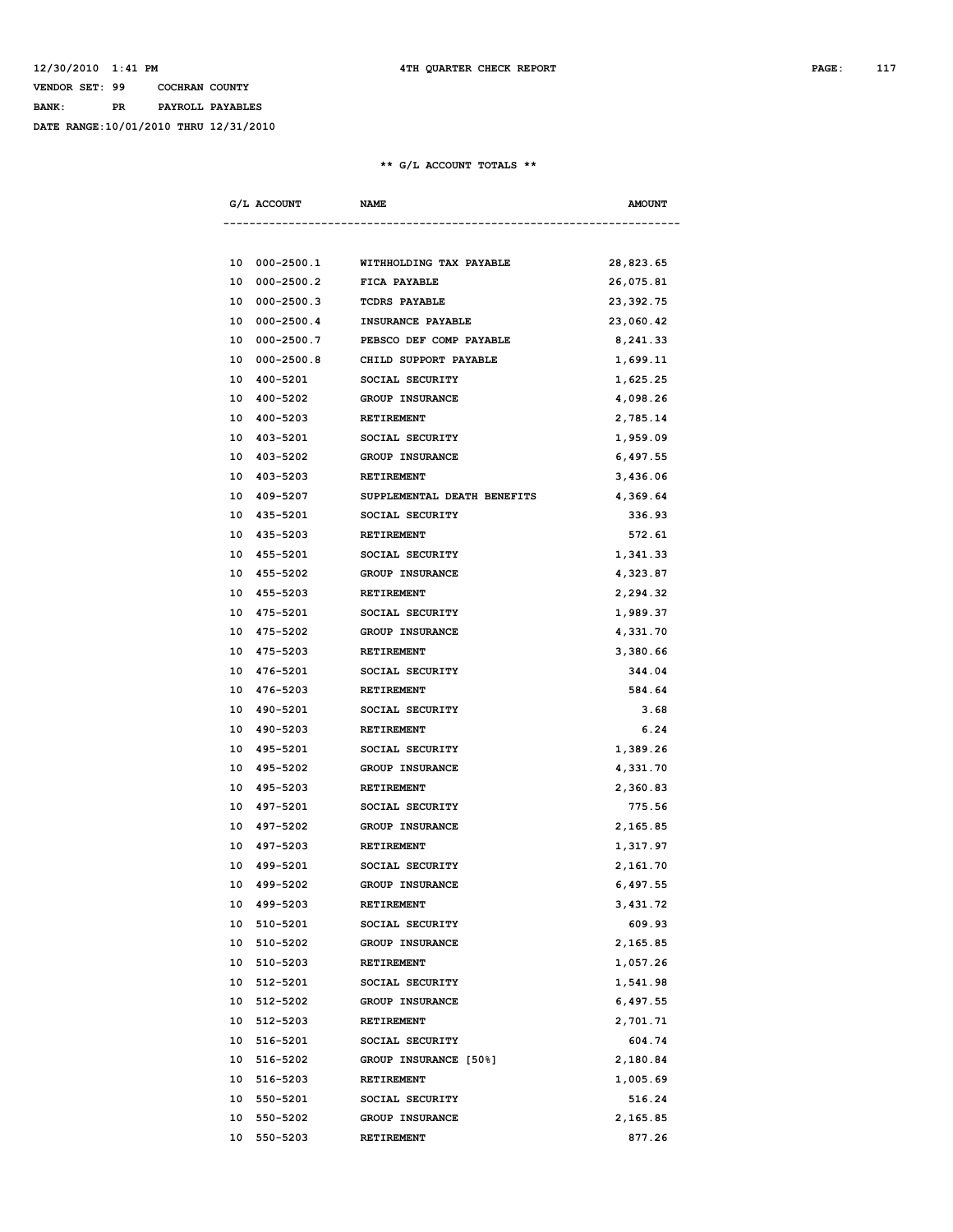## **VENDOR SET: 99 COCHRAN COUNTY BANK: PR PAYROLL PAYABLES DATE RANGE:10/01/2010 THRU 12/31/2010**

### **\*\* G/L ACCOUNT TOTALS \*\***

| G/L ACCOUNT          | <b>NAME</b>                 | <b>AMOUNT</b> |
|----------------------|-----------------------------|---------------|
|                      |                             |               |
| 10 000-2500.1        | WITHHOLDING TAX PAYABLE     | 28,823.65     |
| 10<br>$000 - 2500.2$ | <b>FICA PAYABLE</b>         | 26,075.81     |
| 000-2500.3<br>10     | <b>TCDRS PAYABLE</b>        | 23,392.75     |
| 10 000-2500.4        | <b>INSURANCE PAYABLE</b>    | 23,060.42     |
| 10 000-2500.7        | PEBSCO DEF COMP PAYABLE     | 8,241.33      |
| 000-2500.8<br>10     | CHILD SUPPORT PAYABLE       | 1,699.11      |
| 10<br>400-5201       | SOCIAL SECURITY             | 1,625.25      |
| 10 400-5202          | <b>GROUP INSURANCE</b>      | 4,098.26      |
| 400-5203<br>10       | RETIREMENT                  | 2,785.14      |
|                      | 10 403-5201 SOCIAL SECURITY | 1,959.09      |
| 10 403-5202          | <b>GROUP INSURANCE</b>      | 6,497.55      |
| 403-5203<br>10       | RETIREMENT                  | 3,436.06      |
| 10 409-5207          | SUPPLEMENTAL DEATH BENEFITS | 4,369.64      |
| 10 435-5201          | SOCIAL SECURITY             | 336.93        |
| 10 435-5203          | RETIREMENT                  | 572.61        |
| 10 455-5201          | SOCIAL SECURITY             | 1,341.33      |
| 10 455-5202          | <b>GROUP INSURANCE</b>      | 4,323.87      |
| 455-5203<br>10       | RETIREMENT                  | 2,294.32      |
| 10<br>475-5201       | SOCIAL SECURITY             | 1,989.37      |
| 10 475-5202          | <b>GROUP INSURANCE</b>      | 4,331.70      |
| 10 475-5203          | RETIREMENT                  | 3,380.66      |
| 10 476-5201          | SOCIAL SECURITY             | 344.04        |
| 10 476-5203          | RETIREMENT                  | 584.64        |
| 490-5201<br>10       | SOCIAL SECURITY             | 3.68          |
| 10 490-5203          | <b>RETIREMENT</b>           | 6.24          |
| 10<br>495-5201       | SOCIAL SECURITY             | 1,389.26      |
| 10 495-5202          | <b>GROUP INSURANCE</b>      | 4,331.70      |
| 10 495-5203          | RETIREMENT                  | 2,360.83      |
| 10 497-5201          | SOCIAL SECURITY             | 775.56        |
| 497-5202<br>10       | <b>GROUP INSURANCE</b>      | 2,165.85      |
| 10 497-5203          | <b>RETIREMENT</b>           | 1,317.97      |
| 10 499-5201          | SOCIAL SECURITY             | 2,161.70      |
| 10 499-5202          | GROUP INSURANCE             | 6,497.55      |
| 10 499-5203          | <b>RETIREMENT</b>           | 3,431.72      |
| 10 510-5201          | SOCIAL SECURITY             | 609.93        |
| 510-5202<br>10       | GROUP INSURANCE             | 2,165.85      |
| 10<br>510-5203       | <b>RETIREMENT</b>           | 1,057.26      |
| 10 512-5201          | SOCIAL SECURITY             | 1,541.98      |
| 10 512-5202          | GROUP INSURANCE             | 6,497.55      |
| 10 512-5203          | RETIREMENT                  | 2,701.71      |
| 10 516-5201          | SOCIAL SECURITY             | 604.74        |
| 10 516-5202          | GROUP INSURANCE [50%]       | 2,180.84      |
| 10 516-5203          | <b>RETIREMENT</b>           | 1,005.69      |
| 10 550-5201          | SOCIAL SECURITY             | 516.24        |
| 10<br>550-5202       | GROUP INSURANCE             | 2,165.85      |
| 10 550-5203          | RETIREMENT                  | 877.26        |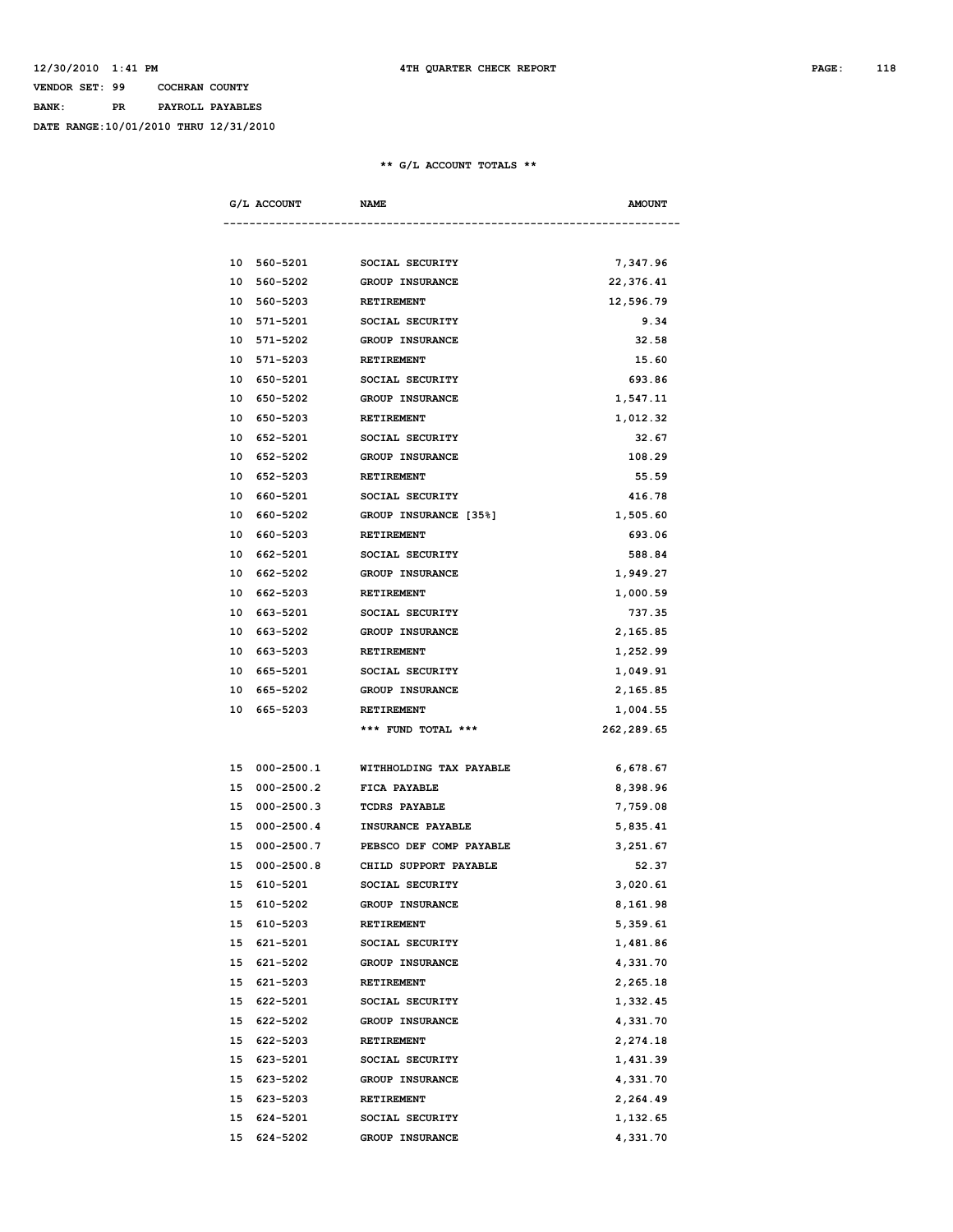## **VENDOR SET: 99 COCHRAN COUNTY BANK: PR PAYROLL PAYABLES**

**DATE RANGE:10/01/2010 THRU 12/31/2010**

### **\*\* G/L ACCOUNT TOTALS \*\***

| G/L ACCOUNT          | <b>NAME</b>             | <b>AMOUNT</b> |
|----------------------|-------------------------|---------------|
|                      |                         |               |
| 10 560-5201          | SOCIAL SECURITY         | 7,347.96      |
| 10 560-5202          | <b>GROUP INSURANCE</b>  | 22,376.41     |
| 10 560-5203          | RETIREMENT              | 12,596.79     |
| 10 571-5201          | SOCIAL SECURITY         | 9.34          |
| 571-5202<br>10       | <b>GROUP INSURANCE</b>  | 32.58         |
| 571-5203<br>10       | <b>RETIREMENT</b>       | 15.60         |
| 10<br>650-5201       | SOCIAL SECURITY         | 693.86        |
| 650-5202<br>10       | <b>GROUP INSURANCE</b>  | 1,547.11      |
| 10<br>650-5203       | RETIREMENT              | 1,012.32      |
| 10<br>652-5201       | SOCIAL SECURITY         | 32.67         |
| 652-5202<br>10       | <b>GROUP INSURANCE</b>  | 108.29        |
| 10<br>652-5203       | RETIREMENT              | 55.59         |
| 10<br>660-5201       | SOCIAL SECURITY         | 416.78        |
| 660-5202<br>10       | GROUP INSURANCE [35%]   | 1,505.60      |
| 10<br>660-5203       | <b>RETIREMENT</b>       | 693.06        |
| 10<br>662-5201       | SOCIAL SECURITY         | 588.84        |
| 662-5202<br>10       | <b>GROUP INSURANCE</b>  | 1,949.27      |
| 662-5203<br>10       | RETIREMENT              | 1,000.59      |
| 10<br>663-5201       | SOCIAL SECURITY         | 737.35        |
| 663–5202<br>10       | <b>GROUP INSURANCE</b>  | 2,165.85      |
| 10<br>663-5203       | <b>RETIREMENT</b>       | 1,252.99      |
| 10<br>665-5201       | SOCIAL SECURITY         | 1,049.91      |
| 665-5202<br>10       | <b>GROUP INSURANCE</b>  | 2,165.85      |
| 10<br>665-5203       | <b>RETIREMENT</b>       | 1,004.55      |
|                      | *** FUND TOTAL ***      | 262,289.65    |
|                      |                         |               |
| 15 000-2500.1        | WITHHOLDING TAX PAYABLE | 6,678.67      |
| 15 000-2500.2        | FICA PAYABLE            | 8,398.96      |
| $000 - 2500.3$<br>15 | <b>TCDRS PAYABLE</b>    | 7,759.08      |
| 15 000-2500.4        | INSURANCE PAYABLE       | 5,835.41      |
| 15 000-2500.7        | PEBSCO DEF COMP PAYABLE | 3,251.67      |
| $000 - 2500.8$<br>15 | CHILD SUPPORT PAYABLE   | 52.37         |
| 15 610-5201          | SOCIAL SECURITY         | 3,020.61      |
| 15 610-5202          | <b>GROUP INSURANCE</b>  | 8,161.98      |
| 610-5203<br>15       | <b>RETIREMENT</b>       | 5,359.61      |
| 15 621-5201          | SOCIAL SECURITY         | 1,481.86      |
| 15 621-5202          | GROUP INSURANCE         | 4,331.70      |
| 15 621-5203          | RETIREMENT              | 2,265.18      |
| 15 622-5201          | SOCIAL SECURITY         | 1,332.45      |
| 15 622-5202          | GROUP INSURANCE         | 4,331.70      |
| 15 622-5203          | RETIREMENT              | 2,274.18      |
| 15 623-5201          | SOCIAL SECURITY         | 1,431.39      |
| 15 623-5202          | GROUP INSURANCE         | 4,331.70      |
| 623-5203<br>15       | RETIREMENT              | 2,264.49      |
| 624-5201<br>15       | SOCIAL SECURITY         | 1,132.65      |
| 15 624-5202          | GROUP INSURANCE         | 4,331.70      |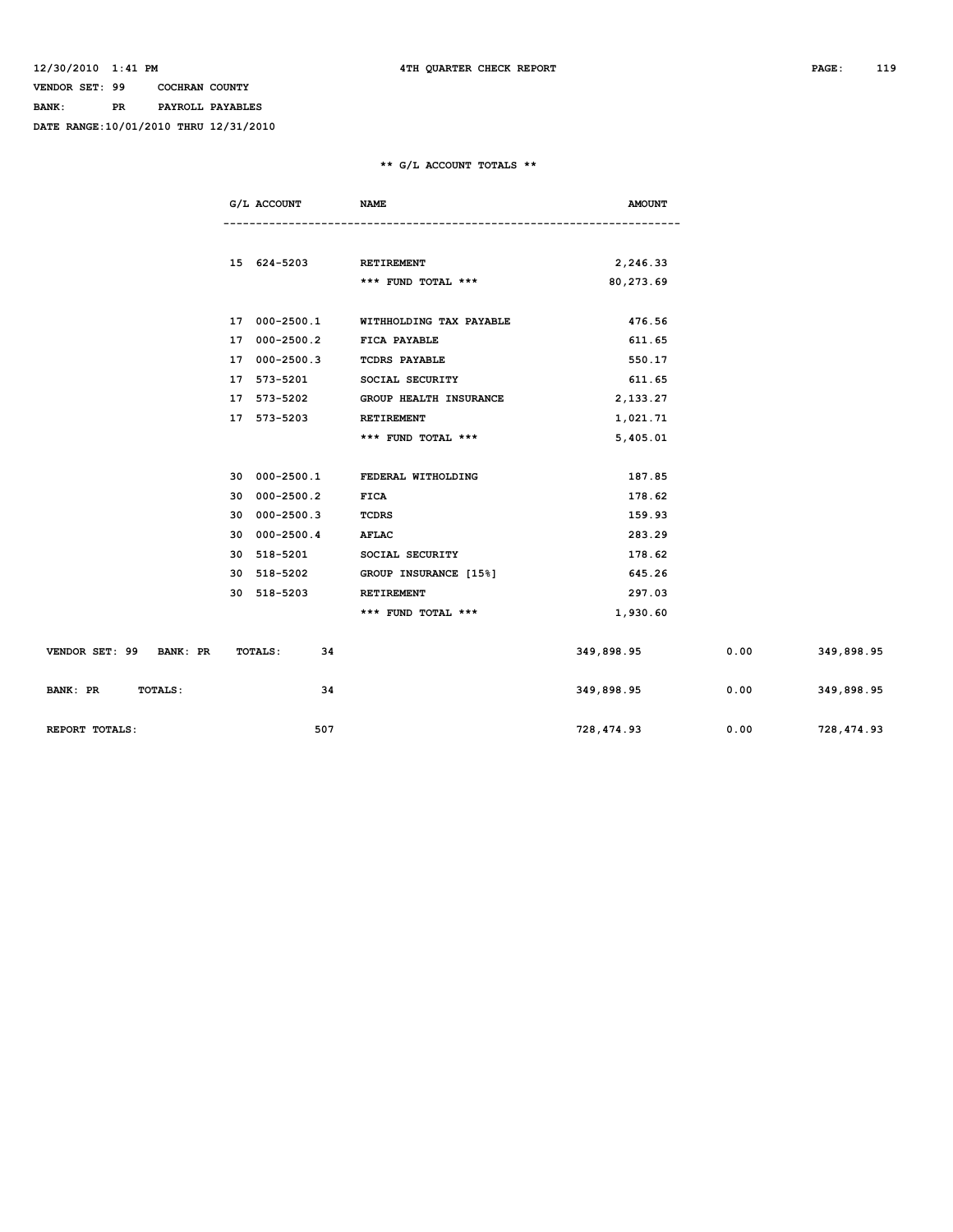## **VENDOR SET: 99 COCHRAN COUNTY BANK: PR PAYROLL PAYABLES**

**DATE RANGE:10/01/2010 THRU 12/31/2010**

### **\*\* G/L ACCOUNT TOTALS \*\***

|                            | G/L ACCOUNT                | <b>NAME</b>                           | <b>AMOUNT</b> |      |            |
|----------------------------|----------------------------|---------------------------------------|---------------|------|------------|
|                            |                            |                                       |               |      |            |
|                            | 15 624-5203 RETIREMENT     |                                       | 2,246.33      |      |            |
|                            |                            | *** FUND TOTAL ***                    | 80,273.69     |      |            |
|                            |                            | 17 000-2500.1 WITHHOLDING TAX PAYABLE | 476.56        |      |            |
|                            | 17 000-2500.2 FICA PAYABLE |                                       | 611.65        |      |            |
|                            | 17 000-2500.3              | <b>TCDRS PAYABLE</b>                  | 550.17        |      |            |
|                            | 17 573-5201                | SOCIAL SECURITY                       | 611.65        |      |            |
|                            | 17 573-5202                | <b>GROUP HEALTH INSURANCE</b>         | 2,133.27      |      |            |
|                            | 17 573-5203                | <b>RETIREMENT</b>                     | 1,021.71      |      |            |
|                            |                            | *** FUND TOTAL ***                    | 5,405.01      |      |            |
|                            |                            |                                       |               |      |            |
|                            |                            | 30 000-2500.1 FEDERAL WITHOLDING      | 187.85        |      |            |
|                            | 30 000-2500.2              | <b>FICA</b>                           | 178.62        |      |            |
|                            | 30 000-2500.3              | TCDRS                                 | 159.93        |      |            |
|                            | 30 000-2500.4              | AFLAC                                 | 283.29        |      |            |
|                            | 30 518-5201                | SOCIAL SECURITY                       | 178.62        |      |            |
|                            | 30 518-5202                | GROUP INSURANCE [15%]                 | 645.26        |      |            |
|                            | 30 518-5203                | RETIREMENT                            | 297.03        |      |            |
|                            |                            | *** FUND TOTAL ***                    | 1,930.60      |      |            |
|                            |                            |                                       |               |      |            |
| VENDOR SET: 99 BANK: PR    | <b>TOTALS:</b><br>34       |                                       | 349,898.95    | 0.00 | 349,898.95 |
| BANK: PR<br><b>TOTALS:</b> | 34                         |                                       | 349,898.95    | 0.00 | 349,898.95 |
| REPORT TOTALS:             | 507                        |                                       | 728,474.93    | 0.00 | 728,474.93 |